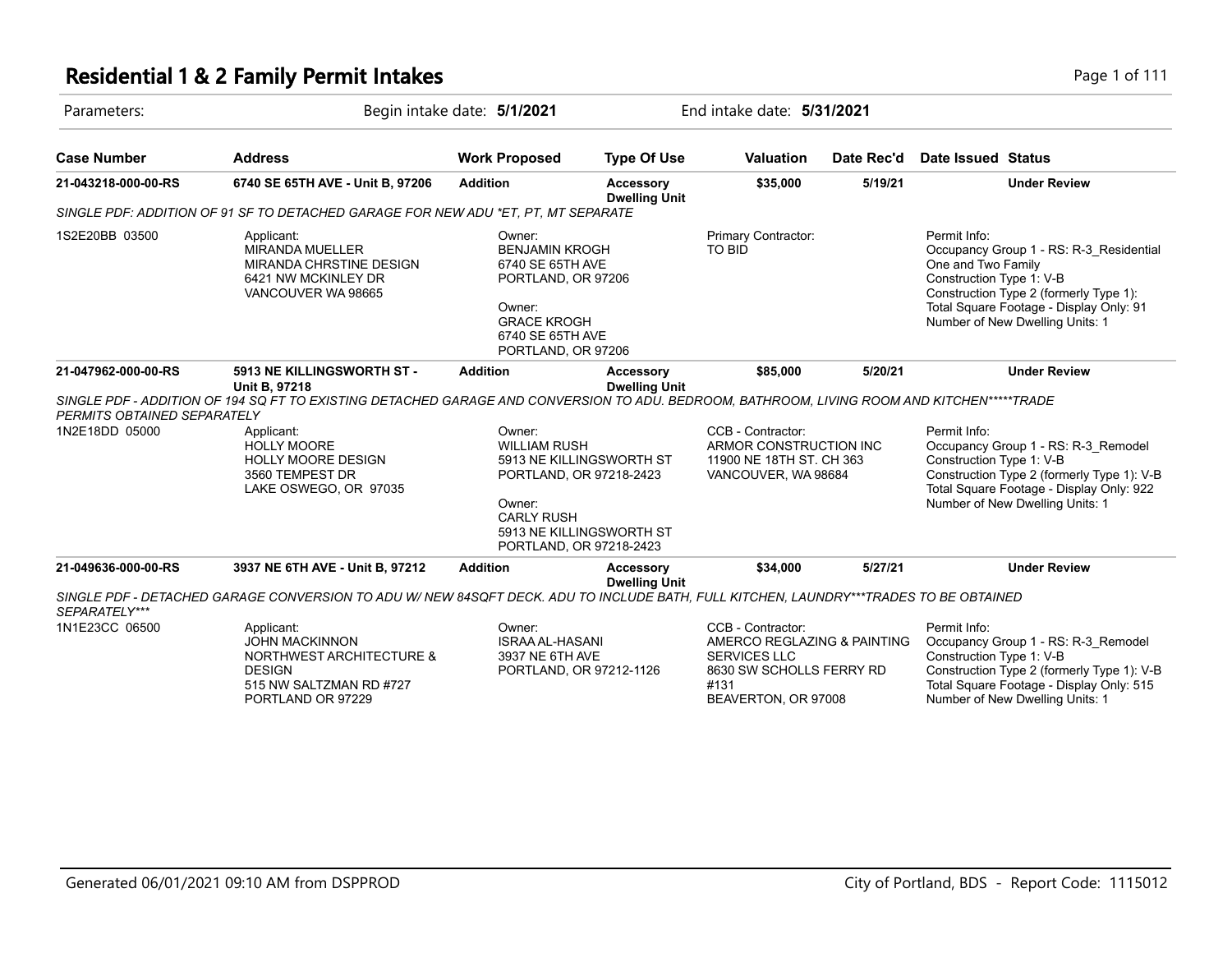| Parameters:                                   | Begin intake date: 5/1/2021                                                                                                                                                               |                                                                                                                                                                            | End intake date: 5/31/2021               |                                                                                                                                    |            |                                                                |                                                                                                                                                                  |
|-----------------------------------------------|-------------------------------------------------------------------------------------------------------------------------------------------------------------------------------------------|----------------------------------------------------------------------------------------------------------------------------------------------------------------------------|------------------------------------------|------------------------------------------------------------------------------------------------------------------------------------|------------|----------------------------------------------------------------|------------------------------------------------------------------------------------------------------------------------------------------------------------------|
| <b>Case Number</b>                            | <b>Address</b>                                                                                                                                                                            | <b>Work Proposed</b>                                                                                                                                                       | <b>Type Of Use</b>                       | <b>Valuation</b>                                                                                                                   | Date Rec'd | Date Issued Status                                             |                                                                                                                                                                  |
| 21-043218-000-00-RS                           | 6740 SE 65TH AVE - Unit B, 97206                                                                                                                                                          | <b>Addition</b>                                                                                                                                                            | Accessory<br><b>Dwelling Unit</b>        | \$35,000                                                                                                                           | 5/19/21    |                                                                | <b>Under Review</b>                                                                                                                                              |
|                                               | SINGLE PDF: ADDITION OF 91 SF TO DETACHED GARAGE FOR NEW ADU *ET. PT. MT SEPARATE                                                                                                         |                                                                                                                                                                            |                                          |                                                                                                                                    |            |                                                                |                                                                                                                                                                  |
| 1S2E20BB 03500                                | Applicant:<br><b>MIRANDA MUELLER</b><br>MIRANDA CHRSTINE DESIGN<br>6421 NW MCKINLEY DR<br>VANCOUVER WA 98665                                                                              | Owner:<br><b>BENJAMIN KROGH</b><br>6740 SE 65TH AVE<br>PORTLAND, OR 97206<br>Owner:<br><b>GRACE KROGH</b><br>6740 SE 65TH AVE<br>PORTLAND, OR 97206                        |                                          | Primary Contractor:<br>TO BID                                                                                                      |            | Permit Info:<br>One and Two Family<br>Construction Type 1: V-B | Occupancy Group 1 - RS: R-3 Residential<br>Construction Type 2 (formerly Type 1):<br>Total Square Footage - Display Only: 91<br>Number of New Dwelling Units: 1  |
| 21-047962-000-00-RS                           | 5913 NE KILLINGSWORTH ST -<br>Unit B, 97218<br>SINGLE PDF - ADDITION OF 194 SQ FT TO EXISTING DETACHED GARAGE AND CONVERSION TO ADU. BEDROOM, BATHROOM, LIVING ROOM AND KITCHEN*****TRADE | <b>Addition</b>                                                                                                                                                            | Accessory<br><b>Dwelling Unit</b>        | \$85,000                                                                                                                           | 5/20/21    |                                                                | <b>Under Review</b>                                                                                                                                              |
| PERMITS OBTAINED SEPARATELY<br>1N2E18DD 05000 | Applicant:<br><b>HOLLY MOORE</b><br><b>HOLLY MOORE DESIGN</b><br>3560 TEMPEST DR<br>LAKE OSWEGO, OR 97035                                                                                 | Owner:<br><b>WILLIAM RUSH</b><br>5913 NE KILLINGSWORTH ST<br>PORTLAND, OR 97218-2423<br>Owner:<br><b>CARLY RUSH</b><br>5913 NE KILLINGSWORTH ST<br>PORTLAND, OR 97218-2423 |                                          | CCB - Contractor:<br>ARMOR CONSTRUCTION INC<br>11900 NE 18TH ST. CH 363<br>VANCOUVER, WA 98684                                     |            | Permit Info:<br>Construction Type 1: V-B                       | Occupancy Group 1 - RS: R-3 Remodel<br>Construction Type 2 (formerly Type 1): V-B<br>Total Square Footage - Display Only: 922<br>Number of New Dwelling Units: 1 |
| 21-049636-000-00-RS                           | 3937 NE 6TH AVE - Unit B, 97212<br>SINGLE PDF - DETACHED GARAGE CONVERSION TO ADU W/ NEW 84SQFT DECK. ADU TO INCLUDE BATH, FULL KITCHEN, LAUNDRY***TRADES TO BE OBTAINED                  | <b>Addition</b>                                                                                                                                                            | <b>Accessory</b><br><b>Dwelling Unit</b> | \$34,000                                                                                                                           | 5/27/21    |                                                                | <b>Under Review</b>                                                                                                                                              |
| SEPARATELY***                                 |                                                                                                                                                                                           |                                                                                                                                                                            |                                          |                                                                                                                                    |            |                                                                |                                                                                                                                                                  |
| 1N1E23CC 06500                                | Applicant:<br><b>JOHN MACKINNON</b><br><b>NORTHWEST ARCHITECTURE &amp;</b><br><b>DESIGN</b><br>515 NW SALTZMAN RD #727<br>PORTLAND OR 97229                                               | Owner:<br><b>ISRAA AL-HASANI</b><br>3937 NE 6TH AVE<br>PORTLAND, OR 97212-1126                                                                                             |                                          | CCB - Contractor:<br>AMERCO REGLAZING & PAINTING<br><b>SERVICES LLC</b><br>8630 SW SCHOLLS FERRY RD<br>#131<br>BEAVERTON, OR 97008 |            | Permit Info:<br>Construction Type 1: V-B                       | Occupancy Group 1 - RS: R-3_Remodel<br>Construction Type 2 (formerly Type 1): V-B<br>Total Square Footage - Display Only: 515<br>Number of New Dwelling Units: 1 |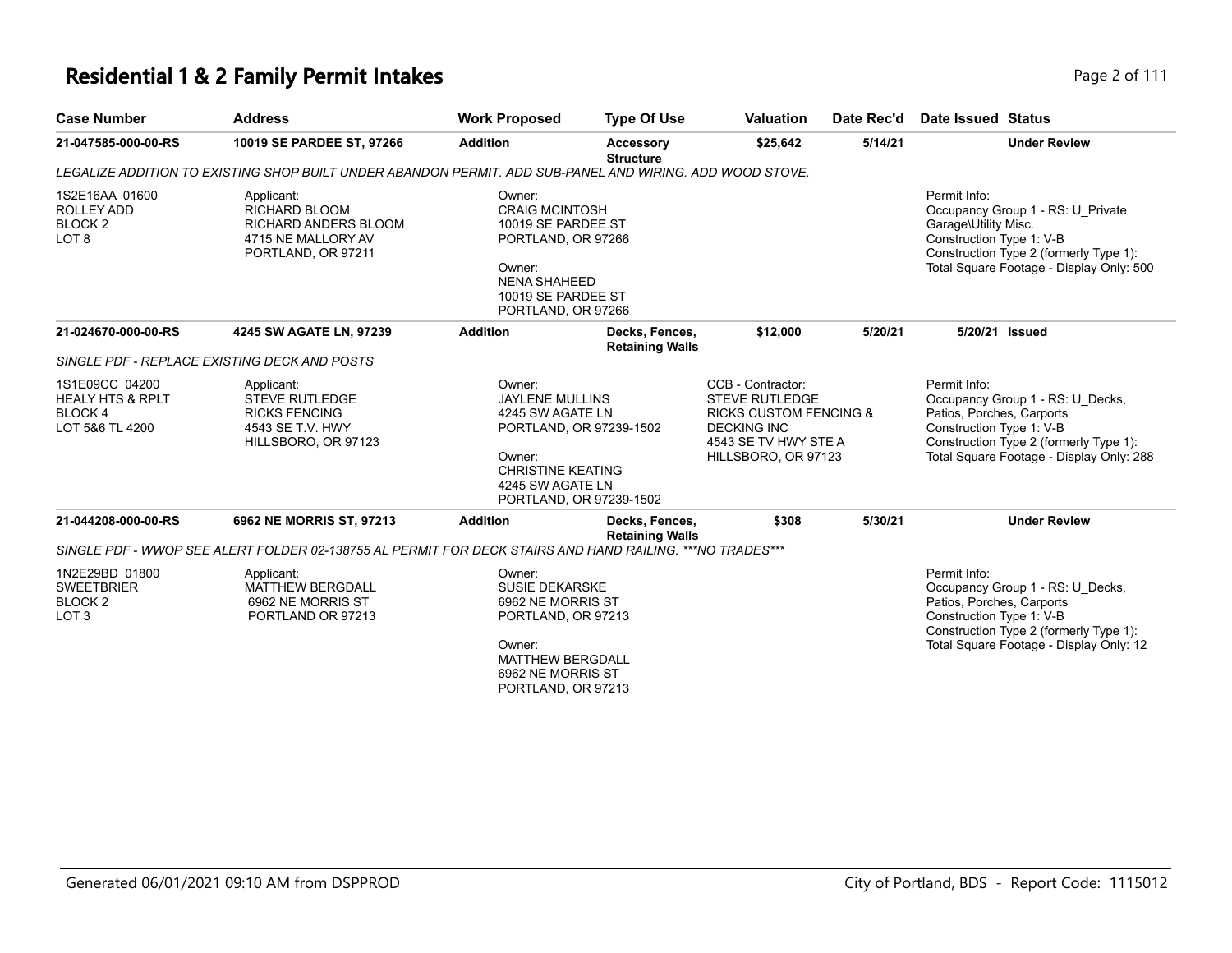| <b>Case Number</b>                                                            | <b>Address</b>                                                                                            | <b>Work Proposed</b>                                                                                                                                                 | <b>Type Of Use</b>                       | <b>Valuation</b>                                                                                                                                     | Date Rec'd | Date Issued Status                                                    |                                                                                                                         |
|-------------------------------------------------------------------------------|-----------------------------------------------------------------------------------------------------------|----------------------------------------------------------------------------------------------------------------------------------------------------------------------|------------------------------------------|------------------------------------------------------------------------------------------------------------------------------------------------------|------------|-----------------------------------------------------------------------|-------------------------------------------------------------------------------------------------------------------------|
| 21-047585-000-00-RS                                                           | 10019 SE PARDEE ST, 97266                                                                                 | <b>Addition</b>                                                                                                                                                      | <b>Accessory</b><br><b>Structure</b>     | \$25,642                                                                                                                                             | 5/14/21    |                                                                       | <b>Under Review</b>                                                                                                     |
|                                                                               | LEGALIZE ADDITION TO EXISTING SHOP BUILT UNDER ABANDON PERMIT. ADD SUB-PANEL AND WIRING. ADD WOOD STOVE.  |                                                                                                                                                                      |                                          |                                                                                                                                                      |            |                                                                       |                                                                                                                         |
| 1S2E16AA 01600<br><b>ROLLEY ADD</b><br>BLOCK <sub>2</sub><br>LOT <sub>8</sub> | Applicant:<br>RICHARD BLOOM<br><b>RICHARD ANDERS BLOOM</b><br>4715 NE MALLORY AV<br>PORTLAND, OR 97211    | Owner:<br><b>CRAIG MCINTOSH</b><br>10019 SE PARDEE ST<br>PORTLAND, OR 97266<br>Owner:<br><b>NENA SHAHEED</b><br>10019 SE PARDEE ST<br>PORTLAND, OR 97266             |                                          |                                                                                                                                                      |            | Permit Info:<br>Garage\Utility Misc.<br>Construction Type 1: V-B      | Occupancy Group 1 - RS: U Private<br>Construction Type 2 (formerly Type 1):<br>Total Square Footage - Display Only: 500 |
| 21-024670-000-00-RS                                                           | 4245 SW AGATE LN, 97239                                                                                   | <b>Addition</b>                                                                                                                                                      | Decks, Fences,<br><b>Retaining Walls</b> | \$12,000                                                                                                                                             | 5/20/21    | 5/20/21 Issued                                                        |                                                                                                                         |
|                                                                               | SINGLE PDF - REPLACE EXISTING DECK AND POSTS                                                              |                                                                                                                                                                      |                                          |                                                                                                                                                      |            |                                                                       |                                                                                                                         |
| 1S1E09CC 04200<br><b>HEALY HTS &amp; RPLT</b><br>BLOCK 4<br>LOT 5&6 TL 4200   | Applicant:<br><b>STEVE RUTLEDGE</b><br><b>RICKS FENCING</b><br>4543 SE T.V. HWY<br>HILLSBORO, OR 97123    | Owner:<br><b>JAYLENE MULLINS</b><br>4245 SW AGATE LN<br>PORTLAND, OR 97239-1502<br>Owner:<br><b>CHRISTINE KEATING</b><br>4245 SW AGATE LN<br>PORTLAND, OR 97239-1502 |                                          | CCB - Contractor:<br><b>STEVE RUTLEDGE</b><br><b>RICKS CUSTOM FENCING &amp;</b><br><b>DECKING INC</b><br>4543 SE TV HWY STE A<br>HILLSBORO, OR 97123 |            | Permit Info:<br>Patios, Porches, Carports<br>Construction Type 1: V-B | Occupancy Group 1 - RS: U Decks,<br>Construction Type 2 (formerly Type 1):<br>Total Square Footage - Display Only: 288  |
| 21-044208-000-00-RS                                                           | 6962 NE MORRIS ST, 97213                                                                                  | <b>Addition</b>                                                                                                                                                      | Decks, Fences,<br><b>Retaining Walls</b> | \$308                                                                                                                                                | 5/30/21    |                                                                       | <b>Under Review</b>                                                                                                     |
|                                                                               | SINGLE PDF - WWOP SEE ALERT FOLDER 02-138755 AL PERMIT FOR DECK STAIRS AND HAND RAILING. *** NO TRADES*** |                                                                                                                                                                      |                                          |                                                                                                                                                      |            |                                                                       |                                                                                                                         |
| 1N2E29BD 01800<br><b>SWEETBRIER</b><br>BLOCK <sub>2</sub><br>LOT <sub>3</sub> | Applicant:<br><b>MATTHEW BERGDALL</b><br>6962 NE MORRIS ST<br>PORTLAND OR 97213                           | Owner:<br><b>SUSIE DEKARSKE</b><br>6962 NE MORRIS ST<br>PORTLAND, OR 97213<br>Owner:<br><b>MATTHEW BERGDALL</b><br>6962 NE MORRIS ST<br>PORTLAND, OR 97213           |                                          |                                                                                                                                                      |            | Permit Info:<br>Patios, Porches, Carports<br>Construction Type 1: V-B | Occupancy Group 1 - RS: U_Decks,<br>Construction Type 2 (formerly Type 1):<br>Total Square Footage - Display Only: 12   |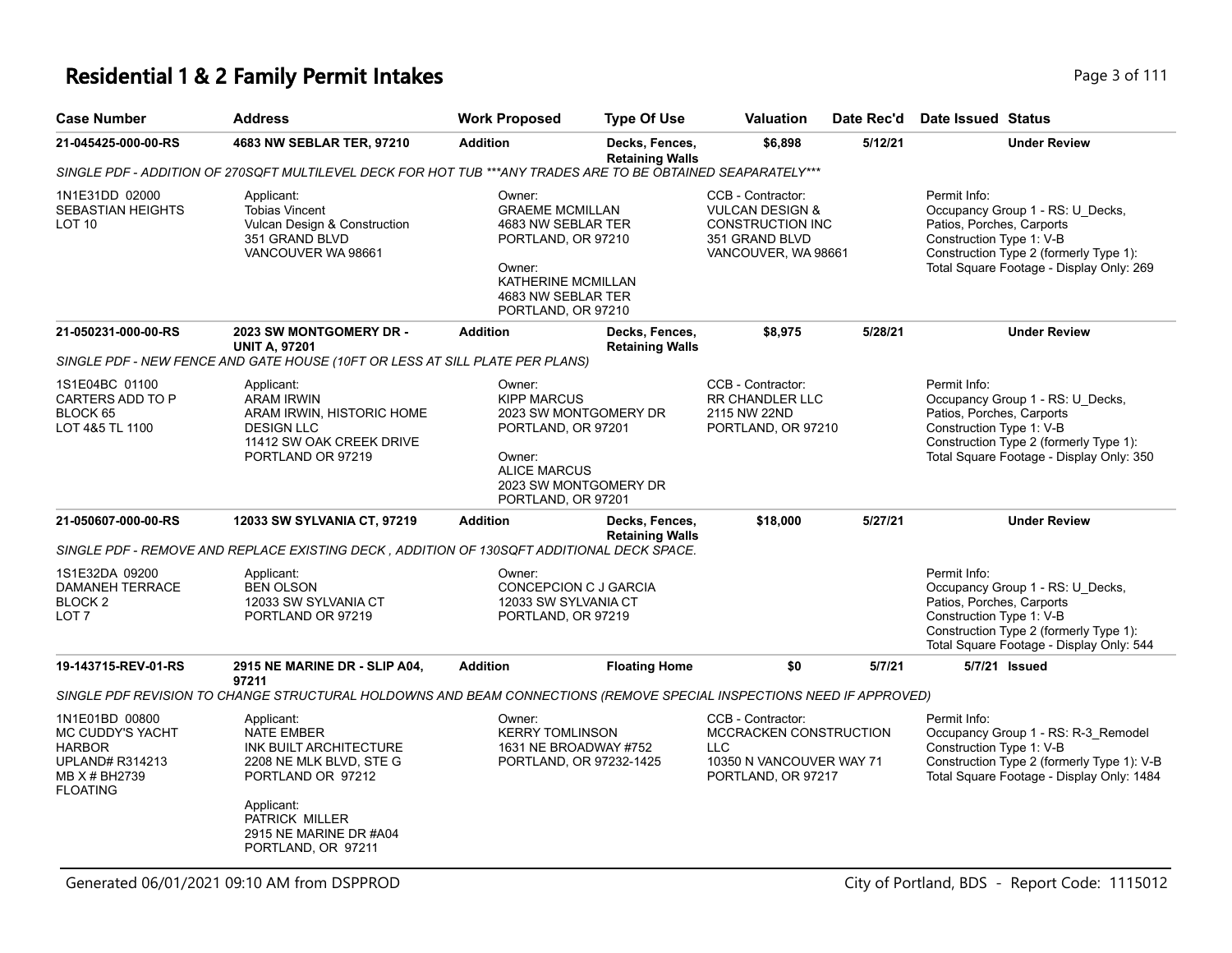| <b>Case Number</b>                                                                                                | <b>Address</b>                                                                                                                                                                            | <b>Work Proposed</b>                                                                                                                                     | <b>Type Of Use</b>                             | <b>Valuation</b>                                                                                                    | Date Rec'd | Date Issued Status                                                                                                                                                                              |
|-------------------------------------------------------------------------------------------------------------------|-------------------------------------------------------------------------------------------------------------------------------------------------------------------------------------------|----------------------------------------------------------------------------------------------------------------------------------------------------------|------------------------------------------------|---------------------------------------------------------------------------------------------------------------------|------------|-------------------------------------------------------------------------------------------------------------------------------------------------------------------------------------------------|
| 21-045425-000-00-RS                                                                                               | 4683 NW SEBLAR TER, 97210                                                                                                                                                                 | <b>Addition</b>                                                                                                                                          | Decks, Fences,<br><b>Retaining Walls</b>       | \$6,898                                                                                                             | 5/12/21    | <b>Under Review</b>                                                                                                                                                                             |
|                                                                                                                   | SINGLE PDF - ADDITION OF 270SQFT MULTILEVEL DECK FOR HOT TUB ***ANY TRADES ARE TO BE OBTAINED SEAPARATELY***                                                                              |                                                                                                                                                          |                                                |                                                                                                                     |            |                                                                                                                                                                                                 |
| 1N1E31DD 02000<br><b>SEBASTIAN HEIGHTS</b><br>LOT <sub>10</sub>                                                   | Applicant:<br><b>Tobias Vincent</b><br>Vulcan Design & Construction<br>351 GRAND BLVD<br>VANCOUVER WA 98661                                                                               | Owner:<br><b>GRAEME MCMILLAN</b><br>4683 NW SEBLAR TER<br>PORTLAND, OR 97210<br>Owner:<br>KATHERINE MCMILLAN<br>4683 NW SEBLAR TER<br>PORTLAND, OR 97210 |                                                | CCB - Contractor:<br><b>VULCAN DESIGN &amp;</b><br><b>CONSTRUCTION INC</b><br>351 GRAND BLVD<br>VANCOUVER, WA 98661 |            | Permit Info:<br>Occupancy Group 1 - RS: U_Decks,<br>Patios, Porches, Carports<br>Construction Type 1: V-B<br>Construction Type 2 (formerly Type 1):<br>Total Square Footage - Display Only: 269 |
| 21-050231-000-00-RS                                                                                               | 2023 SW MONTGOMERY DR -<br><b>UNIT A, 97201</b>                                                                                                                                           | <b>Addition</b>                                                                                                                                          | Decks, Fences,<br><b>Retaining Walls</b>       | \$8,975                                                                                                             | 5/28/21    | <b>Under Review</b>                                                                                                                                                                             |
|                                                                                                                   | SINGLE PDF - NEW FENCE AND GATE HOUSE (10FT OR LESS AT SILL PLATE PER PLANS)                                                                                                              |                                                                                                                                                          |                                                |                                                                                                                     |            |                                                                                                                                                                                                 |
| 1S1E04BC 01100<br>CARTERS ADD TO P<br>BLOCK 65<br>LOT 4&5 TL 1100                                                 | Applicant:<br><b>ARAM IRWIN</b><br>ARAM IRWIN, HISTORIC HOME<br><b>DESIGN LLC</b><br>11412 SW OAK CREEK DRIVE<br>PORTLAND OR 97219                                                        | Owner:<br><b>KIPP MARCUS</b><br>PORTLAND, OR 97201<br>Owner:<br><b>ALICE MARCUS</b><br>PORTLAND, OR 97201                                                | 2023 SW MONTGOMERY DR<br>2023 SW MONTGOMERY DR | CCB - Contractor:<br><b>RR CHANDLER LLC</b><br>2115 NW 22ND<br>PORTLAND, OR 97210                                   |            | Permit Info:<br>Occupancy Group 1 - RS: U Decks,<br>Patios, Porches, Carports<br>Construction Type 1: V-B<br>Construction Type 2 (formerly Type 1):<br>Total Square Footage - Display Only: 350 |
| 21-050607-000-00-RS                                                                                               | 12033 SW SYLVANIA CT, 97219                                                                                                                                                               | <b>Addition</b>                                                                                                                                          | Decks, Fences,<br><b>Retaining Walls</b>       | \$18,000                                                                                                            | 5/27/21    | <b>Under Review</b>                                                                                                                                                                             |
|                                                                                                                   | SINGLE PDF - REMOVE AND REPLACE EXISTING DECK, ADDITION OF 130SQFT ADDITIONAL DECK SPACE.                                                                                                 |                                                                                                                                                          |                                                |                                                                                                                     |            |                                                                                                                                                                                                 |
| 1S1E32DA 09200<br>DAMANEH TERRACE<br>BLOCK <sub>2</sub><br>LOT <sub>7</sub>                                       | Applicant:<br><b>BEN OLSON</b><br>12033 SW SYLVANIA CT<br>PORTLAND OR 97219                                                                                                               | Owner:<br>CONCEPCION C J GARCIA<br>12033 SW SYLVANIA CT<br>PORTLAND, OR 97219                                                                            |                                                |                                                                                                                     |            | Permit Info:<br>Occupancy Group 1 - RS: U_Decks,<br>Patios, Porches, Carports<br>Construction Type 1: V-B<br>Construction Type 2 (formerly Type 1):<br>Total Square Footage - Display Only: 544 |
| 19-143715-REV-01-RS                                                                                               | 2915 NE MARINE DR - SLIP A04,                                                                                                                                                             | <b>Addition</b>                                                                                                                                          | <b>Floating Home</b>                           | \$0                                                                                                                 | 5/7/21     | 5/7/21 Issued                                                                                                                                                                                   |
|                                                                                                                   | 97211<br>SINGLE PDF REVISION TO CHANGE STRUCTURAL HOLDOWNS AND BEAM CONNECTIONS (REMOVE SPECIAL INSPECTIONS NEED IF APPROVED)                                                             |                                                                                                                                                          |                                                |                                                                                                                     |            |                                                                                                                                                                                                 |
| 1N1E01BD 00800<br>MC CUDDY'S YACHT<br><b>HARBOR</b><br><b>UPLAND# R314213</b><br>MB X # BH2739<br><b>FLOATING</b> | Applicant:<br><b>NATE EMBER</b><br>INK BUILT ARCHITECTURE<br>2208 NE MLK BLVD, STE G<br>PORTLAND OR 97212<br>Applicant:<br>PATRICK MILLER<br>2915 NE MARINE DR #A04<br>PORTLAND, OR 97211 | Owner:<br><b>KERRY TOMLINSON</b><br>1631 NE BROADWAY #752<br>PORTLAND, OR 97232-1425                                                                     |                                                | CCB - Contractor:<br>MCCRACKEN CONSTRUCTION<br><b>LLC</b><br>10350 N VANCOUVER WAY 71<br>PORTLAND, OR 97217         |            | Permit Info:<br>Occupancy Group 1 - RS: R-3_Remodel<br>Construction Type 1: V-B<br>Construction Type 2 (formerly Type 1): V-B<br>Total Square Footage - Display Only: 1484                      |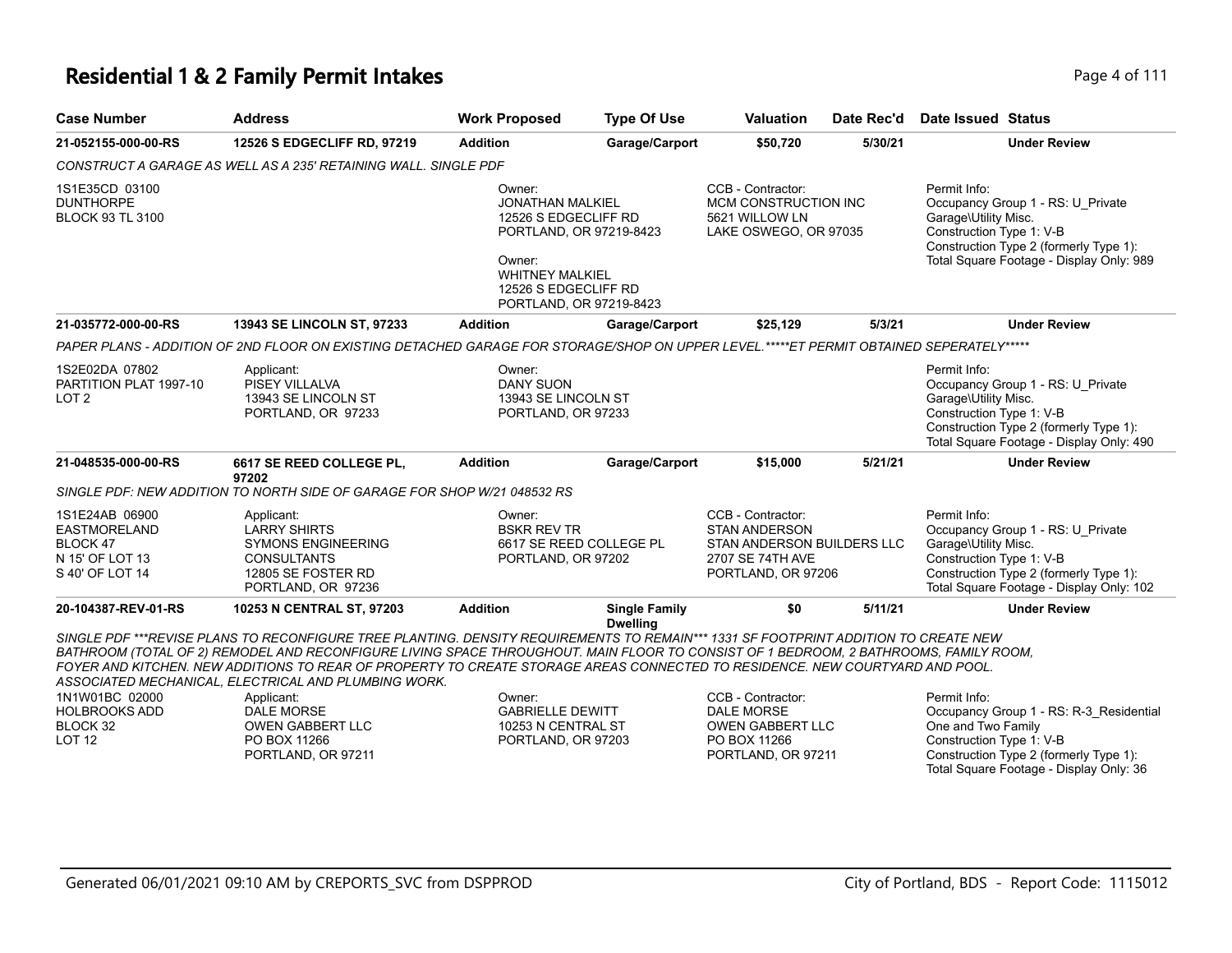#### **Residential 1 & 2 Family Permit Intakes Page 4 of 111**

| <b>Case Number</b>                                                                      | <b>Address</b>                                                                                                                                                                                                                                                                                                                                                                                                                                                      | <b>Work Proposed</b>                                                                                                                                                        | <b>Type Of Use</b>                      | <b>Valuation</b>                                                                                                  | Date Rec'd | Date Issued Status                                                                                                                                                                          |
|-----------------------------------------------------------------------------------------|---------------------------------------------------------------------------------------------------------------------------------------------------------------------------------------------------------------------------------------------------------------------------------------------------------------------------------------------------------------------------------------------------------------------------------------------------------------------|-----------------------------------------------------------------------------------------------------------------------------------------------------------------------------|-----------------------------------------|-------------------------------------------------------------------------------------------------------------------|------------|---------------------------------------------------------------------------------------------------------------------------------------------------------------------------------------------|
| 21-052155-000-00-RS                                                                     | 12526 S EDGECLIFF RD, 97219                                                                                                                                                                                                                                                                                                                                                                                                                                         | <b>Addition</b>                                                                                                                                                             | Garage/Carport                          | \$50,720                                                                                                          | 5/30/21    | <b>Under Review</b>                                                                                                                                                                         |
|                                                                                         | CONSTRUCT A GARAGE AS WELL AS A 235' RETAINING WALL. SINGLE PDF                                                                                                                                                                                                                                                                                                                                                                                                     |                                                                                                                                                                             |                                         |                                                                                                                   |            |                                                                                                                                                                                             |
| 1S1E35CD 03100<br><b>DUNTHORPE</b><br><b>BLOCK 93 TL 3100</b>                           |                                                                                                                                                                                                                                                                                                                                                                                                                                                                     | Owner:<br><b>JONATHAN MALKIEL</b><br>12526 S EDGECLIFF RD<br>PORTLAND, OR 97219-8423<br>Owner:<br><b>WHITNEY MALKIEL</b><br>12526 S EDGECLIFF RD<br>PORTLAND, OR 97219-8423 |                                         | CCB - Contractor:<br>MCM CONSTRUCTION INC<br>5621 WILLOW LN<br>LAKE OSWEGO, OR 97035                              |            | Permit Info:<br>Occupancy Group 1 - RS: U_Private<br>Garage\Utility Misc.<br>Construction Type 1: V-B<br>Construction Type 2 (formerly Type 1):<br>Total Square Footage - Display Only: 989 |
| 21-035772-000-00-RS                                                                     | 13943 SE LINCOLN ST, 97233                                                                                                                                                                                                                                                                                                                                                                                                                                          | <b>Addition</b>                                                                                                                                                             | Garage/Carport                          | \$25,129                                                                                                          | 5/3/21     | <b>Under Review</b>                                                                                                                                                                         |
|                                                                                         | PAPER PLANS - ADDITION OF 2ND FLOOR ON EXISTING DETACHED GARAGE FOR STORAGE/SHOP ON UPPER LEVEL.*****ET PERMIT OBTAINED SEPERATELY*****                                                                                                                                                                                                                                                                                                                             |                                                                                                                                                                             |                                         |                                                                                                                   |            |                                                                                                                                                                                             |
| 1S2E02DA 07802<br>PARTITION PLAT 1997-10<br>LOT <sub>2</sub>                            | Applicant:<br><b>PISEY VILLALVA</b><br>13943 SE LINCOLN ST<br>PORTLAND, OR 97233                                                                                                                                                                                                                                                                                                                                                                                    | Owner:<br><b>DANY SUON</b><br>13943 SE LINCOLN ST<br>PORTLAND, OR 97233                                                                                                     |                                         |                                                                                                                   |            | Permit Info:<br>Occupancy Group 1 - RS: U Private<br>Garage\Utility Misc.<br>Construction Type 1: V-B<br>Construction Type 2 (formerly Type 1):<br>Total Square Footage - Display Only: 490 |
| 21-048535-000-00-RS                                                                     | 6617 SE REED COLLEGE PL,<br>97202                                                                                                                                                                                                                                                                                                                                                                                                                                   | <b>Addition</b>                                                                                                                                                             | Garage/Carport                          | \$15,000                                                                                                          | 5/21/21    | <b>Under Review</b>                                                                                                                                                                         |
|                                                                                         | SINGLE PDF: NEW ADDITION TO NORTH SIDE OF GARAGE FOR SHOP W/21 048532 RS                                                                                                                                                                                                                                                                                                                                                                                            |                                                                                                                                                                             |                                         |                                                                                                                   |            |                                                                                                                                                                                             |
| 1S1E24AB 06900<br><b>EASTMORELAND</b><br>BLOCK 47<br>N 15' OF LOT 13<br>S 40' OF LOT 14 | Applicant:<br><b>LARRY SHIRTS</b><br><b>SYMONS ENGINEERING</b><br><b>CONSULTANTS</b><br>12805 SE FOSTER RD<br>PORTLAND, OR 97236                                                                                                                                                                                                                                                                                                                                    | Owner:<br><b>BSKR REV TR</b><br>PORTLAND, OR 97202                                                                                                                          | 6617 SE REED COLLEGE PL                 | CCB - Contractor:<br><b>STAN ANDERSON</b><br>STAN ANDERSON BUILDERS LLC<br>2707 SE 74TH AVE<br>PORTLAND, OR 97206 |            | Permit Info:<br>Occupancy Group 1 - RS: U_Private<br>Garage\Utility Misc.<br>Construction Type 1: V-B<br>Construction Type 2 (formerly Type 1):<br>Total Square Footage - Display Only: 102 |
| 20-104387-REV-01-RS                                                                     | 10253 N CENTRAL ST, 97203                                                                                                                                                                                                                                                                                                                                                                                                                                           | <b>Addition</b>                                                                                                                                                             | <b>Single Family</b><br><b>Dwelling</b> | \$0                                                                                                               | 5/11/21    | <b>Under Review</b>                                                                                                                                                                         |
|                                                                                         | SINGLE PDF ***REVISE PLANS TO RECONFIGURE TREE PLANTING. DENSITY REQUIREMENTS TO REMAIN*** 1331 SF FOOTPRINT ADDITION TO CREATE NEW<br>BATHROOM (TOTAL OF 2) REMODEL AND RECONFIGURE LIVING SPACE THROUGHOUT. MAIN FLOOR TO CONSIST OF 1 BEDROOM, 2 BATHROOMS, FAMILY ROOM,<br>FOYER AND KITCHEN. NEW ADDITIONS TO REAR OF PROPERTY TO CREATE STORAGE AREAS CONNECTED TO RESIDENCE. NEW COURTYARD AND POOL.<br>ASSOCIATED MECHANICAL, ELECTRICAL AND PLUMBING WORK. |                                                                                                                                                                             |                                         |                                                                                                                   |            |                                                                                                                                                                                             |
| 1N1W01BC 02000<br><b>HOLBROOKS ADD</b><br>BLOCK 32<br>LOT <sub>12</sub>                 | Applicant:<br><b>DALE MORSE</b><br>OWEN GABBERT LLC<br>PO BOX 11266                                                                                                                                                                                                                                                                                                                                                                                                 | Owner:<br><b>GABRIELLE DEWITT</b><br>10253 N CENTRAL ST<br>PORTLAND, OR 97203                                                                                               |                                         | CCB - Contractor:<br><b>DALE MORSE</b><br><b>OWEN GABBERT LLC</b><br>PO BOX 11266                                 |            | Permit Info:<br>Occupancy Group 1 - RS: R-3 Residential<br>One and Two Family<br>Construction Type 1: V-B                                                                                   |

PORTLAND, OR 97211

PORTLAND, OR 97211

Construction Type 1: V-B

Construction Type 2 (formerly Type 1): Total Square Footage - Display Only: 36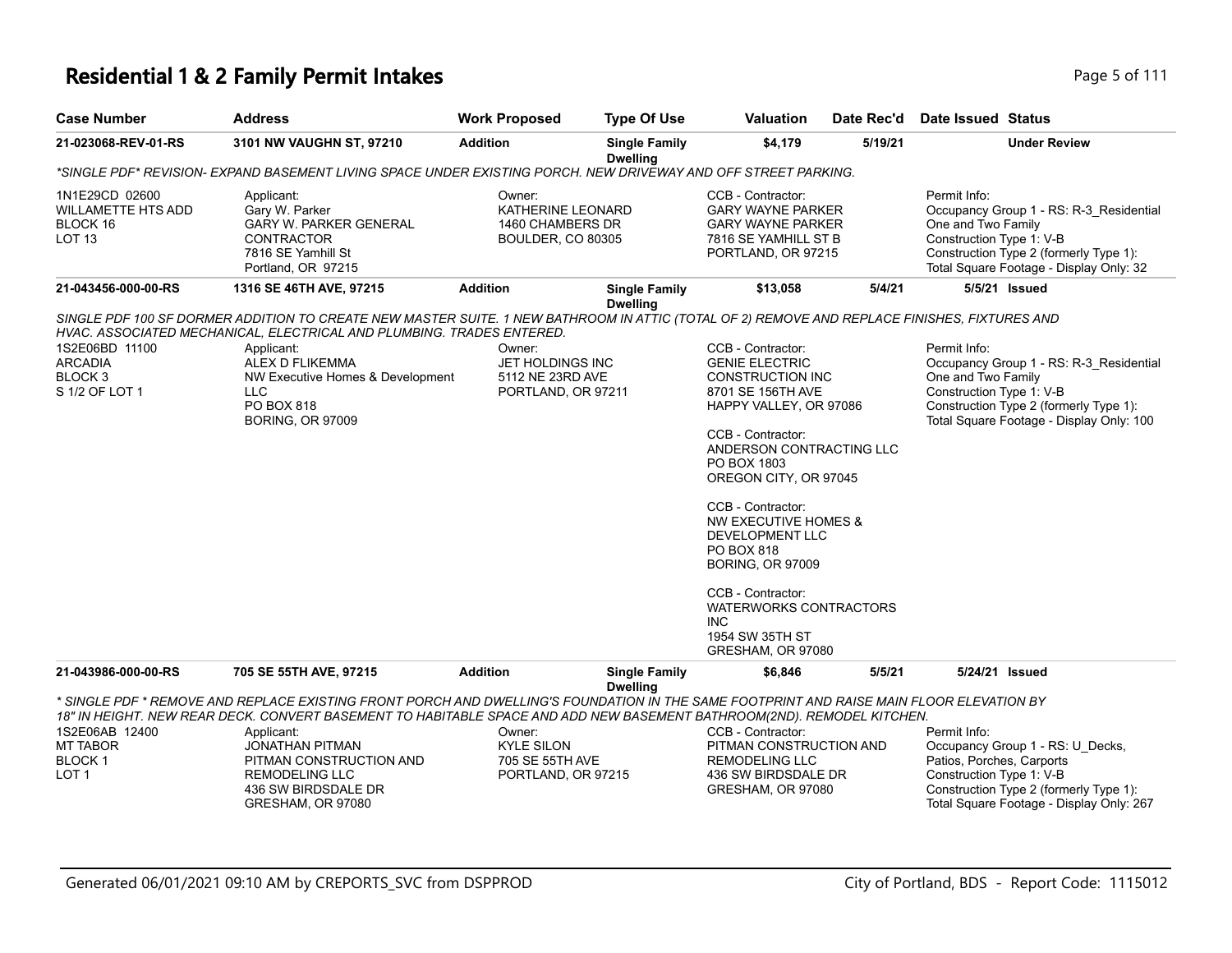| <b>Case Number</b>                                                       | <b>Address</b>                                                                                                                                                                                                                                                                                                                                                                                             | <b>Work Proposed</b>                                                        | <b>Type Of Use</b>                      | <b>Valuation</b>                                                                                                                                                                                                                                                                                                                                                                                                                                     | Date Rec'd | Date Issued Status                                                                                                                                                                              |  |
|--------------------------------------------------------------------------|------------------------------------------------------------------------------------------------------------------------------------------------------------------------------------------------------------------------------------------------------------------------------------------------------------------------------------------------------------------------------------------------------------|-----------------------------------------------------------------------------|-----------------------------------------|------------------------------------------------------------------------------------------------------------------------------------------------------------------------------------------------------------------------------------------------------------------------------------------------------------------------------------------------------------------------------------------------------------------------------------------------------|------------|-------------------------------------------------------------------------------------------------------------------------------------------------------------------------------------------------|--|
| 21-023068-REV-01-RS                                                      | 3101 NW VAUGHN ST, 97210                                                                                                                                                                                                                                                                                                                                                                                   | <b>Addition</b>                                                             | <b>Single Family</b><br><b>Dwelling</b> | \$4,179                                                                                                                                                                                                                                                                                                                                                                                                                                              | 5/19/21    | <b>Under Review</b>                                                                                                                                                                             |  |
|                                                                          | *SINGLE PDF* REVISION- EXPAND BASEMENT LIVING SPACE UNDER EXISTING PORCH. NEW DRIVEWAY AND OFF STREET PARKING.                                                                                                                                                                                                                                                                                             |                                                                             |                                         |                                                                                                                                                                                                                                                                                                                                                                                                                                                      |            |                                                                                                                                                                                                 |  |
| 1N1E29CD 02600<br>WILLAMETTE HTS ADD<br>BLOCK 16<br><b>LOT 13</b>        | Applicant:<br>Gary W. Parker<br><b>GARY W. PARKER GENERAL</b><br>CONTRACTOR<br>7816 SE Yamhill St<br>Portland, OR 97215                                                                                                                                                                                                                                                                                    | Owner:<br>KATHERINE LEONARD<br>1460 CHAMBERS DR<br><b>BOULDER, CO 80305</b> |                                         | CCB - Contractor:<br><b>GARY WAYNE PARKER</b><br><b>GARY WAYNE PARKER</b><br>7816 SE YAMHILL ST B<br>PORTLAND, OR 97215                                                                                                                                                                                                                                                                                                                              |            | Permit Info:<br>Occupancy Group 1 - RS: R-3_Residential<br>One and Two Family<br>Construction Type 1: V-B<br>Construction Type 2 (formerly Type 1):<br>Total Square Footage - Display Only: 32  |  |
| 21-043456-000-00-RS                                                      | 1316 SE 46TH AVE, 97215                                                                                                                                                                                                                                                                                                                                                                                    | <b>Addition</b>                                                             | <b>Single Family</b>                    | \$13,058                                                                                                                                                                                                                                                                                                                                                                                                                                             | 5/4/21     | 5/5/21 Issued                                                                                                                                                                                   |  |
| 1S2E06BD 11100<br><b>ARCADIA</b><br>BLOCK <sub>3</sub><br>S 1/2 OF LOT 1 | SINGLE PDF 100 SF DORMER ADDITION TO CREATE NEW MASTER SUITE. 1 NEW BATHROOM IN ATTIC (TOTAL OF 2) REMOVE AND REPLACE FINISHES, FIXTURES AND<br>HVAC. ASSOCIATED MECHANICAL, ELECTRICAL AND PLUMBING. TRADES ENTERED.<br>Applicant:<br>ALEX D FLIKEMMA<br>NW Executive Homes & Development<br><b>LLC</b><br>PO BOX 818<br><b>BORING, OR 97009</b>                                                          | Owner:<br>JET HOLDINGS INC<br>5112 NE 23RD AVE<br>PORTLAND, OR 97211        | <b>Dwelling</b>                         | CCB - Contractor:<br><b>GENIE ELECTRIC</b><br><b>CONSTRUCTION INC</b><br>8701 SE 156TH AVE<br>HAPPY VALLEY, OR 97086<br>CCB - Contractor:<br>ANDERSON CONTRACTING LLC<br>PO BOX 1803<br>OREGON CITY, OR 97045<br>CCB - Contractor:<br><b>NW EXECUTIVE HOMES &amp;</b><br>DEVELOPMENT LLC<br><b>PO BOX 818</b><br><b>BORING, OR 97009</b><br>CCB - Contractor:<br><b>WATERWORKS CONTRACTORS</b><br><b>INC</b><br>1954 SW 35TH ST<br>GRESHAM, OR 97080 |            | Permit Info:<br>Occupancy Group 1 - RS: R-3 Residential<br>One and Two Family<br>Construction Type 1: V-B<br>Construction Type 2 (formerly Type 1):<br>Total Square Footage - Display Only: 100 |  |
| 21-043986-000-00-RS                                                      | 705 SE 55TH AVE, 97215                                                                                                                                                                                                                                                                                                                                                                                     | <b>Addition</b>                                                             | <b>Single Family</b>                    | \$6,846                                                                                                                                                                                                                                                                                                                                                                                                                                              | 5/5/21     | 5/24/21 Issued                                                                                                                                                                                  |  |
| 1S2E06AB 12400<br><b>MT TABOR</b><br><b>BLOCK1</b><br>LOT <sub>1</sub>   | * SINGLE PDF * REMOVE AND REPLACE EXISTING FRONT PORCH AND DWELLING'S FOUNDATION IN THE SAME FOOTPRINT AND RAISE MAIN FLOOR ELEVATION BY<br>18" IN HEIGHT. NEW REAR DECK. CONVERT BASEMENT TO HABITABLE SPACE AND ADD NEW BASEMENT BATHROOM(2ND). REMODEL KITCHEN.<br>Applicant:<br><b>JONATHAN PITMAN</b><br>PITMAN CONSTRUCTION AND<br><b>REMODELING LLC</b><br>436 SW BIRDSDALE DR<br>GRESHAM, OR 97080 | Owner:<br><b>KYLE SILON</b><br>705 SE 55TH AVE<br>PORTLAND, OR 97215        | <b>Dwelling</b>                         | CCB - Contractor:<br>PITMAN CONSTRUCTION AND<br><b>REMODELING LLC</b><br>436 SW BIRDSDALE DR<br>GRESHAM, OR 97080                                                                                                                                                                                                                                                                                                                                    |            | Permit Info:<br>Occupancy Group 1 - RS: U_Decks,<br>Patios, Porches, Carports<br>Construction Type 1: V-B<br>Construction Type 2 (formerly Type 1):<br>Total Square Footage - Display Only: 267 |  |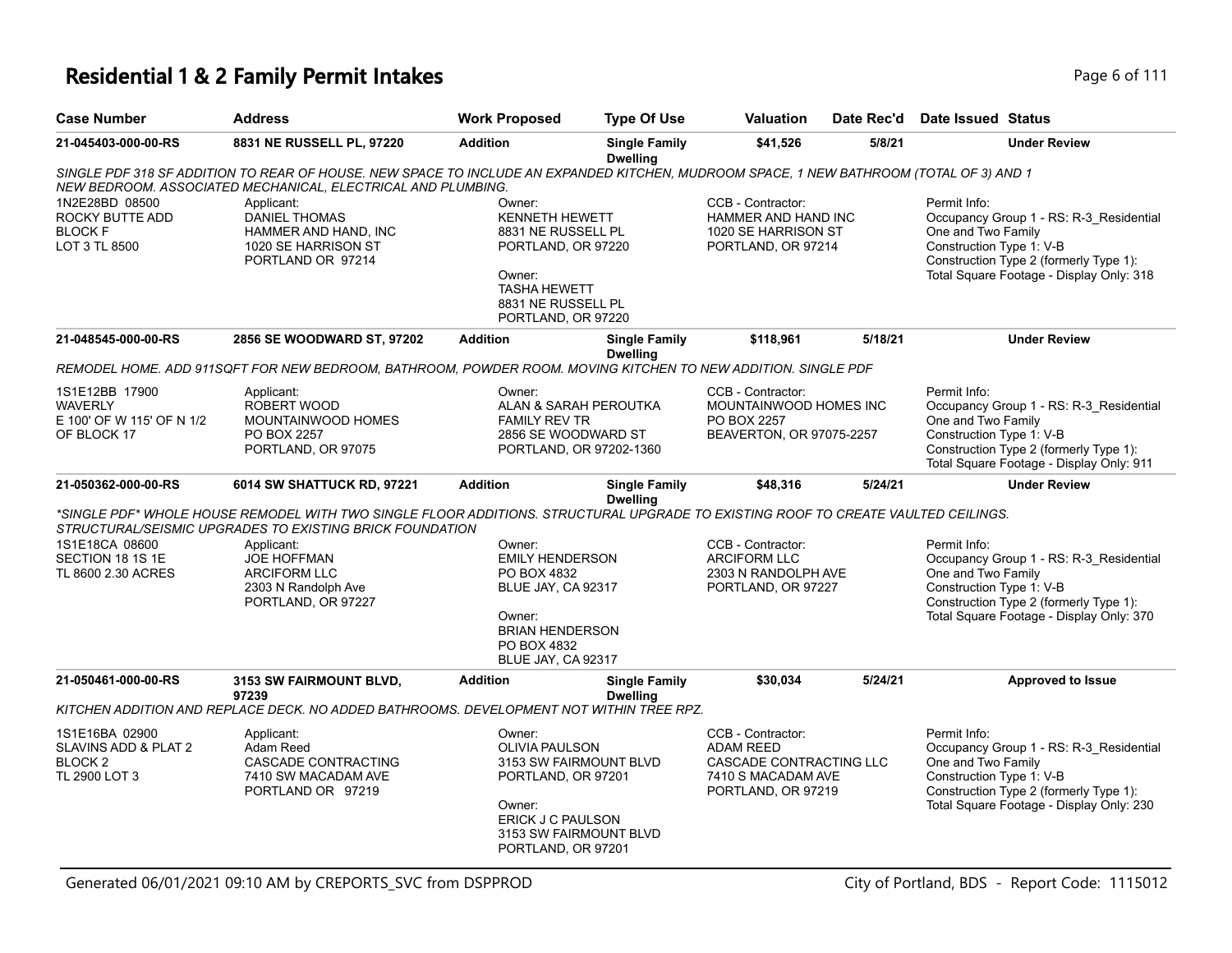| <b>Case Number</b>                                                            | <b>Address</b>                                                                                                                                                                                          | <b>Work Proposed</b>                                                                                                                                           | <b>Type Of Use</b>                                                                                                                                              | <b>Valuation</b>                                                                                             | Date Rec'd                                                                                                                                                                                      | Date Issued Status                                                                                                                                                                              |
|-------------------------------------------------------------------------------|---------------------------------------------------------------------------------------------------------------------------------------------------------------------------------------------------------|----------------------------------------------------------------------------------------------------------------------------------------------------------------|-----------------------------------------------------------------------------------------------------------------------------------------------------------------|--------------------------------------------------------------------------------------------------------------|-------------------------------------------------------------------------------------------------------------------------------------------------------------------------------------------------|-------------------------------------------------------------------------------------------------------------------------------------------------------------------------------------------------|
| 21-045403-000-00-RS                                                           | 8831 NE RUSSELL PL, 97220                                                                                                                                                                               | <b>Addition</b>                                                                                                                                                | <b>Single Family</b><br><b>Dwelling</b>                                                                                                                         | \$41,526                                                                                                     | 5/8/21                                                                                                                                                                                          | <b>Under Review</b>                                                                                                                                                                             |
|                                                                               | SINGLE PDF 318 SF ADDITION TO REAR OF HOUSE. NEW SPACE TO INCLUDE AN EXPANDED KITCHEN, MUDROOM SPACE, 1 NEW BATHROOM (TOTAL OF 3) AND 1<br>NEW BEDROOM. ASSOCIATED MECHANICAL, ELECTRICAL AND PLUMBING. |                                                                                                                                                                |                                                                                                                                                                 |                                                                                                              |                                                                                                                                                                                                 |                                                                                                                                                                                                 |
| 1N2E28BD 08500<br>ROCKY BUTTE ADD<br><b>BLOCK F</b><br>LOT 3 TL 8500          | Applicant:<br><b>DANIEL THOMAS</b><br>HAMMER AND HAND, INC<br>1020 SE HARRISON ST<br>PORTLAND OR 97214                                                                                                  | Owner:<br><b>KENNETH HEWETT</b><br>8831 NE RUSSELL PL<br>PORTLAND, OR 97220<br>Owner:<br><b>TASHA HEWETT</b><br>8831 NE RUSSELL PL<br>PORTLAND, OR 97220       |                                                                                                                                                                 | CCB - Contractor:<br>HAMMER AND HAND INC<br>1020 SE HARRISON ST<br>PORTLAND, OR 97214                        |                                                                                                                                                                                                 | Permit Info:<br>Occupancy Group 1 - RS: R-3 Residential<br>One and Two Family<br>Construction Type 1: V-B<br>Construction Type 2 (formerly Type 1):<br>Total Square Footage - Display Only: 318 |
| 21-048545-000-00-RS                                                           | 2856 SE WOODWARD ST, 97202                                                                                                                                                                              | <b>Addition</b>                                                                                                                                                | <b>Single Family</b><br><b>Dwelling</b>                                                                                                                         | \$118,961                                                                                                    | 5/18/21                                                                                                                                                                                         | <b>Under Review</b>                                                                                                                                                                             |
|                                                                               | REMODEL HOME. ADD 911SQFT FOR NEW BEDROOM, BATHROOM, POWDER ROOM. MOVING KITCHEN TO NEW ADDITION. SINGLE PDF                                                                                            |                                                                                                                                                                |                                                                                                                                                                 |                                                                                                              |                                                                                                                                                                                                 |                                                                                                                                                                                                 |
| 1S1E12BB 17900<br><b>WAVERLY</b><br>E 100' OF W 115' OF N 1/2<br>OF BLOCK 17  | Applicant:<br>ROBERT WOOD<br>MOUNTAINWOOD HOMES<br>PO BOX 2257<br>PORTLAND, OR 97075                                                                                                                    | Owner:<br>ALAN & SARAH PEROUTKA<br><b>FAMILY REV TR</b><br>2856 SE WOODWARD ST<br>PORTLAND, OR 97202-1360                                                      |                                                                                                                                                                 | CCB - Contractor:<br>MOUNTAINWOOD HOMES INC<br>PO BOX 2257<br>BEAVERTON, OR 97075-2257                       |                                                                                                                                                                                                 | Permit Info:<br>Occupancy Group 1 - RS: R-3_Residential<br>One and Two Family<br>Construction Type 1: V-B<br>Construction Type 2 (formerly Type 1):<br>Total Square Footage - Display Only: 911 |
| 21-050362-000-00-RS                                                           | 6014 SW SHATTUCK RD, 97221                                                                                                                                                                              | <b>Addition</b>                                                                                                                                                | <b>Single Family</b><br><b>Dwelling</b>                                                                                                                         | \$48,316                                                                                                     | 5/24/21                                                                                                                                                                                         | <b>Under Review</b>                                                                                                                                                                             |
|                                                                               | *SINGLE PDF* WHOLE HOUSE REMODEL WITH TWO SINGLE FLOOR ADDITIONS. STRUCTURAL UPGRADE TO EXISTING ROOF TO CREATE VAULTED CEILINGS.<br>STRUCTURAL/SEISMIC UPGRADES TO EXISTING BRICK FOUNDATION           |                                                                                                                                                                |                                                                                                                                                                 |                                                                                                              |                                                                                                                                                                                                 |                                                                                                                                                                                                 |
| 1S1E18CA 08600<br>SECTION 18 1S 1E<br>TL 8600 2.30 ACRES                      | Applicant:<br><b>JOE HOFFMAN</b><br><b>ARCIFORM LLC</b><br>2303 N Randolph Ave<br>PORTLAND, OR 97227                                                                                                    | Owner:<br>PO BOX 4832<br>Owner:<br>PO BOX 4832<br>BLUE JAY, CA 92317                                                                                           | CCB - Contractor:<br><b>EMILY HENDERSON</b><br><b>ARCIFORM LLC</b><br>2303 N RANDOLPH AVE<br>BLUE JAY, CA 92317<br>PORTLAND, OR 97227<br><b>BRIAN HENDERSON</b> |                                                                                                              | Permit Info:<br>Occupancy Group 1 - RS: R-3_Residential<br>One and Two Family<br>Construction Type 1: V-B<br>Construction Type 2 (formerly Type 1):<br>Total Square Footage - Display Only: 370 |                                                                                                                                                                                                 |
| 21-050461-000-00-RS                                                           | 3153 SW FAIRMOUNT BLVD,<br>97239                                                                                                                                                                        | <b>Addition</b>                                                                                                                                                | <b>Single Family</b><br><b>Dwelling</b>                                                                                                                         | \$30,034                                                                                                     | 5/24/21                                                                                                                                                                                         | <b>Approved to Issue</b>                                                                                                                                                                        |
|                                                                               | KITCHEN ADDITION AND REPLACE DECK. NO ADDED BATHROOMS. DEVELOPMENT NOT WITHIN TREE RPZ.                                                                                                                 |                                                                                                                                                                |                                                                                                                                                                 |                                                                                                              |                                                                                                                                                                                                 |                                                                                                                                                                                                 |
| 1S1E16BA 02900<br>SLAVINS ADD & PLAT 2<br>BLOCK <sub>2</sub><br>TL 2900 LOT 3 | Applicant:<br>Adam Reed<br>CASCADE CONTRACTING<br>7410 SW MACADAM AVE<br>PORTLAND OR 97219                                                                                                              | Owner:<br><b>OLIVIA PAULSON</b><br>3153 SW FAIRMOUNT BLVD<br>PORTLAND, OR 97201<br>Owner:<br>ERICK J C PAULSON<br>3153 SW FAIRMOUNT BLVD<br>PORTLAND, OR 97201 |                                                                                                                                                                 | CCB - Contractor:<br><b>ADAM REED</b><br>CASCADE CONTRACTING LLC<br>7410 S MACADAM AVE<br>PORTLAND, OR 97219 |                                                                                                                                                                                                 | Permit Info:<br>Occupancy Group 1 - RS: R-3_Residential<br>One and Two Family<br>Construction Type 1: V-B<br>Construction Type 2 (formerly Type 1):<br>Total Square Footage - Display Only: 230 |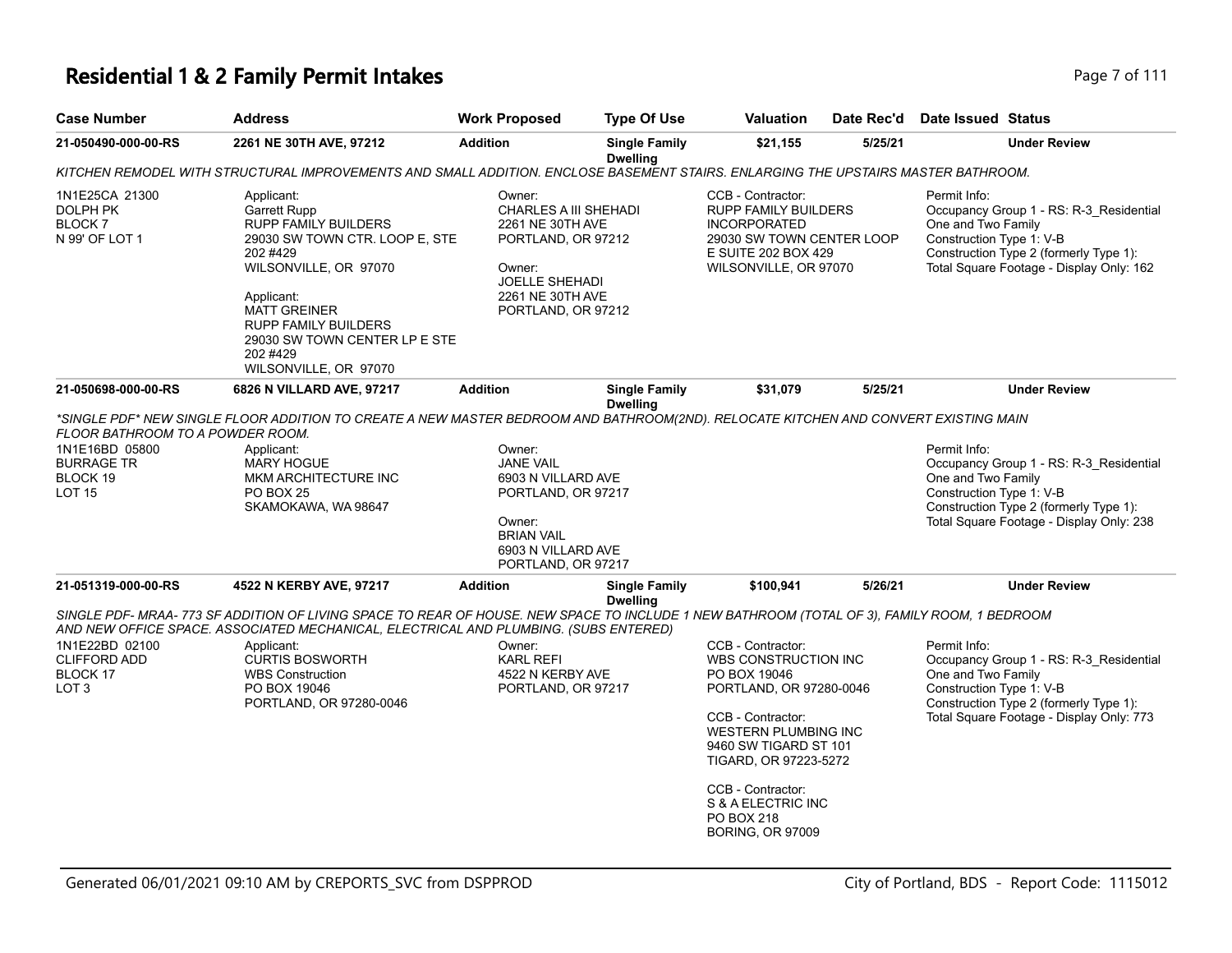# **Residential 1 & 2 Family Permit Intakes Page 7 of 111**

| <b>Case Number</b>                                                                                   | <b>Address</b>                                                                                                                                                                                                                                                                    | <b>Work Proposed</b>                                                                                                                                   | <b>Type Of Use</b>                      | <b>Valuation</b>                                                                                                                                                                                                                                                                      | Date Rec'd | <b>Date Issued Status</b>                                                                                                                                                                       |
|------------------------------------------------------------------------------------------------------|-----------------------------------------------------------------------------------------------------------------------------------------------------------------------------------------------------------------------------------------------------------------------------------|--------------------------------------------------------------------------------------------------------------------------------------------------------|-----------------------------------------|---------------------------------------------------------------------------------------------------------------------------------------------------------------------------------------------------------------------------------------------------------------------------------------|------------|-------------------------------------------------------------------------------------------------------------------------------------------------------------------------------------------------|
| 21-050490-000-00-RS                                                                                  | 2261 NE 30TH AVE, 97212                                                                                                                                                                                                                                                           | <b>Addition</b>                                                                                                                                        | <b>Single Family</b><br><b>Dwelling</b> | \$21,155                                                                                                                                                                                                                                                                              | 5/25/21    | <b>Under Review</b>                                                                                                                                                                             |
|                                                                                                      | KITCHEN REMODEL WITH STRUCTURAL IMPROVEMENTS AND SMALL ADDITION. ENCLOSE BASEMENT STAIRS. ENLARGING THE UPSTAIRS MASTER BATHROOM.                                                                                                                                                 |                                                                                                                                                        |                                         |                                                                                                                                                                                                                                                                                       |            |                                                                                                                                                                                                 |
| 1N1E25CA 21300<br>DOLPH PK<br>BLOCK 7<br>N 99' OF LOT 1                                              | Applicant:<br><b>Garrett Rupp</b><br><b>RUPP FAMILY BUILDERS</b><br>29030 SW TOWN CTR. LOOP E, STE<br>202 #429<br>WILSONVILLE, OR 97070<br>Applicant:<br><b>MATT GREINER</b><br><b>RUPP FAMILY BUILDERS</b><br>29030 SW TOWN CENTER LP E STE<br>202 #429<br>WILSONVILLE, OR 97070 | Owner:<br>CHARLES A III SHEHADI<br>2261 NE 30TH AVE<br>PORTLAND, OR 97212<br>Owner:<br><b>JOELLE SHEHADI</b><br>2261 NE 30TH AVE<br>PORTLAND, OR 97212 |                                         | CCB - Contractor:<br><b>RUPP FAMILY BUILDERS</b><br><b>INCORPORATED</b><br>29030 SW TOWN CENTER LOOP<br>E SUITE 202 BOX 429<br>WILSONVILLE, OR 97070                                                                                                                                  |            | Permit Info:<br>Occupancy Group 1 - RS: R-3_Residential<br>One and Two Family<br>Construction Type 1: V-B<br>Construction Type 2 (formerly Type 1):<br>Total Square Footage - Display Only: 162 |
| 21-050698-000-00-RS                                                                                  | 6826 N VILLARD AVE, 97217                                                                                                                                                                                                                                                         | <b>Addition</b>                                                                                                                                        | <b>Single Family</b><br><b>Dwelling</b> | \$31,079                                                                                                                                                                                                                                                                              | 5/25/21    | <b>Under Review</b>                                                                                                                                                                             |
| FLOOR BATHROOM TO A POWDER ROOM.<br>1N1E16BD 05800<br><b>BURRAGE TR</b><br>BLOCK 19<br><b>LOT 15</b> | *SINGLE PDF* NEW SINGLE FLOOR ADDITION TO CREATE A NEW MASTER BEDROOM AND BATHROOM(2ND). RELOCATE KITCHEN AND CONVERT EXISTING MAIN<br>Applicant:<br><b>MARY HOGUE</b><br>MKM ARCHITECTURE INC<br><b>PO BOX 25</b><br>SKAMOKAWA, WA 98647                                         | Owner:<br><b>JANE VAIL</b><br>6903 N VILLARD AVE<br>PORTLAND, OR 97217<br>Owner:<br><b>BRIAN VAIL</b><br>6903 N VILLARD AVE<br>PORTLAND, OR 97217      |                                         |                                                                                                                                                                                                                                                                                       |            | Permit Info:<br>Occupancy Group 1 - RS: R-3_Residential<br>One and Two Family<br>Construction Type 1: V-B<br>Construction Type 2 (formerly Type 1):<br>Total Square Footage - Display Only: 238 |
| 21-051319-000-00-RS                                                                                  | 4522 N KERBY AVE, 97217                                                                                                                                                                                                                                                           | <b>Addition</b>                                                                                                                                        | <b>Single Family</b><br><b>Dwelling</b> | \$100,941                                                                                                                                                                                                                                                                             | 5/26/21    | <b>Under Review</b>                                                                                                                                                                             |
|                                                                                                      | SINGLE PDF- MRAA- 773 SF ADDITION OF LIVING SPACE TO REAR OF HOUSE. NEW SPACE TO INCLUDE 1 NEW BATHROOM (TOTAL OF 3), FAMILY ROOM, 1 BEDROOM<br>AND NEW OFFICE SPACE. ASSOCIATED MECHANICAL, ELECTRICAL AND PLUMBING. (SUBS ENTERED)                                              |                                                                                                                                                        |                                         |                                                                                                                                                                                                                                                                                       |            |                                                                                                                                                                                                 |
| 1N1E22BD 02100<br><b>CLIFFORD ADD</b><br>BLOCK 17<br>LOT <sub>3</sub>                                | Applicant:<br><b>CURTIS BOSWORTH</b><br><b>WBS Construction</b><br>PO BOX 19046<br>PORTLAND, OR 97280-0046                                                                                                                                                                        | Owner:<br><b>KARL REFI</b><br>4522 N KERBY AVE<br>PORTLAND, OR 97217                                                                                   |                                         | CCB - Contractor:<br>WBS CONSTRUCTION INC<br>PO BOX 19046<br>PORTLAND, OR 97280-0046<br>CCB - Contractor:<br><b>WESTERN PLUMBING INC</b><br>9460 SW TIGARD ST 101<br>TIGARD, OR 97223-5272<br>CCB - Contractor:<br>S & A ELECTRIC INC<br><b>PO BOX 218</b><br><b>BORING, OR 97009</b> |            | Permit Info:<br>Occupancy Group 1 - RS: R-3_Residential<br>One and Two Family<br>Construction Type 1: V-B<br>Construction Type 2 (formerly Type 1):<br>Total Square Footage - Display Only: 773 |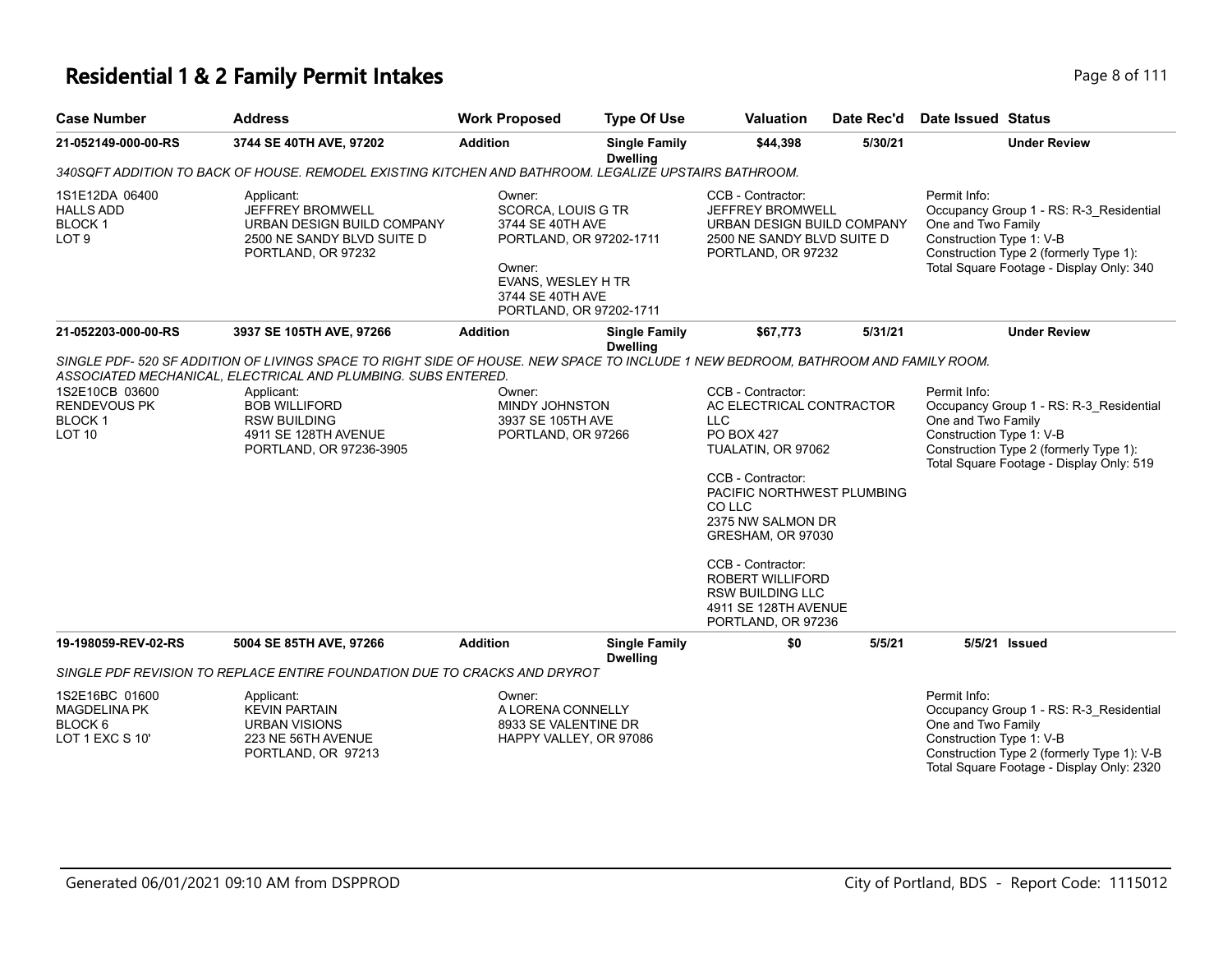| <b>Case Number</b>                                                             | <b>Address</b>                                                                                                                                                                                                                                                                                                      | <b>Work Proposed</b>                                                                                                                                       | <b>Type Of Use</b>                      | <b>Valuation</b>                                                                                                                                                                                                                                                                                                                       | Date Rec'd | Date Issued Status                                                                                                                                                                                   |  |
|--------------------------------------------------------------------------------|---------------------------------------------------------------------------------------------------------------------------------------------------------------------------------------------------------------------------------------------------------------------------------------------------------------------|------------------------------------------------------------------------------------------------------------------------------------------------------------|-----------------------------------------|----------------------------------------------------------------------------------------------------------------------------------------------------------------------------------------------------------------------------------------------------------------------------------------------------------------------------------------|------------|------------------------------------------------------------------------------------------------------------------------------------------------------------------------------------------------------|--|
| 21-052149-000-00-RS                                                            | 3744 SE 40TH AVE, 97202                                                                                                                                                                                                                                                                                             | <b>Addition</b>                                                                                                                                            | <b>Single Family</b><br><b>Dwelling</b> | \$44,398                                                                                                                                                                                                                                                                                                                               | 5/30/21    | <b>Under Review</b>                                                                                                                                                                                  |  |
|                                                                                | 340SQFT ADDITION TO BACK OF HOUSE. REMODEL EXISTING KITCHEN AND BATHROOM. LEGALIZE UPSTAIRS BATHROOM.                                                                                                                                                                                                               |                                                                                                                                                            |                                         |                                                                                                                                                                                                                                                                                                                                        |            |                                                                                                                                                                                                      |  |
| 1S1E12DA 06400<br><b>HALLS ADD</b><br><b>BLOCK1</b><br>LOT <sub>9</sub>        | Applicant:<br>JEFFREY BROMWELL<br>URBAN DESIGN BUILD COMPANY<br>2500 NE SANDY BLVD SUITE D<br>PORTLAND, OR 97232                                                                                                                                                                                                    | Owner:<br>SCORCA, LOUIS G TR<br>3744 SE 40TH AVE<br>PORTLAND, OR 97202-1711<br>Owner:<br>EVANS, WESLEY H TR<br>3744 SE 40TH AVE<br>PORTLAND, OR 97202-1711 |                                         | CCB - Contractor:<br><b>JEFFREY BROMWELL</b><br>URBAN DESIGN BUILD COMPANY<br>2500 NE SANDY BLVD SUITE D<br>PORTLAND, OR 97232                                                                                                                                                                                                         |            | Permit Info:<br>Occupancy Group 1 - RS: R-3_Residential<br>One and Two Family<br>Construction Type 1: V-B<br>Construction Type 2 (formerly Type 1):<br>Total Square Footage - Display Only: 340      |  |
| 21-052203-000-00-RS                                                            | 3937 SE 105TH AVE, 97266                                                                                                                                                                                                                                                                                            | <b>Addition</b>                                                                                                                                            | <b>Single Family</b>                    | \$67,773                                                                                                                                                                                                                                                                                                                               | 5/31/21    | <b>Under Review</b>                                                                                                                                                                                  |  |
| 1S2E10CB 03600<br><b>RENDEVOUS PK</b><br><b>BLOCK1</b><br><b>LOT 10</b>        | SINGLE PDF- 520 SF ADDITION OF LIVINGS SPACE TO RIGHT SIDE OF HOUSE. NEW SPACE TO INCLUDE 1 NEW BEDROOM, BATHROOM AND FAMILY ROOM.<br>ASSOCIATED MECHANICAL, ELECTRICAL AND PLUMBING. SUBS ENTERED.<br>Applicant:<br><b>BOB WILLIFORD</b><br><b>RSW BUILDING</b><br>4911 SE 128TH AVENUE<br>PORTLAND, OR 97236-3905 | Owner:<br>MINDY JOHNSTON<br>3937 SE 105TH AVE<br>PORTLAND, OR 97266                                                                                        | <b>Dwelling</b>                         | CCB - Contractor:<br>AC ELECTRICAL CONTRACTOR<br><b>LLC</b><br><b>PO BOX 427</b><br>TUALATIN, OR 97062<br>CCB - Contractor:<br>PACIFIC NORTHWEST PLUMBING<br>CO LLC<br>2375 NW SALMON DR<br>GRESHAM, OR 97030<br>CCB - Contractor:<br><b>ROBERT WILLIFORD</b><br><b>RSW BUILDING LLC</b><br>4911 SE 128TH AVENUE<br>PORTLAND, OR 97236 |            | Permit Info:<br>Occupancy Group 1 - RS: R-3_Residential<br>One and Two Family<br>Construction Type 1: V-B<br>Construction Type 2 (formerly Type 1):<br>Total Square Footage - Display Only: 519      |  |
| 19-198059-REV-02-RS                                                            | 5004 SE 85TH AVE, 97266<br>SINGLE PDF REVISION TO REPLACE ENTIRE FOUNDATION DUE TO CRACKS AND DRYROT                                                                                                                                                                                                                | <b>Addition</b>                                                                                                                                            | <b>Single Family</b><br><b>Dwelling</b> | \$0                                                                                                                                                                                                                                                                                                                                    | 5/5/21     | 5/5/21 Issued                                                                                                                                                                                        |  |
|                                                                                |                                                                                                                                                                                                                                                                                                                     |                                                                                                                                                            |                                         |                                                                                                                                                                                                                                                                                                                                        |            |                                                                                                                                                                                                      |  |
| 1S2E16BC 01600<br><b>MAGDELINA PK</b><br>BLOCK <sub>6</sub><br>LOT 1 EXC S 10' | Applicant:<br><b>KEVIN PARTAIN</b><br><b>URBAN VISIONS</b><br>223 NE 56TH AVENUE<br>PORTLAND, OR 97213                                                                                                                                                                                                              | Owner:<br>A LORENA CONNELLY<br>8933 SE VALENTINE DR<br>HAPPY VALLEY, OR 97086                                                                              |                                         |                                                                                                                                                                                                                                                                                                                                        |            | Permit Info:<br>Occupancy Group 1 - RS: R-3 Residential<br>One and Two Family<br>Construction Type 1: V-B<br>Construction Type 2 (formerly Type 1): V-B<br>Total Square Footage - Display Only: 2320 |  |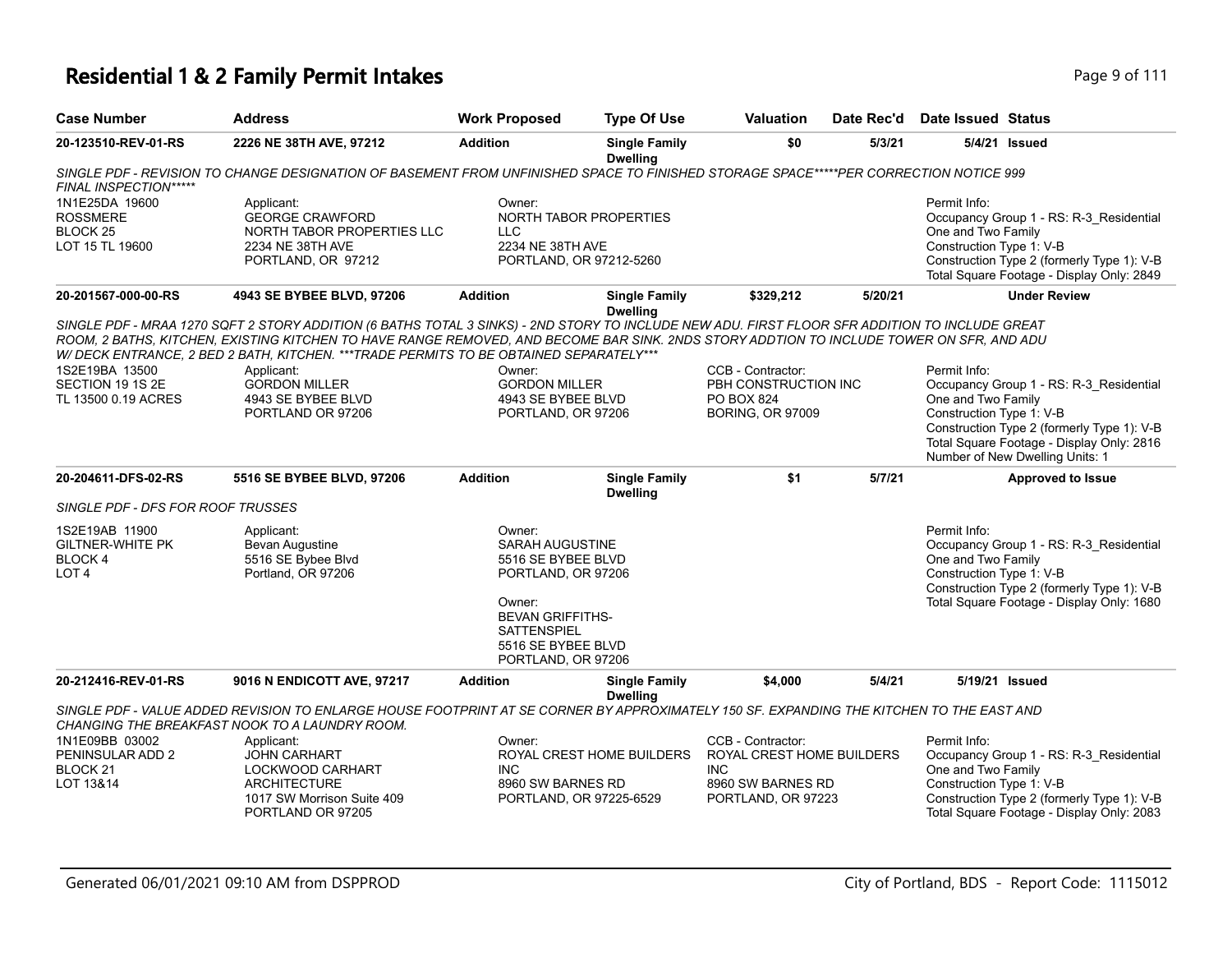| <b>Case Number</b>                                                          | <b>Address</b>                                                                                                                                                                                                                                                                                                                                                                       | <b>Work Proposed</b>                                                                                                                                                         | <b>Type Of Use</b>                                       | <b>Valuation</b>                                                                                        | Date Rec'd | Date Issued Status                                                                                                                                                                                                                      |
|-----------------------------------------------------------------------------|--------------------------------------------------------------------------------------------------------------------------------------------------------------------------------------------------------------------------------------------------------------------------------------------------------------------------------------------------------------------------------------|------------------------------------------------------------------------------------------------------------------------------------------------------------------------------|----------------------------------------------------------|---------------------------------------------------------------------------------------------------------|------------|-----------------------------------------------------------------------------------------------------------------------------------------------------------------------------------------------------------------------------------------|
| 20-123510-REV-01-RS                                                         | 2226 NE 38TH AVE, 97212                                                                                                                                                                                                                                                                                                                                                              | <b>Addition</b>                                                                                                                                                              | <b>Single Family</b><br><b>Dwelling</b>                  | \$0                                                                                                     | 5/3/21     | 5/4/21 Issued                                                                                                                                                                                                                           |
| FINAL INSPECTION*****                                                       | SINGLE PDF - REVISION TO CHANGE DESIGNATION OF BASEMENT FROM UNFINISHED SPACE TO FINISHED STORAGE SPACE*****PER CORRECTION NOTICE 999                                                                                                                                                                                                                                                |                                                                                                                                                                              |                                                          |                                                                                                         |            |                                                                                                                                                                                                                                         |
| 1N1E25DA 19600<br><b>ROSSMERE</b><br>BLOCK <sub>25</sub><br>LOT 15 TL 19600 | Applicant:<br><b>GEORGE CRAWFORD</b><br>NORTH TABOR PROPERTIES LLC<br>2234 NE 38TH AVE<br>PORTLAND, OR 97212                                                                                                                                                                                                                                                                         | Owner:<br>LLC<br>2234 NE 38TH AVE                                                                                                                                            | <b>NORTH TABOR PROPERTIES</b><br>PORTLAND, OR 97212-5260 |                                                                                                         |            | Permit Info:<br>Occupancy Group 1 - RS: R-3_Residential<br>One and Two Family<br>Construction Type 1: V-B<br>Construction Type 2 (formerly Type 1): V-B<br>Total Square Footage - Display Only: 2849                                    |
| 20-201567-000-00-RS                                                         | 4943 SE BYBEE BLVD, 97206                                                                                                                                                                                                                                                                                                                                                            | <b>Addition</b>                                                                                                                                                              | <b>Single Family</b><br><b>Dwelling</b>                  | \$329,212                                                                                               | 5/20/21    | <b>Under Review</b>                                                                                                                                                                                                                     |
|                                                                             | SINGLE PDF - MRAA 1270 SQFT 2 STORY ADDITION (6 BATHS TOTAL 3 SINKS) - 2ND STORY TO INCLUDE NEW ADU. FIRST FLOOR SFR ADDITION TO INCLUDE GREAT<br>ROOM, 2 BATHS, KITCHEN, EXISTING KITCHEN TO HAVE RANGE REMOVED, AND BECOME BAR SINK. 2NDS STORY ADDTION TO INCLUDE TOWER ON SFR, AND ADU<br>W/ DECK ENTRANCE, 2 BED 2 BATH, KITCHEN. ***TRADE PERMITS TO BE OBTAINED SEPARATELY*** |                                                                                                                                                                              |                                                          |                                                                                                         |            |                                                                                                                                                                                                                                         |
| 1S2E19BA 13500<br>SECTION 19 1S 2E<br>TL 13500 0.19 ACRES                   | Applicant:<br><b>GORDON MILLER</b><br>4943 SE BYBEE BLVD<br>PORTLAND OR 97206                                                                                                                                                                                                                                                                                                        | Owner:<br><b>GORDON MILLER</b><br>4943 SE BYBEE BLVD<br>PORTLAND, OR 97206                                                                                                   |                                                          | CCB - Contractor:<br>PBH CONSTRUCTION INC<br><b>PO BOX 824</b><br><b>BORING, OR 97009</b>               |            | Permit Info:<br>Occupancy Group 1 - RS: R-3_Residential<br>One and Two Family<br>Construction Type 1: V-B<br>Construction Type 2 (formerly Type 1): V-B<br>Total Square Footage - Display Only: 2816<br>Number of New Dwelling Units: 1 |
| 20-204611-DFS-02-RS                                                         | 5516 SE BYBEE BLVD, 97206                                                                                                                                                                                                                                                                                                                                                            | <b>Addition</b>                                                                                                                                                              | <b>Single Family</b><br><b>Dwelling</b>                  | \$1                                                                                                     | 5/7/21     | <b>Approved to Issue</b>                                                                                                                                                                                                                |
| SINGLE PDF - DFS FOR ROOF TRUSSES                                           |                                                                                                                                                                                                                                                                                                                                                                                      |                                                                                                                                                                              |                                                          |                                                                                                         |            |                                                                                                                                                                                                                                         |
| 1S2E19AB 11900<br><b>GILTNER-WHITE PK</b><br>BLOCK 4<br>LOT <sub>4</sub>    | Applicant:<br>Bevan Augustine<br>5516 SE Bybee Blvd<br>Portland, OR 97206                                                                                                                                                                                                                                                                                                            | Owner:<br>SARAH AUGUSTINE<br>5516 SE BYBEE BLVD<br>PORTLAND, OR 97206<br>Owner:<br><b>BEVAN GRIFFITHS-</b><br><b>SATTENSPIEL</b><br>5516 SE BYBEE BLVD<br>PORTLAND, OR 97206 |                                                          |                                                                                                         |            | Permit Info:<br>Occupancy Group 1 - RS: R-3 Residential<br>One and Two Family<br>Construction Type 1: V-B<br>Construction Type 2 (formerly Type 1): V-B<br>Total Square Footage - Display Only: 1680                                    |
| 20-212416-REV-01-RS                                                         | 9016 N ENDICOTT AVE, 97217                                                                                                                                                                                                                                                                                                                                                           | <b>Addition</b>                                                                                                                                                              | <b>Single Family</b><br><b>Dwelling</b>                  | \$4,000                                                                                                 | 5/4/21     | 5/19/21 Issued                                                                                                                                                                                                                          |
|                                                                             | SINGLE PDF - VALUE ADDED REVISION TO ENLARGE HOUSE FOOTPRINT AT SE CORNER BY APPROXIMATELY 150 SF. EXPANDING THE KITCHEN TO THE EAST AND<br>CHANGING THE BREAKFAST NOOK TO A LAUNDRY ROOM.                                                                                                                                                                                           |                                                                                                                                                                              |                                                          |                                                                                                         |            |                                                                                                                                                                                                                                         |
| 1N1E09BB 03002<br>PENINSULAR ADD 2<br>BLOCK <sub>21</sub><br>LOT 13&14      | Applicant:<br><b>JOHN CARHART</b><br>LOCKWOOD CARHART<br><b>ARCHITECTURE</b><br>1017 SW Morrison Suite 409<br>PORTLAND OR 97205                                                                                                                                                                                                                                                      | Owner:<br>INC.<br>8960 SW BARNES RD                                                                                                                                          | ROYAL CREST HOME BUILDERS<br>PORTLAND, OR 97225-6529     | CCB - Contractor:<br>ROYAL CREST HOME BUILDERS<br><b>INC</b><br>8960 SW BARNES RD<br>PORTLAND, OR 97223 |            | Permit Info:<br>Occupancy Group 1 - RS: R-3 Residential<br>One and Two Family<br>Construction Type 1: V-B<br>Construction Type 2 (formerly Type 1): V-B<br>Total Square Footage - Display Only: 2083                                    |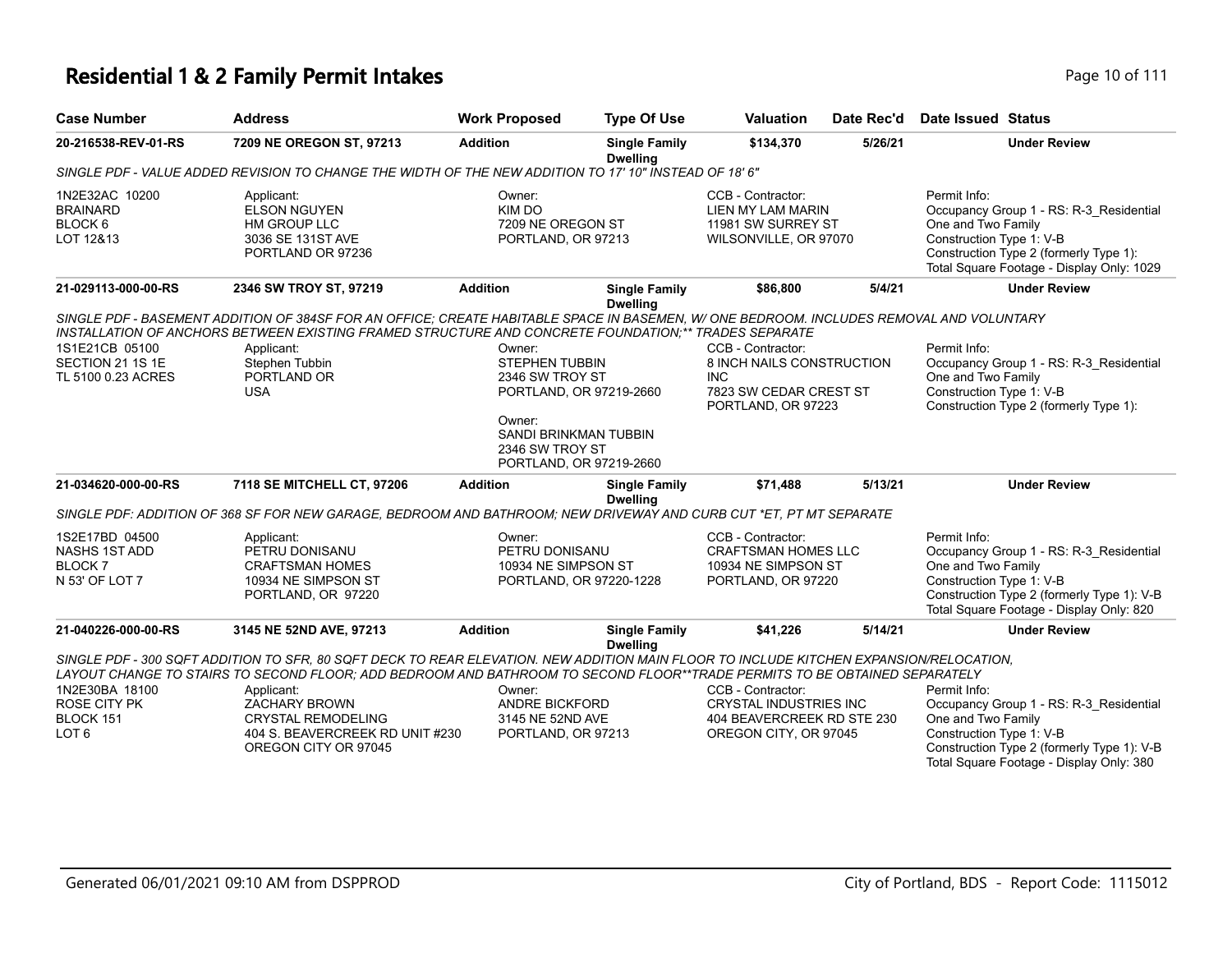### **Residential 1 & 2 Family Permit Intakes Page 10 of 111**

| <b>Case Number</b>                                                            | <b>Address</b>                                                                                                                                                                                                                                                        | <b>Work Proposed</b>                                                          | <b>Type Of Use</b>                      | <b>Valuation</b>                                                                                          | Date Rec'd | <b>Date Issued Status</b>                                                                                                                                                                           |
|-------------------------------------------------------------------------------|-----------------------------------------------------------------------------------------------------------------------------------------------------------------------------------------------------------------------------------------------------------------------|-------------------------------------------------------------------------------|-----------------------------------------|-----------------------------------------------------------------------------------------------------------|------------|-----------------------------------------------------------------------------------------------------------------------------------------------------------------------------------------------------|
| 20-216538-REV-01-RS                                                           | 7209 NE OREGON ST, 97213                                                                                                                                                                                                                                              | <b>Addition</b>                                                               | <b>Single Family</b><br><b>Dwelling</b> | \$134,370                                                                                                 | 5/26/21    | <b>Under Review</b>                                                                                                                                                                                 |
|                                                                               | SINGLE PDF - VALUE ADDED REVISION TO CHANGE THE WIDTH OF THE NEW ADDITION TO 17' 10" INSTEAD OF 18' 6"                                                                                                                                                                |                                                                               |                                         |                                                                                                           |            |                                                                                                                                                                                                     |
| 1N2E32AC 10200<br><b>BRAINARD</b><br>BLOCK 6<br>LOT 12&13                     | Applicant:<br><b>ELSON NGUYEN</b><br><b>HM GROUP LLC</b><br>3036 SE 131ST AVE<br>PORTLAND OR 97236                                                                                                                                                                    | Owner:<br>KIM DO<br>7209 NE OREGON ST<br>PORTLAND, OR 97213                   |                                         | CCB - Contractor:<br>LIEN MY LAM MARIN<br>11981 SW SURREY ST<br>WILSONVILLE, OR 97070                     |            | Permit Info:<br>Occupancy Group 1 - RS: R-3_Residential<br>One and Two Family<br>Construction Type 1: V-B<br>Construction Type 2 (formerly Type 1):<br>Total Square Footage - Display Only: 1029    |
| 21-029113-000-00-RS                                                           | 2346 SW TROY ST, 97219                                                                                                                                                                                                                                                | <b>Addition</b>                                                               | <b>Single Family</b><br><b>Dwelling</b> | \$86,800                                                                                                  | 5/4/21     | <b>Under Review</b>                                                                                                                                                                                 |
| 1S1E21CB 05100                                                                | SINGLE PDF - BASEMENT ADDITION OF 384SF FOR AN OFFICE; CREATE HABITABLE SPACE IN BASEMEN, W/ ONE BEDROOM. INCLUDES REMOVAL AND VOLUNTARY<br>INSTALLATION OF ANCHORS BETWEEN EXISTING FRAMED STRUCTURE AND CONCRETE FOUNDATION;** TRADES SEPARATE<br>Applicant:        | Owner:                                                                        |                                         | CCB - Contractor:                                                                                         |            | Permit Info:                                                                                                                                                                                        |
| SECTION 21 1S 1E<br>TL 5100 0.23 ACRES                                        | Stephen Tubbin<br>PORTLAND OR<br><b>USA</b>                                                                                                                                                                                                                           | <b>STEPHEN TUBBIN</b><br>2346 SW TROY ST<br>PORTLAND, OR 97219-2660<br>Owner: |                                         | 8 INCH NAILS CONSTRUCTION<br><b>INC</b><br>7823 SW CEDAR CREST ST<br>PORTLAND, OR 97223                   |            | Occupancy Group 1 - RS: R-3 Residential<br>One and Two Family<br>Construction Type 1: V-B<br>Construction Type 2 (formerly Type 1):                                                                 |
|                                                                               |                                                                                                                                                                                                                                                                       | SANDI BRINKMAN TUBBIN<br>2346 SW TROY ST<br>PORTLAND, OR 97219-2660           |                                         |                                                                                                           |            |                                                                                                                                                                                                     |
| 21-034620-000-00-RS                                                           | 7118 SE MITCHELL CT, 97206                                                                                                                                                                                                                                            | <b>Addition</b>                                                               | <b>Single Family</b><br><b>Dwelling</b> | \$71.488                                                                                                  | 5/13/21    | <b>Under Review</b>                                                                                                                                                                                 |
|                                                                               | SINGLE PDF: ADDITION OF 368 SF FOR NEW GARAGE, BEDROOM AND BATHROOM; NEW DRIVEWAY AND CURB CUT *ET, PT MT SEPARATE                                                                                                                                                    |                                                                               |                                         |                                                                                                           |            |                                                                                                                                                                                                     |
| 1S2E17BD 04500<br>NASHS 1ST ADD<br><b>BLOCK7</b><br>N 53' OF LOT 7            | Applicant:<br>PETRU DONISANU<br><b>CRAFTSMAN HOMES</b><br>10934 NE SIMPSON ST<br>PORTLAND, OR 97220                                                                                                                                                                   | Owner:<br>PETRU DONISANU<br>10934 NE SIMPSON ST<br>PORTLAND, OR 97220-1228    |                                         | CCB - Contractor:<br><b>CRAFTSMAN HOMES LLC</b><br>10934 NE SIMPSON ST<br>PORTLAND, OR 97220              |            | Permit Info:<br>Occupancy Group 1 - RS: R-3 Residential<br>One and Two Family<br>Construction Type 1: V-B<br>Construction Type 2 (formerly Type 1): V-B<br>Total Square Footage - Display Only: 820 |
| 21-040226-000-00-RS                                                           | 3145 NE 52ND AVE, 97213                                                                                                                                                                                                                                               | <b>Addition</b>                                                               | <b>Single Family</b><br><b>Dwelling</b> | \$41,226                                                                                                  | 5/14/21    | <b>Under Review</b>                                                                                                                                                                                 |
|                                                                               | SINGLE PDF - 300 SQFT ADDITION TO SFR, 80 SQFT DECK TO REAR ELEVATION. NEW ADDITION MAIN FLOOR TO INCLUDE KITCHEN EXPANSION/RELOCATION,<br>LAYOUT CHANGE TO STAIRS TO SECOND FLOOR; ADD BEDROOM AND BATHROOM TO SECOND FLOOR**TRADE PERMITS TO BE OBTAINED SEPARATELY |                                                                               |                                         |                                                                                                           |            |                                                                                                                                                                                                     |
| 1N2E30BA 18100<br><b>ROSE CITY PK</b><br><b>BLOCK 151</b><br>LOT <sub>6</sub> | Applicant:<br><b>ZACHARY BROWN</b><br><b>CRYSTAL REMODELING</b><br>404 S. BEAVERCREEK RD UNIT #230<br>OREGON CITY OR 97045                                                                                                                                            | Owner:<br><b>ANDRE BICKFORD</b><br>3145 NE 52ND AVE<br>PORTLAND, OR 97213     |                                         | CCB - Contractor:<br><b>CRYSTAL INDUSTRIES INC</b><br>404 BEAVERCREEK RD STE 230<br>OREGON CITY, OR 97045 |            | Permit Info:<br>Occupancy Group 1 - RS: R-3_Residential<br>One and Two Family<br>Construction Type 1: V-B<br>Construction Type 2 (formerly Type 1): V-B<br>Total Square Footage - Display Only: 380 |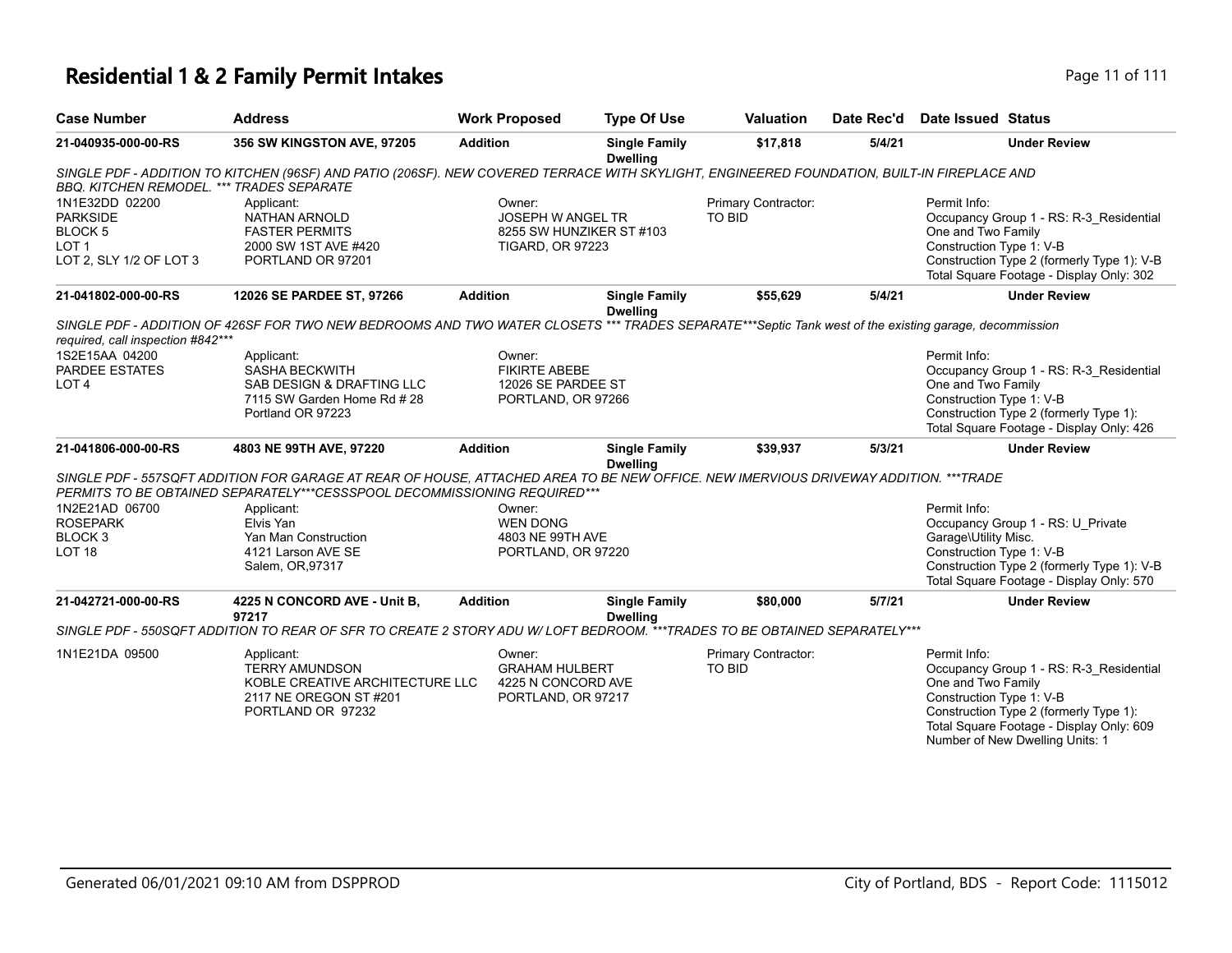# **Residential 1 & 2 Family Permit Intakes Page 11 of 111**

| <b>Case Number</b>                                                                                     | <b>Address</b>                                                                                                                                                                                                    | <b>Work Proposed</b>                                                                      | <b>Type Of Use</b>                      | <b>Valuation</b>                     | Date Rec'd | <b>Date Issued Status</b>                                                                                                                                                                                                          |
|--------------------------------------------------------------------------------------------------------|-------------------------------------------------------------------------------------------------------------------------------------------------------------------------------------------------------------------|-------------------------------------------------------------------------------------------|-----------------------------------------|--------------------------------------|------------|------------------------------------------------------------------------------------------------------------------------------------------------------------------------------------------------------------------------------------|
| 21-040935-000-00-RS                                                                                    | 356 SW KINGSTON AVE, 97205                                                                                                                                                                                        | <b>Addition</b>                                                                           | <b>Single Family</b><br><b>Dwelling</b> | \$17,818                             | 5/4/21     | <b>Under Review</b>                                                                                                                                                                                                                |
| <b>BBQ. KITCHEN REMODEL. *** TRADES SEPARATE</b>                                                       | SINGLE PDF - ADDITION TO KITCHEN (96SF) AND PATIO (206SF). NEW COVERED TERRACE WITH SKYLIGHT, ENGINEERED FOUNDATION, BUILT-IN FIREPLACE AND                                                                       |                                                                                           |                                         |                                      |            |                                                                                                                                                                                                                                    |
| 1N1E32DD 02200<br><b>PARKSIDE</b><br>BLOCK <sub>5</sub><br>LOT <sub>1</sub><br>LOT 2, SLY 1/2 OF LOT 3 | Applicant:<br><b>NATHAN ARNOLD</b><br><b>FASTER PERMITS</b><br>2000 SW 1ST AVE #420<br>PORTLAND OR 97201                                                                                                          | Owner:<br><b>JOSEPH W ANGEL TR</b><br>8255 SW HUNZIKER ST #103<br><b>TIGARD, OR 97223</b> |                                         | Primary Contractor:<br><b>TO BID</b> |            | Permit Info:<br>Occupancy Group 1 - RS: R-3 Residential<br>One and Two Family<br>Construction Type 1: V-B<br>Construction Type 2 (formerly Type 1): V-B<br>Total Square Footage - Display Only: 302                                |
| 21-041802-000-00-RS                                                                                    | 12026 SE PARDEE ST, 97266                                                                                                                                                                                         | <b>Addition</b>                                                                           | <b>Single Family</b><br><b>Dwelling</b> | \$55,629                             | 5/4/21     | <b>Under Review</b>                                                                                                                                                                                                                |
| required, call inspection #842***<br>1S2E15AA 04200<br>PARDEE ESTATES                                  | SINGLE PDF - ADDITION OF 426SF FOR TWO NEW BEDROOMS AND TWO WATER CLOSETS *** TRADES SEPARATE***Septic Tank west of the existing garage, decommission<br>Applicant:<br><b>SASHA BECKWITH</b>                      | Owner:<br><b>FIKIRTE ABEBE</b>                                                            |                                         |                                      |            | Permit Info:<br>Occupancy Group 1 - RS: R-3 Residential                                                                                                                                                                            |
| LOT <sub>4</sub>                                                                                       | SAB DESIGN & DRAFTING LLC<br>7115 SW Garden Home Rd # 28<br>Portland OR 97223                                                                                                                                     | 12026 SE PARDEE ST<br>PORTLAND, OR 97266                                                  |                                         |                                      |            | One and Two Family<br>Construction Type 1: V-B<br>Construction Type 2 (formerly Type 1):<br>Total Square Footage - Display Only: 426                                                                                               |
| 21-041806-000-00-RS                                                                                    | 4803 NE 99TH AVE, 97220                                                                                                                                                                                           | <b>Addition</b>                                                                           | <b>Single Family</b><br><b>Dwelling</b> | \$39,937                             | 5/3/21     | <b>Under Review</b>                                                                                                                                                                                                                |
|                                                                                                        | SINGLE PDF - 557SQFT ADDITION FOR GARAGE AT REAR OF HOUSE, ATTACHED AREA TO BE NEW OFFICE. NEW IMERVIOUS DRIVEWAY ADDITION. ***TRADE<br>PERMITS TO BE OBTAINED SEPARATELY***CESSSPOOL DECOMMISSIONING REQUIRED*** |                                                                                           |                                         |                                      |            |                                                                                                                                                                                                                                    |
| 1N2E21AD 06700<br><b>ROSEPARK</b><br>BLOCK <sub>3</sub><br>LOT <sub>18</sub>                           | Applicant:<br>Elvis Yan<br>Yan Man Construction<br>4121 Larson AVE SE<br>Salem, OR, 97317                                                                                                                         | Owner:<br><b>WEN DONG</b><br>4803 NE 99TH AVE<br>PORTLAND, OR 97220                       |                                         |                                      |            | Permit Info:<br>Occupancy Group 1 - RS: U Private<br>Garage\Utility Misc.<br>Construction Type 1: V-B<br>Construction Type 2 (formerly Type 1): V-B<br>Total Square Footage - Display Only: 570                                    |
| 21-042721-000-00-RS                                                                                    | 4225 N CONCORD AVE - Unit B,<br>97217                                                                                                                                                                             | <b>Addition</b>                                                                           | <b>Single Family</b><br><b>Dwelling</b> | \$80,000                             | 5/7/21     | <b>Under Review</b>                                                                                                                                                                                                                |
|                                                                                                        | SINGLE PDF - 550SQFT ADDITION TO REAR OF SFR TO CREATE 2 STORY ADU W/ LOFT BEDROOM. ***TRADES TO BE OBTAINED SEPARATELY***                                                                                        |                                                                                           |                                         |                                      |            |                                                                                                                                                                                                                                    |
| 1N1E21DA 09500                                                                                         | Applicant:<br><b>TERRY AMUNDSON</b><br>KOBLE CREATIVE ARCHITECTURE LLC<br>2117 NE OREGON ST #201<br>PORTLAND OR 97232                                                                                             | Owner:<br><b>GRAHAM HULBERT</b><br>4225 N CONCORD AVE<br>PORTLAND, OR 97217               |                                         | Primary Contractor:<br><b>TO BID</b> |            | Permit Info:<br>Occupancy Group 1 - RS: R-3_Residential<br>One and Two Family<br>Construction Type 1: V-B<br>Construction Type 2 (formerly Type 1):<br>Total Square Footage - Display Only: 609<br>Number of New Dwelling Units: 1 |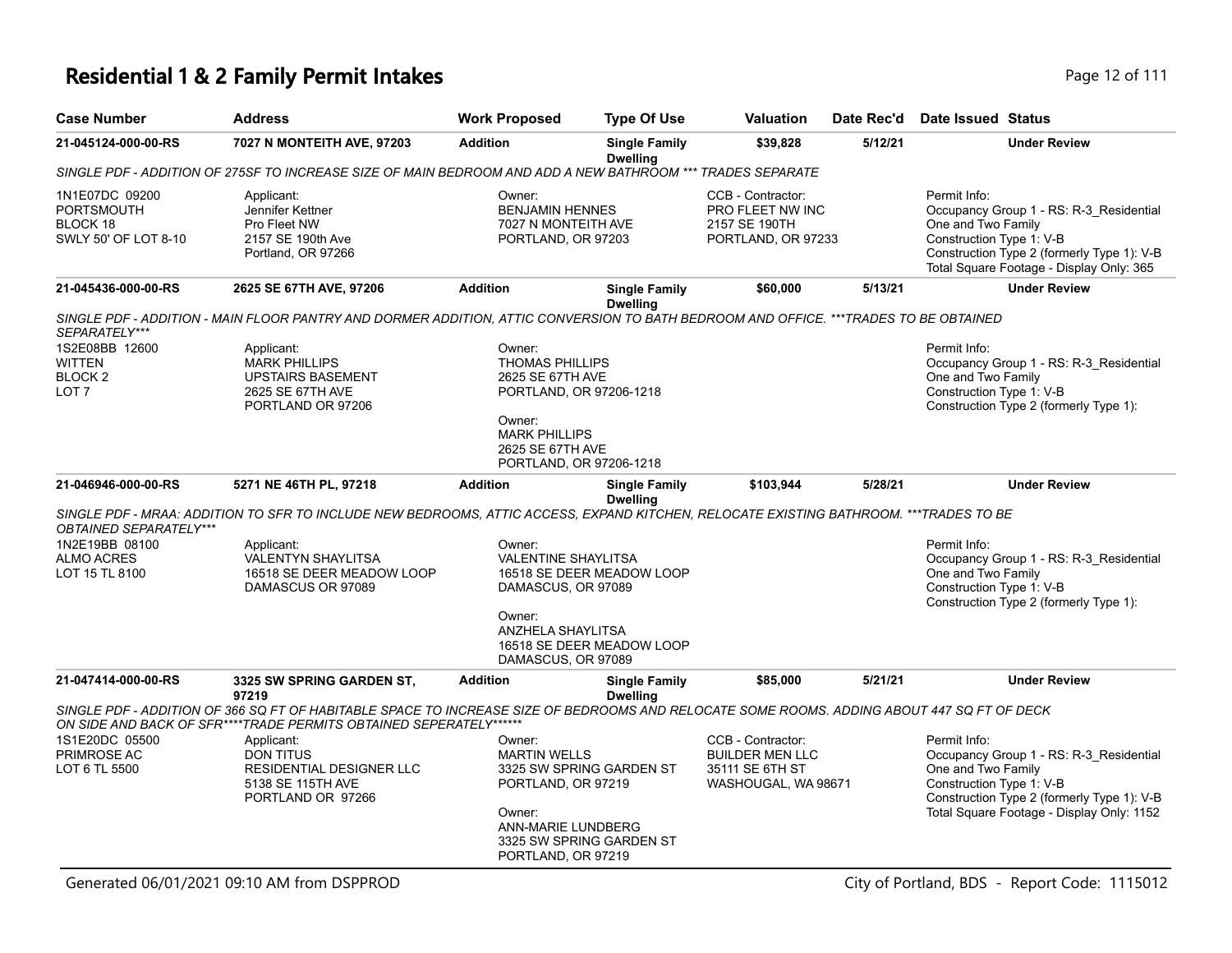# **Residential 1 & 2 Family Permit Intakes Page 12 of 111**

| <b>Case Number</b>                                                      | <b>Address</b>                                                                                                                                                                                                   | <b>Work Proposed</b>                                                          | <b>Type Of Use</b>                      | <b>Valuation</b>                                                             | Date Rec'd | Date Issued Status                                                                                                                                                                                  |
|-------------------------------------------------------------------------|------------------------------------------------------------------------------------------------------------------------------------------------------------------------------------------------------------------|-------------------------------------------------------------------------------|-----------------------------------------|------------------------------------------------------------------------------|------------|-----------------------------------------------------------------------------------------------------------------------------------------------------------------------------------------------------|
| 21-045124-000-00-RS                                                     | 7027 N MONTEITH AVE, 97203                                                                                                                                                                                       | <b>Addition</b>                                                               | <b>Single Family</b><br><b>Dwelling</b> | \$39,828                                                                     | 5/12/21    | <b>Under Review</b>                                                                                                                                                                                 |
|                                                                         | SINGLE PDF - ADDITION OF 275SF TO INCREASE SIZE OF MAIN BEDROOM AND ADD A NEW BATHROOM *** TRADES SEPARATE                                                                                                       |                                                                               |                                         |                                                                              |            |                                                                                                                                                                                                     |
| 1N1E07DC 09200<br><b>PORTSMOUTH</b><br>BLOCK 18<br>SWLY 50' OF LOT 8-10 | Applicant:<br>Jennifer Kettner<br>Pro Fleet NW<br>2157 SE 190th Ave<br>Portland, OR 97266                                                                                                                        | Owner:<br><b>BENJAMIN HENNES</b><br>7027 N MONTEITH AVE<br>PORTLAND, OR 97203 |                                         | CCB - Contractor:<br>PRO FLEET NW INC<br>2157 SE 190TH<br>PORTLAND, OR 97233 |            | Permit Info:<br>Occupancy Group 1 - RS: R-3 Residential<br>One and Two Family<br>Construction Type 1: V-B<br>Construction Type 2 (formerly Type 1): V-B<br>Total Square Footage - Display Only: 365 |
| 21-045436-000-00-RS                                                     | 2625 SE 67TH AVE, 97206                                                                                                                                                                                          | <b>Addition</b>                                                               | <b>Single Family</b><br><b>Dwelling</b> | \$60,000                                                                     | 5/13/21    | <b>Under Review</b>                                                                                                                                                                                 |
| SEPARATELY***                                                           | SINGLE PDF - ADDITION - MAIN FLOOR PANTRY AND DORMER ADDITION, ATTIC CONVERSION TO BATH BEDROOM AND OFFICE. ***TRADES TO BE OBTAINED                                                                             |                                                                               |                                         |                                                                              |            |                                                                                                                                                                                                     |
| 1S2E08BB 12600                                                          | Applicant:                                                                                                                                                                                                       | Owner:                                                                        |                                         |                                                                              |            | Permit Info:                                                                                                                                                                                        |
| <b>WITTEN</b>                                                           | <b>MARK PHILLIPS</b>                                                                                                                                                                                             | <b>THOMAS PHILLIPS</b>                                                        |                                         |                                                                              |            | Occupancy Group 1 - RS: R-3_Residential                                                                                                                                                             |
| <b>BLOCK2</b>                                                           | <b>UPSTAIRS BASEMENT</b>                                                                                                                                                                                         | 2625 SE 67TH AVE                                                              |                                         |                                                                              |            | One and Two Family                                                                                                                                                                                  |
| LOT <sub>7</sub>                                                        | 2625 SE 67TH AVE                                                                                                                                                                                                 | PORTLAND, OR 97206-1218                                                       |                                         |                                                                              |            | Construction Type 1: V-B                                                                                                                                                                            |
|                                                                         | PORTLAND OR 97206                                                                                                                                                                                                |                                                                               |                                         |                                                                              |            | Construction Type 2 (formerly Type 1):                                                                                                                                                              |
|                                                                         |                                                                                                                                                                                                                  | Owner:                                                                        |                                         |                                                                              |            |                                                                                                                                                                                                     |
|                                                                         |                                                                                                                                                                                                                  | <b>MARK PHILLIPS</b>                                                          |                                         |                                                                              |            |                                                                                                                                                                                                     |
|                                                                         |                                                                                                                                                                                                                  | 2625 SE 67TH AVE                                                              |                                         |                                                                              |            |                                                                                                                                                                                                     |
|                                                                         |                                                                                                                                                                                                                  | PORTLAND, OR 97206-1218                                                       |                                         |                                                                              |            |                                                                                                                                                                                                     |
| 21-046946-000-00-RS                                                     | 5271 NE 46TH PL, 97218                                                                                                                                                                                           | <b>Addition</b>                                                               | <b>Single Family</b><br><b>Dwelling</b> | \$103,944                                                                    | 5/28/21    | <b>Under Review</b>                                                                                                                                                                                 |
| OBTAINED SEPARATELY***                                                  | SINGLE PDF - MRAA: ADDITION TO SFR TO INCLUDE NEW BEDROOMS, ATTIC ACCESS, EXPAND KITCHEN, RELOCATE EXISTING BATHROOM. ***TRADES TO BE                                                                            |                                                                               |                                         |                                                                              |            |                                                                                                                                                                                                     |
| 1N2E19BB 08100                                                          | Applicant:                                                                                                                                                                                                       | Owner:                                                                        |                                         |                                                                              |            | Permit Info:                                                                                                                                                                                        |
| <b>ALMO ACRES</b>                                                       | VALENTYN SHAYLITSA                                                                                                                                                                                               | <b>VALENTINE SHAYLITSA</b>                                                    |                                         |                                                                              |            | Occupancy Group 1 - RS: R-3_Residential                                                                                                                                                             |
| LOT 15 TL 8100                                                          | 16518 SE DEER MEADOW LOOP                                                                                                                                                                                        |                                                                               | 16518 SE DEER MEADOW LOOP               |                                                                              |            | One and Two Family                                                                                                                                                                                  |
|                                                                         | DAMASCUS OR 97089                                                                                                                                                                                                | DAMASCUS, OR 97089                                                            |                                         |                                                                              |            | Construction Type 1: V-B<br>Construction Type 2 (formerly Type 1):                                                                                                                                  |
|                                                                         |                                                                                                                                                                                                                  | Owner:                                                                        |                                         |                                                                              |            |                                                                                                                                                                                                     |
|                                                                         |                                                                                                                                                                                                                  | <b>ANZHELA SHAYLITSA</b>                                                      |                                         |                                                                              |            |                                                                                                                                                                                                     |
|                                                                         |                                                                                                                                                                                                                  |                                                                               | 16518 SE DEER MEADOW LOOP               |                                                                              |            |                                                                                                                                                                                                     |
|                                                                         |                                                                                                                                                                                                                  | DAMASCUS, OR 97089                                                            |                                         |                                                                              |            |                                                                                                                                                                                                     |
| 21-047414-000-00-RS                                                     | 3325 SW SPRING GARDEN ST,<br>97219                                                                                                                                                                               | <b>Addition</b>                                                               | <b>Single Family</b><br><b>Dwelling</b> | \$85,000                                                                     | 5/21/21    | <b>Under Review</b>                                                                                                                                                                                 |
|                                                                         | SINGLE PDF - ADDITION OF 366 SQ FT OF HABITABLE SPACE TO INCREASE SIZE OF BEDROOMS AND RELOCATE SOME ROOMS. ADDING ABOUT 447 SQ FT OF DECK<br>ON SIDE AND BACK OF SFR****TRADE PERMITS OBTAINED SEPERATELY****** |                                                                               |                                         |                                                                              |            |                                                                                                                                                                                                     |
| 1S1E20DC 05500                                                          | Applicant:                                                                                                                                                                                                       | Owner:                                                                        |                                         | CCB - Contractor:                                                            |            | Permit Info:                                                                                                                                                                                        |
| PRIMROSE AC                                                             | <b>DON TITUS</b>                                                                                                                                                                                                 | <b>MARTIN WELLS</b>                                                           |                                         | <b>BUILDER MEN LLC</b>                                                       |            | Occupancy Group 1 - RS: R-3_Residential                                                                                                                                                             |
| LOT 6 TL 5500                                                           | RESIDENTIAL DESIGNER LLC                                                                                                                                                                                         |                                                                               | 3325 SW SPRING GARDEN ST                | 35111 SE 6TH ST                                                              |            | One and Two Family                                                                                                                                                                                  |
|                                                                         | 5138 SE 115TH AVE                                                                                                                                                                                                | PORTLAND, OR 97219                                                            |                                         | WASHOUGAL, WA 98671                                                          |            | Construction Type 1: V-B                                                                                                                                                                            |
|                                                                         | PORTLAND OR 97266                                                                                                                                                                                                |                                                                               |                                         |                                                                              |            | Construction Type 2 (formerly Type 1): V-B                                                                                                                                                          |
|                                                                         |                                                                                                                                                                                                                  | Owner:                                                                        |                                         |                                                                              |            | Total Square Footage - Display Only: 1152                                                                                                                                                           |
|                                                                         |                                                                                                                                                                                                                  | <b>ANN-MARIE LUNDBERG</b>                                                     |                                         |                                                                              |            |                                                                                                                                                                                                     |
|                                                                         |                                                                                                                                                                                                                  | PORTLAND, OR 97219                                                            | 3325 SW SPRING GARDEN ST                |                                                                              |            |                                                                                                                                                                                                     |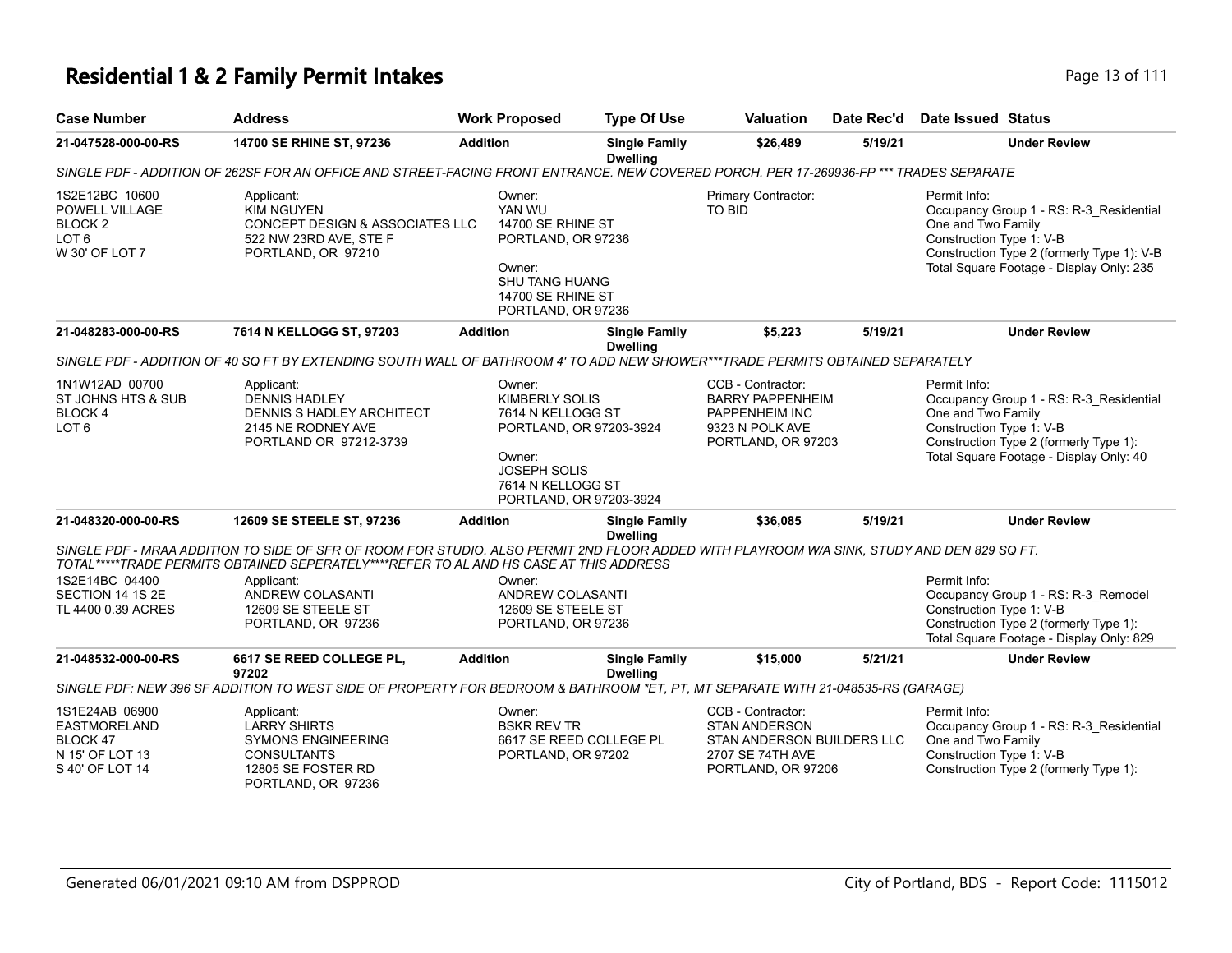# **Residential 1 & 2 Family Permit Intakes Page 13 of 111**

| <b>Case Number</b>                                                                           | <b>Address</b>                                                                                                                                                                                                                                                                                                            | <b>Work Proposed</b>                                                                                                                                             | <b>Type Of Use</b>                      | <b>Valuation</b>                                                                                                  | Date Rec'd | <b>Date Issued Status</b>                                                                                                                                                                           |
|----------------------------------------------------------------------------------------------|---------------------------------------------------------------------------------------------------------------------------------------------------------------------------------------------------------------------------------------------------------------------------------------------------------------------------|------------------------------------------------------------------------------------------------------------------------------------------------------------------|-----------------------------------------|-------------------------------------------------------------------------------------------------------------------|------------|-----------------------------------------------------------------------------------------------------------------------------------------------------------------------------------------------------|
| 21-047528-000-00-RS                                                                          | 14700 SE RHINE ST, 97236                                                                                                                                                                                                                                                                                                  | <b>Addition</b>                                                                                                                                                  | <b>Single Family</b><br><b>Dwelling</b> | \$26,489                                                                                                          | 5/19/21    | <b>Under Review</b>                                                                                                                                                                                 |
|                                                                                              | SINGLE PDF - ADDITION OF 262SF FOR AN OFFICE AND STREET-FACING FRONT ENTRANCE. NEW COVERED PORCH. PER 17-269936-FP *** TRADES SEPARATE                                                                                                                                                                                    |                                                                                                                                                                  |                                         |                                                                                                                   |            |                                                                                                                                                                                                     |
| 1S2E12BC 10600<br>POWELL VILLAGE<br>BLOCK <sub>2</sub><br>LOT <sub>6</sub><br>W 30' OF LOT 7 | Applicant:<br><b>KIM NGUYEN</b><br>CONCEPT DESIGN & ASSOCIATES LLC<br>522 NW 23RD AVE, STE F<br>PORTLAND, OR 97210                                                                                                                                                                                                        | Owner:<br>YAN WU<br>14700 SE RHINE ST<br>PORTLAND, OR 97236<br>Owner:<br><b>SHU TANG HUANG</b><br>14700 SE RHINE ST<br>PORTLAND, OR 97236                        |                                         | Primary Contractor:<br>TO BID                                                                                     |            | Permit Info:<br>Occupancy Group 1 - RS: R-3_Residential<br>One and Two Family<br>Construction Type 1: V-B<br>Construction Type 2 (formerly Type 1): V-B<br>Total Square Footage - Display Only: 235 |
| 21-048283-000-00-RS                                                                          | 7614 N KELLOGG ST, 97203                                                                                                                                                                                                                                                                                                  | <b>Addition</b>                                                                                                                                                  | <b>Single Family</b><br><b>Dwelling</b> | \$5,223                                                                                                           | 5/19/21    | <b>Under Review</b>                                                                                                                                                                                 |
|                                                                                              | SINGLE PDF - ADDITION OF 40 SQ FT BY EXTENDING SOUTH WALL OF BATHROOM 4' TO ADD NEW SHOWER***TRADE PERMITS OBTAINED SEPARATELY                                                                                                                                                                                            |                                                                                                                                                                  |                                         |                                                                                                                   |            |                                                                                                                                                                                                     |
| 1N1W12AD 00700<br>ST JOHNS HTS & SUB<br>BLOCK 4<br>LOT <sub>6</sub>                          | Applicant:<br><b>DENNIS HADLEY</b><br>DENNIS S HADLEY ARCHITECT<br>2145 NE RODNEY AVE<br>PORTLAND OR 97212-3739                                                                                                                                                                                                           | Owner:<br><b>KIMBERLY SOLIS</b><br>7614 N KELLOGG ST<br>PORTLAND, OR 97203-3924<br>Owner:<br><b>JOSEPH SOLIS</b><br>7614 N KELLOGG ST<br>PORTLAND, OR 97203-3924 |                                         | CCB - Contractor:<br><b>BARRY PAPPENHEIM</b><br>PAPPENHEIM INC<br>9323 N POLK AVE<br>PORTLAND, OR 97203           |            | Permit Info:<br>Occupancy Group 1 - RS: R-3_Residential<br>One and Two Family<br>Construction Type 1: V-B<br>Construction Type 2 (formerly Type 1):<br>Total Square Footage - Display Only: 40      |
| 21-048320-000-00-RS                                                                          | 12609 SE STEELE ST, 97236                                                                                                                                                                                                                                                                                                 | <b>Addition</b>                                                                                                                                                  | <b>Single Family</b>                    | \$36,085                                                                                                          | 5/19/21    | <b>Under Review</b>                                                                                                                                                                                 |
| 1S2E14BC 04400<br>SECTION 14 1S 2E<br>TL 4400 0.39 ACRES                                     | SINGLE PDF - MRAA ADDITION TO SIDE OF SFR OF ROOM FOR STUDIO. ALSO PERMIT 2ND FLOOR ADDED WITH PLAYROOM W/A SINK, STUDY AND DEN 829 SQ FT.<br>TOTAL*****TRADE PERMITS OBTAINED SEPERATELY****REFER TO AL AND HS CASE AT THIS ADDRESS<br>Applicant:<br><b>ANDREW COLASANTI</b><br>12609 SE STEELE ST<br>PORTLAND, OR 97236 | Owner:<br><b>ANDREW COLASANTI</b><br>12609 SE STEELE ST<br>PORTLAND, OR 97236                                                                                    | <b>Dwelling</b>                         |                                                                                                                   |            | Permit Info:<br>Occupancy Group 1 - RS: R-3_Remodel<br>Construction Type 1: V-B<br>Construction Type 2 (formerly Type 1):<br>Total Square Footage - Display Only: 829                               |
| 21-048532-000-00-RS                                                                          | 6617 SE REED COLLEGE PL,                                                                                                                                                                                                                                                                                                  | <b>Addition</b>                                                                                                                                                  | <b>Single Family</b>                    | \$15,000                                                                                                          | 5/21/21    | <b>Under Review</b>                                                                                                                                                                                 |
|                                                                                              | 97202<br>SINGLE PDF: NEW 396 SF ADDITION TO WEST SIDE OF PROPERTY FOR BEDROOM & BATHROOM *ET, PT, MT SEPARATE WITH 21-048535-RS (GARAGE)                                                                                                                                                                                  |                                                                                                                                                                  | <b>Dwelling</b>                         |                                                                                                                   |            |                                                                                                                                                                                                     |
| 1S1E24AB 06900<br><b>EASTMORELAND</b><br>BLOCK 47<br>N 15' OF LOT 13<br>S 40' OF LOT 14      | Applicant:<br><b>LARRY SHIRTS</b><br><b>SYMONS ENGINEERING</b><br><b>CONSULTANTS</b><br>12805 SE FOSTER RD<br>PORTLAND, OR 97236                                                                                                                                                                                          | Owner:<br><b>BSKR REV TR</b><br>6617 SE REED COLLEGE PL<br>PORTLAND, OR 97202                                                                                    |                                         | CCB - Contractor:<br><b>STAN ANDERSON</b><br>STAN ANDERSON BUILDERS LLC<br>2707 SE 74TH AVE<br>PORTLAND, OR 97206 |            | Permit Info:<br>Occupancy Group 1 - RS: R-3 Residential<br>One and Two Family<br>Construction Type 1: V-B<br>Construction Type 2 (formerly Type 1):                                                 |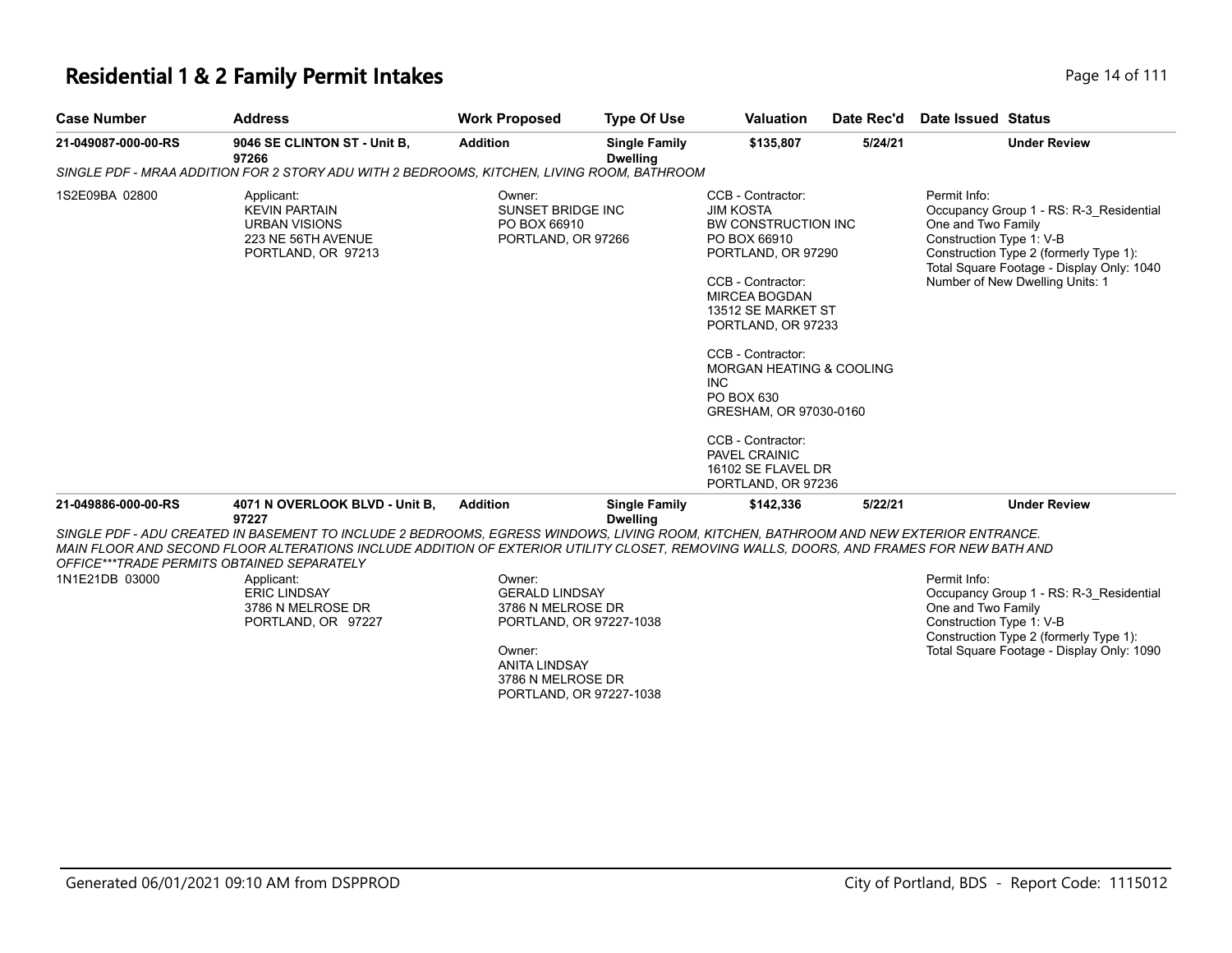### **Residential 1 & 2 Family Permit Intakes Page 14 of 111**

| <b>Case Number</b>                                           | <b>Address</b>                                                                                                                                                                                                                                                                                                                                                            | <b>Work Proposed</b>                                                                      | <b>Type Of Use</b>                      | <b>Valuation</b>                                                                                                                                                                                                                                                                                                                                                                                | Date Rec'd | Date Issued Status                                                                                                                                                                                                                  |  |
|--------------------------------------------------------------|---------------------------------------------------------------------------------------------------------------------------------------------------------------------------------------------------------------------------------------------------------------------------------------------------------------------------------------------------------------------------|-------------------------------------------------------------------------------------------|-----------------------------------------|-------------------------------------------------------------------------------------------------------------------------------------------------------------------------------------------------------------------------------------------------------------------------------------------------------------------------------------------------------------------------------------------------|------------|-------------------------------------------------------------------------------------------------------------------------------------------------------------------------------------------------------------------------------------|--|
| 21-049087-000-00-RS                                          | 9046 SE CLINTON ST - Unit B,<br>97266                                                                                                                                                                                                                                                                                                                                     | <b>Addition</b>                                                                           | <b>Single Family</b><br><b>Dwelling</b> | \$135,807                                                                                                                                                                                                                                                                                                                                                                                       | 5/24/21    | <b>Under Review</b>                                                                                                                                                                                                                 |  |
|                                                              | SINGLE PDF - MRAA ADDITION FOR 2 STORY ADU WITH 2 BEDROOMS, KITCHEN, LIVING ROOM, BATHROOM                                                                                                                                                                                                                                                                                |                                                                                           |                                         |                                                                                                                                                                                                                                                                                                                                                                                                 |            |                                                                                                                                                                                                                                     |  |
| 1S2E09BA 02800                                               | Applicant:<br><b>KEVIN PARTAIN</b><br><b>URBAN VISIONS</b><br>223 NE 56TH AVENUE<br>PORTLAND, OR 97213                                                                                                                                                                                                                                                                    | Owner:<br>SUNSET BRIDGE INC<br>PO BOX 66910<br>PORTLAND, OR 97266                         |                                         | CCB - Contractor:<br><b>JIM KOSTA</b><br>BW CONSTRUCTION INC<br>PO BOX 66910<br>PORTLAND, OR 97290<br>CCB - Contractor:<br><b>MIRCEA BOGDAN</b><br>13512 SE MARKET ST<br>PORTLAND, OR 97233<br>CCB - Contractor:<br><b>MORGAN HEATING &amp; COOLING</b><br><b>INC</b><br>PO BOX 630<br>GRESHAM, OR 97030-0160<br>CCB - Contractor:<br>PAVEL CRAINIC<br>16102 SE FLAVEL DR<br>PORTLAND, OR 97236 |            | Permit Info:<br>Occupancy Group 1 - RS: R-3 Residential<br>One and Two Family<br>Construction Type 1: V-B<br>Construction Type 2 (formerly Type 1):<br>Total Square Footage - Display Only: 1040<br>Number of New Dwelling Units: 1 |  |
| 21-049886-000-00-RS                                          | 4071 N OVERLOOK BLVD - Unit B,                                                                                                                                                                                                                                                                                                                                            | <b>Addition</b>                                                                           | <b>Single Family</b>                    | \$142,336                                                                                                                                                                                                                                                                                                                                                                                       | 5/22/21    | <b>Under Review</b>                                                                                                                                                                                                                 |  |
| OFFICE***TRADE PERMITS OBTAINED SEPARATELY<br>1N1E21DB 03000 | 97227<br>SINGLE PDF - ADU CREATED IN BASEMENT TO INCLUDE 2 BEDROOMS. EGRESS WINDOWS. LIVING ROOM. KITCHEN. BATHROOM AND NEW EXTERIOR ENTRANCE.<br>MAIN FLOOR AND SECOND FLOOR ALTERATIONS INCLUDE ADDITION OF EXTERIOR UTILITY CLOSET. REMOVING WALLS, DOORS, AND FRAMES FOR NEW BATH AND<br>Applicant:<br><b>ERIC LINDSAY</b><br>3786 N MELROSE DR<br>PORTLAND, OR 97227 | Owner:<br><b>GERALD LINDSAY</b><br>3786 N MELROSE DR<br>PORTLAND, OR 97227-1038<br>Owner: | <b>Dwelling</b>                         |                                                                                                                                                                                                                                                                                                                                                                                                 |            | Permit Info:<br>Occupancy Group 1 - RS: R-3 Residential<br>One and Two Family<br>Construction Type 1: V-B<br>Construction Type 2 (formerly Type 1):<br>Total Square Footage - Display Only: 1090                                    |  |
|                                                              |                                                                                                                                                                                                                                                                                                                                                                           | <b>ANITA LINDSAY</b>                                                                      |                                         |                                                                                                                                                                                                                                                                                                                                                                                                 |            |                                                                                                                                                                                                                                     |  |

3786 N MELROSE DR PORTLAND, OR 97227-1038

 $\sim$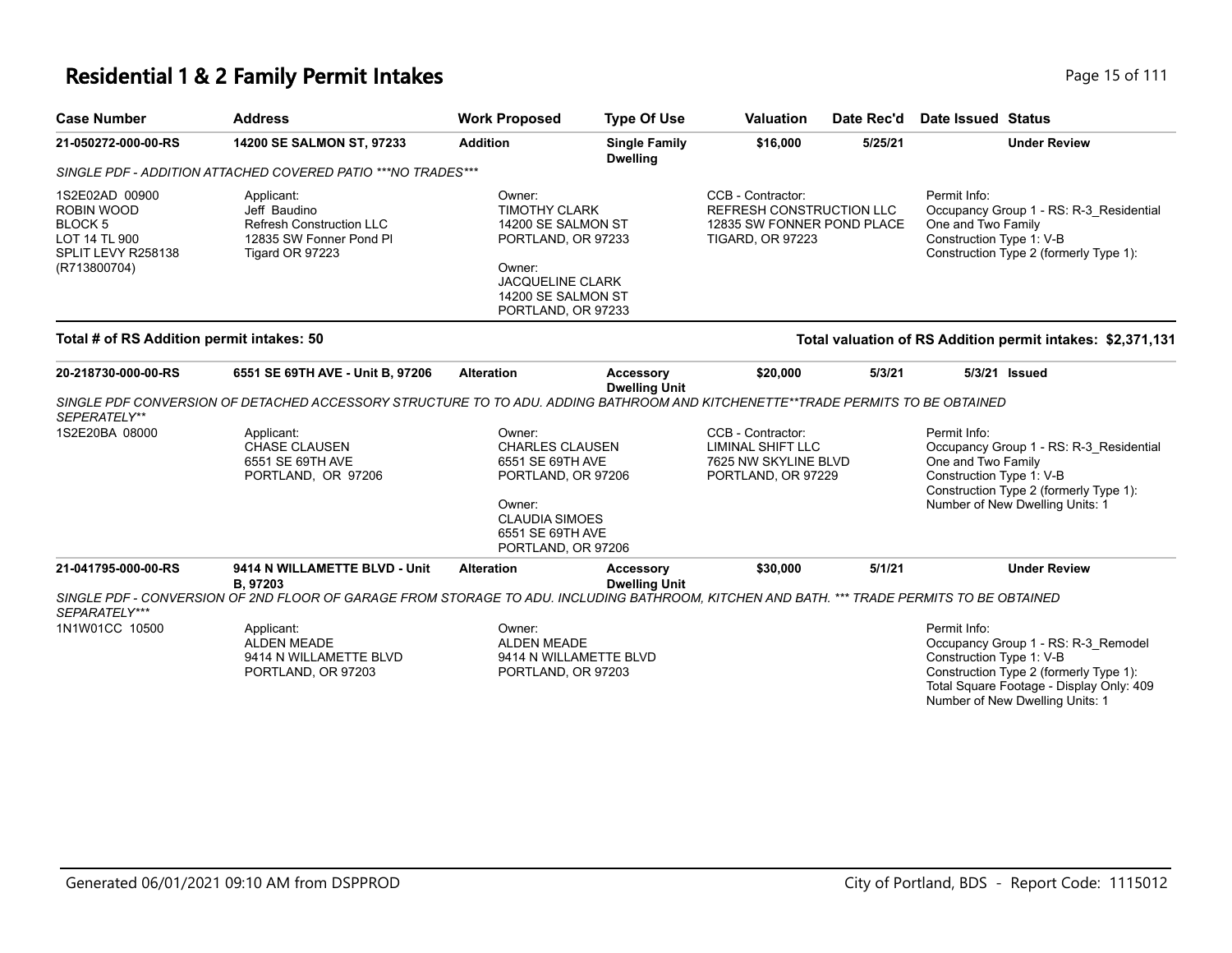# **Residential 1 & 2 Family Permit Intakes Page 15 of 111**

| <b>Case Number</b>                                                                                   | <b>Address</b>                                                                                                                             | <b>Work Proposed</b>                                                                                                                                        | <b>Type Of Use</b>                       | <b>Valuation</b>                                                                                              | Date Rec'd | Date Issued Status                                                                                                                                                                                       |
|------------------------------------------------------------------------------------------------------|--------------------------------------------------------------------------------------------------------------------------------------------|-------------------------------------------------------------------------------------------------------------------------------------------------------------|------------------------------------------|---------------------------------------------------------------------------------------------------------------|------------|----------------------------------------------------------------------------------------------------------------------------------------------------------------------------------------------------------|
| 21-050272-000-00-RS                                                                                  | 14200 SE SALMON ST, 97233                                                                                                                  | <b>Addition</b>                                                                                                                                             | <b>Single Family</b><br><b>Dwelling</b>  | \$16,000                                                                                                      | 5/25/21    | <b>Under Review</b>                                                                                                                                                                                      |
|                                                                                                      | SINGLE PDF - ADDITION ATTACHED COVERED PATIO ***NO TRADES***                                                                               |                                                                                                                                                             |                                          |                                                                                                               |            |                                                                                                                                                                                                          |
| 1S2E02AD 00900<br>ROBIN WOOD<br><b>BLOCK5</b><br>LOT 14 TL 900<br>SPLIT LEVY R258138<br>(R713800704) | Applicant:<br>Jeff Baudino<br><b>Refresh Construction LLC</b><br>12835 SW Fonner Pond PI<br>Tigard OR 97223                                | Owner:<br><b>TIMOTHY CLARK</b><br>14200 SE SALMON ST<br>PORTLAND, OR 97233<br>Owner:<br><b>JACQUELINE CLARK</b><br>14200 SE SALMON ST<br>PORTLAND, OR 97233 |                                          | CCB - Contractor:<br><b>REFRESH CONSTRUCTION LLC</b><br>12835 SW FONNER POND PLACE<br><b>TIGARD, OR 97223</b> |            | Permit Info:<br>Occupancy Group 1 - RS: R-3_Residential<br>One and Two Family<br>Construction Type 1: V-B<br>Construction Type 2 (formerly Type 1):                                                      |
| Total # of RS Addition permit intakes: 50                                                            |                                                                                                                                            |                                                                                                                                                             |                                          |                                                                                                               |            | Total valuation of RS Addition permit intakes: \$2,371,131                                                                                                                                               |
| 20-218730-000-00-RS                                                                                  | 6551 SE 69TH AVE - Unit B, 97206                                                                                                           | <b>Alteration</b>                                                                                                                                           | <b>Accessory</b><br><b>Dwelling Unit</b> | \$20,000                                                                                                      | 5/3/21     | 5/3/21 Issued                                                                                                                                                                                            |
| SEPERATELY**                                                                                         | SINGLE PDF CONVERSION OF DETACHED ACCESSORY STRUCTURE TO TO ADU. ADDING BATHROOM AND KITCHENETTE**TRADE PERMITS TO BE OBTAINED             |                                                                                                                                                             |                                          |                                                                                                               |            |                                                                                                                                                                                                          |
| 1S2E20BA 08000                                                                                       | Applicant:<br><b>CHASE CLAUSEN</b><br>6551 SE 69TH AVE<br>PORTLAND, OR 97206                                                               | Owner:<br><b>CHARLES CLAUSEN</b><br>6551 SE 69TH AVE<br>PORTLAND, OR 97206<br>Owner:<br><b>CLAUDIA SIMOES</b><br>6551 SE 69TH AVE<br>PORTLAND, OR 97206     |                                          | CCB - Contractor:<br>LIMINAL SHIFT LLC<br>7625 NW SKYLINE BLVD<br>PORTLAND, OR 97229                          |            | Permit Info:<br>Occupancy Group 1 - RS: R-3 Residential<br>One and Two Family<br>Construction Type 1: V-B<br>Construction Type 2 (formerly Type 1):<br>Number of New Dwelling Units: 1                   |
| 21-041795-000-00-RS                                                                                  | 9414 N WILLAMETTE BLVD - Unit<br>B, 97203                                                                                                  | <b>Alteration</b>                                                                                                                                           | <b>Accessory</b><br><b>Dwelling Unit</b> | \$30,000                                                                                                      | 5/1/21     | <b>Under Review</b>                                                                                                                                                                                      |
| SEPARATELY***                                                                                        | SINGLE PDF - CONVERSION OF 2ND FLOOR OF GARAGE FROM STORAGE TO ADU. INCLUDING BATHROOM, KITCHEN AND BATH. *** TRADE PERMITS TO BE OBTAINED |                                                                                                                                                             |                                          |                                                                                                               |            |                                                                                                                                                                                                          |
| 1N1W01CC 10500                                                                                       | Applicant:<br><b>ALDEN MEADE</b><br>9414 N WILLAMETTE BLVD<br>PORTLAND, OR 97203                                                           | Owner:<br><b>ALDEN MEADE</b><br>9414 N WILLAMETTE BLVD<br>PORTLAND, OR 97203                                                                                |                                          |                                                                                                               |            | Permit Info:<br>Occupancy Group 1 - RS: R-3_Remodel<br>Construction Type 1: V-B<br>Construction Type 2 (formerly Type 1):<br>Total Square Footage - Display Only: 409<br>Number of New Dwelling Units: 1 |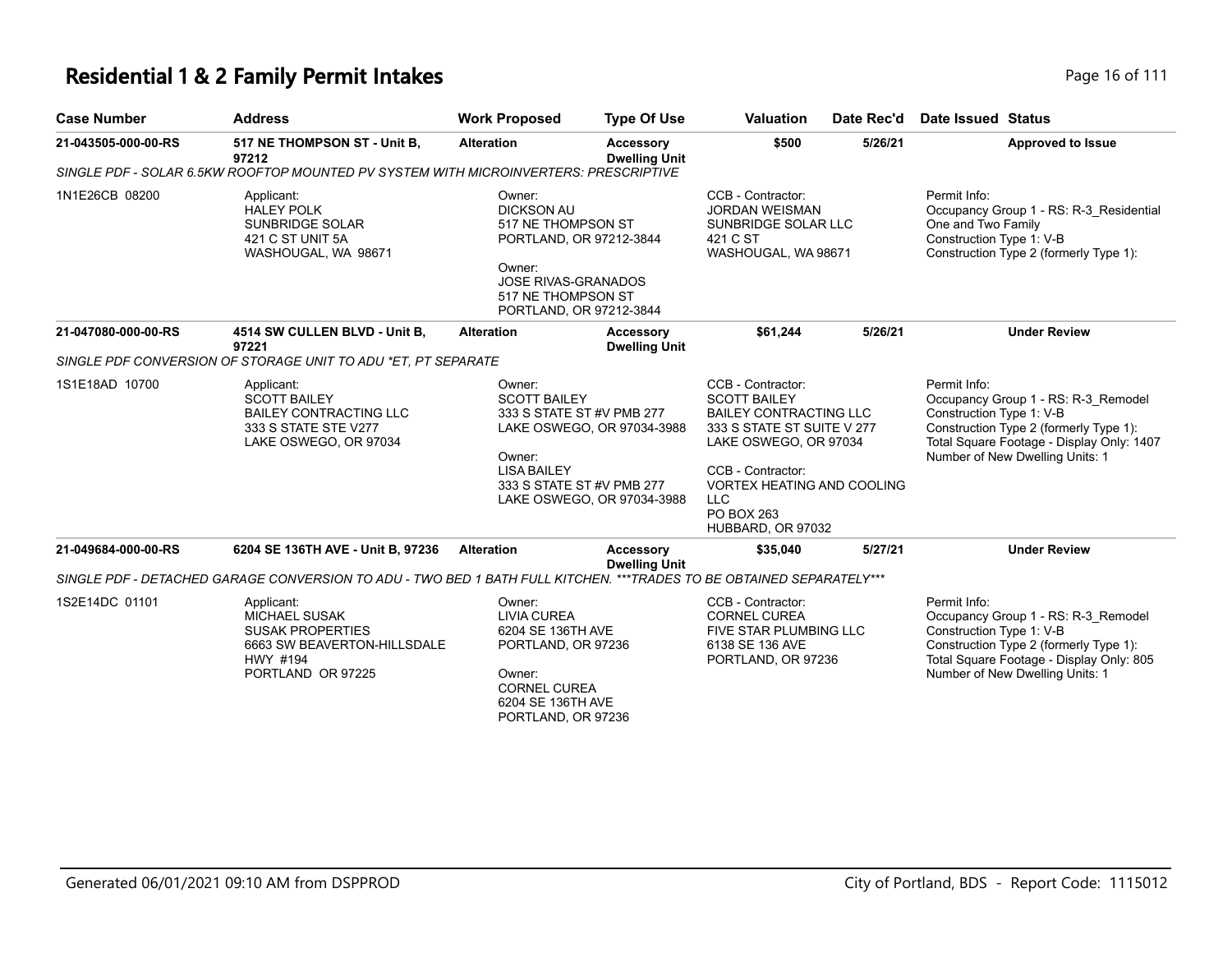#### **Residential 1 & 2 Family Permit Intakes Page 16 of 111**

| <b>Case Number</b>  | <b>Address</b>                                                                                                      | <b>Work Proposed</b>                                                                                                                                                  | <b>Type Of Use</b>                                                                    | <b>Valuation</b>                                                                                                                                                                                                              | Date Rec'd | Date Issued Status                                                                                                                                                                                        |
|---------------------|---------------------------------------------------------------------------------------------------------------------|-----------------------------------------------------------------------------------------------------------------------------------------------------------------------|---------------------------------------------------------------------------------------|-------------------------------------------------------------------------------------------------------------------------------------------------------------------------------------------------------------------------------|------------|-----------------------------------------------------------------------------------------------------------------------------------------------------------------------------------------------------------|
| 21-043505-000-00-RS | 517 NE THOMPSON ST - Unit B,<br>97212                                                                               | <b>Alteration</b>                                                                                                                                                     | <b>Accessory</b><br><b>Dwelling Unit</b>                                              | \$500                                                                                                                                                                                                                         | 5/26/21    | <b>Approved to Issue</b>                                                                                                                                                                                  |
|                     | SINGLE PDF - SOLAR 6.5KW ROOFTOP MOUNTED PV SYSTEM WITH MICROINVERTERS: PRESCRIPTIVE                                |                                                                                                                                                                       |                                                                                       |                                                                                                                                                                                                                               |            |                                                                                                                                                                                                           |
| 1N1E26CB 08200      | Applicant:<br><b>HALEY POLK</b><br><b>SUNBRIDGE SOLAR</b><br>421 C ST UNIT 5A<br>WASHOUGAL, WA 98671                | Owner:<br><b>DICKSON AU</b><br>517 NE THOMPSON ST<br>PORTLAND, OR 97212-3844<br>Owner:<br><b>JOSE RIVAS-GRANADOS</b><br>517 NE THOMPSON ST<br>PORTLAND, OR 97212-3844 |                                                                                       | CCB - Contractor:<br><b>JORDAN WEISMAN</b><br>SUNBRIDGE SOLAR LLC<br>421 C ST<br>WASHOUGAL, WA 98671                                                                                                                          |            | Permit Info:<br>Occupancy Group 1 - RS: R-3 Residential<br>One and Two Family<br>Construction Type 1: V-B<br>Construction Type 2 (formerly Type 1):                                                       |
| 21-047080-000-00-RS | 4514 SW CULLEN BLVD - Unit B.<br>97221                                                                              | <b>Alteration</b>                                                                                                                                                     | <b>Accessory</b><br><b>Dwelling Unit</b>                                              | \$61,244                                                                                                                                                                                                                      | 5/26/21    | <b>Under Review</b>                                                                                                                                                                                       |
|                     | SINGLE PDF CONVERSION OF STORAGE UNIT TO ADU *ET. PT SEPARATE                                                       |                                                                                                                                                                       |                                                                                       |                                                                                                                                                                                                                               |            |                                                                                                                                                                                                           |
| 1S1E18AD 10700      | Applicant:<br><b>SCOTT BAILEY</b><br><b>BAILEY CONTRACTING LLC</b><br>333 S STATE STE V277<br>LAKE OSWEGO, OR 97034 | Owner:<br><b>SCOTT BAILEY</b><br>Owner:<br><b>LISA BAILEY</b><br>333 S STATE ST #V PMB 277                                                                            | 333 S STATE ST #V PMB 277<br>LAKE OSWEGO, OR 97034-3988<br>LAKE OSWEGO, OR 97034-3988 | CCB - Contractor:<br><b>SCOTT BAILEY</b><br><b>BAILEY CONTRACTING LLC</b><br>333 S STATE ST SUITE V 277<br>LAKE OSWEGO, OR 97034<br>CCB - Contractor:<br><b>VORTEX HEATING AND COOLING</b><br><b>LLC</b><br><b>PO BOX 263</b> |            | Permit Info:<br>Occupancy Group 1 - RS: R-3 Remodel<br>Construction Type 1: V-B<br>Construction Type 2 (formerly Type 1):<br>Total Square Footage - Display Only: 1407<br>Number of New Dwelling Units: 1 |

HUBBARD, OR 97032

**21-049684-000-00-RS 6204 SE 136TH AVE - Unit B, 97236 Alteration Accessory Dwelling Unit \$35,040 5/27/21 Under Review** *SINGLE PDF - DETACHED GARAGE CONVERSION TO ADU - TWO BED 1 BATH FULL KITCHEN. \*\*\*TRADES TO BE OBTAINED SEPARATELY\*\*\** Permit Info: Occupancy Group 1 - RS: R-3\_Remodel Construction Type 1: V-B Construction Type 2 (formerly Type 1): Total Square Footage - Display Only: 805 CCB - Contractor: CORNEL CUREA FIVE STAR PLUMBING LLC 6138 SE 136 AVE Owner: LIVIA CUREA 6204 SE 136TH AVE PORTLAND, OR 97236 Applicant: MICHAEL SUSAK SUSAK PROPERTIES 6663 SW BEAVERTON-HILLSDALE 1S2E14DC 01101

PORTLAND, OR 97236 Owner: CORNEL CUREA 6204 SE 136TH AVE PORTLAND, OR 97236 HWY #194 PORTLAND OR 97225

Number of New Dwelling Units: 1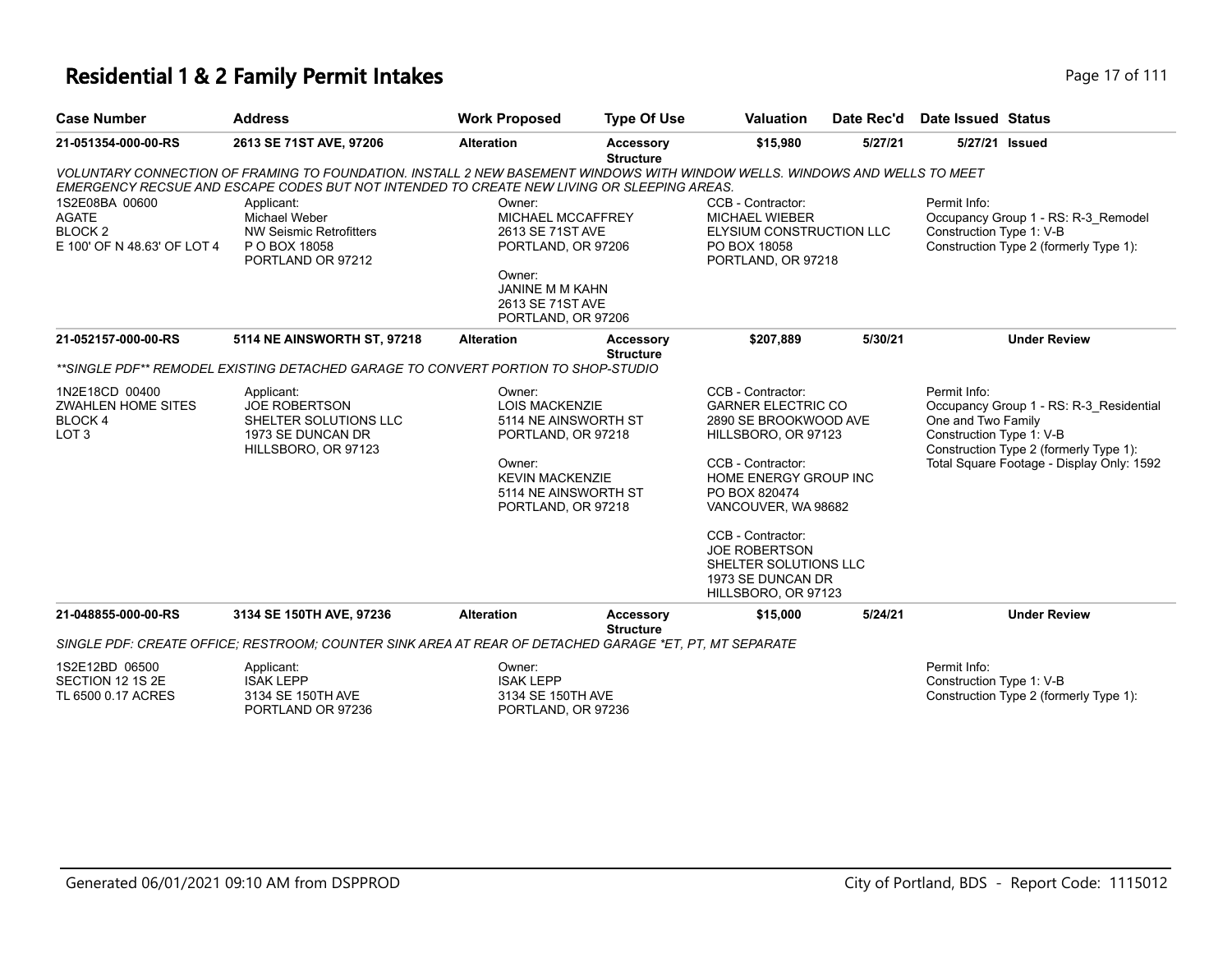### **Residential 1 & 2 Family Permit Intakes Page 17 of 111**

| <b>Case Number</b>                                                                  | <b>Address</b>                                                                                                                                                                                                           | <b>Work Proposed</b>                                                                                                                         | <b>Type Of Use</b>                   | <b>Valuation</b>                                                                                             | Date Rec'd                                                                                              | <b>Date Issued Status</b>                                                                                                                           |                                                                               |  |
|-------------------------------------------------------------------------------------|--------------------------------------------------------------------------------------------------------------------------------------------------------------------------------------------------------------------------|----------------------------------------------------------------------------------------------------------------------------------------------|--------------------------------------|--------------------------------------------------------------------------------------------------------------|---------------------------------------------------------------------------------------------------------|-----------------------------------------------------------------------------------------------------------------------------------------------------|-------------------------------------------------------------------------------|--|
| 21-051354-000-00-RS                                                                 | 2613 SE 71ST AVE, 97206                                                                                                                                                                                                  | <b>Alteration</b>                                                                                                                            | <b>Accessory</b><br><b>Structure</b> | \$15,980                                                                                                     | 5/27/21                                                                                                 | 5/27/21 Issued                                                                                                                                      |                                                                               |  |
|                                                                                     | VOLUNTARY CONNECTION OF FRAMING TO FOUNDATION. INSTALL 2 NEW BASEMENT WINDOWS WITH WINDOW WELLS. WINDOWS AND WELLS TO MEET<br>EMERGENCY RECSUE AND ESCAPE CODES BUT NOT INTENDED TO CREATE NEW LIVING OR SLEEPING AREAS. |                                                                                                                                              |                                      |                                                                                                              |                                                                                                         |                                                                                                                                                     |                                                                               |  |
| 1S2E08BA 00600<br><b>AGATE</b><br>BLOCK <sub>2</sub><br>E 100' OF N 48.63' OF LOT 4 | Applicant:<br>Michael Weber<br><b>NW Seismic Retrofitters</b><br>P O BOX 18058<br>PORTLAND OR 97212                                                                                                                      | Owner:<br>MICHAEL MCCAFFREY<br>2613 SE 71ST AVE<br>PORTLAND, OR 97206<br>Owner:<br>JANINE M M KAHN<br>2613 SE 71ST AVE<br>PORTLAND, OR 97206 |                                      | CCB - Contractor:<br><b>MICHAEL WIEBER</b><br>ELYSIUM CONSTRUCTION LLC<br>PO BOX 18058<br>PORTLAND, OR 97218 |                                                                                                         | Permit Info:<br>Construction Type 1: V-B                                                                                                            | Occupancy Group 1 - RS: R-3_Remodel<br>Construction Type 2 (formerly Type 1): |  |
| 21-052157-000-00-RS                                                                 | 5114 NE AINSWORTH ST, 97218                                                                                                                                                                                              | <b>Alteration</b>                                                                                                                            | <b>Accessory</b><br><b>Structure</b> | \$207,889                                                                                                    | 5/30/21                                                                                                 |                                                                                                                                                     | <b>Under Review</b>                                                           |  |
|                                                                                     | **SINGLE PDF** REMODEL EXISTING DETACHED GARAGE TO CONVERT PORTION TO SHOP-STUDIO                                                                                                                                        |                                                                                                                                              |                                      |                                                                                                              |                                                                                                         |                                                                                                                                                     |                                                                               |  |
| 1N2E18CD 00400<br>ZWAHLEN HOME SITES<br>BLOCK 4<br>LOT <sub>3</sub>                 | Applicant:<br>Owner:<br><b>JOE ROBERTSON</b><br><b>LOIS MACKENZIE</b><br>SHELTER SOLUTIONS LLC<br>5114 NE AINSWORTH ST<br>1973 SE DUNCAN DR<br>PORTLAND, OR 97218<br>HILLSBORO, OR 97123                                 |                                                                                                                                              |                                      | CCB - Contractor:<br><b>GARNER ELECTRIC CO</b><br>2890 SE BROOKWOOD AVE<br>HILLSBORO, OR 97123               |                                                                                                         | Permit Info:<br>Occupancy Group 1 - RS: R-3_Residential<br>One and Two Family<br>Construction Type 1: V-B<br>Construction Type 2 (formerly Type 1): |                                                                               |  |
|                                                                                     |                                                                                                                                                                                                                          | Owner:<br><b>KEVIN MACKENZIE</b><br>5114 NE AINSWORTH ST<br>PORTLAND, OR 97218                                                               |                                      | CCB - Contractor:<br>HOME ENERGY GROUP INC<br>PO BOX 820474<br>VANCOUVER, WA 98682                           |                                                                                                         |                                                                                                                                                     | Total Square Footage - Display Only: 1592                                     |  |
|                                                                                     |                                                                                                                                                                                                                          |                                                                                                                                              |                                      |                                                                                                              | CCB - Contractor:<br>JOE ROBERTSON<br>SHELTER SOLUTIONS LLC<br>1973 SE DUNCAN DR<br>HILLSBORO, OR 97123 |                                                                                                                                                     |                                                                               |  |
| 21-048855-000-00-RS                                                                 | 3134 SE 150TH AVE, 97236                                                                                                                                                                                                 | <b>Alteration</b>                                                                                                                            | <b>Accessory</b><br><b>Structure</b> | \$15,000                                                                                                     | 5/24/21                                                                                                 |                                                                                                                                                     | <b>Under Review</b>                                                           |  |
|                                                                                     | SINGLE PDF: CREATE OFFICE: RESTROOM: COUNTER SINK AREA AT REAR OF DETACHED GARAGE *ET. PT. MT SEPARATE                                                                                                                   |                                                                                                                                              |                                      |                                                                                                              |                                                                                                         |                                                                                                                                                     |                                                                               |  |
| 1S2E12BD 06500<br>SECTION 12 1S 2E<br>TL 6500 0.17 ACRES                            | Applicant:<br><b>ISAK LEPP</b><br>3134 SE 150TH AVE                                                                                                                                                                      | Owner:<br><b>ISAK LEPP</b><br>3134 SE 150TH AVE                                                                                              |                                      |                                                                                                              |                                                                                                         | Permit Info:<br>Construction Type 1: V-B                                                                                                            | Construction Type 2 (formerly Type 1):                                        |  |

PORTLAND, OR 97236

PORTLAND OR 97236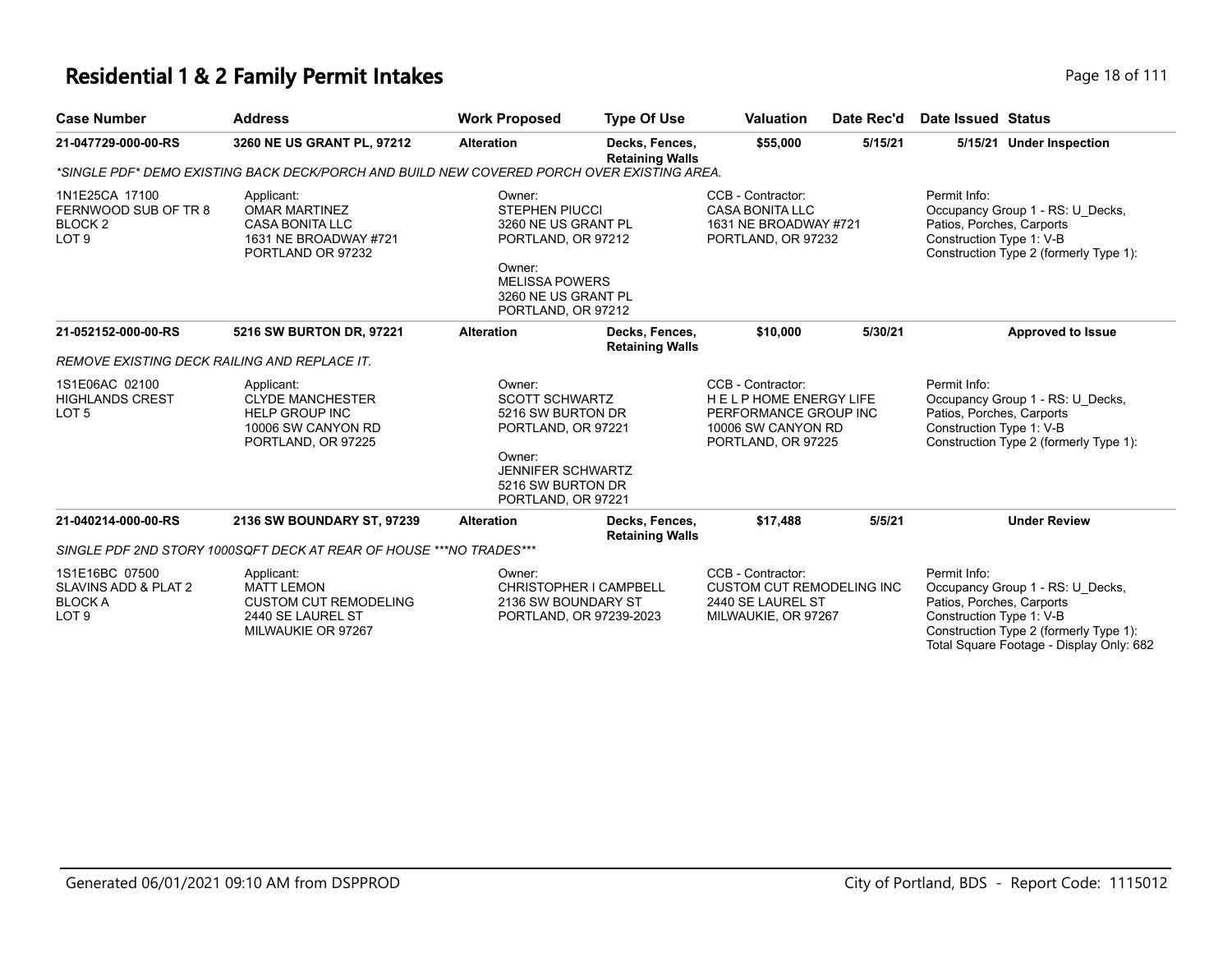# **Residential 1 & 2 Family Permit Intakes**

| Page 18 of 111 |  |  |
|----------------|--|--|
|                |  |  |

| <b>Case Number</b>                                                               | <b>Address</b>                                                                                             | <b>Work Proposed</b>                                                                                                                                         | <b>Type Of Use</b>                       | <b>Valuation</b>                                                                                               | Date Rec'd | <b>Date Issued Status</b>                                                                                                                                                                       |
|----------------------------------------------------------------------------------|------------------------------------------------------------------------------------------------------------|--------------------------------------------------------------------------------------------------------------------------------------------------------------|------------------------------------------|----------------------------------------------------------------------------------------------------------------|------------|-------------------------------------------------------------------------------------------------------------------------------------------------------------------------------------------------|
| 21-047729-000-00-RS                                                              | 3260 NE US GRANT PL, 97212                                                                                 | <b>Alteration</b>                                                                                                                                            | Decks, Fences,<br><b>Retaining Walls</b> | \$55,000                                                                                                       | 5/15/21    | 5/15/21 Under Inspection                                                                                                                                                                        |
|                                                                                  | *SINGLE PDF* DEMO EXISTING BACK DECK/PORCH AND BUILD NEW COVERED PORCH OVER EXISTING AREA.                 |                                                                                                                                                              |                                          |                                                                                                                |            |                                                                                                                                                                                                 |
| 1N1E25CA 17100<br>FERNWOOD SUB OF TR 8<br>BLOCK <sub>2</sub><br>LOT <sub>9</sub> | Applicant:<br><b>OMAR MARTINEZ</b><br><b>CASA BONITA LLC</b><br>1631 NE BROADWAY #721<br>PORTLAND OR 97232 | Owner:<br><b>STEPHEN PIUCCI</b><br>3260 NE US GRANT PL<br>PORTLAND, OR 97212<br>Owner:<br><b>MELISSA POWERS</b><br>3260 NE US GRANT PL<br>PORTLAND, OR 97212 |                                          | CCB - Contractor:<br><b>CASA BONITA LLC</b><br>1631 NE BROADWAY #721<br>PORTLAND, OR 97232                     |            | Permit Info:<br>Occupancy Group 1 - RS: U Decks,<br>Patios, Porches, Carports<br>Construction Type 1: V-B<br>Construction Type 2 (formerly Type 1):                                             |
| 21-052152-000-00-RS                                                              | 5216 SW BURTON DR, 97221                                                                                   | <b>Alteration</b>                                                                                                                                            | Decks, Fences,<br><b>Retaining Walls</b> | \$10,000                                                                                                       | 5/30/21    | <b>Approved to Issue</b>                                                                                                                                                                        |
| <b>REMOVE EXISTING DECK RAILING AND REPLACE IT.</b>                              |                                                                                                            |                                                                                                                                                              |                                          |                                                                                                                |            |                                                                                                                                                                                                 |
| 1S1E06AC 02100<br><b>HIGHLANDS CREST</b><br>LOT <sub>5</sub>                     | Applicant:<br><b>CLYDE MANCHESTER</b><br><b>HELP GROUP INC</b><br>10006 SW CANYON RD<br>PORTLAND, OR 97225 | Owner:<br><b>SCOTT SCHWARTZ</b><br>5216 SW BURTON DR<br>PORTLAND, OR 97221<br>Owner:<br><b>JENNIFER SCHWARTZ</b><br>5216 SW BURTON DR<br>PORTLAND, OR 97221  |                                          | CCB - Contractor:<br>HELPHOME ENERGY LIFE<br>PERFORMANCE GROUP INC<br>10006 SW CANYON RD<br>PORTLAND, OR 97225 |            | Permit Info:<br>Occupancy Group 1 - RS: U Decks,<br>Patios, Porches, Carports<br>Construction Type 1: V-B<br>Construction Type 2 (formerly Type 1):                                             |
| 21-040214-000-00-RS                                                              | 2136 SW BOUNDARY ST, 97239                                                                                 | <b>Alteration</b>                                                                                                                                            | Decks, Fences,<br><b>Retaining Walls</b> | \$17,488                                                                                                       | 5/5/21     | <b>Under Review</b>                                                                                                                                                                             |
|                                                                                  | SINGLE PDF 2ND STORY 1000SQFT DECK AT REAR OF HOUSE *** NO TRADES***                                       |                                                                                                                                                              |                                          |                                                                                                                |            |                                                                                                                                                                                                 |
| 1S1E16BC 07500<br>SLAVINS ADD & PLAT 2<br><b>BLOCK A</b><br>LOT <sub>9</sub>     | Applicant:<br><b>MATT LEMON</b><br><b>CUSTOM CUT REMODELING</b><br>2440 SE LAUREL ST<br>MILWAUKIE OR 97267 | Owner:<br>2136 SW BOUNDARY ST<br>PORTLAND, OR 97239-2023                                                                                                     | CHRISTOPHER I CAMPBELL                   | CCB - Contractor:<br><b>CUSTOM CUT REMODELING INC</b><br>2440 SE LAUREL ST<br>MILWAUKIE, OR 97267              |            | Permit Info:<br>Occupancy Group 1 - RS: U Decks.<br>Patios, Porches, Carports<br>Construction Type 1: V-B<br>Construction Type 2 (formerly Type 1):<br>Total Square Footage - Display Only: 682 |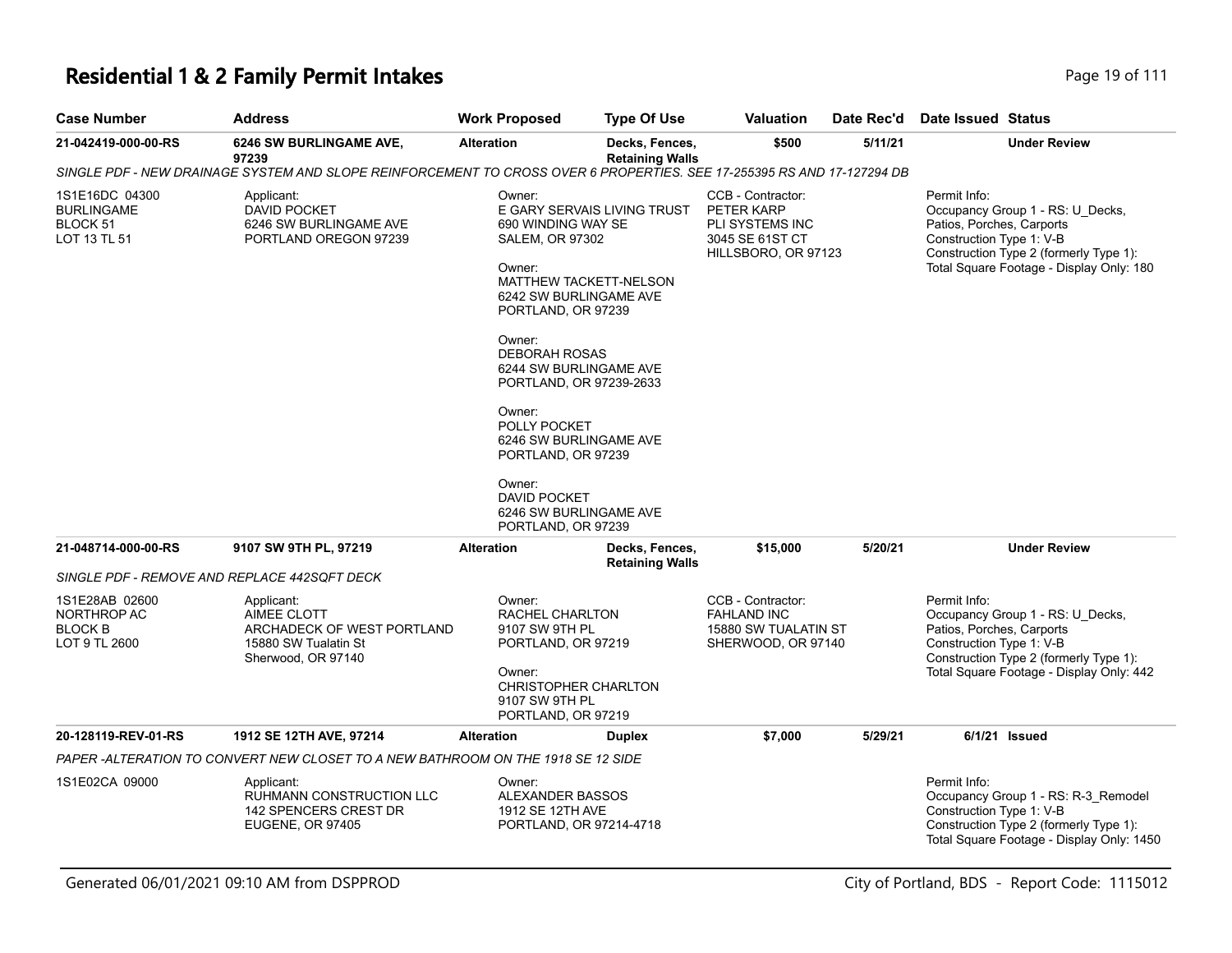# **Residential 1 & 2 Family Permit Intakes**

| Page 19 of 111 |
|----------------|
|----------------|

| <b>Case Number</b>                                               | <b>Address</b>                                                                                                         | <b>Work Proposed</b>                                                                                                                                                                                                                                                                                                                                                                                                        | <b>Type Of Use</b>                       | Valuation                                                                                    | Date Rec'd | Date Issued Status                                                                                                                                                                              |
|------------------------------------------------------------------|------------------------------------------------------------------------------------------------------------------------|-----------------------------------------------------------------------------------------------------------------------------------------------------------------------------------------------------------------------------------------------------------------------------------------------------------------------------------------------------------------------------------------------------------------------------|------------------------------------------|----------------------------------------------------------------------------------------------|------------|-------------------------------------------------------------------------------------------------------------------------------------------------------------------------------------------------|
| 21-042419-000-00-RS                                              | 6246 SW BURLINGAME AVE,<br>97239                                                                                       | <b>Alteration</b>                                                                                                                                                                                                                                                                                                                                                                                                           | Decks, Fences,<br><b>Retaining Walls</b> | \$500                                                                                        | 5/11/21    | <b>Under Review</b>                                                                                                                                                                             |
|                                                                  | SINGLE PDF - NEW DRAINAGE SYSTEM AND SLOPE REINFORCEMENT TO CROSS OVER 6 PROPERTIES. SEE 17-255395 RS AND 17-127294 DB |                                                                                                                                                                                                                                                                                                                                                                                                                             |                                          |                                                                                              |            |                                                                                                                                                                                                 |
| 1S1E16DC 04300<br><b>BURLINGAME</b><br>BLOCK 51<br>LOT 13 TL 51  | Applicant:<br>DAVID POCKET<br>6246 SW BURLINGAME AVE<br>PORTLAND OREGON 97239                                          | Owner:<br>E GARY SERVAIS LIVING TRUST<br>690 WINDING WAY SE<br>SALEM, OR 97302<br>Owner:<br><b>MATTHEW TACKETT-NELSON</b><br>6242 SW BURLINGAME AVE<br>PORTLAND, OR 97239<br>Owner:<br><b>DEBORAH ROSAS</b><br>6244 SW BURLINGAME AVE<br>PORTLAND, OR 97239-2633<br>Owner:<br>POLLY POCKET<br>6246 SW BURLINGAME AVE<br>PORTLAND, OR 97239<br>Owner:<br><b>DAVID POCKET</b><br>6246 SW BURLINGAME AVE<br>PORTLAND, OR 97239 |                                          | CCB - Contractor:<br>PETER KARP<br>PLI SYSTEMS INC<br>3045 SE 61ST CT<br>HILLSBORO, OR 97123 |            | Permit Info:<br>Occupancy Group 1 - RS: U_Decks,<br>Patios, Porches, Carports<br>Construction Type 1: V-B<br>Construction Type 2 (formerly Type 1):<br>Total Square Footage - Display Only: 180 |
|                                                                  |                                                                                                                        |                                                                                                                                                                                                                                                                                                                                                                                                                             |                                          |                                                                                              |            |                                                                                                                                                                                                 |
| 21-048714-000-00-RS                                              | 9107 SW 9TH PL, 97219                                                                                                  | <b>Alteration</b>                                                                                                                                                                                                                                                                                                                                                                                                           | Decks, Fences,<br><b>Retaining Walls</b> | \$15,000                                                                                     | 5/20/21    | <b>Under Review</b>                                                                                                                                                                             |
|                                                                  | SINGLE PDF - REMOVE AND REPLACE 442SQFT DECK                                                                           |                                                                                                                                                                                                                                                                                                                                                                                                                             |                                          |                                                                                              |            |                                                                                                                                                                                                 |
| 1S1E28AB 02600<br>NORTHROP AC<br><b>BLOCK B</b><br>LOT 9 TL 2600 | Applicant:<br>AIMEE CLOTT<br>ARCHADECK OF WEST PORTLAND<br>15880 SW Tualatin St<br>Sherwood, OR 97140                  | Owner:<br>RACHEL CHARLTON<br>9107 SW 9TH PL<br>PORTLAND, OR 97219<br>Owner:<br><b>CHRISTOPHER CHARLTON</b><br>9107 SW 9TH PL<br>PORTLAND, OR 97219                                                                                                                                                                                                                                                                          |                                          | CCB - Contractor:<br><b>FAHLAND INC</b><br>15880 SW TUALATIN ST<br>SHERWOOD, OR 97140        |            | Permit Info:<br>Occupancy Group 1 - RS: U Decks,<br>Patios, Porches, Carports<br>Construction Type 1: V-B<br>Construction Type 2 (formerly Type 1):<br>Total Square Footage - Display Only: 442 |
| 20-128119-REV-01-RS                                              | 1912 SE 12TH AVE, 97214                                                                                                | <b>Alteration</b>                                                                                                                                                                                                                                                                                                                                                                                                           | <b>Duplex</b>                            | \$7,000                                                                                      | 5/29/21    | $6/1/21$ Issued                                                                                                                                                                                 |
|                                                                  | PAPER-ALTERATION TO CONVERT NEW CLOSET TO A NEW BATHROOM ON THE 1918 SE 12 SIDE                                        |                                                                                                                                                                                                                                                                                                                                                                                                                             |                                          |                                                                                              |            |                                                                                                                                                                                                 |
| 1S1E02CA 09000                                                   | Applicant:<br>RUHMANN CONSTRUCTION LLC<br>142 SPENCERS CREST DR<br><b>EUGENE, OR 97405</b>                             | Owner:<br>ALEXANDER BASSOS<br>1912 SE 12TH AVE<br>PORTLAND, OR 97214-4718                                                                                                                                                                                                                                                                                                                                                   |                                          |                                                                                              |            | Permit Info:<br>Occupancy Group 1 - RS: R-3_Remodel<br>Construction Type 1: V-B<br>Construction Type 2 (formerly Type 1):<br>Total Square Footage - Display Only: 1450                          |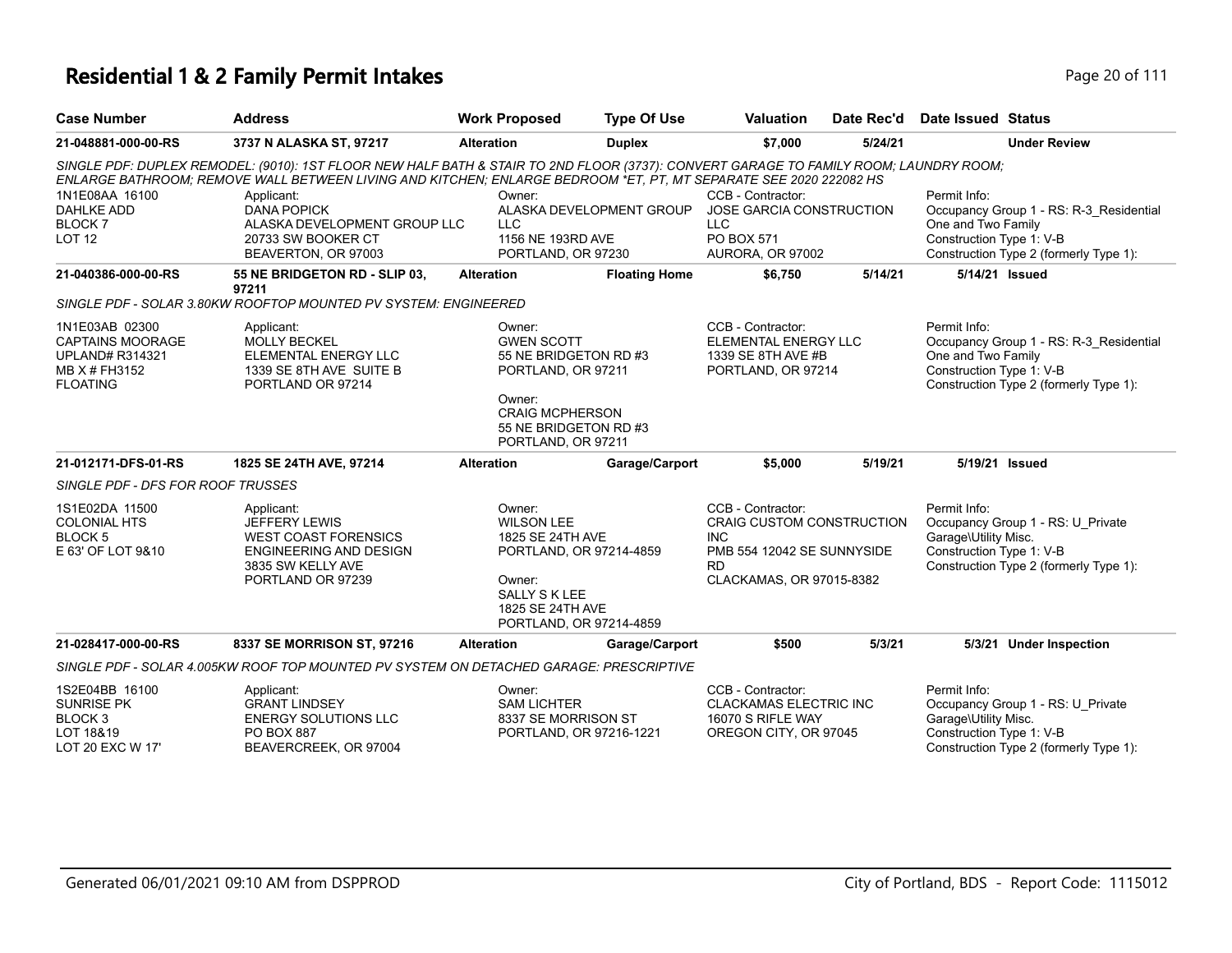| <b>Case Number</b>                                                                                      | <b>Address</b>                                                                                                                                                                                                                                                                                                                                                              | <b>Work Proposed</b>                                                                                                                                          | <b>Type Of Use</b>       | <b>Valuation</b><br>Date Rec'd                                                                                                             |         | Date Issued Status                                               |                                                                                   |
|---------------------------------------------------------------------------------------------------------|-----------------------------------------------------------------------------------------------------------------------------------------------------------------------------------------------------------------------------------------------------------------------------------------------------------------------------------------------------------------------------|---------------------------------------------------------------------------------------------------------------------------------------------------------------|--------------------------|--------------------------------------------------------------------------------------------------------------------------------------------|---------|------------------------------------------------------------------|-----------------------------------------------------------------------------------|
| 21-048881-000-00-RS                                                                                     | 3737 N ALASKA ST, 97217                                                                                                                                                                                                                                                                                                                                                     | <b>Alteration</b>                                                                                                                                             | <b>Duplex</b>            | \$7,000                                                                                                                                    | 5/24/21 |                                                                  | <b>Under Review</b>                                                               |
| 1N1E08AA 16100<br><b>DAHLKE ADD</b><br><b>BLOCK7</b><br>LOT <sub>12</sub>                               | SINGLE PDF: DUPLEX REMODEL: (9010): 1ST FLOOR NEW HALF BATH & STAIR TO 2ND FLOOR (3737): CONVERT GARAGE TO FAMILY ROOM; LAUNDRY ROOM;<br>ENLARGE BATHROOM; REMOVE WALL BETWEEN LIVING AND KITCHEN; ENLARGE BEDROOM *ET, PT, MT SEPARATE SEE 2020 222082 HS<br>Applicant:<br><b>DANA POPICK</b><br>ALASKA DEVELOPMENT GROUP LLC<br>20733 SW BOOKER CT<br>BEAVERTON, OR 97003 | Owner:<br>LLC.<br>1156 NE 193RD AVE<br>PORTLAND, OR 97230                                                                                                     | ALASKA DEVELOPMENT GROUP | CCB - Contractor:<br>JOSE GARCIA CONSTRUCTION<br>LLC.<br>PO BOX 571<br>AURORA, OR 97002                                                    |         | Permit Info:<br>One and Two Family<br>Construction Type 1: V-B   | Occupancy Group 1 - RS: R-3 Residential<br>Construction Type 2 (formerly Type 1): |
| 21-040386-000-00-RS                                                                                     | 55 NE BRIDGETON RD - SLIP 03,<br>97211                                                                                                                                                                                                                                                                                                                                      | <b>Alteration</b>                                                                                                                                             | <b>Floating Home</b>     | \$6,750                                                                                                                                    | 5/14/21 | 5/14/21 Issued                                                   |                                                                                   |
|                                                                                                         | SINGLE PDF - SOLAR 3.80KW ROOFTOP MOUNTED PV SYSTEM: ENGINEERED                                                                                                                                                                                                                                                                                                             |                                                                                                                                                               |                          |                                                                                                                                            |         |                                                                  |                                                                                   |
| 1N1E03AB 02300<br><b>CAPTAINS MOORAGE</b><br><b>UPLAND# R314321</b><br>MB X # FH3152<br><b>FLOATING</b> | Applicant:<br><b>MOLLY BECKEL</b><br>ELEMENTAL ENERGY LLC<br>1339 SE 8TH AVE SUITE B<br>PORTLAND OR 97214                                                                                                                                                                                                                                                                   | Owner:<br><b>GWEN SCOTT</b><br>55 NE BRIDGETON RD #3<br>PORTLAND, OR 97211<br>Owner:<br><b>CRAIG MCPHERSON</b><br>55 NE BRIDGETON RD #3<br>PORTLAND, OR 97211 |                          | CCB - Contractor:<br><b>ELEMENTAL ENERGY LLC</b><br>1339 SE 8TH AVE #B<br>PORTLAND, OR 97214                                               |         | Permit Info:<br>One and Two Family<br>Construction Type 1: V-B   | Occupancy Group 1 - RS: R-3_Residential<br>Construction Type 2 (formerly Type 1): |
| 21-012171-DFS-01-RS                                                                                     | 1825 SE 24TH AVE, 97214                                                                                                                                                                                                                                                                                                                                                     | <b>Alteration</b>                                                                                                                                             | Garage/Carport           | \$5,000                                                                                                                                    | 5/19/21 | 5/19/21 Issued                                                   |                                                                                   |
| SINGLE PDF - DFS FOR ROOF TRUSSES                                                                       |                                                                                                                                                                                                                                                                                                                                                                             |                                                                                                                                                               |                          |                                                                                                                                            |         |                                                                  |                                                                                   |
| 1S1E02DA 11500<br><b>COLONIAL HTS</b><br>BLOCK <sub>5</sub><br>E 63' OF LOT 9&10                        | Applicant:<br><b>JEFFERY LEWIS</b><br><b>WEST COAST FORENSICS</b><br><b>ENGINEERING AND DESIGN</b><br>3835 SW KELLY AVE<br>PORTLAND OR 97239                                                                                                                                                                                                                                | Owner:<br><b>WILSON LEE</b><br>1825 SE 24TH AVE<br>PORTLAND, OR 97214-4859<br>Owner:<br><b>SALLY S K LEE</b><br>1825 SE 24TH AVE<br>PORTLAND, OR 97214-4859   |                          | CCB - Contractor:<br><b>CRAIG CUSTOM CONSTRUCTION</b><br><b>INC</b><br>PMB 554 12042 SE SUNNYSIDE<br><b>RD</b><br>CLACKAMAS, OR 97015-8382 |         | Permit Info:<br>Garage\Utility Misc.<br>Construction Type 1: V-B | Occupancy Group 1 - RS: U_Private<br>Construction Type 2 (formerly Type 1):       |
| 21-028417-000-00-RS                                                                                     | 8337 SE MORRISON ST, 97216                                                                                                                                                                                                                                                                                                                                                  | <b>Alteration</b>                                                                                                                                             | Garage/Carport           | \$500                                                                                                                                      | 5/3/21  |                                                                  | 5/3/21 Under Inspection                                                           |
|                                                                                                         | SINGLE PDF - SOLAR 4.005KW ROOF TOP MOUNTED PV SYSTEM ON DETACHED GARAGE: PRESCRIPTIVE                                                                                                                                                                                                                                                                                      |                                                                                                                                                               |                          |                                                                                                                                            |         |                                                                  |                                                                                   |
| 1S2E04BB 16100<br><b>SUNRISE PK</b><br>BLOCK <sub>3</sub><br>LOT 18&19<br>LOT 20 EXC W 17'              | Applicant:<br><b>GRANT LINDSEY</b><br><b>ENERGY SOLUTIONS LLC</b><br>PO BOX 887<br>BEAVERCREEK, OR 97004                                                                                                                                                                                                                                                                    | Owner:<br><b>SAM LICHTER</b><br>8337 SE MORRISON ST<br>PORTLAND, OR 97216-1221                                                                                |                          | CCB - Contractor:<br><b>CLACKAMAS ELECTRIC INC</b><br>16070 S RIFLE WAY<br>OREGON CITY, OR 97045                                           |         | Permit Info:<br>Garage\Utility Misc.<br>Construction Type 1: V-B | Occupancy Group 1 - RS: U_Private<br>Construction Type 2 (formerly Type 1):       |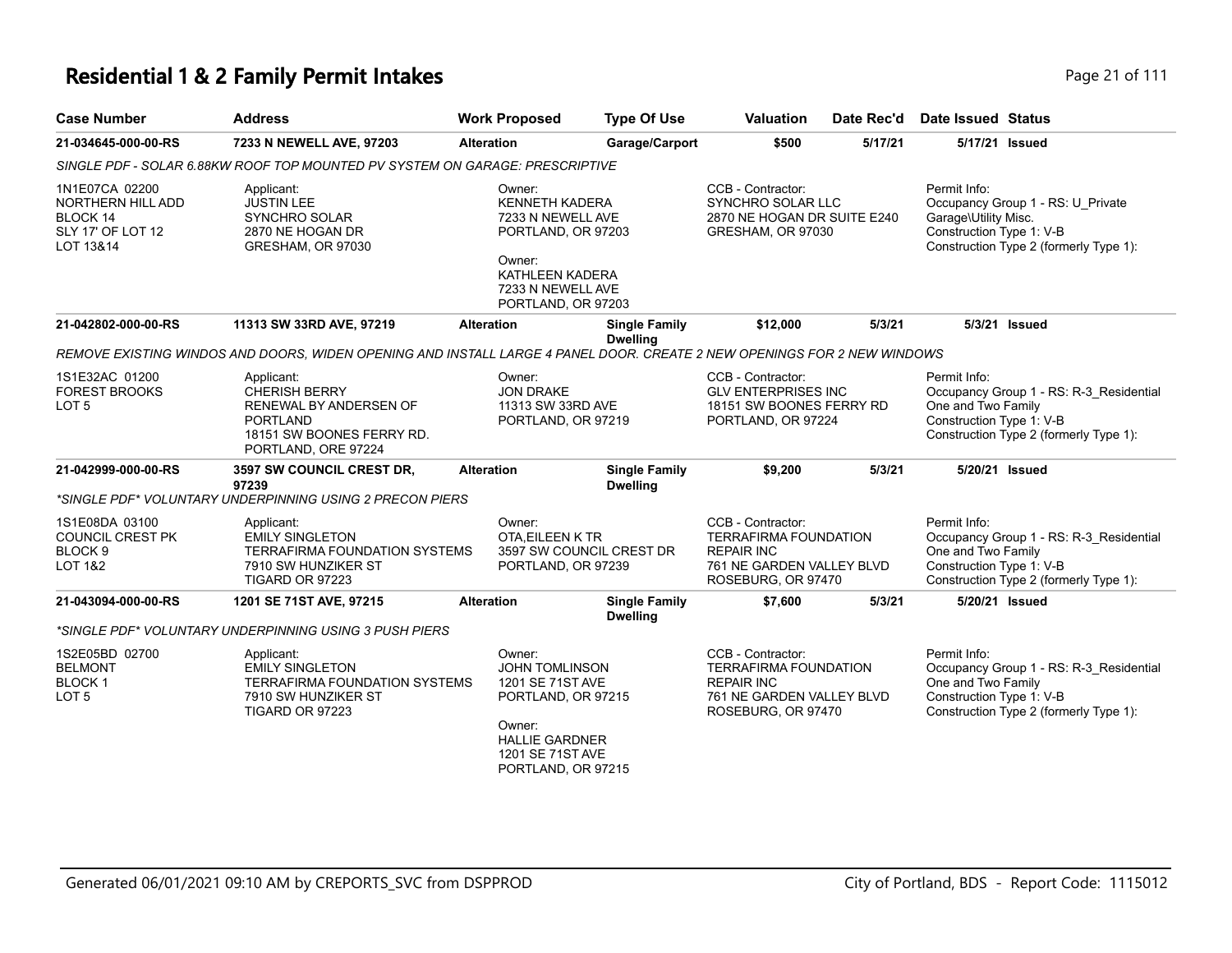### **Residential 1 & 2 Family Permit Intakes Page 21 of 111**

| <b>Case Number</b>                                                                    | <b>Address</b>                                                                                                                      | <b>Work Proposed</b>                                                                                                                                   | <b>Type Of Use</b>                      | <b>Valuation</b>                                                                                                          | Date Rec'd | <b>Date Issued Status</b>                                        |                                                                                   |
|---------------------------------------------------------------------------------------|-------------------------------------------------------------------------------------------------------------------------------------|--------------------------------------------------------------------------------------------------------------------------------------------------------|-----------------------------------------|---------------------------------------------------------------------------------------------------------------------------|------------|------------------------------------------------------------------|-----------------------------------------------------------------------------------|
| 21-034645-000-00-RS                                                                   | 7233 N NEWELL AVE, 97203                                                                                                            | <b>Alteration</b>                                                                                                                                      | Garage/Carport                          | \$500                                                                                                                     | 5/17/21    |                                                                  | 5/17/21 Issued                                                                    |
|                                                                                       | SINGLE PDF - SOLAR 6.88KW ROOF TOP MOUNTED PV SYSTEM ON GARAGE: PRESCRIPTIVE                                                        |                                                                                                                                                        |                                         |                                                                                                                           |            |                                                                  |                                                                                   |
| 1N1E07CA 02200<br>NORTHERN HILL ADD<br>BLOCK 14<br>SLY 17' OF LOT 12<br>LOT 13&14     | Applicant:<br><b>JUSTIN LEE</b><br><b>SYNCHRO SOLAR</b><br>2870 NE HOGAN DR<br>GRESHAM, OR 97030                                    | Owner:<br><b>KENNETH KADERA</b><br>7233 N NEWELL AVE<br>PORTLAND, OR 97203<br>Owner:<br>KATHLEEN KADERA<br>7233 N NEWELL AVE<br>PORTLAND, OR 97203     |                                         | CCB - Contractor:<br><b>SYNCHRO SOLAR LLC</b><br>2870 NE HOGAN DR SUITE E240<br>GRESHAM, OR 97030                         |            | Permit Info:<br>Garage\Utility Misc.<br>Construction Type 1: V-B | Occupancy Group 1 - RS: U_Private<br>Construction Type 2 (formerly Type 1):       |
| 21-042802-000-00-RS                                                                   | 11313 SW 33RD AVE, 97219                                                                                                            | <b>Alteration</b>                                                                                                                                      | <b>Single Family</b><br><b>Dwelling</b> | \$12,000                                                                                                                  | 5/3/21     |                                                                  | 5/3/21 Issued                                                                     |
|                                                                                       | REMOVE EXISTING WINDOS AND DOORS, WIDEN OPENING AND INSTALL LARGE 4 PANEL DOOR. CREATE 2 NEW OPENINGS FOR 2 NEW WINDOWS             |                                                                                                                                                        |                                         |                                                                                                                           |            |                                                                  |                                                                                   |
| 1S1E32AC 01200<br><b>FOREST BROOKS</b><br>LOT <sub>5</sub>                            | Applicant:<br><b>CHERISH BERRY</b><br>RENEWAL BY ANDERSEN OF<br><b>PORTLAND</b><br>18151 SW BOONES FERRY RD.<br>PORTLAND, ORE 97224 | Owner:<br><b>JON DRAKE</b><br>11313 SW 33RD AVE<br>PORTLAND, OR 97219                                                                                  |                                         | CCB - Contractor:<br><b>GLV ENTERPRISES INC</b><br>18151 SW BOONES FERRY RD<br>PORTLAND, OR 97224                         |            | Permit Info:<br>One and Two Family<br>Construction Type 1: V-B   | Occupancy Group 1 - RS: R-3_Residential<br>Construction Type 2 (formerly Type 1): |
| 21-042999-000-00-RS                                                                   | 3597 SW COUNCIL CREST DR,<br>97239<br>*SINGLE PDF* VOLUNTARY UNDERPINNING USING 2 PRECON PIERS                                      | <b>Alteration</b>                                                                                                                                      | <b>Single Family</b><br><b>Dwelling</b> | \$9,200                                                                                                                   | 5/3/21     |                                                                  | 5/20/21 Issued                                                                    |
| 1S1E08DA 03100<br><b>COUNCIL CREST PK</b><br>BLOCK <sub>9</sub><br><b>LOT 1&amp;2</b> | Applicant:<br><b>EMILY SINGLETON</b><br><b>TERRAFIRMA FOUNDATION SYSTEMS</b><br>7910 SW HUNZIKER ST<br>TIGARD OR 97223              | Owner:<br>OTA.EILEEN K TR<br>PORTLAND, OR 97239                                                                                                        | 3597 SW COUNCIL CREST DR                | CCB - Contractor:<br><b>TERRAFIRMA FOUNDATION</b><br><b>REPAIR INC</b><br>761 NE GARDEN VALLEY BLVD<br>ROSEBURG, OR 97470 |            | Permit Info:<br>One and Two Family<br>Construction Type 1: V-B   | Occupancy Group 1 - RS: R-3 Residential<br>Construction Type 2 (formerly Type 1): |
| 21-043094-000-00-RS                                                                   | 1201 SE 71ST AVE, 97215                                                                                                             | <b>Alteration</b>                                                                                                                                      | <b>Single Family</b><br><b>Dwelling</b> | \$7,600                                                                                                                   | 5/3/21     |                                                                  | 5/20/21 Issued                                                                    |
|                                                                                       | *SINGLE PDF* VOLUNTARY UNDERPINNING USING 3 PUSH PIERS                                                                              |                                                                                                                                                        |                                         |                                                                                                                           |            |                                                                  |                                                                                   |
| 1S2E05BD 02700<br><b>BELMONT</b><br>BLOCK <sub>1</sub><br>LOT <sub>5</sub>            | Applicant:<br><b>EMILY SINGLETON</b><br>TERRAFIRMA FOUNDATION SYSTEMS<br>7910 SW HUNZIKER ST<br>TIGARD OR 97223                     | Owner:<br><b>JOHN TOMLINSON</b><br>1201 SE 71ST AVE<br>PORTLAND, OR 97215<br>Owner:<br><b>HALLIE GARDNER</b><br>1201 SE 71ST AVE<br>PORTLAND, OR 97215 |                                         | CCB - Contractor:<br>TERRAFIRMA FOUNDATION<br><b>REPAIR INC</b><br>761 NE GARDEN VALLEY BLVD<br>ROSEBURG, OR 97470        |            | Permit Info:<br>One and Two Family<br>Construction Type 1: V-B   | Occupancy Group 1 - RS: R-3 Residential<br>Construction Type 2 (formerly Type 1): |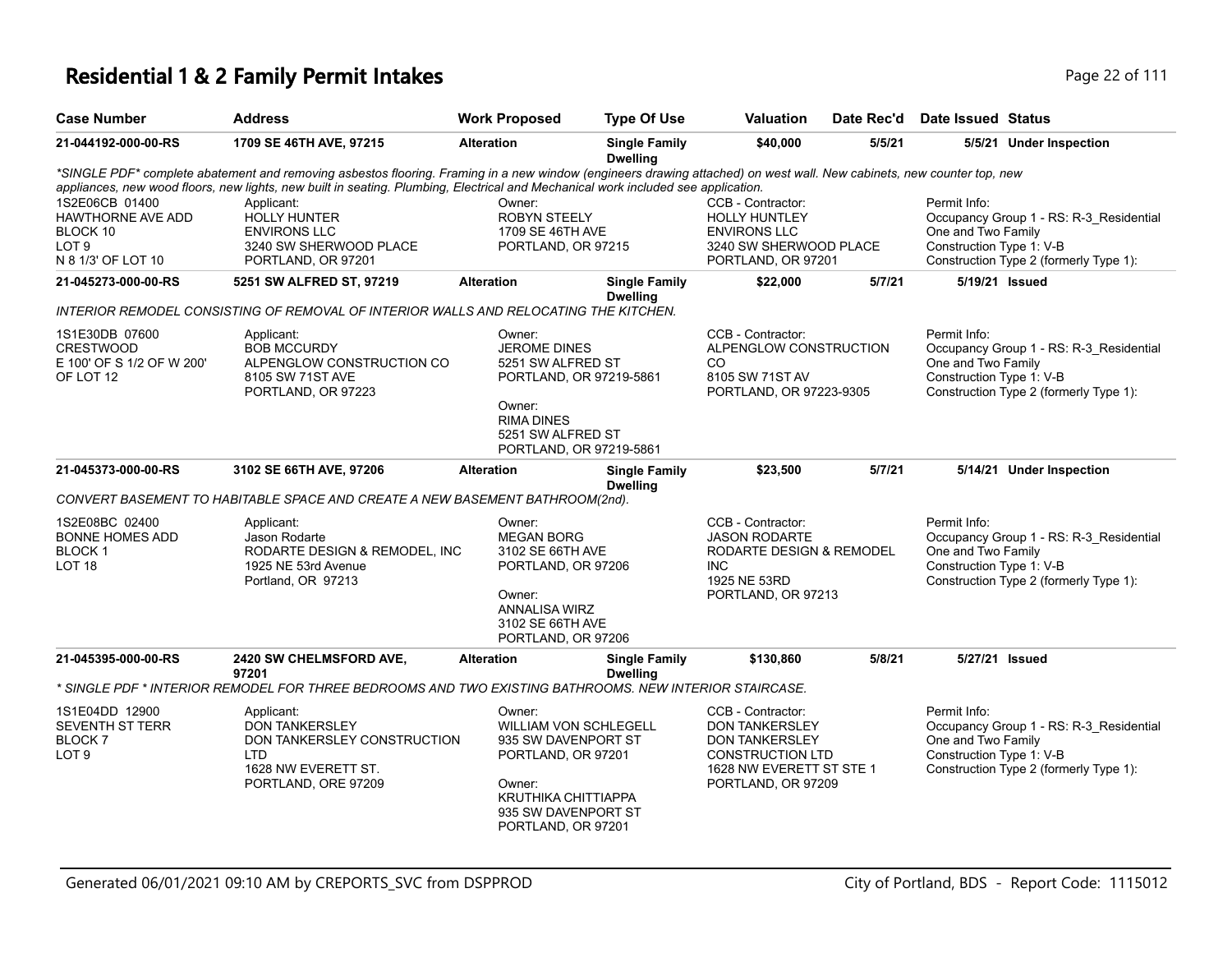| <b>Case Number</b>                                                                               | <b>Address</b>                                                                                                                                                                                                                                                                                             | <b>Work Proposed</b>                                                                                                                                              | <b>Type Of Use</b>                      | Valuation                                                                                                                                        | Date Rec'd | <b>Date Issued Status</b>                                      |                                                                                   |
|--------------------------------------------------------------------------------------------------|------------------------------------------------------------------------------------------------------------------------------------------------------------------------------------------------------------------------------------------------------------------------------------------------------------|-------------------------------------------------------------------------------------------------------------------------------------------------------------------|-----------------------------------------|--------------------------------------------------------------------------------------------------------------------------------------------------|------------|----------------------------------------------------------------|-----------------------------------------------------------------------------------|
| 21-044192-000-00-RS                                                                              | 1709 SE 46TH AVE, 97215                                                                                                                                                                                                                                                                                    | <b>Alteration</b>                                                                                                                                                 | <b>Single Family</b><br><b>Dwelling</b> | \$40,000                                                                                                                                         | 5/5/21     |                                                                | 5/5/21 Under Inspection                                                           |
|                                                                                                  | *SINGLE PDF* complete abatement and removing asbestos flooring. Framing in a new window (engineers drawing attached) on west wall. New cabinets, new counter top, new<br>appliances, new wood floors, new lights, new built in seating. Plumbing, Electrical and Mechanical work included see application. |                                                                                                                                                                   |                                         |                                                                                                                                                  |            |                                                                |                                                                                   |
| 1S2E06CB 01400<br><b>HAWTHORNE AVE ADD</b><br>BLOCK 10<br>LOT <sub>9</sub><br>N 8 1/3' OF LOT 10 | Applicant:<br><b>HOLLY HUNTER</b><br><b>ENVIRONS LLC</b><br>3240 SW SHERWOOD PLACE<br>PORTLAND, OR 97201                                                                                                                                                                                                   | Owner:<br><b>ROBYN STEELY</b><br>1709 SE 46TH AVE<br>PORTLAND, OR 97215                                                                                           |                                         | CCB - Contractor:<br><b>HOLLY HUNTLEY</b><br><b>ENVIRONS LLC</b><br>3240 SW SHERWOOD PLACE<br>PORTLAND, OR 97201                                 |            | Permit Info:<br>One and Two Family<br>Construction Type 1: V-B | Occupancy Group 1 - RS: R-3_Residential<br>Construction Type 2 (formerly Type 1): |
| 21-045273-000-00-RS                                                                              | 5251 SW ALFRED ST, 97219                                                                                                                                                                                                                                                                                   | <b>Alteration</b>                                                                                                                                                 | <b>Single Family</b><br><b>Dwelling</b> | \$22,000                                                                                                                                         | 5/7/21     | 5/19/21 Issued                                                 |                                                                                   |
|                                                                                                  | INTERIOR REMODEL CONSISTING OF REMOVAL OF INTERIOR WALLS AND RELOCATING THE KITCHEN.                                                                                                                                                                                                                       |                                                                                                                                                                   |                                         |                                                                                                                                                  |            |                                                                |                                                                                   |
| 1S1E30DB 07600<br><b>CRESTWOOD</b><br>E 100' OF S 1/2 OF W 200'<br>OF LOT 12                     | Applicant:<br><b>BOB MCCURDY</b><br>ALPENGLOW CONSTRUCTION CO<br>8105 SW 71ST AVE<br>PORTLAND, OR 97223                                                                                                                                                                                                    | Owner:<br><b>JEROME DINES</b><br>5251 SW ALFRED ST<br>PORTLAND, OR 97219-5861<br>Owner:<br><b>RIMA DINES</b><br>5251 SW ALFRED ST<br>PORTLAND, OR 97219-5861      |                                         | CCB - Contractor:<br>ALPENGLOW CONSTRUCTION<br>CO.<br>8105 SW 71ST AV<br>PORTLAND, OR 97223-9305                                                 |            | Permit Info:<br>One and Two Family<br>Construction Type 1: V-B | Occupancy Group 1 - RS: R-3_Residential<br>Construction Type 2 (formerly Type 1): |
| 21-045373-000-00-RS                                                                              | 3102 SE 66TH AVE, 97206                                                                                                                                                                                                                                                                                    | <b>Alteration</b>                                                                                                                                                 | <b>Single Family</b><br><b>Dwelling</b> | \$23,500                                                                                                                                         | 5/7/21     |                                                                | 5/14/21 Under Inspection                                                          |
|                                                                                                  | CONVERT BASEMENT TO HABITABLE SPACE AND CREATE A NEW BASEMENT BATHROOM(2nd).                                                                                                                                                                                                                               |                                                                                                                                                                   |                                         |                                                                                                                                                  |            |                                                                |                                                                                   |
| 1S2E08BC 02400<br><b>BONNE HOMES ADD</b><br>BLOCK <sub>1</sub><br>LOT <sub>18</sub>              | Applicant:<br>Jason Rodarte<br>RODARTE DESIGN & REMODEL, INC<br>1925 NE 53rd Avenue<br>Portland, OR 97213                                                                                                                                                                                                  | Owner:<br><b>MEGAN BORG</b><br>3102 SE 66TH AVE<br>PORTLAND, OR 97206<br>Owner:<br>ANNALISA WIRZ<br>3102 SE 66TH AVE<br>PORTLAND, OR 97206                        |                                         | CCB - Contractor:<br><b>JASON RODARTE</b><br>RODARTE DESIGN & REMODEL<br>INC.<br>1925 NE 53RD<br>PORTLAND, OR 97213                              |            | Permit Info:<br>One and Two Family<br>Construction Type 1: V-B | Occupancy Group 1 - RS: R-3_Residential<br>Construction Type 2 (formerly Type 1): |
| 21-045395-000-00-RS                                                                              | 2420 SW CHELMSFORD AVE,<br>97201                                                                                                                                                                                                                                                                           | <b>Alteration</b>                                                                                                                                                 | <b>Single Family</b><br><b>Dwelling</b> | \$130,860                                                                                                                                        | 5/8/21     | 5/27/21 Issued                                                 |                                                                                   |
|                                                                                                  | SINGLE PDF * INTERIOR REMODEL FOR THREE BEDROOMS AND TWO EXISTING BATHROOMS. NEW INTERIOR STAIRCASE *                                                                                                                                                                                                      |                                                                                                                                                                   |                                         |                                                                                                                                                  |            |                                                                |                                                                                   |
| 1S1E04DD 12900<br><b>SEVENTH ST TERR</b><br>BLOCK <sub>7</sub><br>LOT <sub>9</sub>               | Applicant:<br><b>DON TANKERSLEY</b><br>DON TANKERSLEY CONSTRUCTION<br>LTD<br>1628 NW EVERETT ST.<br>PORTLAND, ORE 97209                                                                                                                                                                                    | Owner:<br><b>WILLIAM VON SCHLEGELL</b><br>935 SW DAVENPORT ST<br>PORTLAND, OR 97201<br>Owner:<br>KRUTHIKA CHITTIAPPA<br>935 SW DAVENPORT ST<br>PORTLAND, OR 97201 |                                         | CCB - Contractor:<br><b>DON TANKERSLEY</b><br><b>DON TANKERSLEY</b><br><b>CONSTRUCTION LTD</b><br>1628 NW EVERETT ST STE 1<br>PORTLAND, OR 97209 |            | Permit Info:<br>One and Two Family<br>Construction Type 1: V-B | Occupancy Group 1 - RS: R-3_Residential<br>Construction Type 2 (formerly Type 1): |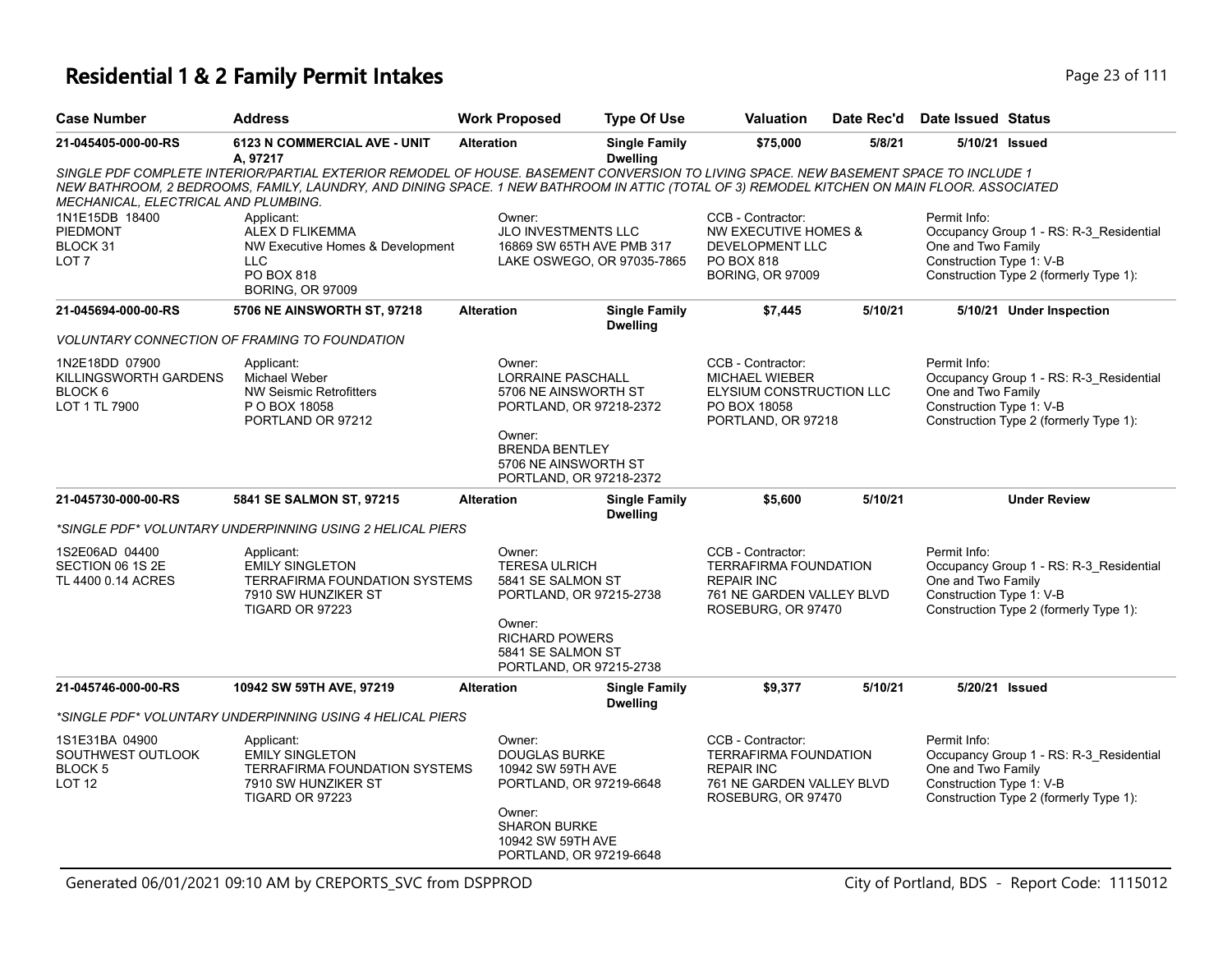| <b>Case Number</b>                                                     | <b>Address</b>                                                                                                                                                                                                                                                                      | <b>Work Proposed</b>                                                                                                                   | <b>Type Of Use</b>                                      | <b>Valuation</b>                                                                                                          | Date Rec'd | Date Issued Status                                             |                                                                                   |
|------------------------------------------------------------------------|-------------------------------------------------------------------------------------------------------------------------------------------------------------------------------------------------------------------------------------------------------------------------------------|----------------------------------------------------------------------------------------------------------------------------------------|---------------------------------------------------------|---------------------------------------------------------------------------------------------------------------------------|------------|----------------------------------------------------------------|-----------------------------------------------------------------------------------|
| 21-045405-000-00-RS                                                    | 6123 N COMMERCIAL AVE - UNIT<br>A, 97217                                                                                                                                                                                                                                            | <b>Alteration</b>                                                                                                                      | <b>Single Family</b><br><b>Dwelling</b>                 | \$75,000                                                                                                                  | 5/8/21     | 5/10/21 Issued                                                 |                                                                                   |
| MECHANICAL, ELECTRICAL AND PLUMBING.                                   | SINGLE PDF COMPLETE INTERIOR/PARTIAL EXTERIOR REMODEL OF HOUSE. BASEMENT CONVERSION TO LIVING SPACE. NEW BASEMENT SPACE TO INCLUDE 1<br>NEW BATHROOM, 2 BEDROOMS, FAMILY, LAUNDRY, AND DINING SPACE. 1 NEW BATHROOM IN ATTIC (TOTAL OF 3) REMODEL KITCHEN ON MAIN FLOOR. ASSOCIATED |                                                                                                                                        |                                                         |                                                                                                                           |            |                                                                |                                                                                   |
| 1N1E15DB 18400<br><b>PIEDMONT</b><br>BLOCK 31<br>LOT 7                 | Applicant:<br>ALEX D FLIKEMMA<br>NW Executive Homes & Development<br><b>LLC</b><br>PO BOX 818<br><b>BORING, OR 97009</b>                                                                                                                                                            | Owner:<br>JLO INVESTMENTS LLC                                                                                                          | 16869 SW 65TH AVE PMB 317<br>LAKE OSWEGO, OR 97035-7865 | CCB - Contractor:<br>NW EXECUTIVE HOMES &<br>DEVELOPMENT LLC<br>PO BOX 818<br><b>BORING, OR 97009</b>                     |            | Permit Info:<br>One and Two Family<br>Construction Type 1: V-B | Occupancy Group 1 - RS: R-3_Residential<br>Construction Type 2 (formerly Type 1): |
| 21-045694-000-00-RS                                                    | 5706 NE AINSWORTH ST, 97218                                                                                                                                                                                                                                                         | <b>Alteration</b>                                                                                                                      | <b>Single Family</b><br><b>Dwelling</b>                 | \$7,445                                                                                                                   | 5/10/21    |                                                                | 5/10/21 Under Inspection                                                          |
|                                                                        | <b>VOLUNTARY CONNECTION OF FRAMING TO FOUNDATION</b>                                                                                                                                                                                                                                |                                                                                                                                        |                                                         |                                                                                                                           |            |                                                                |                                                                                   |
| 1N2E18DD 07900<br>KILLINGSWORTH GARDENS<br>BLOCK 6<br>LOT 1 TL 7900    | Applicant:<br>Michael Weber<br><b>NW Seismic Retrofitters</b><br>P O BOX 18058<br>PORTLAND OR 97212                                                                                                                                                                                 | Owner:<br><b>LORRAINE PASCHALL</b><br>5706 NE AINSWORTH ST<br>PORTLAND, OR 97218-2372                                                  |                                                         | CCB - Contractor:<br><b>MICHAEL WIEBER</b><br>ELYSIUM CONSTRUCTION LLC<br>PO BOX 18058<br>PORTLAND, OR 97218              |            | Permit Info:<br>One and Two Family<br>Construction Type 1: V-B | Occupancy Group 1 - RS: R-3 Residential<br>Construction Type 2 (formerly Type 1): |
|                                                                        |                                                                                                                                                                                                                                                                                     | Owner:<br><b>BRENDA BENTLEY</b><br>5706 NE AINSWORTH ST<br>PORTLAND, OR 97218-2372                                                     |                                                         |                                                                                                                           |            |                                                                |                                                                                   |
| 21-045730-000-00-RS                                                    | 5841 SE SALMON ST, 97215                                                                                                                                                                                                                                                            | <b>Alteration</b>                                                                                                                      | <b>Single Family</b><br><b>Dwelling</b>                 | \$5,600                                                                                                                   | 5/10/21    |                                                                | <b>Under Review</b>                                                               |
|                                                                        | *SINGLE PDF* VOLUNTARY UNDERPINNING USING 2 HELICAL PIERS                                                                                                                                                                                                                           |                                                                                                                                        |                                                         |                                                                                                                           |            |                                                                |                                                                                   |
| 1S2E06AD 04400<br>SECTION 06 1S 2E<br>TL 4400 0.14 ACRES               | Applicant:<br><b>EMILY SINGLETON</b><br><b>TERRAFIRMA FOUNDATION SYSTEMS</b><br>7910 SW HUNZIKER ST<br>TIGARD OR 97223                                                                                                                                                              | Owner:<br><b>TERESA ULRICH</b><br>5841 SE SALMON ST<br>PORTLAND, OR 97215-2738<br>Owner:<br><b>RICHARD POWERS</b><br>5841 SE SALMON ST |                                                         | CCB - Contractor:<br><b>TERRAFIRMA FOUNDATION</b><br><b>REPAIR INC</b><br>761 NE GARDEN VALLEY BLVD<br>ROSEBURG, OR 97470 |            | Permit Info:<br>One and Two Family<br>Construction Type 1: V-B | Occupancy Group 1 - RS: R-3_Residential<br>Construction Type 2 (formerly Type 1): |
|                                                                        |                                                                                                                                                                                                                                                                                     | PORTLAND, OR 97215-2738                                                                                                                |                                                         |                                                                                                                           |            |                                                                |                                                                                   |
| 21-045746-000-00-RS                                                    | 10942 SW 59TH AVE, 97219                                                                                                                                                                                                                                                            | <b>Alteration</b>                                                                                                                      | <b>Single Family</b><br><b>Dwelling</b>                 | \$9,377                                                                                                                   | 5/10/21    | 5/20/21 Issued                                                 |                                                                                   |
|                                                                        | *SINGLE PDF* VOLUNTARY UNDERPINNING USING 4 HELICAL PIERS                                                                                                                                                                                                                           |                                                                                                                                        |                                                         |                                                                                                                           |            |                                                                |                                                                                   |
| 1S1E31BA 04900<br>SOUTHWEST OUTLOOK<br><b>BLOCK 5</b><br><b>LOT 12</b> | Applicant:<br><b>EMILY SINGLETON</b><br><b>TERRAFIRMA FOUNDATION SYSTEMS</b><br>7910 SW HUNZIKER ST<br>TIGARD OR 97223                                                                                                                                                              | Owner:<br><b>DOUGLAS BURKE</b><br>10942 SW 59TH AVE<br>PORTLAND, OR 97219-6648                                                         |                                                         | CCB - Contractor:<br><b>TERRAFIRMA FOUNDATION</b><br><b>REPAIR INC</b><br>761 NE GARDEN VALLEY BLVD<br>ROSEBURG, OR 97470 |            | Permit Info:<br>One and Two Family<br>Construction Type 1: V-B | Occupancy Group 1 - RS: R-3_Residential<br>Construction Type 2 (formerly Type 1): |
|                                                                        |                                                                                                                                                                                                                                                                                     | Owner:<br><b>SHARON BURKE</b><br>10942 SW 59TH AVE<br>PORTLAND, OR 97219-6648                                                          |                                                         |                                                                                                                           |            |                                                                |                                                                                   |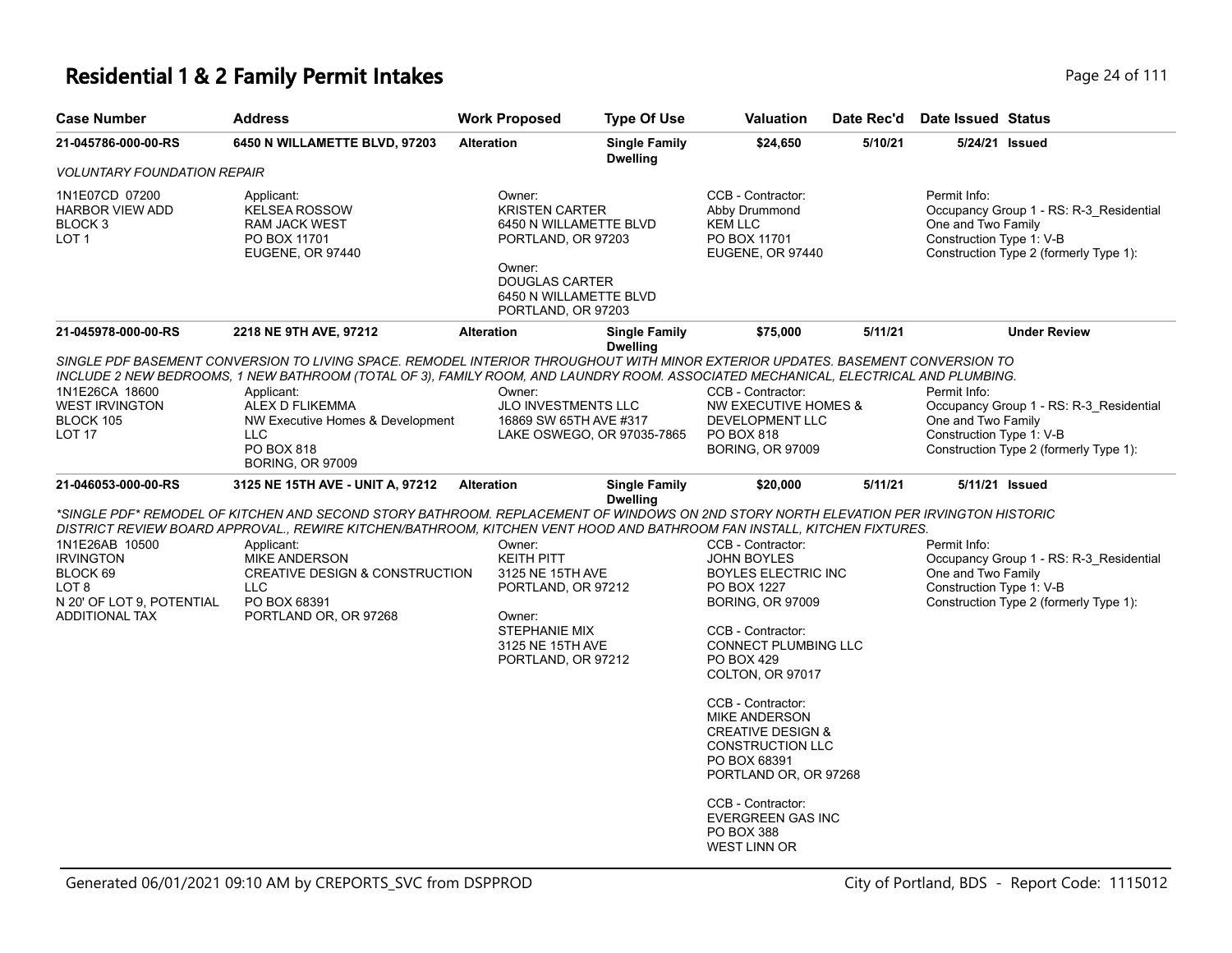| <b>Case Number</b>                                                                                            | <b>Address</b>                                                                                                                                                                                                                                                                                                                                                                                     | <b>Work Proposed</b>                                                                                                                                               | <b>Type Of Use</b>                      | Valuation                                                                                                                                                                                                                                                                                                                                                                                                                                                  | Date Rec'd | Date Issued Status                                                                                                                                  |
|---------------------------------------------------------------------------------------------------------------|----------------------------------------------------------------------------------------------------------------------------------------------------------------------------------------------------------------------------------------------------------------------------------------------------------------------------------------------------------------------------------------------------|--------------------------------------------------------------------------------------------------------------------------------------------------------------------|-----------------------------------------|------------------------------------------------------------------------------------------------------------------------------------------------------------------------------------------------------------------------------------------------------------------------------------------------------------------------------------------------------------------------------------------------------------------------------------------------------------|------------|-----------------------------------------------------------------------------------------------------------------------------------------------------|
| 21-045786-000-00-RS                                                                                           | 6450 N WILLAMETTE BLVD, 97203                                                                                                                                                                                                                                                                                                                                                                      | <b>Alteration</b>                                                                                                                                                  | <b>Single Family</b><br><b>Dwelling</b> | \$24,650                                                                                                                                                                                                                                                                                                                                                                                                                                                   | 5/10/21    | 5/24/21 Issued                                                                                                                                      |
| <i>VOLUNTARY FOUNDATION REPAIR</i>                                                                            |                                                                                                                                                                                                                                                                                                                                                                                                    |                                                                                                                                                                    |                                         |                                                                                                                                                                                                                                                                                                                                                                                                                                                            |            |                                                                                                                                                     |
| 1N1E07CD 07200<br>HARBOR VIEW ADD<br>BLOCK 3<br>LOT 1                                                         | Applicant:<br><b>KELSEA ROSSOW</b><br><b>RAM JACK WEST</b><br>PO BOX 11701<br>EUGENE, OR 97440                                                                                                                                                                                                                                                                                                     | Owner:<br><b>KRISTEN CARTER</b><br>6450 N WILLAMETTE BLVD<br>PORTLAND, OR 97203<br>Owner:<br><b>DOUGLAS CARTER</b><br>6450 N WILLAMETTE BLVD<br>PORTLAND, OR 97203 |                                         | CCB - Contractor:<br>Abby Drummond<br><b>KEM LLC</b><br>PO BOX 11701<br>EUGENE, OR 97440                                                                                                                                                                                                                                                                                                                                                                   |            | Permit Info:<br>Occupancy Group 1 - RS: R-3_Residential<br>One and Two Family<br>Construction Type 1: V-B<br>Construction Type 2 (formerly Type 1): |
| 21-045978-000-00-RS                                                                                           | 2218 NE 9TH AVE, 97212                                                                                                                                                                                                                                                                                                                                                                             | <b>Alteration</b>                                                                                                                                                  | <b>Single Family</b><br><b>Dwelling</b> | \$75,000                                                                                                                                                                                                                                                                                                                                                                                                                                                   | 5/11/21    | <b>Under Review</b>                                                                                                                                 |
| 1N1E26CA 18600<br><b>WEST IRVINGTON</b><br><b>BLOCK 105</b><br><b>LOT 17</b>                                  | SINGLE PDF BASEMENT CONVERSION TO LIVING SPACE. REMODEL INTERIOR THROUGHOUT WITH MINOR EXTERIOR UPDATES. BASEMENT CONVERSION TO<br>INCLUDE 2 NEW BEDROOMS, 1 NEW BATHROOM (TOTAL OF 3), FAMILY ROOM, AND LAUNDRY ROOM. ASSOCIATED MECHANICAL, ELECTRICAL AND PLUMBING.<br>Applicant:<br>ALEX D FLIKEMMA<br>NW Executive Homes & Development<br><b>LLC</b><br>PO BOX 818<br><b>BORING, OR 97009</b> | Owner:<br>JLO INVESTMENTS LLC<br>16869 SW 65TH AVE #317                                                                                                            | LAKE OSWEGO, OR 97035-7865              | CCB - Contractor:<br><b>NW EXECUTIVE HOMES &amp;</b><br>DEVELOPMENT LLC<br>PO BOX 818<br><b>BORING, OR 97009</b>                                                                                                                                                                                                                                                                                                                                           |            | Permit Info:<br>Occupancy Group 1 - RS: R-3 Residential<br>One and Two Family<br>Construction Type 1: V-B<br>Construction Type 2 (formerly Type 1): |
| 21-046053-000-00-RS                                                                                           | 3125 NE 15TH AVE - UNIT A, 97212                                                                                                                                                                                                                                                                                                                                                                   | <b>Alteration</b>                                                                                                                                                  | <b>Single Family</b><br><b>Dwelling</b> | \$20,000                                                                                                                                                                                                                                                                                                                                                                                                                                                   | 5/11/21    | 5/11/21 Issued                                                                                                                                      |
|                                                                                                               | *SINGLE PDF* REMODEL OF KITCHEN AND SECOND STORY BATHROOM. REPLACEMENT OF WINDOWS ON 2ND STORY NORTH ELEVATION PER IRVINGTON HISTORIC<br>DISTRICT REVIEW BOARD APPROVAL., REWIRE KITCHEN/BATHROOM, KITCHEN VENT HOOD AND BATHROOM FAN INSTALL, KITCHEN FIXTURES.                                                                                                                                   |                                                                                                                                                                    |                                         |                                                                                                                                                                                                                                                                                                                                                                                                                                                            |            |                                                                                                                                                     |
| 1N1E26AB 10500<br><b>IRVINGTON</b><br>BLOCK 69<br>LOT 8<br>N 20' OF LOT 9, POTENTIAL<br><b>ADDITIONAL TAX</b> | Applicant:<br><b>MIKE ANDERSON</b><br><b>CREATIVE DESIGN &amp; CONSTRUCTION</b><br>LLC<br>PO BOX 68391<br>PORTLAND OR, OR 97268                                                                                                                                                                                                                                                                    | Owner:<br><b>KEITH PITT</b><br>3125 NE 15TH AVE<br>PORTLAND, OR 97212<br>Owner:<br><b>STEPHANIE MIX</b><br>3125 NE 15TH AVE<br>PORTLAND, OR 97212                  |                                         | CCB - Contractor:<br><b>JOHN BOYLES</b><br><b>BOYLES ELECTRIC INC</b><br>PO BOX 1227<br><b>BORING, OR 97009</b><br>CCB - Contractor:<br><b>CONNECT PLUMBING LLC</b><br><b>PO BOX 429</b><br>COLTON, OR 97017<br>CCB - Contractor:<br><b>MIKE ANDERSON</b><br><b>CREATIVE DESIGN &amp;</b><br><b>CONSTRUCTION LLC</b><br>PO BOX 68391<br>PORTLAND OR, OR 97268<br>CCB - Contractor:<br><b>EVERGREEN GAS INC</b><br><b>PO BOX 388</b><br><b>WEST LINN OR</b> |            | Permit Info:<br>Occupancy Group 1 - RS: R-3 Residential<br>One and Two Family<br>Construction Type 1: V-B<br>Construction Type 2 (formerly Type 1): |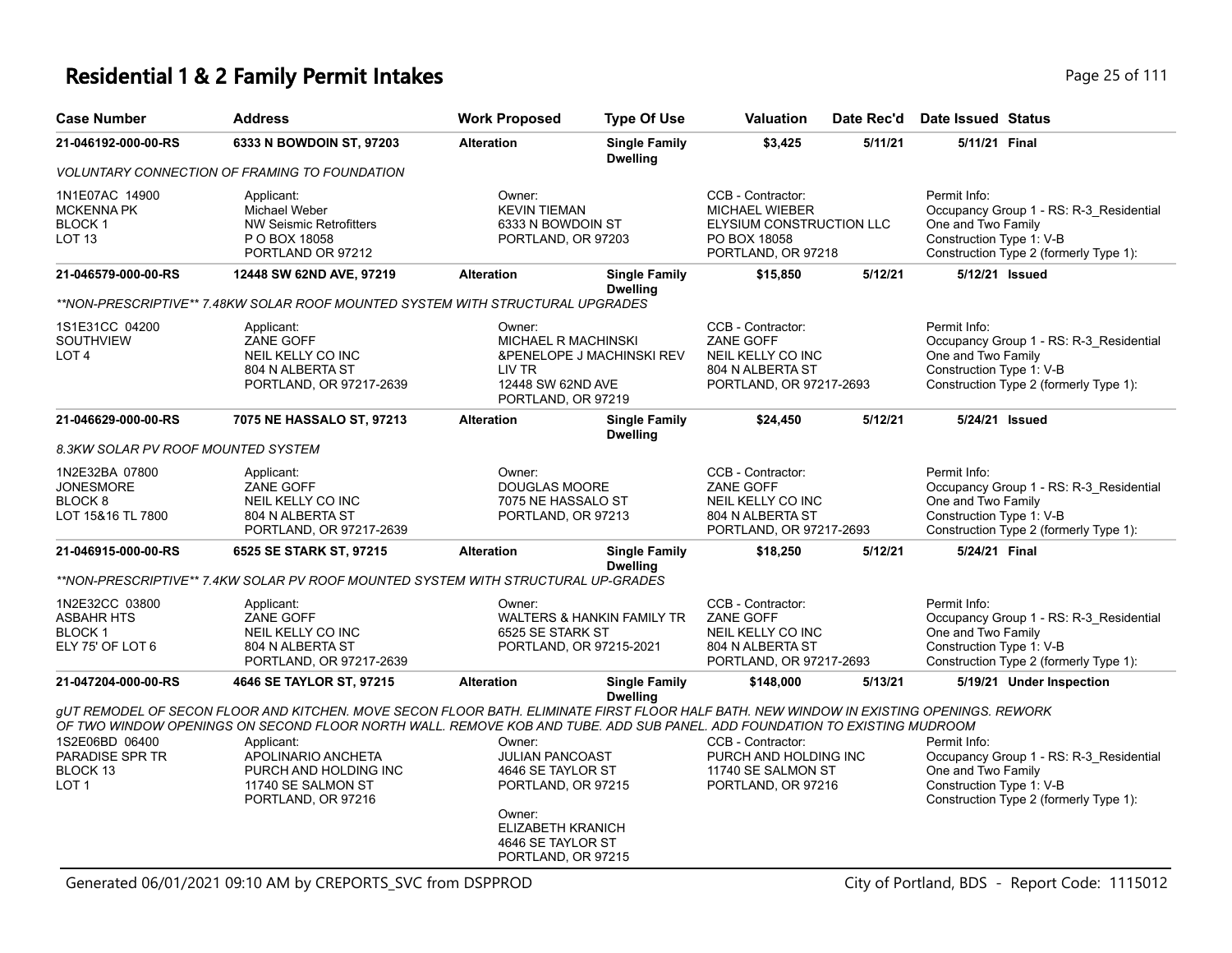### **Residential 1 & 2 Family Permit Intakes Page 25 of 111**

| <b>Case Number</b>                                                        | <b>Address</b>                                                                                                                                                                                                                                                       | <b>Work Proposed</b>                                                                                                                                  | <b>Type Of Use</b>                      | <b>Valuation</b>                                                                                             | Date Rec'd | Date Issued Status                                                                                                                                  |
|---------------------------------------------------------------------------|----------------------------------------------------------------------------------------------------------------------------------------------------------------------------------------------------------------------------------------------------------------------|-------------------------------------------------------------------------------------------------------------------------------------------------------|-----------------------------------------|--------------------------------------------------------------------------------------------------------------|------------|-----------------------------------------------------------------------------------------------------------------------------------------------------|
| 21-046192-000-00-RS                                                       | 6333 N BOWDOIN ST, 97203                                                                                                                                                                                                                                             | <b>Alteration</b>                                                                                                                                     | <b>Single Family</b><br><b>Dwelling</b> | \$3,425                                                                                                      | 5/11/21    | 5/11/21 Final                                                                                                                                       |
|                                                                           | <b>VOLUNTARY CONNECTION OF FRAMING TO FOUNDATION</b>                                                                                                                                                                                                                 |                                                                                                                                                       |                                         |                                                                                                              |            |                                                                                                                                                     |
| 1N1E07AC 14900<br><b>MCKENNA PK</b><br><b>BLOCK1</b><br>LOT <sub>13</sub> | Applicant:<br>Michael Weber<br><b>NW Seismic Retrofitters</b><br>P O BOX 18058<br>PORTLAND OR 97212                                                                                                                                                                  | Owner:<br><b>KEVIN TIEMAN</b><br>6333 N BOWDOIN ST<br>PORTLAND, OR 97203                                                                              |                                         | CCB - Contractor:<br><b>MICHAEL WIEBER</b><br>ELYSIUM CONSTRUCTION LLC<br>PO BOX 18058<br>PORTLAND, OR 97218 |            | Permit Info:<br>Occupancy Group 1 - RS: R-3_Residential<br>One and Two Family<br>Construction Type 1: V-B<br>Construction Type 2 (formerly Type 1): |
| 21-046579-000-00-RS                                                       | 12448 SW 62ND AVE, 97219                                                                                                                                                                                                                                             | <b>Alteration</b>                                                                                                                                     | <b>Single Family</b><br><b>Dwelling</b> | \$15,850                                                                                                     | 5/12/21    | 5/12/21 Issued                                                                                                                                      |
|                                                                           | **NON-PRESCRIPTIVE** 7.48KW SOLAR ROOF MOUNTED SYSTEM WITH STRUCTURAL UPGRADES                                                                                                                                                                                       |                                                                                                                                                       |                                         |                                                                                                              |            |                                                                                                                                                     |
| 1S1E31CC 04200<br>SOUTHVIEW<br>LOT <sub>4</sub>                           | Applicant:<br>ZANE GOFF<br>NEIL KELLY CO INC<br>804 N ALBERTA ST<br>PORTLAND, OR 97217-2639                                                                                                                                                                          | Owner:<br><b>MICHAEL R MACHINSKI</b><br>LIV TR<br>12448 SW 62ND AVE<br>PORTLAND, OR 97219                                                             | &PENELOPE J MACHINSKI REV               | CCB - Contractor:<br>ZANE GOFF<br>NEIL KELLY CO INC<br>804 N ALBERTA ST<br>PORTLAND, OR 97217-2693           |            | Permit Info:<br>Occupancy Group 1 - RS: R-3 Residential<br>One and Two Family<br>Construction Type 1: V-B<br>Construction Type 2 (formerly Type 1): |
| 21-046629-000-00-RS                                                       | 7075 NE HASSALO ST, 97213                                                                                                                                                                                                                                            | <b>Alteration</b>                                                                                                                                     | <b>Single Family</b><br><b>Dwelling</b> | \$24,450                                                                                                     | 5/12/21    | 5/24/21 Issued                                                                                                                                      |
| 8.3KW SOLAR PV ROOF MOUNTED SYSTEM                                        |                                                                                                                                                                                                                                                                      |                                                                                                                                                       |                                         |                                                                                                              |            |                                                                                                                                                     |
| 1N2E32BA 07800<br><b>JONESMORE</b><br><b>BLOCK 8</b><br>LOT 15&16 TL 7800 | Applicant:<br>ZANE GOFF<br>NEIL KELLY CO INC<br>804 N ALBERTA ST<br>PORTLAND, OR 97217-2639                                                                                                                                                                          | Owner:<br><b>DOUGLAS MOORE</b><br>7075 NE HASSALO ST<br>PORTLAND, OR 97213                                                                            |                                         | CCB - Contractor:<br>ZANE GOFF<br>NEIL KELLY CO INC<br>804 N ALBERTA ST<br>PORTLAND, OR 97217-2693           |            | Permit Info:<br>Occupancy Group 1 - RS: R-3_Residential<br>One and Two Family<br>Construction Type 1: V-B<br>Construction Type 2 (formerly Type 1): |
| 21-046915-000-00-RS                                                       | 6525 SE STARK ST, 97215                                                                                                                                                                                                                                              | <b>Alteration</b>                                                                                                                                     | <b>Single Family</b><br><b>Dwelling</b> | \$18,250                                                                                                     | 5/12/21    | 5/24/21 Final                                                                                                                                       |
|                                                                           | **NON-PRESCRIPTIVE** 7.4KW SOLAR PV ROOF MOUNTED SYSTEM WITH STRUCTURAL UP-GRADES                                                                                                                                                                                    |                                                                                                                                                       |                                         |                                                                                                              |            |                                                                                                                                                     |
| 1N2E32CC 03800<br>ASBAHR HTS<br><b>BLOCK1</b><br>ELY 75' OF LOT 6         | Applicant:<br>ZANE GOFF<br>NEIL KELLY CO INC<br>804 N ALBERTA ST<br>PORTLAND, OR 97217-2639                                                                                                                                                                          | Owner:<br>6525 SE STARK ST<br>PORTLAND, OR 97215-2021                                                                                                 | <b>WALTERS &amp; HANKIN FAMILY TR</b>   | CCB - Contractor:<br><b>ZANE GOFF</b><br>NEIL KELLY CO INC<br>804 N ALBERTA ST<br>PORTLAND, OR 97217-2693    |            | Permit Info:<br>Occupancy Group 1 - RS: R-3_Residential<br>One and Two Family<br>Construction Type 1: V-B<br>Construction Type 2 (formerly Type 1): |
| 21-047204-000-00-RS                                                       | 4646 SE TAYLOR ST, 97215                                                                                                                                                                                                                                             | <b>Alteration</b>                                                                                                                                     | <b>Single Family</b><br><b>Dwelling</b> | \$148,000                                                                                                    | 5/13/21    | 5/19/21 Under Inspection                                                                                                                            |
|                                                                           | gUT REMODEL OF SECON FLOOR AND KITCHEN. MOVE SECON FLOOR BATH. ELIMINATE FIRST FLOOR HALF BATH. NEW WINDOW IN EXISTING OPENINGS. REWORK<br>OF TWO WINDOW OPENINGS ON SECOND FLOOR NORTH WALL. REMOVE KOB AND TUBE. ADD SUB PANEL. ADD FOUNDATION TO EXISTING MUDROOM |                                                                                                                                                       |                                         |                                                                                                              |            |                                                                                                                                                     |
| 1S2E06BD 06400<br>PARADISE SPR TR<br>BLOCK 13<br>LOT <sub>1</sub>         | Applicant:<br>APOLINARIO ANCHETA<br>PURCH AND HOLDING INC<br>11740 SE SALMON ST<br>PORTLAND, OR 97216                                                                                                                                                                | Owner:<br><b>JULIAN PANCOAST</b><br>4646 SE TAYLOR ST<br>PORTLAND, OR 97215<br>Owner:<br>ELIZABETH KRANICH<br>4646 SE TAYLOR ST<br>PORTLAND, OR 97215 |                                         | CCB - Contractor:<br>PURCH AND HOLDING INC<br>11740 SE SALMON ST<br>PORTLAND, OR 97216                       |            | Permit Info:<br>Occupancy Group 1 - RS: R-3_Residential<br>One and Two Family<br>Construction Type 1: V-B<br>Construction Type 2 (formerly Type 1): |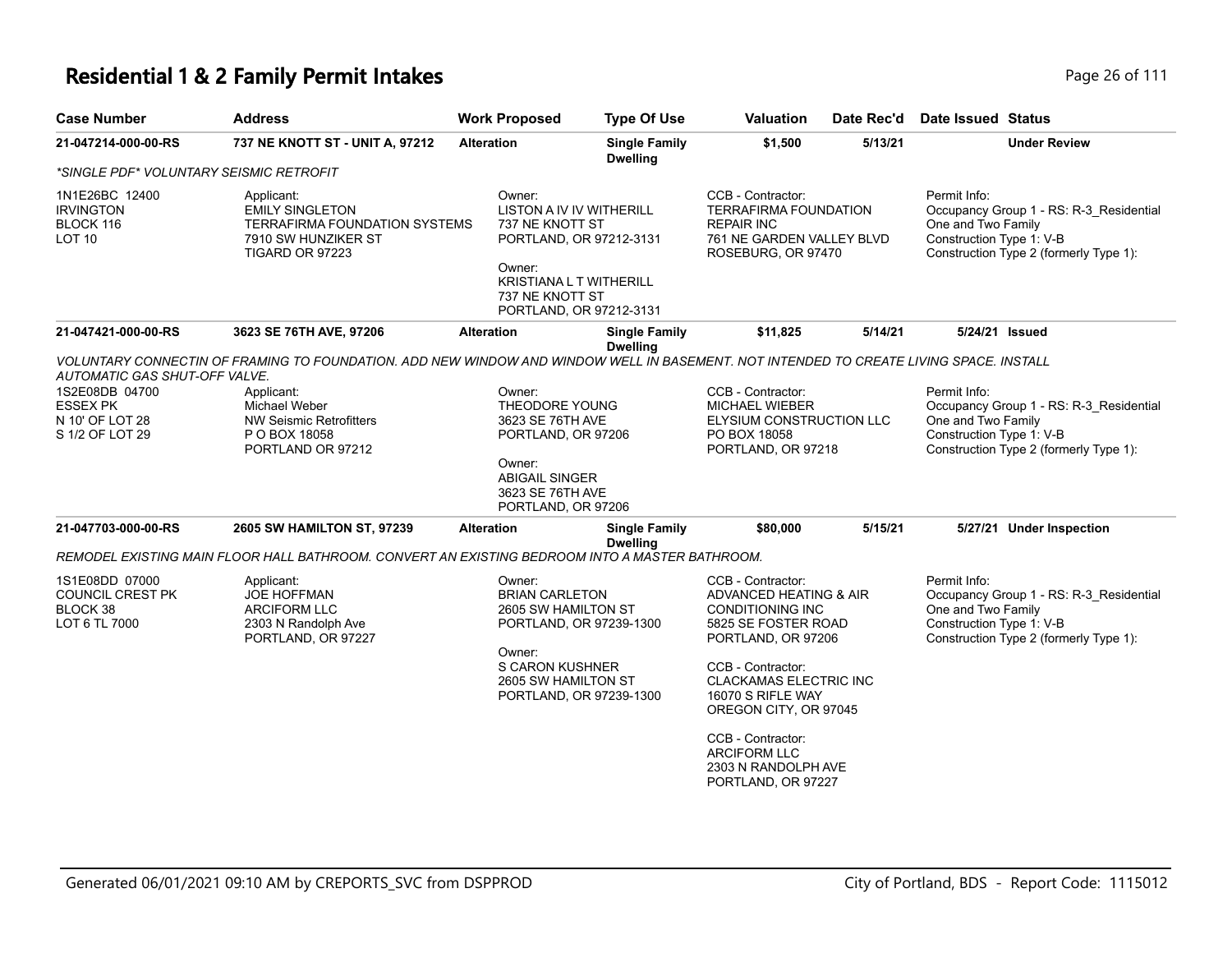| <b>Case Number</b>                                                                                       | <b>Address</b>                                                                                                                                                                                                                                | <b>Work Proposed</b>                                                                                                                                                              | <b>Type Of Use</b>                      | Valuation                                                                                                                                                                                                                                                           | Date Rec'd | <b>Date Issued Status</b>                                                                                                                           |
|----------------------------------------------------------------------------------------------------------|-----------------------------------------------------------------------------------------------------------------------------------------------------------------------------------------------------------------------------------------------|-----------------------------------------------------------------------------------------------------------------------------------------------------------------------------------|-----------------------------------------|---------------------------------------------------------------------------------------------------------------------------------------------------------------------------------------------------------------------------------------------------------------------|------------|-----------------------------------------------------------------------------------------------------------------------------------------------------|
| 21-047214-000-00-RS                                                                                      | 737 NE KNOTT ST - UNIT A, 97212                                                                                                                                                                                                               | <b>Alteration</b>                                                                                                                                                                 | <b>Single Family</b><br><b>Dwelling</b> | \$1,500                                                                                                                                                                                                                                                             | 5/13/21    | <b>Under Review</b>                                                                                                                                 |
| *SINGLE PDF* VOLUNTARY SEISMIC RETROFIT                                                                  |                                                                                                                                                                                                                                               |                                                                                                                                                                                   |                                         |                                                                                                                                                                                                                                                                     |            |                                                                                                                                                     |
| 1N1E26BC 12400<br><b>IRVINGTON</b><br>BLOCK 116<br><b>LOT 10</b>                                         | Applicant:<br><b>EMILY SINGLETON</b><br><b>TERRAFIRMA FOUNDATION SYSTEMS</b><br>7910 SW HUNZIKER ST<br>TIGARD OR 97223                                                                                                                        | Owner:<br><b>LISTON A IV IV WITHERILL</b><br>737 NE KNOTT ST<br>PORTLAND, OR 97212-3131<br>Owner:<br><b>KRISTIANA L T WITHERILL</b><br>737 NE KNOTT ST<br>PORTLAND, OR 97212-3131 |                                         | CCB - Contractor:<br><b>TERRAFIRMA FOUNDATION</b><br><b>REPAIR INC</b><br>761 NE GARDEN VALLEY BLVD<br>ROSEBURG, OR 97470                                                                                                                                           |            | Permit Info:<br>Occupancy Group 1 - RS: R-3_Residential<br>One and Two Family<br>Construction Type 1: V-B<br>Construction Type 2 (formerly Type 1): |
| 21-047421-000-00-RS                                                                                      | 3623 SE 76TH AVE, 97206                                                                                                                                                                                                                       | <b>Alteration</b>                                                                                                                                                                 | <b>Single Family</b><br><b>Dwelling</b> | \$11,825                                                                                                                                                                                                                                                            | 5/14/21    | 5/24/21 Issued                                                                                                                                      |
| AUTOMATIC GAS SHUT-OFF VALVE.<br>1S2E08DB 04700<br><b>ESSEX PK</b><br>N 10' OF LOT 28<br>S 1/2 OF LOT 29 | VOLUNTARY CONNECTIN OF FRAMING TO FOUNDATION. ADD NEW WINDOW AND WINDOW WELL IN BASEMENT. NOT INTENDED TO CREATE LIVING SPACE. INSTALL<br>Applicant:<br>Michael Weber<br><b>NW Seismic Retrofitters</b><br>P O BOX 18058<br>PORTLAND OR 97212 | Owner:<br>THEODORE YOUNG<br>3623 SE 76TH AVE<br>PORTLAND, OR 97206<br>Owner:<br><b>ABIGAIL SINGER</b><br>3623 SE 76TH AVE<br>PORTLAND, OR 97206                                   |                                         | CCB - Contractor:<br><b>MICHAEL WIEBER</b><br>ELYSIUM CONSTRUCTION LLC<br>PO BOX 18058<br>PORTLAND, OR 97218                                                                                                                                                        |            | Permit Info:<br>Occupancy Group 1 - RS: R-3_Residential<br>One and Two Family<br>Construction Type 1: V-B<br>Construction Type 2 (formerly Type 1): |
| 21-047703-000-00-RS                                                                                      | 2605 SW HAMILTON ST, 97239                                                                                                                                                                                                                    | <b>Alteration</b>                                                                                                                                                                 | <b>Single Family</b><br><b>Dwelling</b> | \$80,000                                                                                                                                                                                                                                                            | 5/15/21    | 5/27/21 Under Inspection                                                                                                                            |
|                                                                                                          | REMODEL EXISTING MAIN FLOOR HALL BATHROOM. CONVERT AN EXISTING BEDROOM INTO A MASTER BATHROOM.                                                                                                                                                |                                                                                                                                                                                   |                                         |                                                                                                                                                                                                                                                                     |            |                                                                                                                                                     |
| 1S1E08DD 07000<br>COUNCIL CREST PK<br>BLOCK 38<br>LOT 6 TL 7000                                          | Applicant:<br><b>JOE HOFFMAN</b><br><b>ARCIFORM LLC</b><br>2303 N Randolph Ave<br>PORTLAND, OR 97227                                                                                                                                          | Owner:<br><b>BRIAN CARLETON</b><br>2605 SW HAMILTON ST<br>PORTLAND, OR 97239-1300<br>Owner:<br>S CARON KUSHNER<br>2605 SW HAMILTON ST<br>PORTLAND, OR 97239-1300                  |                                         | CCB - Contractor:<br>ADVANCED HEATING & AIR<br><b>CONDITIONING INC</b><br>5825 SE FOSTER ROAD<br>PORTLAND, OR 97206<br>CCB - Contractor:<br><b>CLACKAMAS ELECTRIC INC</b><br>16070 S RIFLE WAY<br>OREGON CITY, OR 97045<br>CCB - Contractor:<br><b>ARCIFORM LLC</b> |            | Permit Info:<br>Occupancy Group 1 - RS: R-3_Residential<br>One and Two Family<br>Construction Type 1: V-B<br>Construction Type 2 (formerly Type 1): |
|                                                                                                          |                                                                                                                                                                                                                                               |                                                                                                                                                                                   |                                         | 2303 N RANDOLPH AVE<br>PORTLAND, OR 97227                                                                                                                                                                                                                           |            |                                                                                                                                                     |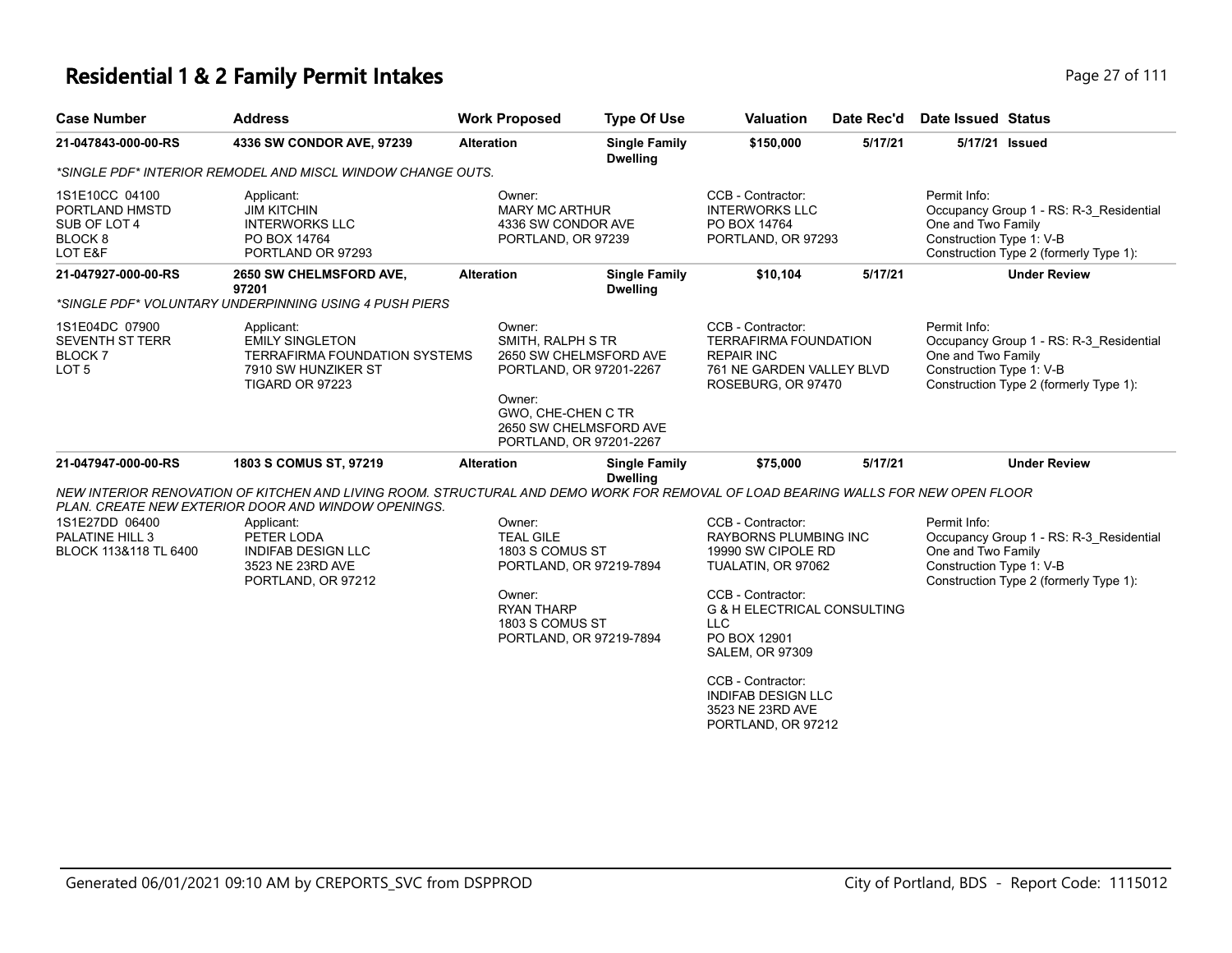#### **Residential 1 & 2 Family Permit Intakes Page 27 of 111**

| <b>Case Number</b>                                                                | <b>Address</b>                                                                                                                                                                           | <b>Work Proposed</b>                                                                                                       | <b>Type Of Use</b>                               | <b>Valuation</b>                                                                                                                                                           | Date Rec'd | Date Issued Status                                                                                                                                  |
|-----------------------------------------------------------------------------------|------------------------------------------------------------------------------------------------------------------------------------------------------------------------------------------|----------------------------------------------------------------------------------------------------------------------------|--------------------------------------------------|----------------------------------------------------------------------------------------------------------------------------------------------------------------------------|------------|-----------------------------------------------------------------------------------------------------------------------------------------------------|
| 21-047843-000-00-RS                                                               | 4336 SW CONDOR AVE, 97239                                                                                                                                                                | <b>Alteration</b>                                                                                                          | <b>Single Family</b><br><b>Dwelling</b>          | \$150,000                                                                                                                                                                  | 5/17/21    | 5/17/21 Issued                                                                                                                                      |
|                                                                                   | *SINGLE PDF* INTERIOR REMODEL AND MISCL WINDOW CHANGE OUTS.                                                                                                                              |                                                                                                                            |                                                  |                                                                                                                                                                            |            |                                                                                                                                                     |
| 1S1E10CC 04100<br>PORTLAND HMSTD<br>SUB OF LOT 4<br>BLOCK <sub>8</sub><br>LOT E&F | Applicant:<br><b>JIM KITCHIN</b><br><b>INTERWORKS LLC</b><br>PO BOX 14764<br>PORTLAND OR 97293                                                                                           | Owner:<br><b>MARY MC ARTHUR</b><br>4336 SW CONDOR AVE<br>PORTLAND, OR 97239                                                |                                                  | CCB - Contractor:<br><b>INTERWORKS LLC</b><br>PO BOX 14764<br>PORTLAND, OR 97293                                                                                           |            | Permit Info:<br>Occupancy Group 1 - RS: R-3 Residential<br>One and Two Family<br>Construction Type 1: V-B<br>Construction Type 2 (formerly Type 1): |
| 21-047927-000-00-RS                                                               | <b>2650 SW CHELMSFORD AVE,</b><br>97201                                                                                                                                                  | <b>Alteration</b>                                                                                                          | <b>Single Family</b><br><b>Dwelling</b>          | \$10,104                                                                                                                                                                   | 5/17/21    | <b>Under Review</b>                                                                                                                                 |
|                                                                                   | *SINGLE PDF* VOLUNTARY UNDERPINNING USING 4 PUSH PIERS                                                                                                                                   |                                                                                                                            |                                                  |                                                                                                                                                                            |            |                                                                                                                                                     |
| 1S1E04DC 07900<br><b>SEVENTH ST TERR</b><br><b>BLOCK7</b><br>LOT <sub>5</sub>     | Applicant:<br><b>EMILY SINGLETON</b><br><b>TERRAFIRMA FOUNDATION SYSTEMS</b><br>7910 SW HUNZIKER ST<br><b>TIGARD OR 97223</b>                                                            | Owner:<br>SMITH, RALPH STR<br>PORTLAND, OR 97201-2267<br>Owner:<br>GWO, CHE-CHEN C TR<br>PORTLAND, OR 97201-2267           | 2650 SW CHELMSFORD AVE<br>2650 SW CHELMSFORD AVE | CCB - Contractor:<br><b>TERRAFIRMA FOUNDATION</b><br><b>REPAIR INC</b><br>761 NE GARDEN VALLEY BLVD<br>ROSEBURG, OR 97470                                                  |            | Permit Info:<br>Occupancy Group 1 - RS: R-3 Residential<br>One and Two Family<br>Construction Type 1: V-B<br>Construction Type 2 (formerly Type 1): |
| 21-047947-000-00-RS                                                               | 1803 S COMUS ST, 97219                                                                                                                                                                   | <b>Alteration</b>                                                                                                          | <b>Single Family</b><br><b>Dwelling</b>          | \$75,000                                                                                                                                                                   | 5/17/21    | <b>Under Review</b>                                                                                                                                 |
|                                                                                   | NEW INTERIOR RENOVATION OF KITCHEN AND LIVING ROOM. STRUCTURAL AND DEMO WORK FOR REMOVAL OF LOAD BEARING WALLS FOR NEW OPEN FLOOR<br>PLAN. CREATE NEW EXTERIOR DOOR AND WINDOW OPENINGS. |                                                                                                                            |                                                  |                                                                                                                                                                            |            |                                                                                                                                                     |
| 1S1E27DD 06400<br>PALATINE HILL 3<br>BLOCK 113&118 TL 6400                        | Applicant:<br>PETER LODA<br><b>INDIFAB DESIGN LLC</b><br>3523 NE 23RD AVE<br>PORTLAND, OR 97212                                                                                          | Owner:<br><b>TEAL GILE</b><br>1803 S COMUS ST<br>PORTLAND, OR 97219-7894<br>Owner:<br><b>RYAN THARP</b><br>1803 S COMUS ST |                                                  | CCB - Contractor:<br><b>RAYBORNS PLUMBING INC</b><br>19990 SW CIPOLE RD<br>TUALATIN, OR 97062<br>CCB - Contractor:<br><b>G &amp; H ELECTRICAL CONSULTING</b><br><b>LLC</b> |            | Permit Info:<br>Occupancy Group 1 - RS: R-3 Residential<br>One and Two Family<br>Construction Type 1: V-B<br>Construction Type 2 (formerly Type 1): |

PORTLAND, OR 97219-7894

PO BOX 12901 SALEM, OR 97309 CCB - Contractor: INDIFAB DESIGN LLC 3523 NE 23RD AVE PORTLAND, OR 97212

Generated 06/01/2021 09:10 AM by CREPORTS\_SVC from DSPPROD City of Portland, BDS - Report Code: 1115012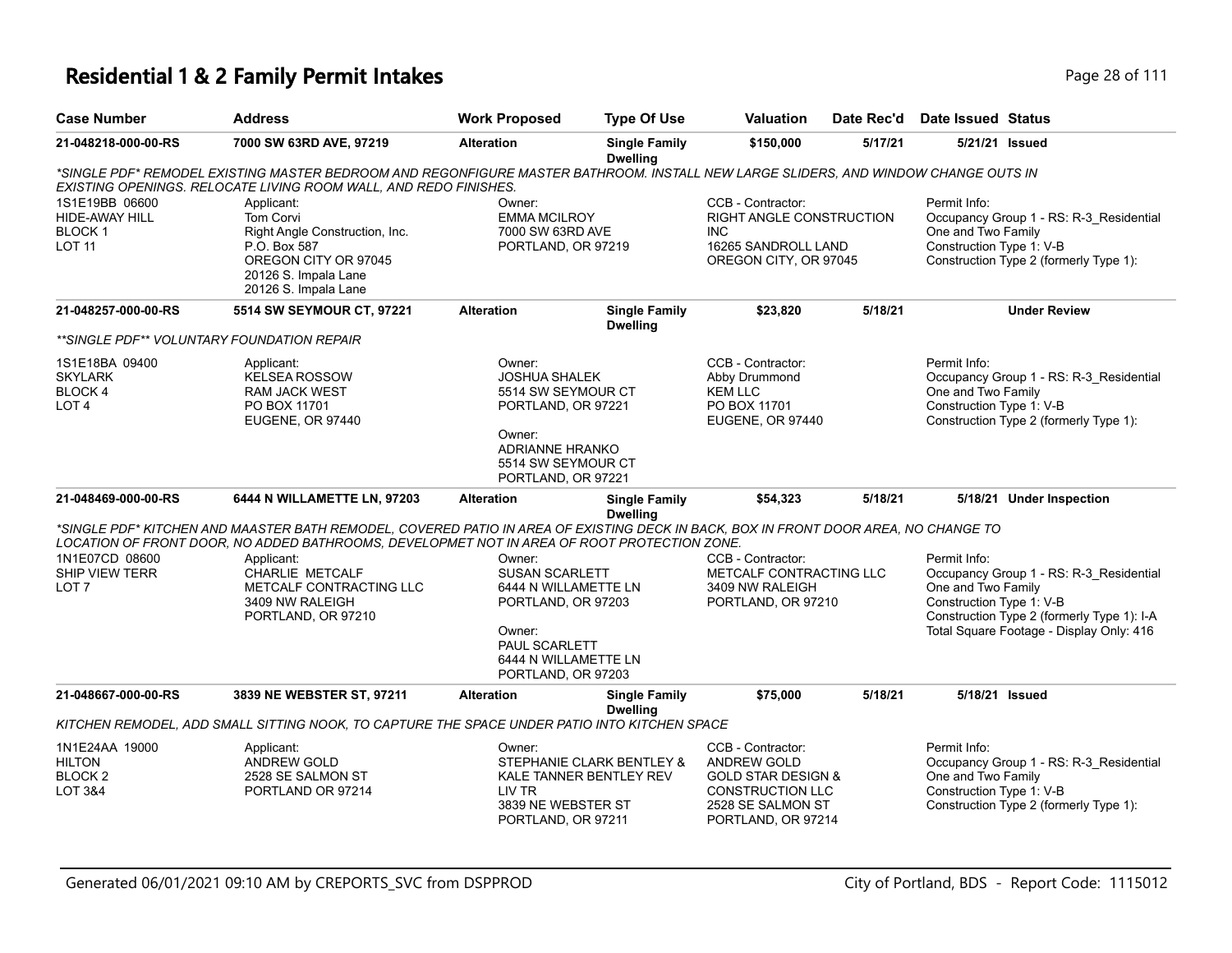#### **Residential 1 & 2 Family Permit Intakes Page 28 of 111**

| <b>Case Number</b>                                                 | <b>Address</b>                                                                                                                                                                                         | <b>Work Proposed</b>                                                                      | <b>Type Of Use</b>                      | <b>Valuation</b>                                                                                      | Date Rec'd | Date Issued Status                                             |                                                                                   |
|--------------------------------------------------------------------|--------------------------------------------------------------------------------------------------------------------------------------------------------------------------------------------------------|-------------------------------------------------------------------------------------------|-----------------------------------------|-------------------------------------------------------------------------------------------------------|------------|----------------------------------------------------------------|-----------------------------------------------------------------------------------|
| 21-048218-000-00-RS                                                | 7000 SW 63RD AVE, 97219                                                                                                                                                                                | <b>Alteration</b>                                                                         | <b>Single Family</b><br><b>Dwelling</b> | \$150,000                                                                                             | 5/17/21    |                                                                | 5/21/21 Issued                                                                    |
|                                                                    | *SINGLE PDF* REMODEL EXISTING MASTER BEDROOM AND REGONFIGURE MASTER BATHROOM. INSTALL NEW LARGE SLIDERS, AND WINDOW CHANGE OUTS IN<br>EXISTING OPENINGS. RELOCATE LIVING ROOM WALL, AND REDO FINISHES. |                                                                                           |                                         |                                                                                                       |            |                                                                |                                                                                   |
| 1S1E19BB 06600<br>HIDE-AWAY HILL<br><b>BLOCK1</b><br><b>LOT 11</b> | Applicant:<br><b>Tom Corvi</b><br>Right Angle Construction, Inc.<br>P.O. Box 587<br>OREGON CITY OR 97045<br>20126 S. Impala Lane<br>20126 S. Impala Lane                                               | Owner:<br><b>EMMA MCILROY</b><br>7000 SW 63RD AVE<br>PORTLAND, OR 97219                   |                                         | CCB - Contractor:<br>RIGHT ANGLE CONSTRUCTION<br>INC.<br>16265 SANDROLL LAND<br>OREGON CITY, OR 97045 |            | Permit Info:<br>One and Two Family<br>Construction Type 1: V-B | Occupancy Group 1 - RS: R-3 Residential<br>Construction Type 2 (formerly Type 1): |
| 21-048257-000-00-RS                                                | 5514 SW SEYMOUR CT, 97221                                                                                                                                                                              | <b>Alteration</b>                                                                         | <b>Single Family</b><br><b>Dwelling</b> | \$23,820                                                                                              | 5/18/21    |                                                                | <b>Under Review</b>                                                               |
|                                                                    | **SINGLE PDF** VOLUNTARY FOUNDATION REPAIR                                                                                                                                                             |                                                                                           |                                         |                                                                                                       |            |                                                                |                                                                                   |
| 1S1E18BA 09400<br><b>SKYLARK</b><br>BLOCK 4<br>LOT <sub>4</sub>    | Applicant:<br><b>KELSEA ROSSOW</b><br><b>RAM JACK WEST</b><br>PO BOX 11701<br><b>EUGENE, OR 97440</b>                                                                                                  | Owner:<br>JOSHUA SHALEK<br>5514 SW SEYMOUR CT<br>PORTLAND, OR 97221<br>Owner <sup>.</sup> |                                         | CCB - Contractor:<br>Abby Drummond<br><b>KEM LLC</b><br>PO BOX 11701<br>EUGENE, OR 97440              |            | Permit Info:<br>One and Two Family<br>Construction Type 1: V-B | Occupancy Group 1 - RS: R-3 Residential<br>Construction Type 2 (formerly Type 1): |

Owner: ADRIANNE HRANKO 5514 SW SEYMOUR CT PORTLAND, OR 97221

| 21-048469-000-00-RS                                              | 6444 N WILLAMETTE LN, 97203                                                                                                                                                                                                        | <b>Alteration</b>                                                 | <b>Single Family</b><br><b>Dwelling</b>                                                          | \$54,323                                                                                                                                | 5/18/21 | 5/18/21 Under Inspection                                                                                                                                                                            |  |
|------------------------------------------------------------------|------------------------------------------------------------------------------------------------------------------------------------------------------------------------------------------------------------------------------------|-------------------------------------------------------------------|--------------------------------------------------------------------------------------------------|-----------------------------------------------------------------------------------------------------------------------------------------|---------|-----------------------------------------------------------------------------------------------------------------------------------------------------------------------------------------------------|--|
|                                                                  | *SINGLE PDF* KITCHEN AND MAASTER BATH REMODEL. COVERED PATIO IN AREA OF EXISTING DECK IN BACK. BOX IN FRONT DOOR AREA. NO CHANGE TO<br>LOCATION OF FRONT DOOR, NO ADDED BATHROOMS, DEVELOPMET NOT IN AREA OF ROOT PROTECTION ZONE. |                                                                   |                                                                                                  |                                                                                                                                         |         |                                                                                                                                                                                                     |  |
| 1N1E07CD 08600<br><b>SHIP VIEW TERR</b><br>LOT <sub>7</sub>      | Applicant:<br>CHARLIE METCALF<br>METCALF CONTRACTING LLC<br>3409 NW RALEIGH<br>PORTLAND, OR 97210                                                                                                                                  | Owner:<br><b>SUSAN SCARLETT</b><br>Owner:<br><b>PAUL SCARLETT</b> | 6444 N WILLAMETTE LN<br>PORTLAND, OR 97203<br>6444 N WILLAMETTE LN<br>PORTLAND, OR 97203         | CCB - Contractor:<br>METCALF CONTRACTING LLC<br>3409 NW RALEIGH<br>PORTLAND, OR 97210                                                   |         | Permit Info:<br>Occupancy Group 1 - RS: R-3 Residential<br>One and Two Family<br>Construction Type 1: V-B<br>Construction Type 2 (formerly Type 1): I-A<br>Total Square Footage - Display Only: 416 |  |
| 21-048667-000-00-RS                                              | 3839 NE WEBSTER ST, 97211                                                                                                                                                                                                          | <b>Alteration</b>                                                 | <b>Single Family</b><br><b>Dwelling</b>                                                          | \$75,000                                                                                                                                | 5/18/21 | 5/18/21 Issued                                                                                                                                                                                      |  |
|                                                                  | KITCHEN REMODEL, ADD SMALL SITTING NOOK, TO CAPTURE THE SPACE UNDER PATIO INTO KITCHEN SPACE                                                                                                                                       |                                                                   |                                                                                                  |                                                                                                                                         |         |                                                                                                                                                                                                     |  |
| 1N1E24AA 19000<br><b>HILTON</b><br>BLOCK <sub>2</sub><br>LOT 3&4 | Applicant:<br>ANDREW GOLD<br>2528 SE SALMON ST<br>PORTLAND OR 97214                                                                                                                                                                | Owner:<br>LIV TR                                                  | STEPHANIE CLARK BENTLEY &<br>KALE TANNER BENTLEY REV<br>3839 NE WEBSTER ST<br>PORTLAND, OR 97211 | CCB - Contractor:<br>ANDREW GOLD<br><b>GOLD STAR DESIGN &amp;</b><br><b>CONSTRUCTION LLC</b><br>2528 SE SALMON ST<br>PORTLAND, OR 97214 |         | Permit Info:<br>Occupancy Group 1 - RS: R-3 Residential<br>One and Two Family<br>Construction Type 1: V-B<br>Construction Type 2 (formerly Type 1):                                                 |  |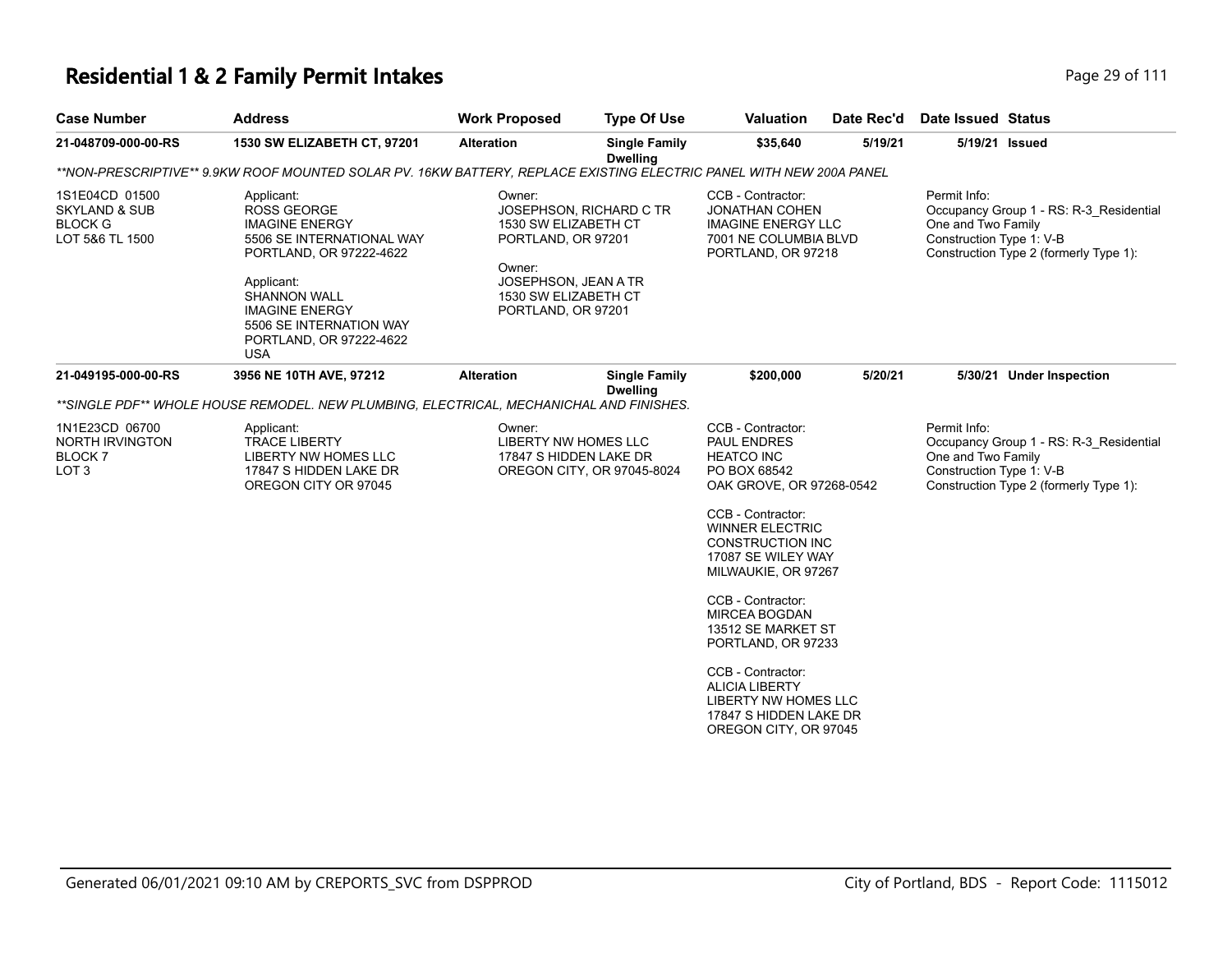# **Residential 1 & 2 Family Permit Intakes Page 29 of 111**

| Page 29 of |
|------------|
|            |

| <b>Case Number</b>                                                              | <b>Address</b>                                                                                                                                                                                                                                      | <b>Work Proposed</b>                                                                                                                 | <b>Type Of Use</b>                      | <b>Valuation</b>                                                                                                                                                                                                                                                                                                                                                                                                                           | Date Rec'd | Date Issued Status                                                                                                                                  |  |  |  |  |
|---------------------------------------------------------------------------------|-----------------------------------------------------------------------------------------------------------------------------------------------------------------------------------------------------------------------------------------------------|--------------------------------------------------------------------------------------------------------------------------------------|-----------------------------------------|--------------------------------------------------------------------------------------------------------------------------------------------------------------------------------------------------------------------------------------------------------------------------------------------------------------------------------------------------------------------------------------------------------------------------------------------|------------|-----------------------------------------------------------------------------------------------------------------------------------------------------|--|--|--|--|
| 21-048709-000-00-RS                                                             | 1530 SW ELIZABETH CT, 97201                                                                                                                                                                                                                         | <b>Alteration</b>                                                                                                                    | <b>Single Family</b><br><b>Dwelling</b> | \$35,640                                                                                                                                                                                                                                                                                                                                                                                                                                   | 5/19/21    | 5/19/21 Issued                                                                                                                                      |  |  |  |  |
|                                                                                 | **NON-PRESCRIPTIVE** 9.9KW ROOF MOUNTED SOLAR PV. 16KW BATTERY, REPLACE EXISTING ELECTRIC PANEL WITH NEW 200A PANEL                                                                                                                                 |                                                                                                                                      |                                         |                                                                                                                                                                                                                                                                                                                                                                                                                                            |            |                                                                                                                                                     |  |  |  |  |
| 1S1E04CD 01500<br><b>SKYLAND &amp; SUB</b><br><b>BLOCK G</b><br>LOT 5&6 TL 1500 | Applicant:<br><b>ROSS GEORGE</b><br><b>IMAGINE ENERGY</b><br>5506 SE INTERNATIONAL WAY<br>PORTLAND, OR 97222-4622<br>Applicant:<br><b>SHANNON WALL</b><br><b>IMAGINE ENERGY</b><br>5506 SE INTERNATION WAY<br>PORTLAND, OR 97222-4622<br><b>USA</b> | Owner:<br>1530 SW ELIZABETH CT<br>PORTLAND, OR 97201<br>Owner:<br>JOSEPHSON, JEAN A TR<br>1530 SW ELIZABETH CT<br>PORTLAND, OR 97201 | JOSEPHSON, RICHARD C TR                 | CCB - Contractor:<br><b>JONATHAN COHEN</b><br><b>IMAGINE ENERGY LLC</b><br>7001 NE COLUMBIA BLVD<br>PORTLAND, OR 97218                                                                                                                                                                                                                                                                                                                     |            | Permit Info:<br>Occupancy Group 1 - RS: R-3_Residential<br>One and Two Family<br>Construction Type 1: V-B<br>Construction Type 2 (formerly Type 1): |  |  |  |  |
| 21-049195-000-00-RS                                                             | 3956 NE 10TH AVE, 97212                                                                                                                                                                                                                             | <b>Alteration</b>                                                                                                                    | <b>Single Family</b>                    | \$200,000                                                                                                                                                                                                                                                                                                                                                                                                                                  | 5/20/21    | 5/30/21 Under Inspection                                                                                                                            |  |  |  |  |
|                                                                                 | **SINGLE PDF** WHOLE HOUSE REMODEL. NEW PLUMBING, ELECTRICAL, MECHANICHAL AND FINISHES.                                                                                                                                                             |                                                                                                                                      | <b>Dwelling</b>                         |                                                                                                                                                                                                                                                                                                                                                                                                                                            |            |                                                                                                                                                     |  |  |  |  |
| 1N1E23CD 06700<br><b>NORTH IRVINGTON</b><br><b>BLOCK7</b><br>LOT <sub>3</sub>   | Applicant:<br><b>TRACE LIBERTY</b><br>LIBERTY NW HOMES LLC<br>17847 S HIDDEN LAKE DR<br>OREGON CITY OR 97045                                                                                                                                        | Owner:<br>LIBERTY NW HOMES LLC<br>17847 S HIDDEN LAKE DR                                                                             | OREGON CITY, OR 97045-8024              | CCB - Contractor:<br><b>PAUL ENDRES</b><br><b>HEATCO INC</b><br>PO BOX 68542<br>OAK GROVE, OR 97268-0542<br>CCB - Contractor:<br><b>WINNER ELECTRIC</b><br>CONSTRUCTION INC<br>17087 SE WILEY WAY<br>MILWAUKIE, OR 97267<br>CCB - Contractor:<br><b>MIRCEA BOGDAN</b><br>13512 SE MARKET ST<br>PORTLAND, OR 97233<br>CCB - Contractor:<br><b>ALICIA LIBERTY</b><br>LIBERTY NW HOMES LLC<br>17847 S HIDDEN LAKE DR<br>OREGON CITY, OR 97045 |            | Permit Info:<br>Occupancy Group 1 - RS: R-3 Residential<br>One and Two Family<br>Construction Type 1: V-B<br>Construction Type 2 (formerly Type 1): |  |  |  |  |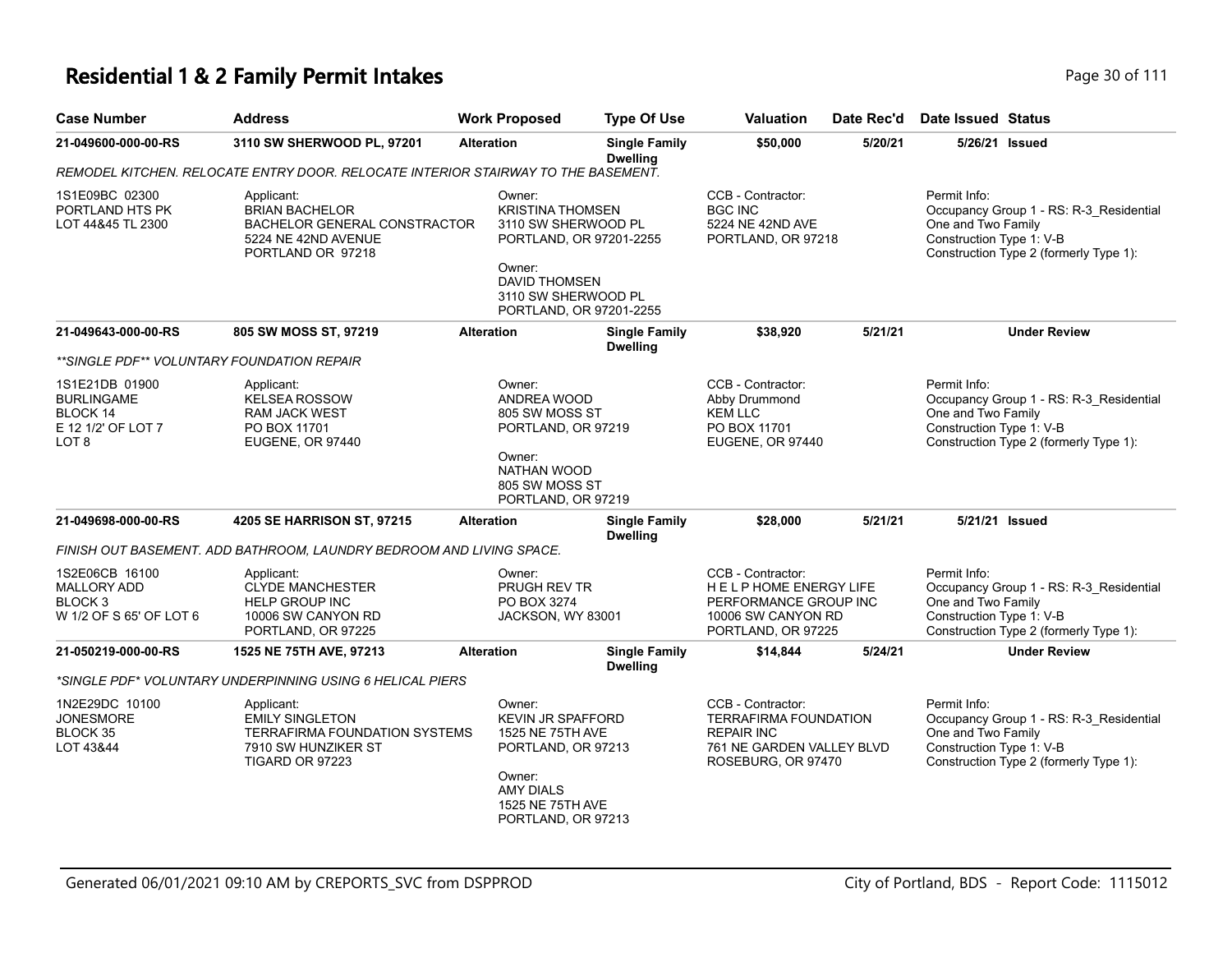#### **Residential 1 & 2 Family Permit Intakes Page 10 Of 111** Page 30 of 111

| Residential T& Z Failing Ferring Intakes<br>$1$ ayc JV UL III |                            |                      |                                         |                  |            |                    |  |  |
|---------------------------------------------------------------|----------------------------|----------------------|-----------------------------------------|------------------|------------|--------------------|--|--|
| Case Number                                                   | <b>Address</b>             | <b>Work Proposed</b> | Type Of Use                             | <b>Valuation</b> | Date Rec'd | Date Issued Status |  |  |
| 21-049600-000-00-RS                                           | 3110 SW SHERWOOD PL, 97201 | <b>Alteration</b>    | <b>Single Family</b><br><b>Dwelling</b> | \$50,000         | 5/20/21    | 5/26/21 Issued     |  |  |

#### **21-049600-000-00-RS 3110 SW SHERWOOD PL, 97201 Alteration Single Family Dwelling \$50,000 5/20/21 5/26/21 Issued** *REMODEL KITCHEN. RELOCATE ENTRY DOOR. RELOCATE INTERIOR STAIRWAY TO THE BASEMENT.* Permit Info: Occupancy Group 1 - RS: R-3\_Residential One and Two Family Construction Type 1: V-B Construction Type 2 (formerly Type 1): CCB - Contractor: BGC INC 5224 NE 42ND AVE PORTLAND, OR 97218 Owner: KRISTINA THOMSEN 3110 SW SHERWOOD PL PORTLAND, OR 97201-2255 Owner: DAVID THOMSEN 3110 SW SHERWOOD PL PORTLAND, OR 97201-2255 Applicant: BRIAN BACHELOR BACHELOR GENERAL CONSTRACTOR 5224 NE 42ND AVENUE PORTLAND OR 97218 1S1E09BC 02300 PORTLAND HTS PK LOT 44&45 TL 2300 **21-049643-000-00-RS 805 SW MOSS ST, 97219 Alteration Single Family Dwelling \$38,920 5/21/21 Under Review** *\*\*SINGLE PDF\*\* VOLUNTARY FOUNDATION REPAIR* Permit Info: Occupancy Group 1 - RS: R-3\_Residential One and Two Family Construction Type 1: V-B Construction Type 2 (formerly Type 1): CCB - Contractor: Abby Drummond KFM LLC PO BOX 11701 EUGENE, OR 97440 Owner: ANDREA WOOD 805 SW MOSS ST PORTLAND, OR 97219 Owner: NATHAN WOOD 805 SW MOSS ST PORTLAND, OR 97219 Applicant: KELSEA ROSSOW RAM JACK WEST PO BOX 11701 EUGENE, OR 97440 1S1E21DB 01900 BURLINGAME BLOCK 14 E 12 1/2' OF LOT 7 LOT 8 **21-049698-000-00-RS 4205 SE HARRISON ST, 97215 Alteration Single Family Dwelling \$28,000 5/21/21 5/21/21 Issued** *FINISH OUT BASEMENT. ADD BATHROOM, LAUNDRY BEDROOM AND LIVING SPACE.* Permit Info: Occupancy Group 1 - RS: R-3\_Residential One and Two Family Construction Type 1: V-B Construction Type 2 (formerly Type 1): CCB - Contractor: H E L P HOME ENERGY LIFE PERFORMANCE GROUP INC 10006 SW CANYON RD PORTLAND, OR 97225 Owner: PRUGH REV TR PO BOX 3274 JACKSON, WY 83001 Applicant: CLYDE MANCHESTER HELP GROUP INC 10006 SW CANYON RD PORTLAND, OR 97225 1S2E06CB 16100 MALLORY ADD BLOCK 3 W 1/2 OF S 65' OF LOT 6 **21-050219-000-00-RS 1525 NE 75TH AVE, 97213 Alteration Single Family Dwelling \$14,844 5/24/21 Under Review** *\*SINGLE PDF\* VOLUNTARY UNDERPINNING USING 6 HELICAL PIERS* Permit Info: Occupancy Group 1 - RS: R-3\_Residential One and Two Family Construction Type 1: V-B Construction Type 2 (formerly Type 1): CCB - Contractor: TERRAFIRMA FOUNDATION REPAIR INC 761 NE GARDEN VALLEY BLVD ROSEBURG, OR 97470 Owner: KEVIN JR SPAFFORD 1525 NE 75TH AVE PORTLAND, OR 97213 Owner: Applicant: EMILY SINGLETON TERRAFIRMA FOUNDATION SYSTEMS 7910 SW HUNZIKER ST TIGARD OR 97223 1N2E29DC 10100 JONESMORE BLOCK 35 LOT 43&44

AMY DIALS 1525 NE 75TH AVE PORTLAND, OR 97213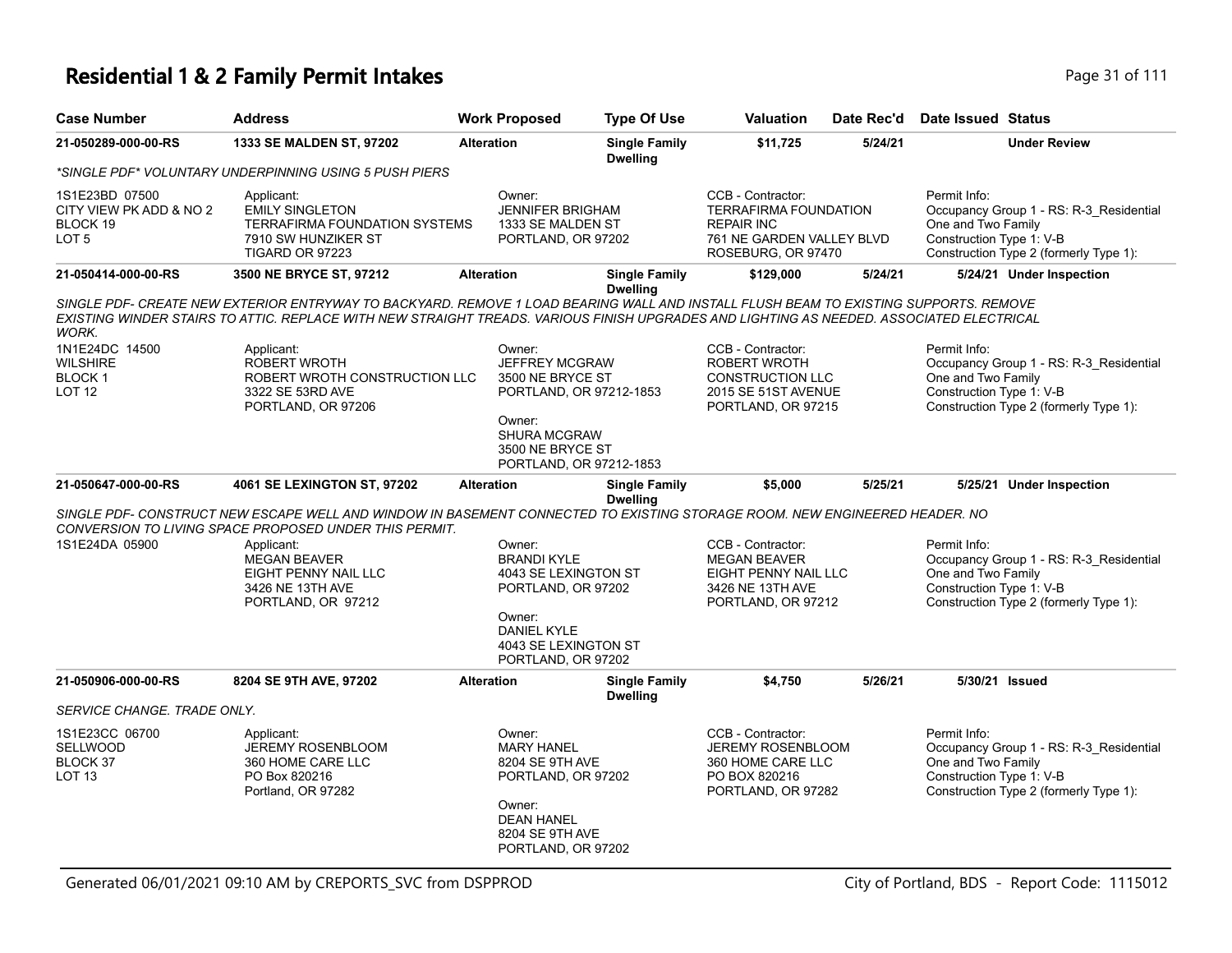| <b>Case Number</b>                                             | <b>Address</b>                                                                                                                                                                                                                                                                   | <b>Work Proposed</b>                                                                                                                         | <b>Type Of Use</b>                                 | <b>Valuation</b>                                                                                                   | Date Rec'd | Date Issued Status                                                                                                                                  |
|----------------------------------------------------------------|----------------------------------------------------------------------------------------------------------------------------------------------------------------------------------------------------------------------------------------------------------------------------------|----------------------------------------------------------------------------------------------------------------------------------------------|----------------------------------------------------|--------------------------------------------------------------------------------------------------------------------|------------|-----------------------------------------------------------------------------------------------------------------------------------------------------|
| 21-050289-000-00-RS                                            | 1333 SE MALDEN ST, 97202                                                                                                                                                                                                                                                         | <b>Alteration</b>                                                                                                                            | <b>Single Family</b><br><b>Dwelling</b>            | \$11,725                                                                                                           | 5/24/21    | <b>Under Review</b>                                                                                                                                 |
|                                                                | *SINGLE PDF* VOLUNTARY UNDERPINNING USING 5 PUSH PIERS                                                                                                                                                                                                                           |                                                                                                                                              |                                                    |                                                                                                                    |            |                                                                                                                                                     |
| 1S1E23BD 07500<br>CITY VIEW PK ADD & NO 2<br>BLOCK 19<br>LOT 5 | Applicant:<br><b>EMILY SINGLETON</b><br>TERRAFIRMA FOUNDATION SYSTEMS<br>7910 SW HUNZIKER ST<br>TIGARD OR 97223                                                                                                                                                                  | Owner:<br><b>JENNIFER BRIGHAM</b><br>1333 SE MALDEN ST<br>PORTLAND, OR 97202                                                                 |                                                    | CCB - Contractor:<br>TERRAFIRMA FOUNDATION<br><b>REPAIR INC</b><br>761 NE GARDEN VALLEY BLVD<br>ROSEBURG, OR 97470 |            | Permit Info:<br>Occupancy Group 1 - RS: R-3_Residential<br>One and Two Family<br>Construction Type 1: V-B<br>Construction Type 2 (formerly Type 1): |
| 21-050414-000-00-RS                                            | 3500 NE BRYCE ST, 97212                                                                                                                                                                                                                                                          | <b>Alteration</b>                                                                                                                            | <b>Single Family</b><br><b>Dwelling</b>            | \$129,000                                                                                                          | 5/24/21    | 5/24/21 Under Inspection                                                                                                                            |
| WORK.                                                          | SINGLE PDF- CREATE NEW EXTERIOR ENTRYWAY TO BACKYARD. REMOVE 1 LOAD BEARING WALL AND INSTALL FLUSH BEAM TO EXISTING SUPPORTS. REMOVE<br>EXISTING WINDER STAIRS TO ATTIC. REPLACE WITH NEW STRAIGHT TREADS. VARIOUS FINISH UPGRADES AND LIGHTING AS NEEDED. ASSOCIATED ELECTRICAL |                                                                                                                                              |                                                    |                                                                                                                    |            |                                                                                                                                                     |
| 1N1E24DC 14500<br>WILSHIRE<br>BLOCK 1<br>LOT 12                | Applicant:<br>ROBERT WROTH<br>ROBERT WROTH CONSTRUCTION LLC<br>3322 SE 53RD AVE<br>PORTLAND, OR 97206                                                                                                                                                                            | Owner:<br>JEFFREY MCGRAW<br>3500 NE BRYCE ST<br>Owner:<br><b>SHURA MCGRAW</b><br>3500 NE BRYCE ST                                            | PORTLAND, OR 97212-1853<br>PORTLAND, OR 97212-1853 | CCB - Contractor:<br><b>ROBERT WROTH</b><br><b>CONSTRUCTION LLC</b><br>2015 SE 51ST AVENUE<br>PORTLAND, OR 97215   |            | Permit Info:<br>Occupancy Group 1 - RS: R-3 Residential<br>One and Two Family<br>Construction Type 1: V-B<br>Construction Type 2 (formerly Type 1): |
| 21-050647-000-00-RS                                            | 4061 SE LEXINGTON ST, 97202                                                                                                                                                                                                                                                      | <b>Alteration</b>                                                                                                                            | <b>Single Family</b><br><b>Dwelling</b>            | \$5,000                                                                                                            | 5/25/21    | 5/25/21 Under Inspection                                                                                                                            |
|                                                                | SINGLE PDF- CONSTRUCT NEW ESCAPE WELL AND WINDOW IN BASEMENT CONNECTED TO EXISTING STORAGE ROOM. NEW ENGINEERED HEADER. NO                                                                                                                                                       |                                                                                                                                              |                                                    |                                                                                                                    |            |                                                                                                                                                     |
| 1S1E24DA 05900                                                 | CONVERSION TO LIVING SPACE PROPOSED UNDER THIS PERMIT.<br>Applicant:<br><b>MEGAN BEAVER</b><br>EIGHT PENNY NAIL LLC<br>3426 NE 13TH AVE<br>PORTLAND, OR 97212                                                                                                                    | Owner:<br><b>BRANDI KYLE</b><br>4043 SE LEXINGTON ST<br>PORTLAND, OR 97202<br>Owner:<br>DANIEL KYLE                                          |                                                    | CCB - Contractor:<br><b>MEGAN BEAVER</b><br>EIGHT PENNY NAIL LLC<br>3426 NE 13TH AVE<br>PORTLAND, OR 97212         |            | Permit Info:<br>Occupancy Group 1 - RS: R-3_Residential<br>One and Two Family<br>Construction Type 1: V-B<br>Construction Type 2 (formerly Type 1): |
|                                                                |                                                                                                                                                                                                                                                                                  | 4043 SE LEXINGTON ST<br>PORTLAND, OR 97202                                                                                                   |                                                    |                                                                                                                    |            |                                                                                                                                                     |
| 21-050906-000-00-RS                                            | 8204 SE 9TH AVE, 97202                                                                                                                                                                                                                                                           | <b>Alteration</b>                                                                                                                            | <b>Single Family</b><br><b>Dwelling</b>            | \$4,750                                                                                                            | 5/26/21    | 5/30/21 Issued                                                                                                                                      |
| SERVICE CHANGE. TRADE ONLY.                                    |                                                                                                                                                                                                                                                                                  |                                                                                                                                              |                                                    |                                                                                                                    |            |                                                                                                                                                     |
| 1S1E23CC 06700<br>SELLWOOD<br>BLOCK 37<br>LOT 13               | Applicant:<br><b>JEREMY ROSENBLOOM</b><br>360 HOME CARE LLC<br>PO Box 820216<br>Portland, OR 97282                                                                                                                                                                               | Owner:<br><b>MARY HANEL</b><br>8204 SE 9TH AVE<br>PORTLAND, OR 97202<br>Owner:<br><b>DEAN HANEL</b><br>8204 SE 9TH AVE<br>PORTLAND, OR 97202 |                                                    | CCB - Contractor:<br><b>JEREMY ROSENBLOOM</b><br>360 HOME CARE LLC<br>PO BOX 820216<br>PORTLAND, OR 97282          |            | Permit Info:<br>Occupancy Group 1 - RS: R-3 Residential<br>One and Two Family<br>Construction Type 1: V-B<br>Construction Type 2 (formerly Type 1): |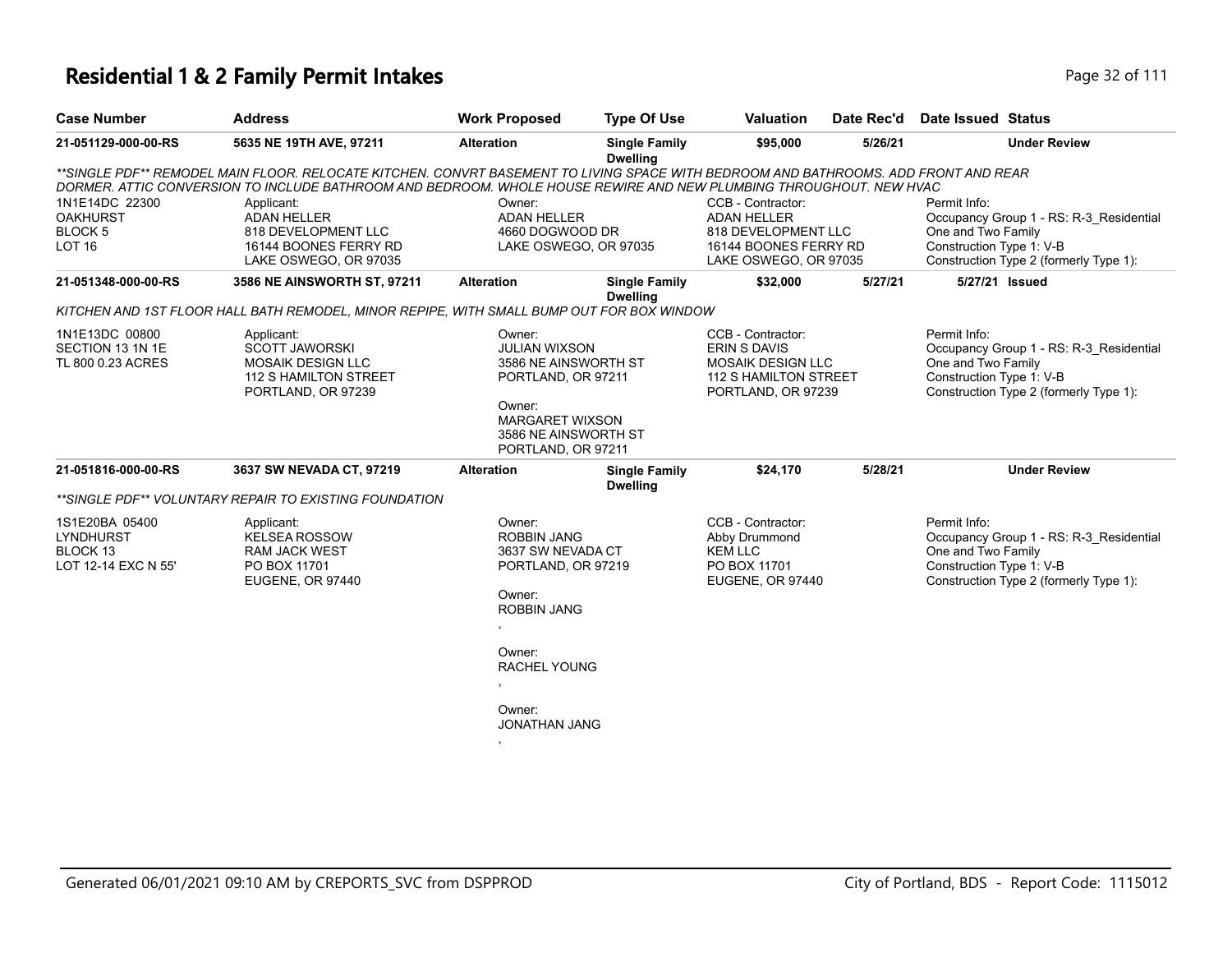| <b>Case Number</b>                                                    | <b>Address</b>                                                                                                                                                                                                                                            | <b>Work Proposed</b>                                                                                                                                                       | <b>Type Of Use</b>                      | <b>Valuation</b>                                                                                                    | Date Rec'd | Date Issued Status                                                                                                                                  |
|-----------------------------------------------------------------------|-----------------------------------------------------------------------------------------------------------------------------------------------------------------------------------------------------------------------------------------------------------|----------------------------------------------------------------------------------------------------------------------------------------------------------------------------|-----------------------------------------|---------------------------------------------------------------------------------------------------------------------|------------|-----------------------------------------------------------------------------------------------------------------------------------------------------|
| 21-051129-000-00-RS                                                   | 5635 NE 19TH AVE, 97211                                                                                                                                                                                                                                   | <b>Alteration</b>                                                                                                                                                          | <b>Single Family</b><br><b>Dwelling</b> | \$95,000                                                                                                            | 5/26/21    | <b>Under Review</b>                                                                                                                                 |
|                                                                       | **SINGLE PDF** REMODEL MAIN FLOOR. RELOCATE KITCHEN. CONVRT BASEMENT TO LIVING SPACE WITH BEDROOM AND BATHROOMS. ADD FRONT AND REAR<br>DORMER. ATTIC CONVERSION TO INCLUDE BATHROOM AND BEDROOM. WHOLE HOUSE REWIRE AND NEW PLUMBING THROUGHOUT. NEW HVAC |                                                                                                                                                                            |                                         |                                                                                                                     |            |                                                                                                                                                     |
| 1N1E14DC 22300<br><b>OAKHURST</b><br><b>BLOCK 5</b><br><b>LOT 16</b>  | Applicant:<br><b>ADAN HELLER</b><br>818 DEVELOPMENT LLC<br>16144 BOONES FERRY RD<br>LAKE OSWEGO, OR 97035                                                                                                                                                 | Owner:<br><b>ADAN HELLER</b><br>4660 DOGWOOD DR<br>LAKE OSWEGO, OR 97035                                                                                                   |                                         | CCB - Contractor:<br><b>ADAN HELLER</b><br>818 DEVELOPMENT LLC<br>16144 BOONES FERRY RD<br>LAKE OSWEGO, OR 97035    |            | Permit Info:<br>Occupancy Group 1 - RS: R-3 Residential<br>One and Two Family<br>Construction Type 1: V-B<br>Construction Type 2 (formerly Type 1): |
| 21-051348-000-00-RS                                                   | 3586 NE AINSWORTH ST, 97211                                                                                                                                                                                                                               | <b>Alteration</b>                                                                                                                                                          | <b>Single Family</b><br><b>Dwelling</b> | \$32,000                                                                                                            | 5/27/21    | 5/27/21 Issued                                                                                                                                      |
|                                                                       | KITCHEN AND 1ST FLOOR HALL BATH REMODEL, MINOR REPIPE, WITH SMALL BUMP OUT FOR BOX WINDOW                                                                                                                                                                 |                                                                                                                                                                            |                                         |                                                                                                                     |            |                                                                                                                                                     |
| 1N1E13DC 00800<br>SECTION 13 1N 1E<br>TL 800 0.23 ACRES               | Applicant:<br><b>SCOTT JAWORSKI</b><br><b>MOSAIK DESIGN LLC</b><br><b>112 S HAMILTON STREET</b><br>PORTLAND, OR 97239                                                                                                                                     | Owner:<br><b>JULIAN WIXSON</b><br>3586 NE AINSWORTH ST<br>PORTLAND, OR 97211<br>Owner:<br><b>MARGARET WIXSON</b><br>3586 NE AINSWORTH ST<br>PORTLAND, OR 97211             |                                         | CCB - Contractor:<br><b>ERIN S DAVIS</b><br><b>MOSAIK DESIGN LLC</b><br>112 S HAMILTON STREET<br>PORTLAND, OR 97239 |            | Permit Info:<br>Occupancy Group 1 - RS: R-3_Residential<br>One and Two Family<br>Construction Type 1: V-B<br>Construction Type 2 (formerly Type 1): |
| 21-051816-000-00-RS                                                   | 3637 SW NEVADA CT, 97219                                                                                                                                                                                                                                  | <b>Alteration</b>                                                                                                                                                          | <b>Single Family</b><br><b>Dwelling</b> | \$24,170                                                                                                            | 5/28/21    | <b>Under Review</b>                                                                                                                                 |
|                                                                       | **SINGLE PDF** VOLUNTARY REPAIR TO EXISTING FOUNDATION                                                                                                                                                                                                    |                                                                                                                                                                            |                                         |                                                                                                                     |            |                                                                                                                                                     |
| 1S1E20BA 05400<br><b>LYNDHURST</b><br>BLOCK 13<br>LOT 12-14 EXC N 55' | Applicant:<br><b>KELSEA ROSSOW</b><br><b>RAM JACK WEST</b><br>PO BOX 11701<br>EUGENE, OR 97440                                                                                                                                                            | Owner:<br><b>ROBBIN JANG</b><br>3637 SW NEVADA CT<br>PORTLAND, OR 97219<br>Owner:<br><b>ROBBIN JANG</b><br>Owner:<br><b>RACHEL YOUNG</b><br>Owner:<br><b>JONATHAN JANG</b> |                                         | CCB - Contractor:<br>Abby Drummond<br><b>KEM LLC</b><br>PO BOX 11701<br>EUGENE, OR 97440                            |            | Permit Info:<br>Occupancy Group 1 - RS: R-3 Residential<br>One and Two Family<br>Construction Type 1: V-B<br>Construction Type 2 (formerly Type 1): |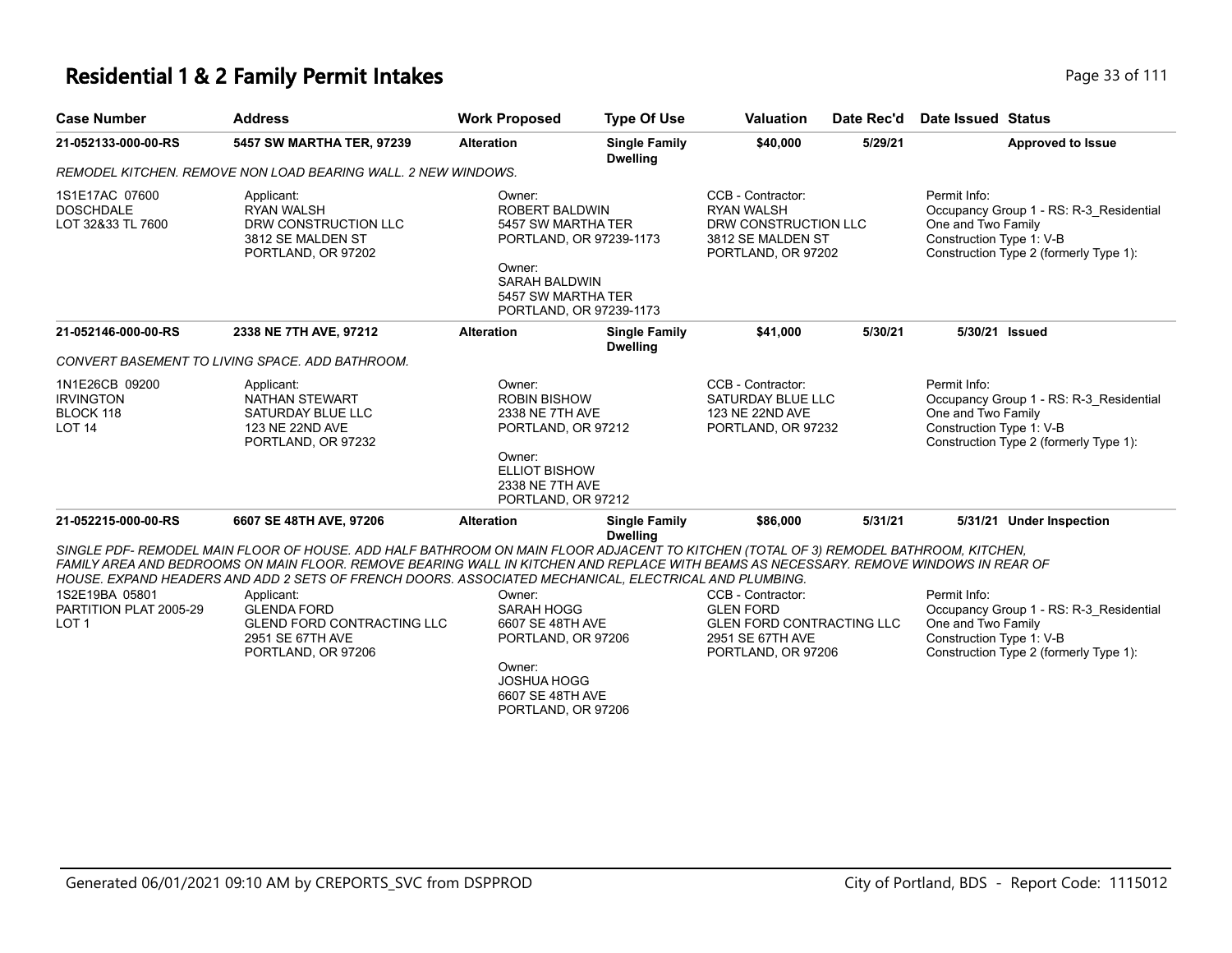# **Residential 1 & 2 Family Permit Intakes Page 111** Page 33 of 111

| Page 33 of |
|------------|
|            |

| <b>Case Number</b>                                               | <b>Address</b>                                                                                                                                                                                                                                                                                                                                                                                                                                                                                            | <b>Work Proposed</b>                                                                                                                                                | <b>Type Of Use</b>                      | <b>Valuation</b>                                                                                             | Date Rec'd | <b>Date Issued Status</b>                                                                                                                           |
|------------------------------------------------------------------|-----------------------------------------------------------------------------------------------------------------------------------------------------------------------------------------------------------------------------------------------------------------------------------------------------------------------------------------------------------------------------------------------------------------------------------------------------------------------------------------------------------|---------------------------------------------------------------------------------------------------------------------------------------------------------------------|-----------------------------------------|--------------------------------------------------------------------------------------------------------------|------------|-----------------------------------------------------------------------------------------------------------------------------------------------------|
| 21-052133-000-00-RS                                              | 5457 SW MARTHA TER, 97239                                                                                                                                                                                                                                                                                                                                                                                                                                                                                 | <b>Alteration</b>                                                                                                                                                   | <b>Single Family</b><br><b>Dwelling</b> | \$40,000                                                                                                     | 5/29/21    | <b>Approved to Issue</b>                                                                                                                            |
|                                                                  | REMODEL KITCHEN. REMOVE NON LOAD BEARING WALL. 2 NEW WINDOWS.                                                                                                                                                                                                                                                                                                                                                                                                                                             |                                                                                                                                                                     |                                         |                                                                                                              |            |                                                                                                                                                     |
| 1S1E17AC 07600<br><b>DOSCHDALE</b><br>LOT 32&33 TL 7600          | Applicant:<br><b>RYAN WALSH</b><br>DRW CONSTRUCTION LLC<br>3812 SE MALDEN ST<br>PORTLAND, OR 97202                                                                                                                                                                                                                                                                                                                                                                                                        | Owner:<br><b>ROBERT BALDWIN</b><br>5457 SW MARTHA TER<br>PORTLAND, OR 97239-1173<br>Owner:<br><b>SARAH BALDWIN</b><br>5457 SW MARTHA TER<br>PORTLAND, OR 97239-1173 |                                         | CCB - Contractor:<br><b>RYAN WALSH</b><br>DRW CONSTRUCTION LLC<br>3812 SE MALDEN ST<br>PORTLAND, OR 97202    |            | Permit Info:<br>Occupancy Group 1 - RS: R-3 Residential<br>One and Two Family<br>Construction Type 1: V-B<br>Construction Type 2 (formerly Type 1): |
| 21-052146-000-00-RS                                              | 2338 NE 7TH AVE, 97212                                                                                                                                                                                                                                                                                                                                                                                                                                                                                    | <b>Alteration</b>                                                                                                                                                   | <b>Single Family</b><br><b>Dwelling</b> | \$41,000                                                                                                     | 5/30/21    | 5/30/21 Issued                                                                                                                                      |
|                                                                  | CONVERT BASEMENT TO LIVING SPACE. ADD BATHROOM.                                                                                                                                                                                                                                                                                                                                                                                                                                                           |                                                                                                                                                                     |                                         |                                                                                                              |            |                                                                                                                                                     |
| 1N1E26CB 09200<br><b>IRVINGTON</b><br>BLOCK 118<br><b>LOT 14</b> | Applicant:<br><b>NATHAN STEWART</b><br>SATURDAY BLUE LLC<br>123 NE 22ND AVE<br>PORTLAND, OR 97232                                                                                                                                                                                                                                                                                                                                                                                                         | Owner:<br><b>ROBIN BISHOW</b><br>2338 NE 7TH AVE<br>PORTLAND, OR 97212<br>Owner:<br><b>ELLIOT BISHOW</b><br>2338 NE 7TH AVE<br>PORTLAND, OR 97212                   |                                         | CCB - Contractor:<br>SATURDAY BLUE LLC<br>123 NE 22ND AVE<br>PORTLAND, OR 97232                              |            | Permit Info:<br>Occupancy Group 1 - RS: R-3_Residential<br>One and Two Family<br>Construction Type 1: V-B<br>Construction Type 2 (formerly Type 1): |
| 21-052215-000-00-RS                                              | 6607 SE 48TH AVE, 97206                                                                                                                                                                                                                                                                                                                                                                                                                                                                                   | <b>Alteration</b>                                                                                                                                                   | <b>Single Family</b><br><b>Dwelling</b> | \$86,000                                                                                                     | 5/31/21    | 5/31/21 Under Inspection                                                                                                                            |
| 1S2E19BA 05801<br>PARTITION PLAT 2005-29<br>LOT <sub>1</sub>     | SINGLE PDF- REMODEL MAIN FLOOR OF HOUSE. ADD HALF BATHROOM ON MAIN FLOOR ADJACENT TO KITCHEN (TOTAL OF 3) REMODEL BATHROOM, KITCHEN,<br>FAMILY AREA AND BEDROOMS ON MAIN FLOOR. REMOVE BEARING WALL IN KITCHEN AND REPLACE WITH BEAMS AS NECESSARY. REMOVE WINDOWS IN REAR OF<br>HOUSE. EXPAND HEADERS AND ADD 2 SETS OF FRENCH DOORS. ASSOCIATED MECHANICAL. ELECTRICAL AND PLUMBING.<br>Applicant:<br><b>GLENDA FORD</b><br><b>GLEND FORD CONTRACTING LLC</b><br>2951 SE 67TH AVE<br>PORTLAND, OR 97206 | Owner:<br>SARAH HOGG<br>6607 SE 48TH AVE<br>PORTLAND, OR 97206<br>Owner:<br>JOSHUA HOGG<br>6607 SE 48TH AVE<br>PORTLAND, OR 97206                                   |                                         | CCB - Contractor:<br><b>GLEN FORD</b><br>GLEN FORD CONTRACTING LLC<br>2951 SE 67TH AVE<br>PORTLAND, OR 97206 |            | Permit Info:<br>Occupancy Group 1 - RS: R-3 Residential<br>One and Two Family<br>Construction Type 1: V-B<br>Construction Type 2 (formerly Type 1): |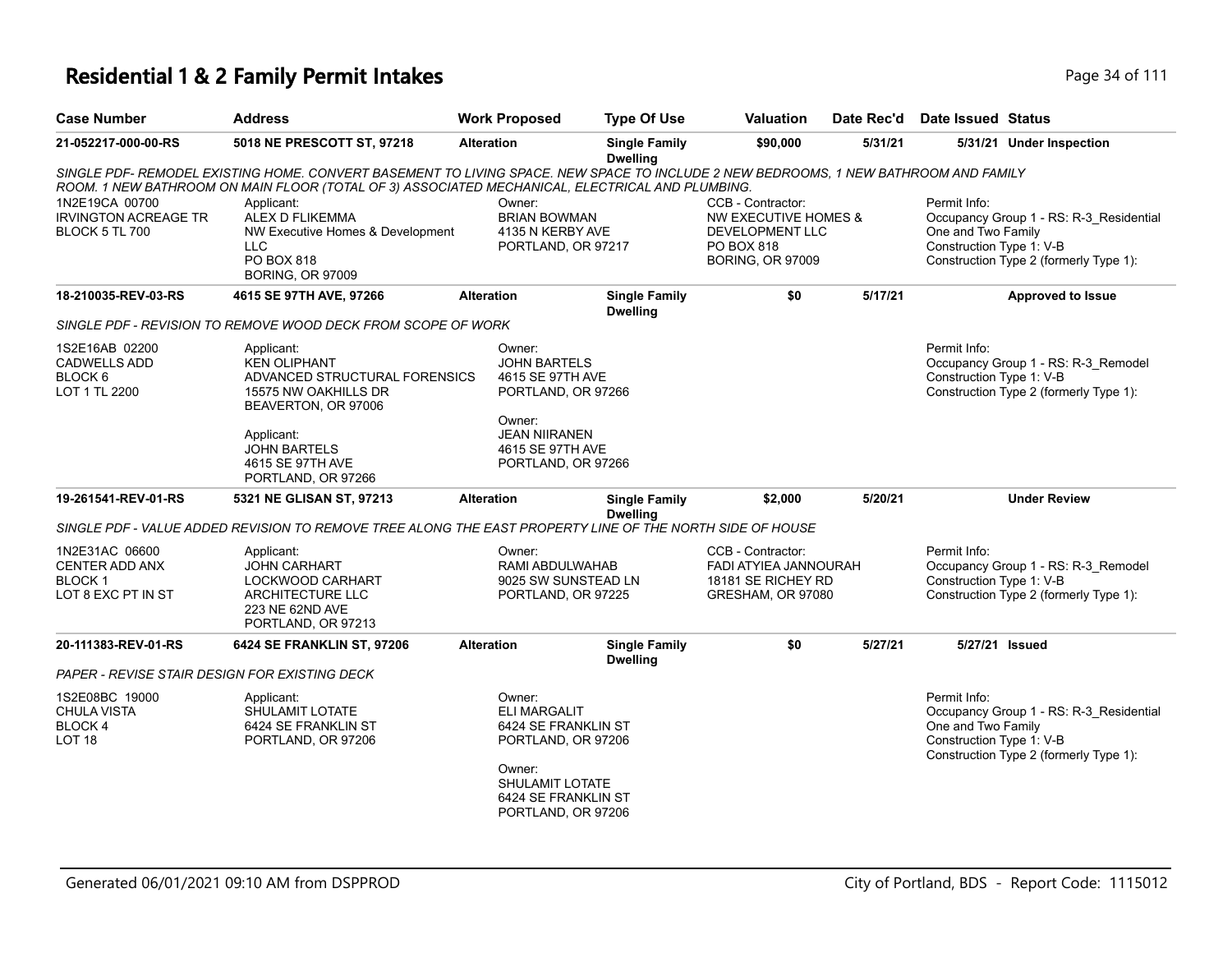| <b>Case Number</b>                                                                                                                                                                                                                     | <b>Address</b>                                                    | <b>Work Proposed</b>                              | Type Of Use                             | <b>Valuation</b>                                             | Date Rec'd | Date Issued Status                 |                                         |  |
|----------------------------------------------------------------------------------------------------------------------------------------------------------------------------------------------------------------------------------------|-------------------------------------------------------------------|---------------------------------------------------|-----------------------------------------|--------------------------------------------------------------|------------|------------------------------------|-----------------------------------------|--|
| 21-052217-000-00-RS                                                                                                                                                                                                                    | 5018 NE PRESCOTT ST. 97218                                        | <b>Alteration</b>                                 | <b>Single Family</b><br><b>Dwelling</b> | \$90,000                                                     | 5/31/21    | 5/31/21                            | <b>Under Inspection</b>                 |  |
| SINGLE PDF- REMODEL EXISTING HOME. CONVERT BASEMENT TO LIVING SPACE. NEW SPACE TO INCLUDE 2 NEW BEDROOMS, 1 NEW BATHROOM AND FAMILY<br>ROOM. 1 NEW BATHROOM ON MAIN FLOOR (TOTAL OF 3) ASSOCIATED MECHANICAL, ELECTRICAL AND PLUMBING. |                                                                   |                                                   |                                         |                                                              |            |                                    |                                         |  |
| 1N2E19CA 00700<br><b>IRVINGTON ACREAGE TR</b><br>BLOCK 5 TL 700                                                                                                                                                                        | Applicant:<br>ALEX D FLIKEMMA<br>NW Executive Homes & Development | Owner:<br><b>BRIAN BOWMAN</b><br>4135 N KERBY AVE |                                         | CCB - Contractor:<br>NW EXECUTIVE HOMES &<br>DEVELOPMENT LLC |            | Permit Info:<br>One and Two Family | Occupancy Group 1 - RS: R-3 Residential |  |

|                                                                                | ROOM. 1 NEW BATHROOM ON MAIN FLOOR (TOTAL OF 3) ASSOCIATED MECHANICAL, ELECTRICAL AND PLUMBING.                                                                                                                                                                                                                                       |                                                                                                                                                     |                                         |                                                                                                                                                     |         | SINGLE PDF- REMODEL EXISTING HOME. CONVERT BASEMENT TO LIVING SPACE. NEW SPACE TO INCLUDE 2 NEW BEDROOMS, 1 NEW BATHROOM AND FAMILY |
|--------------------------------------------------------------------------------|---------------------------------------------------------------------------------------------------------------------------------------------------------------------------------------------------------------------------------------------------------------------------------------------------------------------------------------|-----------------------------------------------------------------------------------------------------------------------------------------------------|-----------------------------------------|-----------------------------------------------------------------------------------------------------------------------------------------------------|---------|-------------------------------------------------------------------------------------------------------------------------------------|
| 1N2E19CA 00700<br><b>IRVINGTON ACREAGE TR</b><br><b>BLOCK 5 TL 700</b>         | Owner:<br>CCB - Contractor:<br>Applicant:<br><b>ALEX D FLIKEMMA</b><br><b>NW EXECUTIVE HOMES &amp;</b><br><b>BRIAN BOWMAN</b><br>NW Executive Homes & Development<br>4135 N KERBY AVE<br><b>DEVELOPMENT LLC</b><br><b>LLC</b><br>PO BOX 818<br>PORTLAND, OR 97217<br>PO BOX 818<br><b>BORING, OR 97009</b><br><b>BORING, OR 97009</b> |                                                                                                                                                     |                                         | Permit Info:<br>Occupancy Group 1 - RS: R-3_Residential<br>One and Two Family<br>Construction Type 1: V-B<br>Construction Type 2 (formerly Type 1): |         |                                                                                                                                     |
| 18-210035-REV-03-RS                                                            | 4615 SE 97TH AVE, 97266                                                                                                                                                                                                                                                                                                               | <b>Alteration</b>                                                                                                                                   | <b>Single Family</b><br><b>Dwelling</b> | \$0                                                                                                                                                 | 5/17/21 | <b>Approved to Issue</b>                                                                                                            |
|                                                                                | SINGLE PDF - REVISION TO REMOVE WOOD DECK FROM SCOPE OF WORK                                                                                                                                                                                                                                                                          |                                                                                                                                                     |                                         |                                                                                                                                                     |         |                                                                                                                                     |
| 1S2E16AB 02200<br><b>CADWELLS ADD</b><br>BLOCK 6<br>LOT 1 TL 2200              | Applicant:<br><b>KEN OLIPHANT</b><br>ADVANCED STRUCTURAL FORENSICS<br>15575 NW OAKHILLS DR<br>BEAVERTON, OR 97006<br>Applicant:<br><b>JOHN BARTELS</b><br>4615 SE 97TH AVE<br>PORTLAND, OR 97266                                                                                                                                      | Owner:<br><b>JOHN BARTELS</b><br>4615 SE 97TH AVE<br>PORTLAND, OR 97266<br>Owner:<br><b>JEAN NIIRANEN</b><br>4615 SE 97TH AVE<br>PORTLAND, OR 97266 |                                         |                                                                                                                                                     |         | Permit Info:<br>Occupancy Group 1 - RS: R-3_Remodel<br>Construction Type 1: V-B<br>Construction Type 2 (formerly Type 1):           |
| 19-261541-REV-01-RS                                                            | 5321 NE GLISAN ST, 97213                                                                                                                                                                                                                                                                                                              | <b>Alteration</b>                                                                                                                                   | <b>Single Family</b><br><b>Dwelling</b> | \$2,000                                                                                                                                             | 5/20/21 | <b>Under Review</b>                                                                                                                 |
|                                                                                | SINGLE PDF - VALUE ADDED REVISION TO REMOVE TREE ALONG THE EAST PROPERTY LINE OF THE NORTH SIDE OF HOUSE                                                                                                                                                                                                                              |                                                                                                                                                     |                                         |                                                                                                                                                     |         |                                                                                                                                     |
| 1N2E31AC 06600<br><b>CENTER ADD ANX</b><br><b>BLOCK1</b><br>LOT 8 EXC PT IN ST | Applicant:<br><b>JOHN CARHART</b><br>LOCKWOOD CARHART<br>ARCHITECTURE LLC<br>223 NE 62ND AVE<br>PORTLAND, OR 97213                                                                                                                                                                                                                    | Owner:<br>RAMI ABDULWAHAB<br>9025 SW SUNSTEAD LN<br>PORTLAND, OR 97225                                                                              |                                         | CCB - Contractor:<br><b>FADI ATYIEA JANNOURAH</b><br>18181 SE RICHEY RD<br>GRESHAM, OR 97080                                                        |         | Permit Info:<br>Occupancy Group 1 - RS: R-3_Remodel<br>Construction Type 1: V-B<br>Construction Type 2 (formerly Type 1):           |
| 20-111383-REV-01-RS                                                            | 6424 SE FRANKLIN ST, 97206                                                                                                                                                                                                                                                                                                            | <b>Alteration</b>                                                                                                                                   | <b>Single Family</b><br><b>Dwelling</b> | \$0                                                                                                                                                 | 5/27/21 | 5/27/21 Issued                                                                                                                      |
| PAPER - REVISE STAIR DESIGN FOR EXISTING DECK                                  |                                                                                                                                                                                                                                                                                                                                       |                                                                                                                                                     |                                         |                                                                                                                                                     |         |                                                                                                                                     |
| 1S2E08BC 19000<br><b>CHULA VISTA</b><br>BLOCK 4                                | Applicant:<br>SHULAMIT LOTATE<br>6424 SE FRANKLIN ST                                                                                                                                                                                                                                                                                  | Owner:<br><b>ELI MARGALIT</b><br>6424 SE FRANKLIN ST                                                                                                |                                         |                                                                                                                                                     |         | Permit Info:<br>Occupancy Group 1 - RS: R-3_Residential<br>One and Two Family<br>Construction Type 1: V-B                           |
| LOT <sub>18</sub>                                                              | PORTLAND, OR 97206                                                                                                                                                                                                                                                                                                                    | PORTLAND, OR 97206<br>Owner:<br><b>SHULAMIT LOTATE</b><br>6424 SE FRANKLIN ST                                                                       |                                         |                                                                                                                                                     |         | Construction Type 2 (formerly Type 1):                                                                                              |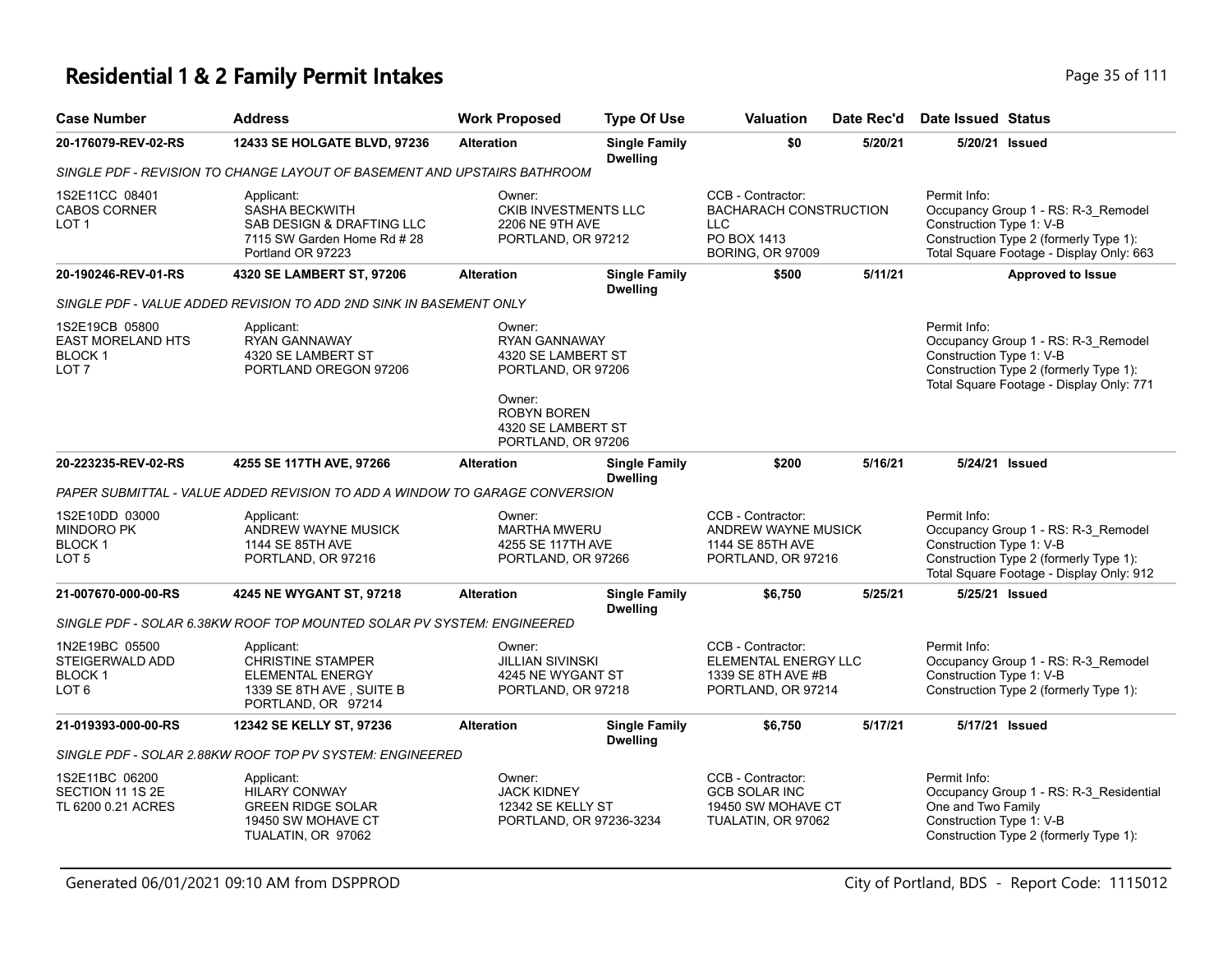# **Residential 1 & 2 Family Permit Intakes Page 111** Page 35 of 111

| Case Number                                              | <b>Address</b>                                                                                                       | <b>Work Proposed</b>                                                                  | <b>Type Of Use</b>                      | <b>Valuation</b>                                                                                           | Date Rec'd | Date Issued Status                                             |                                                                                                                           |
|----------------------------------------------------------|----------------------------------------------------------------------------------------------------------------------|---------------------------------------------------------------------------------------|-----------------------------------------|------------------------------------------------------------------------------------------------------------|------------|----------------------------------------------------------------|---------------------------------------------------------------------------------------------------------------------------|
| 20-176079-REV-02-RS                                      | <b>12433 SE HOLGATE BLVD, 97236</b>                                                                                  | <b>Alteration</b>                                                                     | <b>Single Family</b><br><b>Dwelling</b> | \$0                                                                                                        | 5/20/21    | 5/20/21 Issued                                                 |                                                                                                                           |
|                                                          | SINGLE PDF - REVISION TO CHANGE LAYOUT OF BASEMENT AND UPSTAIRS BATHROOM                                             |                                                                                       |                                         |                                                                                                            |            |                                                                |                                                                                                                           |
| 1S2E11CC 08401<br><b>CABOS CORNER</b><br>LOT 1           | Applicant:<br><b>SASHA BECKWITH</b><br>SAB DESIGN & DRAFTING LLC<br>7115 SW Garden Home Rd # 28<br>Portland OR 97223 | Owner:<br><b>CKIB INVESTMENTS LLC</b><br><b>2206 NE 9TH AVE</b><br>PORTLAND, OR 97212 |                                         | CCB - Contractor:<br><b>BACHARACH CONSTRUCTION</b><br><b>LLC</b><br>PO BOX 1413<br><b>BORING, OR 97009</b> |            | Permit Info:<br>Construction Type 1: V-B                       | Occupancy Group 1 - RS: R-3_Remodel<br>Construction Type 2 (formerly Type 1):<br>Total Square Footage - Display Only: 663 |
| 20-190246-REV-01-RS                                      | 4320 SE LAMBERT ST, 97206                                                                                            | <b>Alteration</b>                                                                     | <b>Single Family</b><br><b>Dwelling</b> | \$500                                                                                                      | 5/11/21    |                                                                | <b>Approved to Issue</b>                                                                                                  |
|                                                          | SINGLE PDF - VALUE ADDED REVISION TO ADD 2ND SINK IN BASEMENT ONLY                                                   |                                                                                       |                                         |                                                                                                            |            |                                                                |                                                                                                                           |
| 1S2E19CB 05800<br>EAST MORELAND HTS<br>BLOCK 1<br>LOT 7  | Applicant:<br><b>RYAN GANNAWAY</b><br>4320 SE LAMBERT ST<br>PORTLAND OREGON 97206                                    | Owner:<br><b>RYAN GANNAWAY</b><br>4320 SE LAMBERT ST<br>PORTLAND, OR 97206<br>Owner:  |                                         |                                                                                                            |            | Permit Info:<br>Construction Type 1: V-B                       | Occupancy Group 1 - RS: R-3_Remodel<br>Construction Type 2 (formerly Type 1):<br>Total Square Footage - Display Only: 771 |
|                                                          |                                                                                                                      | <b>ROBYN BOREN</b><br>4320 SE LAMBERT ST<br>PORTLAND, OR 97206                        |                                         |                                                                                                            |            |                                                                |                                                                                                                           |
| 20-223235-REV-02-RS                                      | 4255 SE 117TH AVE, 97266                                                                                             | <b>Alteration</b>                                                                     | <b>Single Family</b><br><b>Dwelling</b> | \$200                                                                                                      | 5/16/21    | 5/24/21 Issued                                                 |                                                                                                                           |
|                                                          | PAPER SUBMITTAL - VALUE ADDED REVISION TO ADD A WINDOW TO GARAGE CONVERSION                                          |                                                                                       |                                         |                                                                                                            |            |                                                                |                                                                                                                           |
| 1S2E10DD 03000<br>Mindoro PK<br>BLOCK 1<br>LOT 5         | Applicant:<br>ANDREW WAYNE MUSICK<br>1144 SE 85TH AVE<br>PORTLAND, OR 97216                                          | Owner:<br><b>MARTHA MWERU</b><br>4255 SE 117TH AVE<br>PORTLAND, OR 97266              |                                         | CCB - Contractor:<br>ANDREW WAYNE MUSICK<br>1144 SE 85TH AVE<br>PORTLAND, OR 97216                         |            | Permit Info:<br>Construction Type 1: V-B                       | Occupancy Group 1 - RS: R-3_Remodel<br>Construction Type 2 (formerly Type 1):<br>Total Square Footage - Display Only: 912 |
| 21-007670-000-00-RS                                      | 4245 NE WYGANT ST, 97218                                                                                             | <b>Alteration</b>                                                                     | <b>Single Family</b><br><b>Dwelling</b> | \$6,750                                                                                                    | 5/25/21    | 5/25/21 Issued                                                 |                                                                                                                           |
|                                                          | SINGLE PDF - SOLAR 6.38KW ROOF TOP MOUNTED SOLAR PV SYSTEM: ENGINEERED                                               |                                                                                       |                                         |                                                                                                            |            |                                                                |                                                                                                                           |
| 1N2E19BC 05500<br>STEIGERWALD ADD<br>BLOCK 1<br>LOT 6    | Applicant:<br><b>CHRISTINE STAMPER</b><br>ELEMENTAL ENERGY<br>1339 SE 8TH AVE, SUITE B<br>PORTLAND, OR 97214         | Owner:<br><b>JILLIAN SIVINSKI</b><br>4245 NE WYGANT ST<br>PORTLAND, OR 97218          |                                         | CCB - Contractor:<br>ELEMENTAL ENERGY LLC<br>1339 SE 8TH AVE #B<br>PORTLAND, OR 97214                      |            | Permit Info:<br>Construction Type 1: V-B                       | Occupancy Group 1 - RS: R-3_Remodel<br>Construction Type 2 (formerly Type 1):                                             |
| 21-019393-000-00-RS                                      | 12342 SE KELLY ST, 97236                                                                                             | <b>Alteration</b>                                                                     | <b>Single Family</b><br><b>Dwelling</b> | \$6,750                                                                                                    | 5/17/21    | 5/17/21 Issued                                                 |                                                                                                                           |
|                                                          | SINGLE PDF - SOLAR 2.88KW ROOF TOP PV SYSTEM: ENGINEERED                                                             |                                                                                       |                                         |                                                                                                            |            |                                                                |                                                                                                                           |
| 1S2E11BC 06200<br>SECTION 11 1S 2E<br>TL 6200 0.21 ACRES | Applicant:<br><b>HILARY CONWAY</b><br><b>GREEN RIDGE SOLAR</b><br>19450 SW MOHAVE CT<br>TUALATIN, OR 97062           | Owner:<br><b>JACK KIDNEY</b><br>12342 SE KELLY ST<br>PORTLAND, OR 97236-3234          |                                         | CCB - Contractor:<br><b>GCB SOLAR INC</b><br>19450 SW MOHAVE CT<br>TUALATIN, OR 97062                      |            | Permit Info:<br>One and Two Family<br>Construction Type 1: V-B | Occupancy Group 1 - RS: R-3 Residential<br>Construction Type 2 (formerly Type 1):                                         |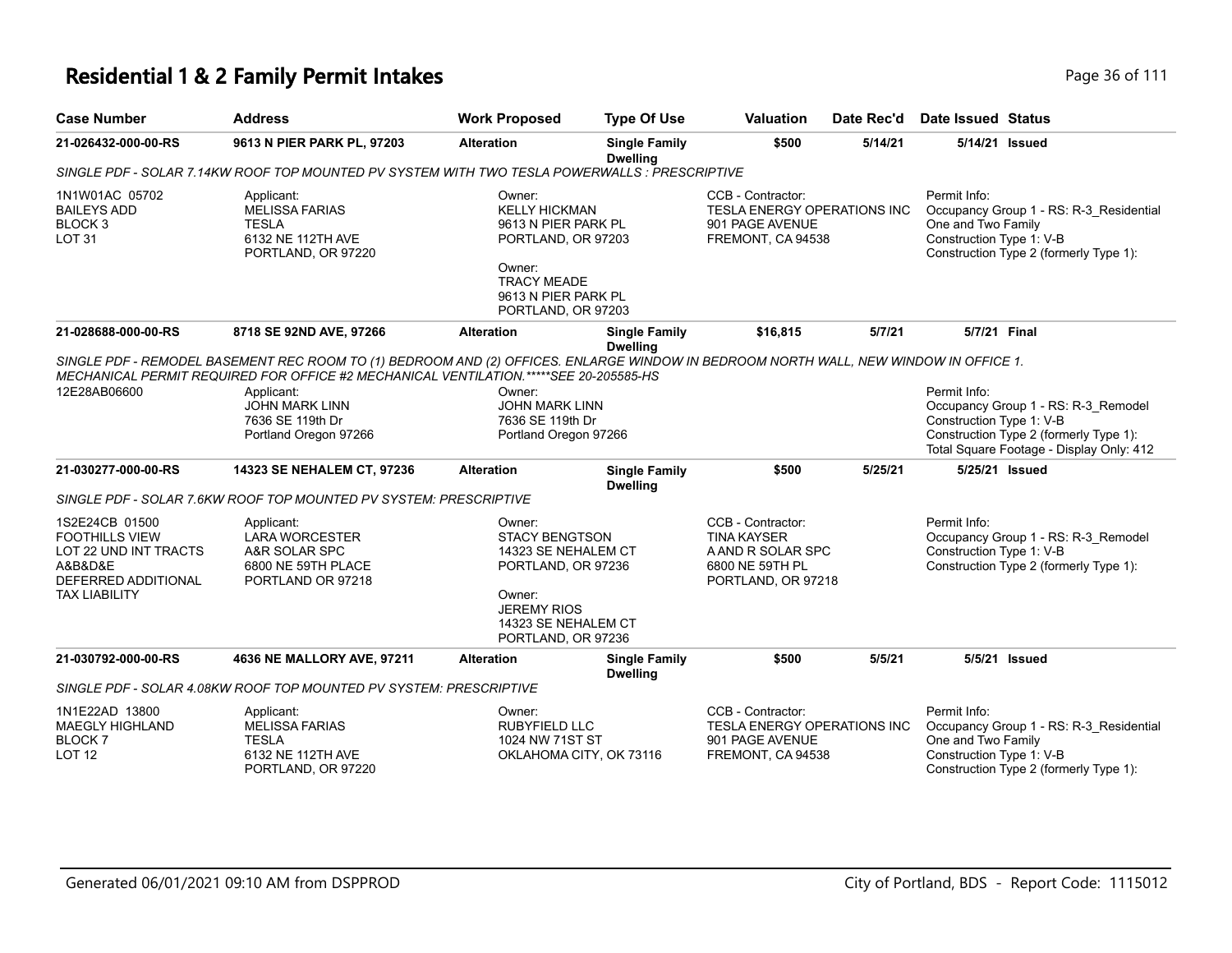# **Residential 1 & 2 Family Permit Intakes Page 16 Oktober 111** Page 36 of 111

| <b>Case Number</b>                                                                                                         | <b>Address</b>                                                                                                                                                                                                                                                                                                    | <b>Work Proposed</b>                                                                                                                                      | <b>Type Of Use</b>                                                                                                                                                                                                               | <b>Valuation</b>                                                                                      | Date Rec'd | Date Issued Status                                                                                                                                                    |
|----------------------------------------------------------------------------------------------------------------------------|-------------------------------------------------------------------------------------------------------------------------------------------------------------------------------------------------------------------------------------------------------------------------------------------------------------------|-----------------------------------------------------------------------------------------------------------------------------------------------------------|----------------------------------------------------------------------------------------------------------------------------------------------------------------------------------------------------------------------------------|-------------------------------------------------------------------------------------------------------|------------|-----------------------------------------------------------------------------------------------------------------------------------------------------------------------|
| 21-026432-000-00-RS                                                                                                        | 9613 N PIER PARK PL, 97203                                                                                                                                                                                                                                                                                        | <b>Alteration</b>                                                                                                                                         | <b>Single Family</b><br><b>Dwelling</b>                                                                                                                                                                                          | \$500                                                                                                 | 5/14/21    | 5/14/21 Issued                                                                                                                                                        |
|                                                                                                                            | SINGLE PDF - SOLAR 7.14KW ROOF TOP MOUNTED PV SYSTEM WITH TWO TESLA POWERWALLS : PRESCRIPTIVE                                                                                                                                                                                                                     |                                                                                                                                                           |                                                                                                                                                                                                                                  |                                                                                                       |            |                                                                                                                                                                       |
| 1N1W01AC 05702<br><b>BAILEYS ADD</b><br>BLOCK <sub>3</sub><br><b>LOT 31</b>                                                | Applicant:<br><b>MELISSA FARIAS</b><br><b>TESLA</b><br>6132 NE 112TH AVE<br>PORTLAND, OR 97220                                                                                                                                                                                                                    | Owner:<br>Owner:                                                                                                                                          | CCB - Contractor:<br>TESLA ENERGY OPERATIONS INC<br><b>KELLY HICKMAN</b><br>9613 N PIER PARK PL<br>901 PAGE AVENUE<br>FREMONT, CA 94538<br>PORTLAND, OR 97203<br><b>TRACY MEADE</b><br>9613 N PIER PARK PL<br>PORTLAND, OR 97203 |                                                                                                       |            | Permit Info:<br>Occupancy Group 1 - RS: R-3_Residential<br>One and Two Family<br>Construction Type 1: V-B<br>Construction Type 2 (formerly Type 1):                   |
| 21-028688-000-00-RS                                                                                                        | 8718 SE 92ND AVE, 97266                                                                                                                                                                                                                                                                                           | <b>Alteration</b>                                                                                                                                         | <b>Single Family</b>                                                                                                                                                                                                             | \$16,815                                                                                              | 5/7/21     | 5/7/21 Final                                                                                                                                                          |
| 12E28AB06600                                                                                                               | SINGLE PDF - REMODEL BASEMENT REC ROOM TO (1) BEDROOM AND (2) OFFICES. ENLARGE WINDOW IN BEDROOM NORTH WALL, NEW WINDOW IN OFFICE 1.<br>MECHANICAL PERMIT REQUIRED FOR OFFICE #2 MECHANICAL VENTILATION.*****SEE 20-205585-HS<br>Applicant:<br><b>JOHN MARK LINN</b><br>7636 SE 119th Dr<br>Portland Oregon 97266 | Owner:<br><b>JOHN MARK LINN</b><br>7636 SE 119th Dr<br>Portland Oregon 97266                                                                              | <b>Dwelling</b>                                                                                                                                                                                                                  |                                                                                                       |            | Permit Info:<br>Occupancy Group 1 - RS: R-3_Remodel<br>Construction Type 1: V-B<br>Construction Type 2 (formerly Type 1):<br>Total Square Footage - Display Only: 412 |
| 21-030277-000-00-RS                                                                                                        | 14323 SE NEHALEM CT, 97236                                                                                                                                                                                                                                                                                        | <b>Alteration</b>                                                                                                                                         | <b>Single Family</b><br><b>Dwelling</b>                                                                                                                                                                                          | \$500                                                                                                 | 5/25/21    | 5/25/21 Issued                                                                                                                                                        |
|                                                                                                                            | SINGLE PDF - SOLAR 7.6KW ROOF TOP MOUNTED PV SYSTEM: PRESCRIPTIVE                                                                                                                                                                                                                                                 |                                                                                                                                                           |                                                                                                                                                                                                                                  |                                                                                                       |            |                                                                                                                                                                       |
| 1S2E24CB 01500<br><b>FOOTHILLS VIEW</b><br>LOT 22 UND INT TRACTS<br>A&B&D&E<br>DEFERRED ADDITIONAL<br><b>TAX LIABILITY</b> | Applicant:<br><b>LARA WORCESTER</b><br>A&R SOLAR SPC<br>6800 NE 59TH PLACE<br>PORTLAND OR 97218                                                                                                                                                                                                                   | Owner:<br><b>STACY BENGTSON</b><br>14323 SE NEHALEM CT<br>PORTLAND, OR 97236<br>Owner:<br><b>JEREMY RIOS</b><br>14323 SE NEHALEM CT<br>PORTLAND, OR 97236 |                                                                                                                                                                                                                                  | CCB - Contractor:<br><b>TINA KAYSER</b><br>A AND R SOLAR SPC<br>6800 NE 59TH PL<br>PORTLAND, OR 97218 |            | Permit Info:<br>Occupancy Group 1 - RS: R-3_Remodel<br>Construction Type 1: V-B<br>Construction Type 2 (formerly Type 1):                                             |
| 21-030792-000-00-RS                                                                                                        | 4636 NE MALLORY AVE, 97211                                                                                                                                                                                                                                                                                        | <b>Alteration</b>                                                                                                                                         | <b>Single Family</b><br><b>Dwelling</b>                                                                                                                                                                                          | \$500                                                                                                 | 5/5/21     | 5/5/21 Issued                                                                                                                                                         |
|                                                                                                                            | SINGLE PDF - SOLAR 4.08KW ROOF TOP MOUNTED PV SYSTEM: PRESCRIPTIVE                                                                                                                                                                                                                                                |                                                                                                                                                           |                                                                                                                                                                                                                                  |                                                                                                       |            |                                                                                                                                                                       |
| 1N1E22AD 13800<br><b>MAEGLY HIGHLAND</b><br><b>BLOCK7</b><br><b>LOT 12</b>                                                 | Applicant:<br><b>MELISSA FARIAS</b><br><b>TESLA</b><br>6132 NE 112TH AVE<br>PORTLAND, OR 97220                                                                                                                                                                                                                    | Owner:<br><b>RUBYFIELD LLC</b><br>1024 NW 71ST ST<br>OKLAHOMA CITY, OK 73116                                                                              |                                                                                                                                                                                                                                  | CCB - Contractor:<br>TESLA ENERGY OPERATIONS INC<br>901 PAGE AVENUE<br>FREMONT, CA 94538              |            | Permit Info:<br>Occupancy Group 1 - RS: R-3_Residential<br>One and Two Family<br>Construction Type 1: V-B<br>Construction Type 2 (formerly Type 1):                   |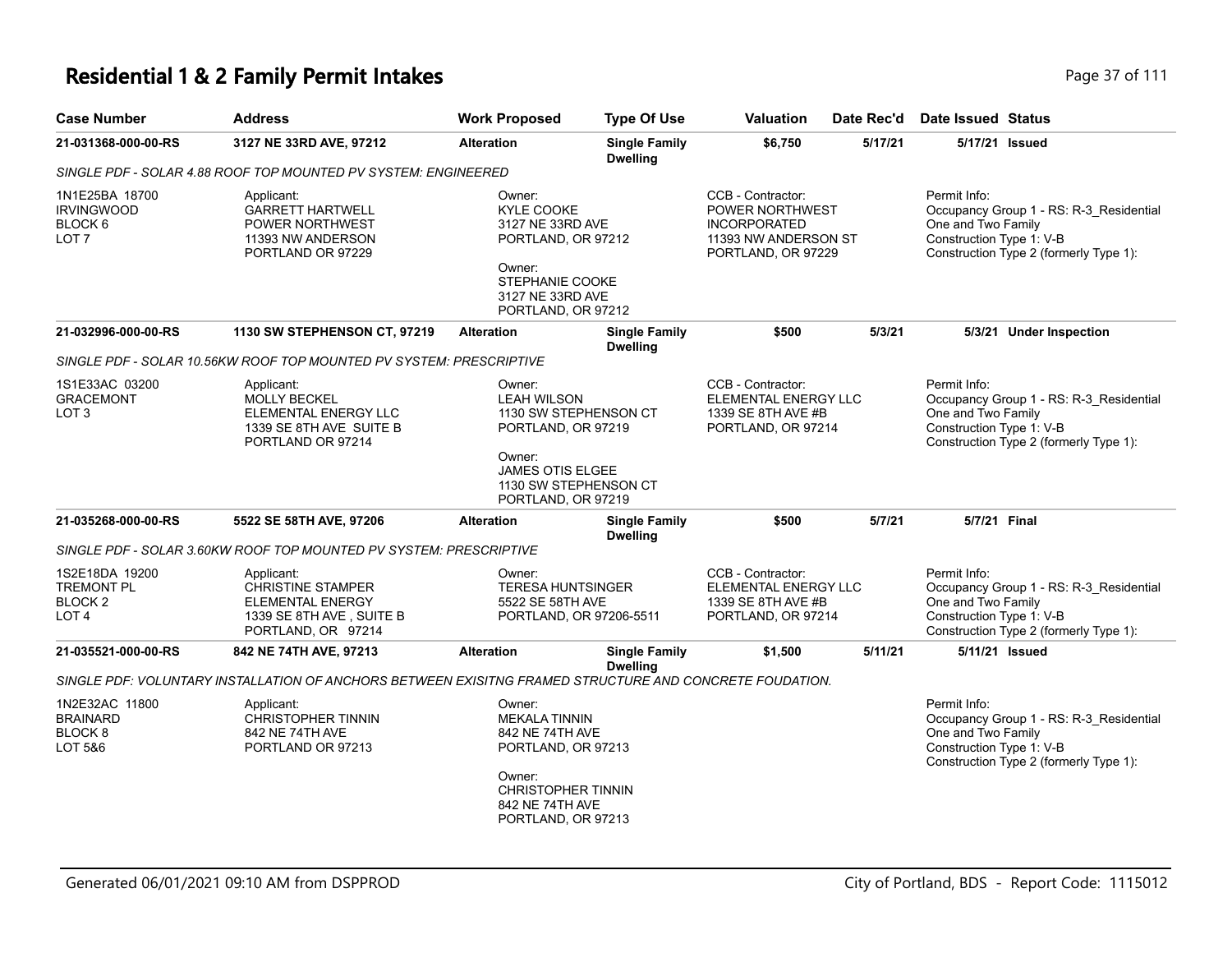| <b>Case Number</b>                                                            | <b>Address</b>                                                                                                      | <b>Work Proposed</b>                                                                                                                         | <b>Type Of Use</b>                      | <b>Valuation</b>                                                                                                 | Date Rec'd | <b>Date Issued Status</b>                                      |                                                                                   |
|-------------------------------------------------------------------------------|---------------------------------------------------------------------------------------------------------------------|----------------------------------------------------------------------------------------------------------------------------------------------|-----------------------------------------|------------------------------------------------------------------------------------------------------------------|------------|----------------------------------------------------------------|-----------------------------------------------------------------------------------|
| 21-031368-000-00-RS                                                           | 3127 NE 33RD AVE, 97212                                                                                             | <b>Alteration</b>                                                                                                                            | <b>Single Family</b><br><b>Dwelling</b> | \$6,750                                                                                                          | 5/17/21    | 5/17/21 Issued                                                 |                                                                                   |
|                                                                               | SINGLE PDF - SOLAR 4.88 ROOF TOP MOUNTED PV SYSTEM: ENGINEERED                                                      |                                                                                                                                              |                                         |                                                                                                                  |            |                                                                |                                                                                   |
| 1N1E25BA 18700<br><b>IRVINGWOOD</b><br>BLOCK 6<br>LOT <sub>7</sub>            | Applicant:<br><b>GARRETT HARTWELL</b><br>POWER NORTHWEST<br>11393 NW ANDERSON<br>PORTLAND OR 97229                  | Owner:<br><b>KYLE COOKE</b><br>3127 NE 33RD AVE<br>PORTLAND, OR 97212<br>Owner:<br>STEPHANIE COOKE<br>3127 NE 33RD AVE<br>PORTLAND, OR 97212 |                                         | CCB - Contractor:<br><b>POWER NORTHWEST</b><br><b>INCORPORATED</b><br>11393 NW ANDERSON ST<br>PORTLAND, OR 97229 |            | Permit Info:<br>One and Two Family<br>Construction Type 1: V-B | Occupancy Group 1 - RS: R-3_Residential<br>Construction Type 2 (formerly Type 1): |
| 21-032996-000-00-RS                                                           | 1130 SW STEPHENSON CT, 97219                                                                                        | <b>Alteration</b>                                                                                                                            | <b>Single Family</b><br><b>Dwelling</b> | \$500                                                                                                            | 5/3/21     |                                                                | 5/3/21 Under Inspection                                                           |
|                                                                               | SINGLE PDF - SOLAR 10.56KW ROOF TOP MOUNTED PV SYSTEM: PRESCRIPTIVE                                                 |                                                                                                                                              |                                         |                                                                                                                  |            |                                                                |                                                                                   |
| 1S1E33AC 03200<br><b>GRACEMONT</b><br>LOT <sub>3</sub>                        | Applicant:<br>MOLLY BECKEL<br>ELEMENTAL ENERGY LLC<br>1339 SE 8TH AVE SUITE B<br>PORTLAND OR 97214                  | Owner:<br><b>LEAH WILSON</b><br>1130 SW STEPHENSON CT<br>PORTLAND, OR 97219<br>Owner:<br><b>JAMES OTIS ELGEE</b><br>1130 SW STEPHENSON CT    |                                         | CCB - Contractor:<br>ELEMENTAL ENERGY LLC<br>1339 SE 8TH AVE #B<br>PORTLAND, OR 97214                            |            | Permit Info:<br>One and Two Family<br>Construction Type 1: V-B | Occupancy Group 1 - RS: R-3_Residential<br>Construction Type 2 (formerly Type 1): |
| 21-035268-000-00-RS                                                           | 5522 SE 58TH AVE, 97206                                                                                             | PORTLAND, OR 97219<br><b>Alteration</b>                                                                                                      | <b>Single Family</b><br><b>Dwelling</b> | \$500                                                                                                            | 5/7/21     | 5/7/21 Final                                                   |                                                                                   |
|                                                                               | SINGLE PDF - SOLAR 3.60KW ROOF TOP MOUNTED PV SYSTEM: PRESCRIPTIVE                                                  |                                                                                                                                              |                                         |                                                                                                                  |            |                                                                |                                                                                   |
| 1S2E18DA 19200<br><b>TREMONT PL</b><br>BLOCK <sub>2</sub><br>LOT <sub>4</sub> | Applicant:<br><b>CHRISTINE STAMPER</b><br><b>ELEMENTAL ENERGY</b><br>1339 SE 8TH AVE, SUITE B<br>PORTLAND, OR 97214 | Owner:<br><b>TERESA HUNTSINGER</b><br>5522 SE 58TH AVE<br>PORTLAND, OR 97206-5511                                                            |                                         | CCB - Contractor:<br>ELEMENTAL ENERGY LLC<br>1339 SE 8TH AVE #B<br>PORTLAND, OR 97214                            |            | Permit Info:<br>One and Two Family<br>Construction Type 1: V-B | Occupancy Group 1 - RS: R-3_Residential<br>Construction Type 2 (formerly Type 1): |
| 21-035521-000-00-RS                                                           | 842 NE 74TH AVE, 97213                                                                                              | <b>Alteration</b>                                                                                                                            | <b>Single Family</b>                    | \$1,500                                                                                                          | 5/11/21    | 5/11/21 Issued                                                 |                                                                                   |
|                                                                               | SINGLE PDF: VOLUNTARY INSTALLATION OF ANCHORS BETWEEN EXISITNG FRAMED STRUCTURE AND CONCRETE FOUDATION.             |                                                                                                                                              | <b>Dwelling</b>                         |                                                                                                                  |            |                                                                |                                                                                   |
| 1N2E32AC 11800<br><b>BRAINARD</b><br>BLOCK <sub>8</sub><br>LOT 5&6            | Applicant:<br><b>CHRISTOPHER TINNIN</b><br>842 NE 74TH AVE<br>PORTLAND OR 97213                                     | Owner:<br><b>MEKALA TINNIN</b><br>842 NE 74TH AVE<br>PORTLAND, OR 97213<br>Owner:<br><b>CHRISTOPHER TINNIN</b><br>842 NE 74TH AVE            |                                         |                                                                                                                  |            | Permit Info:<br>One and Two Family<br>Construction Type 1: V-B | Occupancy Group 1 - RS: R-3_Residential<br>Construction Type 2 (formerly Type 1): |

PORTLAND, OR 97213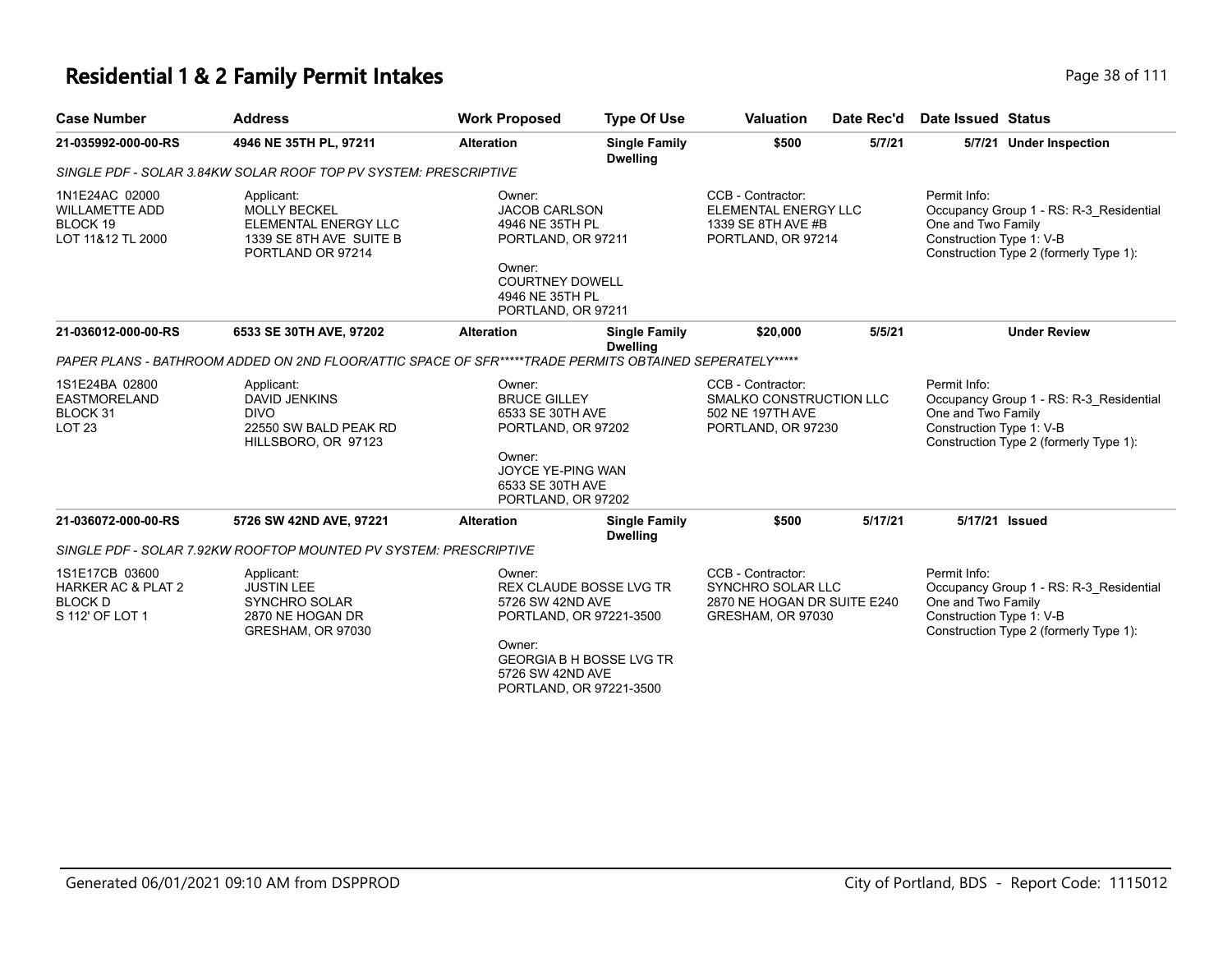| <b>Case Number</b>                                                       | <b>Address</b>                                                                                                   | <b>Work Proposed</b>                                                                                                                                 | <b>Type Of Use</b>                      | <b>Valuation</b>                                                                             | Date Rec'd | Date Issued Status                                                                                                                                  |
|--------------------------------------------------------------------------|------------------------------------------------------------------------------------------------------------------|------------------------------------------------------------------------------------------------------------------------------------------------------|-----------------------------------------|----------------------------------------------------------------------------------------------|------------|-----------------------------------------------------------------------------------------------------------------------------------------------------|
| 21-035992-000-00-RS                                                      | 4946 NE 35TH PL, 97211                                                                                           | <b>Alteration</b>                                                                                                                                    | <b>Single Family</b><br><b>Dwelling</b> | \$500                                                                                        | 5/7/21     | 5/7/21 Under Inspection                                                                                                                             |
|                                                                          | SINGLE PDF - SOLAR 3.84KW SOLAR ROOF TOP PV SYSTEM: PRESCRIPTIVE                                                 |                                                                                                                                                      |                                         |                                                                                              |            |                                                                                                                                                     |
| 1N1E24AC 02000<br><b>WILLAMETTE ADD</b><br>BLOCK 19<br>LOT 11&12 TL 2000 | Applicant:<br><b>MOLLY BECKEL</b><br><b>ELEMENTAL ENERGY LLC</b><br>1339 SE 8TH AVE SUITE B<br>PORTLAND OR 97214 | Owner:<br><b>JACOB CARLSON</b><br>4946 NE 35TH PL<br>PORTLAND, OR 97211<br>Owner:<br><b>COURTNEY DOWELL</b><br>4946 NE 35TH PL<br>PORTLAND, OR 97211 |                                         | CCB - Contractor:<br><b>ELEMENTAL ENERGY LLC</b><br>1339 SE 8TH AVE #B<br>PORTLAND, OR 97214 |            | Permit Info:<br>Occupancy Group 1 - RS: R-3 Residential<br>One and Two Family<br>Construction Type 1: V-B<br>Construction Type 2 (formerly Type 1): |
| 21-036012-000-00-RS                                                      | 6533 SE 30TH AVE, 97202                                                                                          | <b>Alteration</b>                                                                                                                                    | <b>Single Family</b><br><b>Dwelling</b> | \$20,000                                                                                     | 5/5/21     | <b>Under Review</b>                                                                                                                                 |
|                                                                          | PAPER PLANS - BATHROOM ADDED ON 2ND FLOOR/ATTIC SPACE OF SFR*****TRADE PERMITS OBTAINED SEPERATELY*****          |                                                                                                                                                      |                                         |                                                                                              |            |                                                                                                                                                     |
| 1S1E24BA 02800<br>EASTMORELAND<br>BLOCK 31<br><b>LOT 23</b>              | Applicant:<br>DAVID JENKINS<br><b>DIVO</b><br>22550 SW BALD PEAK RD<br>HILLSBORO, OR 97123                       | Owner:<br><b>BRUCE GILLEY</b><br>6533 SE 30TH AVE<br>PORTLAND, OR 97202<br>Owner:<br>JOYCE YE-PING WAN<br>6533 SE 30TH AVE<br>PORTLAND, OR 97202     |                                         | CCB - Contractor:<br>SMALKO CONSTRUCTION LLC<br>502 NE 197TH AVE<br>PORTLAND, OR 97230       |            | Permit Info:<br>Occupancy Group 1 - RS: R-3 Residential<br>One and Two Family<br>Construction Type 1: V-B<br>Construction Type 2 (formerly Type 1): |
| 21-036072-000-00-RS                                                      | 5726 SW 42ND AVE, 97221                                                                                          | <b>Alteration</b>                                                                                                                                    | <b>Single Family</b><br><b>Dwelling</b> | \$500                                                                                        | 5/17/21    | 5/17/21 Issued                                                                                                                                      |

| 1S1E17CB 03600<br>HARKER AC & PLAT 2<br><b>BLOCK D</b><br>S 112' OF LOT 1 | Applicant:<br><b>JUSTIN LEE</b><br>SYNCHRO SOLAR<br>2870 NE HOGAN DR<br>GRESHAM, OR 97030 | Owner:<br><b>REX CLAUDE BOSSE LVG TR</b><br>5726 SW 42ND AVE<br>PORTLAND, OR 97221-3500 | CCB - Contractor:<br>SYNCHRO SOLAR LLC<br>2870 NE HOGAN DR SUITE E240<br>GRESHAM, OR 97030 | Permit Info:<br>Occupancy Group 1 - RS: R-3 Residential<br>One and Two Family<br>Construction Type 1: V-B<br>Construction Type 2 (formerly Type 1): |
|---------------------------------------------------------------------------|-------------------------------------------------------------------------------------------|-----------------------------------------------------------------------------------------|--------------------------------------------------------------------------------------------|-----------------------------------------------------------------------------------------------------------------------------------------------------|
|                                                                           |                                                                                           | Owner:<br><b>GEORGIA B H BOSSE LVG TR</b>                                               |                                                                                            |                                                                                                                                                     |

5726 SW 42ND AVE PORTLAND, OR 97221-3500

Generated 06/01/2021 09:10 AM from DSPPROD City of Portland, BDS - Report Code: 1115012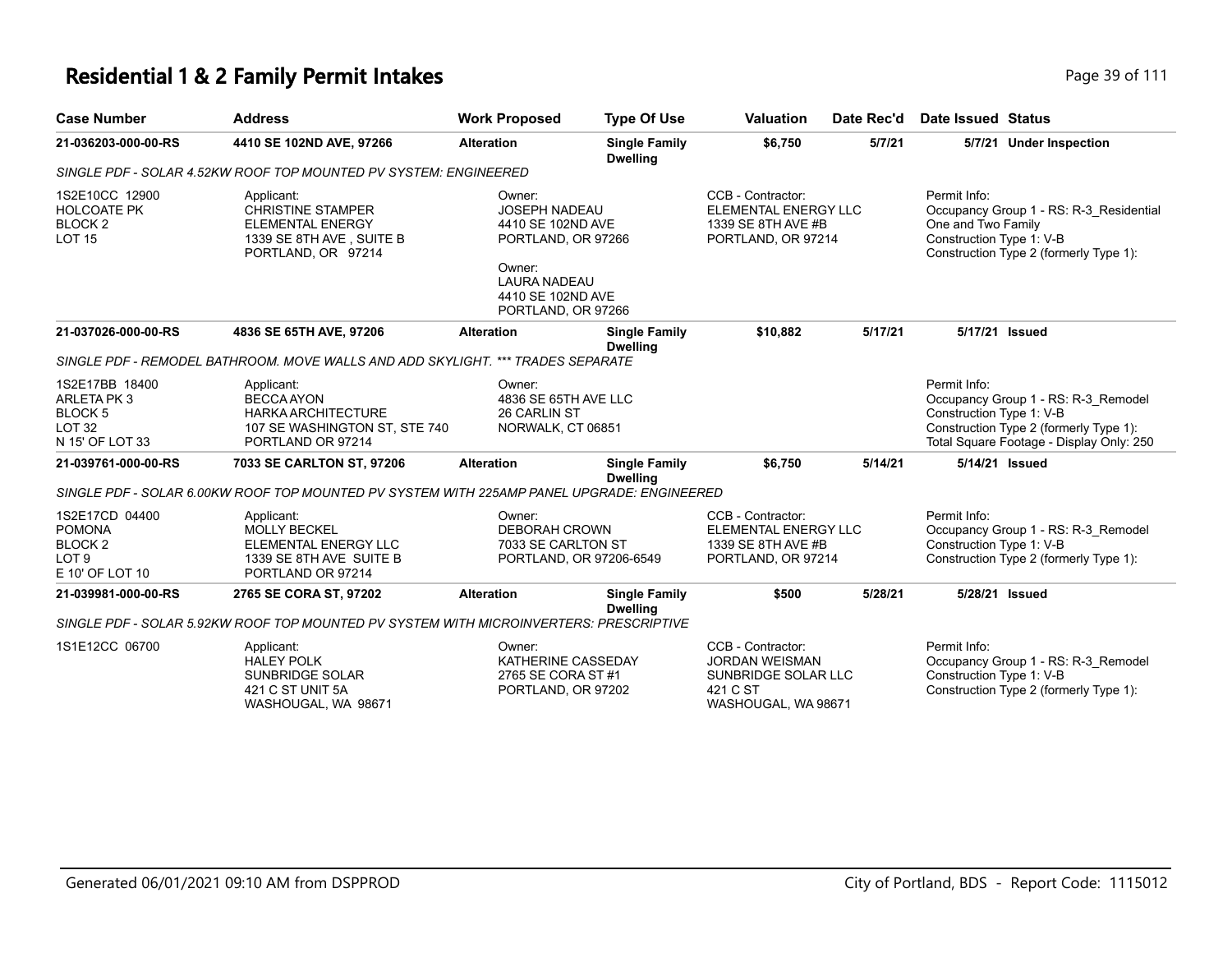| <b>Case Number</b>                                                                            | <b>Address</b>                                                                                                      | <b>Work Proposed</b>                                                                                                                                  | <b>Type Of Use</b>                      | <b>Valuation</b>                                                                                     | Date Rec'd | Date Issued Status                                                                                                                                                    |
|-----------------------------------------------------------------------------------------------|---------------------------------------------------------------------------------------------------------------------|-------------------------------------------------------------------------------------------------------------------------------------------------------|-----------------------------------------|------------------------------------------------------------------------------------------------------|------------|-----------------------------------------------------------------------------------------------------------------------------------------------------------------------|
| 21-036203-000-00-RS                                                                           | 4410 SE 102ND AVE, 97266                                                                                            | <b>Alteration</b>                                                                                                                                     | <b>Single Family</b><br><b>Dwelling</b> | \$6,750                                                                                              | 5/7/21     | 5/7/21 Under Inspection                                                                                                                                               |
|                                                                                               | SINGLE PDF - SOLAR 4.52KW ROOF TOP MOUNTED PV SYSTEM: ENGINEERED                                                    |                                                                                                                                                       |                                         |                                                                                                      |            |                                                                                                                                                                       |
| 1S2E10CC 12900<br><b>HOLCOATE PK</b><br>BLOCK <sub>2</sub><br><b>LOT 15</b>                   | Applicant:<br><b>CHRISTINE STAMPER</b><br><b>ELEMENTAL ENERGY</b><br>1339 SE 8TH AVE, SUITE B<br>PORTLAND, OR 97214 | Owner:<br><b>JOSEPH NADEAU</b><br>4410 SE 102ND AVE<br>PORTLAND, OR 97266<br>Owner:<br><b>LAURA NADEAU</b><br>4410 SE 102ND AVE<br>PORTLAND, OR 97266 |                                         | CCB - Contractor:<br>ELEMENTAL ENERGY LLC<br>1339 SE 8TH AVE #B<br>PORTLAND, OR 97214                |            | Permit Info:<br>Occupancy Group 1 - RS: R-3 Residential<br>One and Two Family<br>Construction Type 1: V-B<br>Construction Type 2 (formerly Type 1):                   |
| 21-037026-000-00-RS                                                                           | 4836 SE 65TH AVE, 97206                                                                                             | <b>Alteration</b>                                                                                                                                     | <b>Single Family</b><br><b>Dwelling</b> | \$10,882                                                                                             | 5/17/21    | 5/17/21 Issued                                                                                                                                                        |
|                                                                                               | SINGLE PDF - REMODEL BATHROOM. MOVE WALLS AND ADD SKYLIGHT. *** TRADES SEPARATE                                     |                                                                                                                                                       |                                         |                                                                                                      |            |                                                                                                                                                                       |
| 1S2E17BB 18400<br><b>ARLETA PK3</b><br>BLOCK <sub>5</sub><br><b>LOT 32</b><br>N 15' OF LOT 33 | Applicant:<br><b>BECCA AYON</b><br><b>HARKA ARCHITECTURE</b><br>107 SE WASHINGTON ST, STE 740<br>PORTLAND OR 97214  | Owner:<br>4836 SE 65TH AVE LLC<br>26 CARLIN ST<br>NORWALK, CT 06851                                                                                   |                                         |                                                                                                      |            | Permit Info:<br>Occupancy Group 1 - RS: R-3 Remodel<br>Construction Type 1: V-B<br>Construction Type 2 (formerly Type 1):<br>Total Square Footage - Display Only: 250 |
| 21-039761-000-00-RS                                                                           | 7033 SE CARLTON ST, 97206                                                                                           | <b>Alteration</b>                                                                                                                                     | <b>Single Family</b>                    | \$6,750                                                                                              | 5/14/21    | 5/14/21 Issued                                                                                                                                                        |
|                                                                                               | SINGLE PDF - SOLAR 6.00KW ROOF TOP MOUNTED PV SYSTEM WITH 225AMP PANEL UPGRADE: ENGINEERED                          |                                                                                                                                                       | <b>Dwelling</b>                         |                                                                                                      |            |                                                                                                                                                                       |
| 1S2E17CD 04400<br><b>POMONA</b><br><b>BLOCK2</b><br>LOT <sub>9</sub><br>E 10' OF LOT 10       | Applicant:<br><b>MOLLY BECKEL</b><br>ELEMENTAL ENERGY LLC<br>1339 SE 8TH AVE SUITE B<br>PORTLAND OR 97214           | Owner:<br><b>DEBORAH CROWN</b><br>7033 SE CARLTON ST<br>PORTLAND, OR 97206-6549                                                                       |                                         | CCB - Contractor:<br><b>ELEMENTAL ENERGY LLC</b><br>1339 SE 8TH AVE #B<br>PORTLAND, OR 97214         |            | Permit Info:<br>Occupancy Group 1 - RS: R-3_Remodel<br>Construction Type 1: V-B<br>Construction Type 2 (formerly Type 1):                                             |
| 21-039981-000-00-RS                                                                           | 2765 SE CORA ST, 97202                                                                                              | <b>Alteration</b>                                                                                                                                     | <b>Single Family</b>                    | \$500                                                                                                | 5/28/21    | 5/28/21 Issued                                                                                                                                                        |
|                                                                                               | SINGLE PDF - SOLAR 5.92KW ROOF TOP MOUNTED PV SYSTEM WITH MICROINVERTERS: PRESCRIPTIVE                              |                                                                                                                                                       | <b>Dwelling</b>                         |                                                                                                      |            |                                                                                                                                                                       |
| 1S1E12CC 06700                                                                                | Applicant:<br><b>HALEY POLK</b><br><b>SUNBRIDGE SOLAR</b><br>421 C ST UNIT 5A<br>WASHOUGAL, WA 98671                | Owner:<br>KATHERINE CASSEDAY<br>2765 SE CORA ST #1<br>PORTLAND, OR 97202                                                                              |                                         | CCB - Contractor:<br><b>JORDAN WEISMAN</b><br>SUNBRIDGE SOLAR LLC<br>421 C ST<br>WASHOUGAL, WA 98671 |            | Permit Info:<br>Occupancy Group 1 - RS: R-3_Remodel<br>Construction Type 1: V-B<br>Construction Type 2 (formerly Type 1):                                             |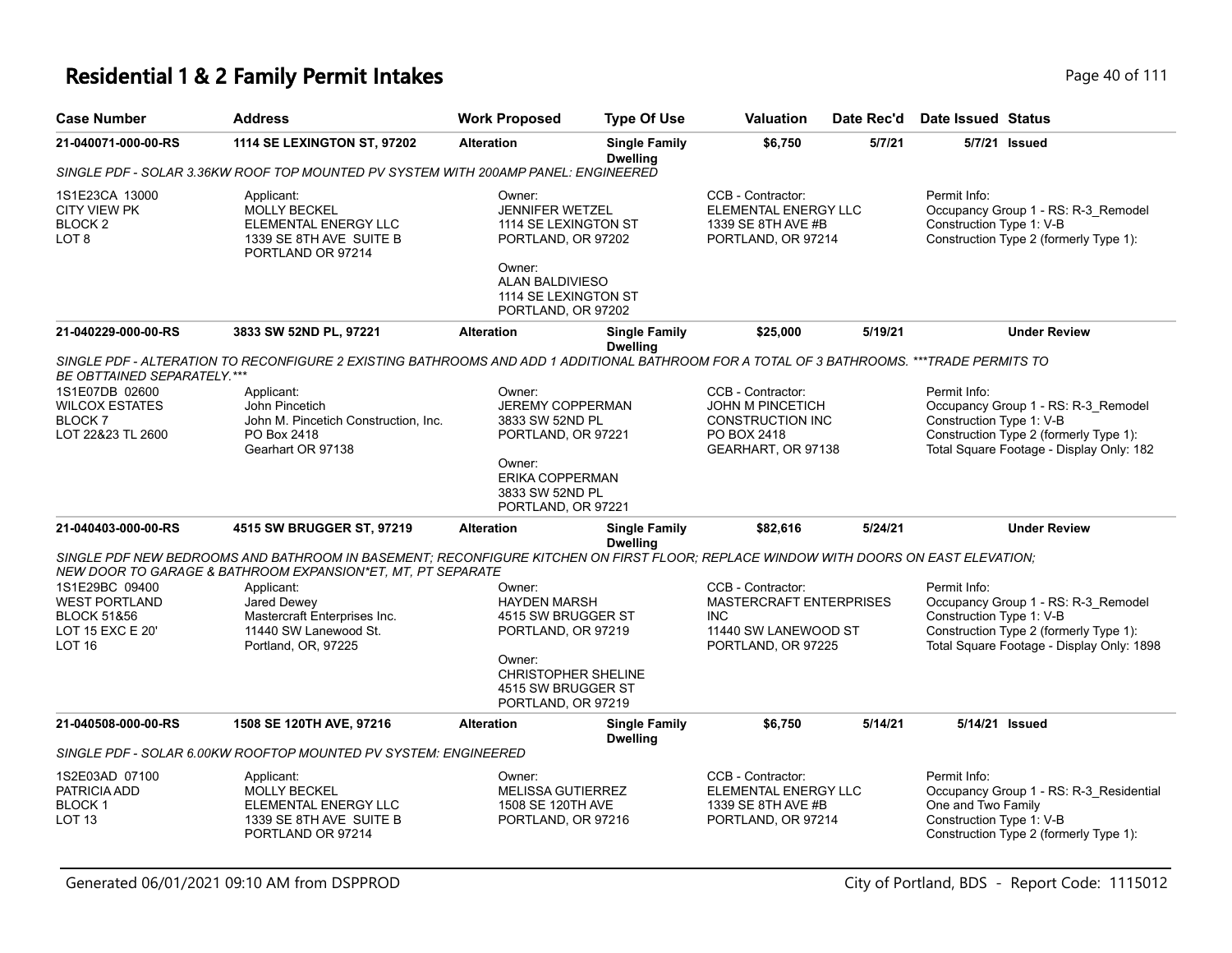# **Residential 1 & 2 Family Permit Intakes Page 10 of 111**

| <b>Case Number</b>                                                                             | <b>Address</b>                                                                                                                                                                                    | <b>Work Proposed</b>                                                                                                                                      | <b>Type Of Use</b>                      | <b>Valuation</b>                                                                                                | Date Rec'd | <b>Date Issued Status</b>                                      |                                                                                                                            |
|------------------------------------------------------------------------------------------------|---------------------------------------------------------------------------------------------------------------------------------------------------------------------------------------------------|-----------------------------------------------------------------------------------------------------------------------------------------------------------|-----------------------------------------|-----------------------------------------------------------------------------------------------------------------|------------|----------------------------------------------------------------|----------------------------------------------------------------------------------------------------------------------------|
| 21-040071-000-00-RS                                                                            | <b>1114 SE LEXINGTON ST, 97202</b>                                                                                                                                                                | <b>Alteration</b>                                                                                                                                         | <b>Single Family</b><br><b>Dwelling</b> | \$6,750                                                                                                         | 5/7/21     | 5/7/21 Issued                                                  |                                                                                                                            |
|                                                                                                | SINGLE PDF - SOLAR 3.36KW ROOF TOP MOUNTED PV SYSTEM WITH 200AMP PANEL: ENGINEERED                                                                                                                |                                                                                                                                                           |                                         |                                                                                                                 |            |                                                                |                                                                                                                            |
| 1S1E23CA 13000<br><b>CITY VIEW PK</b><br>BLOCK <sub>2</sub><br>LOT <sub>8</sub>                | Applicant:<br><b>MOLLY BECKEL</b><br>ELEMENTAL ENERGY LLC<br>1339 SE 8TH AVE SUITE B<br>PORTLAND OR 97214                                                                                         | Owner:<br><b>JENNIFER WETZEL</b><br>1114 SE LEXINGTON ST<br>PORTLAND, OR 97202<br>Owner:<br>ALAN BALDIVIESO<br>1114 SE LEXINGTON ST<br>PORTLAND, OR 97202 |                                         | CCB - Contractor:<br>ELEMENTAL ENERGY LLC<br>1339 SE 8TH AVE #B<br>PORTLAND, OR 97214                           |            | Permit Info:<br>Construction Type 1: V-B                       | Occupancy Group 1 - RS: R-3_Remodel<br>Construction Type 2 (formerly Type 1):                                              |
| 21-040229-000-00-RS                                                                            | 3833 SW 52ND PL, 97221                                                                                                                                                                            | <b>Alteration</b>                                                                                                                                         | <b>Single Family</b><br><b>Dwelling</b> | \$25,000                                                                                                        | 5/19/21    |                                                                | <b>Under Review</b>                                                                                                        |
| <b>BE OBTTAINED SEPARATELY.***</b>                                                             | SINGLE PDF - ALTERATION TO RECONFIGURE 2 EXISTING BATHROOMS AND ADD 1 ADDITIONAL BATHROOM FOR A TOTAL OF 3 BATHROOMS. ***TRADE PERMITS TO                                                         |                                                                                                                                                           |                                         |                                                                                                                 |            |                                                                |                                                                                                                            |
| 1S1E07DB 02600<br><b>WILCOX ESTATES</b><br>BLOCK 7<br>LOT 22&23 TL 2600                        | Applicant:<br>John Pincetich<br>John M. Pincetich Construction, Inc.<br>PO Box 2418<br>Gearhart OR 97138                                                                                          | Owner:<br><b>JEREMY COPPERMAN</b><br>3833 SW 52ND PL<br>PORTLAND, OR 97221<br>Owner:<br>ERIKA COPPERMAN<br>3833 SW 52ND PL<br>PORTLAND, OR 97221          |                                         | CCB - Contractor:<br><b>JOHN M PINCETICH</b><br><b>CONSTRUCTION INC</b><br>PO BOX 2418<br>GEARHART, OR 97138    |            | Permit Info:<br>Construction Type 1: V-B                       | Occupancy Group 1 - RS: R-3_Remodel<br>Construction Type 2 (formerly Type 1):<br>Total Square Footage - Display Only: 182  |
| 21-040403-000-00-RS                                                                            | 4515 SW BRUGGER ST, 97219                                                                                                                                                                         | <b>Alteration</b>                                                                                                                                         | <b>Single Family</b><br><b>Dwelling</b> | \$82,616                                                                                                        | 5/24/21    |                                                                | <b>Under Review</b>                                                                                                        |
|                                                                                                | SINGLE PDF NEW BEDROOMS AND BATHROOM IN BASEMENT; RECONFIGURE KITCHEN ON FIRST FLOOR; REPLACE WINDOW WITH DOORS ON EAST ELEVATION;<br>NEW DOOR TO GARAGE & BATHROOM EXPANSION*ET, MT, PT SEPARATE |                                                                                                                                                           |                                         |                                                                                                                 |            |                                                                |                                                                                                                            |
| 1S1E29BC 09400<br><b>WEST PORTLAND</b><br><b>BLOCK 51&amp;56</b><br>LOT 15 EXC E 20'<br>LOT 16 | Applicant:<br>Jared Dewey<br>Mastercraft Enterprises Inc.<br>11440 SW Lanewood St.<br>Portland, OR, 97225                                                                                         | Owner:<br><b>HAYDEN MARSH</b><br>4515 SW BRUGGER ST<br>PORTLAND, OR 97219<br>Owner:<br><b>CHRISTOPHER SHELINE</b>                                         |                                         | CCB - Contractor:<br><b>MASTERCRAFT ENTERPRISES</b><br><b>INC</b><br>11440 SW LANEWOOD ST<br>PORTLAND, OR 97225 |            | Permit Info:<br>Construction Type 1: V-B                       | Occupancy Group 1 - RS: R-3_Remodel<br>Construction Type 2 (formerly Type 1):<br>Total Square Footage - Display Only: 1898 |
|                                                                                                |                                                                                                                                                                                                   | 4515 SW BRUGGER ST<br>PORTLAND, OR 97219                                                                                                                  |                                         |                                                                                                                 |            |                                                                |                                                                                                                            |
| 21-040508-000-00-RS                                                                            | 1508 SE 120TH AVE, 97216                                                                                                                                                                          | <b>Alteration</b>                                                                                                                                         | <b>Single Family</b><br><b>Dwelling</b> | \$6,750                                                                                                         | 5/14/21    | 5/14/21 Issued                                                 |                                                                                                                            |
|                                                                                                | SINGLE PDF - SOLAR 6.00KW ROOFTOP MOUNTED PV SYSTEM: ENGINEERED                                                                                                                                   |                                                                                                                                                           |                                         |                                                                                                                 |            |                                                                |                                                                                                                            |
| 1S2E03AD 07100<br>PATRICIA ADD<br><b>BLOCK1</b><br>LOT 13                                      | Applicant:<br><b>MOLLY BECKEL</b><br>ELEMENTAL ENERGY LLC<br>1339 SE 8TH AVE SUITE B<br>PORTLAND OR 97214                                                                                         | Owner:<br><b>MELISSA GUTIERREZ</b><br>1508 SE 120TH AVE<br>PORTLAND, OR 97216                                                                             |                                         | CCB - Contractor:<br>ELEMENTAL ENERGY LLC<br>1339 SE 8TH AVE #B<br>PORTLAND, OR 97214                           |            | Permit Info:<br>One and Two Family<br>Construction Type 1: V-B | Occupancy Group 1 - RS: R-3_Residential<br>Construction Type 2 (formerly Type 1):                                          |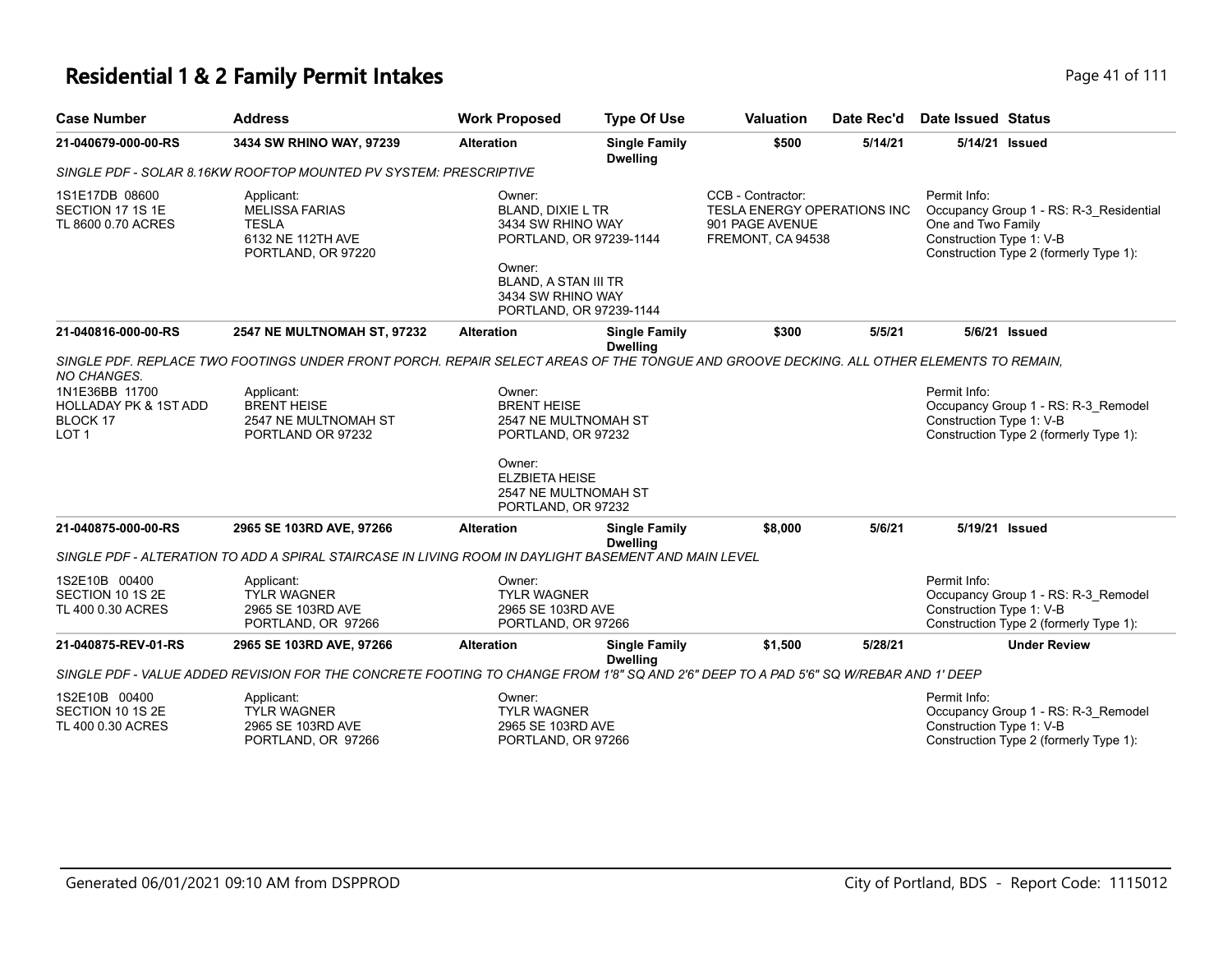# **Residential 1 & 2 Family Permit Intakes Page 41 of 111**

| <b>Case Number</b>                                                                 | <b>Address</b>                                                                                                                          | <b>Work Proposed</b>                                                                                                                                                        | <b>Type Of Use</b>                      | <b>Valuation</b>                                                                                | Date Rec'd | <b>Date Issued Status</b>                                                                                                                           |
|------------------------------------------------------------------------------------|-----------------------------------------------------------------------------------------------------------------------------------------|-----------------------------------------------------------------------------------------------------------------------------------------------------------------------------|-----------------------------------------|-------------------------------------------------------------------------------------------------|------------|-----------------------------------------------------------------------------------------------------------------------------------------------------|
| 21-040679-000-00-RS                                                                | 3434 SW RHINO WAY, 97239                                                                                                                | <b>Alteration</b>                                                                                                                                                           | <b>Single Family</b><br><b>Dwelling</b> | \$500                                                                                           | 5/14/21    | 5/14/21 Issued                                                                                                                                      |
|                                                                                    | SINGLE PDF - SOLAR 8.16KW ROOFTOP MOUNTED PV SYSTEM: PRESCRIPTIVE                                                                       |                                                                                                                                                                             |                                         |                                                                                                 |            |                                                                                                                                                     |
| 1S1E17DB 08600<br>SECTION 17 1S 1E<br>TL 8600 0.70 ACRES                           | Applicant:<br><b>MELISSA FARIAS</b><br><b>TESLA</b><br>6132 NE 112TH AVE<br>PORTLAND, OR 97220                                          | Owner:<br><b>BLAND, DIXIE L TR</b><br>3434 SW RHINO WAY<br>PORTLAND, OR 97239-1144<br>Owner:<br><b>BLAND, A STAN III TR</b><br>3434 SW RHINO WAY<br>PORTLAND, OR 97239-1144 |                                         | CCB - Contractor:<br><b>TESLA ENERGY OPERATIONS INC</b><br>901 PAGE AVENUE<br>FREMONT, CA 94538 |            | Permit Info:<br>Occupancy Group 1 - RS: R-3_Residential<br>One and Two Family<br>Construction Type 1: V-B<br>Construction Type 2 (formerly Type 1): |
| 21-040816-000-00-RS                                                                | 2547 NE MULTNOMAH ST, 97232                                                                                                             | <b>Alteration</b>                                                                                                                                                           | <b>Single Family</b>                    | \$300                                                                                           | 5/5/21     | 5/6/21 Issued                                                                                                                                       |
| <b>NO CHANGES.</b>                                                                 | SINGLE PDF. REPLACE TWO FOOTINGS UNDER FRONT PORCH. REPAIR SELECT AREAS OF THE TONGUE AND GROOVE DECKING. ALL OTHER ELEMENTS TO REMAIN, |                                                                                                                                                                             | <b>Dwelling</b>                         |                                                                                                 |            |                                                                                                                                                     |
| 1N1E36BB 11700<br><b>HOLLADAY PK &amp; 1ST ADD</b><br>BLOCK 17<br>LOT <sub>1</sub> | Applicant:<br><b>BRENT HEISE</b><br>2547 NE MULTNOMAH ST<br>PORTLAND OR 97232                                                           | Owner:<br><b>BRENT HEISE</b><br>2547 NE MULTNOMAH ST<br>PORTLAND, OR 97232<br>Owner:                                                                                        |                                         |                                                                                                 |            | Permit Info:<br>Occupancy Group 1 - RS: R-3_Remodel<br>Construction Type 1: V-B<br>Construction Type 2 (formerly Type 1):                           |
|                                                                                    |                                                                                                                                         | ELZBIETA HEISE<br>2547 NE MULTNOMAH ST<br>PORTLAND, OR 97232                                                                                                                |                                         |                                                                                                 |            |                                                                                                                                                     |
| 21-040875-000-00-RS                                                                | 2965 SE 103RD AVE, 97266                                                                                                                | <b>Alteration</b>                                                                                                                                                           | <b>Single Family</b><br><b>Dwelling</b> | \$8,000                                                                                         | 5/6/21     | 5/19/21 Issued                                                                                                                                      |
|                                                                                    | SINGLE PDF - ALTERATION TO ADD A SPIRAL STAIRCASE IN LIVING ROOM IN DAYLIGHT BASEMENT AND MAIN LEVEL                                    |                                                                                                                                                                             |                                         |                                                                                                 |            |                                                                                                                                                     |
| 1S2E10B 00400<br>SECTION 10 1S 2E<br>TL 400 0.30 ACRES                             | Applicant:<br><b>TYLR WAGNER</b><br>2965 SE 103RD AVE<br>PORTLAND, OR 97266                                                             | Owner:<br><b>TYLR WAGNER</b><br>2965 SE 103RD AVE<br>PORTLAND, OR 97266                                                                                                     |                                         |                                                                                                 |            | Permit Info:<br>Occupancy Group 1 - RS: R-3_Remodel<br>Construction Type 1: V-B<br>Construction Type 2 (formerly Type 1):                           |
| 21-040875-REV-01-RS                                                                | 2965 SE 103RD AVE, 97266                                                                                                                | <b>Alteration</b>                                                                                                                                                           | <b>Single Family</b><br><b>Dwelling</b> | \$1,500                                                                                         | 5/28/21    | <b>Under Review</b>                                                                                                                                 |
|                                                                                    | SINGLE PDF - VALUE ADDED REVISION FOR THE CONCRETE FOOTING TO CHANGE FROM 1'8" SQ AND 2'6" DEEP TO A PAD 5'6" SQ W/REBAR AND 1' DEEP    |                                                                                                                                                                             |                                         |                                                                                                 |            |                                                                                                                                                     |
| 1S2E10B 00400<br>SECTION 10 1S 2E<br>TL 400 0.30 ACRES                             | Applicant:<br><b>TYLR WAGNER</b><br>2965 SE 103RD AVE<br>PORTLAND, OR 97266                                                             | Owner:<br><b>TYLR WAGNER</b><br>2965 SE 103RD AVE<br>PORTLAND, OR 97266                                                                                                     |                                         |                                                                                                 |            | Permit Info:<br>Occupancy Group 1 - RS: R-3_Remodel<br>Construction Type 1: V-B<br>Construction Type 2 (formerly Type 1):                           |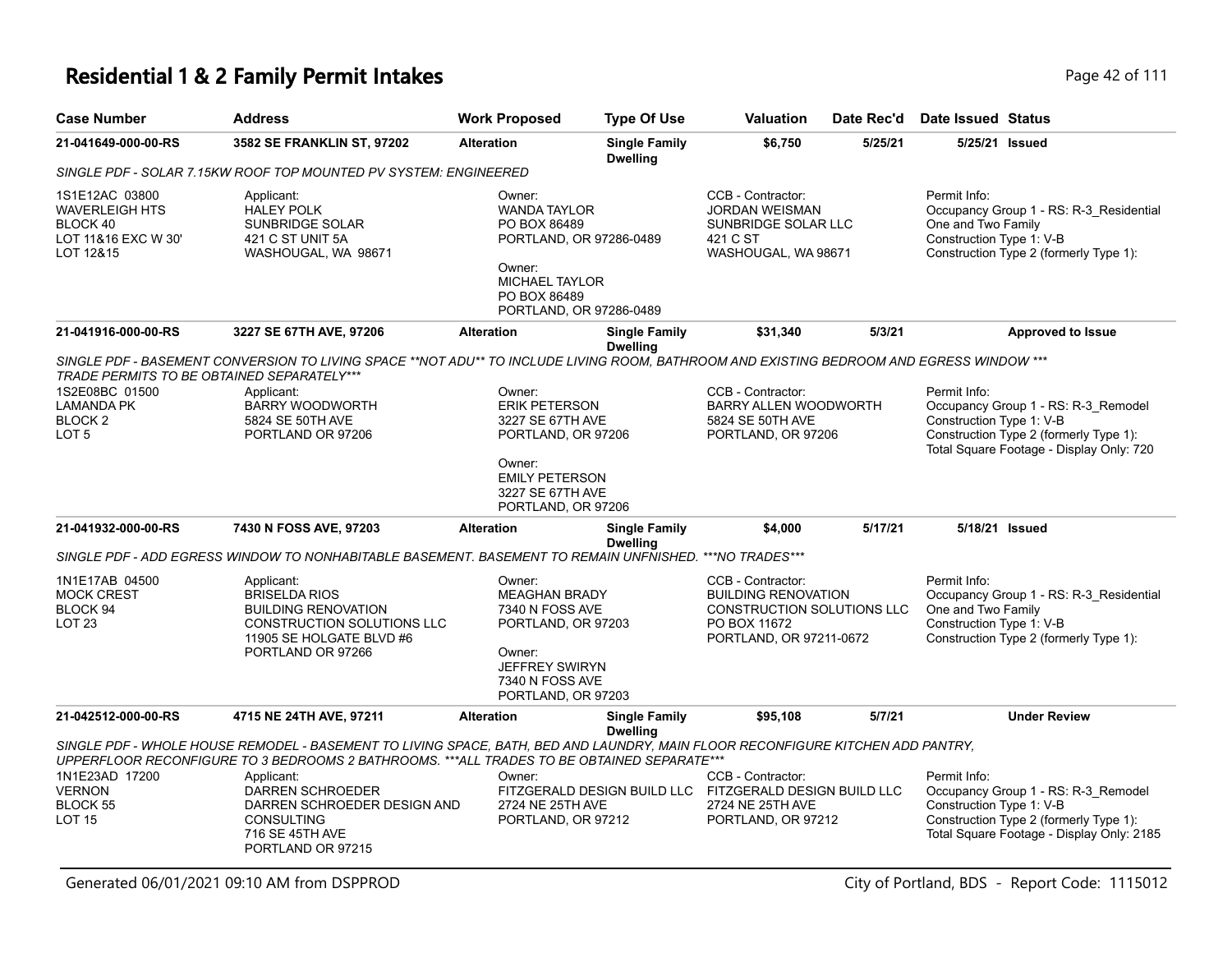| <b>Case Number</b>                                                                                    | <b>Address</b>                                                                                                                                                                                                                                                                                                                                             | <b>Work Proposed</b>                                                                                                                                   | <b>Type Of Use</b>                                                                                                                                                                                                                                                                               | <b>Valuation</b>                                                                                                       | Date Rec'd                                                                          | Date Issued Status                                                                                                                                                     |
|-------------------------------------------------------------------------------------------------------|------------------------------------------------------------------------------------------------------------------------------------------------------------------------------------------------------------------------------------------------------------------------------------------------------------------------------------------------------------|--------------------------------------------------------------------------------------------------------------------------------------------------------|--------------------------------------------------------------------------------------------------------------------------------------------------------------------------------------------------------------------------------------------------------------------------------------------------|------------------------------------------------------------------------------------------------------------------------|-------------------------------------------------------------------------------------|------------------------------------------------------------------------------------------------------------------------------------------------------------------------|
| 21-041649-000-00-RS                                                                                   | 3582 SE FRANKLIN ST, 97202                                                                                                                                                                                                                                                                                                                                 | <b>Alteration</b>                                                                                                                                      | <b>Single Family</b><br><b>Dwelling</b>                                                                                                                                                                                                                                                          | \$6,750                                                                                                                | 5/25/21                                                                             | 5/25/21 Issued                                                                                                                                                         |
|                                                                                                       | SINGLE PDF - SOLAR 7.15KW ROOF TOP MOUNTED PV SYSTEM: ENGINEERED                                                                                                                                                                                                                                                                                           |                                                                                                                                                        |                                                                                                                                                                                                                                                                                                  |                                                                                                                        |                                                                                     |                                                                                                                                                                        |
| 1S1E12AC 03800<br>WAVERLEIGH HTS<br>BLOCK 40<br>LOT 11&16 EXC W 30'<br>LOT 12&15                      | Applicant:<br><b>HALEY POLK</b><br><b>SUNBRIDGE SOLAR</b><br>421 C ST UNIT 5A<br>WASHOUGAL, WA 98671                                                                                                                                                                                                                                                       | Owner:<br><b>WANDA TAYLOR</b><br>PO BOX 86489<br>PORTLAND, OR 97286-0489<br>Owner:<br><b>MICHAEL TAYLOR</b><br>PO BOX 86489<br>PORTLAND, OR 97286-0489 |                                                                                                                                                                                                                                                                                                  | CCB - Contractor:<br><b>JORDAN WEISMAN</b><br>SUNBRIDGE SOLAR LLC<br>421 C ST<br>WASHOUGAL, WA 98671                   |                                                                                     | Permit Info:<br>Occupancy Group 1 - RS: R-3_Residential<br>One and Two Family<br>Construction Type 1: V-B<br>Construction Type 2 (formerly Type 1):                    |
| 21-041916-000-00-RS                                                                                   | 3227 SE 67TH AVE, 97206                                                                                                                                                                                                                                                                                                                                    | <b>Alteration</b>                                                                                                                                      | <b>Single Family</b>                                                                                                                                                                                                                                                                             | \$31,340                                                                                                               | 5/3/21                                                                              | <b>Approved to Issue</b>                                                                                                                                               |
| <b>TRADE PERMITS TO BE OBTAINED SEPARATELY***</b><br>1S2E08BC 01500<br>LAMANDA PK<br>BLOCK 2<br>LOT 5 | Applicant:<br>BARRY WOODWORTH<br>5824 SE 50TH AVE<br>PORTLAND OR 97206                                                                                                                                                                                                                                                                                     | Owner:<br>Owner:                                                                                                                                       | <b>Dwelling</b><br>SINGLE PDF - BASEMENT CONVERSION TO LIVING SPACE **NOT ADU** TO INCLUDE LIVING ROOM. BATHROOM AND EXISTING BEDROOM AND EGRESS WINDOW ***<br><b>ERIK PETERSON</b><br>3227 SE 67TH AVE<br>PORTLAND, OR 97206<br><b>EMILY PETERSON</b><br>3227 SE 67TH AVE<br>PORTLAND, OR 97206 |                                                                                                                        | BARRY ALLEN WOODWORTH<br>PORTLAND, OR 97206                                         | Permit Info:<br>Occupancy Group 1 - RS: R-3_Remodel<br>Construction Type 1: V-B<br>Construction Type 2 (formerly Type 1):<br>Total Square Footage - Display Only: 720  |
| 21-041932-000-00-RS                                                                                   | 7430 N FOSS AVE, 97203<br>SINGLE PDF - ADD EGRESS WINDOW TO NONHABITABLE BASEMENT. BASEMENT TO REMAIN UNFNISHED. ***NO TRADES***                                                                                                                                                                                                                           | <b>Alteration</b>                                                                                                                                      | <b>Single Family</b><br><b>Dwelling</b>                                                                                                                                                                                                                                                          | \$4,000                                                                                                                | 5/17/21                                                                             | 5/18/21 Issued                                                                                                                                                         |
|                                                                                                       |                                                                                                                                                                                                                                                                                                                                                            |                                                                                                                                                        |                                                                                                                                                                                                                                                                                                  | CCB - Contractor:                                                                                                      |                                                                                     |                                                                                                                                                                        |
| 1N1E17AB 04500<br><b>MOCK CREST</b><br>BLOCK 94<br>LOT 23                                             | Applicant:<br><b>BRISELDA RIOS</b><br><b>BUILDING RENOVATION</b><br>CONSTRUCTION SOLUTIONS LLC<br>11905 SE HOLGATE BLVD #6<br>PORTLAND OR 97266                                                                                                                                                                                                            | Owner:<br>PORTLAND, OR 97203                                                                                                                           | Owner:<br><b>MEAGHAN BRADY</b><br>7340 N FOSS AVE<br>PORTLAND, OR 97203<br><b>JEFFREY SWIRYN</b><br>7340 N FOSS AVE                                                                                                                                                                              |                                                                                                                        | <b>BUILDING RENOVATION</b><br>CONSTRUCTION SOLUTIONS LLC<br>PORTLAND, OR 97211-0672 | Permit Info:<br>Occupancy Group 1 - RS: R-3 Residential<br>One and Two Family<br>Construction Type 1: V-B<br>Construction Type 2 (formerly Type 1):                    |
| 21-042512-000-00-RS                                                                                   | 4715 NE 24TH AVE, 97211                                                                                                                                                                                                                                                                                                                                    | <b>Alteration</b>                                                                                                                                      | <b>Single Family</b>                                                                                                                                                                                                                                                                             | \$95,108                                                                                                               | 5/7/21                                                                              | <b>Under Review</b>                                                                                                                                                    |
| 1N1E23AD 17200<br>VERNON<br><b>BLOCK 55</b><br>LOT 15                                                 | SINGLE PDF - WHOLE HOUSE REMODEL - BASEMENT TO LIVING SPACE, BATH, BED AND LAUNDRY, MAIN FLOOR RECONFIGURE KITCHEN ADD PANTRY,<br>UPPERFLOOR RECONFIGURE TO 3 BEDROOMS 2 BATHROOMS. ***ALL TRADES TO BE OBTAINED SEPARATE***<br>Applicant:<br>DARREN SCHROEDER<br>DARREN SCHROEDER DESIGN AND<br><b>CONSULTING</b><br>716 SE 45TH AVE<br>PORTLAND OR 97215 | Owner:<br>2724 NE 25TH AVE<br>PORTLAND, OR 97212                                                                                                       | <b>Dwelling</b>                                                                                                                                                                                                                                                                                  | CCB - Contractor:<br>FITZGERALD DESIGN BUILD LLC FITZGERALD DESIGN BUILD LLC<br>2724 NE 25TH AVE<br>PORTLAND, OR 97212 |                                                                                     | Permit Info:<br>Occupancy Group 1 - RS: R-3_Remodel<br>Construction Type 1: V-B<br>Construction Type 2 (formerly Type 1):<br>Total Square Footage - Display Only: 2185 |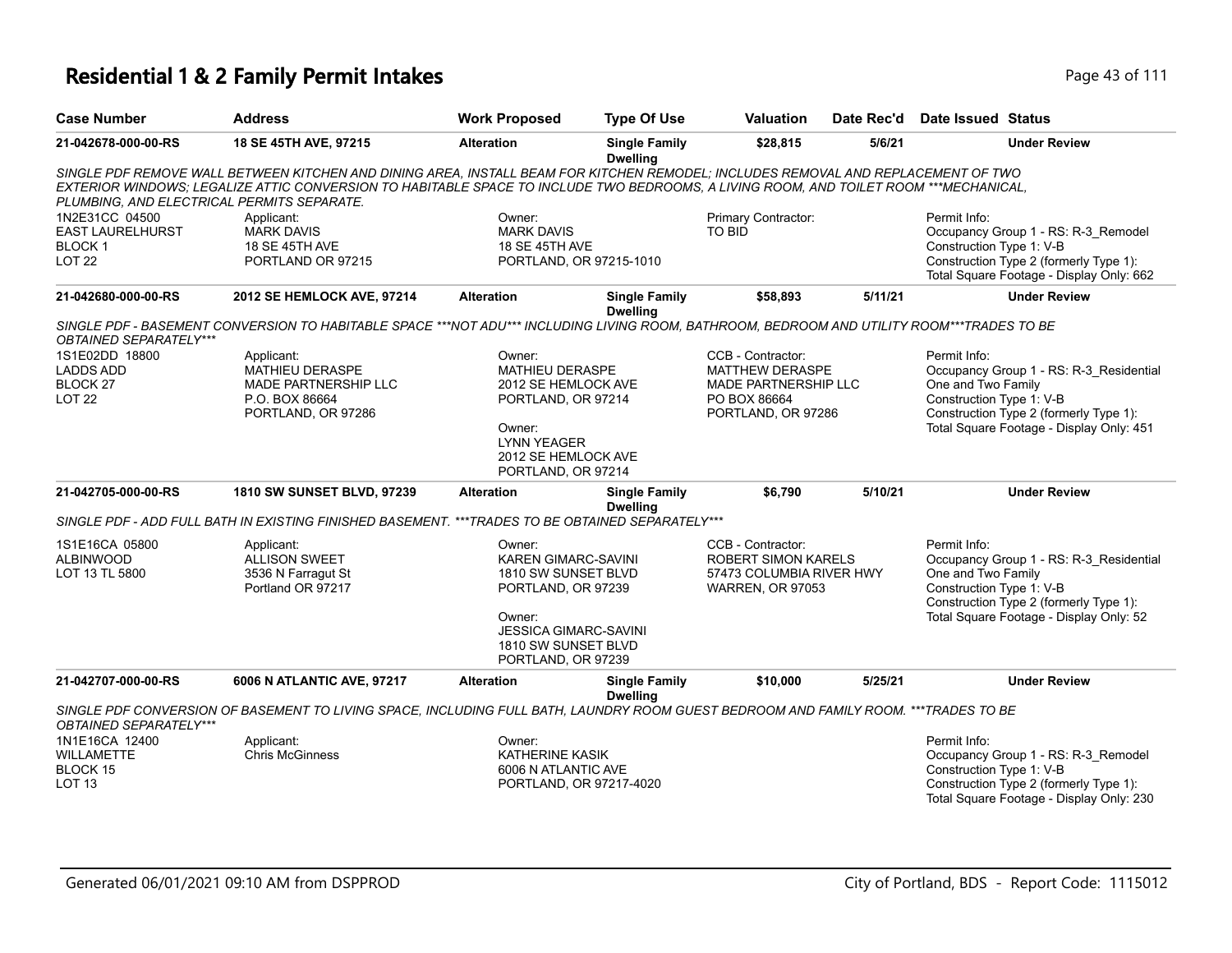| <b>Case Number</b>                                                          | <b>Address</b>                                                                                                                                                                                                                                                                                                           | <b>Work Proposed</b>                                                                                                                                                     | <b>Type Of Use</b>                      | <b>Valuation</b>                                                                                          | Date Rec'd | Date Issued Status                                                                                                                                                                              |
|-----------------------------------------------------------------------------|--------------------------------------------------------------------------------------------------------------------------------------------------------------------------------------------------------------------------------------------------------------------------------------------------------------------------|--------------------------------------------------------------------------------------------------------------------------------------------------------------------------|-----------------------------------------|-----------------------------------------------------------------------------------------------------------|------------|-------------------------------------------------------------------------------------------------------------------------------------------------------------------------------------------------|
| 21-042678-000-00-RS                                                         | 18 SE 45TH AVE, 97215                                                                                                                                                                                                                                                                                                    | <b>Alteration</b>                                                                                                                                                        | <b>Single Family</b><br><b>Dwelling</b> | \$28,815                                                                                                  | 5/6/21     | <b>Under Review</b>                                                                                                                                                                             |
|                                                                             | SINGLE PDF REMOVE WALL BETWEEN KITCHEN AND DINING AREA, INSTALL BEAM FOR KITCHEN REMODEL; INCLUDES REMOVAL AND REPLACEMENT OF TWO<br>EXTERIOR WINDOWS: LEGALIZE ATTIC CONVERSION TO HABITABLE SPACE TO INCLUDE TWO BEDROOMS, A LIVING ROOM, AND TOILET ROOM ***MECHANICAL,<br>PLUMBING, AND ELECTRICAL PERMITS SEPARATE. |                                                                                                                                                                          |                                         |                                                                                                           |            |                                                                                                                                                                                                 |
| 1N2E31CC 04500<br><b>EAST LAURELHURST</b><br><b>BLOCK1</b><br><b>LOT 22</b> | Applicant:<br><b>MARK DAVIS</b><br>18 SE 45TH AVE<br>PORTLAND OR 97215                                                                                                                                                                                                                                                   | Owner:<br><b>MARK DAVIS</b><br><b>18 SE 45TH AVE</b>                                                                                                                     | PORTLAND, OR 97215-1010                 | Primary Contractor:<br><b>TO BID</b>                                                                      |            | Permit Info:<br>Occupancy Group 1 - RS: R-3 Remodel<br>Construction Type 1: V-B<br>Construction Type 2 (formerly Type 1):<br>Total Square Footage - Display Only: 662                           |
| 21-042680-000-00-RS                                                         | 2012 SE HEMLOCK AVE, 97214                                                                                                                                                                                                                                                                                               | <b>Alteration</b>                                                                                                                                                        | <b>Single Family</b><br><b>Dwelling</b> | \$58,893                                                                                                  | 5/11/21    | <b>Under Review</b>                                                                                                                                                                             |
| OBTAINED SEPARATELY***                                                      | SINGLE PDF - BASEMENT CONVERSION TO HABITABLE SPACE ***NOT ADU*** INCLUDING LIVING ROOM, BATHROOM, BEDROOM AND UTILITY ROOM***TRADES TO BE                                                                                                                                                                               |                                                                                                                                                                          |                                         |                                                                                                           |            |                                                                                                                                                                                                 |
| 1S1E02DD 18800<br><b>LADDS ADD</b><br>BLOCK 27<br><b>LOT 22</b>             | Applicant:<br>MATHIEU DERASPE<br>MADE PARTNERSHIP LLC<br>P.O. BOX 86664<br>PORTLAND, OR 97286                                                                                                                                                                                                                            | Owner:<br><b>MATHIEU DERASPE</b><br>2012 SE HEMLOCK AVE<br>PORTLAND, OR 97214<br>Owner:<br><b>LYNN YEAGER</b><br>2012 SE HEMLOCK AVE<br>PORTLAND, OR 97214               |                                         | CCB - Contractor:<br><b>MATTHEW DERASPE</b><br>MADE PARTNERSHIP LLC<br>PO BOX 86664<br>PORTLAND, OR 97286 |            | Permit Info:<br>Occupancy Group 1 - RS: R-3 Residential<br>One and Two Family<br>Construction Type 1: V-B<br>Construction Type 2 (formerly Type 1):<br>Total Square Footage - Display Only: 451 |
| 21-042705-000-00-RS                                                         | 1810 SW SUNSET BLVD, 97239                                                                                                                                                                                                                                                                                               | <b>Alteration</b>                                                                                                                                                        | <b>Single Family</b><br><b>Dwelling</b> | \$6,790                                                                                                   | 5/10/21    | <b>Under Review</b>                                                                                                                                                                             |
|                                                                             | SINGLE PDF - ADD FULL BATH IN EXISTING FINISHED BASEMENT. *** TRADES TO BE OBTAINED SEPARATELY***                                                                                                                                                                                                                        |                                                                                                                                                                          |                                         |                                                                                                           |            |                                                                                                                                                                                                 |
| 1S1E16CA 05800<br><b>ALBINWOOD</b><br>LOT 13 TL 5800                        | Applicant:<br><b>ALLISON SWEET</b><br>3536 N Farragut St<br>Portland OR 97217                                                                                                                                                                                                                                            | Owner:<br><b>KAREN GIMARC-SAVINI</b><br>1810 SW SUNSET BLVD<br>PORTLAND, OR 97239<br>Owner:<br><b>JESSICA GIMARC-SAVINI</b><br>1810 SW SUNSET BLVD<br>PORTLAND, OR 97239 |                                         | CCB - Contractor:<br><b>ROBERT SIMON KARELS</b><br>57473 COLUMBIA RIVER HWY<br><b>WARREN, OR 97053</b>    |            | Permit Info:<br>Occupancy Group 1 - RS: R-3_Residential<br>One and Two Family<br>Construction Type 1: V-B<br>Construction Type 2 (formerly Type 1):<br>Total Square Footage - Display Only: 52  |
| 21-042707-000-00-RS                                                         | 6006 N ATLANTIC AVE, 97217                                                                                                                                                                                                                                                                                               | <b>Alteration</b>                                                                                                                                                        | <b>Single Family</b><br><b>Dwelling</b> | \$10,000                                                                                                  | 5/25/21    | <b>Under Review</b>                                                                                                                                                                             |
| OBTAINED SEPARATELY***                                                      | SINGLE PDF CONVERSION OF BASEMENT TO LIVING SPACE, INCLUDING FULL BATH, LAUNDRY ROOM GUEST BEDROOM AND FAMILY ROOM. ***TRADES TO BE                                                                                                                                                                                      |                                                                                                                                                                          |                                         |                                                                                                           |            |                                                                                                                                                                                                 |
| 1N1E16CA 12400<br><b>WILLAMETTE</b><br>BLOCK 15<br><b>LOT 13</b>            | Applicant:<br><b>Chris McGinness</b>                                                                                                                                                                                                                                                                                     | Owner:<br><b>KATHERINE KASIK</b><br>6006 N ATLANTIC AVE                                                                                                                  | PORTLAND, OR 97217-4020                 |                                                                                                           |            | Permit Info:<br>Occupancy Group 1 - RS: R-3_Remodel<br>Construction Type 1: V-B<br>Construction Type 2 (formerly Type 1):<br>Total Square Footage - Display Only: 230                           |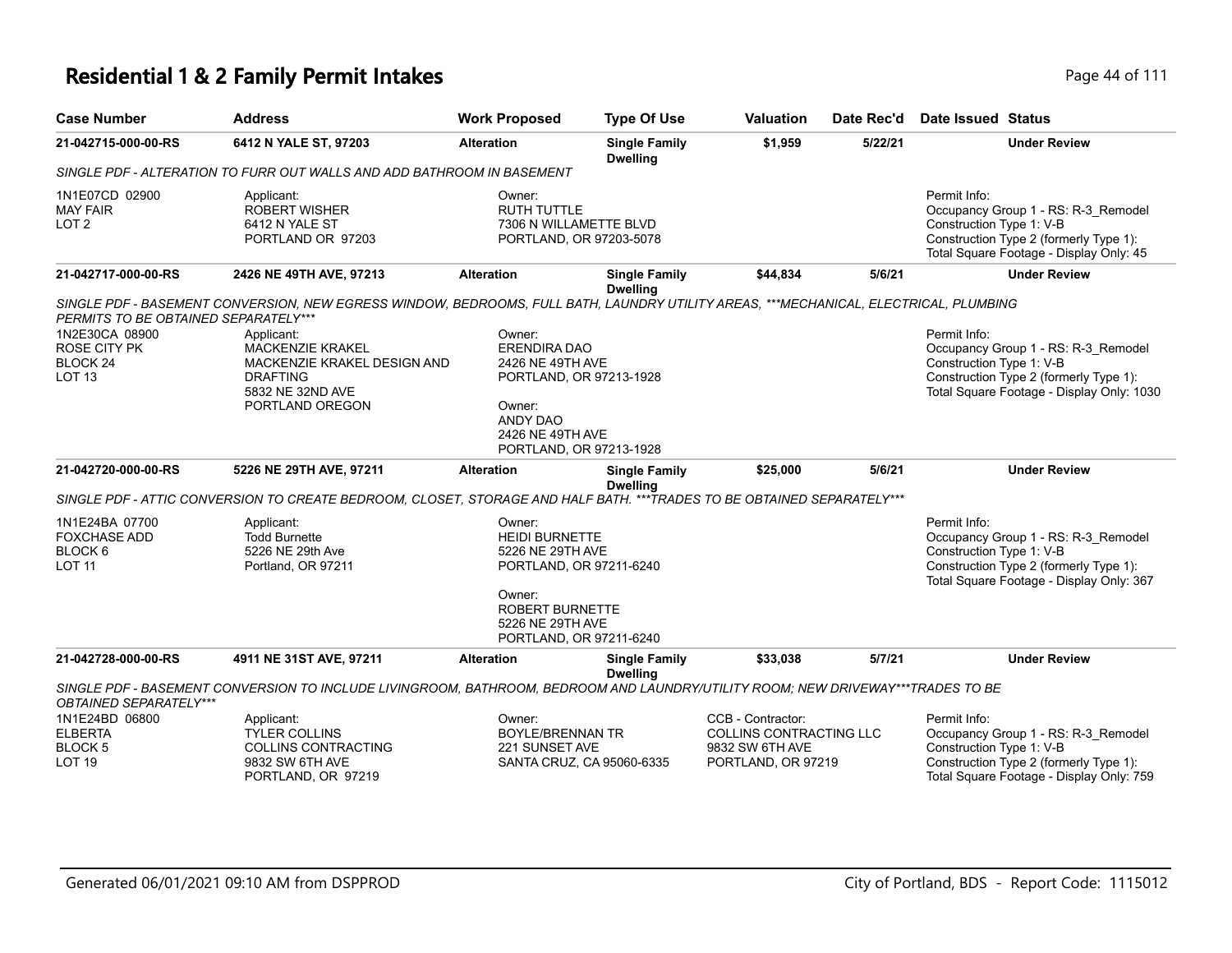# **Residential 1 & 2 Family Permit Intakes Page 14 of 111**

| <b>Case Number</b>                                                     | <b>Address</b>                                                                                                                       | <b>Work Proposed</b>                                                                                                                                              | <b>Type Of Use</b>                      | <b>Valuation</b>                                                                             | Date Rec'd | Date Issued Status                                                                                                                                                     |
|------------------------------------------------------------------------|--------------------------------------------------------------------------------------------------------------------------------------|-------------------------------------------------------------------------------------------------------------------------------------------------------------------|-----------------------------------------|----------------------------------------------------------------------------------------------|------------|------------------------------------------------------------------------------------------------------------------------------------------------------------------------|
| 21-042715-000-00-RS                                                    | 6412 N YALE ST, 97203                                                                                                                | <b>Alteration</b>                                                                                                                                                 | <b>Single Family</b><br><b>Dwelling</b> | \$1,959                                                                                      | 5/22/21    | <b>Under Review</b>                                                                                                                                                    |
|                                                                        | SINGLE PDF - ALTERATION TO FURR OUT WALLS AND ADD BATHROOM IN BASEMENT                                                               |                                                                                                                                                                   |                                         |                                                                                              |            |                                                                                                                                                                        |
| 1N1E07CD 02900<br><b>MAY FAIR</b><br>LOT <sub>2</sub>                  | Applicant:<br><b>ROBERT WISHER</b><br>6412 N YALE ST<br>PORTLAND OR 97203                                                            | Owner:<br><b>RUTH TUTTLE</b><br>7306 N WILLAMETTE BLVD<br>PORTLAND, OR 97203-5078                                                                                 |                                         |                                                                                              |            | Permit Info:<br>Occupancy Group 1 - RS: R-3_Remodel<br>Construction Type 1: V-B<br>Construction Type 2 (formerly Type 1):<br>Total Square Footage - Display Only: 45   |
| 21-042717-000-00-RS                                                    | 2426 NE 49TH AVE, 97213                                                                                                              | <b>Alteration</b>                                                                                                                                                 | <b>Single Family</b><br><b>Dwelling</b> | \$44,834                                                                                     | 5/6/21     | <b>Under Review</b>                                                                                                                                                    |
| PERMITS TO BE OBTAINED SEPARATELY***                                   | SINGLE PDF - BASEMENT CONVERSION, NEW EGRESS WINDOW, BEDROOMS, FULL BATH, LAUNDRY UTILITY AREAS, ***MECHANICAL, ELECTRICAL, PLUMBING |                                                                                                                                                                   |                                         |                                                                                              |            |                                                                                                                                                                        |
| 1N2E30CA 08900<br>ROSE CITY PK<br>BLOCK <sub>24</sub><br><b>LOT 13</b> | Applicant:<br><b>MACKENZIE KRAKEL</b><br>MACKENZIE KRAKEL DESIGN AND<br><b>DRAFTING</b><br>5832 NE 32ND AVE<br>PORTLAND OREGON       | Owner:<br>ERENDIRA DAO<br>2426 NE 49TH AVE<br>PORTLAND, OR 97213-1928<br>Owner:<br><b>ANDY DAO</b><br>2426 NE 49TH AVE<br>PORTLAND, OR 97213-1928                 |                                         |                                                                                              |            | Permit Info:<br>Occupancy Group 1 - RS: R-3_Remodel<br>Construction Type 1: V-B<br>Construction Type 2 (formerly Type 1):<br>Total Square Footage - Display Only: 1030 |
| 21-042720-000-00-RS                                                    | 5226 NE 29TH AVE, 97211                                                                                                              | <b>Alteration</b>                                                                                                                                                 | <b>Single Family</b><br><b>Dwelling</b> | \$25,000                                                                                     | 5/6/21     | <b>Under Review</b>                                                                                                                                                    |
|                                                                        | SINGLE PDF - ATTIC CONVERSION TO CREATE BEDROOM, CLOSET, STORAGE AND HALF BATH. *** TRADES TO BE OBTAINED SEPARATELY***              |                                                                                                                                                                   |                                         |                                                                                              |            |                                                                                                                                                                        |
| 1N1E24BA 07700<br><b>FOXCHASE ADD</b><br>BLOCK 6<br><b>LOT 11</b>      | Applicant:<br><b>Todd Burnette</b><br>5226 NE 29th Ave<br>Portland, OR 97211                                                         | Owner:<br><b>HEIDI BURNETTE</b><br>5226 NE 29TH AVE<br>PORTLAND, OR 97211-6240<br>Owner:<br><b>ROBERT BURNETTE</b><br>5226 NE 29TH AVE<br>PORTLAND, OR 97211-6240 |                                         |                                                                                              |            | Permit Info:<br>Occupancy Group 1 - RS: R-3_Remodel<br>Construction Type 1: V-B<br>Construction Type 2 (formerly Type 1):<br>Total Square Footage - Display Only: 367  |
| 21-042728-000-00-RS                                                    | 4911 NE 31ST AVE, 97211                                                                                                              | <b>Alteration</b>                                                                                                                                                 | <b>Single Family</b>                    | \$33,038                                                                                     | 5/7/21     | <b>Under Review</b>                                                                                                                                                    |
| OBTAINED SEPARATELY***                                                 | SINGLE PDF - BASEMENT CONVERSION TO INCLUDE LIVINGROOM, BATHROOM, BEDROOM AND LAUNDRY/UTILITY ROOM; NEW DRIVEWAY***TRADES TO BE      |                                                                                                                                                                   | <b>Dwelling</b>                         |                                                                                              |            |                                                                                                                                                                        |
| 1N1E24BD 06800<br><b>ELBERTA</b><br><b>BLOCK5</b><br>LOT <sub>19</sub> | Applicant:<br><b>TYLER COLLINS</b><br><b>COLLINS CONTRACTING</b><br>9832 SW 6TH AVE<br>PORTLAND, OR 97219                            | Owner:<br><b>BOYLE/BRENNAN TR</b><br>221 SUNSET AVE<br>SANTA CRUZ, CA 95060-6335                                                                                  |                                         | CCB - Contractor:<br><b>COLLINS CONTRACTING LLC</b><br>9832 SW 6TH AVE<br>PORTLAND, OR 97219 |            | Permit Info:<br>Occupancy Group 1 - RS: R-3_Remodel<br>Construction Type 1: V-B<br>Construction Type 2 (formerly Type 1):<br>Total Square Footage - Display Only: 759  |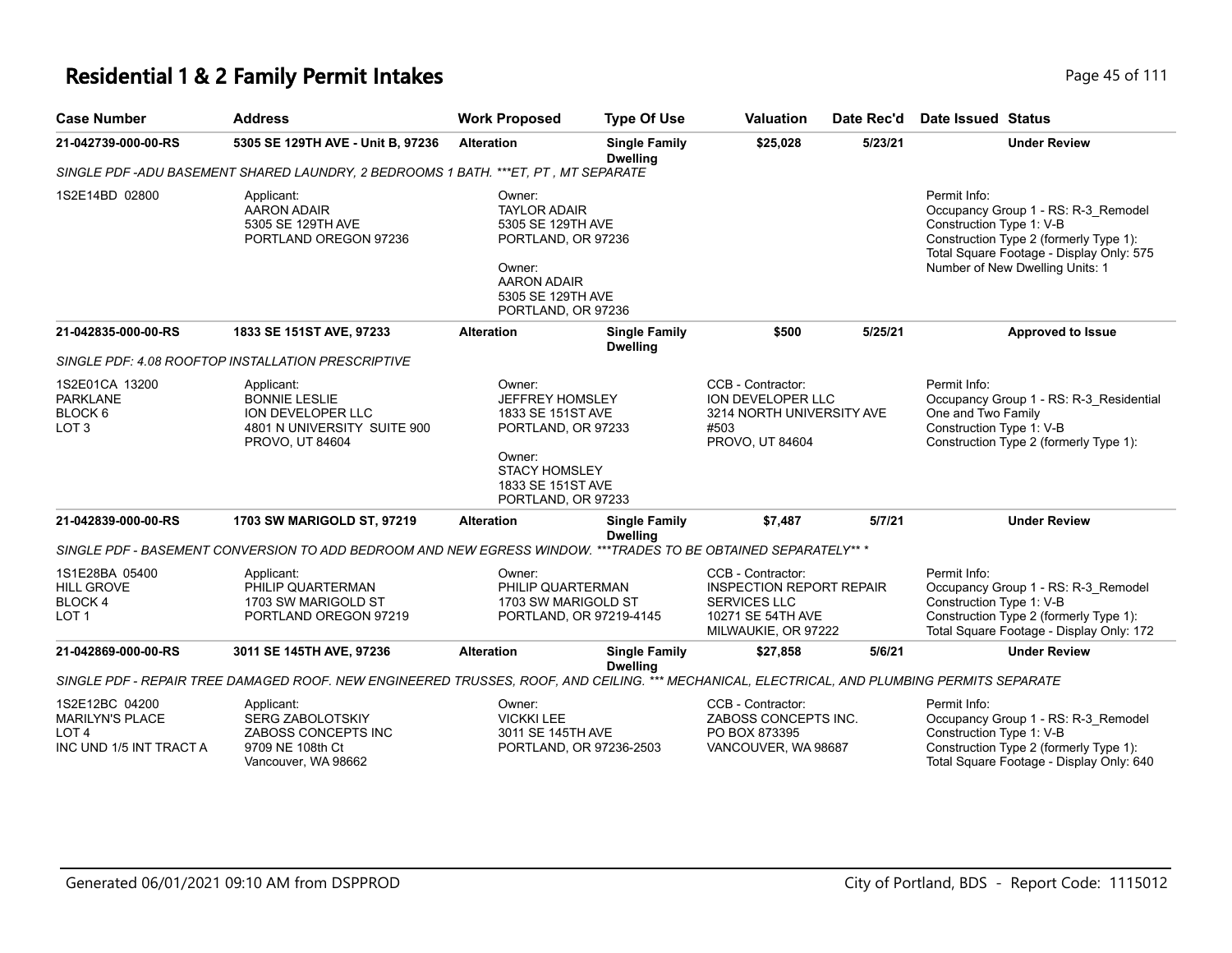# **Residential 1 & 2 Family Permit Intakes Page 45 of 111**

| <b>Case Number</b>                                                                      | <b>Address</b>                                                                                                                              | <b>Work Proposed</b>                                                                                                                              | <b>Type Of Use</b>                      | <b>Valuation</b>                                                                                                        | Date Rec'd | <b>Date Issued Status</b>                                                                                                                                                                                |
|-----------------------------------------------------------------------------------------|---------------------------------------------------------------------------------------------------------------------------------------------|---------------------------------------------------------------------------------------------------------------------------------------------------|-----------------------------------------|-------------------------------------------------------------------------------------------------------------------------|------------|----------------------------------------------------------------------------------------------------------------------------------------------------------------------------------------------------------|
| 21-042739-000-00-RS                                                                     | 5305 SE 129TH AVE - Unit B, 97236                                                                                                           | <b>Alteration</b>                                                                                                                                 | <b>Single Family</b><br><b>Dwelling</b> | \$25,028                                                                                                                | 5/23/21    | <b>Under Review</b>                                                                                                                                                                                      |
|                                                                                         | SINGLE PDF -ADU BASEMENT SHARED LAUNDRY, 2 BEDROOMS 1 BATH. ***ET, PT, MT SEPARATE                                                          |                                                                                                                                                   |                                         |                                                                                                                         |            |                                                                                                                                                                                                          |
| 1S2E14BD 02800                                                                          | Applicant:<br><b>AARON ADAIR</b><br>5305 SE 129TH AVE<br>PORTLAND OREGON 97236                                                              | Owner:<br><b>TAYLOR ADAIR</b><br>5305 SE 129TH AVE<br>PORTLAND, OR 97236<br>Owner:<br>AARON ADAIR<br>5305 SE 129TH AVE<br>PORTLAND, OR 97236      |                                         |                                                                                                                         |            | Permit Info:<br>Occupancy Group 1 - RS: R-3_Remodel<br>Construction Type 1: V-B<br>Construction Type 2 (formerly Type 1):<br>Total Square Footage - Display Only: 575<br>Number of New Dwelling Units: 1 |
| 21-042835-000-00-RS                                                                     | 1833 SE 151ST AVE, 97233                                                                                                                    | <b>Alteration</b>                                                                                                                                 | <b>Single Family</b><br><b>Dwelling</b> | \$500                                                                                                                   | 5/25/21    | <b>Approved to Issue</b>                                                                                                                                                                                 |
|                                                                                         | SINGLE PDF: 4.08 ROOFTOP INSTALLATION PRESCRIPTIVE                                                                                          |                                                                                                                                                   |                                         |                                                                                                                         |            |                                                                                                                                                                                                          |
| 1S2E01CA 13200<br><b>PARKLANE</b><br>BLOCK 6<br>LOT <sub>3</sub>                        | Applicant:<br><b>BONNIE LESLIE</b><br><b>ION DEVELOPER LLC</b><br>4801 N UNIVERSITY SUITE 900<br>PROVO, UT 84604                            | Owner:<br>JEFFREY HOMSLEY<br>1833 SE 151ST AVE<br>PORTLAND, OR 97233<br>Owner:<br><b>STACY HOMSLEY</b><br>1833 SE 151ST AVE<br>PORTLAND, OR 97233 |                                         | CCB - Contractor:<br>ION DEVELOPER LLC<br>3214 NORTH UNIVERSITY AVE<br>#503<br>PROVO, UT 84604                          |            | Permit Info:<br>Occupancy Group 1 - RS: R-3 Residential<br>One and Two Family<br>Construction Type 1: V-B<br>Construction Type 2 (formerly Type 1):                                                      |
| 21-042839-000-00-RS                                                                     | 1703 SW MARIGOLD ST, 97219                                                                                                                  | <b>Alteration</b>                                                                                                                                 | <b>Single Family</b><br><b>Dwelling</b> | \$7,487                                                                                                                 | 5/7/21     | <b>Under Review</b>                                                                                                                                                                                      |
|                                                                                         | SINGLE PDF - BASEMENT CONVERSION TO ADD BEDROOM AND NEW EGRESS WINDOW. ***TRADES TO BE OBTAINED SEPARATELY** *                              |                                                                                                                                                   |                                         |                                                                                                                         |            |                                                                                                                                                                                                          |
| 1S1E28BA 05400<br><b>HILL GROVE</b><br>BLOCK 4<br>LOT <sub>1</sub>                      | Applicant:<br>PHILIP QUARTERMAN<br>1703 SW MARIGOLD ST<br>PORTLAND OREGON 97219                                                             | Owner:<br>PHILIP QUARTERMAN<br>1703 SW MARIGOLD ST<br>PORTLAND, OR 97219-4145                                                                     |                                         | CCB - Contractor:<br><b>INSPECTION REPORT REPAIR</b><br><b>SERVICES LLC</b><br>10271 SE 54TH AVE<br>MILWAUKIE, OR 97222 |            | Permit Info:<br>Occupancy Group 1 - RS: R-3_Remodel<br>Construction Type 1: V-B<br>Construction Type 2 (formerly Type 1):<br>Total Square Footage - Display Only: 172                                    |
| 21-042869-000-00-RS                                                                     | 3011 SE 145TH AVE, 97236                                                                                                                    | <b>Alteration</b>                                                                                                                                 | <b>Single Family</b><br><b>Dwelling</b> | \$27,858                                                                                                                | 5/6/21     | <b>Under Review</b>                                                                                                                                                                                      |
|                                                                                         | SINGLE PDF - REPAIR TREE DAMAGED ROOF. NEW ENGINEERED TRUSSES, ROOF, AND CEILING. *** MECHANICAL, ELECTRICAL, AND PLUMBING PERMITS SEPARATE |                                                                                                                                                   |                                         |                                                                                                                         |            |                                                                                                                                                                                                          |
| 1S2E12BC 04200<br><b>MARILYN'S PLACE</b><br>LOT <sub>4</sub><br>INC UND 1/5 INT TRACT A | Applicant:<br><b>SERG ZABOLOTSKIY</b><br>ZABOSS CONCEPTS INC<br>9709 NE 108th Ct<br>Vancouver, WA 98662                                     | Owner:<br><b>VICKKI LEE</b><br>3011 SE 145TH AVE<br>PORTLAND, OR 97236-2503                                                                       |                                         | CCB - Contractor:<br>ZABOSS CONCEPTS INC.<br>PO BOX 873395<br>VANCOUVER, WA 98687                                       |            | Permit Info:<br>Occupancy Group 1 - RS: R-3_Remodel<br>Construction Type 1: V-B<br>Construction Type 2 (formerly Type 1):<br>Total Square Footage - Display Only: 640                                    |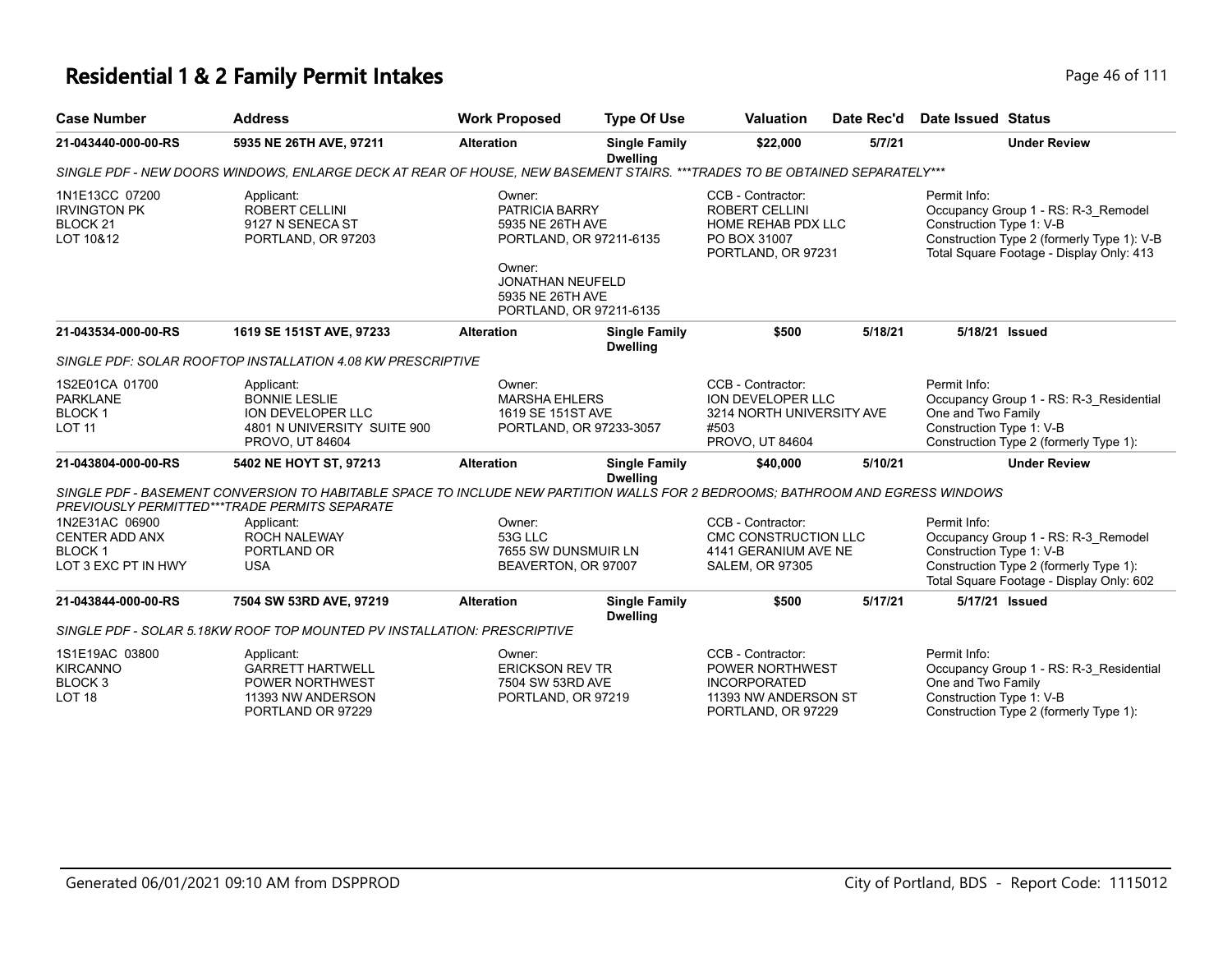# **Residential 1 & 2 Family Permit Intakes Page 16 of 111**

| <b>Case Number</b>                                                           | <b>Address</b>                                                                                                                                                                  | <b>Work Proposed</b>                                                                                                                                        | <b>Type Of Use</b>                      | <b>Valuation</b>                                                                                              | Date Rec'd | Date Issued Status                                                                                                                                                        |
|------------------------------------------------------------------------------|---------------------------------------------------------------------------------------------------------------------------------------------------------------------------------|-------------------------------------------------------------------------------------------------------------------------------------------------------------|-----------------------------------------|---------------------------------------------------------------------------------------------------------------|------------|---------------------------------------------------------------------------------------------------------------------------------------------------------------------------|
| 21-043440-000-00-RS                                                          | 5935 NE 26TH AVE, 97211                                                                                                                                                         | <b>Alteration</b>                                                                                                                                           | <b>Single Family</b><br><b>Dwelling</b> | \$22,000                                                                                                      | 5/7/21     | <b>Under Review</b>                                                                                                                                                       |
|                                                                              | SINGLE PDF - NEW DOORS WINDOWS, ENLARGE DECK AT REAR OF HOUSE, NEW BASEMENT STAIRS. ***TRADES TO BE OBTAINED SEPARATELY***                                                      |                                                                                                                                                             |                                         |                                                                                                               |            |                                                                                                                                                                           |
| 1N1E13CC 07200<br><b>IRVINGTON PK</b><br>BLOCK <sub>21</sub><br>LOT 10&12    | Applicant:<br><b>ROBERT CELLINI</b><br>9127 N SENECA ST<br>PORTLAND, OR 97203                                                                                                   | Owner:<br>PATRICIA BARRY<br>5935 NE 26TH AVE<br>PORTLAND, OR 97211-6135<br>Owner:<br><b>JONATHAN NEUFELD</b><br>5935 NE 26TH AVE<br>PORTLAND, OR 97211-6135 |                                         | CCB - Contractor:<br><b>ROBERT CELLINI</b><br><b>HOME REHAB PDX LLC</b><br>PO BOX 31007<br>PORTLAND, OR 97231 |            | Permit Info:<br>Occupancy Group 1 - RS: R-3_Remodel<br>Construction Type 1: V-B<br>Construction Type 2 (formerly Type 1): V-B<br>Total Square Footage - Display Only: 413 |
| 21-043534-000-00-RS                                                          | 1619 SE 151ST AVE, 97233                                                                                                                                                        | <b>Alteration</b>                                                                                                                                           | <b>Single Family</b><br><b>Dwelling</b> | \$500                                                                                                         | 5/18/21    | 5/18/21 Issued                                                                                                                                                            |
|                                                                              | SINGLE PDF: SOLAR ROOFTOP INSTALLATION 4.08 KW PRESCRIPTIVE                                                                                                                     |                                                                                                                                                             |                                         |                                                                                                               |            |                                                                                                                                                                           |
| 1S2E01CA 01700<br><b>PARKLANE</b><br><b>BLOCK1</b><br><b>LOT 11</b>          | Applicant:<br><b>BONNIE LESLIE</b><br><b>ION DEVELOPER LLC</b><br>4801 N UNIVERSITY SUITE 900<br>PROVO, UT 84604                                                                | Owner:<br><b>MARSHA EHLERS</b><br>1619 SE 151ST AVE<br>PORTLAND, OR 97233-3057                                                                              |                                         | CCB - Contractor:<br>ION DEVELOPER LLC<br>3214 NORTH UNIVERSITY AVE<br>#503<br>PROVO, UT 84604                |            | Permit Info:<br>Occupancy Group 1 - RS: R-3_Residential<br>One and Two Family<br>Construction Type 1: V-B<br>Construction Type 2 (formerly Type 1):                       |
| 21-043804-000-00-RS                                                          | 5402 NE HOYT ST, 97213                                                                                                                                                          | <b>Alteration</b>                                                                                                                                           | <b>Single Family</b><br><b>Dwelling</b> | \$40,000                                                                                                      | 5/10/21    | <b>Under Review</b>                                                                                                                                                       |
|                                                                              | SINGLE PDF - BASEMENT CONVERSION TO HABITABLE SPACE TO INCLUDE NEW PARTITION WALLS FOR 2 BEDROOMS: BATHROOM AND EGRESS WINDOWS<br>PREVIOUSLY PERMITTED***TRADE PERMITS SEPARATE |                                                                                                                                                             |                                         |                                                                                                               |            |                                                                                                                                                                           |
| 1N2E31AC 06900<br>CENTER ADD ANX<br><b>BLOCK1</b><br>LOT 3 EXC PT IN HWY     | Applicant:<br><b>ROCH NALEWAY</b><br>PORTLAND OR<br><b>USA</b>                                                                                                                  | Owner:<br>53G LLC<br>7655 SW DUNSMUIR LN<br>BEAVERTON, OR 97007                                                                                             |                                         | CCB - Contractor:<br>CMC CONSTRUCTION LLC<br>4141 GERANIUM AVE NE<br><b>SALEM, OR 97305</b>                   |            | Permit Info:<br>Occupancy Group 1 - RS: R-3_Remodel<br>Construction Type 1: V-B<br>Construction Type 2 (formerly Type 1):<br>Total Square Footage - Display Only: 602     |
| 21-043844-000-00-RS                                                          | 7504 SW 53RD AVE, 97219                                                                                                                                                         | <b>Alteration</b>                                                                                                                                           | <b>Single Family</b><br><b>Dwelling</b> | \$500                                                                                                         | 5/17/21    | 5/17/21 Issued                                                                                                                                                            |
|                                                                              | SINGLE PDF - SOLAR 5.18KW ROOF TOP MOUNTED PV INSTALLATION: PRESCRIPTIVE                                                                                                        |                                                                                                                                                             |                                         |                                                                                                               |            |                                                                                                                                                                           |
| 1S1E19AC 03800<br><b>KIRCANNO</b><br>BLOCK <sub>3</sub><br>LOT <sub>18</sub> | Applicant:<br><b>GARRETT HARTWELL</b><br><b>POWER NORTHWEST</b><br>11393 NW ANDERSON<br>PORTLAND OR 97229                                                                       | Owner:<br><b>ERICKSON REV TR</b><br>7504 SW 53RD AVE<br>PORTLAND, OR 97219                                                                                  |                                         | CCB - Contractor:<br>POWER NORTHWEST<br><b>INCORPORATED</b><br>11393 NW ANDERSON ST<br>PORTLAND, OR 97229     |            | Permit Info:<br>Occupancy Group 1 - RS: R-3_Residential<br>One and Two Family<br>Construction Type 1: V-B<br>Construction Type 2 (formerly Type 1):                       |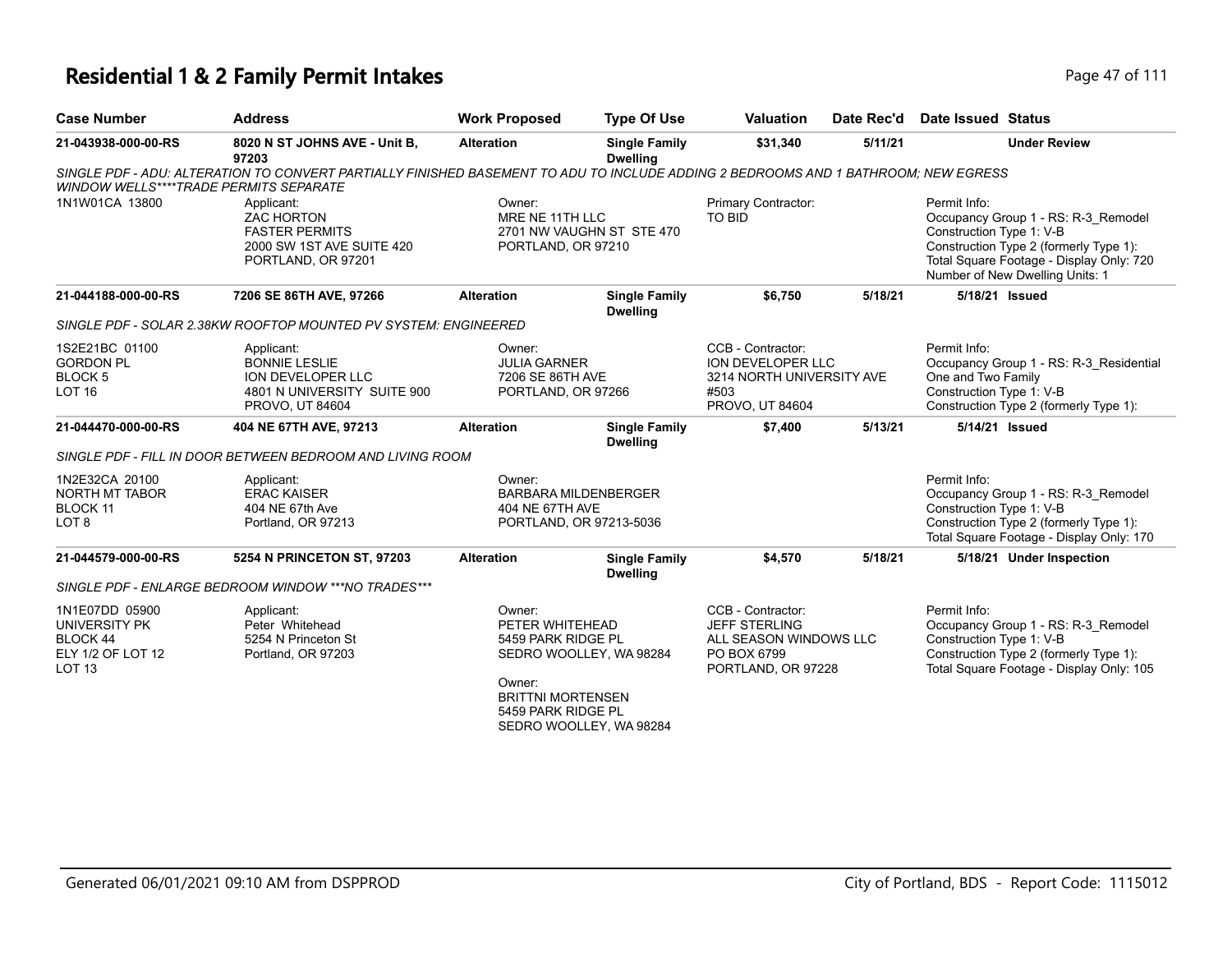## **Residential 1 & 2 Family Permit Intakes Page 17 of 111**

| <b>Case Number</b>                                                                | <b>Address</b>                                                                                                                     | <b>Work Proposed</b>                                                                                        | <b>Type Of Use</b>                                     | <b>Valuation</b>                                                                                  | Date Rec'd | Date Issued Status                                                                                                                                                                                       |
|-----------------------------------------------------------------------------------|------------------------------------------------------------------------------------------------------------------------------------|-------------------------------------------------------------------------------------------------------------|--------------------------------------------------------|---------------------------------------------------------------------------------------------------|------------|----------------------------------------------------------------------------------------------------------------------------------------------------------------------------------------------------------|
| 21-043938-000-00-RS                                                               | 8020 N ST JOHNS AVE - Unit B,<br>97203                                                                                             | <b>Alteration</b>                                                                                           | <b>Single Family</b><br><b>Dwelling</b>                | \$31,340                                                                                          | 5/11/21    | <b>Under Review</b>                                                                                                                                                                                      |
| <b>WINDOW WELLS****TRADE PERMITS SEPARATE</b>                                     | SINGLE PDF - ADU: ALTERATION TO CONVERT PARTIALLY FINISHED BASEMENT TO ADU TO INCLUDE ADDING 2 BEDROOMS AND 1 BATHROOM; NEW EGRESS |                                                                                                             |                                                        |                                                                                                   |            |                                                                                                                                                                                                          |
| 1N1W01CA 13800                                                                    | Applicant:<br><b>ZAC HORTON</b><br><b>FASTER PERMITS</b><br>2000 SW 1ST AVE SUITE 420<br>PORTLAND, OR 97201                        | Owner:<br>MRE NE 11TH LLC<br>PORTLAND, OR 97210                                                             | 2701 NW VAUGHN ST STE 470                              | <b>Primary Contractor:</b><br>TO BID                                                              |            | Permit Info:<br>Occupancy Group 1 - RS: R-3 Remodel<br>Construction Type 1: V-B<br>Construction Type 2 (formerly Type 1):<br>Total Square Footage - Display Only: 720<br>Number of New Dwelling Units: 1 |
| 21-044188-000-00-RS                                                               | 7206 SE 86TH AVE, 97266                                                                                                            | <b>Alteration</b>                                                                                           | <b>Single Family</b><br><b>Dwelling</b>                | \$6,750                                                                                           | 5/18/21    | 5/18/21 Issued                                                                                                                                                                                           |
|                                                                                   | SINGLE PDF - SOLAR 2.38KW ROOFTOP MOUNTED PV SYSTEM: ENGINEERED                                                                    |                                                                                                             |                                                        |                                                                                                   |            |                                                                                                                                                                                                          |
| 1S2E21BC 01100<br><b>GORDON PL</b><br><b>BLOCK 5</b><br>LOT <sub>16</sub>         | Applicant:<br><b>BONNIE LESLIE</b><br><b>ION DEVELOPER LLC</b><br>4801 N UNIVERSITY SUITE 900<br>PROVO, UT 84604                   | Owner:<br><b>JULIA GARNER</b><br>7206 SE 86TH AVE<br>PORTLAND, OR 97266                                     |                                                        | CCB - Contractor:<br>ION DEVELOPER LLC<br>3214 NORTH UNIVERSITY AVE<br>#503<br>PROVO, UT 84604    |            | Permit Info:<br>Occupancy Group 1 - RS: R-3_Residential<br>One and Two Family<br>Construction Type 1: V-B<br>Construction Type 2 (formerly Type 1):                                                      |
| 21-044470-000-00-RS                                                               | 404 NE 67TH AVE, 97213                                                                                                             | <b>Alteration</b>                                                                                           | <b>Single Family</b><br><b>Dwelling</b>                | \$7,400                                                                                           | 5/13/21    | 5/14/21 Issued                                                                                                                                                                                           |
|                                                                                   | SINGLE PDF - FILL IN DOOR BETWEEN BEDROOM AND LIVING ROOM                                                                          |                                                                                                             |                                                        |                                                                                                   |            |                                                                                                                                                                                                          |
| 1N2E32CA 20100<br>NORTH MT TABOR<br>BLOCK 11<br>LOT <sub>8</sub>                  | Applicant:<br><b>ERAC KAISER</b><br>404 NE 67th Ave<br>Portland, OR 97213                                                          | Owner:<br>404 NE 67TH AVE                                                                                   | <b>BARBARA MILDENBERGER</b><br>PORTLAND, OR 97213-5036 |                                                                                                   |            | Permit Info:<br>Occupancy Group 1 - RS: R-3 Remodel<br>Construction Type 1: V-B<br>Construction Type 2 (formerly Type 1):<br>Total Square Footage - Display Only: 170                                    |
| 21-044579-000-00-RS                                                               | 5254 N PRINCETON ST, 97203                                                                                                         | <b>Alteration</b>                                                                                           | <b>Single Family</b><br><b>Dwelling</b>                | \$4,570                                                                                           | 5/18/21    | 5/18/21 Under Inspection                                                                                                                                                                                 |
|                                                                                   | SINGLE PDF - ENLARGE BEDROOM WINDOW *** NO TRADES***                                                                               |                                                                                                             |                                                        |                                                                                                   |            |                                                                                                                                                                                                          |
| 1N1E07DD 05900<br>UNIVERSITY PK<br>BLOCK 44<br>ELY 1/2 OF LOT 12<br><b>LOT 13</b> | Applicant:<br>Peter Whitehead<br>5254 N Princeton St<br>Portland, OR 97203                                                         | Owner:<br>PETER WHITEHEAD<br>5459 PARK RIDGE PL<br>Owner:<br><b>BRITTNI MORTENSEN</b><br>5459 PARK RIDGE PL | SEDRO WOOLLEY, WA 98284<br>SEDRO WOOLLEY, WA 98284     | CCB - Contractor:<br>JEFF STERLING<br>ALL SEASON WINDOWS LLC<br>PO BOX 6799<br>PORTLAND, OR 97228 |            | Permit Info:<br>Occupancy Group 1 - RS: R-3_Remodel<br>Construction Type 1: V-B<br>Construction Type 2 (formerly Type 1):<br>Total Square Footage - Display Only: 105                                    |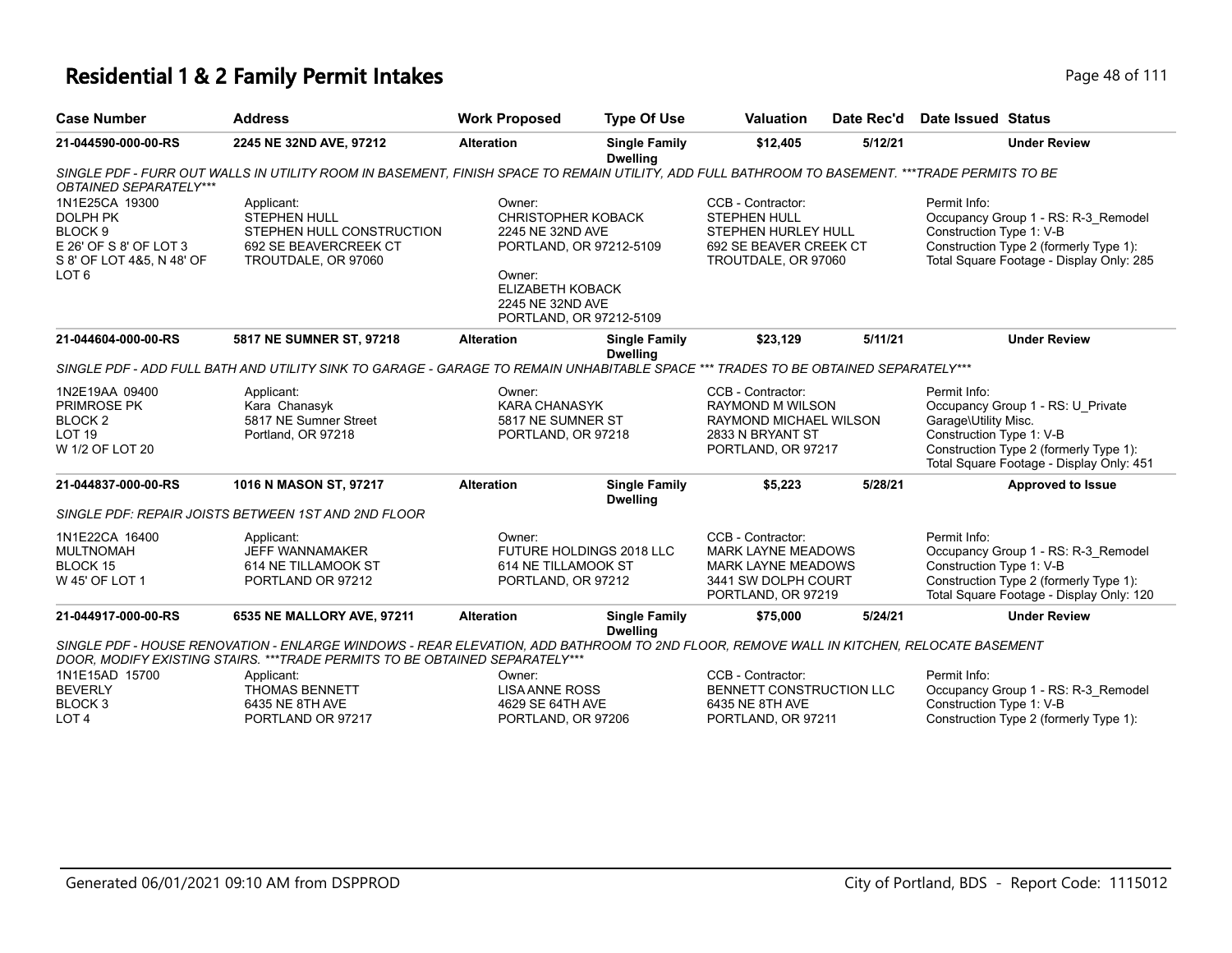# **Residential 1 & 2 Family Permit Intakes Page 18 of 111**

| <b>Case Number</b>                                                                                                                 | <b>Address</b>                                                                                                                                                                                                         | <b>Work Proposed</b>                                                                                                                                            | <b>Type Of Use</b>                      | <b>Valuation</b>                                                                                                         | Date Rec'd | <b>Date Issued Status</b>                                        |                                                                                                                           |
|------------------------------------------------------------------------------------------------------------------------------------|------------------------------------------------------------------------------------------------------------------------------------------------------------------------------------------------------------------------|-----------------------------------------------------------------------------------------------------------------------------------------------------------------|-----------------------------------------|--------------------------------------------------------------------------------------------------------------------------|------------|------------------------------------------------------------------|---------------------------------------------------------------------------------------------------------------------------|
| 21-044590-000-00-RS                                                                                                                | 2245 NE 32ND AVE, 97212                                                                                                                                                                                                | <b>Alteration</b>                                                                                                                                               | <b>Single Family</b><br><b>Dwelling</b> | \$12,405                                                                                                                 | 5/12/21    |                                                                  | <b>Under Review</b>                                                                                                       |
| OBTAINED SEPARATELY***                                                                                                             | SINGLE PDF - FURR OUT WALLS IN UTILITY ROOM IN BASEMENT. FINISH SPACE TO REMAIN UTILITY, ADD FULL BATHROOM TO BASEMENT. ***TRADE PERMITS TO BE                                                                         |                                                                                                                                                                 |                                         |                                                                                                                          |            |                                                                  |                                                                                                                           |
| 1N1E25CA 19300<br><b>DOLPH PK</b><br>BLOCK <sub>9</sub><br>E 26' OF S 8' OF LOT 3<br>S 8' OF LOT 4&5, N 48' OF<br>LOT <sub>6</sub> | Applicant:<br>STEPHEN HULL<br>STEPHEN HULL CONSTRUCTION<br>692 SE BEAVERCREEK CT<br>TROUTDALE, OR 97060                                                                                                                | Owner:<br><b>CHRISTOPHER KOBACK</b><br>2245 NE 32ND AVE<br>PORTLAND, OR 97212-5109<br>Owner:<br>ELIZABETH KOBACK<br>2245 NE 32ND AVE<br>PORTLAND, OR 97212-5109 |                                         | CCB - Contractor:<br><b>STEPHEN HULL</b><br>STEPHEN HURLEY HULL<br>692 SE BEAVER CREEK CT<br>TROUTDALE, OR 97060         |            | Permit Info:<br>Construction Type 1: V-B                         | Occupancy Group 1 - RS: R-3_Remodel<br>Construction Type 2 (formerly Type 1):<br>Total Square Footage - Display Only: 285 |
| 21-044604-000-00-RS                                                                                                                | 5817 NE SUMNER ST, 97218                                                                                                                                                                                               | <b>Alteration</b>                                                                                                                                               | <b>Single Family</b><br><b>Dwelling</b> | \$23,129                                                                                                                 | 5/11/21    |                                                                  | <b>Under Review</b>                                                                                                       |
|                                                                                                                                    | SINGLE PDF - ADD FULL BATH AND UTILITY SINK TO GARAGE - GARAGE TO REMAIN UNHABITABLE SPACE *** TRADES TO BE OBTAINED SEPARATELY***                                                                                     |                                                                                                                                                                 |                                         |                                                                                                                          |            |                                                                  |                                                                                                                           |
| 1N2E19AA 09400<br><b>PRIMROSE PK</b><br>BLOCK <sub>2</sub><br>LOT <sub>19</sub><br>W 1/2 OF LOT 20                                 | Applicant:<br>Kara Chanasyk<br>5817 NE Sumner Street<br>Portland, OR 97218                                                                                                                                             | Owner:<br><b>KARA CHANASYK</b><br>5817 NE SUMNER ST<br>PORTLAND, OR 97218                                                                                       |                                         | CCB - Contractor:<br><b>RAYMOND M WILSON</b><br>RAYMOND MICHAEL WILSON<br>2833 N BRYANT ST<br>PORTLAND, OR 97217         |            | Permit Info:<br>Garage\Utility Misc.<br>Construction Type 1: V-B | Occupancy Group 1 - RS: U Private<br>Construction Type 2 (formerly Type 1):<br>Total Square Footage - Display Only: 451   |
| 21-044837-000-00-RS                                                                                                                | 1016 N MASON ST, 97217                                                                                                                                                                                                 | <b>Alteration</b>                                                                                                                                               | <b>Single Family</b><br><b>Dwelling</b> | \$5,223                                                                                                                  | 5/28/21    |                                                                  | <b>Approved to Issue</b>                                                                                                  |
|                                                                                                                                    | SINGLE PDF: REPAIR JOISTS BETWEEN 1ST AND 2ND FLOOR                                                                                                                                                                    |                                                                                                                                                                 |                                         |                                                                                                                          |            |                                                                  |                                                                                                                           |
| 1N1E22CA 16400<br><b>MULTNOMAH</b><br>BLOCK 15<br>W 45' OF LOT 1                                                                   | Applicant:<br><b>JEFF WANNAMAKER</b><br>614 NE TILLAMOOK ST<br>PORTLAND OR 97212                                                                                                                                       | Owner:<br>614 NE TILLAMOOK ST<br>PORTLAND, OR 97212                                                                                                             | FUTURE HOLDINGS 2018 LLC                | CCB - Contractor:<br><b>MARK LAYNE MEADOWS</b><br><b>MARK LAYNE MEADOWS</b><br>3441 SW DOLPH COURT<br>PORTLAND, OR 97219 |            | Permit Info:<br>Construction Type 1: V-B                         | Occupancy Group 1 - RS: R-3 Remodel<br>Construction Type 2 (formerly Type 1):<br>Total Square Footage - Display Only: 120 |
| 21-044917-000-00-RS                                                                                                                | 6535 NE MALLORY AVE, 97211                                                                                                                                                                                             | <b>Alteration</b>                                                                                                                                               | <b>Single Family</b>                    | \$75,000                                                                                                                 | 5/24/21    |                                                                  | <b>Under Review</b>                                                                                                       |
|                                                                                                                                    | SINGLE PDF - HOUSE RENOVATION - ENLARGE WINDOWS - REAR ELEVATION, ADD BATHROOM TO 2ND FLOOR, REMOVE WALL IN KITCHEN, RELOCATE BASEMENT<br>DOOR, MODIFY EXISTING STAIRS. *** TRADE PERMITS TO BE OBTAINED SEPARATELY*** |                                                                                                                                                                 | <b>Dwelling</b>                         |                                                                                                                          |            |                                                                  |                                                                                                                           |
| 1N1E15AD 15700<br><b>BEVERLY</b><br>BLOCK <sub>3</sub><br>LOT <sub>4</sub>                                                         | Applicant:<br><b>THOMAS BENNETT</b><br>6435 NE 8TH AVE<br>PORTLAND OR 97217                                                                                                                                            | Owner:<br><b>LISA ANNE ROSS</b><br>4629 SE 64TH AVE<br>PORTLAND, OR 97206                                                                                       |                                         | CCB - Contractor:<br>BENNETT CONSTRUCTION LLC<br>6435 NE 8TH AVE<br>PORTLAND, OR 97211                                   |            | Permit Info:<br>Construction Type 1: V-B                         | Occupancy Group 1 - RS: R-3 Remodel<br>Construction Type 2 (formerly Type 1):                                             |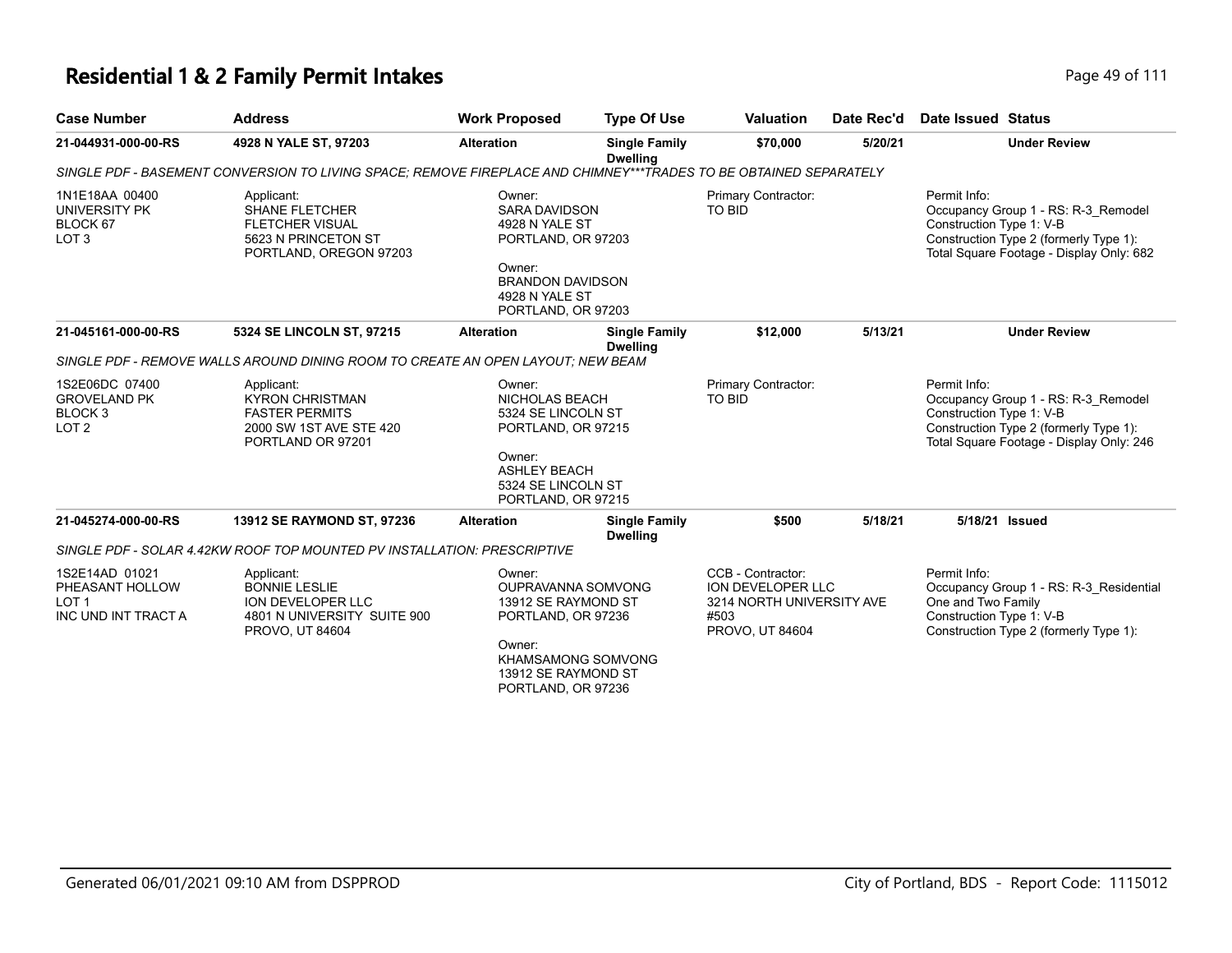| <b>Case Number</b>                                                              | <b>Address</b>                                                                                                    | <b>Work Proposed</b>                                                                                                                                          | <b>Type Of Use</b>                      | <b>Valuation</b>                                                                               | Date Rec'd | <b>Date Issued Status</b>                                                                                                                                             |
|---------------------------------------------------------------------------------|-------------------------------------------------------------------------------------------------------------------|---------------------------------------------------------------------------------------------------------------------------------------------------------------|-----------------------------------------|------------------------------------------------------------------------------------------------|------------|-----------------------------------------------------------------------------------------------------------------------------------------------------------------------|
| 21-044931-000-00-RS                                                             | 4928 N YALE ST, 97203                                                                                             | <b>Alteration</b>                                                                                                                                             | <b>Single Family</b><br><b>Dwelling</b> | \$70,000                                                                                       | 5/20/21    | <b>Under Review</b>                                                                                                                                                   |
|                                                                                 | SINGLE PDF - BASEMENT CONVERSION TO LIVING SPACE; REMOVE FIREPLACE AND CHIMNEY***TRADES TO BE OBTAINED SEPARATELY |                                                                                                                                                               |                                         |                                                                                                |            |                                                                                                                                                                       |
| 1N1E18AA 00400<br>UNIVERSITY PK<br>BLOCK 67<br>LOT <sub>3</sub>                 | Applicant:<br><b>SHANE FLETCHER</b><br><b>FLETCHER VISUAL</b><br>5623 N PRINCETON ST<br>PORTLAND, OREGON 97203    | Owner:<br>SARA DAVIDSON<br>4928 N YALE ST<br>PORTLAND, OR 97203<br>Owner:<br><b>BRANDON DAVIDSON</b><br>4928 N YALE ST<br>PORTLAND, OR 97203                  |                                         | Primary Contractor:<br>TO BID                                                                  |            | Permit Info:<br>Occupancy Group 1 - RS: R-3 Remodel<br>Construction Type 1: V-B<br>Construction Type 2 (formerly Type 1):<br>Total Square Footage - Display Only: 682 |
| 21-045161-000-00-RS                                                             | 5324 SE LINCOLN ST, 97215                                                                                         | <b>Alteration</b>                                                                                                                                             | <b>Single Family</b><br><b>Dwelling</b> | \$12,000                                                                                       | 5/13/21    | <b>Under Review</b>                                                                                                                                                   |
|                                                                                 | SINGLE PDF - REMOVE WALLS AROUND DINING ROOM TO CREATE AN OPEN LAYOUT: NEW BEAM                                   |                                                                                                                                                               |                                         |                                                                                                |            |                                                                                                                                                                       |
| 1S2E06DC 07400<br><b>GROVELAND PK</b><br>BLOCK <sub>3</sub><br>LOT <sub>2</sub> | Applicant:<br><b>KYRON CHRISTMAN</b><br><b>FASTER PERMITS</b><br>2000 SW 1ST AVE STE 420<br>PORTLAND OR 97201     | Owner:<br>NICHOLAS BEACH<br>5324 SE LINCOLN ST<br>PORTLAND, OR 97215<br>Owner:<br><b>ASHLEY BEACH</b><br>5324 SE LINCOLN ST<br>PORTLAND, OR 97215             |                                         | Primary Contractor:<br>TO BID                                                                  |            | Permit Info:<br>Occupancy Group 1 - RS: R-3 Remodel<br>Construction Type 1: V-B<br>Construction Type 2 (formerly Type 1):<br>Total Square Footage - Display Only: 246 |
| 21-045274-000-00-RS                                                             | 13912 SE RAYMOND ST, 97236                                                                                        | <b>Alteration</b>                                                                                                                                             | <b>Single Family</b><br><b>Dwelling</b> | \$500                                                                                          | 5/18/21    | 5/18/21 Issued                                                                                                                                                        |
|                                                                                 | SINGLE PDF - SOLAR 4.42KW ROOF TOP MOUNTED PV INSTALLATION: PRESCRIPTIVE                                          |                                                                                                                                                               |                                         |                                                                                                |            |                                                                                                                                                                       |
| 1S2E14AD 01021<br>PHEASANT HOLLOW<br>LOT <sub>1</sub><br>INC UND INT TRACT A    | Applicant:<br><b>BONNIE LESLIE</b><br>ION DEVELOPER LLC<br>4801 N UNIVERSITY SUITE 900<br>PROVO, UT 84604         | Owner:<br>OUPRAVANNA SOMVONG<br>13912 SE RAYMOND ST<br>PORTLAND, OR 97236<br>Owner:<br><b>KHAMSAMONG SOMVONG</b><br>13912 SE RAYMOND ST<br>PORTLAND, OR 97236 |                                         | CCB - Contractor:<br>ION DEVELOPER LLC<br>3214 NORTH UNIVERSITY AVE<br>#503<br>PROVO, UT 84604 |            | Permit Info:<br>Occupancy Group 1 - RS: R-3 Residential<br>One and Two Family<br>Construction Type 1: V-B<br>Construction Type 2 (formerly Type 1):                   |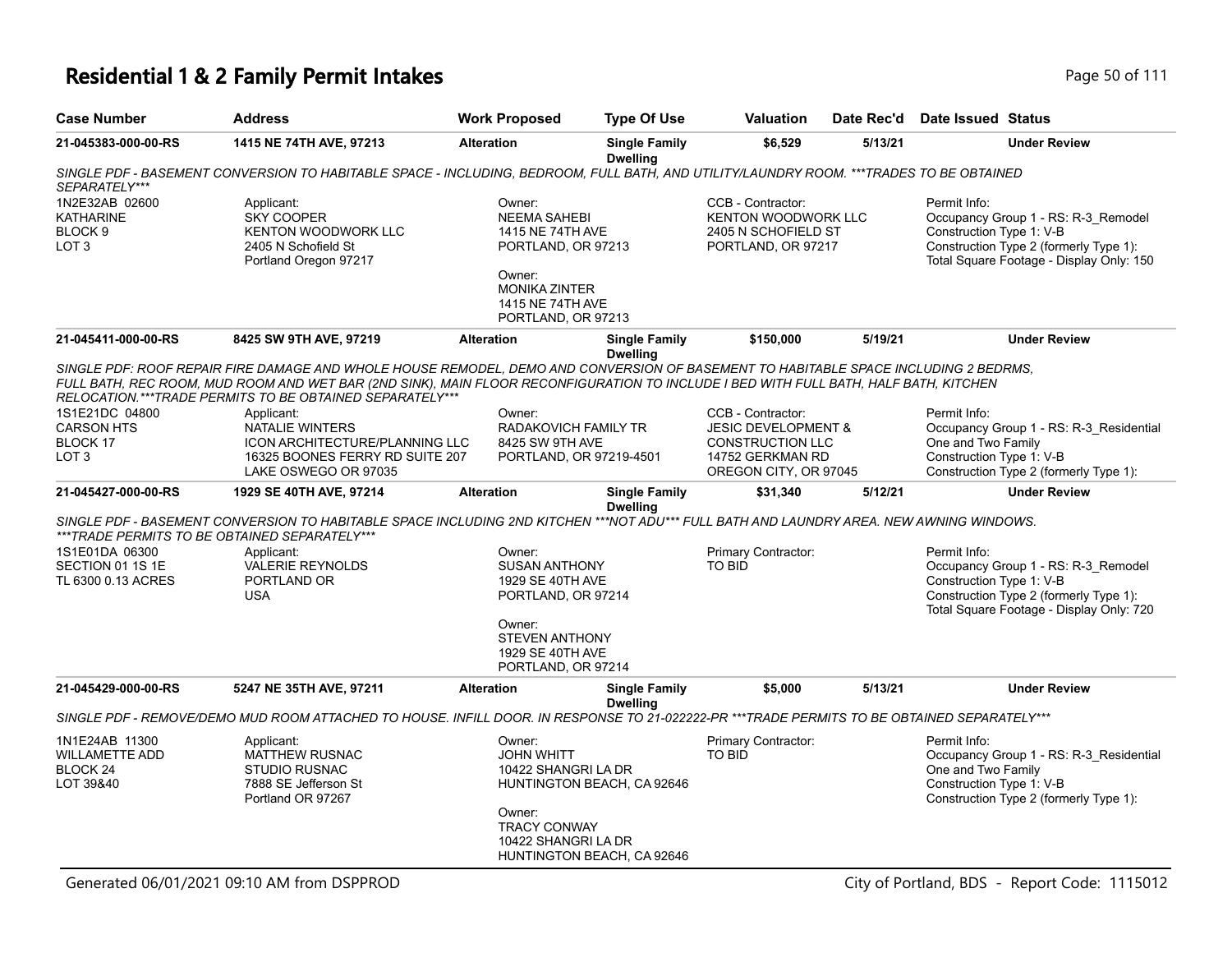# **Residential 1 & 2 Family Permit Intakes Page 10 0ft 111** Page 50 of 111

| <b>Case Number</b>                                                           | <b>Address</b>                                                                                                                                                                                                                                                                                                                          | <b>Work Proposed</b>                                                                                                                                | <b>Type Of Use</b>                                       | <b>Valuation</b>                                                                                                            | Date Rec'd | Date Issued Status                                                                                                                                                    |
|------------------------------------------------------------------------------|-----------------------------------------------------------------------------------------------------------------------------------------------------------------------------------------------------------------------------------------------------------------------------------------------------------------------------------------|-----------------------------------------------------------------------------------------------------------------------------------------------------|----------------------------------------------------------|-----------------------------------------------------------------------------------------------------------------------------|------------|-----------------------------------------------------------------------------------------------------------------------------------------------------------------------|
| 21-045383-000-00-RS                                                          | 1415 NE 74TH AVE, 97213                                                                                                                                                                                                                                                                                                                 | <b>Alteration</b>                                                                                                                                   | <b>Single Family</b><br><b>Dwelling</b>                  | \$6,529                                                                                                                     | 5/13/21    | <b>Under Review</b>                                                                                                                                                   |
| SEPARATELY***                                                                | SINGLE PDF - BASEMENT CONVERSION TO HABITABLE SPACE - INCLUDING, BEDROOM, FULL BATH, AND UTILITY/LAUNDRY ROOM. ***TRADES TO BE OBTAINED                                                                                                                                                                                                 |                                                                                                                                                     |                                                          |                                                                                                                             |            |                                                                                                                                                                       |
| 1N2E32AB 02600<br><b>KATHARINE</b><br>BLOCK <sub>9</sub><br>LOT <sub>3</sub> | Applicant:<br><b>SKY COOPER</b><br><b>KENTON WOODWORK LLC</b><br>2405 N Schofield St<br>Portland Oregon 97217                                                                                                                                                                                                                           | Owner:<br><b>NEEMA SAHEBI</b><br>1415 NE 74TH AVE<br>PORTLAND, OR 97213<br>Owner:<br><b>MONIKA ZINTER</b><br>1415 NE 74TH AVE<br>PORTLAND, OR 97213 |                                                          | CCB - Contractor:<br><b>KENTON WOODWORK LLC</b><br>2405 N SCHOFIELD ST<br>PORTLAND, OR 97217                                |            | Permit Info:<br>Occupancy Group 1 - RS: R-3_Remodel<br>Construction Type 1: V-B<br>Construction Type 2 (formerly Type 1):<br>Total Square Footage - Display Only: 150 |
| 21-045411-000-00-RS                                                          | 8425 SW 9TH AVE, 97219                                                                                                                                                                                                                                                                                                                  | <b>Alteration</b>                                                                                                                                   | <b>Single Family</b><br><b>Dwelling</b>                  | \$150,000                                                                                                                   | 5/19/21    | <b>Under Review</b>                                                                                                                                                   |
|                                                                              | SINGLE PDF: ROOF REPAIR FIRE DAMAGE AND WHOLE HOUSE REMODEL, DEMO AND CONVERSION OF BASEMENT TO HABITABLE SPACE INCLUDING 2 BEDRMS,<br>FULL BATH, REC ROOM, MUD ROOM AND WET BAR (2ND SINK), MAIN FLOOR RECONFIGURATION TO INCLUDE I BED WITH FULL BATH, HALF BATH, KITCHEN<br>RELOCATION.***TRADE PERMITS TO BE OBTAINED SEPARATELY*** |                                                                                                                                                     |                                                          |                                                                                                                             |            |                                                                                                                                                                       |
| 1S1E21DC 04800<br><b>CARSON HTS</b><br>BLOCK 17<br>LOT <sub>3</sub>          | Applicant:<br><b>NATALIE WINTERS</b><br>ICON ARCHITECTURE/PLANNING LLC<br>16325 BOONES FERRY RD SUITE 207<br>LAKE OSWEGO OR 97035                                                                                                                                                                                                       | Owner:<br>RADAKOVICH FAMILY TR<br>8425 SW 9TH AVE<br>PORTLAND, OR 97219-4501                                                                        |                                                          | CCB - Contractor:<br><b>JESIC DEVELOPMENT &amp;</b><br><b>CONSTRUCTION LLC</b><br>14752 GERKMAN RD<br>OREGON CITY, OR 97045 |            | Permit Info:<br>Occupancy Group 1 - RS: R-3_Residential<br>One and Two Family<br>Construction Type 1: V-B<br>Construction Type 2 (formerly Type 1):                   |
| 21-045427-000-00-RS                                                          | 1929 SE 40TH AVE, 97214                                                                                                                                                                                                                                                                                                                 | <b>Alteration</b>                                                                                                                                   | <b>Single Family</b><br><b>Dwelling</b>                  | \$31,340                                                                                                                    | 5/12/21    | <b>Under Review</b>                                                                                                                                                   |
|                                                                              | SINGLE PDF - BASEMENT CONVERSION TO HABITABLE SPACE INCLUDING 2ND KITCHEN ***NOT ADU*** FULL BATH AND LAUNDRY AREA. NEW AWNING WINDOWS.<br>***TRADE PERMITS TO BE OBTAINED SEPARATELY***                                                                                                                                                |                                                                                                                                                     |                                                          |                                                                                                                             |            |                                                                                                                                                                       |
| 1S1E01DA 06300<br>SECTION 01 1S 1E<br>TL 6300 0.13 ACRES                     | Applicant:<br><b>VALERIE REYNOLDS</b><br>PORTLAND OR<br><b>USA</b>                                                                                                                                                                                                                                                                      | Owner:<br><b>SUSAN ANTHONY</b><br>1929 SE 40TH AVE<br>PORTLAND, OR 97214<br>Owner:<br><b>STEVEN ANTHONY</b>                                         |                                                          | Primary Contractor:<br><b>TO BID</b>                                                                                        |            | Permit Info:<br>Occupancy Group 1 - RS: R-3_Remodel<br>Construction Type 1: V-B<br>Construction Type 2 (formerly Type 1):<br>Total Square Footage - Display Only: 720 |
|                                                                              |                                                                                                                                                                                                                                                                                                                                         | 1929 SE 40TH AVE<br>PORTLAND, OR 97214                                                                                                              |                                                          |                                                                                                                             |            |                                                                                                                                                                       |
| 21-045429-000-00-RS                                                          | 5247 NE 35TH AVE, 97211                                                                                                                                                                                                                                                                                                                 | <b>Alteration</b>                                                                                                                                   | <b>Single Family</b><br><b>Dwelling</b>                  | \$5,000                                                                                                                     | 5/13/21    | <b>Under Review</b>                                                                                                                                                   |
|                                                                              | SINGLE PDF - REMOVE/DEMO MUD ROOM ATTACHED TO HOUSE. INFILL DOOR. IN RESPONSE TO 21-022222-PR ***TRADE PERMITS TO BE OBTAINED SEPARATELY***                                                                                                                                                                                             |                                                                                                                                                     |                                                          |                                                                                                                             |            |                                                                                                                                                                       |
| 1N1E24AB 11300<br><b>WILLAMETTE ADD</b><br>BLOCK <sub>24</sub><br>LOT 39&40  | Applicant:<br><b>MATTHEW RUSNAC</b><br><b>STUDIO RUSNAC</b><br>7888 SE Jefferson St<br>Portland OR 97267                                                                                                                                                                                                                                | Owner:<br><b>JOHN WHITT</b><br>10422 SHANGRI LA DR<br>Owner:<br><b>TRACY CONWAY</b><br>10422 SHANGRI LA DR                                          | HUNTINGTON BEACH, CA 92646<br>HUNTINGTON BEACH, CA 92646 | Primary Contractor:<br>TO BID                                                                                               |            | Permit Info:<br>Occupancy Group 1 - RS: R-3 Residential<br>One and Two Family<br>Construction Type 1: V-B<br>Construction Type 2 (formerly Type 1):                   |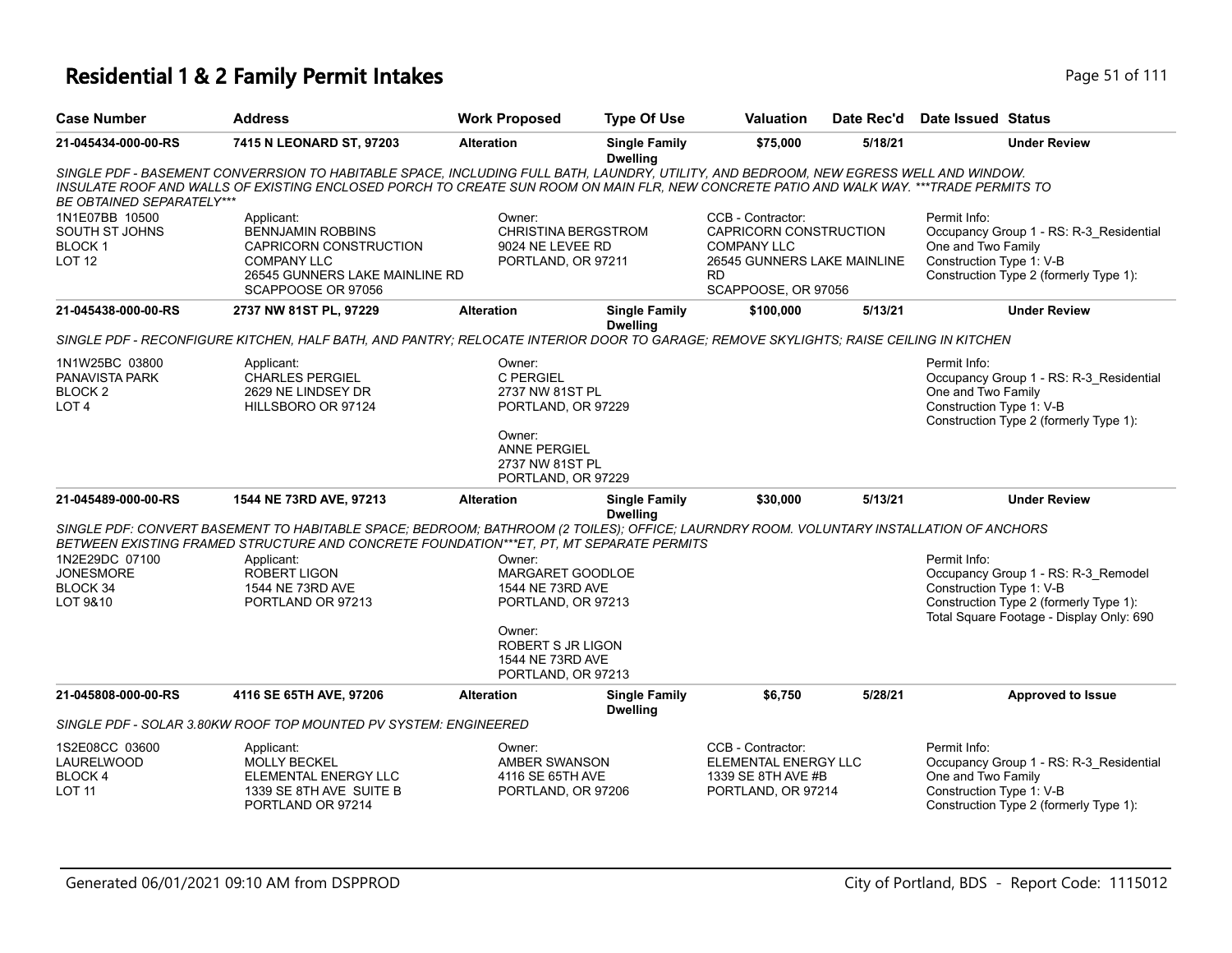| <b>Case Number</b>                                                         | <b>Address</b>                                                                                                                                                                                                                                                                   | <b>Work Proposed</b>                                                    | <b>Type Of Use</b>                      | Valuation                                                                                                                            | Date Rec'd | <b>Date Issued Status</b>                                                                                                                                             |
|----------------------------------------------------------------------------|----------------------------------------------------------------------------------------------------------------------------------------------------------------------------------------------------------------------------------------------------------------------------------|-------------------------------------------------------------------------|-----------------------------------------|--------------------------------------------------------------------------------------------------------------------------------------|------------|-----------------------------------------------------------------------------------------------------------------------------------------------------------------------|
| 21-045434-000-00-RS                                                        | 7415 N LEONARD ST, 97203                                                                                                                                                                                                                                                         | <b>Alteration</b>                                                       | <b>Single Family</b><br><b>Dwelling</b> | \$75,000                                                                                                                             | 5/18/21    | <b>Under Review</b>                                                                                                                                                   |
| BE OBTAINED SEPARATELY***                                                  | SINGLE PDF - BASEMENT CONVERRSION TO HABITABLE SPACE, INCLUDING FULL BATH, LAUNDRY, UTILITY, AND BEDROOM, NEW EGRESS WELL AND WINDOW.<br>INSULATE ROOF AND WALLS OF EXISTING ENCLOSED PORCH TO CREATE SUN ROOM ON MAIN FLR, NEW CONCRETE PATIO AND WALK WAY. ***TRADE PERMITS TO |                                                                         |                                         |                                                                                                                                      |            |                                                                                                                                                                       |
| 1N1E07BB 10500<br>SOUTH ST JOHNS<br><b>BLOCK1</b><br>LOT <sub>12</sub>     | Applicant:<br><b>BENNJAMIN ROBBINS</b><br>CAPRICORN CONSTRUCTION<br><b>COMPANY LLC</b><br>26545 GUNNERS LAKE MAINLINE RD<br>SCAPPOOSE OR 97056                                                                                                                                   | Owner:<br>CHRISTINA BERGSTROM<br>9024 NE LEVEE RD<br>PORTLAND, OR 97211 |                                         | CCB - Contractor:<br>CAPRICORN CONSTRUCTION<br><b>COMPANY LLC</b><br>26545 GUNNERS LAKE MAINLINE<br><b>RD</b><br>SCAPPOOSE, OR 97056 |            | Permit Info:<br>Occupancy Group 1 - RS: R-3_Residential<br>One and Two Family<br>Construction Type 1: V-B<br>Construction Type 2 (formerly Type 1):                   |
| 21-045438-000-00-RS                                                        | 2737 NW 81ST PL, 97229                                                                                                                                                                                                                                                           | <b>Alteration</b>                                                       | <b>Single Family</b><br><b>Dwelling</b> | \$100,000                                                                                                                            | 5/13/21    | <b>Under Review</b>                                                                                                                                                   |
|                                                                            | SINGLE PDF - RECONFIGURE KITCHEN, HALF BATH, AND PANTRY; RELOCATE INTERIOR DOOR TO GARAGE; REMOVE SKYLIGHTS; RAISE CEILING IN KITCHEN                                                                                                                                            |                                                                         |                                         |                                                                                                                                      |            |                                                                                                                                                                       |
| 1N1W25BC 03800<br>PANAVISTA PARK<br>BLOCK <sub>2</sub><br>LOT <sub>4</sub> | Applicant:<br><b>CHARLES PERGIEL</b><br>2629 NE LINDSEY DR<br>HILLSBORO OR 97124                                                                                                                                                                                                 | Owner:<br>C PERGIEL<br>2737 NW 81ST PL<br>PORTLAND, OR 97229            |                                         |                                                                                                                                      |            | Permit Info:<br>Occupancy Group 1 - RS: R-3_Residential<br>One and Two Family<br>Construction Type 1: V-B<br>Construction Type 2 (formerly Type 1):                   |
|                                                                            |                                                                                                                                                                                                                                                                                  | Owner:<br><b>ANNE PERGIEL</b><br>2737 NW 81ST PL<br>PORTLAND, OR 97229  |                                         |                                                                                                                                      |            |                                                                                                                                                                       |
| 21-045489-000-00-RS                                                        | 1544 NE 73RD AVE, 97213                                                                                                                                                                                                                                                          | <b>Alteration</b>                                                       | <b>Single Family</b><br><b>Dwelling</b> | \$30,000                                                                                                                             | 5/13/21    | <b>Under Review</b>                                                                                                                                                   |
|                                                                            | SINGLE PDF: CONVERT BASEMENT TO HABITABLE SPACE; BEDROOM; BATHROOM (2 TOILES); OFFICE; LAURNDRY ROOM. VOLUNTARY INSTALLATION OF ANCHORS<br>BETWEEN EXISTING FRAMED STRUCTURE AND CONCRETE FOUNDATION***ET, PT, MT SEPARATE PERMITS                                               |                                                                         |                                         |                                                                                                                                      |            |                                                                                                                                                                       |
| 1N2E29DC 07100<br><b>JONESMORE</b><br>BLOCK 34<br>LOT 9&10                 | Applicant:<br><b>ROBERT LIGON</b><br>1544 NE 73RD AVE<br>PORTLAND OR 97213                                                                                                                                                                                                       | Owner:<br>MARGARET GOODLOE<br>1544 NE 73RD AVE<br>PORTLAND, OR 97213    |                                         |                                                                                                                                      |            | Permit Info:<br>Occupancy Group 1 - RS: R-3_Remodel<br>Construction Type 1: V-B<br>Construction Type 2 (formerly Type 1):<br>Total Square Footage - Display Only: 690 |
|                                                                            |                                                                                                                                                                                                                                                                                  | Owner:<br>ROBERT S JR LIGON<br>1544 NE 73RD AVE<br>PORTLAND, OR 97213   |                                         |                                                                                                                                      |            |                                                                                                                                                                       |
| 21-045808-000-00-RS                                                        | 4116 SE 65TH AVE, 97206                                                                                                                                                                                                                                                          | <b>Alteration</b>                                                       | <b>Single Family</b><br><b>Dwelling</b> | \$6,750                                                                                                                              | 5/28/21    | Approved to Issue                                                                                                                                                     |
|                                                                            | SINGLE PDF - SOLAR 3.80KW ROOF TOP MOUNTED PV SYSTEM: ENGINEERED                                                                                                                                                                                                                 |                                                                         |                                         |                                                                                                                                      |            |                                                                                                                                                                       |
| 1S2E08CC 03600<br>LAURELWOOD<br>BLOCK 4<br>LOT <sub>11</sub>               | Applicant:<br>MOLLY BECKEL<br>ELEMENTAL ENERGY LLC<br>1339 SE 8TH AVE SUITE B<br>PORTLAND OR 97214                                                                                                                                                                               | Owner:<br>AMBER SWANSON<br>4116 SE 65TH AVE<br>PORTLAND, OR 97206       |                                         | CCB - Contractor:<br>ELEMENTAL ENERGY LLC<br>1339 SE 8TH AVE #B<br>PORTLAND, OR 97214                                                |            | Permit Info:<br>Occupancy Group 1 - RS: R-3_Residential<br>One and Two Family<br>Construction Type 1: V-B<br>Construction Type 2 (formerly Type 1):                   |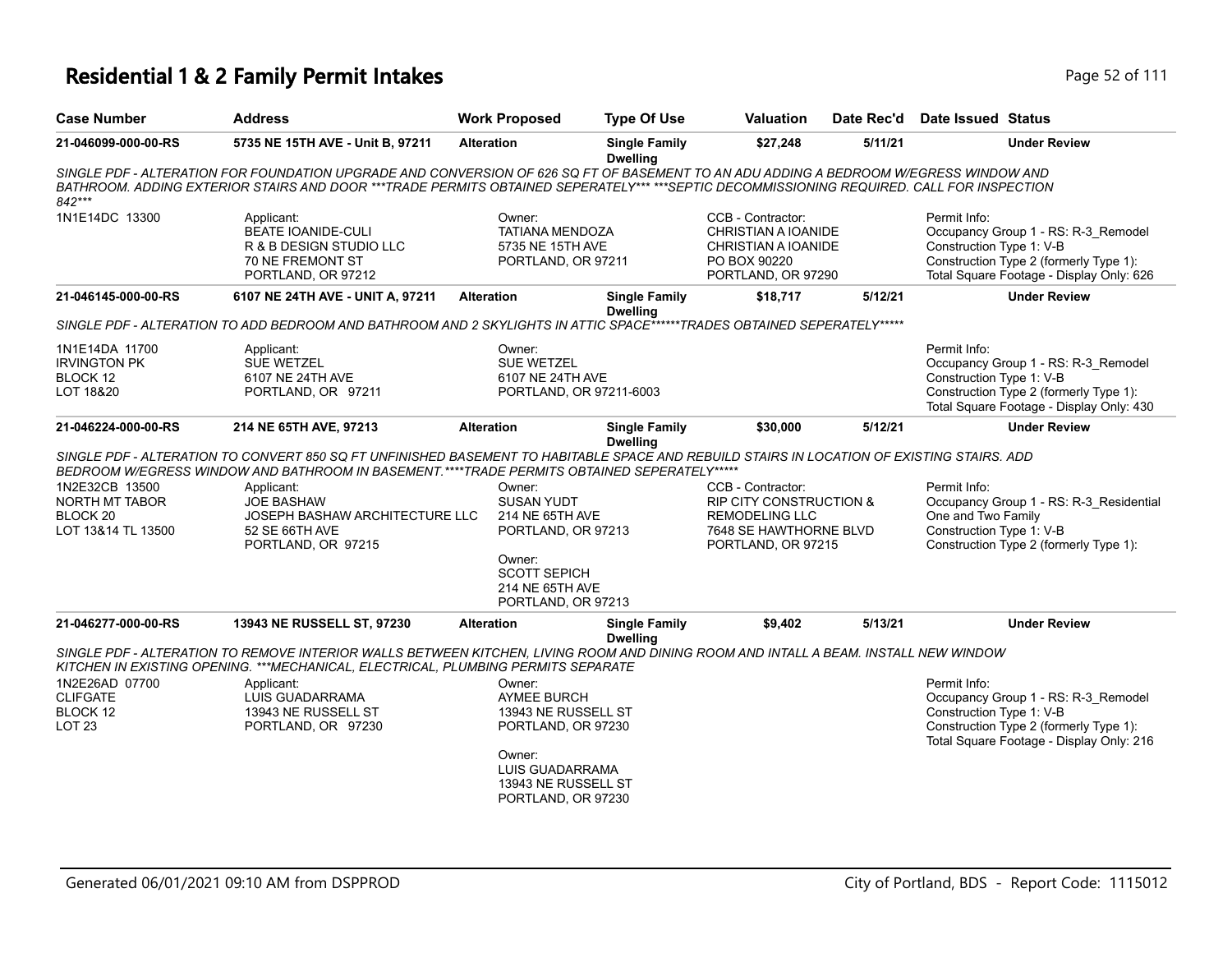# **Residential 1 & 2 Family Permit Intakes Page 52 of 1111 Residential 1 & 2 Fage**  $P$ age

| Page 52 of 111 |  |  |
|----------------|--|--|
|                |  |  |

| <b>Case Number</b>                                                            | <b>Address</b>                                                                                                                                                                                                                                                                     | <b>Work Proposed</b>                                                                | <b>Type Of Use</b>                      | <b>Valuation</b>                                                                                                                 | Date Rec'd | <b>Date Issued Status</b>                                                                                                                                             |
|-------------------------------------------------------------------------------|------------------------------------------------------------------------------------------------------------------------------------------------------------------------------------------------------------------------------------------------------------------------------------|-------------------------------------------------------------------------------------|-----------------------------------------|----------------------------------------------------------------------------------------------------------------------------------|------------|-----------------------------------------------------------------------------------------------------------------------------------------------------------------------|
| 21-046099-000-00-RS                                                           | 5735 NE 15TH AVE - Unit B, 97211                                                                                                                                                                                                                                                   | <b>Alteration</b>                                                                   | <b>Single Family</b><br><b>Dwelling</b> | \$27,248                                                                                                                         | 5/11/21    | <b>Under Review</b>                                                                                                                                                   |
| 842***                                                                        | SINGLE PDF - ALTERATION FOR FOUNDATION UPGRADE AND CONVERSION OF 626 SQ FT OF BASEMENT TO AN ADU ADDING A BEDROOM W/EGRESS WINDOW AND<br>BATHROOM. ADDING EXTERIOR STAIRS AND DOOR ***TRADE PERMITS OBTAINED SEPERATELY*** ***SEPTIC DECOMMISSIONING REQUIRED. CALL FOR INSPECTION |                                                                                     |                                         |                                                                                                                                  |            |                                                                                                                                                                       |
| 1N1E14DC 13300                                                                | Applicant:<br><b>BEATE IOANIDE-CULI</b><br>R & B DESIGN STUDIO LLC<br>70 NE FREMONT ST<br>PORTLAND, OR 97212                                                                                                                                                                       | Owner:<br><b>TATIANA MENDOZA</b><br>5735 NE 15TH AVE<br>PORTLAND, OR 97211          |                                         | CCB - Contractor:<br>CHRISTIAN A IOANIDE<br>CHRISTIAN A IOANIDE<br>PO BOX 90220<br>PORTLAND, OR 97290                            |            | Permit Info:<br>Occupancy Group 1 - RS: R-3_Remodel<br>Construction Type 1: V-B<br>Construction Type 2 (formerly Type 1):<br>Total Square Footage - Display Only: 626 |
| 21-046145-000-00-RS                                                           | 6107 NE 24TH AVE - UNIT A, 97211                                                                                                                                                                                                                                                   | <b>Alteration</b>                                                                   | <b>Single Family</b><br><b>Dwelling</b> | \$18,717                                                                                                                         | 5/12/21    | <b>Under Review</b>                                                                                                                                                   |
|                                                                               | SINGLE PDF - ALTERATION TO ADD BEDROOM AND BATHROOM AND 2 SKYLIGHTS IN ATTIC SPACE******TRADES OBTAINED SEPERATELY*****                                                                                                                                                            |                                                                                     |                                         |                                                                                                                                  |            |                                                                                                                                                                       |
| 1N1E14DA 11700<br><b>IRVINGTON PK</b><br>BLOCK 12<br>LOT 18&20                | Applicant:<br><b>SUE WETZEL</b><br>6107 NE 24TH AVE<br>PORTLAND, OR 97211                                                                                                                                                                                                          | Owner:<br><b>SUE WETZEL</b><br>6107 NE 24TH AVE<br>PORTLAND, OR 97211-6003          |                                         |                                                                                                                                  |            | Permit Info:<br>Occupancy Group 1 - RS: R-3_Remodel<br>Construction Type 1: V-B<br>Construction Type 2 (formerly Type 1):<br>Total Square Footage - Display Only: 430 |
| 21-046224-000-00-RS                                                           | 214 NE 65TH AVE, 97213                                                                                                                                                                                                                                                             | <b>Alteration</b>                                                                   | <b>Single Family</b><br><b>Dwelling</b> | \$30,000                                                                                                                         | 5/12/21    | <b>Under Review</b>                                                                                                                                                   |
|                                                                               | SINGLE PDF - ALTERATION TO CONVERT 850 SQ FT UNFINISHED BASEMENT TO HABITABLE SPACE AND REBUILD STAIRS IN LOCATION OF EXISTING STAIRS. ADD<br>BEDROOM W/EGRESS WINDOW AND BATHROOM IN BASEMENT.****TRADE PERMITS OBTAINED SEPERATELY*****                                          |                                                                                     |                                         |                                                                                                                                  |            |                                                                                                                                                                       |
| 1N2E32CB 13500<br>NORTH MT TABOR<br>BLOCK <sub>20</sub><br>LOT 13&14 TL 13500 | Applicant:<br><b>JOE BASHAW</b><br>JOSEPH BASHAW ARCHITECTURE LLC<br>52 SE 66TH AVE<br>PORTLAND, OR 97215                                                                                                                                                                          | Owner:<br><b>SUSAN YUDT</b><br>214 NE 65TH AVE<br>PORTLAND, OR 97213                |                                         | CCB - Contractor:<br><b>RIP CITY CONSTRUCTION &amp;</b><br><b>REMODELING LLC</b><br>7648 SE HAWTHORNE BLVD<br>PORTLAND, OR 97215 |            | Permit Info:<br>Occupancy Group 1 - RS: R-3_Residential<br>One and Two Family<br>Construction Type 1: V-B<br>Construction Type 2 (formerly Type 1):                   |
|                                                                               |                                                                                                                                                                                                                                                                                    | Owner:<br><b>SCOTT SEPICH</b><br>214 NE 65TH AVE<br>PORTLAND, OR 97213              |                                         |                                                                                                                                  |            |                                                                                                                                                                       |
| 21-046277-000-00-RS                                                           | 13943 NE RUSSELL ST, 97230                                                                                                                                                                                                                                                         | <b>Alteration</b>                                                                   | <b>Single Family</b><br><b>Dwelling</b> | \$9,402                                                                                                                          | 5/13/21    | <b>Under Review</b>                                                                                                                                                   |
|                                                                               | SINGLE PDF - ALTERATION TO REMOVE INTERIOR WALLS BETWEEN KITCHEN, LIVING ROOM AND DINING ROOM AND INTALL A BEAM. INSTALL NEW WINDOW<br>KITCHEN IN EXISTING OPENING. *** MECHANICAL, ELECTRICAL, PLUMBING PERMITS SEPARATE                                                          |                                                                                     |                                         |                                                                                                                                  |            |                                                                                                                                                                       |
| 1N2E26AD 07700<br><b>CLIFGATE</b><br>BLOCK 12<br><b>LOT 23</b>                | Applicant:<br>LUIS GUADARRAMA<br>13943 NE RUSSELL ST<br>PORTLAND, OR 97230                                                                                                                                                                                                         | Owner:<br><b>AYMEE BURCH</b><br>13943 NE RUSSELL ST<br>PORTLAND, OR 97230<br>Owner: |                                         |                                                                                                                                  |            | Permit Info:<br>Occupancy Group 1 - RS: R-3_Remodel<br>Construction Type 1: V-B<br>Construction Type 2 (formerly Type 1):<br>Total Square Footage - Display Only: 216 |
|                                                                               |                                                                                                                                                                                                                                                                                    | LUIS GUADARRAMA<br>13943 NE RUSSELL ST<br>PORTLAND, OR 97230                        |                                         |                                                                                                                                  |            |                                                                                                                                                                       |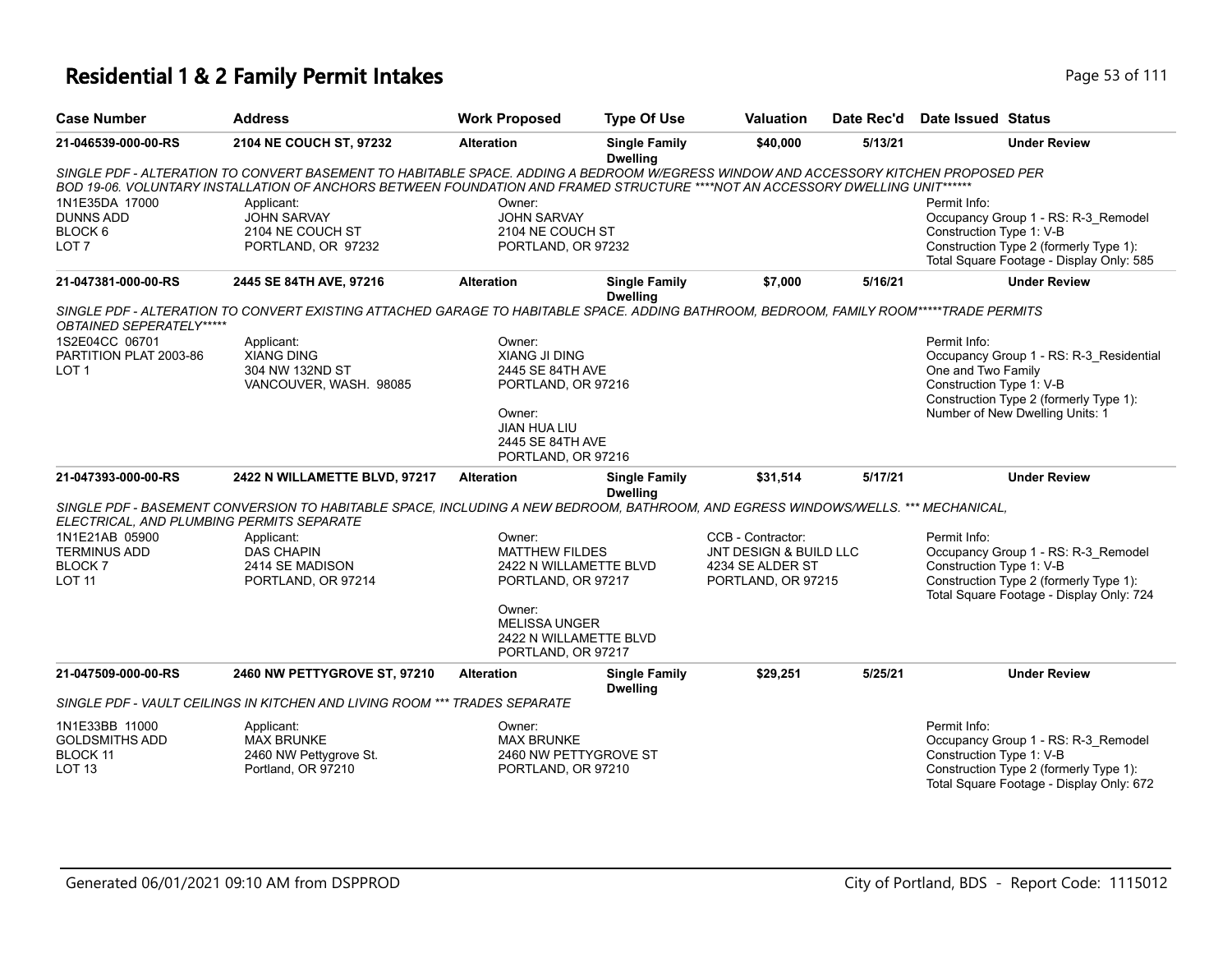| <b>Case Number</b>                                                           | <b>Address</b>                                                                                                                                                                                                                                                       | <b>Work Proposed</b>                                                                                                                         | <b>Type Of Use</b>                      | Valuation                                                                             | Date Rec'd | <b>Date Issued Status</b>                                                                                                                                                              |
|------------------------------------------------------------------------------|----------------------------------------------------------------------------------------------------------------------------------------------------------------------------------------------------------------------------------------------------------------------|----------------------------------------------------------------------------------------------------------------------------------------------|-----------------------------------------|---------------------------------------------------------------------------------------|------------|----------------------------------------------------------------------------------------------------------------------------------------------------------------------------------------|
| 21-046539-000-00-RS                                                          | 2104 NE COUCH ST, 97232                                                                                                                                                                                                                                              | <b>Alteration</b>                                                                                                                            | <b>Single Family</b><br><b>Dwelling</b> | \$40,000                                                                              | 5/13/21    | <b>Under Review</b>                                                                                                                                                                    |
|                                                                              | SINGLE PDF - ALTERATION TO CONVERT BASEMENT TO HABITABLE SPACE. ADDING A BEDROOM W/EGRESS WINDOW AND ACCESSORY KITCHEN PROPOSED PER<br>BOD 19-06. VOLUNTARY INSTALLATION OF ANCHORS BETWEEN FOUNDATION AND FRAMED STRUCTURE ****NOT AN ACCESSORY DWELLING UNIT****** |                                                                                                                                              |                                         |                                                                                       |            |                                                                                                                                                                                        |
| 1N1E35DA 17000<br><b>DUNNS ADD</b><br>BLOCK <sub>6</sub><br>LOT <sub>7</sub> | Applicant:<br><b>JOHN SARVAY</b><br>2104 NE COUCH ST<br>PORTLAND, OR 97232                                                                                                                                                                                           | Owner:<br><b>JOHN SARVAY</b><br>2104 NE COUCH ST<br>PORTLAND, OR 97232                                                                       |                                         |                                                                                       |            | Permit Info:<br>Occupancy Group 1 - RS: R-3 Remodel<br>Construction Type 1: V-B<br>Construction Type 2 (formerly Type 1):<br>Total Square Footage - Display Only: 585                  |
| 21-047381-000-00-RS                                                          | 2445 SE 84TH AVE, 97216                                                                                                                                                                                                                                              | <b>Alteration</b>                                                                                                                            | <b>Single Family</b><br><b>Dwelling</b> | \$7,000                                                                               | 5/16/21    | <b>Under Review</b>                                                                                                                                                                    |
| OBTAINED SEPERATELY*****                                                     | SINGLE PDF - ALTERATION TO CONVERT EXISTING ATTACHED GARAGE TO HABITABLE SPACE. ADDING BATHROOM, BEDROOM, FAMILY ROOM*****TRADE PERMITS                                                                                                                              |                                                                                                                                              |                                         |                                                                                       |            |                                                                                                                                                                                        |
| 1S2E04CC 06701<br>PARTITION PLAT 2003-86<br>LOT <sub>1</sub>                 | Applicant:<br><b>XIANG DING</b><br>304 NW 132ND ST<br>VANCOUVER, WASH. 98085                                                                                                                                                                                         | Owner:<br>XIANG JI DING<br>2445 SE 84TH AVE<br>PORTLAND, OR 97216<br>Owner:<br><b>JIAN HUA LIU</b><br>2445 SE 84TH AVE<br>PORTLAND, OR 97216 |                                         |                                                                                       |            | Permit Info:<br>Occupancy Group 1 - RS: R-3_Residential<br>One and Two Family<br>Construction Type 1: V-B<br>Construction Type 2 (formerly Type 1):<br>Number of New Dwelling Units: 1 |
| 21-047393-000-00-RS                                                          | 2422 N WILLAMETTE BLVD, 97217                                                                                                                                                                                                                                        | <b>Alteration</b>                                                                                                                            | <b>Single Family</b><br><b>Dwelling</b> | \$31,514                                                                              | 5/17/21    | <b>Under Review</b>                                                                                                                                                                    |
| ELECTRICAL, AND PLUMBING PERMITS SEPARATE                                    | SINGLE PDF - BASEMENT CONVERSION TO HABITABLE SPACE, INCLUDING A NEW BEDROOM, BATHROOM, AND EGRESS WINDOWS/WELLS. *** MECHANICAL,                                                                                                                                    |                                                                                                                                              |                                         |                                                                                       |            |                                                                                                                                                                                        |
| 1N1E21AB 05900<br><b>TERMINUS ADD</b><br>BLOCK <sub>7</sub><br><b>LOT 11</b> | Applicant:<br><b>DAS CHAPIN</b><br>2414 SE MADISON<br>PORTLAND, OR 97214                                                                                                                                                                                             | Owner:<br><b>MATTHEW FILDES</b><br>2422 N WILLAMETTE BLVD<br>PORTLAND, OR 97217                                                              |                                         | CCB - Contractor:<br>JNT DESIGN & BUILD LLC<br>4234 SE ALDER ST<br>PORTLAND, OR 97215 |            | Permit Info:<br>Occupancy Group 1 - RS: R-3_Remodel<br>Construction Type 1: V-B<br>Construction Type 2 (formerly Type 1):<br>Total Square Footage - Display Only: 724                  |
|                                                                              |                                                                                                                                                                                                                                                                      | Owner:<br><b>MELISSA UNGER</b><br>2422 N WILLAMETTE BLVD<br>PORTLAND, OR 97217                                                               |                                         |                                                                                       |            |                                                                                                                                                                                        |
| 21-047509-000-00-RS                                                          | 2460 NW PETTYGROVE ST, 97210                                                                                                                                                                                                                                         | <b>Alteration</b>                                                                                                                            | <b>Single Family</b><br><b>Dwelling</b> | \$29,251                                                                              | 5/25/21    | <b>Under Review</b>                                                                                                                                                                    |
|                                                                              | SINGLE PDF - VAULT CEILINGS IN KITCHEN AND LIVING ROOM *** TRADES SEPARATE                                                                                                                                                                                           |                                                                                                                                              |                                         |                                                                                       |            |                                                                                                                                                                                        |
| 1N1E33BB 11000<br><b>GOLDSMITHS ADD</b><br>BLOCK 11<br>LOT <sub>13</sub>     | Applicant:<br><b>MAX BRUNKE</b><br>2460 NW Pettygrove St.<br>Portland, OR 97210                                                                                                                                                                                      | Owner:<br><b>MAX BRUNKE</b><br>2460 NW PETTYGROVE ST<br>PORTLAND, OR 97210                                                                   |                                         |                                                                                       |            | Permit Info:<br>Occupancy Group 1 - RS: R-3_Remodel<br>Construction Type 1: V-B<br>Construction Type 2 (formerly Type 1):<br>Total Square Footage - Display Only: 672                  |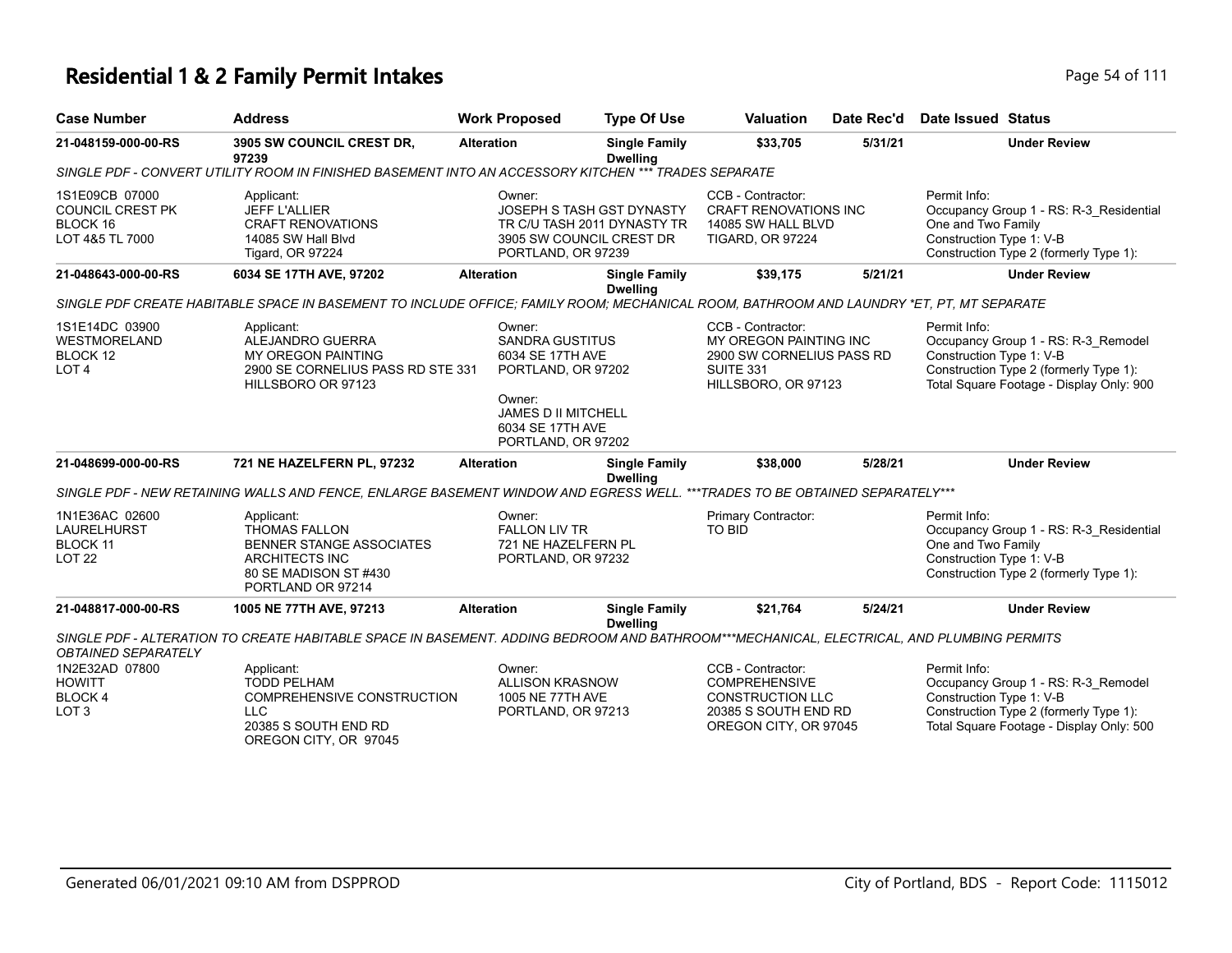| <b>Case Number</b>                                                       | <b>Address</b>                                                                                                                               | <b>Work Proposed</b>                                                                                                                                         | <b>Type Of Use</b>                                                                   | Valuation                                                                                                             | Date Rec'd | <b>Date Issued Status</b>                                                                                                                                             |
|--------------------------------------------------------------------------|----------------------------------------------------------------------------------------------------------------------------------------------|--------------------------------------------------------------------------------------------------------------------------------------------------------------|--------------------------------------------------------------------------------------|-----------------------------------------------------------------------------------------------------------------------|------------|-----------------------------------------------------------------------------------------------------------------------------------------------------------------------|
| 21-048159-000-00-RS                                                      | 3905 SW COUNCIL CREST DR,<br>97239                                                                                                           | <b>Alteration</b>                                                                                                                                            | <b>Single Family</b><br><b>Dwelling</b>                                              | \$33,705                                                                                                              | 5/31/21    | <b>Under Review</b>                                                                                                                                                   |
|                                                                          | SINGLE PDF - CONVERT UTILITY ROOM IN FINISHED BASEMENT INTO AN ACCESSORY KITCHEN *** TRADES SEPARATE                                         |                                                                                                                                                              |                                                                                      |                                                                                                                       |            |                                                                                                                                                                       |
| 1S1E09CB 07000<br><b>COUNCIL CREST PK</b><br>BLOCK 16<br>LOT 4&5 TL 7000 | Applicant:<br><b>JEFF L'ALLIER</b><br><b>CRAFT RENOVATIONS</b><br>14085 SW Hall Blyd<br><b>Tigard, OR 97224</b>                              | Owner:<br>PORTLAND, OR 97239                                                                                                                                 | JOSEPH S TASH GST DYNASTY<br>TR C/U TASH 2011 DYNASTY TR<br>3905 SW COUNCIL CREST DR | CCB - Contractor:<br><b>CRAFT RENOVATIONS INC</b><br>14085 SW HALL BLVD<br><b>TIGARD, OR 97224</b>                    |            | Permit Info:<br>Occupancy Group 1 - RS: R-3 Residential<br>One and Two Family<br>Construction Type 1: V-B<br>Construction Type 2 (formerly Type 1):                   |
| 21-048643-000-00-RS                                                      | 6034 SE 17TH AVE, 97202                                                                                                                      | <b>Alteration</b>                                                                                                                                            | <b>Single Family</b><br><b>Dwelling</b>                                              | \$39,175                                                                                                              | 5/21/21    | <b>Under Review</b>                                                                                                                                                   |
|                                                                          | SINGLE PDF CREATE HABITABLE SPACE IN BASEMENT TO INCLUDE OFFICE; FAMILY ROOM; MECHANICAL ROOM, BATHROOM AND LAUNDRY *ET, PT, MT SEPARATE     |                                                                                                                                                              |                                                                                      |                                                                                                                       |            |                                                                                                                                                                       |
| 1S1E14DC 03900<br><b>WESTMORELAND</b><br>BLOCK 12<br>LOT <sub>4</sub>    | Applicant:<br>ALEJANDRO GUERRA<br><b>MY OREGON PAINTING</b><br>2900 SE CORNELIUS PASS RD STE 331<br>HILLSBORO OR 97123                       | Owner:<br><b>SANDRA GUSTITUS</b><br>6034 SE 17TH AVE<br>PORTLAND, OR 97202<br>Owner:<br><b>JAMES D II MITCHELL</b><br>6034 SE 17TH AVE<br>PORTLAND, OR 97202 |                                                                                      | CCB - Contractor:<br>MY OREGON PAINTING INC<br>2900 SW CORNELIUS PASS RD<br>SUITE 331<br>HILLSBORO, OR 97123          |            | Permit Info:<br>Occupancy Group 1 - RS: R-3_Remodel<br>Construction Type 1: V-B<br>Construction Type 2 (formerly Type 1):<br>Total Square Footage - Display Only: 900 |
| 21-048699-000-00-RS                                                      | 721 NE HAZELFERN PL, 97232                                                                                                                   | <b>Alteration</b>                                                                                                                                            | <b>Single Family</b><br><b>Dwelling</b>                                              | \$38,000                                                                                                              | 5/28/21    | <b>Under Review</b>                                                                                                                                                   |
|                                                                          | SINGLE PDF - NEW RETAINING WALLS AND FENCE, ENLARGE BASEMENT WINDOW AND EGRESS WELL. ***TRADES TO BE OBTAINED SEPARATELY***                  |                                                                                                                                                              |                                                                                      |                                                                                                                       |            |                                                                                                                                                                       |
| 1N1E36AC 02600<br>LAURELHURST<br>BLOCK 11<br><b>LOT 22</b>               | Applicant:<br><b>THOMAS FALLON</b><br><b>BENNER STANGE ASSOCIATES</b><br><b>ARCHITECTS INC</b><br>80 SE MADISON ST #430<br>PORTLAND OR 97214 | Owner:<br><b>FALLON LIV TR</b><br>721 NE HAZELFERN PL<br>PORTLAND, OR 97232                                                                                  |                                                                                      | Primary Contractor:<br><b>TO BID</b>                                                                                  |            | Permit Info:<br>Occupancy Group 1 - RS: R-3_Residential<br>One and Two Family<br>Construction Type 1: V-B<br>Construction Type 2 (formerly Type 1):                   |
| 21-048817-000-00-RS                                                      | 1005 NE 77TH AVE, 97213                                                                                                                      | <b>Alteration</b>                                                                                                                                            | <b>Single Family</b><br><b>Dwelling</b>                                              | \$21,764                                                                                                              | 5/24/21    | <b>Under Review</b>                                                                                                                                                   |
| <b>OBTAINED SEPARATELY</b>                                               | SINGLE PDF - ALTERATION TO CREATE HABITABLE SPACE IN BASEMENT. ADDING BEDROOM AND BATHROOM***MECHANICAL, ELECTRICAL, AND PLUMBING PERMITS    |                                                                                                                                                              |                                                                                      |                                                                                                                       |            |                                                                                                                                                                       |
| 1N2E32AD 07800<br><b>HOWITT</b><br><b>BLOCK4</b><br>LOT <sub>3</sub>     | Applicant:<br><b>TODD PELHAM</b><br><b>COMPREHENSIVE CONSTRUCTION</b><br><b>LLC</b><br>20385 S SOUTH END RD<br>OREGON CITY, OR 97045         | Owner:<br><b>ALLISON KRASNOW</b><br>1005 NE 77TH AVE<br>PORTLAND, OR 97213                                                                                   |                                                                                      | CCB - Contractor:<br><b>COMPREHENSIVE</b><br><b>CONSTRUCTION LLC</b><br>20385 S SOUTH END RD<br>OREGON CITY, OR 97045 |            | Permit Info:<br>Occupancy Group 1 - RS: R-3_Remodel<br>Construction Type 1: V-B<br>Construction Type 2 (formerly Type 1):<br>Total Square Footage - Display Only: 500 |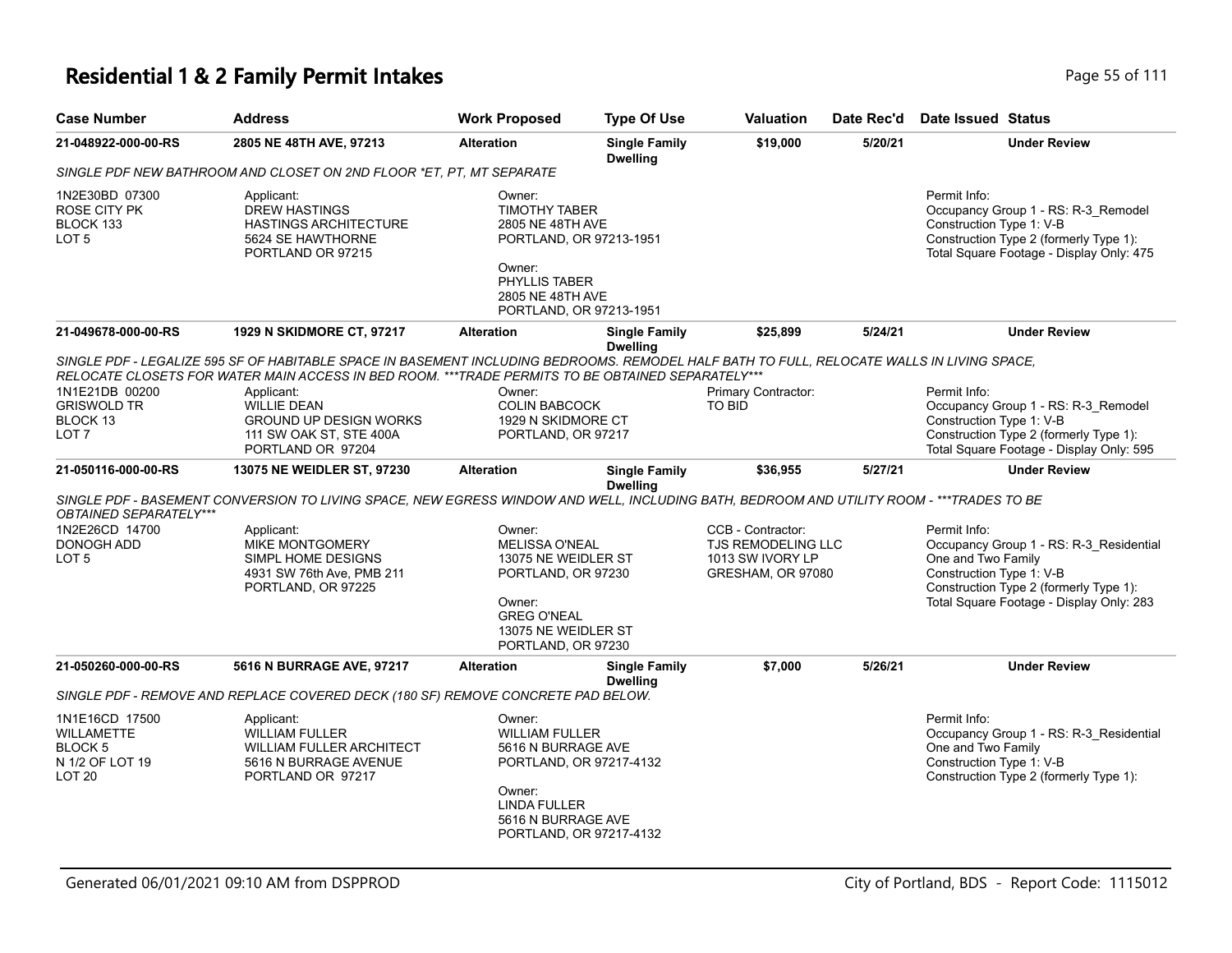| <b>Case Number</b>                                                                                | <b>Address</b>                                                                                                                                                                                                                                   | <b>Work Proposed</b>                                                                                                                                           | <b>Type Of Use</b>                      | Valuation                                                                               | Date Rec'd | Date Issued Status                                                                                                                                                    |
|---------------------------------------------------------------------------------------------------|--------------------------------------------------------------------------------------------------------------------------------------------------------------------------------------------------------------------------------------------------|----------------------------------------------------------------------------------------------------------------------------------------------------------------|-----------------------------------------|-----------------------------------------------------------------------------------------|------------|-----------------------------------------------------------------------------------------------------------------------------------------------------------------------|
| 21-048922-000-00-RS                                                                               | 2805 NE 48TH AVE, 97213                                                                                                                                                                                                                          | <b>Alteration</b>                                                                                                                                              | <b>Single Family</b><br><b>Dwelling</b> | \$19,000                                                                                | 5/20/21    | <b>Under Review</b>                                                                                                                                                   |
|                                                                                                   | SINGLE PDF NEW BATHROOM AND CLOSET ON 2ND FLOOR *ET. PT. MT SEPARATE                                                                                                                                                                             |                                                                                                                                                                |                                         |                                                                                         |            |                                                                                                                                                                       |
| 1N2E30BD 07300<br><b>ROSE CITY PK</b><br>BLOCK 133<br>LOT <sub>5</sub>                            | Applicant:<br><b>DREW HASTINGS</b><br><b>HASTINGS ARCHITECTURE</b><br>5624 SE HAWTHORNE<br>PORTLAND OR 97215                                                                                                                                     | Owner:<br><b>TIMOTHY TABER</b><br>2805 NE 48TH AVE<br>PORTLAND, OR 97213-1951<br>Owner:<br><b>PHYLLIS TABER</b><br>2805 NE 48TH AVE<br>PORTLAND, OR 97213-1951 |                                         |                                                                                         |            | Permit Info:<br>Occupancy Group 1 - RS: R-3_Remodel<br>Construction Type 1: V-B<br>Construction Type 2 (formerly Type 1):<br>Total Square Footage - Display Only: 475 |
| 21-049678-000-00-RS                                                                               | 1929 N SKIDMORE CT, 97217                                                                                                                                                                                                                        | <b>Alteration</b>                                                                                                                                              | <b>Single Family</b><br><b>Dwelling</b> | \$25,899                                                                                | 5/24/21    | <b>Under Review</b>                                                                                                                                                   |
|                                                                                                   | SINGLE PDF - LEGALIZE 595 SF OF HABITABLE SPACE IN BASEMENT INCLUDING BEDROOMS. REMODEL HALF BATH TO FULL, RELOCATE WALLS IN LIVING SPACE,<br>RELOCATE CLOSETS FOR WATER MAIN ACCESS IN BED ROOM. *** TRADE PERMITS TO BE OBTAINED SEPARATELY*** |                                                                                                                                                                |                                         |                                                                                         |            |                                                                                                                                                                       |
| 1N1E21DB 00200<br><b>GRISWOLD TR</b><br>BLOCK 13<br>LOT <sub>7</sub>                              | Applicant:<br><b>WILLIE DEAN</b><br><b>GROUND UP DESIGN WORKS</b><br>111 SW OAK ST, STE 400A<br>PORTLAND OR 97204                                                                                                                                | Owner:<br><b>COLIN BABCOCK</b><br>1929 N SKIDMORE CT<br>PORTLAND, OR 97217                                                                                     |                                         | Primary Contractor:<br><b>TO BID</b>                                                    |            | Permit Info:<br>Occupancy Group 1 - RS: R-3_Remodel<br>Construction Type 1: V-B<br>Construction Type 2 (formerly Type 1):<br>Total Square Footage - Display Only: 595 |
| 21-050116-000-00-RS                                                                               | 13075 NE WEIDLER ST, 97230                                                                                                                                                                                                                       | <b>Alteration</b>                                                                                                                                              | <b>Single Family</b><br><b>Dwelling</b> | \$36,955                                                                                | 5/27/21    | <b>Under Review</b>                                                                                                                                                   |
| OBTAINED SEPARATELY***                                                                            | SINGLE PDF - BASEMENT CONVERSION TO LIVING SPACE, NEW EGRESS WINDOW AND WELL, INCLUDING BATH, BEDROOM AND UTILITY ROOM - ***TRADES TO BE                                                                                                         |                                                                                                                                                                |                                         |                                                                                         |            |                                                                                                                                                                       |
| 1N2E26CD 14700<br><b>DONOGH ADD</b><br>LOT <sub>5</sub>                                           | Applicant:<br>MIKE MONTGOMERY<br>SIMPL HOME DESIGNS<br>4931 SW 76th Ave, PMB 211                                                                                                                                                                 | Owner:<br><b>MELISSA O'NEAL</b><br>13075 NE WEIDLER ST<br>PORTLAND, OR 97230                                                                                   |                                         | CCB - Contractor:<br><b>TJS REMODELING LLC</b><br>1013 SW IVORY LP<br>GRESHAM, OR 97080 |            | Permit Info:<br>Occupancy Group 1 - RS: R-3_Residential<br>One and Two Family<br>Construction Type 1: V-B                                                             |
|                                                                                                   | PORTLAND, OR 97225                                                                                                                                                                                                                               | Owner:<br><b>GREG O'NEAL</b><br>13075 NE WEIDLER ST<br>PORTLAND, OR 97230                                                                                      |                                         |                                                                                         |            | Construction Type 2 (formerly Type 1):<br>Total Square Footage - Display Only: 283                                                                                    |
| 21-050260-000-00-RS                                                                               | 5616 N BURRAGE AVE, 97217                                                                                                                                                                                                                        | <b>Alteration</b>                                                                                                                                              | <b>Single Family</b><br><b>Dwelling</b> | \$7,000                                                                                 | 5/26/21    | <b>Under Review</b>                                                                                                                                                   |
|                                                                                                   | SINGLE PDF - REMOVE AND REPLACE COVERED DECK (180 SF) REMOVE CONCRETE PAD BELOW.                                                                                                                                                                 |                                                                                                                                                                |                                         |                                                                                         |            |                                                                                                                                                                       |
| 1N1E16CD 17500<br><b>WILLAMETTE</b><br>BLOCK <sub>5</sub><br>N 1/2 OF LOT 19<br>LOT <sub>20</sub> | Applicant:<br><b>WILLIAM FULLER</b><br><b>WILLIAM FULLER ARCHITECT</b><br>5616 N BURRAGE AVENUE<br>PORTLAND OR 97217                                                                                                                             | Owner:<br><b>WILLIAM FULLER</b><br>5616 N BURRAGE AVE<br>PORTLAND, OR 97217-4132<br>Owner:<br><b>LINDA FULLER</b>                                              |                                         |                                                                                         |            | Permit Info:<br>Occupancy Group 1 - RS: R-3 Residential<br>One and Two Family<br>Construction Type 1: V-B<br>Construction Type 2 (formerly Type 1):                   |
|                                                                                                   |                                                                                                                                                                                                                                                  | 5616 N BURRAGE AVE<br>PORTLAND, OR 97217-4132                                                                                                                  |                                         |                                                                                         |            |                                                                                                                                                                       |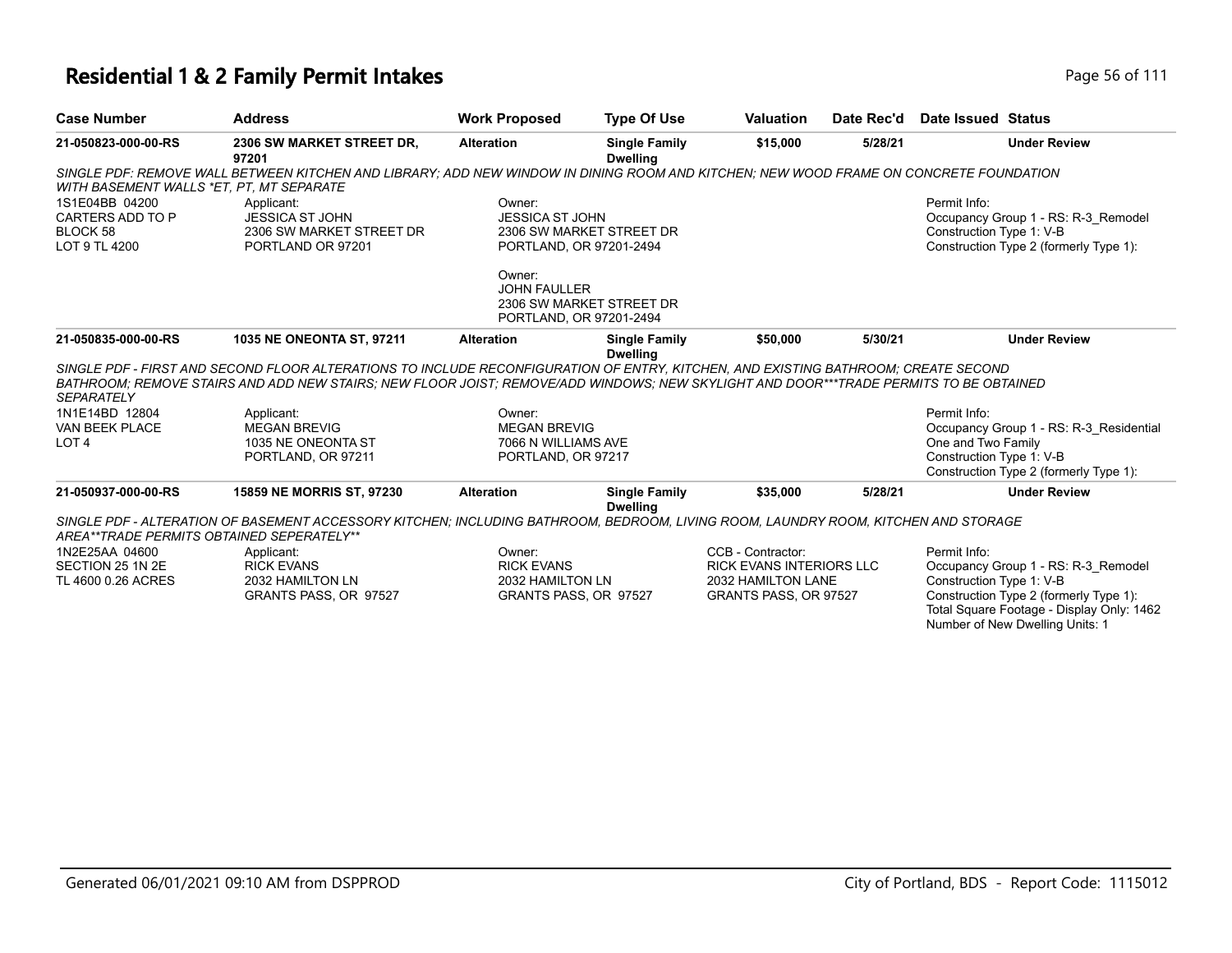| <b>Case Number</b>                                              | <b>Address</b>                                                                                                                                                                                                                                                              | <b>Work Proposed</b>                                        | <b>Type Of Use</b>                      | <b>Valuation</b>                | Date Rec'd | Date Issued Status                       |                                                                                                                        |
|-----------------------------------------------------------------|-----------------------------------------------------------------------------------------------------------------------------------------------------------------------------------------------------------------------------------------------------------------------------|-------------------------------------------------------------|-----------------------------------------|---------------------------------|------------|------------------------------------------|------------------------------------------------------------------------------------------------------------------------|
| 21-050823-000-00-RS                                             | 2306 SW MARKET STREET DR,<br>97201                                                                                                                                                                                                                                          | <b>Alteration</b>                                           | <b>Single Family</b><br><b>Dwelling</b> | \$15,000                        | 5/28/21    |                                          | <b>Under Review</b>                                                                                                    |
| WITH BASEMENT WALLS *ET, PT, MT SEPARATE                        | SINGLE PDF: REMOVE WALL BETWEEN KITCHEN AND LIBRARY: ADD NEW WINDOW IN DINING ROOM AND KITCHEN: NEW WOOD FRAME ON CONCRETE FOUNDATION                                                                                                                                       |                                                             |                                         |                                 |            |                                          |                                                                                                                        |
| 1S1E04BB 04200<br>CARTERS ADD TO P<br>BLOCK 58<br>LOT 9 TL 4200 | Applicant:<br><b>JESSICA ST JOHN</b><br>2306 SW MARKET STREET DR<br>PORTLAND OR 97201                                                                                                                                                                                       | Owner:<br><b>JESSICA ST JOHN</b><br>PORTLAND, OR 97201-2494 | 2306 SW MARKET STREET DR                |                                 |            | Permit Info:<br>Construction Type 1: V-B | Occupancy Group 1 - RS: R-3 Remodel<br>Construction Type 2 (formerly Type 1):                                          |
|                                                                 |                                                                                                                                                                                                                                                                             | Owner:<br><b>JOHN FAULLER</b><br>PORTLAND, OR 97201-2494    | 2306 SW MARKET STREET DR                |                                 |            |                                          |                                                                                                                        |
| 21-050835-000-00-RS                                             | 1035 NE ONEONTA ST, 97211                                                                                                                                                                                                                                                   | <b>Alteration</b>                                           | <b>Single Family</b><br><b>Dwelling</b> | \$50,000                        | 5/30/21    |                                          | <b>Under Review</b>                                                                                                    |
| <b>SEPARATELY</b>                                               | SINGLE PDF - FIRST AND SECOND FLOOR ALTERATIONS TO INCLUDE RECONFIGURATION OF ENTRY. KITCHEN, AND EXISTING BATHROOM: CREATE SECOND<br>BATHROOM: REMOVE STAIRS AND ADD NEW STAIRS: NEW FLOOR JOIST: REMOVE/ADD WINDOWS: NEW SKYLIGHT AND DOOR***TRADE PERMITS TO BE OBTAINED |                                                             |                                         |                                 |            |                                          |                                                                                                                        |
| 1N1E14BD 12804                                                  | Applicant:                                                                                                                                                                                                                                                                  | Owner:                                                      |                                         |                                 |            | Permit Info:                             |                                                                                                                        |
| VAN BEEK PLACE                                                  | <b>MEGAN BREVIG</b>                                                                                                                                                                                                                                                         | <b>MEGAN BREVIG</b>                                         |                                         |                                 |            |                                          | Occupancy Group 1 - RS: R-3 Residential                                                                                |
| LOT <sub>4</sub>                                                | 1035 NE ONEONTA ST                                                                                                                                                                                                                                                          | 7066 N WILLIAMS AVE                                         |                                         |                                 |            | One and Two Family                       |                                                                                                                        |
|                                                                 | PORTLAND, OR 97211                                                                                                                                                                                                                                                          | PORTLAND, OR 97217                                          |                                         |                                 |            | Construction Type 1: V-B                 | Construction Type 2 (formerly Type 1):                                                                                 |
| 21-050937-000-00-RS                                             | 15859 NE MORRIS ST, 97230                                                                                                                                                                                                                                                   | <b>Alteration</b>                                           | <b>Single Family</b><br><b>Dwelling</b> | \$35,000                        | 5/28/21    |                                          | <b>Under Review</b>                                                                                                    |
| AREA**TRADE PERMITS OBTAINED SEPERATELY**                       | SINGLE PDF - ALTERATION OF BASEMENT ACCESSORY KITCHEN: INCLUDING BATHROOM, BEDROOM, LIVING ROOM, LAUNDRY ROOM, KITCHEN AND STORAGE                                                                                                                                          |                                                             |                                         |                                 |            |                                          |                                                                                                                        |
| 1N2E25AA 04600                                                  | Applicant:                                                                                                                                                                                                                                                                  | Owner:                                                      |                                         | CCB - Contractor:               |            | Permit Info:                             |                                                                                                                        |
| SECTION 25 1N 2E                                                | <b>RICK EVANS</b>                                                                                                                                                                                                                                                           | <b>RICK EVANS</b>                                           |                                         | <b>RICK EVANS INTERIORS LLC</b> |            |                                          | Occupancy Group 1 - RS: R-3_Remodel                                                                                    |
| TL 4600 0.26 ACRES                                              | 2032 HAMILTON LN                                                                                                                                                                                                                                                            | 2032 HAMILTON LN                                            |                                         | 2032 HAMILTON LANE              |            | Construction Type 1: V-B                 |                                                                                                                        |
|                                                                 | GRANTS PASS, OR 97527                                                                                                                                                                                                                                                       | GRANTS PASS, OR 97527                                       |                                         | GRANTS PASS, OR 97527           |            |                                          | Construction Type 2 (formerly Type 1):<br>Total Square Footage - Display Only: 1462<br>Number of New Dwelling Units: 1 |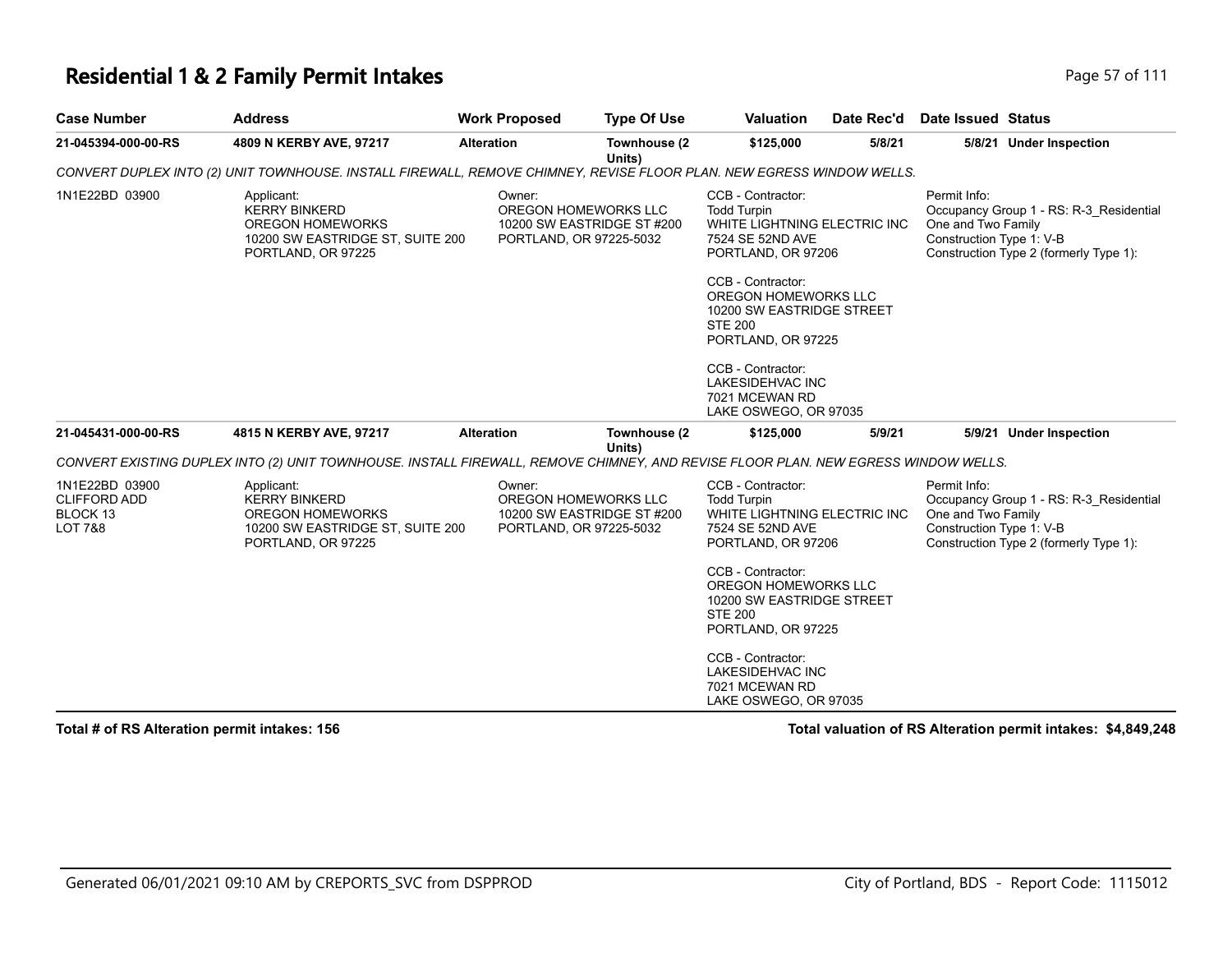### **Residential 1 & 2 Family Permit Intakes Page 111 Page 57 of 111**

| <b>Case Number</b>                                                      | <b>Address</b>                                                                                                                     | <b>Work Proposed</b> | <b>Type Of Use</b>                                                            | Valuation                                                                                                                                                                                                                                                | Date Rec'd | Date Issued Status                                                                                                                                  |
|-------------------------------------------------------------------------|------------------------------------------------------------------------------------------------------------------------------------|----------------------|-------------------------------------------------------------------------------|----------------------------------------------------------------------------------------------------------------------------------------------------------------------------------------------------------------------------------------------------------|------------|-----------------------------------------------------------------------------------------------------------------------------------------------------|
| 21-045394-000-00-RS                                                     | 4809 N KERBY AVE, 97217                                                                                                            | <b>Alteration</b>    | Townhouse (2<br>Units)                                                        | \$125,000                                                                                                                                                                                                                                                | 5/8/21     | 5/8/21 Under Inspection                                                                                                                             |
|                                                                         | CONVERT DUPLEX INTO (2) UNIT TOWNHOUSE. INSTALL FIREWALL, REMOVE CHIMNEY, REVISE FLOOR PLAN. NEW EGRESS WINDOW WELLS.              |                      |                                                                               |                                                                                                                                                                                                                                                          |            |                                                                                                                                                     |
| 1N1E22BD 03900                                                          | Applicant:<br><b>KERRY BINKERD</b><br><b>OREGON HOMEWORKS</b><br>10200 SW EASTRIDGE ST, SUITE 200<br>PORTLAND, OR 97225            | Owner:               | OREGON HOMEWORKS LLC<br>10200 SW EASTRIDGE ST #200<br>PORTLAND, OR 97225-5032 | CCB - Contractor:<br><b>Todd Turpin</b><br>WHITE LIGHTNING ELECTRIC INC<br>7524 SE 52ND AVE<br>PORTLAND, OR 97206<br>CCB - Contractor:<br>OREGON HOMEWORKS LLC<br>10200 SW EASTRIDGE STREET<br><b>STE 200</b><br>PORTLAND, OR 97225<br>CCB - Contractor: |            | Permit Info:<br>Occupancy Group 1 - RS: R-3 Residential<br>One and Two Family<br>Construction Type 1: V-B<br>Construction Type 2 (formerly Type 1): |
|                                                                         |                                                                                                                                    |                      |                                                                               | LAKESIDEHVAC INC<br>7021 MCEWAN RD<br>LAKE OSWEGO, OR 97035                                                                                                                                                                                              |            |                                                                                                                                                     |
| 21-045431-000-00-RS                                                     | 4815 N KERBY AVE, 97217                                                                                                            | <b>Alteration</b>    | Townhouse (2<br>Units)                                                        | \$125,000                                                                                                                                                                                                                                                | 5/9/21     | 5/9/21 Under Inspection                                                                                                                             |
|                                                                         | CONVERT EXISTING DUPLEX INTO (2) UNIT TOWNHOUSE. INSTALL FIREWALL, REMOVE CHIMNEY, AND REVISE FLOOR PLAN. NEW EGRESS WINDOW WELLS. |                      |                                                                               |                                                                                                                                                                                                                                                          |            |                                                                                                                                                     |
| 1N1E22BD 03900<br><b>CLIFFORD ADD</b><br>BLOCK 13<br><b>LOT 7&amp;8</b> | Applicant:<br><b>KERRY BINKERD</b><br><b>OREGON HOMEWORKS</b><br>10200 SW EASTRIDGE ST, SUITE 200<br>PORTLAND, OR 97225            | Owner:               | OREGON HOMEWORKS LLC<br>10200 SW EASTRIDGE ST #200<br>PORTLAND, OR 97225-5032 | CCB - Contractor:<br><b>Todd Turpin</b><br>WHITE LIGHTNING ELECTRIC INC<br>7524 SE 52ND AVE<br>PORTLAND, OR 97206<br>CCB - Contractor:                                                                                                                   |            | Permit Info:<br>Occupancy Group 1 - RS: R-3 Residential<br>One and Two Family<br>Construction Type 1: V-B<br>Construction Type 2 (formerly Type 1): |
|                                                                         |                                                                                                                                    |                      |                                                                               | OREGON HOMEWORKS LLC<br>10200 SW EASTRIDGE STREET<br><b>STE 200</b><br>PORTLAND, OR 97225                                                                                                                                                                |            |                                                                                                                                                     |
|                                                                         |                                                                                                                                    |                      |                                                                               | CCB - Contractor:<br>LAKESIDEHVAC INC<br>7021 MCEWAN RD<br>LAKE OSWEGO, OR 97035                                                                                                                                                                         |            |                                                                                                                                                     |

**Total # of RS Alteration permit intakes: 156 Total valuation of RS Alteration permit intakes: \$4,849,248**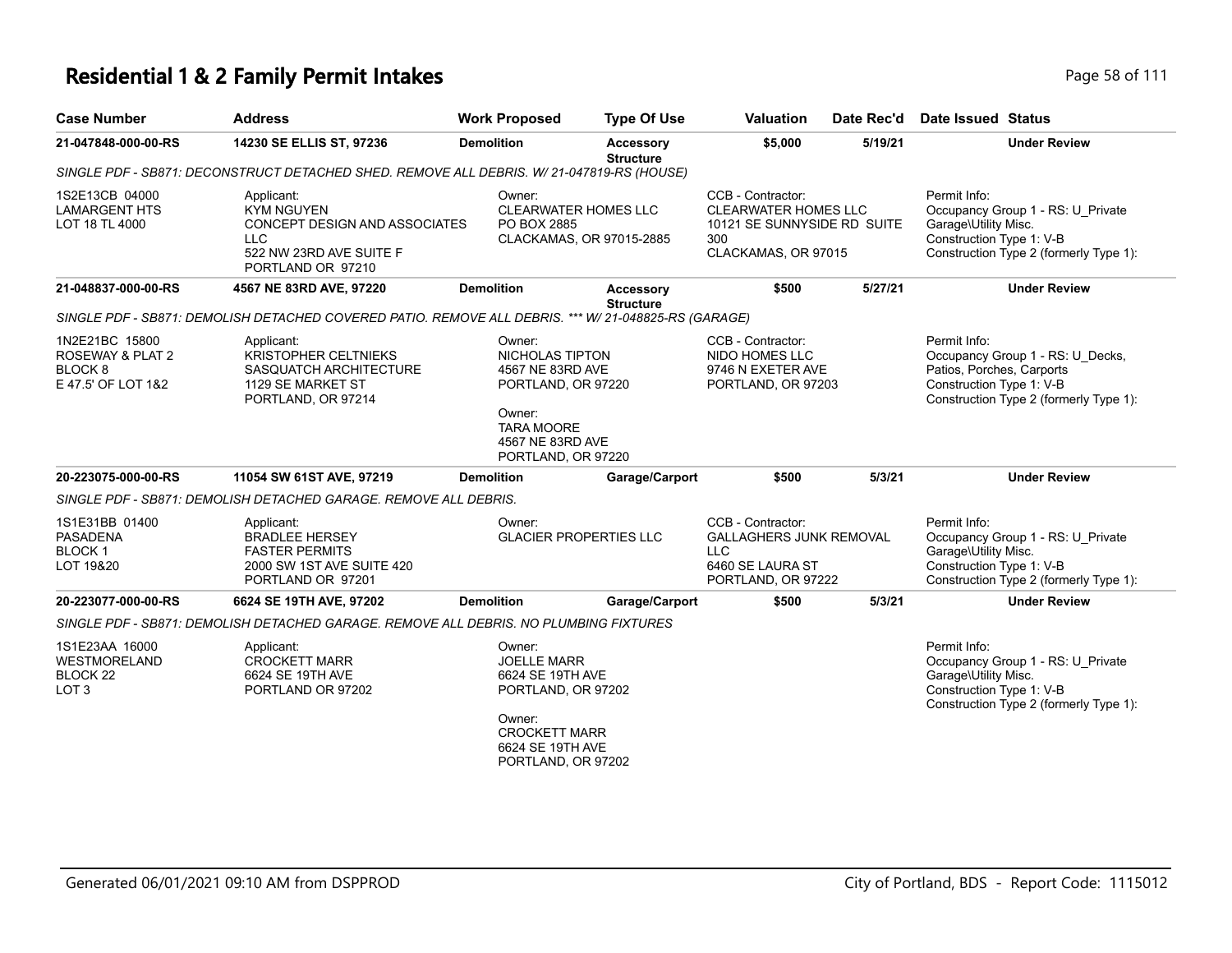# **Residential 1 & 2 Family Permit Intakes Page 58 of 1111 and 1212 of 1111 and 1121 and 1121 and 1121 and 1121 and 1121 and 1121 and 1121 and 1121 and 1121 and 1121 and 1121 and 1121 and 1121 and 1121 and 1121 and 1121 an**

| Page 58 of 111 |  |  |  |
|----------------|--|--|--|

| <b>Case Number</b>                                                               | <b>Address</b>                                                                                                                 | <b>Work Proposed</b>                                                                                                                               | <b>Type Of Use</b>                   | <b>Valuation</b>                                                                                              | Date Rec'd | Date Issued Status                                                                                                                                  |
|----------------------------------------------------------------------------------|--------------------------------------------------------------------------------------------------------------------------------|----------------------------------------------------------------------------------------------------------------------------------------------------|--------------------------------------|---------------------------------------------------------------------------------------------------------------|------------|-----------------------------------------------------------------------------------------------------------------------------------------------------|
| 21-047848-000-00-RS                                                              | 14230 SE ELLIS ST, 97236                                                                                                       | <b>Demolition</b>                                                                                                                                  | <b>Accessory</b><br><b>Structure</b> | \$5,000                                                                                                       | 5/19/21    | <b>Under Review</b>                                                                                                                                 |
|                                                                                  | SINGLE PDF - SB871: DECONSTRUCT DETACHED SHED. REMOVE ALL DEBRIS. W/ 21-047819-RS (HOUSE)                                      |                                                                                                                                                    |                                      |                                                                                                               |            |                                                                                                                                                     |
| 1S2E13CB 04000<br><b>LAMARGENT HTS</b><br>LOT 18 TL 4000                         | Applicant:<br><b>KYM NGUYEN</b><br>CONCEPT DESIGN AND ASSOCIATES<br><b>LLC</b><br>522 NW 23RD AVE SUITE F<br>PORTLAND OR 97210 | Owner:<br><b>CLEARWATER HOMES LLC</b><br>PO BOX 2885                                                                                               | CLACKAMAS, OR 97015-2885             | CCB - Contractor:<br><b>CLEARWATER HOMES LLC</b><br>10121 SE SUNNYSIDE RD SUITE<br>300<br>CLACKAMAS, OR 97015 |            | Permit Info:<br>Occupancy Group 1 - RS: U_Private<br>Garage\Utility Misc.<br>Construction Type 1: V-B<br>Construction Type 2 (formerly Type 1):     |
| 21-048837-000-00-RS                                                              | 4567 NE 83RD AVE, 97220                                                                                                        | <b>Demolition</b>                                                                                                                                  | Accessory<br><b>Structure</b>        | \$500                                                                                                         | 5/27/21    | <b>Under Review</b>                                                                                                                                 |
|                                                                                  | SINGLE PDF - SB871: DEMOLISH DETACHED COVERED PATIO. REMOVE ALL DEBRIS. *** W/ 21-048825-RS (GARAGE)                           |                                                                                                                                                    |                                      |                                                                                                               |            |                                                                                                                                                     |
| 1N2E21BC 15800<br>ROSEWAY & PLAT 2<br>BLOCK <sub>8</sub><br>E 47.5' OF LOT 1&2   | Applicant:<br><b>KRISTOPHER CELTNIEKS</b><br>SASQUATCH ARCHITECTURE<br>1129 SE MARKET ST<br>PORTLAND, OR 97214                 | Owner:<br>NICHOLAS TIPTON<br>4567 NE 83RD AVE<br>PORTLAND, OR 97220<br>Owner:                                                                      |                                      | CCB - Contractor:<br>NIDO HOMES LLC<br>9746 N EXETER AVE<br>PORTLAND, OR 97203                                |            | Permit Info:<br>Occupancy Group 1 - RS: U_Decks,<br>Patios, Porches, Carports<br>Construction Type 1: V-B<br>Construction Type 2 (formerly Type 1): |
|                                                                                  |                                                                                                                                | <b>TARA MOORE</b><br>4567 NE 83RD AVE<br>PORTLAND, OR 97220                                                                                        |                                      |                                                                                                               |            |                                                                                                                                                     |
| 20-223075-000-00-RS                                                              | 11054 SW 61ST AVE, 97219                                                                                                       | <b>Demolition</b>                                                                                                                                  | Garage/Carport                       | \$500                                                                                                         | 5/3/21     | <b>Under Review</b>                                                                                                                                 |
|                                                                                  | SINGLE PDF - SB871: DEMOLISH DETACHED GARAGE. REMOVE ALL DEBRIS.                                                               |                                                                                                                                                    |                                      |                                                                                                               |            |                                                                                                                                                     |
| 1S1E31BB 01400<br><b>PASADENA</b><br>BLOCK <sub>1</sub><br>LOT 19&20             | Applicant:<br><b>BRADLEE HERSEY</b><br><b>FASTER PERMITS</b><br>2000 SW 1ST AVE SUITE 420<br>PORTLAND OR 97201                 | Owner:<br><b>GLACIER PROPERTIES LLC</b>                                                                                                            |                                      | CCB - Contractor:<br>GALLAGHERS JUNK REMOVAL<br><b>LLC</b><br>6460 SE LAURA ST<br>PORTLAND, OR 97222          |            | Permit Info:<br>Occupancy Group 1 - RS: U_Private<br>Garage\Utility Misc.<br>Construction Type 1: V-B<br>Construction Type 2 (formerly Type 1):     |
| 20-223077-000-00-RS                                                              | 6624 SE 19TH AVE, 97202                                                                                                        | <b>Demolition</b>                                                                                                                                  | Garage/Carport                       | \$500                                                                                                         | 5/3/21     | <b>Under Review</b>                                                                                                                                 |
|                                                                                  | SINGLE PDF - SB871: DEMOLISH DETACHED GARAGE. REMOVE ALL DEBRIS. NO PLUMBING FIXTURES                                          |                                                                                                                                                    |                                      |                                                                                                               |            |                                                                                                                                                     |
| 1S1E23AA 16000<br><b>WESTMORELAND</b><br>BLOCK <sub>22</sub><br>LOT <sub>3</sub> | Applicant:<br><b>CROCKETT MARR</b><br>6624 SE 19TH AVE<br>PORTLAND OR 97202                                                    | Owner:<br><b>JOELLE MARR</b><br>6624 SE 19TH AVE<br>PORTLAND, OR 97202<br>Owner:<br><b>CROCKETT MARR</b><br>6624 SE 19TH AVE<br>PORTLAND, OR 97202 |                                      |                                                                                                               |            | Permit Info:<br>Occupancy Group 1 - RS: U_Private<br>Garage\Utility Misc.<br>Construction Type 1: V-B<br>Construction Type 2 (formerly Type 1):     |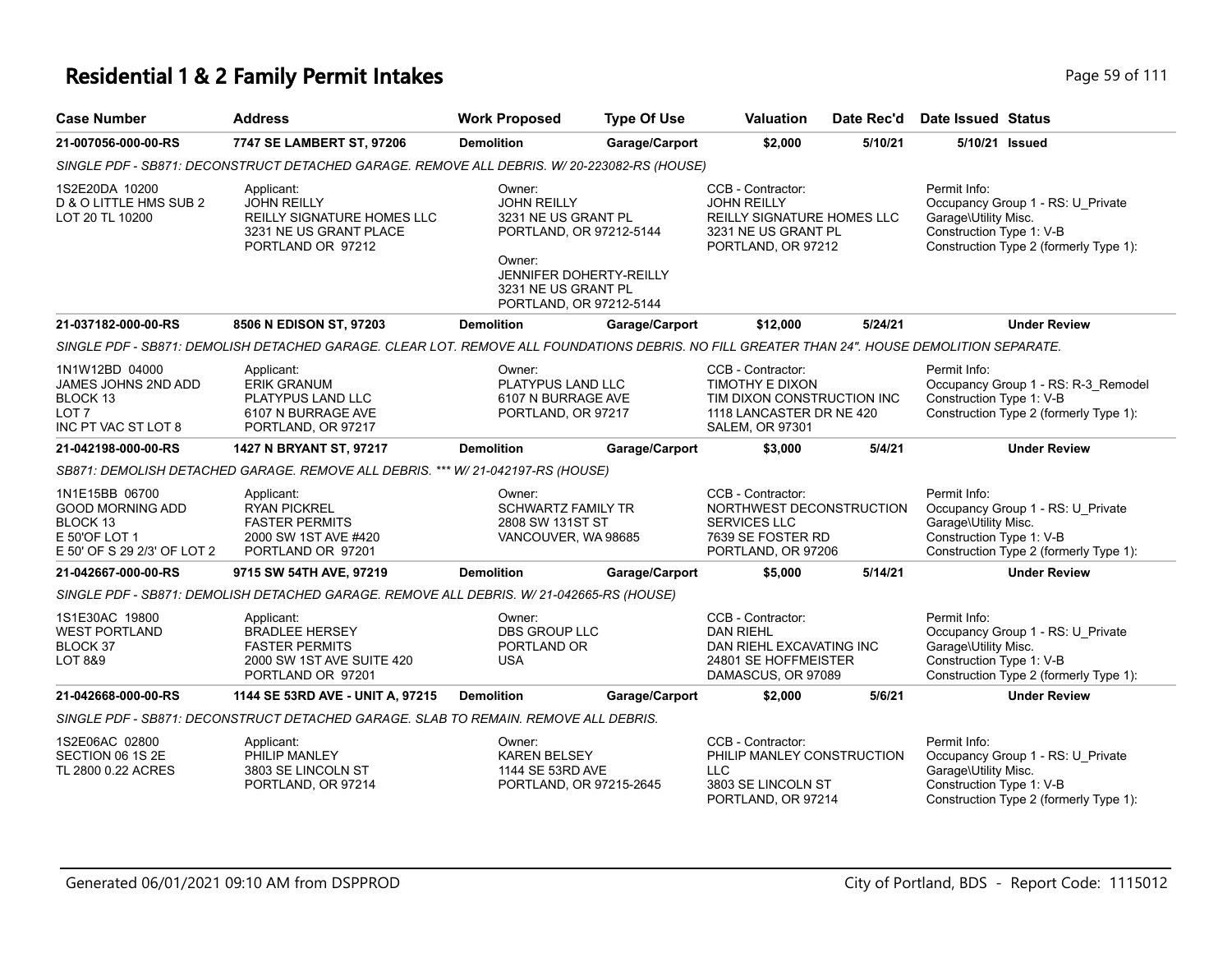| <b>Case Number</b>                                                                                    | <b>Address</b>                                                                                                                               | <b>Work Proposed</b>                                                                                                                                                         | <b>Type Of Use</b> | <b>Valuation</b>                                                                                                   | Date Rec'd | Date Issued Status                                               |                                                                               |
|-------------------------------------------------------------------------------------------------------|----------------------------------------------------------------------------------------------------------------------------------------------|------------------------------------------------------------------------------------------------------------------------------------------------------------------------------|--------------------|--------------------------------------------------------------------------------------------------------------------|------------|------------------------------------------------------------------|-------------------------------------------------------------------------------|
| 21-007056-000-00-RS                                                                                   | 7747 SE LAMBERT ST, 97206                                                                                                                    | <b>Demolition</b>                                                                                                                                                            | Garage/Carport     | \$2,000                                                                                                            | 5/10/21    | 5/10/21 Issued                                                   |                                                                               |
|                                                                                                       | SINGLE PDF - SB871: DECONSTRUCT DETACHED GARAGE. REMOVE ALL DEBRIS. W/ 20-223082-RS (HOUSE)                                                  |                                                                                                                                                                              |                    |                                                                                                                    |            |                                                                  |                                                                               |
| 1S2E20DA 10200<br>D & O LITTLE HMS SUB 2<br>LOT 20 TL 10200                                           | Applicant:<br><b>JOHN REILLY</b><br>REILLY SIGNATURE HOMES LLC<br>3231 NE US GRANT PLACE<br>PORTLAND OR 97212                                | Owner:<br><b>JOHN REILLY</b><br>3231 NE US GRANT PL<br>PORTLAND, OR 97212-5144<br>Owner:<br><b>JENNIFER DOHERTY-REILLY</b><br>3231 NE US GRANT PL<br>PORTLAND, OR 97212-5144 |                    | CCB - Contractor:<br><b>JOHN REILLY</b><br>REILLY SIGNATURE HOMES LLC<br>3231 NE US GRANT PL<br>PORTLAND, OR 97212 |            | Permit Info:<br>Garage\Utility Misc.<br>Construction Type 1: V-B | Occupancy Group 1 - RS: U Private<br>Construction Type 2 (formerly Type 1):   |
| 21-037182-000-00-RS                                                                                   | 8506 N EDISON ST, 97203                                                                                                                      | <b>Demolition</b>                                                                                                                                                            | Garage/Carport     | \$12,000                                                                                                           | 5/24/21    |                                                                  | <b>Under Review</b>                                                           |
|                                                                                                       | SINGLE PDF - SB871: DEMOLISH DETACHED GARAGE. CLEAR LOT. REMOVE ALL FOUNDATIONS DEBRIS. NO FILL GREATER THAN 24". HOUSE DEMOLITION SEPARATE. |                                                                                                                                                                              |                    |                                                                                                                    |            |                                                                  |                                                                               |
| 1N1W12BD 04000<br>JAMES JOHNS 2ND ADD<br>BLOCK 13<br>LOT 7<br>INC PT VAC ST LOT 8                     | Applicant:<br><b>ERIK GRANUM</b><br>PLATYPUS LAND LLC<br>6107 N BURRAGE AVE<br>PORTLAND, OR 97217                                            | Owner:<br>PLATYPUS LAND LLC<br>6107 N BURRAGE AVE<br>PORTLAND, OR 97217                                                                                                      |                    | CCB - Contractor:<br>TIMOTHY E DIXON<br>TIM DIXON CONSTRUCTION INC<br>1118 LANCASTER DR NE 420<br>SALEM, OR 97301  |            | Permit Info:<br>Construction Type 1: V-B                         | Occupancy Group 1 - RS: R-3_Remodel<br>Construction Type 2 (formerly Type 1): |
| 21-042198-000-00-RS                                                                                   | 1427 N BRYANT ST, 97217                                                                                                                      | <b>Demolition</b>                                                                                                                                                            | Garage/Carport     | \$3,000                                                                                                            | 5/4/21     |                                                                  | <b>Under Review</b>                                                           |
|                                                                                                       | SB871: DEMOLISH DETACHED GARAGE. REMOVE ALL DEBRIS. *** W/ 21-042197-RS (HOUSE)                                                              |                                                                                                                                                                              |                    |                                                                                                                    |            |                                                                  |                                                                               |
| 1N1E15BB 06700<br><b>GOOD MORNING ADD</b><br>BLOCK 13<br>E 50'OF LOT 1<br>E 50' OF S 29 2/3' OF LOT 2 | Applicant:<br><b>RYAN PICKREL</b><br><b>FASTER PERMITS</b><br>2000 SW 1ST AVE #420<br>PORTLAND OR 97201                                      | Owner:<br><b>SCHWARTZ FAMILY TR</b><br>2808 SW 131ST ST<br>VANCOUVER, WA 98685                                                                                               |                    | CCB - Contractor:<br>NORTHWEST DECONSTRUCTION<br><b>SERVICES LLC</b><br>7639 SE FOSTER RD<br>PORTLAND, OR 97206    |            | Permit Info:<br>Garage\Utility Misc.<br>Construction Type 1: V-B | Occupancy Group 1 - RS: U Private<br>Construction Type 2 (formerly Type 1):   |
| 21-042667-000-00-RS                                                                                   | 9715 SW 54TH AVE, 97219                                                                                                                      | <b>Demolition</b>                                                                                                                                                            | Garage/Carport     | \$5,000                                                                                                            | 5/14/21    |                                                                  | <b>Under Review</b>                                                           |
|                                                                                                       | SINGLE PDF - SB871: DEMOLISH DETACHED GARAGE. REMOVE ALL DEBRIS. W/21-042665-RS (HOUSE)                                                      |                                                                                                                                                                              |                    |                                                                                                                    |            |                                                                  |                                                                               |
| 1S1E30AC 19800<br><b>WEST PORTLAND</b><br>BLOCK 37<br>LOT 8&9                                         | Applicant:<br><b>BRADLEE HERSEY</b><br><b>FASTER PERMITS</b><br>2000 SW 1ST AVE SUITE 420<br>PORTLAND OR 97201                               | Owner:<br><b>DBS GROUP LLC</b><br>PORTLAND OR<br>USA                                                                                                                         |                    | CCB - Contractor:<br><b>DAN RIEHL</b><br>DAN RIEHL EXCAVATING INC<br>24801 SE HOFFMEISTER<br>DAMASCUS, OR 97089    |            | Permit Info:<br>Garage\Utility Misc.<br>Construction Type 1: V-B | Occupancy Group 1 - RS: U_Private<br>Construction Type 2 (formerly Type 1):   |
| 21-042668-000-00-RS                                                                                   | 1144 SE 53RD AVE - UNIT A, 97215                                                                                                             | <b>Demolition</b>                                                                                                                                                            | Garage/Carport     | \$2,000                                                                                                            | 5/6/21     |                                                                  | <b>Under Review</b>                                                           |
|                                                                                                       | SINGLE PDF - SB871: DECONSTRUCT DETACHED GARAGE. SLAB TO REMAIN. REMOVE ALL DEBRIS.                                                          |                                                                                                                                                                              |                    |                                                                                                                    |            |                                                                  |                                                                               |
| 1S2E06AC 02800<br>SECTION 06 1S 2E<br>TL 2800 0.22 ACRES                                              | Applicant:<br>PHILIP MANLEY<br>3803 SE LINCOLN ST<br>PORTLAND, OR 97214                                                                      | Owner:<br><b>KAREN BELSEY</b><br>1144 SE 53RD AVE<br>PORTLAND, OR 97215-2645                                                                                                 |                    | CCB - Contractor:<br>PHILIP MANLEY CONSTRUCTION<br><b>LLC</b><br>3803 SE LINCOLN ST<br>PORTLAND, OR 97214          |            | Permit Info:<br>Garage\Utility Misc.<br>Construction Type 1: V-B | Occupancy Group 1 - RS: U_Private<br>Construction Type 2 (formerly Type 1):   |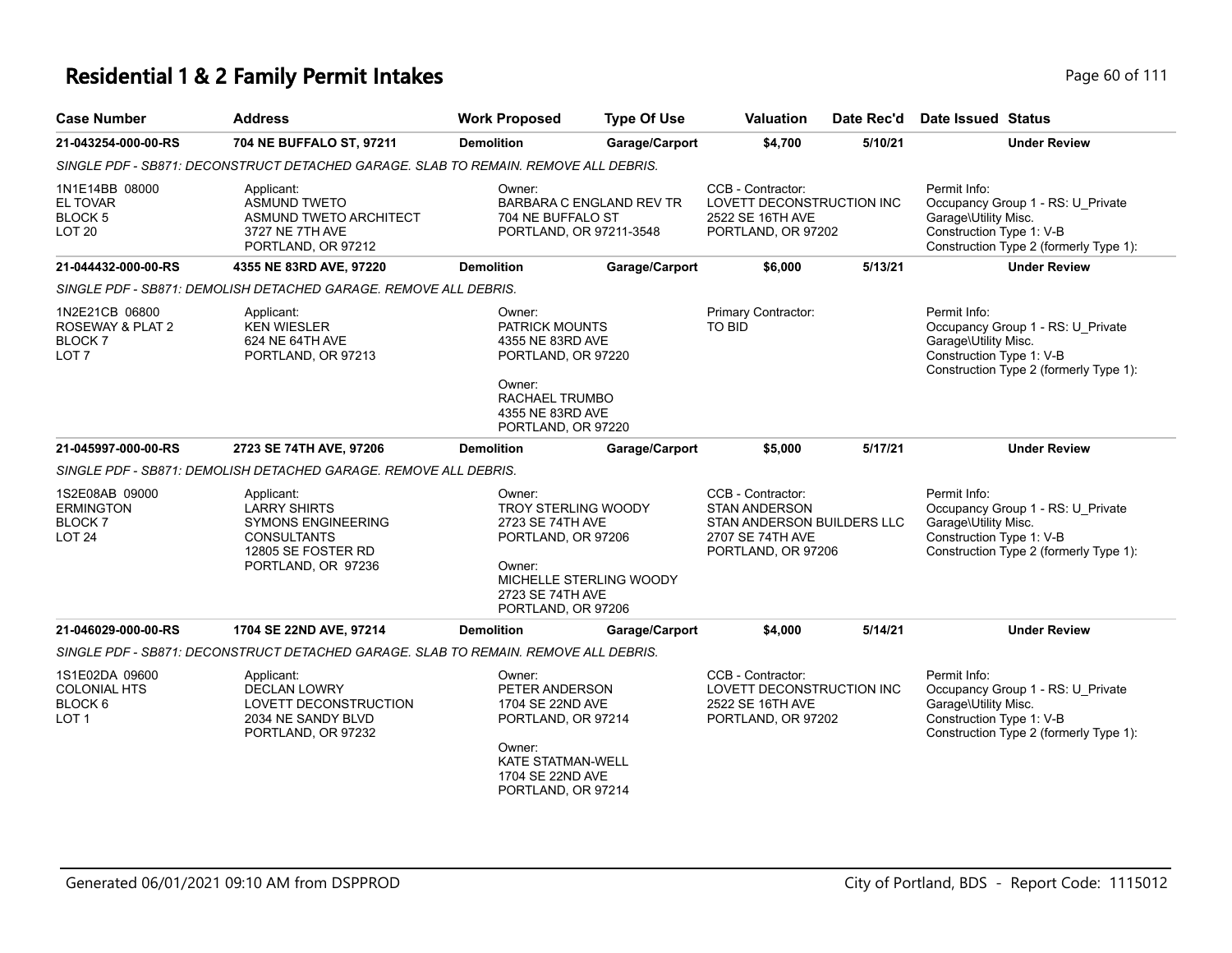| <b>Case Number</b>                                                                                                                                   | <b>Address</b>                                                                                                                   | <b>Work Proposed</b>                                                                                                                                          | <b>Type Of Use</b>              | Valuation<br>Date Rec'd                                                                                           |         | Date Issued Status                                                                                                                              |
|------------------------------------------------------------------------------------------------------------------------------------------------------|----------------------------------------------------------------------------------------------------------------------------------|---------------------------------------------------------------------------------------------------------------------------------------------------------------|---------------------------------|-------------------------------------------------------------------------------------------------------------------|---------|-------------------------------------------------------------------------------------------------------------------------------------------------|
| 21-043254-000-00-RS                                                                                                                                  | 704 NE BUFFALO ST, 97211                                                                                                         | <b>Demolition</b>                                                                                                                                             | Garage/Carport                  | \$4,700                                                                                                           | 5/10/21 | <b>Under Review</b>                                                                                                                             |
|                                                                                                                                                      | SINGLE PDF - SB871: DECONSTRUCT DETACHED GARAGE. SLAB TO REMAIN. REMOVE ALL DEBRIS.                                              |                                                                                                                                                               |                                 |                                                                                                                   |         |                                                                                                                                                 |
| 1N1E14BB 08000<br>EL TOVAR<br><b>BLOCK 5</b><br>LOT <sub>20</sub>                                                                                    | Applicant:<br><b>ASMUND TWETO</b><br>ASMUND TWETO ARCHITECT<br>3727 NE 7TH AVE<br>PORTLAND, OR 97212                             | Owner:<br>704 NE BUFFALO ST<br>PORTLAND, OR 97211-3548                                                                                                        | <b>BARBARA C ENGLAND REV TR</b> | CCB - Contractor:<br>LOVETT DECONSTRUCTION INC<br>2522 SE 16TH AVE<br>PORTLAND, OR 97202                          |         | Permit Info:<br>Occupancy Group 1 - RS: U Private<br>Garage\Utility Misc.<br>Construction Type 1: V-B<br>Construction Type 2 (formerly Type 1): |
| 21-044432-000-00-RS                                                                                                                                  | 4355 NE 83RD AVE, 97220                                                                                                          | <b>Demolition</b>                                                                                                                                             | Garage/Carport                  | \$6,000                                                                                                           | 5/13/21 | <b>Under Review</b>                                                                                                                             |
|                                                                                                                                                      | SINGLE PDF - SB871: DEMOLISH DETACHED GARAGE. REMOVE ALL DEBRIS.                                                                 |                                                                                                                                                               |                                 |                                                                                                                   |         |                                                                                                                                                 |
| 1N2E21CB 06800<br>Applicant:<br>ROSEWAY & PLAT 2<br><b>KEN WIESLER</b><br><b>BLOCK7</b><br>624 NE 64TH AVE<br>LOT <sub>7</sub><br>PORTLAND, OR 97213 |                                                                                                                                  | Owner:<br><b>PATRICK MOUNTS</b><br>4355 NE 83RD AVE<br>PORTLAND, OR 97220                                                                                     |                                 | Primary Contractor:<br><b>TO BID</b>                                                                              |         | Permit Info:<br>Occupancy Group 1 - RS: U_Private<br>Garage\Utility Misc.<br>Construction Type 1: V-B<br>Construction Type 2 (formerly Type 1): |
|                                                                                                                                                      |                                                                                                                                  | Owner:<br><b>RACHAEL TRUMBO</b><br>4355 NE 83RD AVE<br>PORTLAND, OR 97220                                                                                     |                                 |                                                                                                                   |         |                                                                                                                                                 |
| 21-045997-000-00-RS                                                                                                                                  | 2723 SE 74TH AVE, 97206                                                                                                          | <b>Demolition</b>                                                                                                                                             | Garage/Carport                  | \$5,000                                                                                                           | 5/17/21 | <b>Under Review</b>                                                                                                                             |
|                                                                                                                                                      | SINGLE PDF - SB871: DEMOLISH DETACHED GARAGE. REMOVE ALL DEBRIS.                                                                 |                                                                                                                                                               |                                 |                                                                                                                   |         |                                                                                                                                                 |
| 1S2E08AB 09000<br><b>ERMINGTON</b><br><b>BLOCK7</b><br>LOT <sub>24</sub>                                                                             | Applicant:<br><b>LARRY SHIRTS</b><br><b>SYMONS ENGINEERING</b><br><b>CONSULTANTS</b><br>12805 SE FOSTER RD<br>PORTLAND, OR 97236 | Owner:<br><b>TROY STERLING WOODY</b><br>2723 SE 74TH AVE<br>PORTLAND, OR 97206<br>Owner:<br>MICHELLE STERLING WOODY<br>2723 SE 74TH AVE<br>PORTLAND, OR 97206 |                                 | CCB - Contractor:<br><b>STAN ANDERSON</b><br>STAN ANDERSON BUILDERS LLC<br>2707 SE 74TH AVE<br>PORTLAND, OR 97206 |         | Permit Info:<br>Occupancy Group 1 - RS: U_Private<br>Garage\Utility Misc.<br>Construction Type 1: V-B<br>Construction Type 2 (formerly Type 1): |
| 21-046029-000-00-RS                                                                                                                                  | 1704 SE 22ND AVE, 97214                                                                                                          | <b>Demolition</b>                                                                                                                                             | Garage/Carport                  | \$4,000                                                                                                           | 5/14/21 | <b>Under Review</b>                                                                                                                             |
|                                                                                                                                                      | SINGLE PDF - SB871: DECONSTRUCT DETACHED GARAGE. SLAB TO REMAIN. REMOVE ALL DEBRIS.                                              |                                                                                                                                                               |                                 |                                                                                                                   |         |                                                                                                                                                 |
| 1S1E02DA 09600<br><b>COLONIAL HTS</b><br>BLOCK 6<br>LOT <sub>1</sub>                                                                                 | Applicant:<br><b>DECLAN LOWRY</b><br>LOVETT DECONSTRUCTION<br>2034 NE SANDY BLVD<br>PORTLAND, OR 97232                           | Owner:<br>PETER ANDERSON<br>1704 SE 22ND AVE<br>PORTLAND, OR 97214<br>Owner:<br>KATE STATMAN-WELL<br>1704 SE 22ND AVE<br>PORTLAND, OR 97214                   |                                 | CCB - Contractor:<br>LOVETT DECONSTRUCTION INC<br>2522 SE 16TH AVE<br>PORTLAND, OR 97202                          |         | Permit Info:<br>Occupancy Group 1 - RS: U_Private<br>Garage\Utility Misc.<br>Construction Type 1: V-B<br>Construction Type 2 (formerly Type 1): |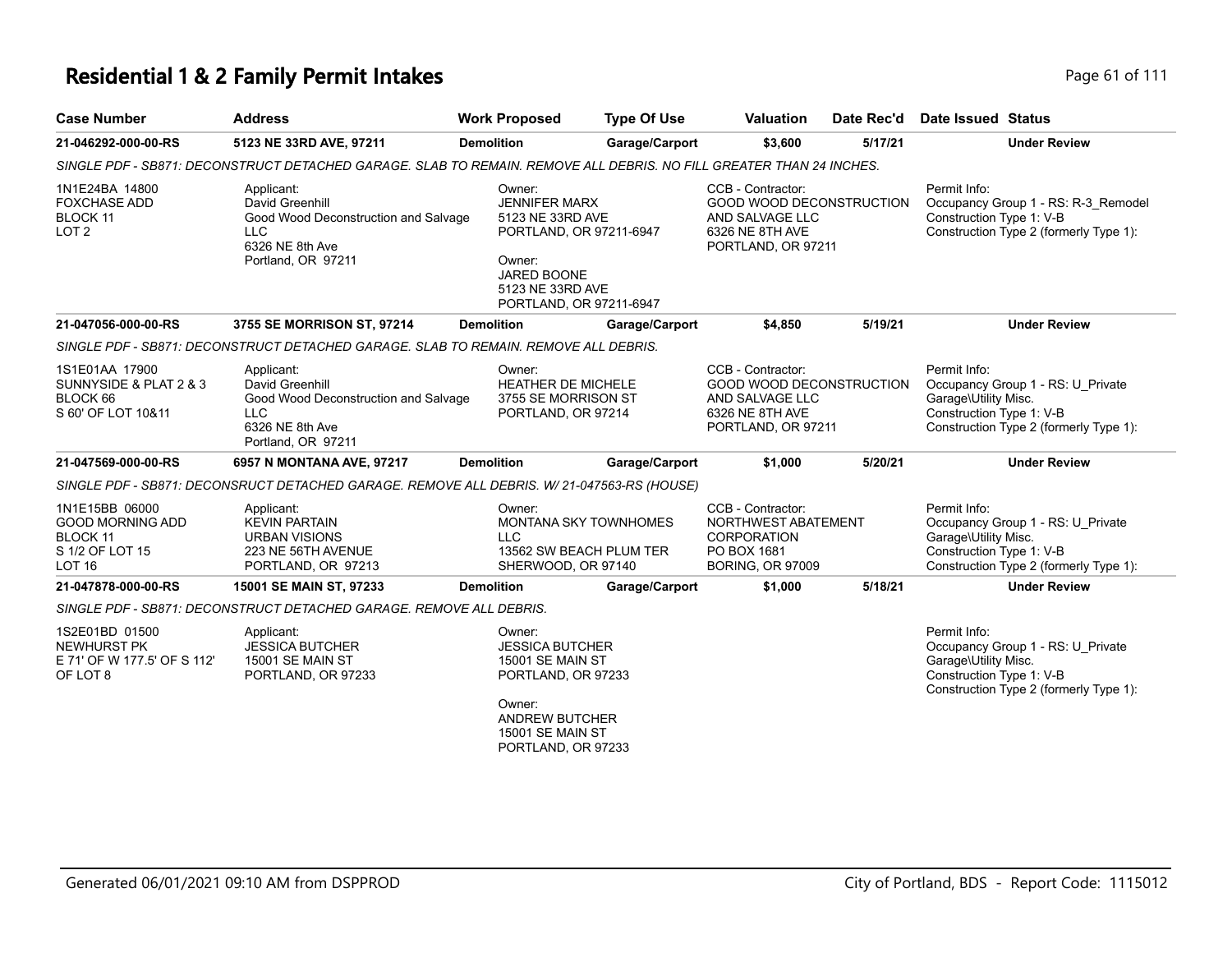# **Residential 1 & 2 Family Permit Intakes Page 61 of 111**

| <b>Case Number</b>                                                                        | <b>Address</b>                                                                                                               | <b>Work Proposed</b>                                                                                                                                                  | <b>Type Of Use</b>                                 | <b>Valuation</b>                                                                                          | Date Rec'd | <b>Date Issued Status</b>                                                                                                                       |
|-------------------------------------------------------------------------------------------|------------------------------------------------------------------------------------------------------------------------------|-----------------------------------------------------------------------------------------------------------------------------------------------------------------------|----------------------------------------------------|-----------------------------------------------------------------------------------------------------------|------------|-------------------------------------------------------------------------------------------------------------------------------------------------|
| 21-046292-000-00-RS                                                                       | 5123 NE 33RD AVE, 97211                                                                                                      | <b>Demolition</b>                                                                                                                                                     | Garage/Carport                                     | \$3,600                                                                                                   | 5/17/21    | <b>Under Review</b>                                                                                                                             |
|                                                                                           | SINGLE PDF - SB871: DECONSTRUCT DETACHED GARAGE. SLAB TO REMAIN. REMOVE ALL DEBRIS. NO FILL GREATER THAN 24 INCHES.          |                                                                                                                                                                       |                                                    |                                                                                                           |            |                                                                                                                                                 |
| 1N1E24BA 14800<br><b>FOXCHASE ADD</b><br>BLOCK 11<br>LOT <sub>2</sub>                     | Applicant:<br>David Greenhill<br>Good Wood Deconstruction and Salvage<br>LLC.<br>6326 NE 8th Ave<br>Portland, OR 97211       | Owner:<br><b>JENNIFER MARX</b><br>5123 NE 33RD AVE<br>Owner:<br>JARED BOONE<br>5123 NE 33RD AVE                                                                       | PORTLAND, OR 97211-6947<br>PORTLAND, OR 97211-6947 | CCB - Contractor:<br>GOOD WOOD DECONSTRUCTION<br>AND SALVAGE LLC<br>6326 NE 8TH AVE<br>PORTLAND, OR 97211 |            | Permit Info:<br>Occupancy Group 1 - RS: R-3_Remodel<br>Construction Type 1: V-B<br>Construction Type 2 (formerly Type 1):                       |
| 21-047056-000-00-RS                                                                       | 3755 SE MORRISON ST, 97214                                                                                                   | <b>Demolition</b>                                                                                                                                                     | Garage/Carport                                     | \$4,850                                                                                                   | 5/19/21    | <b>Under Review</b>                                                                                                                             |
|                                                                                           | SINGLE PDF - SB871: DECONSTRUCT DETACHED GARAGE. SLAB TO REMAIN. REMOVE ALL DEBRIS.                                          |                                                                                                                                                                       |                                                    |                                                                                                           |            |                                                                                                                                                 |
| 1S1E01AA 17900<br>SUNNYSIDE & PLAT 2 & 3<br>BLOCK 66<br>S 60' OF LOT 10&11                | Applicant:<br>David Greenhill<br>Good Wood Deconstruction and Salvage<br><b>LLC</b><br>6326 NE 8th Ave<br>Portland, OR 97211 | Owner:<br><b>HEATHER DE MICHELE</b><br>3755 SE MORRISON ST<br>PORTLAND, OR 97214                                                                                      |                                                    | CCB - Contractor:<br>GOOD WOOD DECONSTRUCTION<br>AND SALVAGE LLC<br>6326 NE 8TH AVE<br>PORTLAND, OR 97211 |            | Permit Info:<br>Occupancy Group 1 - RS: U_Private<br>Garage\Utility Misc.<br>Construction Type 1: V-B<br>Construction Type 2 (formerly Type 1): |
| 21-047569-000-00-RS                                                                       | 6957 N MONTANA AVE, 97217                                                                                                    | <b>Demolition</b>                                                                                                                                                     | Garage/Carport                                     | \$1,000                                                                                                   | 5/20/21    | <b>Under Review</b>                                                                                                                             |
|                                                                                           | SINGLE PDF - SB871: DECONSRUCT DETACHED GARAGE. REMOVE ALL DEBRIS. W/ 21-047563-RS (HOUSE)                                   |                                                                                                                                                                       |                                                    |                                                                                                           |            |                                                                                                                                                 |
| 1N1E15BB 06000<br><b>GOOD MORNING ADD</b><br>BLOCK 11<br>S 1/2 OF LOT 15<br><b>LOT 16</b> | Applicant:<br><b>KEVIN PARTAIN</b><br><b>URBAN VISIONS</b><br>223 NE 56TH AVENUE<br>PORTLAND, OR 97213                       | Owner:<br><b>LLC</b><br>SHERWOOD, OR 97140                                                                                                                            | MONTANA SKY TOWNHOMES<br>13562 SW BEACH PLUM TER   | CCB - Contractor:<br>NORTHWEST ABATEMENT<br>CORPORATION<br>PO BOX 1681<br><b>BORING, OR 97009</b>         |            | Permit Info:<br>Occupancy Group 1 - RS: U_Private<br>Garage\Utility Misc.<br>Construction Type 1: V-B<br>Construction Type 2 (formerly Type 1): |
| 21-047878-000-00-RS                                                                       | 15001 SE MAIN ST, 97233                                                                                                      | <b>Demolition</b>                                                                                                                                                     | Garage/Carport                                     | \$1,000                                                                                                   | 5/18/21    | <b>Under Review</b>                                                                                                                             |
|                                                                                           | SINGLE PDF - SB871: DECONSTRUCT DETACHED GARAGE. REMOVE ALL DEBRIS.                                                          |                                                                                                                                                                       |                                                    |                                                                                                           |            |                                                                                                                                                 |
| 1S2E01BD 01500<br><b>NEWHURST PK</b><br>E 71' OF W 177.5' OF S 112'<br>OF LOT 8           | Applicant:<br><b>JESSICA BUTCHER</b><br>15001 SE MAIN ST<br>PORTLAND, OR 97233                                               | Owner:<br><b>JESSICA BUTCHER</b><br><b>15001 SE MAIN ST</b><br>PORTLAND, OR 97233<br>Owner:<br><b>ANDREW BUTCHER</b><br><b>15001 SE MAIN ST</b><br>PORTLAND, OR 97233 |                                                    |                                                                                                           |            | Permit Info:<br>Occupancy Group 1 - RS: U_Private<br>Garage\Utility Misc.<br>Construction Type 1: V-B<br>Construction Type 2 (formerly Type 1): |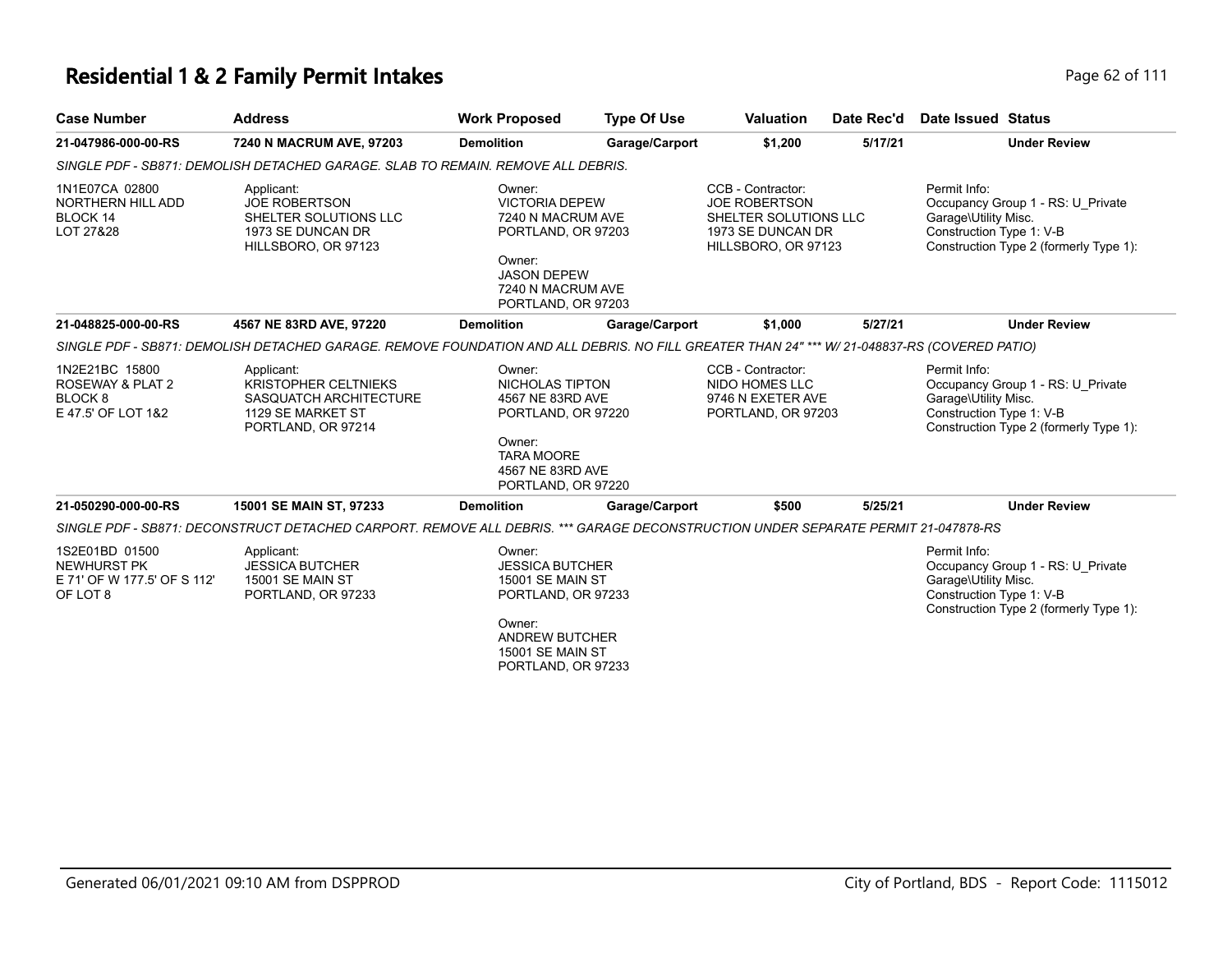| <b>Case Number</b>                                                              | <b>Address</b>                                                                                                                               | <b>Work Proposed</b>                                                                                                                                                  | <b>Type Of Use</b> | <b>Valuation</b>                                                                                               | Date Rec'd | Date Issued Status                                                                                                                              |
|---------------------------------------------------------------------------------|----------------------------------------------------------------------------------------------------------------------------------------------|-----------------------------------------------------------------------------------------------------------------------------------------------------------------------|--------------------|----------------------------------------------------------------------------------------------------------------|------------|-------------------------------------------------------------------------------------------------------------------------------------------------|
| 21-047986-000-00-RS                                                             | 7240 N MACRUM AVE, 97203                                                                                                                     | <b>Demolition</b>                                                                                                                                                     | Garage/Carport     | \$1,200                                                                                                        | 5/17/21    | <b>Under Review</b>                                                                                                                             |
|                                                                                 | SINGLE PDF - SB871: DEMOLISH DETACHED GARAGE. SLAB TO REMAIN. REMOVE ALL DEBRIS.                                                             |                                                                                                                                                                       |                    |                                                                                                                |            |                                                                                                                                                 |
| 1N1E07CA 02800<br>NORTHERN HILL ADD<br>BLOCK 14<br>LOT 27&28                    | Applicant:<br><b>JOE ROBERTSON</b><br>SHELTER SOLUTIONS LLC<br>1973 SE DUNCAN DR<br>HILLSBORO, OR 97123                                      | Owner:<br><b>VICTORIA DEPEW</b><br>7240 N MACRUM AVE<br>PORTLAND, OR 97203<br>Owner:<br><b>JASON DEPEW</b><br>7240 N MACRUM AVE<br>PORTLAND, OR 97203                 |                    | CCB - Contractor:<br><b>JOE ROBERTSON</b><br>SHELTER SOLUTIONS LLC<br>1973 SE DUNCAN DR<br>HILLSBORO, OR 97123 |            | Permit Info:<br>Occupancy Group 1 - RS: U Private<br>Garage\Utility Misc.<br>Construction Type 1: V-B<br>Construction Type 2 (formerly Type 1): |
| 21-048825-000-00-RS                                                             | 4567 NE 83RD AVE, 97220                                                                                                                      | <b>Demolition</b>                                                                                                                                                     | Garage/Carport     | \$1,000                                                                                                        | 5/27/21    | <b>Under Review</b>                                                                                                                             |
|                                                                                 | SINGLE PDF - SB871: DEMOLISH DETACHED GARAGE. REMOVE FOUNDATION AND ALL DEBRIS. NO FILL GREATER THAN 24" *** W/ 21-048837-RS (COVERED PATIO) |                                                                                                                                                                       |                    |                                                                                                                |            |                                                                                                                                                 |
| 1N2E21BC 15800<br>ROSEWAY & PLAT 2<br>BLOCK <sub>8</sub><br>E 47.5' OF LOT 1&2  | Applicant:<br><b>KRISTOPHER CELTNIEKS</b><br>SASQUATCH ARCHITECTURE<br>1129 SE MARKET ST<br>PORTLAND, OR 97214                               | Owner:<br>NICHOLAS TIPTON<br>4567 NE 83RD AVE<br>PORTLAND, OR 97220<br>Owner:<br><b>TARA MOORE</b><br>4567 NE 83RD AVE<br>PORTLAND, OR 97220                          |                    | CCB - Contractor:<br>NIDO HOMES LLC<br>9746 N EXETER AVE<br>PORTLAND, OR 97203                                 |            | Permit Info:<br>Occupancy Group 1 - RS: U Private<br>Garage\Utility Misc.<br>Construction Type 1: V-B<br>Construction Type 2 (formerly Type 1): |
| 21-050290-000-00-RS                                                             | 15001 SE MAIN ST, 97233                                                                                                                      | <b>Demolition</b>                                                                                                                                                     | Garage/Carport     | \$500                                                                                                          | 5/25/21    | <b>Under Review</b>                                                                                                                             |
|                                                                                 | SINGLE PDF - SB871: DECONSTRUCT DETACHED CARPORT. REMOVE ALL DEBRIS. *** GARAGE DECONSTRUCTION UNDER SEPARATE PERMIT 21-047878-RS            |                                                                                                                                                                       |                    |                                                                                                                |            |                                                                                                                                                 |
| 1S2E01BD 01500<br><b>NEWHURST PK</b><br>E 71' OF W 177.5' OF S 112'<br>OF LOT 8 | Applicant:<br><b>JESSICA BUTCHER</b><br><b>15001 SE MAIN ST</b><br>PORTLAND, OR 97233                                                        | Owner:<br><b>JESSICA BUTCHER</b><br><b>15001 SE MAIN ST</b><br>PORTLAND, OR 97233<br>Owner:<br><b>ANDREW BUTCHER</b><br><b>15001 SE MAIN ST</b><br>PORTLAND, OR 97233 |                    |                                                                                                                |            | Permit Info:<br>Occupancy Group 1 - RS: U Private<br>Garage\Utility Misc.<br>Construction Type 1: V-B<br>Construction Type 2 (formerly Type 1): |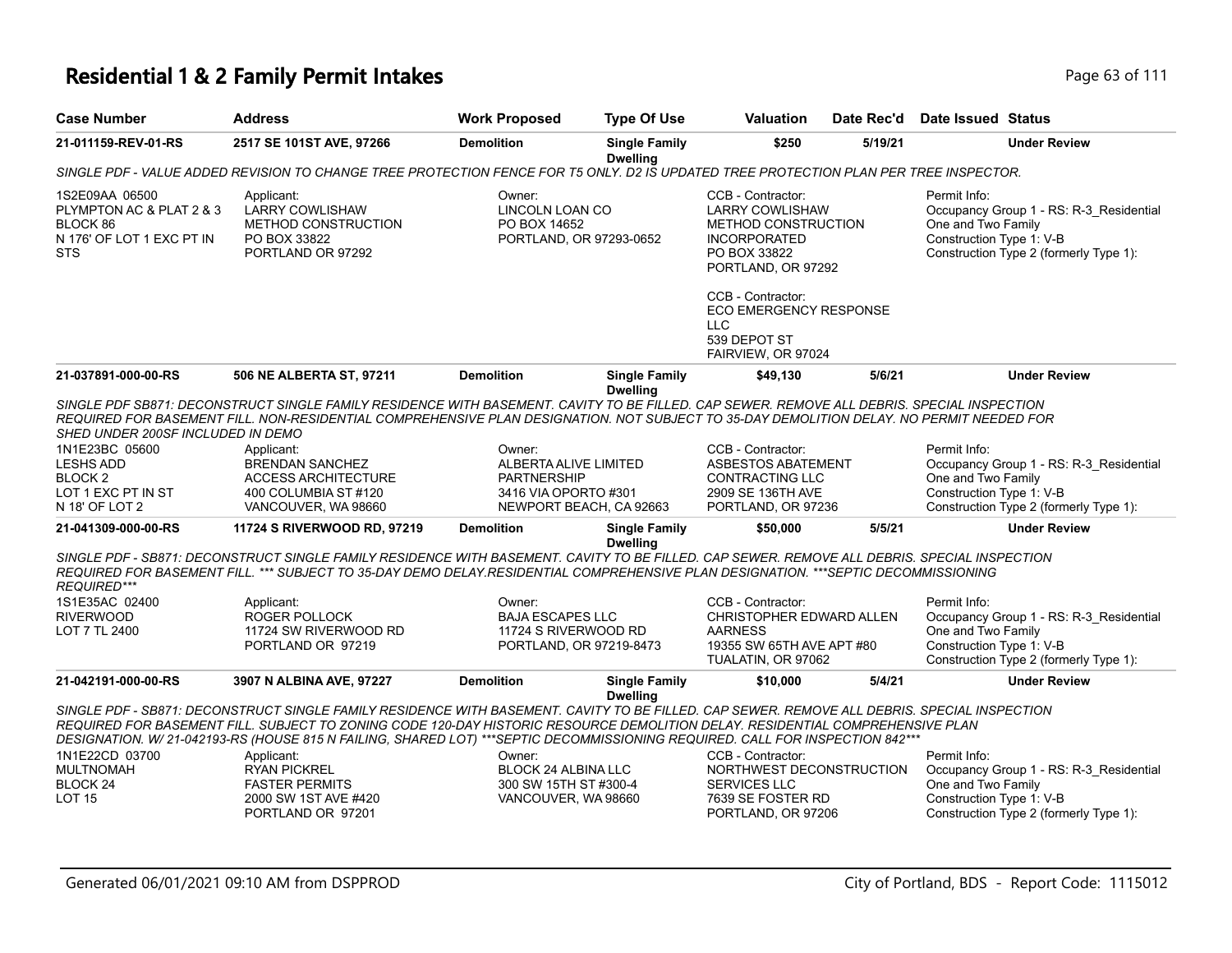| <b>Case Number</b>                                                                                                                    | <b>Address</b>                                                                                                                                                                                                                                                                                                                                                                                                | <b>Work Proposed</b>                                                                                     | <b>Type Of Use</b>                      | <b>Valuation</b>                                                                                                                | Date Rec'd | Date Issued Status                                             |                                                                                   |
|---------------------------------------------------------------------------------------------------------------------------------------|---------------------------------------------------------------------------------------------------------------------------------------------------------------------------------------------------------------------------------------------------------------------------------------------------------------------------------------------------------------------------------------------------------------|----------------------------------------------------------------------------------------------------------|-----------------------------------------|---------------------------------------------------------------------------------------------------------------------------------|------------|----------------------------------------------------------------|-----------------------------------------------------------------------------------|
| 21-011159-REV-01-RS                                                                                                                   | 2517 SE 101ST AVE, 97266                                                                                                                                                                                                                                                                                                                                                                                      | <b>Demolition</b>                                                                                        | <b>Single Family</b><br><b>Dwelling</b> | \$250                                                                                                                           | 5/19/21    |                                                                | <b>Under Review</b>                                                               |
|                                                                                                                                       | SINGLE PDF - VALUE ADDED REVISION TO CHANGE TREE PROTECTION FENCE FOR T5 ONLY. D2 IS UPDATED TREE PROTECTION PLAN PER TREE INSPECTOR.                                                                                                                                                                                                                                                                         |                                                                                                          |                                         |                                                                                                                                 |            |                                                                |                                                                                   |
| 1S2E09AA 06500<br>PLYMPTON AC & PLAT 2 & 3<br>BLOCK 86<br>N 176' OF LOT 1 EXC PT IN<br><b>STS</b>                                     | Applicant:<br><b>LARRY COWLISHAW</b><br><b>METHOD CONSTRUCTION</b><br>PO BOX 33822<br>PORTLAND OR 97292                                                                                                                                                                                                                                                                                                       | Owner:<br>LINCOLN LOAN CO<br>PO BOX 14652<br>PORTLAND, OR 97293-0652                                     |                                         | CCB - Contractor:<br><b>LARRY COWLISHAW</b><br>METHOD CONSTRUCTION<br><b>INCORPORATED</b><br>PO BOX 33822<br>PORTLAND, OR 97292 |            | Permit Info:<br>One and Two Family<br>Construction Type 1: V-B | Occupancy Group 1 - RS: R-3_Residential<br>Construction Type 2 (formerly Type 1): |
|                                                                                                                                       |                                                                                                                                                                                                                                                                                                                                                                                                               |                                                                                                          |                                         | CCB - Contractor:<br>ECO EMERGENCY RESPONSE<br><b>LLC</b><br>539 DEPOT ST<br>FAIRVIEW, OR 97024                                 |            |                                                                |                                                                                   |
| 21-037891-000-00-RS                                                                                                                   | 506 NE ALBERTA ST, 97211                                                                                                                                                                                                                                                                                                                                                                                      | <b>Demolition</b>                                                                                        | <b>Single Family</b><br><b>Dwelling</b> | \$49,130                                                                                                                        | 5/6/21     |                                                                | <b>Under Review</b>                                                               |
| SHED UNDER 200SF INCLUDED IN DEMO<br>1N1E23BC 05600<br><b>LESHS ADD</b><br>BLOCK <sub>2</sub><br>LOT 1 EXC PT IN ST<br>N 18' OF LOT 2 | SINGLE PDF SB871: DECONSTRUCT SINGLE FAMILY RESIDENCE WITH BASEMENT. CAVITY TO BE FILLED. CAP SEWER. REMOVE ALL DEBRIS. SPECIAL INSPECTION<br>REQUIRED FOR BASEMENT FILL. NON-RESIDENTIAL COMPREHENSIVE PLAN DESIGNATION. NOT SUBJECT TO 35-DAY DEMOLITION DELAY. NO PERMIT NEEDED FOR<br>Applicant:<br><b>BRENDAN SANCHEZ</b><br><b>ACCESS ARCHITECTURE</b><br>400 COLUMBIA ST #120<br>VANCOUVER, WA 98660   | Owner:<br>ALBERTA ALIVE LIMITED<br><b>PARTNERSHIP</b><br>3416 VIA OPORTO #301<br>NEWPORT BEACH, CA 92663 |                                         | CCB - Contractor:<br>ASBESTOS ABATEMENT<br>CONTRACTING LLC<br>2909 SE 136TH AVE<br>PORTLAND, OR 97236                           |            | Permit Info:<br>One and Two Family<br>Construction Type 1: V-B | Occupancy Group 1 - RS: R-3_Residential<br>Construction Type 2 (formerly Type 1): |
| 21-041309-000-00-RS                                                                                                                   | 11724 S RIVERWOOD RD, 97219                                                                                                                                                                                                                                                                                                                                                                                   | <b>Demolition</b>                                                                                        | <b>Single Family</b>                    | \$50,000                                                                                                                        | 5/5/21     |                                                                | <b>Under Review</b>                                                               |
| <b>REQUIRED***</b><br>1S1E35AC 02400<br><b>RIVERWOOD</b>                                                                              | SINGLE PDF - SB871: DECONSTRUCT SINGLE FAMILY RESIDENCE WITH BASEMENT. CAVITY TO BE FILLED. CAP SEWER, REMOVE ALL DEBRIS, SPECIAL INSPECTION<br>REQUIRED FOR BASEMENT FILL. *** SUBJECT TO 35-DAY DEMO DELAY.RESIDENTIAL COMPREHENSIVE PLAN DESIGNATION. ***SEPTIC DECOMMISSIONING<br>Applicant:<br>ROGER POLLOCK                                                                                             | Owner:<br><b>BAJA ESCAPES LLC</b>                                                                        | <b>Dwelling</b>                         | CCB - Contractor:<br>CHRISTOPHER EDWARD ALLEN                                                                                   |            | Permit Info:                                                   | Occupancy Group 1 - RS: R-3_Residential                                           |
| LOT 7 TL 2400                                                                                                                         | 11724 SW RIVERWOOD RD<br>PORTLAND OR 97219                                                                                                                                                                                                                                                                                                                                                                    | 11724 S RIVERWOOD RD<br>PORTLAND, OR 97219-8473                                                          |                                         | <b>AARNESS</b><br>19355 SW 65TH AVE APT #80<br>TUALATIN, OR 97062                                                               |            | One and Two Family<br>Construction Type 1: V-B                 | Construction Type 2 (formerly Type 1):                                            |
| 21-042191-000-00-RS                                                                                                                   | 3907 N ALBINA AVE, 97227                                                                                                                                                                                                                                                                                                                                                                                      | <b>Demolition</b>                                                                                        | <b>Single Family</b>                    | \$10,000                                                                                                                        | 5/4/21     |                                                                | <b>Under Review</b>                                                               |
|                                                                                                                                       | SINGLE PDF - SB871: DECONSTRUCT SINGLE FAMILY RESIDENCE WITH BASEMENT. CAVITY TO BE FILLED. CAP SEWER. REMOVE ALL DEBRIS. SPECIAL INSPECTION<br>REQUIRED FOR BASEMENT FILL. SUBJECT TO ZONING CODE 120-DAY HISTORIC RESOURCE DEMOLITION DELAY. RESIDENTIAL COMPREHENSIVE PLAN<br>DESIGNATION. W/21-042193-RS (HOUSE 815 N FAILING, SHARED LOT) ***SEPTIC DECOMMISSIONING REQUIRED. CALL FOR INSPECTION 842*** |                                                                                                          | <b>Dwelling</b>                         |                                                                                                                                 |            |                                                                |                                                                                   |
| 1N1E22CD 03700                                                                                                                        | Applicant:                                                                                                                                                                                                                                                                                                                                                                                                    | Owner:                                                                                                   |                                         | CCB - Contractor:                                                                                                               |            | Permit Info:                                                   |                                                                                   |
| <b>MULTNOMAH</b><br>BLOCK <sub>24</sub>                                                                                               | <b>RYAN PICKREL</b><br><b>FASTER PERMITS</b>                                                                                                                                                                                                                                                                                                                                                                  | BLOCK 24 ALBINA LLC<br>300 SW 15TH ST #300-4                                                             |                                         | NORTHWEST DECONSTRUCTION<br><b>SERVICES LLC</b>                                                                                 |            | One and Two Family                                             | Occupancy Group 1 - RS: R-3_Residential                                           |
| <b>LOT 15</b>                                                                                                                         | 2000 SW 1ST AVE #420<br>PORTLAND OR 97201                                                                                                                                                                                                                                                                                                                                                                     | VANCOUVER, WA 98660                                                                                      |                                         | 7639 SE FOSTER RD<br>PORTLAND, OR 97206                                                                                         |            | Construction Type 1: V-B                                       | Construction Type 2 (formerly Type 1):                                            |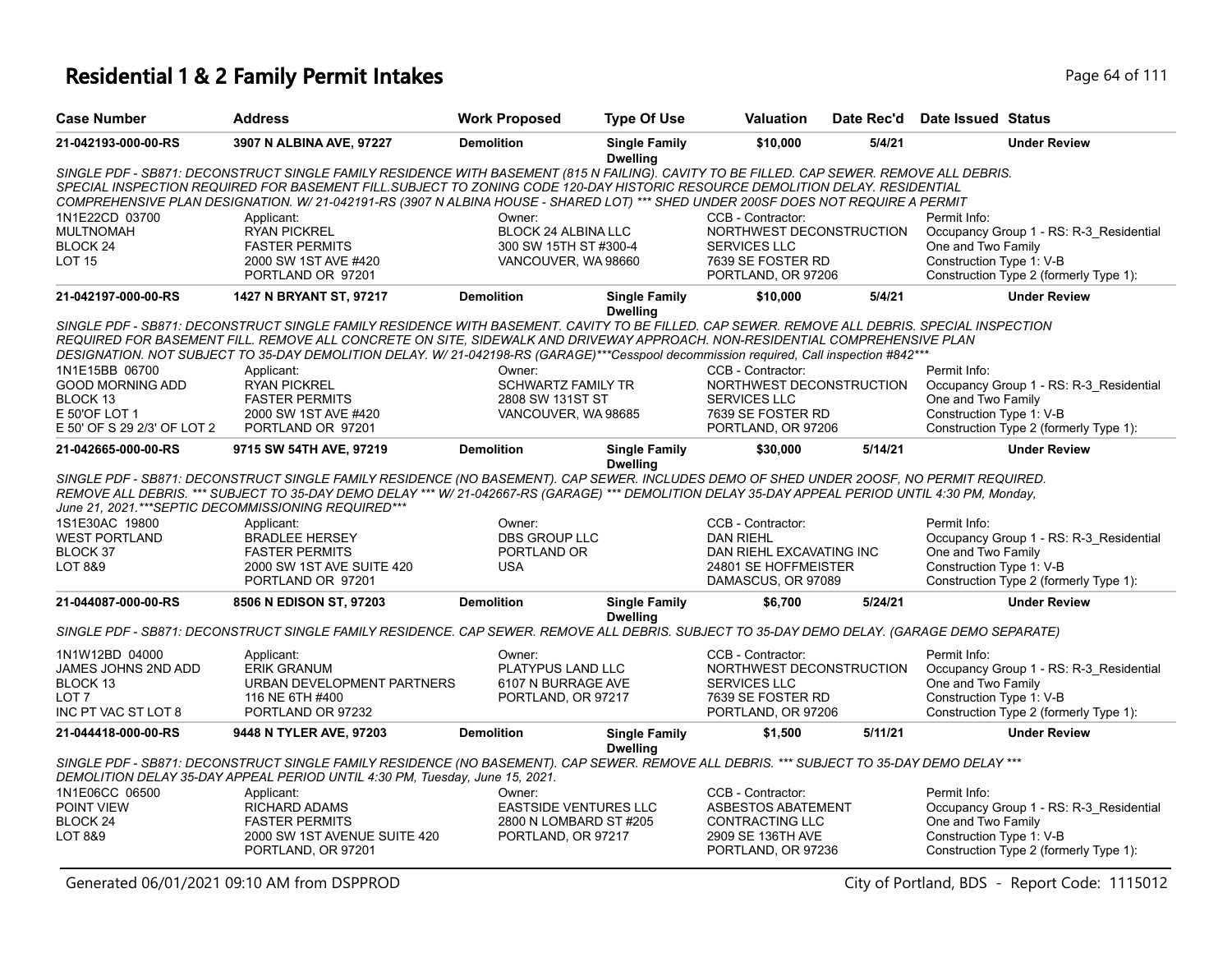| <b>Case Number</b>          | <b>Address</b>                                                                                                                                    | <b>Work Proposed</b>         | <b>Type Of Use</b>                      | <b>Valuation</b>                         | Date Rec'd | <b>Date Issued Status</b>               |
|-----------------------------|---------------------------------------------------------------------------------------------------------------------------------------------------|------------------------------|-----------------------------------------|------------------------------------------|------------|-----------------------------------------|
| 21-042193-000-00-RS         | 3907 N ALBINA AVE, 97227                                                                                                                          | <b>Demolition</b>            | <b>Single Family</b><br><b>Dwelling</b> | \$10,000                                 | 5/4/21     | <b>Under Review</b>                     |
|                             | SINGLE PDF - SB871: DECONSTRUCT SINGLE FAMILY RESIDENCE WITH BASEMENT (815 N FAILING). CAVITY TO BE FILLED. CAP SEWER. REMOVE ALL DEBRIS.         |                              |                                         |                                          |            |                                         |
|                             | SPECIAL INSPECTION REQUIRED FOR BASEMENT FILL SUBJECT TO ZONING CODE 120-DAY HISTORIC RESOURCE DEMOLITION DELAY. RESIDENTIAL                      |                              |                                         |                                          |            |                                         |
|                             | COMPREHENSIVE PLAN DESIGNATION. W/21-042191-RS (3907 N ALBINA HOUSE - SHARED LOT) *** SHED UNDER 200SF DOES NOT REQUIRE A PERMIT                  |                              |                                         |                                          |            |                                         |
| 1N1E22CD 03700              | Applicant:                                                                                                                                        | Owner:                       |                                         | CCB - Contractor:                        |            | Permit Info:                            |
| <b>MULTNOMAH</b>            | <b>RYAN PICKREL</b>                                                                                                                               | BLOCK 24 ALBINA LLC          |                                         | NORTHWEST DECONSTRUCTION                 |            | Occupancy Group 1 - RS: R-3_Residential |
| BLOCK <sub>24</sub>         | <b>FASTER PERMITS</b>                                                                                                                             | 300 SW 15TH ST #300-4        |                                         | SERVICES LLC                             |            | One and Two Family                      |
| <b>LOT 15</b>               | 2000 SW 1ST AVE #420                                                                                                                              | VANCOUVER, WA 98660          |                                         | 7639 SE FOSTER RD                        |            | Construction Type 1: V-B                |
|                             | PORTLAND OR 97201                                                                                                                                 |                              |                                         | PORTLAND, OR 97206                       |            | Construction Type 2 (formerly Type 1):  |
| 21-042197-000-00-RS         | 1427 N BRYANT ST, 97217                                                                                                                           | <b>Demolition</b>            | <b>Single Family</b>                    | \$10,000                                 | 5/4/21     | <b>Under Review</b>                     |
|                             | SINGLE PDF - SB871: DECONSTRUCT SINGLE FAMILY RESIDENCE WITH BASEMENT. CAVITY TO BE FILLED. CAP SEWER. REMOVE ALL DEBRIS. SPECIAL INSPECTION      |                              | <b>Dwelling</b>                         |                                          |            |                                         |
|                             | REQUIRED FOR BASEMENT FILL. REMOVE ALL CONCRETE ON SITE, SIDEWALK AND DRIVEWAY APPROACH. NON-RESIDENTIAL COMPREHENSIVE PLAN                       |                              |                                         |                                          |            |                                         |
|                             | DESIGNATION. NOT SUBJECT TO 35-DAY DEMOLITION DELAY. W/ 21-042198-RS (GARAGE)***Cesspool decommission required, Call inspection #842***           |                              |                                         |                                          |            |                                         |
|                             |                                                                                                                                                   |                              |                                         |                                          |            | Permit Info:                            |
| 1N1E15BB 06700              | Applicant:                                                                                                                                        | Owner:                       |                                         | CCB - Contractor:                        |            | Occupancy Group 1 - RS: R-3 Residential |
| <b>GOOD MORNING ADD</b>     | <b>RYAN PICKREL</b>                                                                                                                               | <b>SCHWARTZ FAMILY TR</b>    |                                         | NORTHWEST DECONSTRUCTION                 |            |                                         |
| BLOCK 13                    | <b>FASTER PERMITS</b>                                                                                                                             | 2808 SW 131ST ST             |                                         | <b>SERVICES LLC</b><br>7639 SE FOSTER RD |            | One and Two Family                      |
| E 50'OF LOT 1               | 2000 SW 1ST AVE #420                                                                                                                              | VANCOUVER, WA 98685          |                                         | Construction Type 1: V-B                 |            |                                         |
| E 50' OF S 29 2/3' OF LOT 2 | PORTLAND OR 97201                                                                                                                                 |                              |                                         | PORTLAND, OR 97206                       |            | Construction Type 2 (formerly Type 1):  |
| 21-042665-000-00-RS         | 9715 SW 54TH AVE, 97219                                                                                                                           | <b>Demolition</b>            | <b>Single Family</b>                    | \$30,000                                 | 5/14/21    | <b>Under Review</b>                     |
|                             | SINGLE PDF - SB871: DECONSTRUCT SINGLE FAMILY RESIDENCE (NO BASEMENT). CAP SEWER. INCLUDES DEMO OF SHED UNDER 200SF, NO PERMIT REQUIRED.          |                              | <b>Dwelling</b>                         |                                          |            |                                         |
|                             |                                                                                                                                                   |                              |                                         |                                          |            |                                         |
|                             | REMOVE ALL DEBRIS. *** SUBJECT TO 35-DAY DEMO DELAY *** W/ 21-042667-RS (GARAGE) *** DEMOLITION DELAY 35-DAY APPEAL PERIOD UNTIL 4:30 PM, Monday, |                              |                                         |                                          |            |                                         |
|                             | June 21, 2021.*** SEPTIC DECOMMISSIONING REQUIRED***                                                                                              |                              |                                         |                                          |            |                                         |
| 1S1E30AC 19800              | Applicant:                                                                                                                                        | Owner:                       |                                         | CCB - Contractor:                        |            | Permit Info:                            |
| <b>WEST PORTLAND</b>        | <b>BRADLEE HERSEY</b>                                                                                                                             | DBS GROUP LLC                |                                         | <b>DAN RIEHL</b>                         |            | Occupancy Group 1 - RS: R-3_Residential |
| BLOCK 37                    | <b>FASTER PERMITS</b>                                                                                                                             | PORTLAND OR                  |                                         | DAN RIEHL EXCAVATING INC                 |            | One and Two Family                      |
| <b>LOT 8&amp;9</b>          | 2000 SW 1ST AVE SUITE 420                                                                                                                         | <b>USA</b>                   |                                         | 24801 SE HOFFMEISTER                     |            | Construction Type 1: V-B                |
|                             | PORTLAND OR 97201                                                                                                                                 |                              |                                         | DAMASCUS, OR 97089                       |            | Construction Type 2 (formerly Type 1):  |
| 21-044087-000-00-RS         | 8506 N EDISON ST, 97203                                                                                                                           | <b>Demolition</b>            | <b>Single Family</b>                    | \$6,700                                  | 5/24/21    | <b>Under Review</b>                     |
|                             |                                                                                                                                                   |                              | <b>Dwelling</b>                         |                                          |            |                                         |
|                             | SINGLE PDF - SB871: DECONSTRUCT SINGLE FAMILY RESIDENCE. CAP SEWER. REMOVE ALL DEBRIS. SUBJECT TO 35-DAY DEMO DELAY. (GARAGE DEMO SEPARATE)       |                              |                                         |                                          |            |                                         |
| 1N1W12BD 04000              | Applicant:                                                                                                                                        | Owner:                       |                                         | CCB - Contractor:                        |            | Permit Info:                            |
| JAMES JOHNS 2ND ADD         | <b>ERIK GRANUM</b>                                                                                                                                | PLATYPUS LAND LLC            |                                         | NORTHWEST DECONSTRUCTION                 |            | Occupancy Group 1 - RS: R-3 Residential |
| BLOCK 13                    | URBAN DEVELOPMENT PARTNERS                                                                                                                        | 6107 N BURRAGE AVE           |                                         | <b>SERVICES LLC</b>                      |            | One and Two Family                      |
| LOT <sub>7</sub>            | 116 NE 6TH #400                                                                                                                                   | PORTLAND, OR 97217           |                                         | 7639 SE FOSTER RD                        |            | Construction Type 1: V-B                |
| INC PT VAC ST LOT 8         | PORTLAND OR 97232                                                                                                                                 |                              |                                         | PORTLAND, OR 97206                       |            | Construction Type 2 (formerly Type 1):  |
| 21-044418-000-00-RS         | 9448 N TYLER AVE, 97203                                                                                                                           | <b>Demolition</b>            | <b>Single Family</b>                    | \$1,500                                  | 5/11/21    | <b>Under Review</b>                     |
|                             |                                                                                                                                                   |                              | <b>Dwelling</b>                         |                                          |            |                                         |
|                             | SINGLE PDF - SB871: DECONSTRUCT SINGLE FAMILY RESIDENCE (NO BASEMENT). CAP SEWER. REMOVE ALL DEBRIS. *** SUBJECT TO 35-DAY DEMO DELAY ***         |                              |                                         |                                          |            |                                         |
|                             | DEMOLITION DELAY 35-DAY APPEAL PERIOD UNTIL 4:30 PM, Tuesday, June 15, 2021.                                                                      |                              |                                         |                                          |            |                                         |
| 1N1E06CC 06500              | Applicant:                                                                                                                                        | Owner:                       |                                         | CCB - Contractor:                        |            | Permit Info:                            |
| POINT VIEW                  | <b>RICHARD ADAMS</b>                                                                                                                              | <b>EASTSIDE VENTURES LLC</b> |                                         | ASBESTOS ABATEMENT                       |            | Occupancy Group 1 - RS: R-3_Residential |
| BLOCK <sub>24</sub>         | <b>FASTER PERMITS</b>                                                                                                                             | 2800 N LOMBARD ST #205       |                                         | CONTRACTING LLC                          |            | One and Two Family                      |
| LOT 8&9                     | 2000 SW 1ST AVENUE SUITE 420                                                                                                                      | PORTLAND, OR 97217           |                                         | 2909 SE 136TH AVE                        |            | Construction Type 1: V-B                |
|                             | PORTLAND, OR 97201                                                                                                                                |                              |                                         | PORTLAND, OR 97236                       |            | Construction Type 2 (formerly Type 1):  |
|                             |                                                                                                                                                   |                              |                                         |                                          |            |                                         |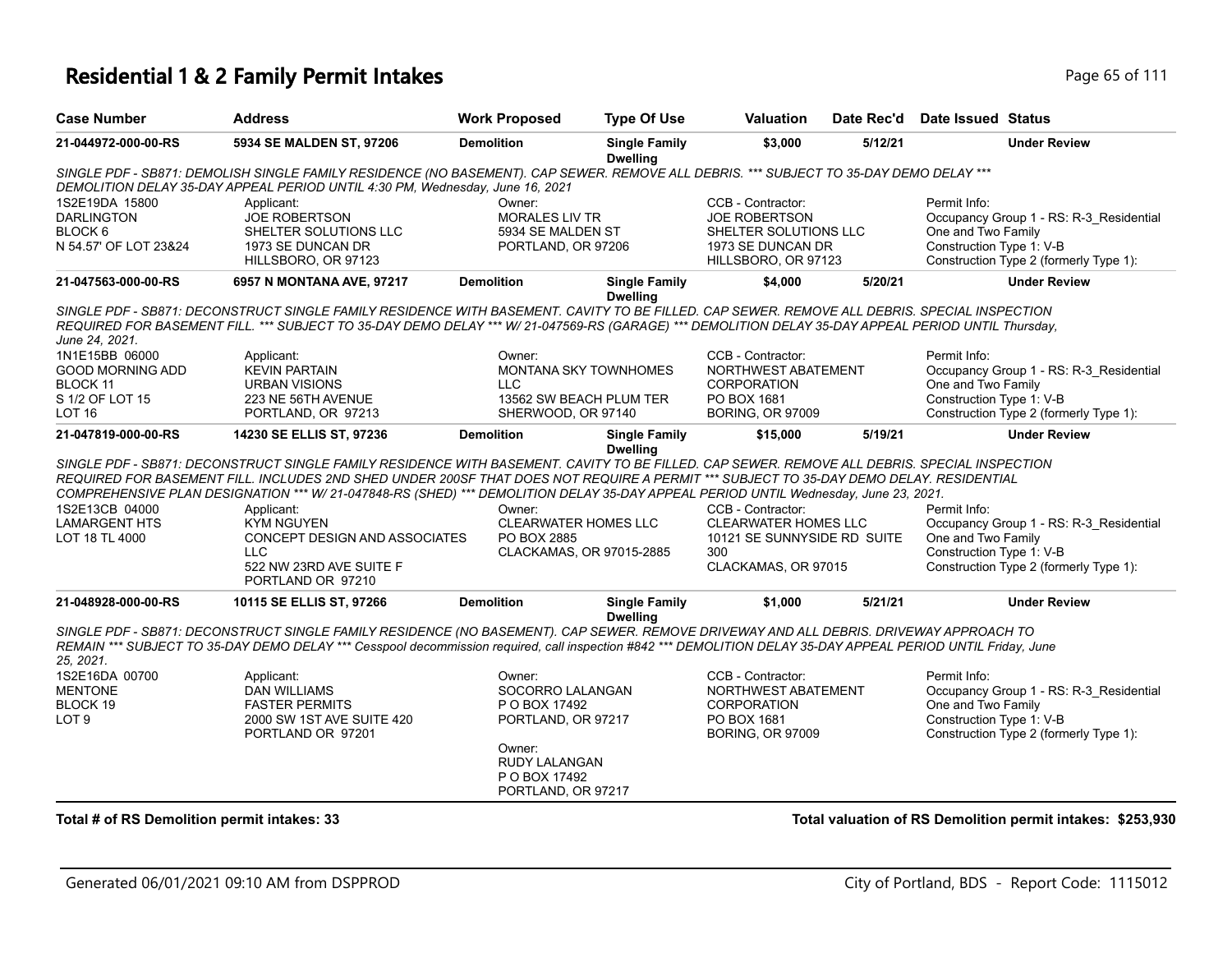| <b>Case Number</b>                                                                                                                                                                                                                                                                                                    | <b>Address</b>                                                                                                                                                                                                                                                                                                                                                                                                                | <b>Work Proposed</b>                                           | <b>Type Of Use</b>                      | <b>Valuation</b>                                             | Date Rec'd | <b>Date Issued Status</b>                                          |  |  |
|-----------------------------------------------------------------------------------------------------------------------------------------------------------------------------------------------------------------------------------------------------------------------------------------------------------------------|-------------------------------------------------------------------------------------------------------------------------------------------------------------------------------------------------------------------------------------------------------------------------------------------------------------------------------------------------------------------------------------------------------------------------------|----------------------------------------------------------------|-----------------------------------------|--------------------------------------------------------------|------------|--------------------------------------------------------------------|--|--|
| 21-044972-000-00-RS                                                                                                                                                                                                                                                                                                   | 5934 SE MALDEN ST, 97206                                                                                                                                                                                                                                                                                                                                                                                                      | <b>Demolition</b>                                              | <b>Single Family</b><br><b>Dwelling</b> | \$3,000                                                      | 5/12/21    | <b>Under Review</b>                                                |  |  |
|                                                                                                                                                                                                                                                                                                                       | SINGLE PDF - SB871: DEMOLISH SINGLE FAMILY RESIDENCE (NO BASEMENT). CAP SEWER. REMOVE ALL DEBRIS. *** SUBJECT TO 35-DAY DEMO DELAY ***<br>DEMOLITION DELAY 35-DAY APPEAL PERIOD UNTIL 4:30 PM, Wednesday, June 16, 2021                                                                                                                                                                                                       |                                                                |                                         |                                                              |            |                                                                    |  |  |
| 1S2E19DA 15800<br><b>DARLINGTON</b>                                                                                                                                                                                                                                                                                   | Applicant:<br>JOE ROBERTSON                                                                                                                                                                                                                                                                                                                                                                                                   | Owner:<br>MORALES LIV TR                                       |                                         | CCB - Contractor:<br>JOE ROBERTSON                           |            | Permit Info:<br>Occupancy Group 1 - RS: R-3_Residential            |  |  |
| BLOCK <sub>6</sub>                                                                                                                                                                                                                                                                                                    | SHELTER SOLUTIONS LLC                                                                                                                                                                                                                                                                                                                                                                                                         | 5934 SE MALDEN ST                                              |                                         | SHELTER SOLUTIONS LLC                                        |            | One and Two Family                                                 |  |  |
| N 54.57' OF LOT 23&24                                                                                                                                                                                                                                                                                                 | 1973 SE DUNCAN DR<br>HILLSBORO, OR 97123                                                                                                                                                                                                                                                                                                                                                                                      | PORTLAND, OR 97206                                             |                                         | 1973 SE DUNCAN DR<br>HILLSBORO, OR 97123                     |            | Construction Type 1: V-B<br>Construction Type 2 (formerly Type 1): |  |  |
| 21-047563-000-00-RS                                                                                                                                                                                                                                                                                                   | 6957 N MONTANA AVE, 97217                                                                                                                                                                                                                                                                                                                                                                                                     | <b>Demolition</b>                                              | <b>Single Family</b><br><b>Dwelling</b> | \$4,000                                                      | 5/20/21    | <b>Under Review</b>                                                |  |  |
| SINGLE PDF - SB871: DECONSTRUCT SINGLE FAMILY RESIDENCE WITH BASEMENT. CAVITY TO BE FILLED. CAP SEWER. REMOVE ALL DEBRIS. SPECIAL INSPECTION<br>REQUIRED FOR BASEMENT FILL. *** SUBJECT TO 35-DAY DEMO DELAY *** W/ 21-047569-RS (GARAGE) *** DEMOLITION DELAY 35-DAY APPEAL PERIOD UNTIL Thursday,<br>June 24, 2021. |                                                                                                                                                                                                                                                                                                                                                                                                                               |                                                                |                                         |                                                              |            |                                                                    |  |  |
| 1N1E15BB 06000                                                                                                                                                                                                                                                                                                        | Applicant:                                                                                                                                                                                                                                                                                                                                                                                                                    | Owner:                                                         |                                         | CCB - Contractor:                                            |            | Permit Info:                                                       |  |  |
| GOOD MORNING ADD<br>BLOCK 11                                                                                                                                                                                                                                                                                          | <b>KEVIN PARTAIN</b><br><b>URBAN VISIONS</b>                                                                                                                                                                                                                                                                                                                                                                                  | MONTANA SKY TOWNHOMES<br><b>LLC</b>                            |                                         | NORTHWEST ABATEMENT<br><b>CORPORATION</b>                    |            | Occupancy Group 1 - RS: R-3_Residential<br>One and Two Family      |  |  |
| S 1/2 OF LOT 15                                                                                                                                                                                                                                                                                                       | 223 NE 56TH AVENUE                                                                                                                                                                                                                                                                                                                                                                                                            | 13562 SW BEACH PLUM TER                                        |                                         | PO BOX 1681                                                  |            | Construction Type 1: V-B                                           |  |  |
| LOT <sub>16</sub>                                                                                                                                                                                                                                                                                                     | PORTLAND, OR 97213                                                                                                                                                                                                                                                                                                                                                                                                            | SHERWOOD, OR 97140                                             |                                         | <b>BORING, OR 97009</b>                                      |            | Construction Type 2 (formerly Type 1):                             |  |  |
| 21-047819-000-00-RS                                                                                                                                                                                                                                                                                                   | 14230 SE ELLIS ST, 97236                                                                                                                                                                                                                                                                                                                                                                                                      | <b>Demolition</b>                                              | <b>Single Family</b><br><b>Dwelling</b> | \$15,000                                                     | 5/19/21    | <b>Under Review</b>                                                |  |  |
|                                                                                                                                                                                                                                                                                                                       | SINGLE PDF - SB871: DECONSTRUCT SINGLE FAMILY RESIDENCE WITH BASEMENT. CAVITY TO BE FILLED. CAP SEWER. REMOVE ALL DEBRIS. SPECIAL INSPECTION<br>REQUIRED FOR BASEMENT FILL. INCLUDES 2ND SHED UNDER 200SF THAT DOES NOT REQUIRE A PERMIT *** SUBJECT TO 35-DAY DEMO DELAY. RESIDENTIAL<br>COMPREHENSIVE PLAN DESIGNATION *** W/ 21-047848-RS (SHED) *** DEMOLITION DELAY 35-DAY APPEAL PERIOD UNTIL Wednesday, June 23, 2021. |                                                                |                                         |                                                              |            |                                                                    |  |  |
| 1S2E13CB 04000                                                                                                                                                                                                                                                                                                        | Applicant:                                                                                                                                                                                                                                                                                                                                                                                                                    | Owner:                                                         |                                         | CCB - Contractor:                                            |            | Permit Info:                                                       |  |  |
| <b>LAMARGENT HTS</b>                                                                                                                                                                                                                                                                                                  | <b>KYM NGUYEN</b>                                                                                                                                                                                                                                                                                                                                                                                                             | <b>CLEARWATER HOMES LLC</b>                                    |                                         | <b>CLEARWATER HOMES LLC</b>                                  |            | Occupancy Group 1 - RS: R-3_Residential                            |  |  |
| LOT 18 TL 4000                                                                                                                                                                                                                                                                                                        | CONCEPT DESIGN AND ASSOCIATES<br><b>LLC</b>                                                                                                                                                                                                                                                                                                                                                                                   | PO BOX 2885<br>CLACKAMAS, OR 97015-2885                        |                                         | 10121 SE SUNNYSIDE RD SUITE<br>300                           |            | One and Two Family<br>Construction Type 1: V-B                     |  |  |
|                                                                                                                                                                                                                                                                                                                       | 522 NW 23RD AVE SUITE F<br>PORTLAND OR 97210                                                                                                                                                                                                                                                                                                                                                                                  |                                                                |                                         | CLACKAMAS, OR 97015                                          |            | Construction Type 2 (formerly Type 1):                             |  |  |
| 21-048928-000-00-RS                                                                                                                                                                                                                                                                                                   | 10115 SE ELLIS ST, 97266                                                                                                                                                                                                                                                                                                                                                                                                      | <b>Demolition</b>                                              | <b>Single Family</b><br><b>Dwelling</b> | \$1,000                                                      | 5/21/21    | <b>Under Review</b>                                                |  |  |
| 25. 2021.                                                                                                                                                                                                                                                                                                             | SINGLE PDF - SB871: DECONSTRUCT SINGLE FAMILY RESIDENCE (NO BASEMENT). CAP SEWER. REMOVE DRIVEWAY AND ALL DEBRIS. DRIVEWAY APPROACH TO<br>REMAIN *** SUBJECT TO 35-DAY DEMO DELAY *** Cesspool decommission required, call inspection #842 *** DEMOLITION DELAY 35-DAY APPEAL PERIOD UNTIL Friday, June                                                                                                                       |                                                                |                                         |                                                              |            |                                                                    |  |  |
| 1S2E16DA 00700                                                                                                                                                                                                                                                                                                        | Applicant:                                                                                                                                                                                                                                                                                                                                                                                                                    | Owner:                                                         |                                         | CCB - Contractor:                                            |            | Permit Info:                                                       |  |  |
| <b>MENTONE</b>                                                                                                                                                                                                                                                                                                        | <b>DAN WILLIAMS</b>                                                                                                                                                                                                                                                                                                                                                                                                           | SOCORRO LALANGAN                                               |                                         | NORTHWEST ABATEMENT                                          |            | Occupancy Group 1 - RS: R-3 Residential<br>One and Two Family      |  |  |
| BLOCK 19<br>LOT <sub>9</sub>                                                                                                                                                                                                                                                                                          | <b>FASTER PERMITS</b><br>2000 SW 1ST AVE SUITE 420<br>PORTLAND OR 97201                                                                                                                                                                                                                                                                                                                                                       | P O BOX 17492<br>PORTLAND, OR 97217                            |                                         | <b>CORPORATION</b><br>PO BOX 1681<br><b>BORING, OR 97009</b> |            | Construction Type 1: V-B<br>Construction Type 2 (formerly Type 1): |  |  |
|                                                                                                                                                                                                                                                                                                                       |                                                                                                                                                                                                                                                                                                                                                                                                                               | Owner:<br>RUDY LALANGAN<br>P O BOX 17492<br>PORTLAND, OR 97217 |                                         |                                                              |            |                                                                    |  |  |
|                                                                                                                                                                                                                                                                                                                       |                                                                                                                                                                                                                                                                                                                                                                                                                               |                                                                |                                         |                                                              |            |                                                                    |  |  |

**Total # of RS Demolition permit intakes: 33 Total valuation of RS Demolition permit intakes: \$253,930**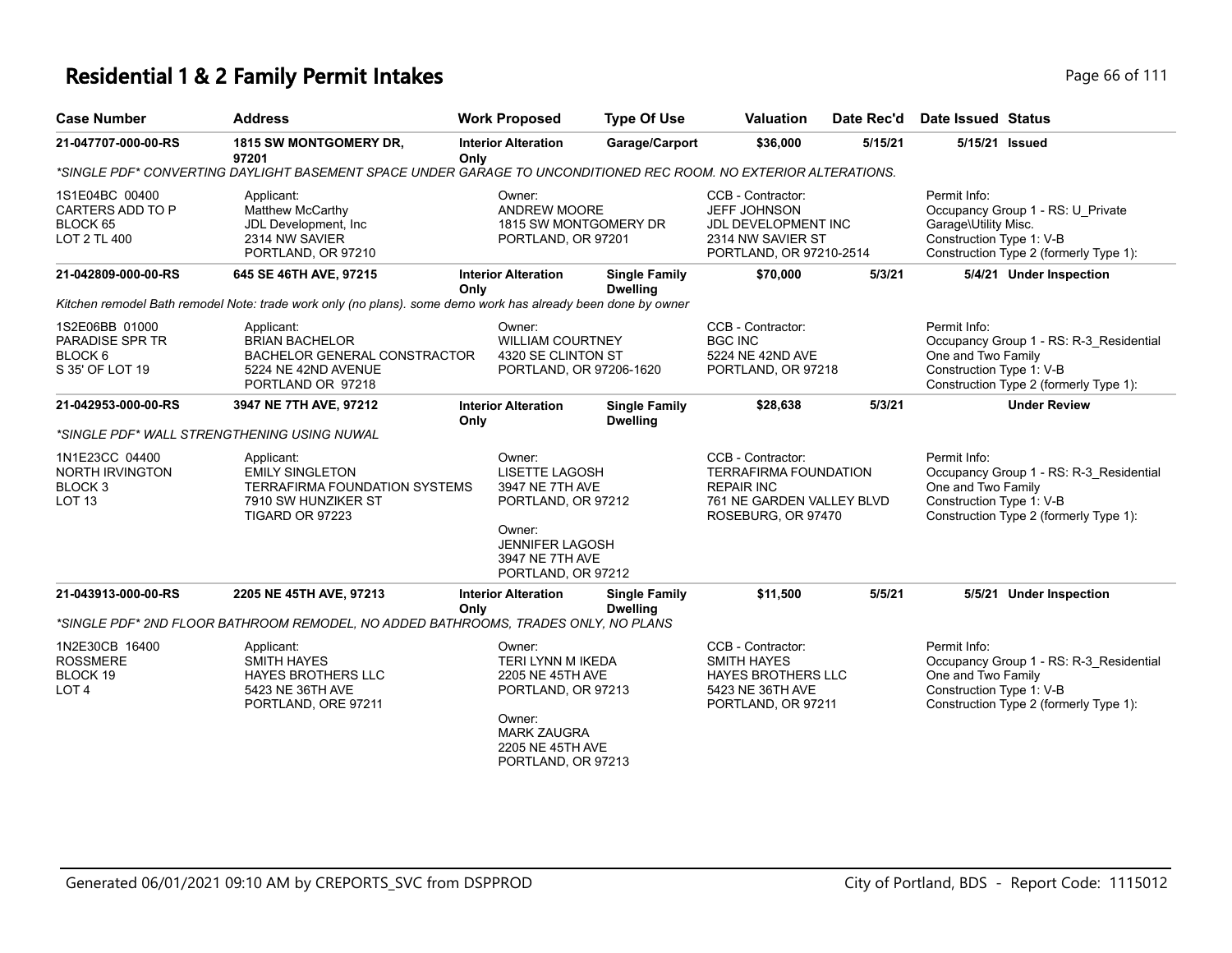| <b>Case Number</b>                                                           | <b>Address</b>                                                                                                         |      | <b>Work Proposed</b>                                                                                                                                   | <b>Type Of Use</b>                      | <b>Valuation</b>                                                                                                          | Date Rec'd | <b>Date Issued Status</b>                                        |                                                                                   |
|------------------------------------------------------------------------------|------------------------------------------------------------------------------------------------------------------------|------|--------------------------------------------------------------------------------------------------------------------------------------------------------|-----------------------------------------|---------------------------------------------------------------------------------------------------------------------------|------------|------------------------------------------------------------------|-----------------------------------------------------------------------------------|
| 21-047707-000-00-RS                                                          | 1815 SW MONTGOMERY DR,<br>97201                                                                                        | Only | <b>Interior Alteration</b>                                                                                                                             | Garage/Carport                          | \$36,000                                                                                                                  | 5/15/21    |                                                                  | 5/15/21 Issued                                                                    |
|                                                                              | *SINGLE PDF* CONVERTING DAYLIGHT BASEMENT SPACE UNDER GARAGE TO UNCONDITIONED REC ROOM. NO EXTERIOR ALTERATIONS.       |      |                                                                                                                                                        |                                         |                                                                                                                           |            |                                                                  |                                                                                   |
| 1S1E04BC 00400<br>CARTERS ADD TO P<br>BLOCK 65<br>LOT 2 TL 400               | Applicant:<br>Matthew McCarthy<br>JDL Development, Inc.<br>2314 NW SAVIER<br>PORTLAND, OR 97210                        |      | Owner:<br>ANDREW MOORE<br>1815 SW MONTGOMERY DR<br>PORTLAND, OR 97201                                                                                  |                                         | CCB - Contractor:<br><b>JEFF JOHNSON</b><br>JDL DEVELOPMENT INC<br>2314 NW SAVIER ST<br>PORTLAND, OR 97210-2514           |            | Permit Info:<br>Garage\Utility Misc.<br>Construction Type 1: V-B | Occupancy Group 1 - RS: U_Private<br>Construction Type 2 (formerly Type 1):       |
| 21-042809-000-00-RS                                                          | 645 SE 46TH AVE, 97215                                                                                                 | Only | <b>Interior Alteration</b>                                                                                                                             | <b>Single Family</b><br><b>Dwelling</b> | \$70,000                                                                                                                  | 5/3/21     |                                                                  | 5/4/21 Under Inspection                                                           |
|                                                                              | Kitchen remodel Bath remodel Note: trade work only (no plans). some demo work has already been done by owner           |      |                                                                                                                                                        |                                         |                                                                                                                           |            |                                                                  |                                                                                   |
| 1S2E06BB 01000<br>PARADISE SPR TR<br>BLOCK 6<br>S 35' OF LOT 19              | Applicant:<br><b>BRIAN BACHELOR</b><br>BACHELOR GENERAL CONSTRACTOR<br>5224 NE 42ND AVENUE<br>PORTLAND OR 97218        |      | Owner:<br><b>WILLIAM COURTNEY</b><br>4320 SE CLINTON ST<br>PORTLAND, OR 97206-1620                                                                     |                                         | CCB - Contractor:<br><b>BGC INC</b><br>5224 NE 42ND AVE<br>PORTLAND, OR 97218                                             |            | Permit Info:<br>One and Two Family<br>Construction Type 1: V-B   | Occupancy Group 1 - RS: R-3_Residential<br>Construction Type 2 (formerly Type 1): |
| 21-042953-000-00-RS                                                          | 3947 NE 7TH AVE, 97212                                                                                                 | Only | <b>Interior Alteration</b>                                                                                                                             | <b>Single Family</b><br><b>Dwelling</b> | \$28,638                                                                                                                  | 5/3/21     |                                                                  | <b>Under Review</b>                                                               |
| *SINGLE PDF* WALL STRENGTHENING USING NUWAL                                  |                                                                                                                        |      |                                                                                                                                                        |                                         |                                                                                                                           |            |                                                                  |                                                                                   |
| 1N1E23CC 04400<br>NORTH IRVINGTON<br>BLOCK <sub>3</sub><br>LOT <sub>13</sub> | Applicant:<br><b>EMILY SINGLETON</b><br><b>TERRAFIRMA FOUNDATION SYSTEMS</b><br>7910 SW HUNZIKER ST<br>TIGARD OR 97223 |      | Owner:<br>LISETTE LAGOSH<br>3947 NE 7TH AVE<br>PORTLAND, OR 97212<br>Owner:<br><b>JENNIFER LAGOSH</b><br>3947 NE 7TH AVE<br>PORTLAND, OR 97212         |                                         | CCB - Contractor:<br><b>TERRAFIRMA FOUNDATION</b><br><b>REPAIR INC</b><br>761 NE GARDEN VALLEY BLVD<br>ROSEBURG, OR 97470 |            | Permit Info:<br>One and Two Family<br>Construction Type 1: V-B   | Occupancy Group 1 - RS: R-3_Residential<br>Construction Type 2 (formerly Type 1): |
| 21-043913-000-00-RS                                                          | 2205 NE 45TH AVE, 97213                                                                                                | Only | <b>Interior Alteration</b>                                                                                                                             | <b>Single Family</b><br><b>Dwelling</b> | \$11,500                                                                                                                  | 5/5/21     |                                                                  | 5/5/21 Under Inspection                                                           |
|                                                                              | *SINGLE PDF* 2ND FLOOR BATHROOM REMODEL, NO ADDED BATHROOMS, TRADES ONLY, NO PLANS                                     |      |                                                                                                                                                        |                                         |                                                                                                                           |            |                                                                  |                                                                                   |
| 1N2E30CB 16400<br><b>ROSSMERE</b><br>BLOCK 19<br>LOT <sub>4</sub>            | Applicant:<br><b>SMITH HAYES</b><br>HAYES BROTHERS LLC<br>5423 NE 36TH AVE<br>PORTLAND, ORE 97211                      |      | Owner:<br><b>TERI LYNN M IKEDA</b><br>2205 NE 45TH AVE<br>PORTLAND, OR 97213<br>Owner:<br><b>MARK ZAUGRA</b><br>2205 NE 45TH AVE<br>PORTLAND, OR 97213 |                                         | CCB - Contractor:<br><b>SMITH HAYES</b><br><b>HAYES BROTHERS LLC</b><br>5423 NE 36TH AVE<br>PORTLAND, OR 97211            |            | Permit Info:<br>One and Two Family<br>Construction Type 1: V-B   | Occupancy Group 1 - RS: R-3_Residential<br>Construction Type 2 (formerly Type 1): |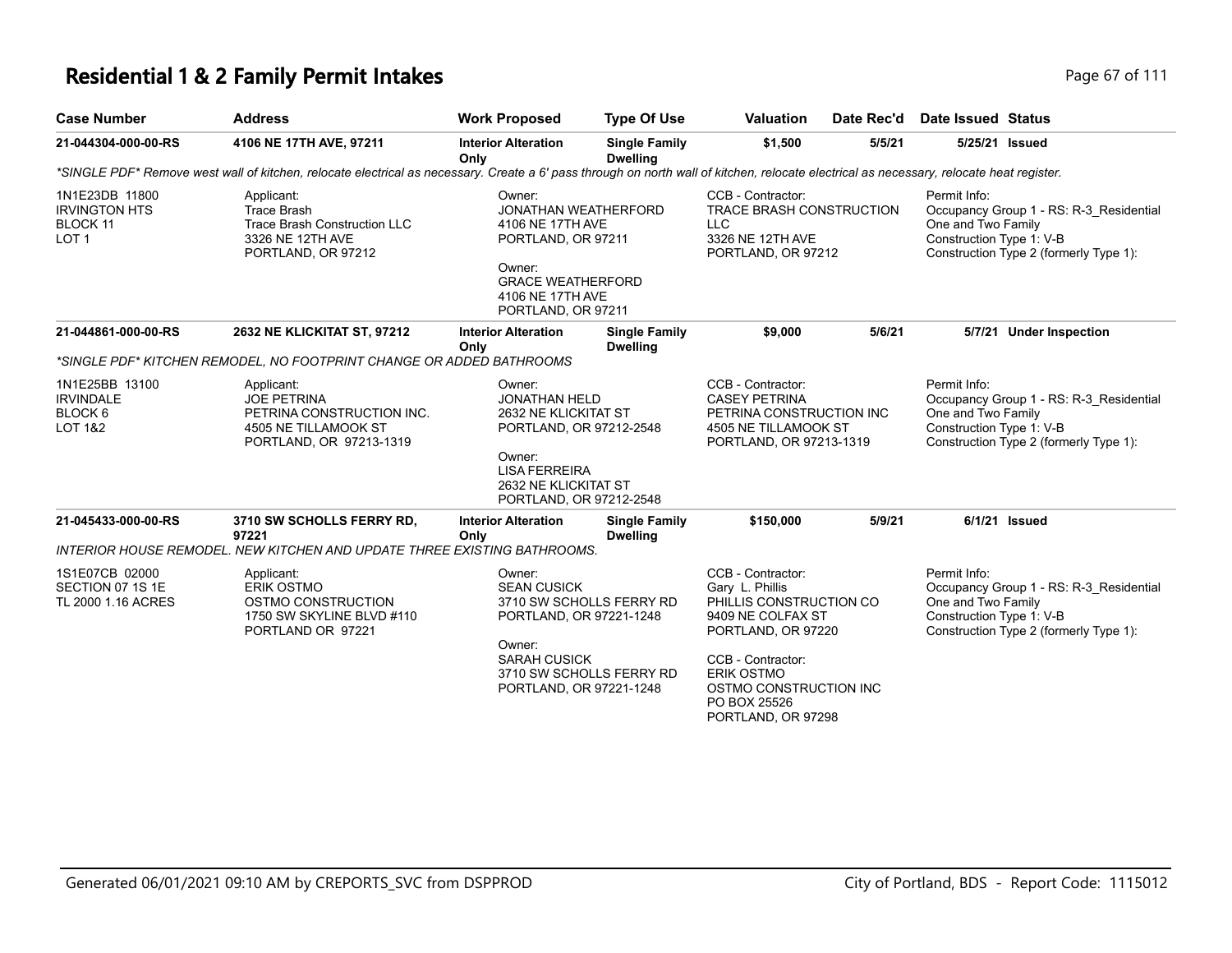| <b>Case Number</b>                                                     | <b>Address</b>                                                                                                                                                                           | <b>Work Proposed</b>                                                                                                                                     | <b>Type Of Use</b>                      | <b>Valuation</b>                                                                                | Date Rec'd | Date Issued Status                                             |                                                                                   |
|------------------------------------------------------------------------|------------------------------------------------------------------------------------------------------------------------------------------------------------------------------------------|----------------------------------------------------------------------------------------------------------------------------------------------------------|-----------------------------------------|-------------------------------------------------------------------------------------------------|------------|----------------------------------------------------------------|-----------------------------------------------------------------------------------|
| 21-044304-000-00-RS                                                    | 4106 NE 17TH AVE, 97211                                                                                                                                                                  | <b>Interior Alteration</b><br>Only                                                                                                                       | <b>Single Family</b><br>Dwelling        | \$1,500                                                                                         | 5/5/21     | 5/25/21                                                        | Issued                                                                            |
|                                                                        | *SINGLE PDF* Remove west wall of kitchen, relocate electrical as necessary. Create a 6' pass through on north wall of kitchen, relocate electrical as necessary, relocate heat register. |                                                                                                                                                          |                                         |                                                                                                 |            |                                                                |                                                                                   |
| 1N1E23DB 11800<br><b>IRVINGTON HTS</b><br>BLOCK 11<br>LOT <sub>1</sub> | Applicant:<br>Trace Brash<br>Trace Brash Construction LLC<br>3326 NE 12TH AVE<br>PORTLAND, OR 97212                                                                                      | Owner:<br>JONATHAN WEATHERFORD<br>4106 NE 17TH AVE<br>PORTLAND, OR 97211<br>Owner:<br><b>GRACE WEATHERFORD</b><br>4106 NE 17TH AVE<br>PORTLAND, OR 97211 |                                         | CCB - Contractor:<br>TRACE BRASH CONSTRUCTION<br>LLC.<br>3326 NE 12TH AVE<br>PORTLAND, OR 97212 |            | Permit Info:<br>One and Two Family<br>Construction Type 1: V-B | Occupancy Group 1 - RS: R-3 Residential<br>Construction Type 2 (formerly Type 1): |
| 21-044861-000-00-RS                                                    | 2632 NE KLICKITAT ST, 97212                                                                                                                                                              | <b>Interior Alteration</b><br>Only                                                                                                                       | <b>Single Family</b><br><b>Dwelling</b> | \$9,000                                                                                         | 5/6/21     | 5/7/21                                                         | <b>Under Inspection</b>                                                           |

|                                                                     | *SINGLE PDF* KITCHEN REMODEL, NO FOOTPRINT CHANGE OR ADDED BATHROOMS                                             |                                                                                                                                                                      |                                                                         |                                                                                                                                                                                                               |                                                                             |                                                                                                                                                     |  |
|---------------------------------------------------------------------|------------------------------------------------------------------------------------------------------------------|----------------------------------------------------------------------------------------------------------------------------------------------------------------------|-------------------------------------------------------------------------|---------------------------------------------------------------------------------------------------------------------------------------------------------------------------------------------------------------|-----------------------------------------------------------------------------|-----------------------------------------------------------------------------------------------------------------------------------------------------|--|
| 1N1E25BB 13100<br><b>IRVINDALE</b><br>BLOCK 6<br><b>LOT 1&amp;2</b> | Applicant:<br><b>JOE PETRINA</b><br>PETRINA CONSTRUCTION INC.<br>4505 NE TILLAMOOK ST<br>PORTLAND, OR 97213-1319 | Owner:                                                                                                                                                               | <b>JONATHAN HELD</b><br>2632 NE KLICKITAT ST<br>PORTLAND, OR 97212-2548 |                                                                                                                                                                                                               | PETRINA CONSTRUCTION INC<br>4505 NE TILLAMOOK ST<br>PORTLAND, OR 97213-1319 | Permit Info:<br>Occupancy Group 1 - RS: R-3 Residential<br>One and Two Family<br>Construction Type 1: V-B<br>Construction Type 2 (formerly Type 1): |  |
|                                                                     |                                                                                                                  | Owner:<br>LISA FERREIRA<br>2632 NE KLICKITAT ST<br>PORTLAND, OR 97212-2548                                                                                           |                                                                         |                                                                                                                                                                                                               |                                                                             |                                                                                                                                                     |  |
| 21-045433-000-00-RS                                                 | 3710 SW SCHOLLS FERRY RD.<br>97221                                                                               | <b>Interior Alteration</b><br>Only                                                                                                                                   | <b>Single Family</b><br><b>Dwelling</b>                                 | \$150,000                                                                                                                                                                                                     | 5/9/21                                                                      | 6/1/21 Issued                                                                                                                                       |  |
|                                                                     | INTERIOR HOUSE REMODEL. NEW KITCHEN AND UPDATE THREE EXISTING BATHROOMS.                                         |                                                                                                                                                                      |                                                                         |                                                                                                                                                                                                               |                                                                             |                                                                                                                                                     |  |
| 1S1E07CB 02000<br>SECTION 07 1S 1E<br>TL 2000 1.16 ACRES            | Applicant:<br>ERIK OSTMO<br>OSTMO CONSTRUCTION<br>1750 SW SKYLINE BLVD #110<br>PORTLAND OR 97221                 | Owner:<br><b>SEAN CUSICK</b><br>3710 SW SCHOLLS FERRY RD<br>PORTLAND, OR 97221-1248<br>Owner:<br>SARAH CUSICK<br>3710 SW SCHOLLS FERRY RD<br>PORTLAND, OR 97221-1248 |                                                                         | CCB - Contractor:<br>Gary L. Phillis<br>PHILLIS CONSTRUCTION CO<br>9409 NE COLFAX ST<br>PORTLAND, OR 97220<br>CCB - Contractor:<br>ERIK OSTMO<br>OSTMO CONSTRUCTION INC<br>PO BOX 25526<br>PORTLAND, OR 97298 |                                                                             | Permit Info:<br>Occupancy Group 1 - RS: R-3 Residential<br>One and Two Family<br>Construction Type 1: V-B<br>Construction Type 2 (formerly Type 1): |  |
|                                                                     |                                                                                                                  |                                                                                                                                                                      |                                                                         |                                                                                                                                                                                                               |                                                                             |                                                                                                                                                     |  |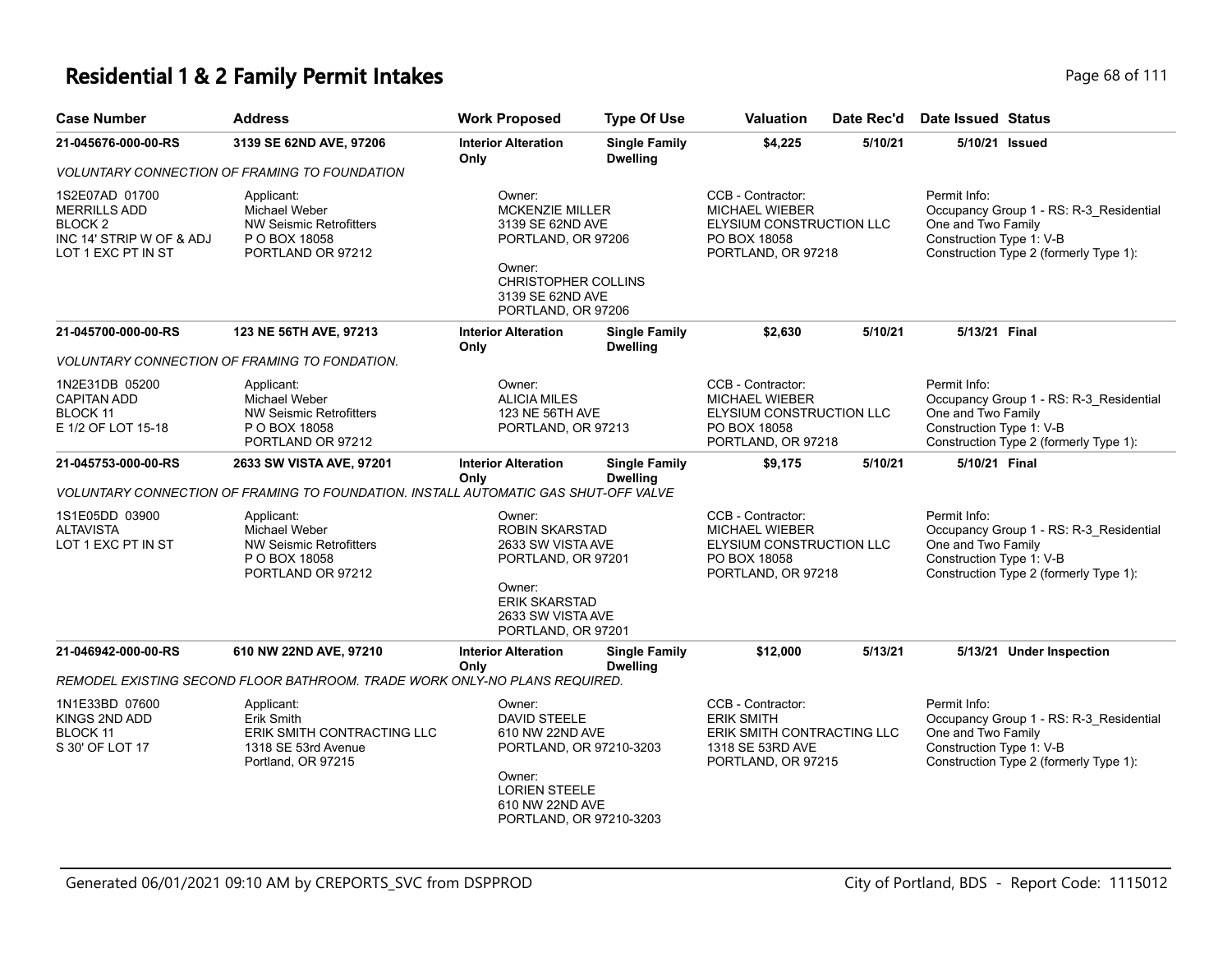| <b>Case Number</b>                                                                                 | <b>Address</b>                                                                                      | <b>Work Proposed</b>                                                                                                                                         | <b>Type Of Use</b>                      | <b>Valuation</b>                                                                                               | Date Rec'd | Date Issued Status                                             |                                                                                   |
|----------------------------------------------------------------------------------------------------|-----------------------------------------------------------------------------------------------------|--------------------------------------------------------------------------------------------------------------------------------------------------------------|-----------------------------------------|----------------------------------------------------------------------------------------------------------------|------------|----------------------------------------------------------------|-----------------------------------------------------------------------------------|
| 21-045676-000-00-RS                                                                                | 3139 SE 62ND AVE, 97206                                                                             | <b>Interior Alteration</b><br>Only                                                                                                                           | <b>Single Family</b><br><b>Dwelling</b> | \$4,225                                                                                                        | 5/10/21    | 5/10/21 Issued                                                 |                                                                                   |
|                                                                                                    | VOLUNTARY CONNECTION OF FRAMING TO FOUNDATION                                                       |                                                                                                                                                              |                                         |                                                                                                                |            |                                                                |                                                                                   |
| 1S2E07AD 01700<br><b>MERRILLS ADD</b><br>BLOCK 2<br>INC 14' STRIP W OF & ADJ<br>LOT 1 EXC PT IN ST | Applicant:<br>Michael Weber<br><b>NW Seismic Retrofitters</b><br>P O BOX 18058<br>PORTLAND OR 97212 | Owner:<br><b>MCKENZIE MILLER</b><br>3139 SE 62ND AVE<br>PORTLAND, OR 97206<br>Owner:<br><b>CHRISTOPHER COLLINS</b><br>3139 SE 62ND AVE<br>PORTLAND, OR 97206 |                                         | CCB - Contractor:<br><b>MICHAEL WIEBER</b><br>ELYSIUM CONSTRUCTION LLC<br>PO BOX 18058<br>PORTLAND, OR 97218   |            | Permit Info:<br>One and Two Family<br>Construction Type 1: V-B | Occupancy Group 1 - RS: R-3_Residential<br>Construction Type 2 (formerly Type 1): |
| 21-045700-000-00-RS                                                                                | 123 NE 56TH AVE, 97213                                                                              | <b>Interior Alteration</b><br>Only                                                                                                                           | <b>Single Family</b><br><b>Dwelling</b> | \$2,630                                                                                                        | 5/10/21    | 5/13/21 Final                                                  |                                                                                   |
|                                                                                                    | VOLUNTARY CONNECTION OF FRAMING TO FONDATION.                                                       |                                                                                                                                                              |                                         |                                                                                                                |            |                                                                |                                                                                   |
| 1N2E31DB 05200<br><b>CAPITAN ADD</b><br>BLOCK 11<br>E 1/2 OF LOT 15-18                             | Applicant:<br>Michael Weber<br><b>NW Seismic Retrofitters</b><br>P O BOX 18058<br>PORTLAND OR 97212 | Owner:<br><b>ALICIA MILES</b><br>123 NE 56TH AVE<br>PORTLAND, OR 97213                                                                                       |                                         | CCB - Contractor:<br><b>MICHAEL WIEBER</b><br>ELYSIUM CONSTRUCTION LLC<br>PO BOX 18058<br>PORTLAND, OR 97218   |            | Permit Info:<br>One and Two Family<br>Construction Type 1: V-B | Occupancy Group 1 - RS: R-3_Residential<br>Construction Type 2 (formerly Type 1): |
| 21-045753-000-00-RS                                                                                | 2633 SW VISTA AVE, 97201                                                                            | <b>Interior Alteration</b><br>Only                                                                                                                           | <b>Single Family</b><br><b>Dwelling</b> | \$9,175                                                                                                        | 5/10/21    | 5/10/21 Final                                                  |                                                                                   |
|                                                                                                    | VOLUNTARY CONNECTION OF FRAMING TO FOUNDATION. INSTALL AUTOMATIC GAS SHUT-OFF VALVE                 |                                                                                                                                                              |                                         |                                                                                                                |            |                                                                |                                                                                   |
| 1S1E05DD 03900<br><b>ALTAVISTA</b><br>LOT 1 EXC PT IN ST                                           | Applicant:<br>Michael Weber<br>NW Seismic Retrofitters<br>P O BOX 18058<br>PORTLAND OR 97212        | Owner:<br><b>ROBIN SKARSTAD</b><br>2633 SW VISTA AVE<br>PORTLAND, OR 97201<br>Owner:<br><b>ERIK SKARSTAD</b><br>2633 SW VISTA AVE<br>PORTLAND, OR 97201      |                                         | CCB - Contractor:<br><b>MICHAEL WIEBER</b><br>ELYSIUM CONSTRUCTION LLC<br>PO BOX 18058<br>PORTLAND, OR 97218   |            | Permit Info:<br>One and Two Family<br>Construction Type 1: V-B | Occupancy Group 1 - RS: R-3_Residential<br>Construction Type 2 (formerly Type 1): |
| 21-046942-000-00-RS                                                                                | 610 NW 22ND AVE, 97210                                                                              | <b>Interior Alteration</b><br>Only                                                                                                                           | <b>Single Family</b><br><b>Dwelling</b> | \$12,000                                                                                                       | 5/13/21    |                                                                | 5/13/21 Under Inspection                                                          |
|                                                                                                    | REMODEL EXISTING SECOND FLOOR BATHROOM. TRADE WORK ONLY-NO PLANS REQUIRED.                          |                                                                                                                                                              |                                         |                                                                                                                |            |                                                                |                                                                                   |
| 1N1E33BD 07600<br>KINGS 2ND ADD<br>BLOCK 11<br>S 30' OF LOT 17                                     | Applicant:<br>Erik Smith<br>ERIK SMITH CONTRACTING LLC<br>1318 SE 53rd Avenue<br>Portland, OR 97215 | Owner:<br>DAVID STEELE<br>610 NW 22ND AVE<br>PORTLAND, OR 97210-3203<br>Owner:<br><b>LORIEN STEELE</b><br>610 NW 22ND AVE<br>PORTLAND, OR 97210-3203         |                                         | CCB - Contractor:<br><b>ERIK SMITH</b><br>ERIK SMITH CONTRACTING LLC<br>1318 SE 53RD AVE<br>PORTLAND, OR 97215 |            | Permit Info:<br>One and Two Family<br>Construction Type 1: V-B | Occupancy Group 1 - RS: R-3 Residential<br>Construction Type 2 (formerly Type 1): |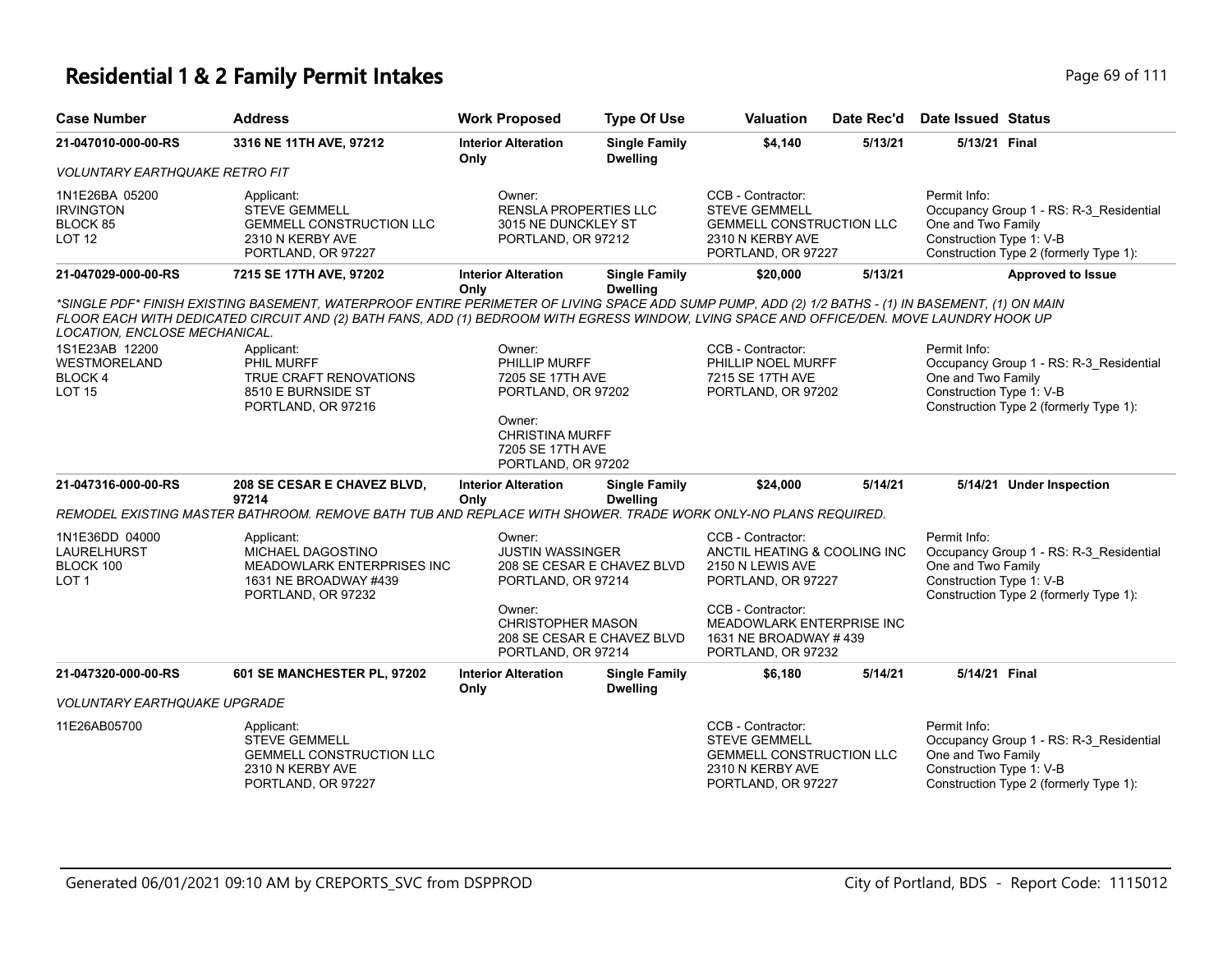| 21-047010-000-00-RS                                                 | 3316 NE 11TH AVE, 97212                                                                                                                                                                                                                                                                         | <b>Interior Alteration</b><br>Only                                                                    | <b>Single Family</b><br><b>Dwelling</b> | \$4,140                                                                                                                | 5/13/21 | 5/13/21 Final                                                                                                                                       |
|---------------------------------------------------------------------|-------------------------------------------------------------------------------------------------------------------------------------------------------------------------------------------------------------------------------------------------------------------------------------------------|-------------------------------------------------------------------------------------------------------|-----------------------------------------|------------------------------------------------------------------------------------------------------------------------|---------|-----------------------------------------------------------------------------------------------------------------------------------------------------|
| <b>VOLUNTARY EARTHQUAKE RETRO FIT</b>                               |                                                                                                                                                                                                                                                                                                 |                                                                                                       |                                         |                                                                                                                        |         |                                                                                                                                                     |
| 1N1E26BA 05200<br><b>IRVINGTON</b><br>BLOCK 85<br>LOT <sub>12</sub> | Applicant:<br><b>STEVE GEMMELL</b><br><b>GEMMELL CONSTRUCTION LLC</b><br>2310 N KERBY AVE<br>PORTLAND, OR 97227                                                                                                                                                                                 | Owner:<br><b>RENSLA PROPERTIES LLC</b><br>3015 NE DUNCKLEY ST<br>PORTLAND, OR 97212                   |                                         | CCB - Contractor:<br><b>STEVE GEMMELL</b><br><b>GEMMELL CONSTRUCTION LLC</b><br>2310 N KERBY AVE<br>PORTLAND, OR 97227 |         | Permit Info:<br>Occupancy Group 1 - RS: R-3_Residential<br>One and Two Family<br>Construction Type 1: V-B<br>Construction Type 2 (formerly Type 1): |
| 21-047029-000-00-RS                                                 | 7215 SE 17TH AVE, 97202                                                                                                                                                                                                                                                                         | <b>Interior Alteration</b><br>Only                                                                    | <b>Single Family</b><br><b>Dwelling</b> | \$20,000                                                                                                               | 5/13/21 | <b>Approved to Issue</b>                                                                                                                            |
| LOCATION, ENCLOSE MECHANICAL.                                       | *SINGLE PDF* FINISH EXISTING BASEMENT, WATERPROOF ENTIRE PERIMETER OF LIVING SPACE ADD SUMP PUMP, ADD (2) 1/2 BATHS - (1) IN BASEMENT, (1) ON MAIN<br>FLOOR EACH WITH DEDICATED CIRCUIT AND (2) BATH FANS, ADD (1) BEDROOM WITH EGRESS WINDOW, LVING SPACE AND OFFICE/DEN. MOVE LAUNDRY HOOK UP |                                                                                                       |                                         |                                                                                                                        |         |                                                                                                                                                     |
| 1S1E23AB 12200<br>WESTMORELAND<br>BLOCK 4<br><b>LOT 15</b>          | Applicant:<br>PHIL MURFF<br>TRUE CRAFT RENOVATIONS<br>8510 E BURNSIDE ST<br>PORTLAND, OR 97216                                                                                                                                                                                                  | Owner:<br>PHILLIP MURFF<br>7205 SE 17TH AVE<br>PORTLAND, OR 97202<br>Owner:<br><b>CHRISTINA MURFF</b> |                                         | CCB - Contractor:<br>PHILLIP NOEL MURFF<br>7215 SE 17TH AVE<br>PORTLAND, OR 97202                                      |         | Permit Info:<br>Occupancy Group 1 - RS: R-3 Residential<br>One and Two Family<br>Construction Type 1: V-B<br>Construction Type 2 (formerly Type 1): |
|                                                                     |                                                                                                                                                                                                                                                                                                 | 7205 SE 17TH AVE<br>PORTLAND, OR 97202                                                                |                                         | \$24,000                                                                                                               | 5/14/21 | 5/14/21 Under Inspection                                                                                                                            |
| 21-047316-000-00-RS                                                 | 208 SE CESAR E CHAVEZ BLVD,<br>97214                                                                                                                                                                                                                                                            | <b>Interior Alteration</b><br>Only                                                                    | <b>Single Family</b><br><b>Dwelling</b> |                                                                                                                        |         |                                                                                                                                                     |
|                                                                     | REMODEL EXISTING MASTER BATHROOM. REMOVE BATH TUB AND REPLACE WITH SHOWER. TRADE WORK ONLY-NO PLANS REQUIRED.                                                                                                                                                                                   |                                                                                                       |                                         |                                                                                                                        |         |                                                                                                                                                     |
| 1N1E36DD 04000<br>LAURELHURST<br>BLOCK 100<br>LOT <sub>1</sub>      | Applicant:<br>MICHAEL DAGOSTINO<br>MEADOWLARK ENTERPRISES INC<br>1631 NE BROADWAY #439<br>PORTLAND, OR 97232                                                                                                                                                                                    | Owner:<br><b>JUSTIN WASSINGER</b><br>PORTLAND, OR 97214                                               | 208 SE CESAR E CHAVEZ BLVD              | CCB - Contractor:<br>ANCTIL HEATING & COOLING INC<br>2150 N LEWIS AVE<br>PORTLAND, OR 97227                            |         | Permit Info:<br>Occupancy Group 1 - RS: R-3 Residential<br>One and Two Family<br>Construction Type 1: V-B<br>Construction Type 2 (formerly Type 1): |
|                                                                     |                                                                                                                                                                                                                                                                                                 | Owner:<br><b>CHRISTOPHER MASON</b><br>PORTLAND, OR 97214                                              | 208 SE CESAR E CHAVEZ BLVD              | CCB - Contractor:<br>MEADOWLARK ENTERPRISE INC<br>1631 NE BROADWAY #439<br>PORTLAND, OR 97232                          |         |                                                                                                                                                     |
| 21-047320-000-00-RS                                                 | 601 SE MANCHESTER PL, 97202                                                                                                                                                                                                                                                                     | <b>Interior Alteration</b><br>Only                                                                    | <b>Single Family</b><br><b>Dwelling</b> | \$6,180                                                                                                                | 5/14/21 | 5/14/21 Final                                                                                                                                       |
| <b>VOLUNTARY EARTHQUAKE UPGRADE</b>                                 |                                                                                                                                                                                                                                                                                                 |                                                                                                       |                                         |                                                                                                                        |         |                                                                                                                                                     |
| 11E26AB05700                                                        | Applicant:<br><b>STEVE GEMMELL</b><br><b>GEMMELL CONSTRUCTION LLC</b><br>2310 N KERBY AVE<br>PORTLAND, OR 97227                                                                                                                                                                                 |                                                                                                       |                                         | CCB - Contractor:<br><b>STEVE GEMMELL</b><br><b>GEMMELL CONSTRUCTION LLC</b><br>2310 N KERBY AVE<br>PORTLAND, OR 97227 |         | Permit Info:<br>Occupancy Group 1 - RS: R-3_Residential<br>One and Two Family<br>Construction Type 1: V-B<br>Construction Type 2 (formerly Type 1): |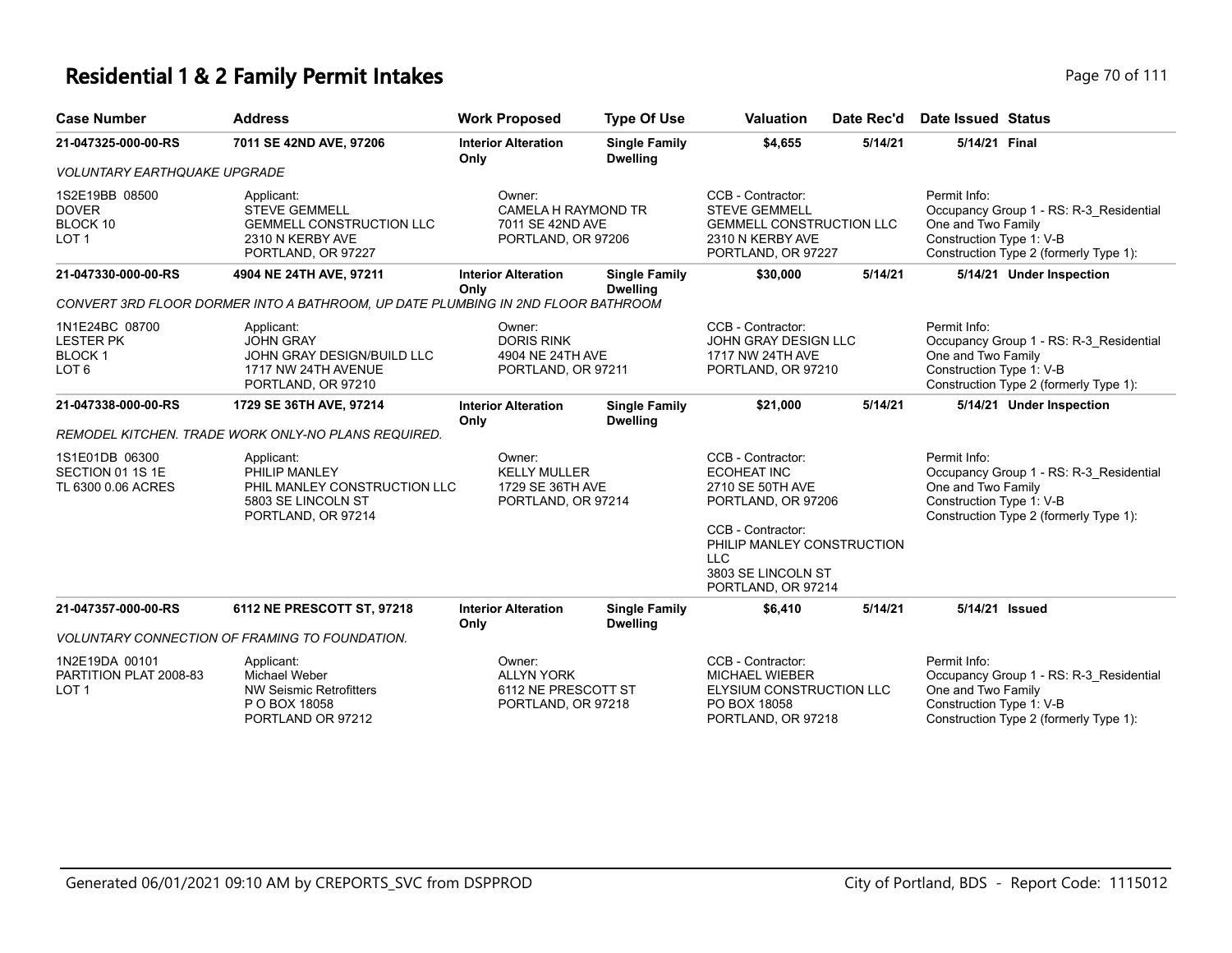### **Residential 1 & 2 Family Permit Intakes Page 70 of 111**

| <b>Case Number</b>                                                      | <b>Address</b>                                                                                                  | <b>Work Proposed</b>                                                    | <b>Type Of Use</b>                      | <b>Valuation</b>                                                                                                                      | Date Rec'd | Date Issued Status                                             |                                                                                   |
|-------------------------------------------------------------------------|-----------------------------------------------------------------------------------------------------------------|-------------------------------------------------------------------------|-----------------------------------------|---------------------------------------------------------------------------------------------------------------------------------------|------------|----------------------------------------------------------------|-----------------------------------------------------------------------------------|
| 21-047325-000-00-RS                                                     | 7011 SE 42ND AVE, 97206                                                                                         | <b>Interior Alteration</b><br>Only                                      | <b>Single Family</b><br><b>Dwelling</b> | \$4,655                                                                                                                               | 5/14/21    | 5/14/21 Final                                                  |                                                                                   |
| <b>VOLUNTARY EARTHQUAKE UPGRADE</b>                                     |                                                                                                                 |                                                                         |                                         |                                                                                                                                       |            |                                                                |                                                                                   |
| 1S2E19BB 08500<br><b>DOVER</b><br>BLOCK 10<br>LOT <sub>1</sub>          | Applicant:<br><b>STEVE GEMMELL</b><br><b>GEMMELL CONSTRUCTION LLC</b><br>2310 N KERBY AVE<br>PORTLAND, OR 97227 | Owner:<br>CAMELA H RAYMOND TR<br>7011 SE 42ND AVE<br>PORTLAND, OR 97206 |                                         | CCB - Contractor:<br><b>STEVE GEMMELL</b><br><b>GEMMELL CONSTRUCTION LLC</b><br>2310 N KERBY AVE<br>PORTLAND, OR 97227                |            | Permit Info:<br>One and Two Family<br>Construction Type 1: V-B | Occupancy Group 1 - RS: R-3 Residential<br>Construction Type 2 (formerly Type 1): |
| 21-047330-000-00-RS                                                     | 4904 NE 24TH AVE, 97211                                                                                         | <b>Interior Alteration</b><br>Only                                      | <b>Single Family</b><br><b>Dwelling</b> | \$30,000                                                                                                                              | 5/14/21    |                                                                | 5/14/21 Under Inspection                                                          |
|                                                                         | CONVERT 3RD FLOOR DORMER INTO A BATHROOM, UP DATE PLUMBING IN 2ND FLOOR BATHROOM                                |                                                                         |                                         |                                                                                                                                       |            |                                                                |                                                                                   |
| 1N1E24BC 08700<br><b>LESTER PK</b><br><b>BLOCK1</b><br>LOT <sub>6</sub> | Applicant:<br><b>JOHN GRAY</b><br>JOHN GRAY DESIGN/BUILD LLC<br>1717 NW 24TH AVENUE<br>PORTLAND, OR 97210       | Owner:<br><b>DORIS RINK</b><br>4904 NE 24TH AVE<br>PORTLAND, OR 97211   |                                         | CCB - Contractor:<br>JOHN GRAY DESIGN LLC<br>1717 NW 24TH AVE<br>PORTLAND, OR 97210                                                   |            | Permit Info:<br>One and Two Family<br>Construction Type 1: V-B | Occupancy Group 1 - RS: R-3 Residential<br>Construction Type 2 (formerly Type 1): |
| 21-047338-000-00-RS                                                     | 1729 SE 36TH AVE, 97214                                                                                         | <b>Interior Alteration</b><br>Only                                      | <b>Single Family</b><br><b>Dwelling</b> | \$21,000                                                                                                                              | 5/14/21    |                                                                | 5/14/21 Under Inspection                                                          |
|                                                                         | REMODEL KITCHEN. TRADE WORK ONLY-NO PLANS REQUIRED.                                                             |                                                                         |                                         |                                                                                                                                       |            |                                                                |                                                                                   |
| 1S1E01DB 06300<br>SECTION 01 1S 1E<br>TL 6300 0.06 ACRES                | Applicant:<br>PHILIP MANLEY<br>PHIL MANLEY CONSTRUCTION LLC<br>5803 SE LINCOLN ST<br>PORTLAND, OR 97214         | Owner:<br><b>KELLY MULLER</b><br>1729 SE 36TH AVE<br>PORTLAND, OR 97214 |                                         | CCB - Contractor:<br><b>ECOHEAT INC</b><br>2710 SE 50TH AVE<br>PORTLAND, OR 97206<br>CCB - Contractor:<br>DUILID MANILEV CONCTDUCTION |            | Permit Info:<br>One and Two Family<br>Construction Type 1: V-B | Occupancy Group 1 - RS: R-3 Residential<br>Construction Type 2 (formerly Type 1): |

|                                                   |                                                                                              | PHILIP MANLET CONSTRUCTION<br>LLC.<br>3803 SE LINCOLN ST<br>PORTLAND, OR 97214 |                                         |                                                                                                       |         |                                                                                                                                                     |  |  |
|---------------------------------------------------|----------------------------------------------------------------------------------------------|--------------------------------------------------------------------------------|-----------------------------------------|-------------------------------------------------------------------------------------------------------|---------|-----------------------------------------------------------------------------------------------------------------------------------------------------|--|--|
| 21-047357-000-00-RS                               | 6112 NE PRESCOTT ST, 97218                                                                   | <b>Interior Alteration</b><br>Only                                             | <b>Single Family</b><br><b>Dwelling</b> | \$6,410                                                                                               | 5/14/21 | 5/14/21 Issued                                                                                                                                      |  |  |
|                                                   | <i>VOLUNTARY CONNECTION OF FRAMING TO FOUNDATION.</i>                                        |                                                                                |                                         |                                                                                                       |         |                                                                                                                                                     |  |  |
| 1N2E19DA 00101<br>PARTITION PLAT 2008-83<br>LOT 1 | Applicant:<br>Michael Weber<br>NW Seismic Retrofitters<br>P O BOX 18058<br>PORTLAND OR 97212 | Owner:<br><b>ALLYN YORK</b><br>6112 NE PRESCOTT ST<br>PORTLAND, OR 97218       |                                         | CCB - Contractor:<br>MICHAEL WIEBER<br>ELYSIUM CONSTRUCTION LLC<br>PO BOX 18058<br>PORTLAND, OR 97218 |         | Permit Info:<br>Occupancy Group 1 - RS: R-3 Residential<br>One and Two Family<br>Construction Type 1: V-B<br>Construction Type 2 (formerly Type 1): |  |  |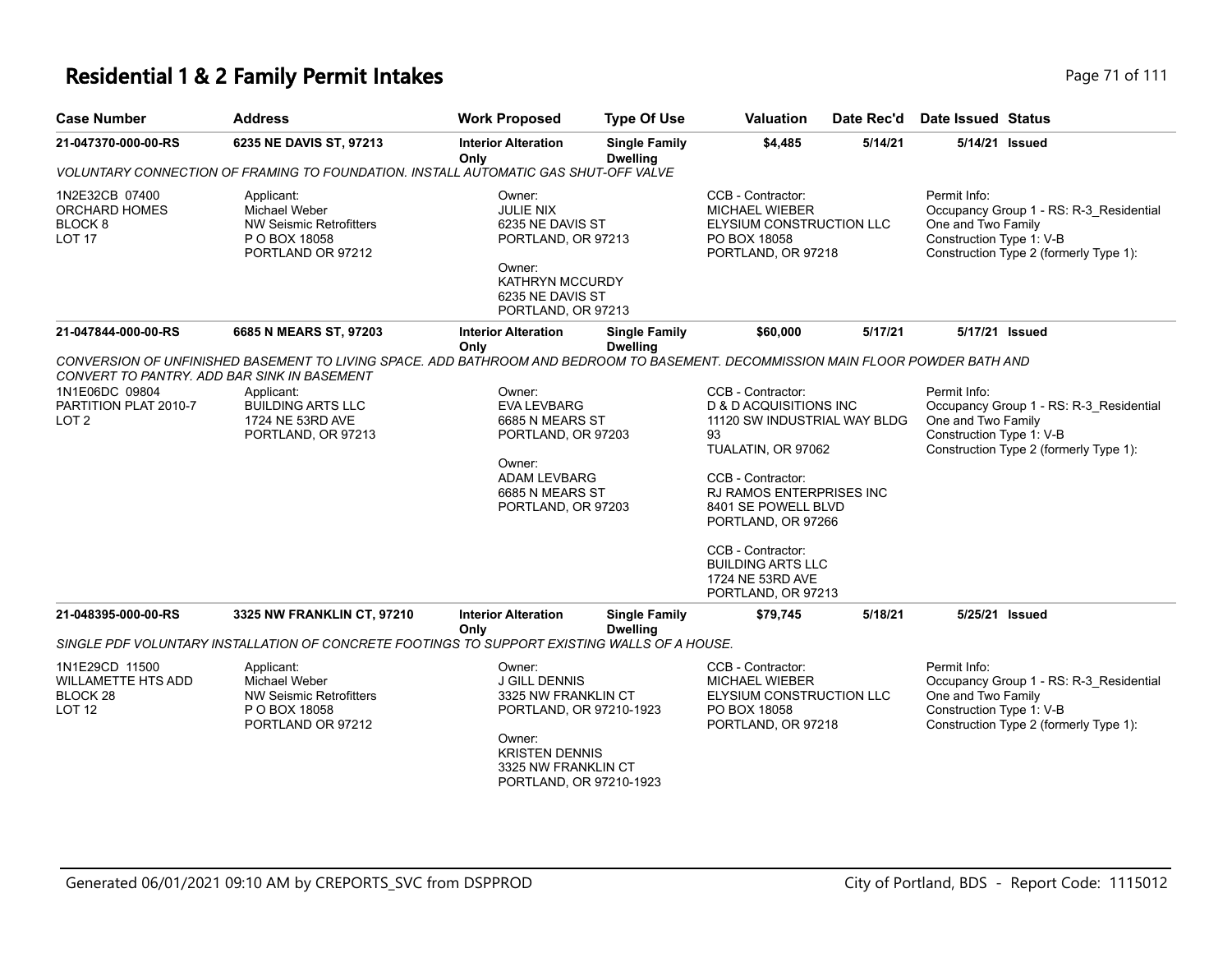## **Residential 1 & 2 Family Permit Intakes Page 71 of 111**

| Residential T& Z Family Permit intakes |                               |                     |               |               |                |                                         |  |
|----------------------------------------|-------------------------------|---------------------|---------------|---------------|----------------|-----------------------------------------|--|
| <b>Case Number</b>                     | Address                       | Work Proposed       | Type Of Use   |               |                | Valuation Date Rec'd Date Issued Status |  |
| <b>24 047270 000 00 DC</b>             | <b>CORE NE DAVIS ST 07942</b> | Intorior Altoration | Single Family | <b>CA AQE</b> | <b>EIAAI94</b> | $E/4A/24$ leeued                        |  |

| 21-047370-000-00-RS                                                        | 6235 NE DAVIS ST, 97213                                                                                                          | <b>Interior Alteration</b><br>Only                                                                                                                                    | <b>Single Family</b><br><b>Dwelling</b> | \$4,485                                                                                                                                                                                                                                                                                                     | 5/14/21 | 5/14/21 Issued                                                                                                                                      |
|----------------------------------------------------------------------------|----------------------------------------------------------------------------------------------------------------------------------|-----------------------------------------------------------------------------------------------------------------------------------------------------------------------|-----------------------------------------|-------------------------------------------------------------------------------------------------------------------------------------------------------------------------------------------------------------------------------------------------------------------------------------------------------------|---------|-----------------------------------------------------------------------------------------------------------------------------------------------------|
|                                                                            | VOLUNTARY CONNECTION OF FRAMING TO FOUNDATION. INSTALL AUTOMATIC GAS SHUT-OFF VALVE                                              |                                                                                                                                                                       |                                         |                                                                                                                                                                                                                                                                                                             |         |                                                                                                                                                     |
| 1N2E32CB 07400<br>ORCHARD HOMES<br>BLOCK <sub>8</sub><br>LOT <sub>17</sub> | Applicant:<br><b>Michael Weber</b><br><b>NW Seismic Retrofitters</b><br>P O BOX 18058<br>PORTLAND OR 97212                       | Owner:<br><b>JULIE NIX</b><br>6235 NE DAVIS ST<br>PORTLAND, OR 97213<br>Owner:<br><b>KATHRYN MCCURDY</b><br>6235 NE DAVIS ST<br>PORTLAND, OR 97213                    |                                         | CCB - Contractor:<br><b>MICHAEL WIEBER</b><br>ELYSIUM CONSTRUCTION LLC<br>PO BOX 18058<br>PORTLAND, OR 97218                                                                                                                                                                                                |         | Permit Info:<br>Occupancy Group 1 - RS: R-3 Residential<br>One and Two Family<br>Construction Type 1: V-B<br>Construction Type 2 (formerly Type 1): |
| 21-047844-000-00-RS                                                        | 6685 N MEARS ST, 97203                                                                                                           | <b>Interior Alteration</b><br>Only                                                                                                                                    | <b>Single Family</b><br><b>Dwelling</b> | \$60,000                                                                                                                                                                                                                                                                                                    | 5/17/21 | 5/17/21 Issued                                                                                                                                      |
| CONVERT TO PANTRY, ADD BAR SINK IN BASEMENT                                | CONVERSION OF UNFINISHED BASEMENT TO LIVING SPACE. ADD BATHROOM AND BEDROOM TO BASEMENT. DECOMMISSION MAIN FLOOR POWDER BATH AND |                                                                                                                                                                       |                                         |                                                                                                                                                                                                                                                                                                             |         |                                                                                                                                                     |
| 1N1E06DC 09804<br>PARTITION PLAT 2010-7<br>LOT <sub>2</sub>                | Applicant:<br><b>BUILDING ARTS LLC</b><br>1724 NE 53RD AVE<br>PORTLAND, OR 97213                                                 | Owner:<br><b>EVA LEVBARG</b><br>6685 N MEARS ST<br>PORTLAND, OR 97203<br>Owner:<br><b>ADAM LEVBARG</b><br>6685 N MEARS ST<br>PORTLAND, OR 97203                       |                                         | CCB - Contractor:<br><b>D &amp; D ACQUISITIONS INC</b><br>11120 SW INDUSTRIAL WAY BLDG<br>93<br>TUALATIN, OR 97062<br>CCB - Contractor:<br>RJ RAMOS ENTERPRISES INC<br>8401 SE POWELL BLVD<br>PORTLAND, OR 97266<br>CCB - Contractor:<br><b>BUILDING ARTS LLC</b><br>1724 NE 53RD AVE<br>PORTLAND, OR 97213 |         | Permit Info:<br>Occupancy Group 1 - RS: R-3 Residential<br>One and Two Family<br>Construction Type 1: V-B<br>Construction Type 2 (formerly Type 1): |
| 21-048395-000-00-RS                                                        | 3325 NW FRANKLIN CT, 97210                                                                                                       | <b>Interior Alteration</b><br>Only                                                                                                                                    | <b>Single Family</b><br><b>Dwelling</b> | \$79,745                                                                                                                                                                                                                                                                                                    | 5/18/21 | 5/25/21 Issued                                                                                                                                      |
|                                                                            | SINGLE PDF VOLUNTARY INSTALLATION OF CONCRETE FOOTINGS TO SUPPORT EXISTING WALLS OF A HOUSE.                                     |                                                                                                                                                                       |                                         |                                                                                                                                                                                                                                                                                                             |         |                                                                                                                                                     |
| 1N1E29CD 11500<br><b>WILLAMETTE HTS ADD</b><br>BLOCK 28<br><b>LOT 12</b>   | Applicant:<br><b>Michael Weber</b><br><b>NW Seismic Retrofitters</b><br>P O BOX 18058<br>PORTLAND OR 97212                       | Owner:<br><b>J GILL DENNIS</b><br>3325 NW FRANKLIN CT<br>PORTLAND, OR 97210-1923<br>Owner:<br><b>KRISTEN DENNIS</b><br>3325 NW FRANKLIN CT<br>PORTLAND, OR 97210-1923 |                                         | CCB - Contractor:<br><b>MICHAEL WIEBER</b><br>ELYSIUM CONSTRUCTION LLC<br>PO BOX 18058<br>PORTLAND, OR 97218                                                                                                                                                                                                |         | Permit Info:<br>Occupancy Group 1 - RS: R-3_Residential<br>One and Two Family<br>Construction Type 1: V-B<br>Construction Type 2 (formerly Type 1): |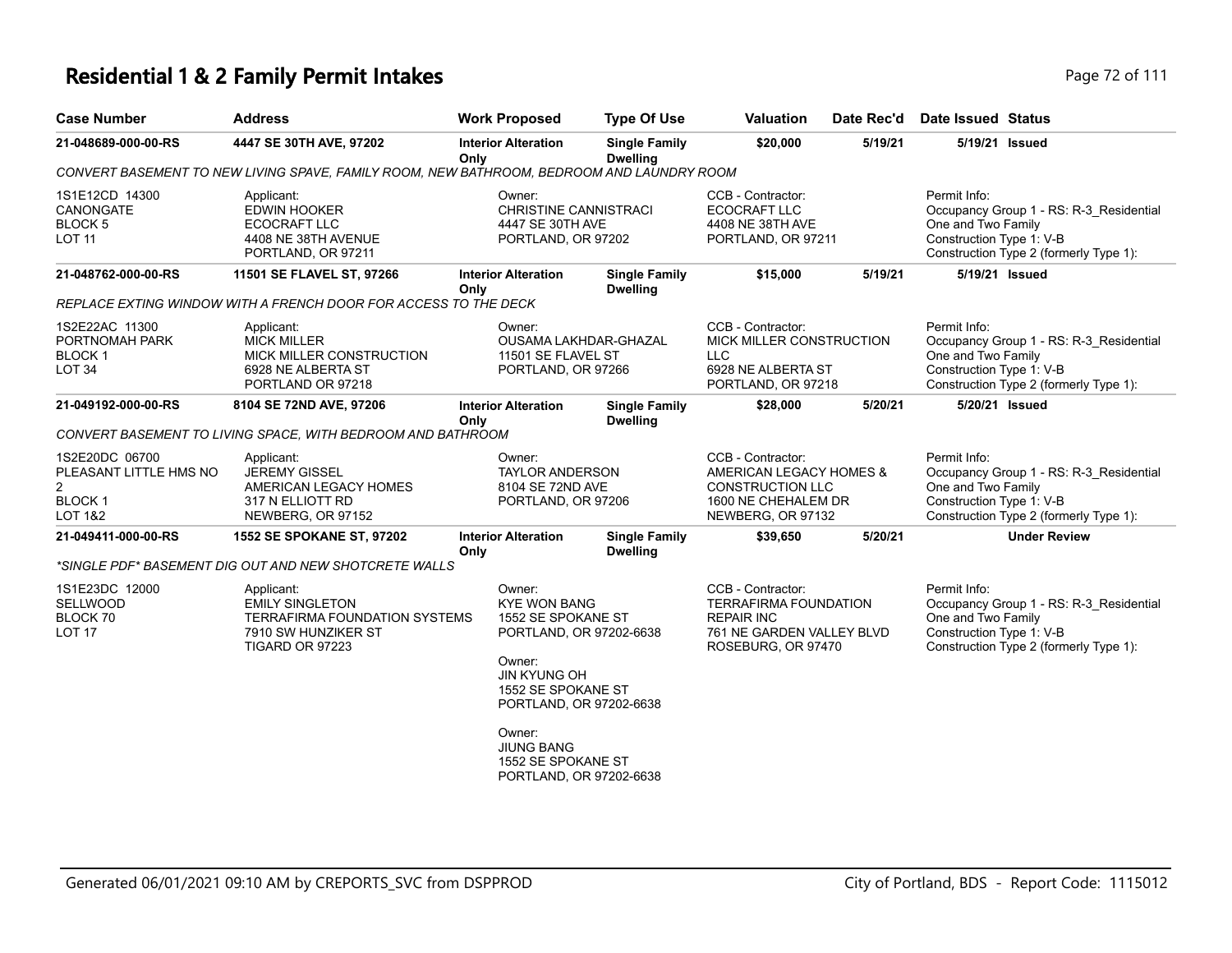## **Residential 1 & 2 Family Permit Intakes Page 72 of 111**

| <b>Case Number</b>                                                                        | <b>Address</b>                                                                                                  | <b>Work Proposed</b>                                                                                                                                                                                                                             | <b>Type Of Use</b>                      | <b>Valuation</b>                                                                                                          | Date Rec'd | <b>Date Issued Status</b>                                                                                                                           |  |  |
|-------------------------------------------------------------------------------------------|-----------------------------------------------------------------------------------------------------------------|--------------------------------------------------------------------------------------------------------------------------------------------------------------------------------------------------------------------------------------------------|-----------------------------------------|---------------------------------------------------------------------------------------------------------------------------|------------|-----------------------------------------------------------------------------------------------------------------------------------------------------|--|--|
| 21-048689-000-00-RS                                                                       | 4447 SE 30TH AVE, 97202                                                                                         | <b>Interior Alteration</b><br>Onlv                                                                                                                                                                                                               | <b>Single Family</b><br><b>Dwelling</b> | \$20,000                                                                                                                  | 5/19/21    | 5/19/21 Issued                                                                                                                                      |  |  |
| CONVERT BASEMENT TO NEW LIVING SPAVE, FAMILY ROOM, NEW BATHROOM, BEDROOM AND LAUNDRY ROOM |                                                                                                                 |                                                                                                                                                                                                                                                  |                                         |                                                                                                                           |            |                                                                                                                                                     |  |  |
| 1S1E12CD 14300<br>CANONGATE<br><b>BLOCK 5</b><br><b>LOT 11</b>                            | Applicant:<br><b>EDWIN HOOKER</b><br><b>ECOCRAFT LLC</b><br>4408 NE 38TH AVENUE<br>PORTLAND, OR 97211           | Owner:<br><b>CHRISTINE CANNISTRACI</b><br>4447 SE 30TH AVE<br>PORTLAND, OR 97202                                                                                                                                                                 |                                         | CCB - Contractor:<br><b>ECOCRAFT LLC</b><br>4408 NE 38TH AVE<br>PORTLAND, OR 97211                                        |            | Permit Info:<br>Occupancy Group 1 - RS: R-3 Residential<br>One and Two Family<br>Construction Type 1: V-B<br>Construction Type 2 (formerly Type 1): |  |  |
| 21-048762-000-00-RS                                                                       | 11501 SE FLAVEL ST, 97266                                                                                       | <b>Interior Alteration</b><br>Only                                                                                                                                                                                                               | <b>Single Family</b><br><b>Dwelling</b> | \$15,000                                                                                                                  | 5/19/21    | 5/19/21 Issued                                                                                                                                      |  |  |
|                                                                                           | REPLACE EXTING WINDOW WITH A FRENCH DOOR FOR ACCESS TO THE DECK                                                 |                                                                                                                                                                                                                                                  |                                         |                                                                                                                           |            |                                                                                                                                                     |  |  |
| 1S2E22AC 11300<br>PORTNOMAH PARK<br><b>BLOCK1</b><br>LOT <sub>34</sub>                    | Applicant:<br><b>MICK MILLER</b><br>MICK MILLER CONSTRUCTION<br>6928 NE ALBERTA ST<br>PORTLAND OR 97218         | Owner:<br>OUSAMA LAKHDAR-GHAZAL<br>11501 SE FLAVEL ST<br>PORTLAND, OR 97266                                                                                                                                                                      |                                         | CCB - Contractor:<br>MICK MILLER CONSTRUCTION<br><b>LLC</b><br>6928 NE ALBERTA ST<br>PORTLAND, OR 97218                   |            | Permit Info:<br>Occupancy Group 1 - RS: R-3_Residential<br>One and Two Family<br>Construction Type 1: V-B<br>Construction Type 2 (formerly Type 1): |  |  |
| 21-049192-000-00-RS                                                                       | 8104 SE 72ND AVE, 97206                                                                                         | <b>Interior Alteration</b><br>Only                                                                                                                                                                                                               | <b>Single Family</b><br><b>Dwelling</b> | \$28,000                                                                                                                  | 5/20/21    | 5/20/21 Issued                                                                                                                                      |  |  |
|                                                                                           | CONVERT BASEMENT TO LIVING SPACE, WITH BEDROOM AND BATHROOM                                                     |                                                                                                                                                                                                                                                  |                                         |                                                                                                                           |            |                                                                                                                                                     |  |  |
| 1S2E20DC 06700<br>PLEASANT LITTLE HMS NO<br>$\overline{2}$<br><b>BLOCK1</b><br>LOT 1&2    | Applicant:<br><b>JEREMY GISSEL</b><br>AMERICAN LEGACY HOMES<br>317 N ELLIOTT RD<br>NEWBERG, OR 97152            | Owner:<br><b>TAYLOR ANDERSON</b><br>8104 SE 72ND AVE<br>PORTLAND, OR 97206                                                                                                                                                                       |                                         | CCB - Contractor:<br>AMERICAN LEGACY HOMES &<br><b>CONSTRUCTION LLC</b><br>1600 NE CHEHALEM DR<br>NEWBERG, OR 97132       |            | Permit Info:<br>Occupancy Group 1 - RS: R-3_Residential<br>One and Two Family<br>Construction Type 1: V-B<br>Construction Type 2 (formerly Type 1): |  |  |
| 21-049411-000-00-RS                                                                       | 1552 SE SPOKANE ST, 97202<br>*SINGLE PDF* BASEMENT DIG OUT AND NEW SHOTCRETE WALLS                              | <b>Interior Alteration</b><br>Only                                                                                                                                                                                                               | <b>Single Family</b><br><b>Dwelling</b> | \$39,650                                                                                                                  | 5/20/21    | <b>Under Review</b>                                                                                                                                 |  |  |
| 1S1E23DC 12000<br>SELLWOOD<br>BLOCK 70<br><b>LOT 17</b>                                   | Applicant:<br><b>EMILY SINGLETON</b><br>TERRAFIRMA FOUNDATION SYSTEMS<br>7910 SW HUNZIKER ST<br>TIGARD OR 97223 | Owner:<br><b>KYE WON BANG</b><br>1552 SE SPOKANE ST<br>PORTLAND, OR 97202-6638<br>Owner:<br><b>JIN KYUNG OH</b><br>1552 SE SPOKANE ST<br>PORTLAND, OR 97202-6638<br>Owner:<br><b>JIUNG BANG</b><br>1552 SE SPOKANE ST<br>PORTLAND, OR 97202-6638 |                                         | CCB - Contractor:<br><b>TERRAFIRMA FOUNDATION</b><br><b>REPAIR INC</b><br>761 NE GARDEN VALLEY BLVD<br>ROSEBURG, OR 97470 |            | Permit Info:<br>Occupancy Group 1 - RS: R-3_Residential<br>One and Two Family<br>Construction Type 1: V-B<br>Construction Type 2 (formerly Type 1): |  |  |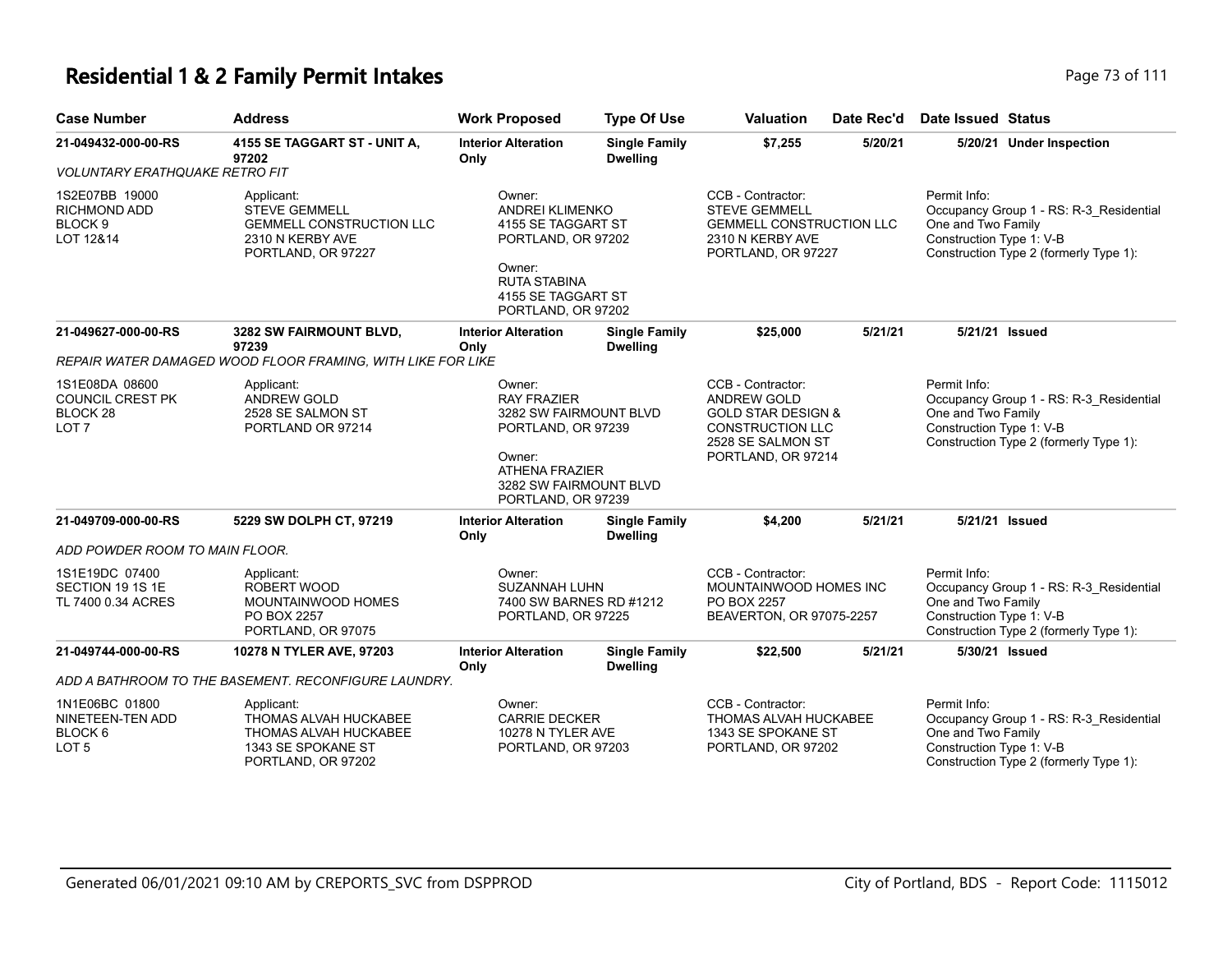### **Residential 1 & 2 Family Permit Intakes Page 73 of 111**

| <b>Case Number</b>                                                        | <b>Address</b>                                                                                                  | <b>Work Proposed</b>                                                                                                                                            | <b>Type Of Use</b>                      | <b>Valuation</b>                                                                                                                               | Date Rec'd | <b>Date Issued Status</b>                                                                                                                           |  |
|---------------------------------------------------------------------------|-----------------------------------------------------------------------------------------------------------------|-----------------------------------------------------------------------------------------------------------------------------------------------------------------|-----------------------------------------|------------------------------------------------------------------------------------------------------------------------------------------------|------------|-----------------------------------------------------------------------------------------------------------------------------------------------------|--|
| 21-049432-000-00-RS                                                       | 4155 SE TAGGART ST - UNIT A,                                                                                    | <b>Interior Alteration</b>                                                                                                                                      | <b>Single Family</b>                    | \$7,255                                                                                                                                        | 5/20/21    | 5/20/21 Under Inspection                                                                                                                            |  |
| <b>VOLUNTARY ERATHQUAKE RETRO FIT</b>                                     | 97202                                                                                                           | Only                                                                                                                                                            | <b>Dwelling</b>                         |                                                                                                                                                |            |                                                                                                                                                     |  |
| 1S2E07BB 19000<br><b>RICHMOND ADD</b><br>BLOCK <sub>9</sub><br>LOT 12&14  | Applicant:<br><b>STEVE GEMMELL</b><br><b>GEMMELL CONSTRUCTION LLC</b><br>2310 N KERBY AVE<br>PORTLAND, OR 97227 | Owner:<br><b>ANDREI KLIMENKO</b><br>4155 SE TAGGART ST<br>PORTLAND, OR 97202<br>Owner:<br><b>RUTA STABINA</b><br>4155 SE TAGGART ST<br>PORTLAND, OR 97202       |                                         | CCB - Contractor:<br><b>STEVE GEMMELL</b><br><b>GEMMELL CONSTRUCTION LLC</b><br>2310 N KERBY AVE<br>PORTLAND, OR 97227                         |            | Permit Info:<br>Occupancy Group 1 - RS: R-3_Residential<br>One and Two Family<br>Construction Type 1: V-B<br>Construction Type 2 (formerly Type 1): |  |
| 21-049627-000-00-RS                                                       | 3282 SW FAIRMOUNT BLVD,<br>97239                                                                                | <b>Interior Alteration</b><br>Only                                                                                                                              | <b>Single Family</b><br><b>Dwelling</b> | \$25,000                                                                                                                                       | 5/21/21    | 5/21/21 Issued                                                                                                                                      |  |
|                                                                           | REPAIR WATER DAMAGED WOOD FLOOR FRAMING, WITH LIKE FOR LIKE                                                     |                                                                                                                                                                 |                                         |                                                                                                                                                |            |                                                                                                                                                     |  |
| 1S1E08DA 08600<br><b>COUNCIL CREST PK</b><br>BLOCK 28<br>LOT <sub>7</sub> | Applicant:<br>ANDREW GOLD<br>2528 SE SALMON ST<br>PORTLAND OR 97214                                             | Owner:<br><b>RAY FRAZIER</b><br>3282 SW FAIRMOUNT BLVD<br>PORTLAND, OR 97239<br>Owner:<br><b>ATHENA FRAZIER</b><br>3282 SW FAIRMOUNT BLVD<br>PORTLAND, OR 97239 |                                         | CCB - Contractor:<br><b>ANDREW GOLD</b><br><b>GOLD STAR DESIGN &amp;</b><br><b>CONSTRUCTION LLC</b><br>2528 SE SALMON ST<br>PORTLAND, OR 97214 |            | Permit Info:<br>Occupancy Group 1 - RS: R-3_Residential<br>One and Two Family<br>Construction Type 1: V-B<br>Construction Type 2 (formerly Type 1): |  |
| 21-049709-000-00-RS                                                       | 5229 SW DOLPH CT, 97219                                                                                         | <b>Interior Alteration</b><br>Only                                                                                                                              | <b>Single Family</b><br><b>Dwelling</b> | \$4,200                                                                                                                                        | 5/21/21    | 5/21/21 Issued                                                                                                                                      |  |
| ADD POWDER ROOM TO MAIN FLOOR.                                            |                                                                                                                 |                                                                                                                                                                 |                                         |                                                                                                                                                |            |                                                                                                                                                     |  |
| 1S1E19DC 07400<br>SECTION 19 1S 1E<br>TL 7400 0.34 ACRES                  | Applicant:<br>ROBERT WOOD<br><b>MOUNTAINWOOD HOMES</b><br>PO BOX 2257<br>PORTLAND, OR 97075                     | Owner:<br><b>SUZANNAH LUHN</b><br>7400 SW BARNES RD #1212<br>PORTLAND, OR 97225                                                                                 |                                         | CCB - Contractor:<br>MOUNTAINWOOD HOMES INC<br>PO BOX 2257<br>BEAVERTON, OR 97075-2257                                                         |            | Permit Info:<br>Occupancy Group 1 - RS: R-3 Residential<br>One and Two Family<br>Construction Type 1: V-B<br>Construction Type 2 (formerly Type 1): |  |
| 21-049744-000-00-RS                                                       | 10278 N TYLER AVE, 97203                                                                                        | <b>Interior Alteration</b><br>Only                                                                                                                              | <b>Single Family</b><br><b>Dwelling</b> | \$22,500                                                                                                                                       | 5/21/21    | 5/30/21 Issued                                                                                                                                      |  |
|                                                                           | ADD A BATHROOM TO THE BASEMENT. RECONFIGURE LAUNDRY.                                                            |                                                                                                                                                                 |                                         |                                                                                                                                                |            |                                                                                                                                                     |  |
| 1N1E06BC 01800<br>NINETEEN-TEN ADD<br>BLOCK 6<br>LOT <sub>5</sub>         | Applicant:<br>THOMAS ALVAH HUCKABEE<br>THOMAS ALVAH HUCKABEE<br>1343 SE SPOKANE ST<br>PORTLAND, OR 97202        | Owner:<br><b>CARRIE DECKER</b><br>10278 N TYLER AVE<br>PORTLAND, OR 97203                                                                                       |                                         | CCB - Contractor:<br>THOMAS ALVAH HUCKABEE<br>1343 SE SPOKANE ST<br>PORTLAND, OR 97202                                                         |            | Permit Info:<br>Occupancy Group 1 - RS: R-3_Residential<br>One and Two Family<br>Construction Type 1: V-B<br>Construction Type 2 (formerly Type 1): |  |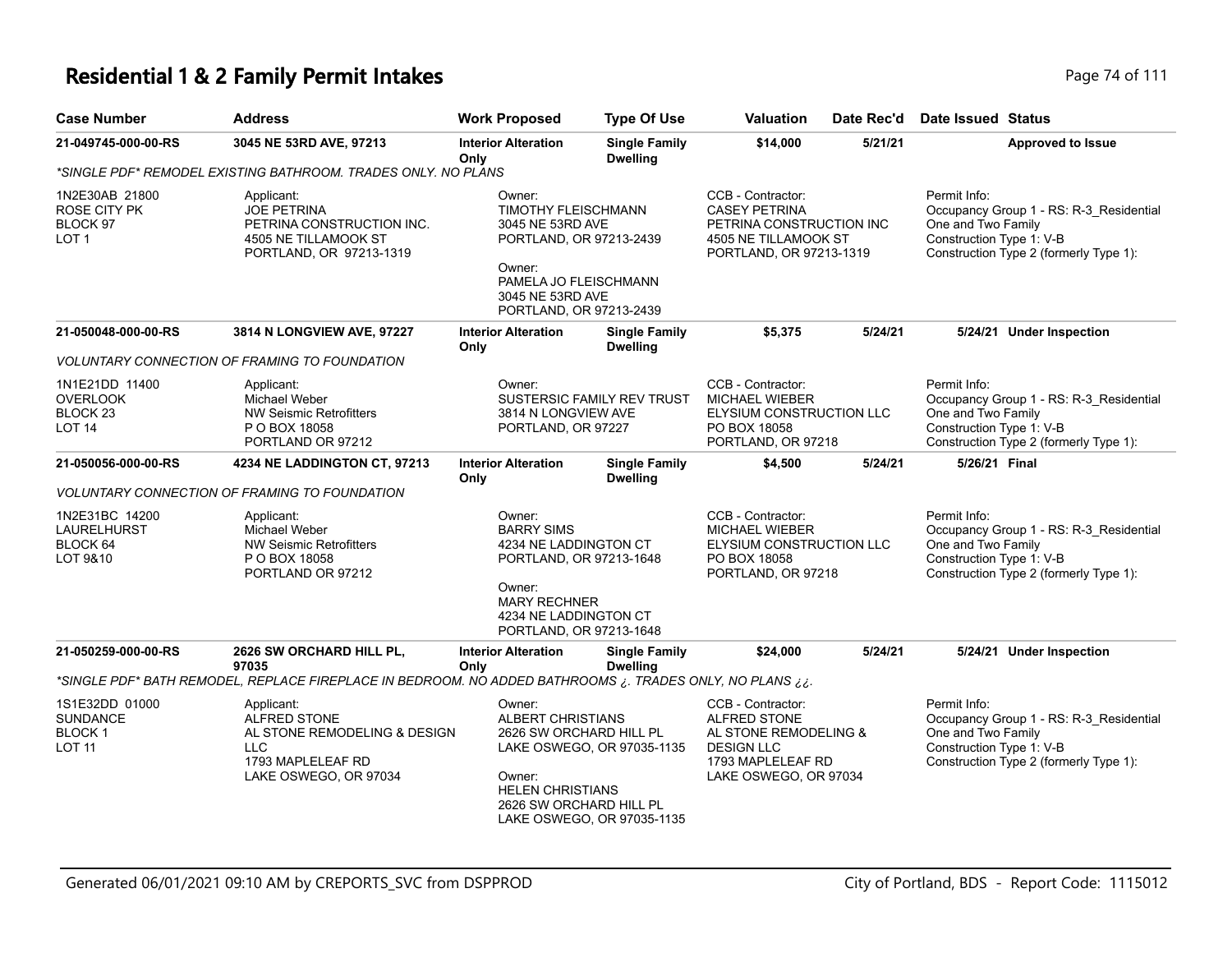### **Residential 1 & 2 Family Permit Intakes Page 74 of 111**

| <b>Case Number</b>                                                            | <b>Address</b>                                                                                                         | <b>Work Proposed</b>                                                                                                          | <b>Type Of Use</b>                                                                               | <b>Valuation</b>                                                                                                              | Date Rec'd                                     | <b>Date Issued Status</b>                                                                                                                           |
|-------------------------------------------------------------------------------|------------------------------------------------------------------------------------------------------------------------|-------------------------------------------------------------------------------------------------------------------------------|--------------------------------------------------------------------------------------------------|-------------------------------------------------------------------------------------------------------------------------------|------------------------------------------------|-----------------------------------------------------------------------------------------------------------------------------------------------------|
| 21-049745-000-00-RS                                                           | 3045 NE 53RD AVE, 97213                                                                                                | <b>Interior Alteration</b><br>Only                                                                                            | <b>Single Family</b><br><b>Dwelling</b>                                                          | \$14,000                                                                                                                      | 5/21/21                                        | <b>Approved to Issue</b>                                                                                                                            |
|                                                                               | *SINGLE PDF* REMODEL EXISTING BATHROOM. TRADES ONLY. NO PLANS                                                          |                                                                                                                               |                                                                                                  |                                                                                                                               |                                                |                                                                                                                                                     |
| 1N2E30AB 21800<br>ROSE CITY PK<br>BLOCK 97<br>LOT 1                           | Applicant:<br><b>JOE PETRINA</b><br>PETRINA CONSTRUCTION INC.<br>4505 NE TILLAMOOK ST<br>PORTLAND, OR 97213-1319       | Owner:<br><b>TIMOTHY FLEISCHMANN</b><br>3045 NE 53RD AVE<br>PORTLAND, OR 97213-2439<br>Owner:                                 |                                                                                                  | CCB - Contractor:<br><b>CASEY PETRINA</b><br>PETRINA CONSTRUCTION INC<br>4505 NE TILLAMOOK ST<br>PORTLAND, OR 97213-1319      |                                                | Permit Info:<br>Occupancy Group 1 - RS: R-3_Residential<br>One and Two Family<br>Construction Type 1: V-B<br>Construction Type 2 (formerly Type 1): |
|                                                                               |                                                                                                                        | PAMELA JO FLEISCHMANN<br>3045 NE 53RD AVE<br>PORTLAND, OR 97213-2439                                                          |                                                                                                  |                                                                                                                               |                                                |                                                                                                                                                     |
| 21-050048-000-00-RS                                                           | 3814 N LONGVIEW AVE, 97227                                                                                             | <b>Interior Alteration</b><br>Only                                                                                            | <b>Single Family</b><br><b>Dwelling</b>                                                          | \$5,375                                                                                                                       | 5/24/21                                        | 5/24/21 Under Inspection                                                                                                                            |
|                                                                               | <b>VOLUNTARY CONNECTION OF FRAMING TO FOUNDATION</b>                                                                   |                                                                                                                               |                                                                                                  |                                                                                                                               |                                                |                                                                                                                                                     |
| 1N1E21DD 11400<br><b>OVERLOOK</b><br>BLOCK <sub>23</sub><br>LOT <sub>14</sub> | Applicant:<br>Michael Weber<br><b>NW Seismic Retrofitters</b><br>P O BOX 18058<br>PORTLAND OR 97212                    | Owner:<br>3814 N LONGVIEW AVE<br>PORTLAND, OR 97227                                                                           | SUSTERSIC FAMILY REV TRUST                                                                       | CCB - Contractor:<br>MICHAEL WIEBER<br>ELYSIUM CONSTRUCTION LLC<br>PO BOX 18058<br>PORTLAND, OR 97218                         |                                                | Permit Info:<br>Occupancy Group 1 - RS: R-3_Residential<br>One and Two Family<br>Construction Type 1: V-B<br>Construction Type 2 (formerly Type 1): |
| 21-050056-000-00-RS                                                           | 4234 NE LADDINGTON CT, 97213                                                                                           | <b>Interior Alteration</b><br>Only                                                                                            | <b>Single Family</b><br><b>Dwelling</b>                                                          | \$4,500                                                                                                                       | 5/24/21                                        | 5/26/21 Final                                                                                                                                       |
|                                                                               | <b>VOLUNTARY CONNECTION OF FRAMING TO FOUNDATION</b>                                                                   |                                                                                                                               |                                                                                                  |                                                                                                                               |                                                |                                                                                                                                                     |
| 1N2E31BC 14200<br>LAURELHURST<br>BLOCK 64<br>LOT 9&10                         | Applicant:<br><b>Michael Weber</b><br><b>NW Seismic Retrofitters</b><br>P O BOX 18058<br>PORTLAND OR 97212             | Owner:<br><b>BARRY SIMS</b><br>Owner:<br>PORTLAND, OR 97213-1648                                                              | 4234 NE LADDINGTON CT<br>PORTLAND, OR 97213-1648<br><b>MARY RECHNER</b><br>4234 NE LADDINGTON CT |                                                                                                                               | ELYSIUM CONSTRUCTION LLC<br>PORTLAND, OR 97218 | Permit Info:<br>Occupancy Group 1 - RS: R-3_Residential<br>One and Two Family<br>Construction Type 1: V-B<br>Construction Type 2 (formerly Type 1): |
| 21-050259-000-00-RS                                                           | 2626 SW ORCHARD HILL PL,<br>97035                                                                                      | <b>Interior Alteration</b><br>Only                                                                                            | <b>Single Family</b><br><b>Dwelling</b>                                                          | \$24,000                                                                                                                      | 5/24/21                                        | 5/24/21 Under Inspection                                                                                                                            |
|                                                                               | *SINGLE PDF* BATH REMODEL, REPLACE FIREPLACE IN BEDROOM. NO ADDED BATHROOMS ¿. TRADES ONLY, NO PLANS ¿¿.               |                                                                                                                               |                                                                                                  |                                                                                                                               |                                                |                                                                                                                                                     |
| 1S1E32DD 01000<br><b>SUNDANCE</b><br><b>BLOCK1</b><br>LOT 11                  | Applicant:<br>ALFRED STONE<br>AL STONE REMODELING & DESIGN<br><b>LLC</b><br>1793 MAPLELEAF RD<br>LAKE OSWEGO, OR 97034 | Owner:<br><b>ALBERT CHRISTIANS</b><br>2626 SW ORCHARD HILL PL<br>Owner:<br><b>HELEN CHRISTIANS</b><br>2626 SW ORCHARD HILL PL | LAKE OSWEGO, OR 97035-1135<br>LAKE OSWEGO, OR 97035-1135                                         | CCB - Contractor:<br>ALFRED STONE<br>AL STONE REMODELING &<br><b>DESIGN LLC</b><br>1793 MAPLELEAF RD<br>LAKE OSWEGO, OR 97034 |                                                | Permit Info:<br>Occupancy Group 1 - RS: R-3_Residential<br>One and Two Family<br>Construction Type 1: V-B<br>Construction Type 2 (formerly Type 1): |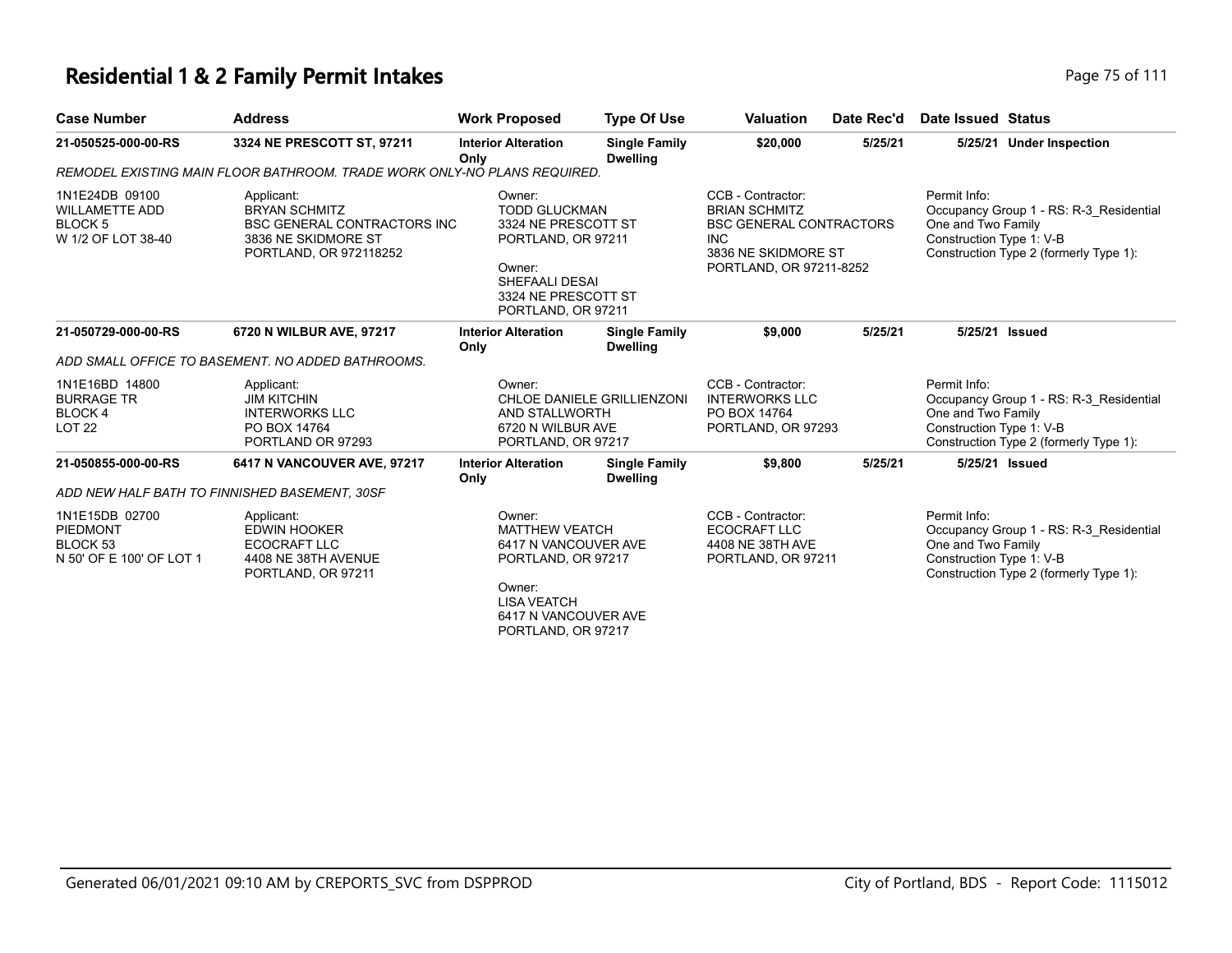### **Residential 1 & 2 Family Permit Intakes Page 75 of 111**

| <b>Case Number</b>                                                                  | <b>Address</b>                                                                                                             | <b>Work Proposed</b>                                                                                                                                 | <b>Type Of Use</b>                      | <b>Valuation</b>                                                                                                                            | Date Rec'd | Date Issued Status                                                                                                                                  |
|-------------------------------------------------------------------------------------|----------------------------------------------------------------------------------------------------------------------------|------------------------------------------------------------------------------------------------------------------------------------------------------|-----------------------------------------|---------------------------------------------------------------------------------------------------------------------------------------------|------------|-----------------------------------------------------------------------------------------------------------------------------------------------------|
| 21-050525-000-00-RS                                                                 | 3324 NE PRESCOTT ST, 97211                                                                                                 | <b>Interior Alteration</b><br>Only                                                                                                                   | <b>Single Family</b><br><b>Dwelling</b> | \$20,000                                                                                                                                    | 5/25/21    | 5/25/21 Under Inspection                                                                                                                            |
| REMODEL EXISTING MAIN FLOOR BATHROOM. TRADE WORK ONLY-NO PLANS REQUIRED.            |                                                                                                                            |                                                                                                                                                      |                                         |                                                                                                                                             |            |                                                                                                                                                     |
| 1N1E24DB 09100<br><b>WILLAMETTE ADD</b><br>BLOCK <sub>5</sub><br>W 1/2 OF LOT 38-40 | Applicant:<br><b>BRYAN SCHMITZ</b><br><b>BSC GENERAL CONTRACTORS INC.</b><br>3836 NE SKIDMORE ST<br>PORTLAND, OR 972118252 | Owner:<br><b>TODD GLUCKMAN</b><br>3324 NE PRESCOTT ST<br>PORTLAND, OR 97211<br>Owner:<br>SHEFAALI DESAI<br>3324 NE PRESCOTT ST<br>PORTLAND, OR 97211 |                                         | CCB - Contractor:<br><b>BRIAN SCHMITZ</b><br><b>BSC GENERAL CONTRACTORS</b><br><b>INC</b><br>3836 NE SKIDMORE ST<br>PORTLAND, OR 97211-8252 |            | Permit Info:<br>Occupancy Group 1 - RS: R-3 Residential<br>One and Two Family<br>Construction Type 1: V-B<br>Construction Type 2 (formerly Type 1): |
| 21-050729-000-00-RS                                                                 | 6720 N WILBUR AVE, 97217                                                                                                   | <b>Interior Alteration</b><br>Only                                                                                                                   | <b>Single Family</b><br><b>Dwelling</b> | \$9,000                                                                                                                                     | 5/25/21    | 5/25/21 Issued                                                                                                                                      |
|                                                                                     | ADD SMALL OFFICE TO BASEMENT. NO ADDED BATHROOMS.                                                                          |                                                                                                                                                      |                                         |                                                                                                                                             |            |                                                                                                                                                     |
| 1N1E16BD 14800<br><b>BURRAGE TR</b><br>BLOCK 4<br>LOT <sub>22</sub>                 | Applicant:<br><b>JIM KITCHIN</b><br><b>INTERWORKS LLC</b><br>PO BOX 14764<br>PORTLAND OR 97293                             | Owner:<br>AND STALLWORTH<br>6720 N WILBUR AVE<br>PORTLAND, OR 97217                                                                                  | CHLOE DANIELE GRILLIENZONI              | CCB - Contractor:<br><b>INTERWORKS LLC</b><br>PO BOX 14764<br>PORTLAND, OR 97293                                                            |            | Permit Info:<br>Occupancy Group 1 - RS: R-3 Residential<br>One and Two Family<br>Construction Type 1: V-B<br>Construction Type 2 (formerly Type 1): |
| 21-050855-000-00-RS                                                                 | 6417 N VANCOUVER AVE, 97217                                                                                                | <b>Interior Alteration</b><br>Only                                                                                                                   | <b>Single Family</b><br><b>Dwelling</b> | \$9,800                                                                                                                                     | 5/25/21    | 5/25/21 Issued                                                                                                                                      |
|                                                                                     | ADD NEW HALF BATH TO FINNISHED BASEMENT, 30SF                                                                              |                                                                                                                                                      |                                         |                                                                                                                                             |            |                                                                                                                                                     |
| 1N1E15DB 02700<br>PIEDMONT<br>BLOCK 53<br>N 50' OF E 100' OF LOT 1                  | Applicant:<br><b>EDWIN HOOKER</b><br>ECOCRAFT LLC<br>4408 NE 38TH AVENUE<br>PORTLAND, OR 97211                             | Owner:<br><b>MATTHEW VEATCH</b><br>6417 N VANCOUVER AVE<br>PORTLAND, OR 97217<br>Owner:                                                              |                                         | CCB - Contractor:<br>ECOCRAFT LLC<br>4408 NE 38TH AVE<br>PORTLAND, OR 97211                                                                 |            | Permit Info:<br>Occupancy Group 1 - RS: R-3 Residential<br>One and Two Family<br>Construction Type 1: V-B<br>Construction Type 2 (formerly Type 1): |

LISA VEATCH 6417 N VANCOUVER AVE PORTLAND, OR 97217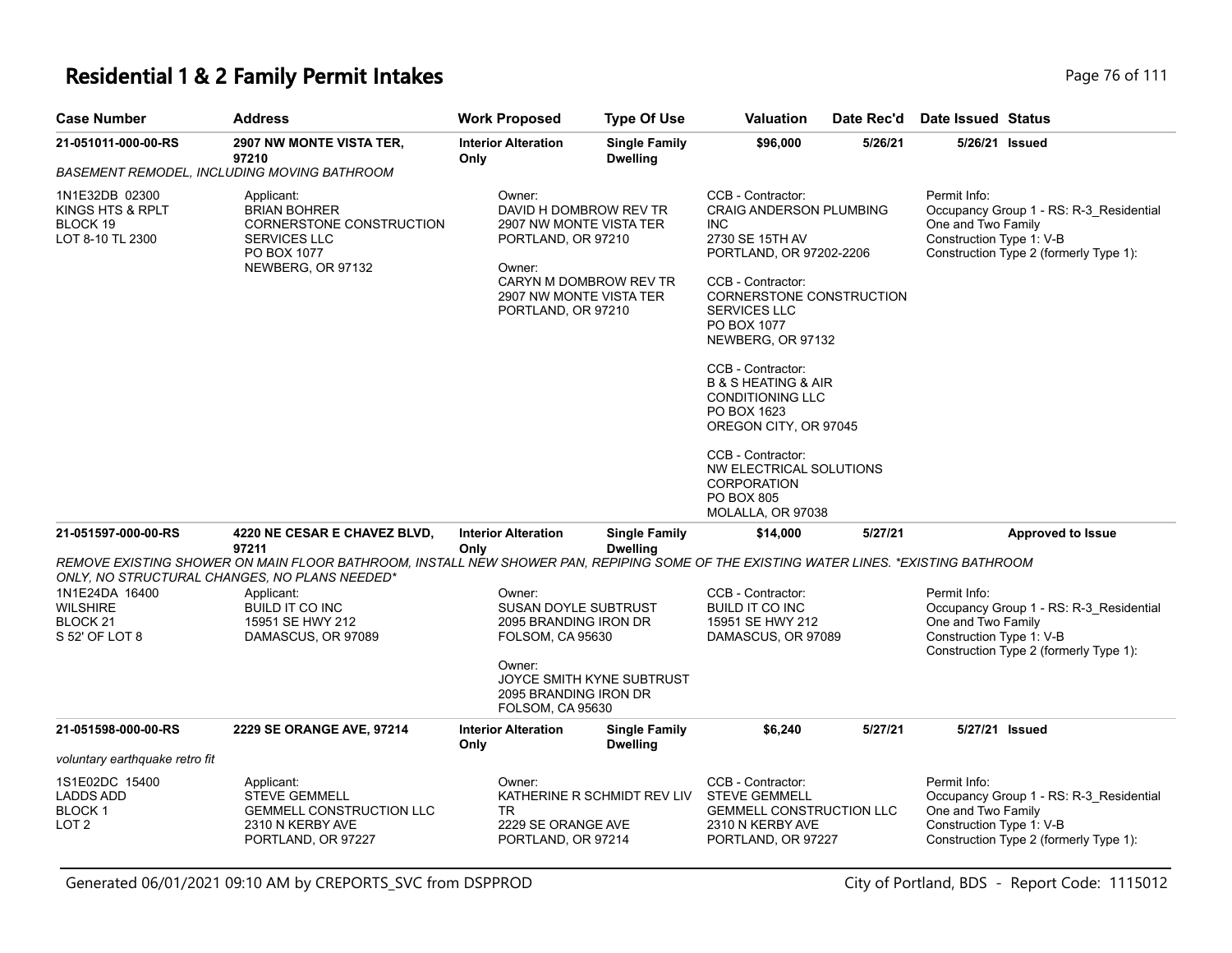# **Residential 1 & 2 Family Permit Intakes Page 76 of 111**

| <b>Case Number</b>                                                 | <b>Address</b>                                                                                                                                                                        | <b>Work Proposed</b>                                                                                                                                                   | <b>Type Of Use</b>                      | Valuation                                                                                                                                                                                                                                                                                                                                                                                                                                                                 | Date Rec'd | Date Issued Status                                                                                                                                  |
|--------------------------------------------------------------------|---------------------------------------------------------------------------------------------------------------------------------------------------------------------------------------|------------------------------------------------------------------------------------------------------------------------------------------------------------------------|-----------------------------------------|---------------------------------------------------------------------------------------------------------------------------------------------------------------------------------------------------------------------------------------------------------------------------------------------------------------------------------------------------------------------------------------------------------------------------------------------------------------------------|------------|-----------------------------------------------------------------------------------------------------------------------------------------------------|
| 21-051011-000-00-RS                                                | 2907 NW MONTE VISTA TER,<br>97210                                                                                                                                                     | <b>Interior Alteration</b><br>Only                                                                                                                                     | <b>Single Family</b><br><b>Dwelling</b> | \$96,000                                                                                                                                                                                                                                                                                                                                                                                                                                                                  | 5/26/21    | 5/26/21 Issued                                                                                                                                      |
|                                                                    | BASEMENT REMODEL, INCLUDING MOVING BATHROOM                                                                                                                                           |                                                                                                                                                                        |                                         |                                                                                                                                                                                                                                                                                                                                                                                                                                                                           |            |                                                                                                                                                     |
| 1N1E32DB 02300<br>KINGS HTS & RPLT<br>BLOCK 19<br>LOT 8-10 TL 2300 | Applicant:<br><b>BRIAN BOHRER</b><br>CORNERSTONE CONSTRUCTION<br><b>SERVICES LLC</b><br>PO BOX 1077<br>NEWBERG, OR 97132                                                              | Owner:<br>DAVID H DOMBROW REV TR<br>2907 NW MONTE VISTA TER<br>PORTLAND, OR 97210<br>Owner:<br>CARYN M DOMBROW REV TR<br>2907 NW MONTE VISTA TER<br>PORTLAND, OR 97210 |                                         | CCB - Contractor:<br><b>CRAIG ANDERSON PLUMBING</b><br><b>INC</b><br>2730 SE 15TH AV<br>PORTLAND, OR 97202-2206<br>CCB - Contractor:<br>CORNERSTONE CONSTRUCTION<br><b>SERVICES LLC</b><br>PO BOX 1077<br>NEWBERG, OR 97132<br>CCB - Contractor:<br><b>B &amp; S HEATING &amp; AIR</b><br><b>CONDITIONING LLC</b><br>PO BOX 1623<br>OREGON CITY, OR 97045<br>CCB - Contractor:<br>NW ELECTRICAL SOLUTIONS<br><b>CORPORATION</b><br><b>PO BOX 805</b><br>MOLALLA, OR 97038 |            | Permit Info:<br>Occupancy Group 1 - RS: R-3_Residential<br>One and Two Family<br>Construction Type 1: V-B<br>Construction Type 2 (formerly Type 1): |
| 21-051597-000-00-RS                                                | 4220 NE CESAR E CHAVEZ BLVD,<br>97211                                                                                                                                                 | <b>Interior Alteration</b><br>Only                                                                                                                                     | <b>Single Family</b><br><b>Dwelling</b> | \$14,000                                                                                                                                                                                                                                                                                                                                                                                                                                                                  | 5/27/21    | <b>Approved to Issue</b>                                                                                                                            |
|                                                                    | REMOVE EXISTING SHOWER ON MAIN FLOOR BATHROOM, INSTALL NEW SHOWER PAN, REPIPING SOME OF THE EXISTING WATER LINES. *EXISTING BATHROOM<br>ONLY, NO STRUCTURAL CHANGES, NO PLANS NEEDED* |                                                                                                                                                                        |                                         |                                                                                                                                                                                                                                                                                                                                                                                                                                                                           |            |                                                                                                                                                     |
| 1N1E24DA 16400<br><b>WILSHIRE</b><br>BLOCK 21<br>S 52' OF LOT 8    | Applicant:<br><b>BUILD IT CO INC</b><br>15951 SE HWY 212<br>DAMASCUS, OR 97089                                                                                                        | Owner:<br>SUSAN DOYLE SUBTRUST<br>2095 BRANDING IRON DR<br>FOLSOM, CA 95630                                                                                            |                                         | CCB - Contractor:<br>BUILD IT CO INC<br>15951 SE HWY 212<br>DAMASCUS, OR 97089                                                                                                                                                                                                                                                                                                                                                                                            |            | Permit Info:<br>Occupancy Group 1 - RS: R-3_Residential<br>One and Two Family<br>Construction Type 1: V-B<br>Construction Type 2 (formerly Type 1): |
|                                                                    |                                                                                                                                                                                       | Owner:<br>2095 BRANDING IRON DR<br><b>FOLSOM, CA 95630</b>                                                                                                             | JOYCE SMITH KYNE SUBTRUST               |                                                                                                                                                                                                                                                                                                                                                                                                                                                                           |            |                                                                                                                                                     |
| 21-051598-000-00-RS                                                | 2229 SE ORANGE AVE, 97214                                                                                                                                                             | <b>Interior Alteration</b><br>Only                                                                                                                                     | <b>Single Family</b><br><b>Dwelling</b> | \$6,240                                                                                                                                                                                                                                                                                                                                                                                                                                                                   | 5/27/21    | 5/27/21 Issued                                                                                                                                      |
| voluntary earthquake retro fit                                     |                                                                                                                                                                                       |                                                                                                                                                                        |                                         |                                                                                                                                                                                                                                                                                                                                                                                                                                                                           |            |                                                                                                                                                     |
| 1S1E02DC 15400<br><b>LADDS ADD</b><br><b>BLOCK1</b><br>LOT 2       | Applicant:<br><b>STEVE GEMMELL</b><br><b>GEMMELL CONSTRUCTION LLC</b><br>2310 N KERBY AVE<br>PORTLAND, OR 97227                                                                       | Owner:<br><b>TR</b><br>2229 SE ORANGE AVE<br>PORTLAND, OR 97214                                                                                                        | KATHERINE R SCHMIDT REV LIV             | CCB - Contractor:<br><b>STEVE GEMMELL</b><br><b>GEMMELL CONSTRUCTION LLC</b><br>2310 N KERBY AVE<br>PORTLAND, OR 97227                                                                                                                                                                                                                                                                                                                                                    |            | Permit Info:<br>Occupancy Group 1 - RS: R-3_Residential<br>One and Two Family<br>Construction Type 1: V-B<br>Construction Type 2 (formerly Type 1): |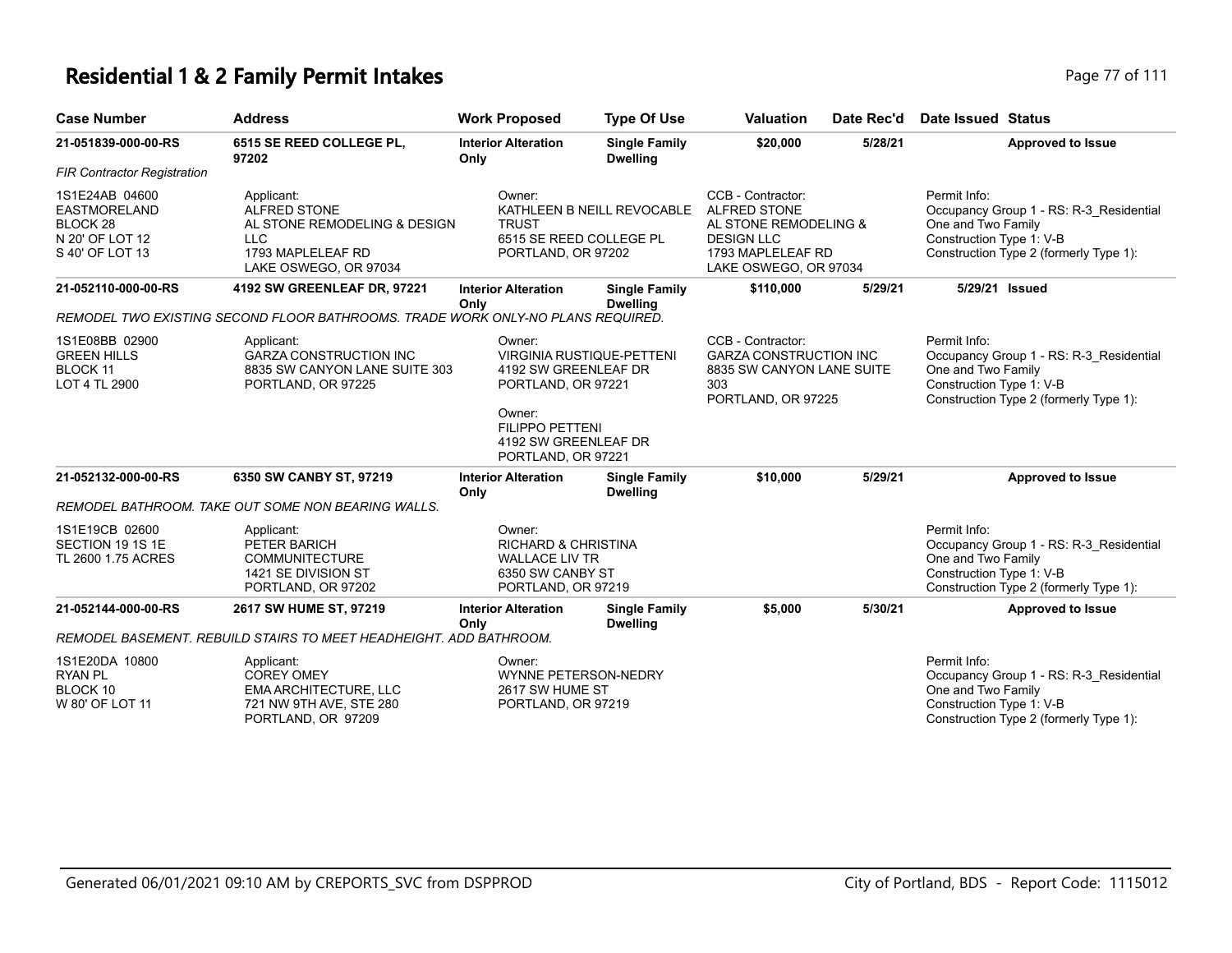### **Residential 1 & 2 Family Permit Intakes Page 17 of 111**

| <b>Case Number</b>                                                                      | <b>Address</b>                                                                                                          | <b>Work Proposed</b>                                                                                        | <b>Type Of Use</b>                      | <b>Valuation</b>                                                                                                                     | Date Rec'd | Date Issued Status                                                                                                                                  |  |
|-----------------------------------------------------------------------------------------|-------------------------------------------------------------------------------------------------------------------------|-------------------------------------------------------------------------------------------------------------|-----------------------------------------|--------------------------------------------------------------------------------------------------------------------------------------|------------|-----------------------------------------------------------------------------------------------------------------------------------------------------|--|
| 21-051839-000-00-RS                                                                     | 6515 SE REED COLLEGE PL,<br>97202                                                                                       | <b>Interior Alteration</b><br>Only                                                                          | <b>Single Family</b><br><b>Dwelling</b> | \$20,000                                                                                                                             | 5/28/21    | <b>Approved to Issue</b>                                                                                                                            |  |
| <b>FIR Contractor Registration</b>                                                      |                                                                                                                         |                                                                                                             |                                         |                                                                                                                                      |            |                                                                                                                                                     |  |
| 1S1E24AB 04600<br><b>EASTMORELAND</b><br>BLOCK 28<br>N 20' OF LOT 12<br>S 40' OF LOT 13 | Applicant:<br><b>ALFRED STONE</b><br>AL STONE REMODELING & DESIGN<br>LLC.<br>1793 MAPLELEAF RD<br>LAKE OSWEGO, OR 97034 | Owner:<br><b>TRUST</b><br>6515 SE REED COLLEGE PL<br>PORTLAND, OR 97202                                     | KATHLEEN B NEILL REVOCABLE              | CCB - Contractor:<br><b>ALFRED STONE</b><br>AL STONE REMODELING &<br><b>DESIGN LLC</b><br>1793 MAPLELEAF RD<br>LAKE OSWEGO, OR 97034 |            | Permit Info:<br>Occupancy Group 1 - RS: R-3_Residential<br>One and Two Family<br>Construction Type 1: V-B<br>Construction Type 2 (formerly Type 1): |  |
| 21-052110-000-00-RS                                                                     | 4192 SW GREENLEAF DR, 97221                                                                                             | <b>Interior Alteration</b><br>Onlv                                                                          | <b>Single Family</b><br><b>Dwelling</b> | \$110,000                                                                                                                            | 5/29/21    | 5/29/21 Issued                                                                                                                                      |  |
|                                                                                         | REMODEL TWO EXISTING SECOND FLOOR BATHROOMS. TRADE WORK ONLY-NO PLANS REQUIRED.                                         |                                                                                                             |                                         |                                                                                                                                      |            |                                                                                                                                                     |  |
| 1S1E08BB 02900<br><b>GREEN HILLS</b><br><b>BLOCK 11</b><br>LOT 4 TL 2900                | Applicant:<br><b>GARZA CONSTRUCTION INC</b><br>8835 SW CANYON LANE SUITE 303<br>PORTLAND, OR 97225                      | Owner:<br>4192 SW GREENLEAF DR<br>PORTLAND, OR 97221                                                        | <b>VIRGINIA RUSTIQUE-PETTENI</b>        | CCB - Contractor:<br><b>GARZA CONSTRUCTION INC</b><br>8835 SW CANYON LANE SUITE<br>303<br>PORTLAND, OR 97225                         |            | Permit Info:<br>Occupancy Group 1 - RS: R-3 Residential<br>One and Two Family<br>Construction Type 1: V-B<br>Construction Type 2 (formerly Type 1): |  |
|                                                                                         |                                                                                                                         | Owner:<br><b>FILIPPO PETTENI</b><br>4192 SW GREENLEAF DR<br>PORTLAND, OR 97221                              |                                         |                                                                                                                                      |            |                                                                                                                                                     |  |
| 21-052132-000-00-RS                                                                     | 6350 SW CANBY ST, 97219                                                                                                 | <b>Interior Alteration</b><br>Only                                                                          | <b>Single Family</b><br><b>Dwelling</b> | \$10,000                                                                                                                             | 5/29/21    | <b>Approved to Issue</b>                                                                                                                            |  |
|                                                                                         | REMODEL BATHROOM. TAKE OUT SOME NON BEARING WALLS.                                                                      |                                                                                                             |                                         |                                                                                                                                      |            |                                                                                                                                                     |  |
| 1S1E19CB 02600<br>SECTION 19 1S 1E<br>TL 2600 1.75 ACRES                                | Applicant:<br>PETER BARICH<br><b>COMMUNITECTURE</b><br>1421 SE DIVISION ST<br>PORTLAND, OR 97202                        | Owner:<br><b>RICHARD &amp; CHRISTINA</b><br><b>WALLACE LIV TR</b><br>6350 SW CANBY ST<br>PORTLAND, OR 97219 |                                         |                                                                                                                                      |            | Permit Info:<br>Occupancy Group 1 - RS: R-3 Residential<br>One and Two Family<br>Construction Type 1: V-B<br>Construction Type 2 (formerly Type 1): |  |
| 21-052144-000-00-RS                                                                     | 2617 SW HUME ST, 97219                                                                                                  | <b>Interior Alteration</b><br>Only                                                                          | <b>Single Family</b><br><b>Dwelling</b> | \$5,000                                                                                                                              | 5/30/21    | <b>Approved to Issue</b>                                                                                                                            |  |
|                                                                                         | REMODEL BASEMENT. REBUILD STAIRS TO MEET HEADHEIGHT. ADD BATHROOM.                                                      |                                                                                                             |                                         |                                                                                                                                      |            |                                                                                                                                                     |  |
| 1S1E20DA 10800<br>RYAN PL<br>BLOCK 10<br>W 80' OF LOT 11                                | Applicant:<br><b>COREY OMEY</b><br><b>EMA ARCHITECTURE, LLC</b><br>721 NW 9TH AVE, STE 280<br>PORTLAND, OR 97209        | Owner:<br><b>WYNNE PETERSON-NEDRY</b><br>2617 SW HUME ST<br>PORTLAND, OR 97219                              |                                         |                                                                                                                                      |            | Permit Info:<br>Occupancy Group 1 - RS: R-3 Residential<br>One and Two Family<br>Construction Type 1: V-B<br>Construction Type 2 (formerly Type 1): |  |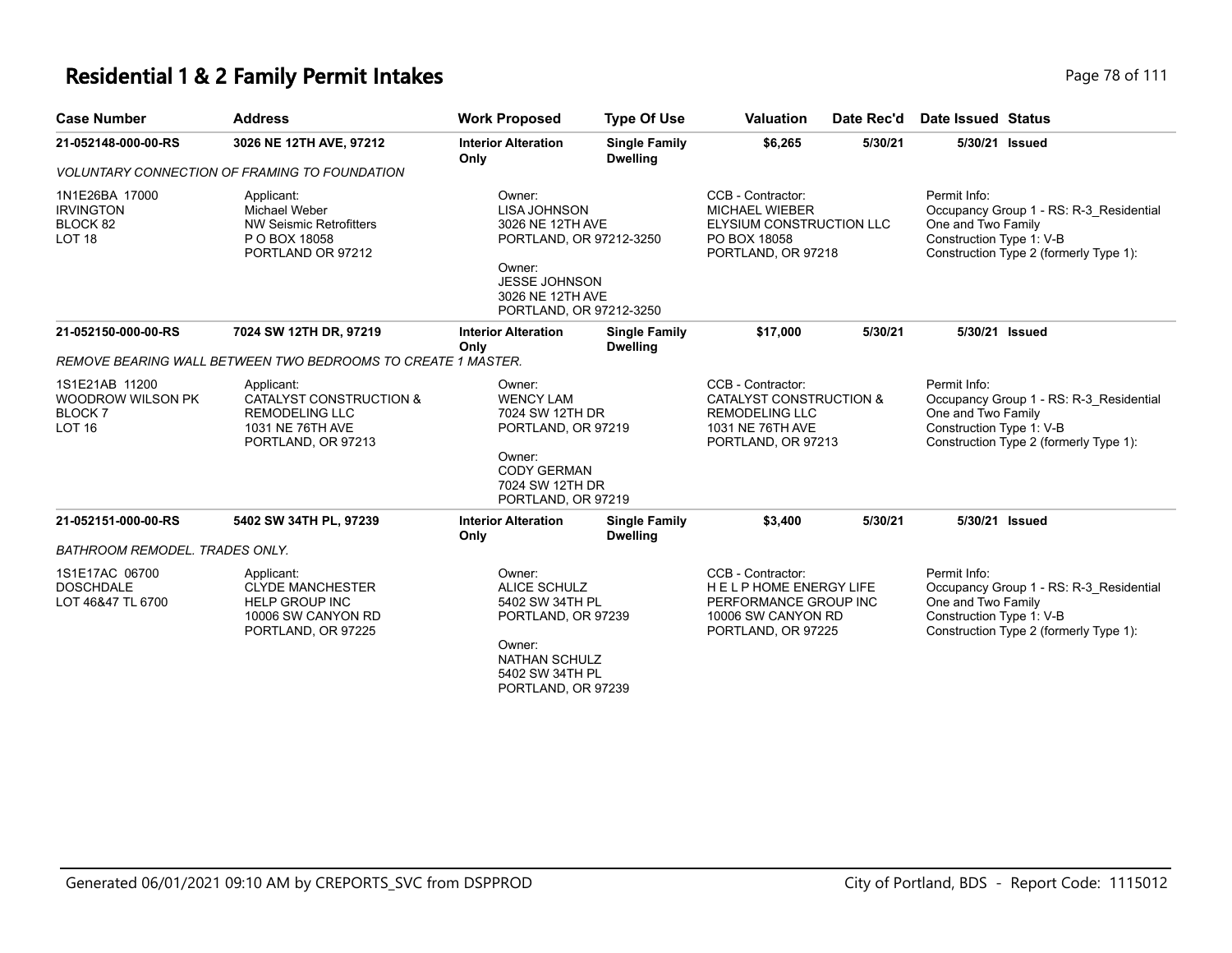### **Residential 1 & 2 Family Permit Intakes Page 78 of 111**

| <b>Case Number</b>                                                           | <b>Address</b>                                                                                             | <b>Work Proposed</b>                                                                                                                                          | <b>Type Of Use</b>                                                             | <b>Valuation</b>                                                                                                      | Date Rec'd                                    | <b>Date Issued Status</b>                                                                                                                           |
|------------------------------------------------------------------------------|------------------------------------------------------------------------------------------------------------|---------------------------------------------------------------------------------------------------------------------------------------------------------------|--------------------------------------------------------------------------------|-----------------------------------------------------------------------------------------------------------------------|-----------------------------------------------|-----------------------------------------------------------------------------------------------------------------------------------------------------|
| 21-052148-000-00-RS                                                          | 3026 NE 12TH AVE, 97212                                                                                    | <b>Interior Alteration</b><br>Only                                                                                                                            | <b>Single Family</b><br><b>Dwelling</b>                                        | \$6,265                                                                                                               | 5/30/21                                       | 5/30/21 Issued                                                                                                                                      |
|                                                                              | <b>VOLUNTARY CONNECTION OF FRAMING TO FOUNDATION</b>                                                       |                                                                                                                                                               |                                                                                |                                                                                                                       |                                               |                                                                                                                                                     |
| 1N1E26BA 17000<br><b>IRVINGTON</b><br>BLOCK 82<br>LOT <sub>18</sub>          | Applicant:<br><b>Michael Weber</b><br><b>NW Seismic Retrofitters</b><br>P O BOX 18058<br>PORTLAND OR 97212 | Owner:<br><b>LISA JOHNSON</b><br>3026 NE 12TH AVE<br>PORTLAND, OR 97212-3250<br>Owner:<br><b>JESSE JOHNSON</b><br>3026 NE 12TH AVE<br>PORTLAND, OR 97212-3250 |                                                                                | CCB - Contractor:<br><b>MICHAEL WIEBER</b><br>ELYSIUM CONSTRUCTION LLC<br>PO BOX 18058<br>PORTLAND, OR 97218          |                                               | Permit Info:<br>Occupancy Group 1 - RS: R-3 Residential<br>One and Two Family<br>Construction Type 1: V-B<br>Construction Type 2 (formerly Type 1): |
| 21-052150-000-00-RS                                                          | 7024 SW 12TH DR, 97219                                                                                     | <b>Interior Alteration</b><br>Only                                                                                                                            | <b>Single Family</b><br><b>Dwelling</b>                                        | \$17.000                                                                                                              | 5/30/21                                       | 5/30/21 Issued                                                                                                                                      |
|                                                                              | REMOVE BEARING WALL BETWEEN TWO BEDROOMS TO CREATE 1 MASTER.                                               |                                                                                                                                                               |                                                                                |                                                                                                                       |                                               |                                                                                                                                                     |
| 1S1E21AB 11200<br><b>WOODROW WILSON PK</b><br><b>BLOCK7</b><br><b>LOT 16</b> | Applicant:<br>CATALYST CONSTRUCTION &<br>REMODELING LLC<br>1031 NE 76TH AVE<br>PORTLAND, OR 97213          | Owner:<br><b>WENCY LAM</b><br>Owner:<br>PORTLAND, OR 97219                                                                                                    | 7024 SW 12TH DR<br>PORTLAND, OR 97219<br><b>CODY GERMAN</b><br>7024 SW 12TH DR |                                                                                                                       | CATALYST CONSTRUCTION &<br>PORTLAND, OR 97213 | Permit Info:<br>Occupancy Group 1 - RS: R-3 Residential<br>One and Two Family<br>Construction Type 1: V-B<br>Construction Type 2 (formerly Type 1): |
| 21-052151-000-00-RS                                                          | 5402 SW 34TH PL, 97239                                                                                     | <b>Interior Alteration</b><br>Only                                                                                                                            | <b>Single Family</b><br><b>Dwelling</b>                                        | \$3,400                                                                                                               | 5/30/21                                       | 5/30/21 Issued                                                                                                                                      |
| <b>BATHROOM REMODEL. TRADES ONLY.</b>                                        |                                                                                                            |                                                                                                                                                               |                                                                                |                                                                                                                       |                                               |                                                                                                                                                     |
| 1S1E17AC 06700<br><b>DOSCHDALE</b><br>LOT 46&47 TL 6700                      | Applicant:<br><b>CLYDE MANCHESTER</b><br><b>HELP GROUP INC</b><br>10006 SW CANYON RD<br>PORTLAND, OR 97225 | Owner:<br><b>ALICE SCHULZ</b><br>5402 SW 34TH PL<br>PORTLAND, OR 97239<br>Owner:<br><b>NATHAN SCHULZ</b><br>5402 SW 34TH PL<br>PORTLAND, OR 97239             |                                                                                | CCB - Contractor:<br><b>HELPHOME ENERGY LIFE</b><br>PERFORMANCE GROUP INC<br>10006 SW CANYON RD<br>PORTLAND, OR 97225 |                                               | Permit Info:<br>Occupancy Group 1 - RS: R-3 Residential<br>One and Two Family<br>Construction Type 1: V-B<br>Construction Type 2 (formerly Type 1): |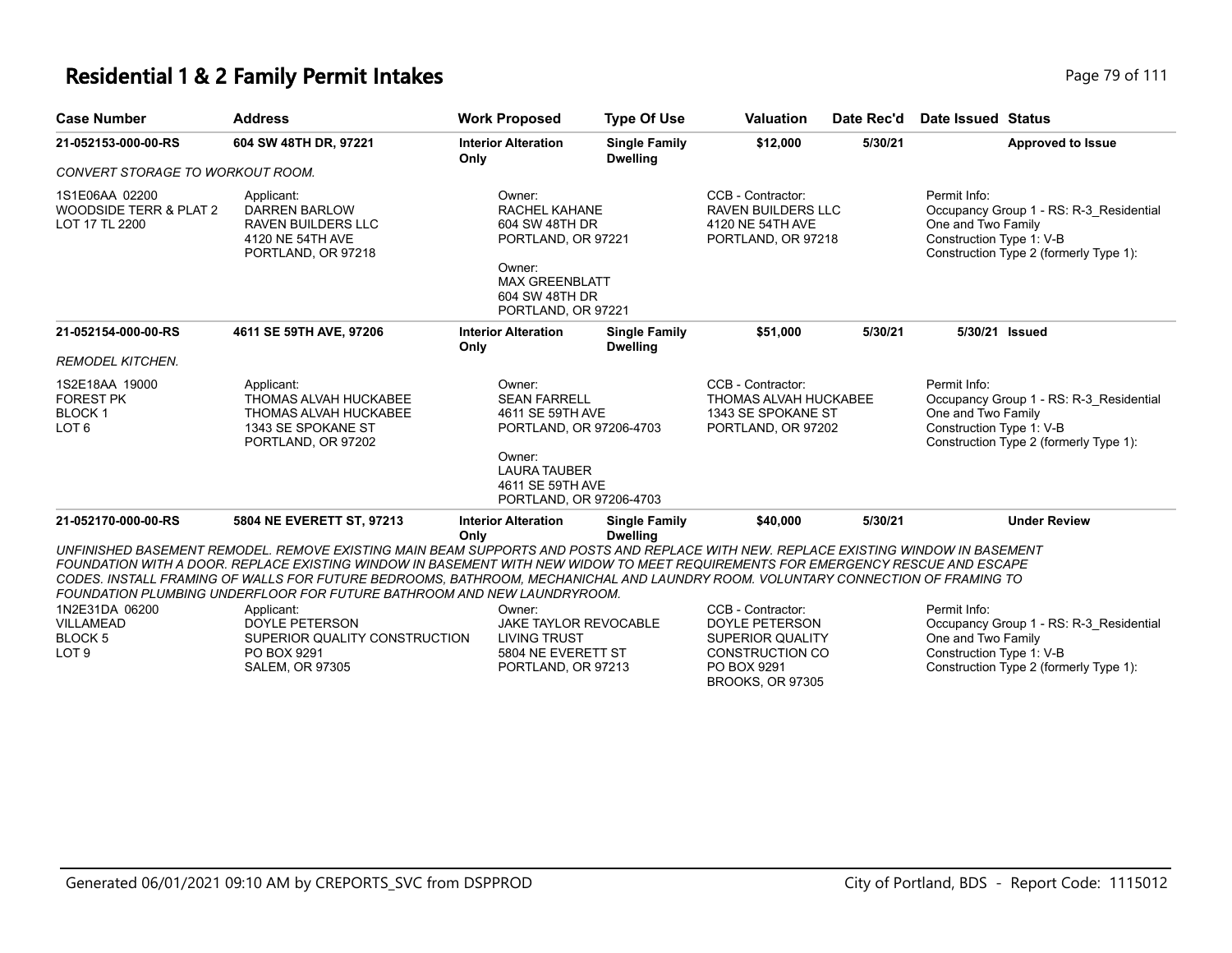### **Residential 1 & 2 Family Permit Intakes Page 79 of 111**

| <b>Case Number</b>                                                      | <b>Address</b>                                                                                                                                                                                                                                                                                                                                                                                                                                                                                                                                                                                        | <b>Work Proposed</b>                                                                                                                                         | <b>Type Of Use</b>                      | <b>Valuation</b>                                                                                                                   | Date Rec'd | <b>Date Issued Status</b>                                                                                                                           |
|-------------------------------------------------------------------------|-------------------------------------------------------------------------------------------------------------------------------------------------------------------------------------------------------------------------------------------------------------------------------------------------------------------------------------------------------------------------------------------------------------------------------------------------------------------------------------------------------------------------------------------------------------------------------------------------------|--------------------------------------------------------------------------------------------------------------------------------------------------------------|-----------------------------------------|------------------------------------------------------------------------------------------------------------------------------------|------------|-----------------------------------------------------------------------------------------------------------------------------------------------------|
| 21-052153-000-00-RS                                                     | 604 SW 48TH DR, 97221                                                                                                                                                                                                                                                                                                                                                                                                                                                                                                                                                                                 | <b>Interior Alteration</b><br>Only                                                                                                                           | <b>Single Family</b><br><b>Dwelling</b> | \$12,000                                                                                                                           | 5/30/21    | <b>Approved to Issue</b>                                                                                                                            |
| CONVERT STORAGE TO WORKOUT ROOM.                                        |                                                                                                                                                                                                                                                                                                                                                                                                                                                                                                                                                                                                       |                                                                                                                                                              |                                         |                                                                                                                                    |            |                                                                                                                                                     |
| 1S1E06AA 02200<br>WOODSIDE TERR & PLAT 2<br>LOT 17 TL 2200              | Applicant:<br><b>DARREN BARLOW</b><br><b>RAVEN BUILDERS LLC</b><br>4120 NE 54TH AVE<br>PORTLAND, OR 97218                                                                                                                                                                                                                                                                                                                                                                                                                                                                                             | Owner:<br><b>RACHEL KAHANE</b><br>604 SW 48TH DR<br>PORTLAND, OR 97221<br>Owner:<br><b>MAX GREENBLATT</b><br>604 SW 48TH DR<br>PORTLAND, OR 97221            |                                         | CCB - Contractor:<br><b>RAVEN BUILDERS LLC</b><br>4120 NE 54TH AVE<br>PORTLAND, OR 97218                                           |            | Permit Info:<br>Occupancy Group 1 - RS: R-3 Residential<br>One and Two Family<br>Construction Type 1: V-B<br>Construction Type 2 (formerly Type 1): |
| 21-052154-000-00-RS                                                     | 4611 SE 59TH AVE, 97206                                                                                                                                                                                                                                                                                                                                                                                                                                                                                                                                                                               | <b>Interior Alteration</b><br>Only                                                                                                                           | <b>Single Family</b><br><b>Dwelling</b> | \$51.000                                                                                                                           | 5/30/21    | 5/30/21 Issued                                                                                                                                      |
| <b>REMODEL KITCHEN.</b>                                                 |                                                                                                                                                                                                                                                                                                                                                                                                                                                                                                                                                                                                       |                                                                                                                                                              |                                         |                                                                                                                                    |            |                                                                                                                                                     |
| 1S2E18AA 19000<br><b>FOREST PK</b><br><b>BLOCK1</b><br>LOT <sub>6</sub> | Applicant:<br>THOMAS ALVAH HUCKABEE<br>THOMAS ALVAH HUCKABEE<br>1343 SE SPOKANE ST<br>PORTLAND, OR 97202                                                                                                                                                                                                                                                                                                                                                                                                                                                                                              | Owner:<br><b>SEAN FARRELL</b><br>4611 SE 59TH AVE<br>PORTLAND, OR 97206-4703<br>Owner:<br><b>LAURA TAUBER</b><br>4611 SE 59TH AVE<br>PORTLAND, OR 97206-4703 |                                         | CCB - Contractor:<br><b>THOMAS ALVAH HUCKABEE</b><br>1343 SE SPOKANE ST<br>PORTLAND, OR 97202                                      |            | Permit Info:<br>Occupancy Group 1 - RS: R-3 Residential<br>One and Two Family<br>Construction Type 1: V-B<br>Construction Type 2 (formerly Type 1): |
| 21-052170-000-00-RS                                                     | 5804 NE EVERETT ST, 97213                                                                                                                                                                                                                                                                                                                                                                                                                                                                                                                                                                             | <b>Interior Alteration</b>                                                                                                                                   | <b>Single Family</b>                    | \$40,000                                                                                                                           | 5/30/21    | <b>Under Review</b>                                                                                                                                 |
| 1N2E31DA 06200<br>VILLAMEAD<br><b>BLOCK 5</b><br>LOT <sub>9</sub>       | UNFINISHED BASEMENT REMODEL. REMOVE EXISTING MAIN BEAM SUPPORTS AND POSTS AND REPLACE WITH NEW. REPLACE EXISTING WINDOW IN BASEMENT<br>FOUNDATION WITH A DOOR. REPLACE EXISTING WINDOW IN BASEMENT WITH NEW WIDOW TO MEET REQUIREMENTS FOR EMERGENCY RESCUE AND ESCAPE<br>CODES. INSTALL FRAMING OF WALLS FOR FUTURE BEDROOMS, BATHROOM, MECHANICHAL AND LAUNDRY ROOM. VOLUNTARY CONNECTION OF FRAMING TO<br>FOUNDATION PLUMBING UNDERFLOOR FOR FUTURE BATHROOM AND NEW LAUNDRYROOM.<br>Applicant:<br><b>DOYLE PETERSON</b><br>SUPERIOR QUALITY CONSTRUCTION<br>PO BOX 9291<br><b>SALEM, OR 97305</b> | Only<br>Owner:<br><b>JAKE TAYLOR REVOCABLE</b><br>LIVING TRUST<br>5804 NE EVERETT ST<br>PORTLAND, OR 97213                                                   | <b>Dwelling</b>                         | CCB - Contractor:<br><b>DOYLE PETERSON</b><br>SUPERIOR QUALITY<br><b>CONSTRUCTION CO</b><br>PO BOX 9291<br><b>BROOKS, OR 97305</b> |            | Permit Info:<br>Occupancy Group 1 - RS: R-3 Residential<br>One and Two Family<br>Construction Type 1: V-B<br>Construction Type 2 (formerly Type 1): |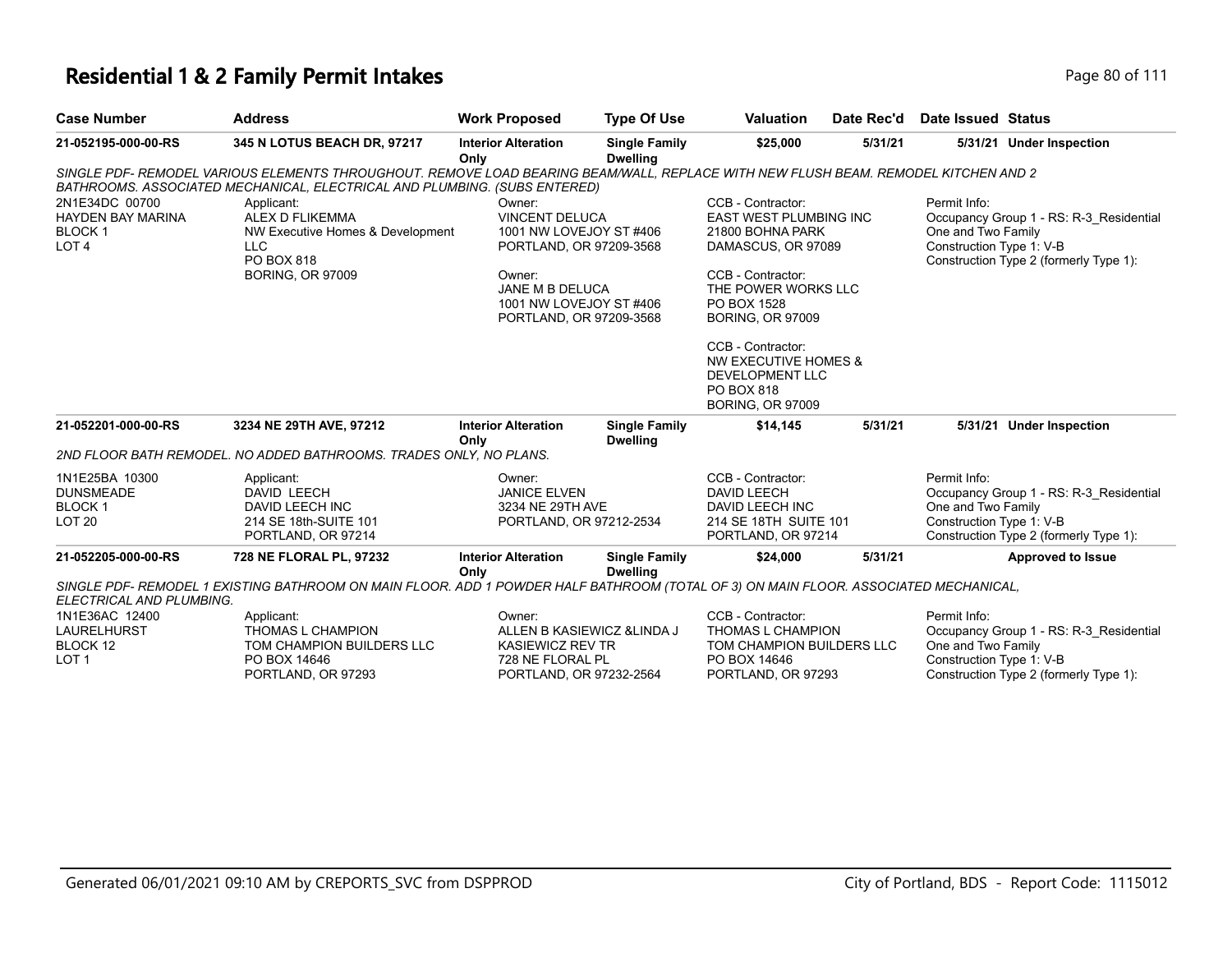| <b>Case Number</b>                                                              | <b>Address</b>                                                                                                                                                                                        | <b>Work Proposed</b>                                                                                                                                                     | <b>Type Of Use</b>                      | <b>Valuation</b>                                                                                                                                                                                        | Date Rec'd | <b>Date Issued Status</b>                                                                                                                           |
|---------------------------------------------------------------------------------|-------------------------------------------------------------------------------------------------------------------------------------------------------------------------------------------------------|--------------------------------------------------------------------------------------------------------------------------------------------------------------------------|-----------------------------------------|---------------------------------------------------------------------------------------------------------------------------------------------------------------------------------------------------------|------------|-----------------------------------------------------------------------------------------------------------------------------------------------------|
| 21-052195-000-00-RS                                                             | 345 N LOTUS BEACH DR, 97217                                                                                                                                                                           | <b>Interior Alteration</b><br>Only                                                                                                                                       | <b>Single Family</b><br><b>Dwelling</b> | \$25,000                                                                                                                                                                                                | 5/31/21    | 5/31/21 Under Inspection                                                                                                                            |
|                                                                                 | SINGLE PDF- REMODEL VARIOUS ELEMENTS THROUGHOUT. REMOVE LOAD BEARING BEAM/WALL, REPLACE WITH NEW FLUSH BEAM. REMODEL KITCHEN AND 2                                                                    |                                                                                                                                                                          |                                         |                                                                                                                                                                                                         |            |                                                                                                                                                     |
| 2N1E34DC 00700<br><b>HAYDEN BAY MARINA</b><br><b>BLOCK1</b><br>LOT <sub>4</sub> | BATHROOMS. ASSOCIATED MECHANICAL, ELECTRICAL AND PLUMBING. (SUBS ENTERED)<br>Applicant:<br>ALEX D FLIKEMMA<br>NW Executive Homes & Development<br><b>LLC</b><br>PO BOX 818<br><b>BORING, OR 97009</b> | Owner:<br><b>VINCENT DELUCA</b><br>1001 NW LOVEJOY ST #406<br>PORTLAND, OR 97209-3568<br>Owner:<br>JANE M B DELUCA<br>1001 NW LOVEJOY ST #406<br>PORTLAND, OR 97209-3568 |                                         | CCB - Contractor:<br><b>EAST WEST PLUMBING INC</b><br>21800 BOHNA PARK<br>DAMASCUS, OR 97089<br>CCB - Contractor:<br>THE POWER WORKS LLC<br>PO BOX 1528<br><b>BORING, OR 97009</b><br>CCB - Contractor: |            | Permit Info:<br>Occupancy Group 1 - RS: R-3 Residential<br>One and Two Family<br>Construction Type 1: V-B<br>Construction Type 2 (formerly Type 1): |
|                                                                                 |                                                                                                                                                                                                       |                                                                                                                                                                          |                                         | NW EXECUTIVE HOMES &<br>DEVELOPMENT LLC<br>PO BOX 818<br><b>BORING, OR 97009</b>                                                                                                                        |            |                                                                                                                                                     |
| 21-052201-000-00-RS                                                             | 3234 NE 29TH AVE, 97212                                                                                                                                                                               | <b>Interior Alteration</b><br>Only                                                                                                                                       | <b>Single Family</b><br><b>Dwelling</b> | \$14,145                                                                                                                                                                                                | 5/31/21    | 5/31/21 Under Inspection                                                                                                                            |
|                                                                                 | 2ND FLOOR BATH REMODEL. NO ADDED BATHROOMS. TRADES ONLY, NO PLANS.                                                                                                                                    |                                                                                                                                                                          |                                         |                                                                                                                                                                                                         |            |                                                                                                                                                     |
| 1N1E25BA 10300<br><b>DUNSMEADE</b><br>BLOCK 1<br><b>LOT 20</b>                  | Applicant:<br>DAVID LEECH<br>DAVID LEECH INC<br>214 SE 18th-SUITE 101<br>PORTLAND, OR 97214                                                                                                           | Owner:<br><b>JANICE ELVEN</b><br>3234 NE 29TH AVE<br>PORTLAND, OR 97212-2534                                                                                             |                                         | CCB - Contractor:<br><b>DAVID LEECH</b><br>DAVID LEECH INC<br>214 SE 18TH SUITE 101<br>PORTLAND, OR 97214                                                                                               |            | Permit Info:<br>Occupancy Group 1 - RS: R-3_Residential<br>One and Two Family<br>Construction Type 1: V-B<br>Construction Type 2 (formerly Type 1): |
| 21-052205-000-00-RS                                                             | 728 NE FLORAL PL, 97232                                                                                                                                                                               | <b>Interior Alteration</b>                                                                                                                                               | <b>Single Family</b>                    | \$24,000                                                                                                                                                                                                | 5/31/21    | <b>Approved to Issue</b>                                                                                                                            |
| ELECTRICAL AND PLUMBING.                                                        | SINGLE PDF- REMODEL 1 EXISTING BATHROOM ON MAIN FLOOR. ADD 1 POWDER HALF BATHROOM (TOTAL OF 3) ON MAIN FLOOR. ASSOCIATED MECHANICAL,                                                                  | Only                                                                                                                                                                     | <b>Dwelling</b>                         |                                                                                                                                                                                                         |            |                                                                                                                                                     |
| 1N1E36AC 12400<br>LAURELHURST<br>BLOCK 12<br>LOT <sub>1</sub>                   | Applicant:<br>THOMAS L CHAMPION<br>TOM CHAMPION BUILDERS LLC<br>PO BOX 14646<br>PORTLAND, OR 97293                                                                                                    | Owner:<br>ALLEN B KASIEWICZ & LINDA J<br><b>KASIEWICZ REV TR</b><br>728 NE FLORAL PL<br>PORTLAND, OR 97232-2564                                                          |                                         | CCB - Contractor:<br>THOMAS L CHAMPION<br>TOM CHAMPION BUILDERS LLC<br>PO BOX 14646<br>PORTLAND, OR 97293                                                                                               |            | Permit Info:<br>Occupancy Group 1 - RS: R-3_Residential<br>One and Two Family<br>Construction Type 1: V-B<br>Construction Type 2 (formerly Type 1): |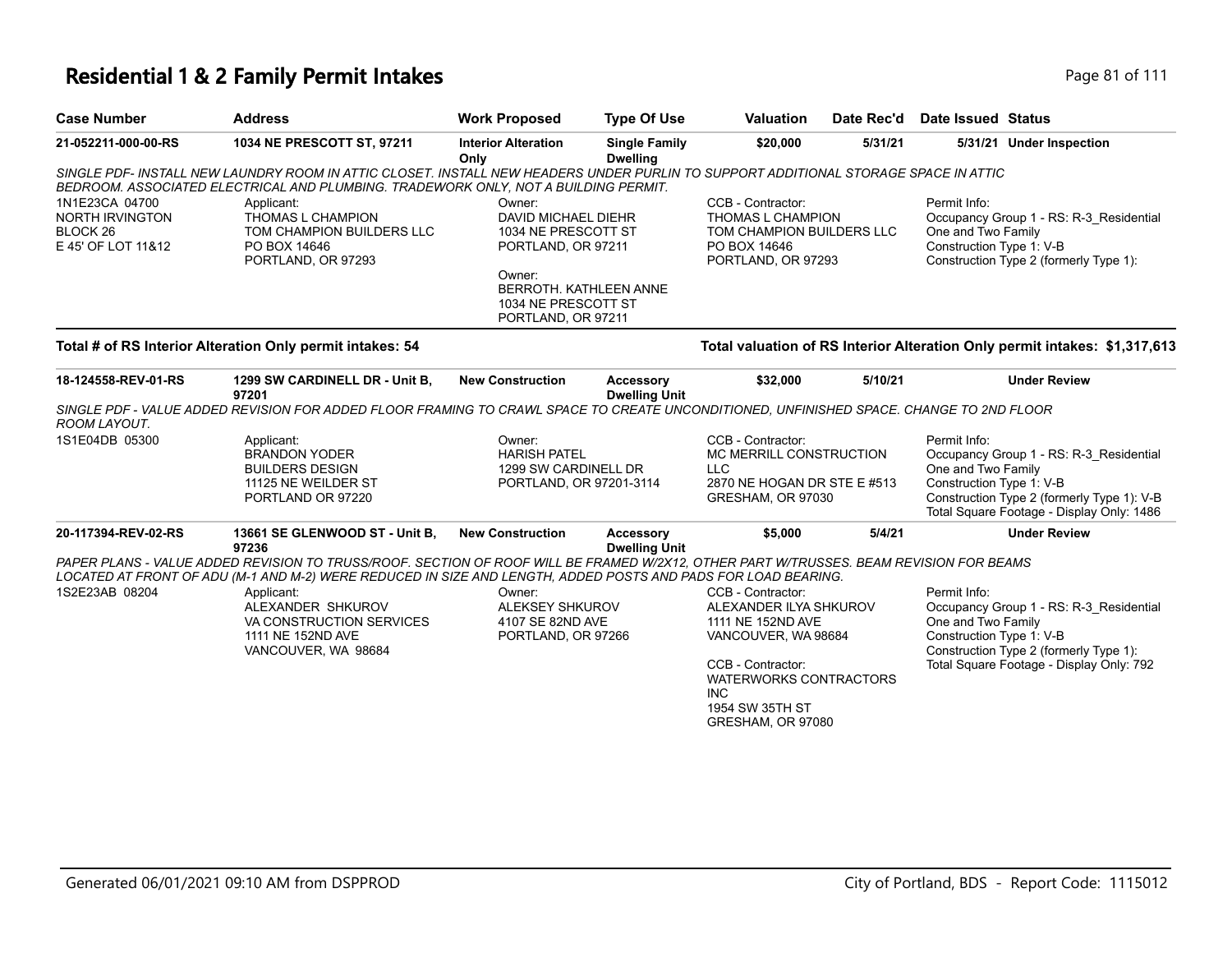## **Residential 1 & 2 Family Permit Intakes Page 81 of 111**

| <b>Case Number</b>                                                                    | <b>Address</b>                                                                                                                                                                                                                                                                                                                                                     | <b>Work Proposed</b>                                                                                                                                        | <b>Type Of Use</b>                       | <b>Valuation</b>                                                                                                                                                                                    | Date Rec'd | Date Issued Status                                             |                                                                                                                                    |
|---------------------------------------------------------------------------------------|--------------------------------------------------------------------------------------------------------------------------------------------------------------------------------------------------------------------------------------------------------------------------------------------------------------------------------------------------------------------|-------------------------------------------------------------------------------------------------------------------------------------------------------------|------------------------------------------|-----------------------------------------------------------------------------------------------------------------------------------------------------------------------------------------------------|------------|----------------------------------------------------------------|------------------------------------------------------------------------------------------------------------------------------------|
| 21-052211-000-00-RS                                                                   | 1034 NE PRESCOTT ST, 97211                                                                                                                                                                                                                                                                                                                                         | <b>Interior Alteration</b><br>Only                                                                                                                          | <b>Single Family</b><br><b>Dwelling</b>  | \$20,000                                                                                                                                                                                            | 5/31/21    |                                                                | 5/31/21 Under Inspection                                                                                                           |
|                                                                                       | SINGLE PDF- INSTALL NEW LAUNDRY ROOM IN ATTIC CLOSET. INSTALL NEW HEADERS UNDER PURLIN TO SUPPORT ADDITIONAL STORAGE SPACE IN ATTIC<br>BEDROOM. ASSOCIATED ELECTRICAL AND PLUMBING. TRADEWORK ONLY, NOT A BUILDING PERMIT.                                                                                                                                         |                                                                                                                                                             |                                          |                                                                                                                                                                                                     |            |                                                                |                                                                                                                                    |
| 1N1E23CA 04700<br><b>NORTH IRVINGTON</b><br>BLOCK <sub>26</sub><br>E 45' OF LOT 11&12 | Applicant:<br>THOMAS L CHAMPION<br>TOM CHAMPION BUILDERS LLC<br>PO BOX 14646<br>PORTLAND, OR 97293                                                                                                                                                                                                                                                                 | Owner:<br>DAVID MICHAEL DIEHR<br>1034 NE PRESCOTT ST<br>PORTLAND, OR 97211<br>Owner:<br>BERROTH. KATHLEEN ANNE<br>1034 NE PRESCOTT ST<br>PORTLAND, OR 97211 |                                          | CCB - Contractor:<br>THOMAS L CHAMPION<br>TOM CHAMPION BUILDERS LLC<br>PO BOX 14646<br>PORTLAND, OR 97293                                                                                           |            | Permit Info:<br>One and Two Family<br>Construction Type 1: V-B | Occupancy Group 1 - RS: R-3_Residential<br>Construction Type 2 (formerly Type 1):                                                  |
|                                                                                       | Total # of RS Interior Alteration Only permit intakes: 54                                                                                                                                                                                                                                                                                                          |                                                                                                                                                             |                                          |                                                                                                                                                                                                     |            |                                                                | Total valuation of RS Interior Alteration Only permit intakes: \$1,317,613                                                         |
| 18-124558-REV-01-RS                                                                   | 1299 SW CARDINELL DR - Unit B,<br>97201                                                                                                                                                                                                                                                                                                                            | <b>New Construction</b>                                                                                                                                     | <b>Accessory</b><br><b>Dwelling Unit</b> | \$32,000                                                                                                                                                                                            | 5/10/21    |                                                                | <b>Under Review</b>                                                                                                                |
| ROOM LAYOUT.                                                                          | SINGLE PDF - VALUE ADDED REVISION FOR ADDED FLOOR FRAMING TO CRAWL SPACE TO CREATE UNCONDITIONED, UNFINISHED SPACE, CHANGE TO 2ND FLOOR                                                                                                                                                                                                                            |                                                                                                                                                             |                                          |                                                                                                                                                                                                     |            |                                                                |                                                                                                                                    |
| 1S1E04DB 05300                                                                        | Applicant:<br><b>BRANDON YODER</b><br><b>BUILDERS DESIGN</b><br>11125 NE WEILDER ST<br>PORTLAND OR 97220                                                                                                                                                                                                                                                           | Owner:<br><b>HARISH PATEL</b><br>1299 SW CARDINELL DR<br>PORTLAND, OR 97201-3114                                                                            |                                          | CCB - Contractor:<br>MC MERRILL CONSTRUCTION<br><b>LLC</b><br>2870 NE HOGAN DR STE E #513<br>GRESHAM, OR 97030                                                                                      |            | Permit Info:<br>One and Two Family<br>Construction Type 1: V-B | Occupancy Group 1 - RS: R-3_Residential<br>Construction Type 2 (formerly Type 1): V-B<br>Total Square Footage - Display Only: 1486 |
| 20-117394-REV-02-RS                                                                   | 13661 SE GLENWOOD ST - Unit B,<br>97236                                                                                                                                                                                                                                                                                                                            | <b>New Construction</b>                                                                                                                                     | <b>Accessory</b><br><b>Dwelling Unit</b> | \$5,000                                                                                                                                                                                             | 5/4/21     |                                                                | <b>Under Review</b>                                                                                                                |
| 1S2E23AB 08204                                                                        | PAPER PLANS - VALUE ADDED REVISION TO TRUSS/ROOF. SECTION OF ROOF WILL BE FRAMED W/2X12. OTHER PART W/TRUSSES. BEAM REVISION FOR BEAMS<br>LOCATED AT FRONT OF ADU (M-1 AND M-2) WERE REDUCED IN SIZE AND LENGTH, ADDED POSTS AND PADS FOR LOAD BEARING.<br>Applicant:<br>ALEXANDER SHKUROV<br>VA CONSTRUCTION SERVICES<br>1111 NE 152ND AVE<br>VANCOUVER, WA 98684 | Owner:<br><b>ALEKSEY SHKUROV</b><br>4107 SE 82ND AVE<br>PORTLAND, OR 97266                                                                                  |                                          | CCB - Contractor:<br>ALEXANDER ILYA SHKUROV<br>1111 NE 152ND AVE<br>VANCOUVER, WA 98684<br>CCB - Contractor:<br><b>WATERWORKS CONTRACTORS</b><br><b>INC</b><br>1954 SW 35TH ST<br>GRESHAM, OR 97080 |            | Permit Info:<br>One and Two Family<br>Construction Type 1: V-B | Occupancy Group 1 - RS: R-3_Residential<br>Construction Type 2 (formerly Type 1):<br>Total Square Footage - Display Only: 792      |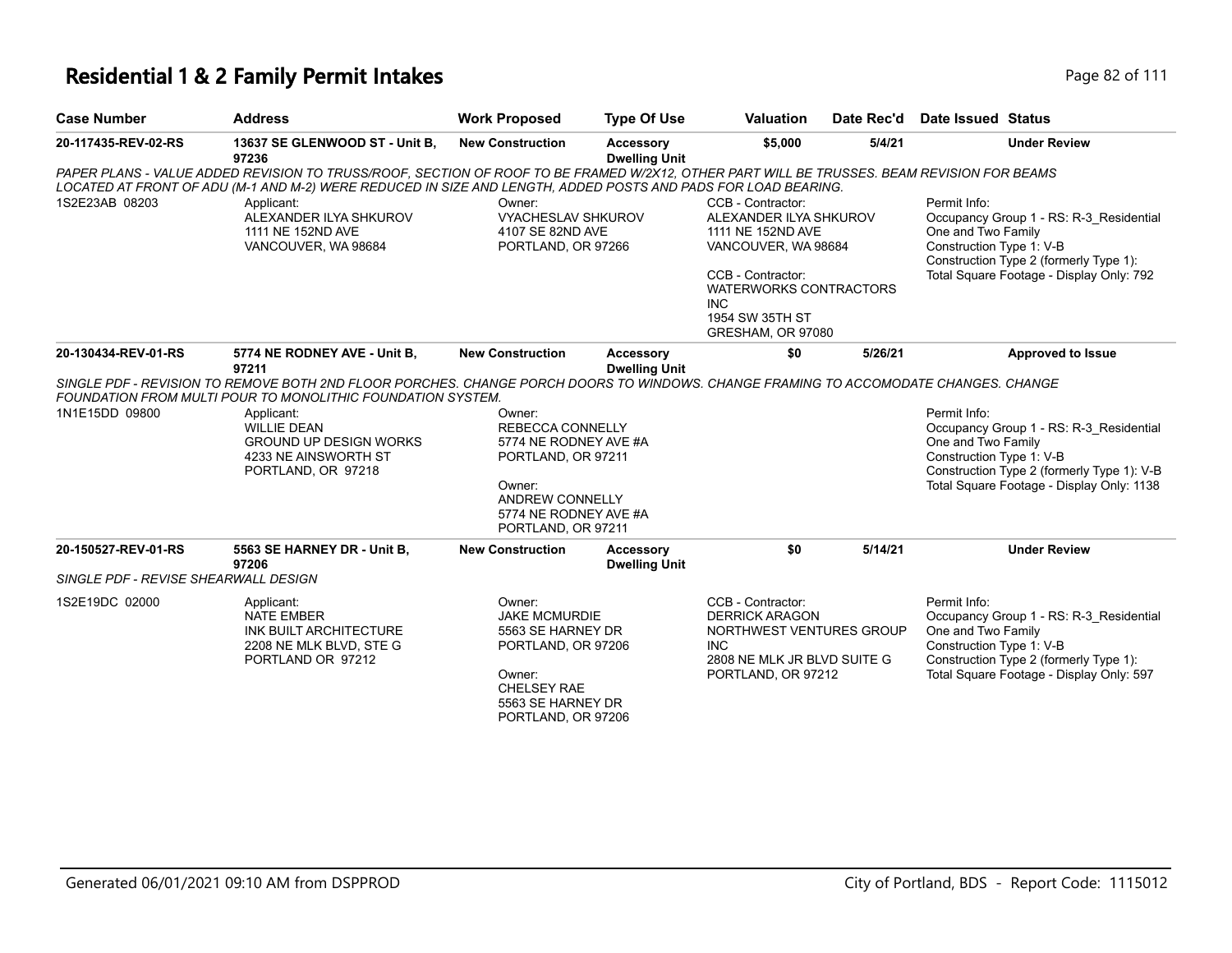### **Residential 1 & 2 Family Permit Intakes Page 82 of 111**

| <b>Case Number</b>  | Address                        | <b>Work Proposed</b> | Type Of Use      | Valuation |        | Date Rec'd Date Issued Status |  |  |
|---------------------|--------------------------------|----------------------|------------------|-----------|--------|-------------------------------|--|--|
| 20-117435-REV-02-RS | 13637 SE GLENWOOD ST - Unit B, | New Construction     | <b>Accessory</b> | \$5,000   | 5/4/21 | <b>Under Review</b>           |  |  |

| 20-117435-REV-02-RS                  | 13637 SE GLENWOOD ST - Unit B,<br>97236                                                                                                                                                                                                                                                                               | <b>New Construction</b>                                                                                                                                      | <b>Accessory</b><br><b>Dwelling Unit</b> | \$5,000                                                                                                                                                                                             | 5/4/21  | <b>Under Review</b>                                                                                                                                                                                  |
|--------------------------------------|-----------------------------------------------------------------------------------------------------------------------------------------------------------------------------------------------------------------------------------------------------------------------------------------------------------------------|--------------------------------------------------------------------------------------------------------------------------------------------------------------|------------------------------------------|-----------------------------------------------------------------------------------------------------------------------------------------------------------------------------------------------------|---------|------------------------------------------------------------------------------------------------------------------------------------------------------------------------------------------------------|
|                                      | PAPER PLANS - VALUE ADDED REVISION TO TRUSS/ROOF, SECTION OF ROOF TO BE FRAMED W/2X12, OTHER PART WILL BE TRUSSES. BEAM REVISION FOR BEAMS<br>LOCATED AT FRONT OF ADU (M-1 AND M-2) WERE REDUCED IN SIZE AND LENGTH, ADDED POSTS AND PADS FOR LOAD BEARING.                                                           |                                                                                                                                                              |                                          |                                                                                                                                                                                                     |         |                                                                                                                                                                                                      |
| 1S2E23AB 08203                       | Applicant:<br>ALEXANDER ILYA SHKUROV<br>1111 NE 152ND AVE<br>VANCOUVER, WA 98684                                                                                                                                                                                                                                      | Owner:<br><b>VYACHESLAV SHKUROV</b><br>4107 SE 82ND AVE<br>PORTLAND, OR 97266                                                                                |                                          | CCB - Contractor:<br>ALEXANDER ILYA SHKUROV<br>1111 NE 152ND AVE<br>VANCOUVER, WA 98684<br>CCB - Contractor:<br><b>WATERWORKS CONTRACTORS</b><br><b>INC</b><br>1954 SW 35TH ST<br>GRESHAM, OR 97080 |         | Permit Info:<br>Occupancy Group 1 - RS: R-3_Residential<br>One and Two Family<br>Construction Type 1: V-B<br>Construction Type 2 (formerly Type 1):<br>Total Square Footage - Display Only: 792      |
| 20-130434-REV-01-RS                  | 5774 NE RODNEY AVE - Unit B,<br>97211                                                                                                                                                                                                                                                                                 | <b>New Construction</b>                                                                                                                                      | <b>Accessory</b><br><b>Dwelling Unit</b> | \$0                                                                                                                                                                                                 | 5/26/21 | <b>Approved to Issue</b>                                                                                                                                                                             |
| 1N1E15DD 09800                       | SINGLE PDF - REVISION TO REMOVE BOTH 2ND FLOOR PORCHES. CHANGE PORCH DOORS TO WINDOWS. CHANGE FRAMING TO ACCOMODATE CHANGES. CHANGE<br>FOUNDATION FROM MULTI POUR TO MONOLITHIC FOUNDATION SYSTEM.<br>Applicant:<br><b>WILLIE DEAN</b><br><b>GROUND UP DESIGN WORKS</b><br>4233 NE AINSWORTH ST<br>PORTLAND, OR 97218 | Owner:<br>REBECCA CONNELLY<br>5774 NE RODNEY AVE #A<br>PORTLAND, OR 97211<br>Owner:<br><b>ANDREW CONNELLY</b><br>5774 NE RODNEY AVE #A<br>PORTLAND, OR 97211 |                                          |                                                                                                                                                                                                     |         | Permit Info:<br>Occupancy Group 1 - RS: R-3 Residential<br>One and Two Family<br>Construction Type 1: V-B<br>Construction Type 2 (formerly Type 1): V-B<br>Total Square Footage - Display Only: 1138 |
| 20-150527-REV-01-RS                  | 5563 SE HARNEY DR - Unit B,<br>97206                                                                                                                                                                                                                                                                                  | <b>New Construction</b>                                                                                                                                      | Accessory<br><b>Dwelling Unit</b>        | \$0                                                                                                                                                                                                 | 5/14/21 | <b>Under Review</b>                                                                                                                                                                                  |
| SINGLE PDF - REVISE SHEARWALL DESIGN |                                                                                                                                                                                                                                                                                                                       |                                                                                                                                                              |                                          |                                                                                                                                                                                                     |         |                                                                                                                                                                                                      |
| 1S2E19DC 02000                       | Applicant:<br><b>NATE EMBER</b><br>INK BUILT ARCHITECTURE<br>2208 NE MLK BLVD, STE G<br>PORTLAND OR 97212                                                                                                                                                                                                             | Owner:<br><b>JAKE MCMURDIE</b><br>5563 SE HARNEY DR<br>PORTLAND, OR 97206<br>Owner:<br><b>CHELSEY RAE</b><br>5563 SE HARNEY DR<br>PORTLAND, OR 97206         |                                          | CCB - Contractor:<br><b>DERRICK ARAGON</b><br>NORTHWEST VENTURES GROUP<br>INC.<br>2808 NE MLK JR BLVD SUITE G<br>PORTLAND, OR 97212                                                                 |         | Permit Info:<br>Occupancy Group 1 - RS: R-3_Residential<br>One and Two Family<br>Construction Type 1: V-B<br>Construction Type 2 (formerly Type 1):<br>Total Square Footage - Display Only: 597      |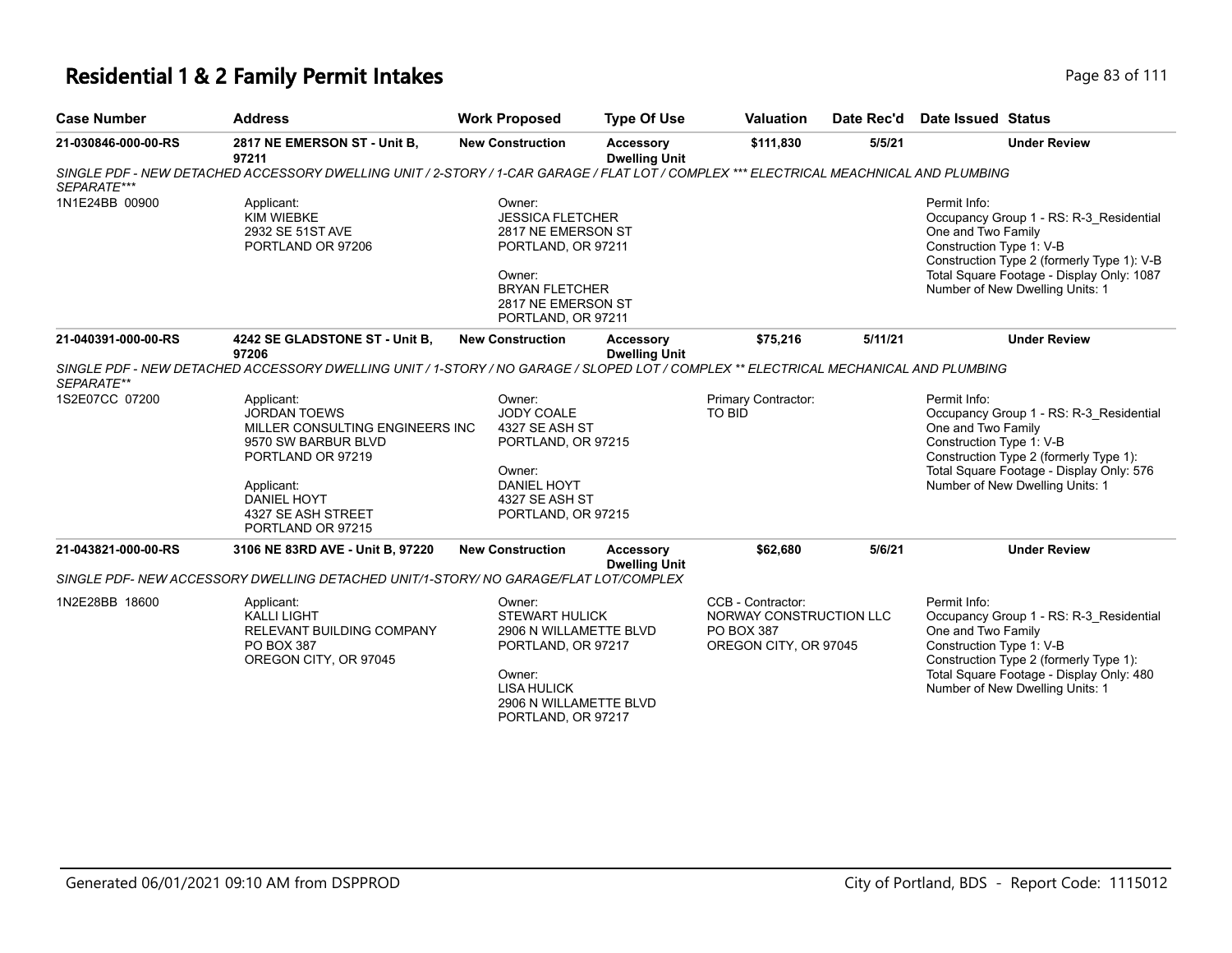# **Residential 1 & 2 Family Permit Intakes Page 83 of 111**

| <b>Case Number</b>  | <b>Address</b>                                                                                                                                                                                  | <b>Work Proposed</b>                                                                                                                                            | <b>Type Of Use</b>                       | <b>Valuation</b>                                                                           | Date Rec'd | Date Issued Status                                                                                                                                                                                                                      |
|---------------------|-------------------------------------------------------------------------------------------------------------------------------------------------------------------------------------------------|-----------------------------------------------------------------------------------------------------------------------------------------------------------------|------------------------------------------|--------------------------------------------------------------------------------------------|------------|-----------------------------------------------------------------------------------------------------------------------------------------------------------------------------------------------------------------------------------------|
| 21-030846-000-00-RS | 2817 NE EMERSON ST - Unit B,<br>97211                                                                                                                                                           | <b>New Construction</b>                                                                                                                                         | <b>Accessory</b><br><b>Dwelling Unit</b> | \$111,830                                                                                  | 5/5/21     | <b>Under Review</b>                                                                                                                                                                                                                     |
| SEPARATE***         | SINGLE PDF - NEW DETACHED ACCESSORY DWELLING UNIT / 2-STORY / 1-CAR GARAGE / FLAT LOT / COMPLEX *** ELECTRICAL MEACHNICAL AND PLUMBING                                                          |                                                                                                                                                                 |                                          |                                                                                            |            |                                                                                                                                                                                                                                         |
| 1N1E24BB 00900      | Applicant:<br><b>KIM WIEBKE</b><br>2932 SE 51ST AVE<br>PORTLAND OR 97206                                                                                                                        | Owner:<br><b>JESSICA FLETCHER</b><br>2817 NE EMERSON ST<br>PORTLAND, OR 97211<br>Owner:<br><b>BRYAN FLETCHER</b><br>2817 NE EMERSON ST<br>PORTLAND, OR 97211    |                                          |                                                                                            |            | Permit Info:<br>Occupancy Group 1 - RS: R-3_Residential<br>One and Two Family<br>Construction Type 1: V-B<br>Construction Type 2 (formerly Type 1): V-B<br>Total Square Footage - Display Only: 1087<br>Number of New Dwelling Units: 1 |
| 21-040391-000-00-RS | 4242 SE GLADSTONE ST - Unit B,<br>97206                                                                                                                                                         | <b>New Construction</b>                                                                                                                                         | Accessory<br><b>Dwelling Unit</b>        | \$75,216                                                                                   | 5/11/21    | <b>Under Review</b>                                                                                                                                                                                                                     |
| SEPARATE**          | SINGLE PDF - NEW DETACHED ACCESSORY DWELLING UNIT / 1-STORY / NO GARAGE / SLOPED LOT / COMPLEX ** ELECTRICAL MECHANICAL AND PLUMBING                                                            |                                                                                                                                                                 |                                          |                                                                                            |            |                                                                                                                                                                                                                                         |
| 1S2E07CC 07200      | Applicant:<br><b>JORDAN TOEWS</b><br>MILLER CONSULTING ENGINEERS INC<br>9570 SW BARBUR BLVD<br>PORTLAND OR 97219<br>Applicant:<br><b>DANIEL HOYT</b><br>4327 SE ASH STREET<br>PORTLAND OR 97215 | Owner:<br>JODY COALE<br>4327 SE ASH ST<br>PORTLAND, OR 97215<br>Owner:<br><b>DANIEL HOYT</b><br>4327 SE ASH ST<br>PORTLAND, OR 97215                            |                                          | Primary Contractor:<br><b>TO BID</b>                                                       |            | Permit Info:<br>Occupancy Group 1 - RS: R-3 Residential<br>One and Two Family<br>Construction Type 1: V-B<br>Construction Type 2 (formerly Type 1):<br>Total Square Footage - Display Only: 576<br>Number of New Dwelling Units: 1      |
| 21-043821-000-00-RS | 3106 NE 83RD AVE - Unit B, 97220                                                                                                                                                                | <b>New Construction</b>                                                                                                                                         | <b>Accessory</b><br><b>Dwelling Unit</b> | \$62,680                                                                                   | 5/6/21     | <b>Under Review</b>                                                                                                                                                                                                                     |
|                     | SINGLE PDF- NEW ACCESSORY DWELLING DETACHED UNIT/1-STORY/ NO GARAGE/FLAT LOT/COMPLEX                                                                                                            |                                                                                                                                                                 |                                          |                                                                                            |            |                                                                                                                                                                                                                                         |
| 1N2E28BB 18600      | Applicant:<br><b>KALLI LIGHT</b><br>RELEVANT BUILDING COMPANY<br>PO BOX 387<br>OREGON CITY, OR 97045                                                                                            | Owner:<br><b>STEWART HULICK</b><br>2906 N WILLAMETTE BLVD<br>PORTLAND, OR 97217<br>Owner:<br><b>LISA HULICK</b><br>2906 N WILLAMETTE BLVD<br>PORTLAND, OR 97217 |                                          | CCB - Contractor:<br>NORWAY CONSTRUCTION LLC<br><b>PO BOX 387</b><br>OREGON CITY, OR 97045 |            | Permit Info:<br>Occupancy Group 1 - RS: R-3_Residential<br>One and Two Family<br>Construction Type 1: V-B<br>Construction Type 2 (formerly Type 1):<br>Total Square Footage - Display Only: 480<br>Number of New Dwelling Units: 1      |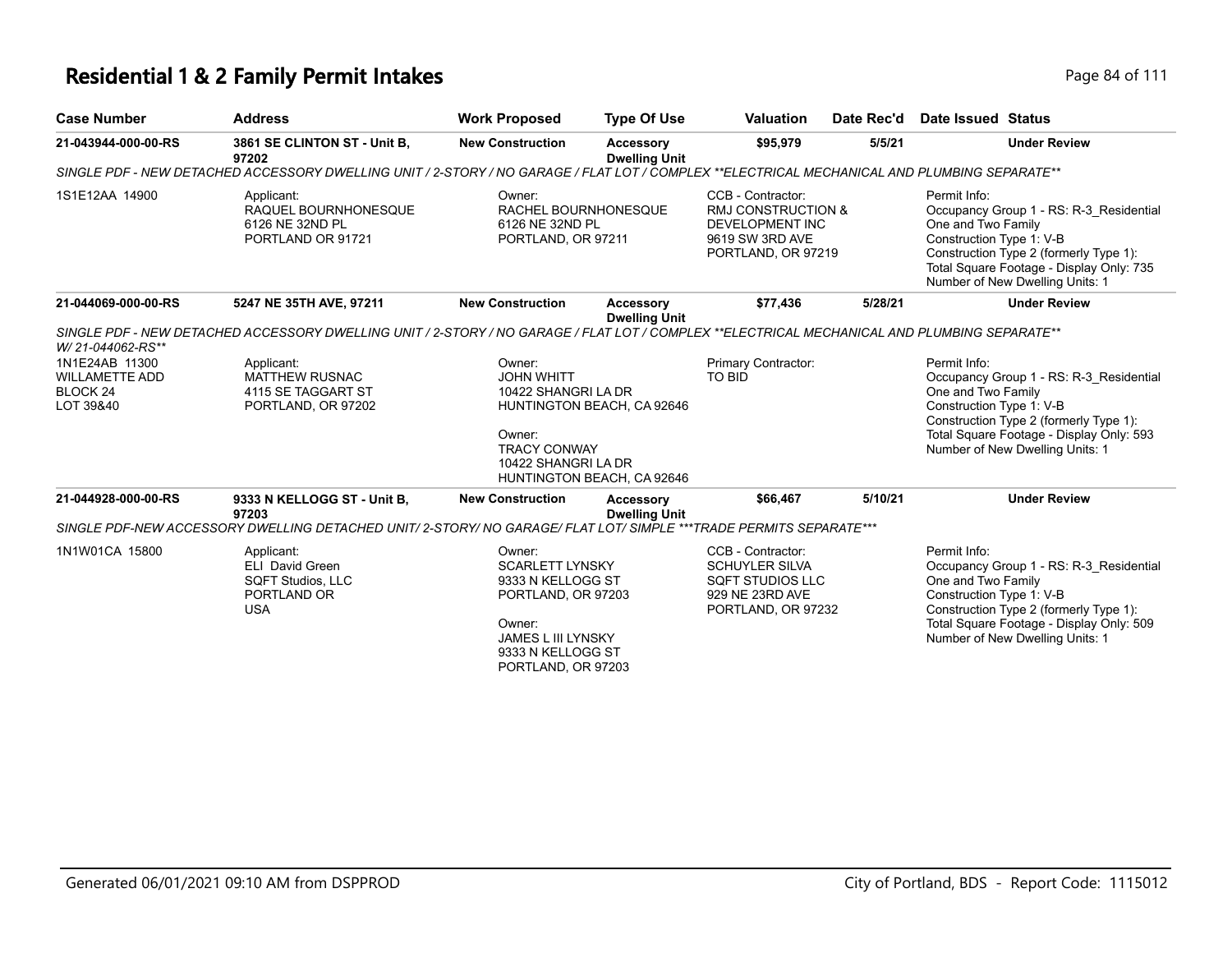## **Residential 1 & 2 Family Permit Intakes Page 84 of 111**

| <b>Case Number</b>                                                          | <b>Address</b>                                                                                                                               | <b>Work Proposed</b>                                                                                                                                   | <b>Type Of Use</b>                                       | Valuation                                                                                                             | Date Rec'd | Date Issued Status                                                                                                                                                                                                                 |
|-----------------------------------------------------------------------------|----------------------------------------------------------------------------------------------------------------------------------------------|--------------------------------------------------------------------------------------------------------------------------------------------------------|----------------------------------------------------------|-----------------------------------------------------------------------------------------------------------------------|------------|------------------------------------------------------------------------------------------------------------------------------------------------------------------------------------------------------------------------------------|
| 21-043944-000-00-RS                                                         | 3861 SE CLINTON ST - Unit B,<br>97202                                                                                                        | <b>New Construction</b>                                                                                                                                | <b>Accessory</b><br><b>Dwelling Unit</b>                 | \$95,979                                                                                                              | 5/5/21     | <b>Under Review</b>                                                                                                                                                                                                                |
|                                                                             | SINGLE PDF - NEW DETACHED ACCESSORY DWELLING UNIT / 2-STORY / NO GARAGE / FLAT LOT / COMPLEX **ELECTRICAL MECHANICAL AND PLUMBING SEPARATE** |                                                                                                                                                        |                                                          |                                                                                                                       |            |                                                                                                                                                                                                                                    |
| 1S1E12AA 14900                                                              | Applicant:<br>RAQUEL BOURNHONESQUE<br>6126 NE 32ND PL<br>PORTLAND OR 91721                                                                   | Owner:<br>RACHEL BOURNHONESQUE<br>6126 NE 32ND PL<br>PORTLAND, OR 97211                                                                                |                                                          | CCB - Contractor:<br><b>RMJ CONSTRUCTION &amp;</b><br><b>DEVELOPMENT INC</b><br>9619 SW 3RD AVE<br>PORTLAND, OR 97219 |            | Permit Info:<br>Occupancy Group 1 - RS: R-3 Residential<br>One and Two Family<br>Construction Type 1: V-B<br>Construction Type 2 (formerly Type 1):<br>Total Square Footage - Display Only: 735<br>Number of New Dwelling Units: 1 |
| 21-044069-000-00-RS                                                         | 5247 NE 35TH AVE, 97211                                                                                                                      | <b>New Construction</b>                                                                                                                                | <b>Accessory</b><br><b>Dwelling Unit</b>                 | \$77,436                                                                                                              | 5/28/21    | <b>Under Review</b>                                                                                                                                                                                                                |
| W/21-044062-RS**                                                            | SINGLE PDF - NEW DETACHED ACCESSORY DWELLING UNIT / 2-STORY / NO GARAGE / FLAT LOT / COMPLEX **ELECTRICAL MECHANICAL AND PLUMBING SEPARATE** |                                                                                                                                                        |                                                          |                                                                                                                       |            |                                                                                                                                                                                                                                    |
| 1N1E24AB 11300<br><b>WILLAMETTE ADD</b><br>BLOCK <sub>24</sub><br>LOT 39&40 | Applicant:<br><b>MATTHEW RUSNAC</b><br>4115 SE TAGGART ST<br>PORTLAND, OR 97202                                                              | Owner:<br><b>JOHN WHITT</b><br>10422 SHANGRI LA DR<br>Owner:<br><b>TRACY CONWAY</b><br>10422 SHANGRI LA DR                                             | HUNTINGTON BEACH, CA 92646<br>HUNTINGTON BEACH, CA 92646 | Primary Contractor:<br><b>TO BID</b>                                                                                  |            | Permit Info:<br>Occupancy Group 1 - RS: R-3_Residential<br>One and Two Family<br>Construction Type 1: V-B<br>Construction Type 2 (formerly Type 1):<br>Total Square Footage - Display Only: 593<br>Number of New Dwelling Units: 1 |
| 21-044928-000-00-RS                                                         | 9333 N KELLOGG ST - Unit B.<br>97203                                                                                                         | <b>New Construction</b>                                                                                                                                | <b>Accessory</b><br><b>Dwelling Unit</b>                 | \$66,467                                                                                                              | 5/10/21    | <b>Under Review</b>                                                                                                                                                                                                                |
|                                                                             | SINGLE PDF-NEW ACCESSORY DWELLING DETACHED UNIT/2-STORY/ NO GARAGE/ FLAT LOT/ SIMPLE ***TRADE PERMITS SEPARATE***                            |                                                                                                                                                        |                                                          |                                                                                                                       |            |                                                                                                                                                                                                                                    |
| 1N1W01CA 15800                                                              | Applicant:<br><b>ELI David Green</b><br><b>SQFT Studios, LLC</b><br>PORTLAND OR<br><b>USA</b>                                                | Owner:<br><b>SCARLETT LYNSKY</b><br>9333 N KELLOGG ST<br>PORTLAND, OR 97203<br>Owner:<br>JAMES L III LYNSKY<br>9333 N KELLOGG ST<br>PORTLAND, OR 97203 |                                                          | CCB - Contractor:<br><b>SCHUYLER SILVA</b><br><b>SQFT STUDIOS LLC</b><br>929 NE 23RD AVE<br>PORTLAND, OR 97232        |            | Permit Info:<br>Occupancy Group 1 - RS: R-3 Residential<br>One and Two Family<br>Construction Type 1: V-B<br>Construction Type 2 (formerly Type 1):<br>Total Square Footage - Display Only: 509<br>Number of New Dwelling Units: 1 |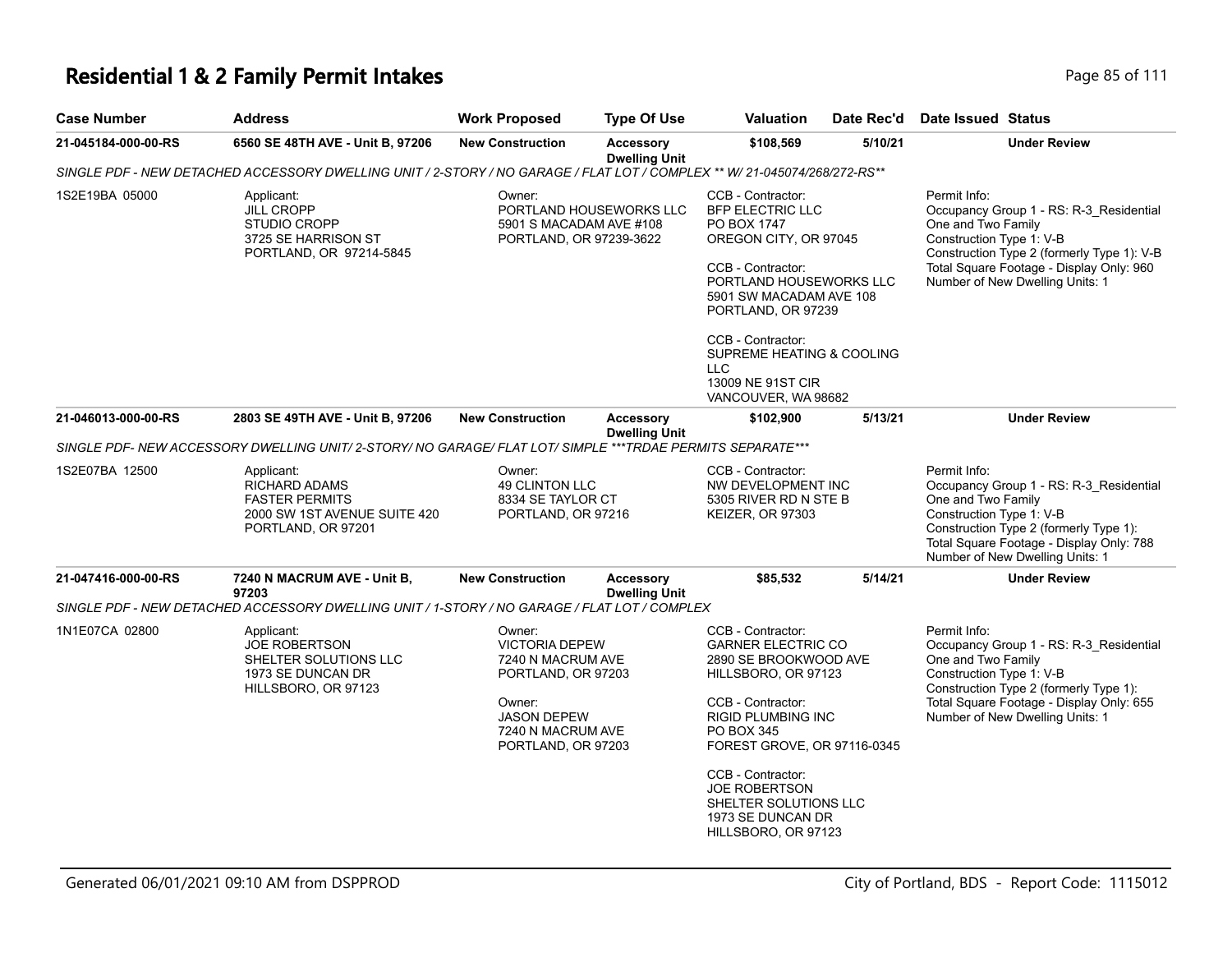## **Residential 1 & 2 Family Permit Intakes Page 85 of 111**

| <b>Case Number</b>                                                                                                         | <b>Address</b>                                                                                                            | <b>Work Proposed</b>                                                                    | <b>Type Of Use</b>                | <b>Valuation</b>                                                                                                                                                                      | Date Rec'd | Date Issued Status                                                                                                                                                                                                                     |
|----------------------------------------------------------------------------------------------------------------------------|---------------------------------------------------------------------------------------------------------------------------|-----------------------------------------------------------------------------------------|-----------------------------------|---------------------------------------------------------------------------------------------------------------------------------------------------------------------------------------|------------|----------------------------------------------------------------------------------------------------------------------------------------------------------------------------------------------------------------------------------------|
| 21-045184-000-00-RS                                                                                                        | 6560 SE 48TH AVE - Unit B, 97206                                                                                          | <b>New Construction</b>                                                                 | Accessory<br><b>Dwelling Unit</b> | \$108,569                                                                                                                                                                             | 5/10/21    | <b>Under Review</b>                                                                                                                                                                                                                    |
|                                                                                                                            | SINGLE PDF - NEW DETACHED ACCESSORY DWELLING UNIT / 2-STORY / NO GARAGE / FLAT LOT / COMPLEX ** W/ 21-045074/268/272-RS** |                                                                                         |                                   |                                                                                                                                                                                       |            |                                                                                                                                                                                                                                        |
| 1S2E19BA 05000<br>Applicant:<br><b>JILL CROPP</b><br><b>STUDIO CROPP</b><br>3725 SE HARRISON ST<br>PORTLAND, OR 97214-5845 |                                                                                                                           | Owner:<br>PORTLAND HOUSEWORKS LLC<br>5901 S MACADAM AVE #108<br>PORTLAND, OR 97239-3622 |                                   | CCB - Contractor:<br><b>BFP ELECTRIC LLC</b><br>PO BOX 1747<br>OREGON CITY, OR 97045<br>CCB - Contractor:<br>PORTLAND HOUSEWORKS LLC<br>5901 SW MACADAM AVE 108<br>PORTLAND, OR 97239 |            | Permit Info:<br>Occupancy Group 1 - RS: R-3_Residential<br>One and Two Family<br>Construction Type 1: V-B<br>Construction Type 2 (formerly Type 1): V-B<br>Total Square Footage - Display Only: 960<br>Number of New Dwelling Units: 1 |
|                                                                                                                            |                                                                                                                           |                                                                                         |                                   | CCB - Contractor:<br>SUPREME HEATING & COOLING<br>LLC<br>13009 NE 91ST CIR<br>VANCOUVER, WA 98682                                                                                     |            |                                                                                                                                                                                                                                        |
| 21-046013-000-00-RS                                                                                                        | 2803 SE 49TH AVE - Unit B, 97206                                                                                          | <b>New Construction</b>                                                                 | <b>Accessory</b>                  | \$102,900                                                                                                                                                                             | 5/13/21    | <b>Under Review</b>                                                                                                                                                                                                                    |
|                                                                                                                            | SINGLE PDF- NEW ACCESSORY DWELLING UNIT/ 2-STORY/ NO GARAGE/ FLAT LOT/ SIMPLE ***TRDAE PERMITS SEPARATE***                |                                                                                         | <b>Dwelling Unit</b>              |                                                                                                                                                                                       |            |                                                                                                                                                                                                                                        |
| 1S2E07BA 12500                                                                                                             | Applicant:<br><b>RICHARD ADAMS</b><br><b>FASTER PERMITS</b><br>2000 SW 1ST AVENUE SUITE 420<br>PORTLAND, OR 97201         | Owner:<br><b>49 CLINTON LLC</b><br>8334 SE TAYLOR CT<br>PORTLAND, OR 97216              |                                   | CCB - Contractor:<br>NW DEVELOPMENT INC<br>5305 RIVER RD N STE B<br>KEIZER, OR 97303                                                                                                  |            | Permit Info:<br>Occupancy Group 1 - RS: R-3_Residential<br>One and Two Family<br>Construction Type 1: V-B<br>Construction Type 2 (formerly Type 1):<br>Total Square Footage - Display Only: 788<br>Number of New Dwelling Units: 1     |
| 21-047416-000-00-RS                                                                                                        | 7240 N MACRUM AVE - Unit B,<br>97203                                                                                      | <b>New Construction</b>                                                                 | Accessory<br><b>Dwelling Unit</b> | \$85,532                                                                                                                                                                              | 5/14/21    | <b>Under Review</b>                                                                                                                                                                                                                    |
|                                                                                                                            | SINGLE PDF - NEW DETACHED ACCESSORY DWELLING UNIT / 1-STORY / NO GARAGE / FLAT LOT / COMPLEX                              |                                                                                         |                                   |                                                                                                                                                                                       |            |                                                                                                                                                                                                                                        |
| 1N1E07CA 02800                                                                                                             | Applicant:<br><b>JOE ROBERTSON</b><br>SHELTER SOLUTIONS LLC<br>1973 SE DUNCAN DR<br>HILLSBORO, OR 97123                   | Owner:<br><b>VICTORIA DEPEW</b><br>7240 N MACRUM AVE<br>PORTLAND, OR 97203              |                                   | CCB - Contractor:<br><b>GARNER ELECTRIC CO</b><br>2890 SE BROOKWOOD AVE<br>HILLSBORO, OR 97123                                                                                        |            | Permit Info:<br>Occupancy Group 1 - RS: R-3_Residential<br>One and Two Family<br>Construction Type 1: V-B<br>Construction Type 2 (formerly Type 1):                                                                                    |
|                                                                                                                            |                                                                                                                           | Owner:<br><b>JASON DEPEW</b><br>7240 N MACRUM AVE<br>PORTLAND, OR 97203                 |                                   | CCB - Contractor:<br><b>RIGID PLUMBING INC</b><br>PO BOX 345<br>FOREST GROVE, OR 97116-0345                                                                                           |            | Total Square Footage - Display Only: 655<br>Number of New Dwelling Units: 1                                                                                                                                                            |
|                                                                                                                            |                                                                                                                           |                                                                                         |                                   | CCB - Contractor:<br><b>JOE ROBERTSON</b><br>SHELTER SOLUTIONS LLC<br>1973 SE DUNCAN DR<br>HILLSBORO, OR 97123                                                                        |            |                                                                                                                                                                                                                                        |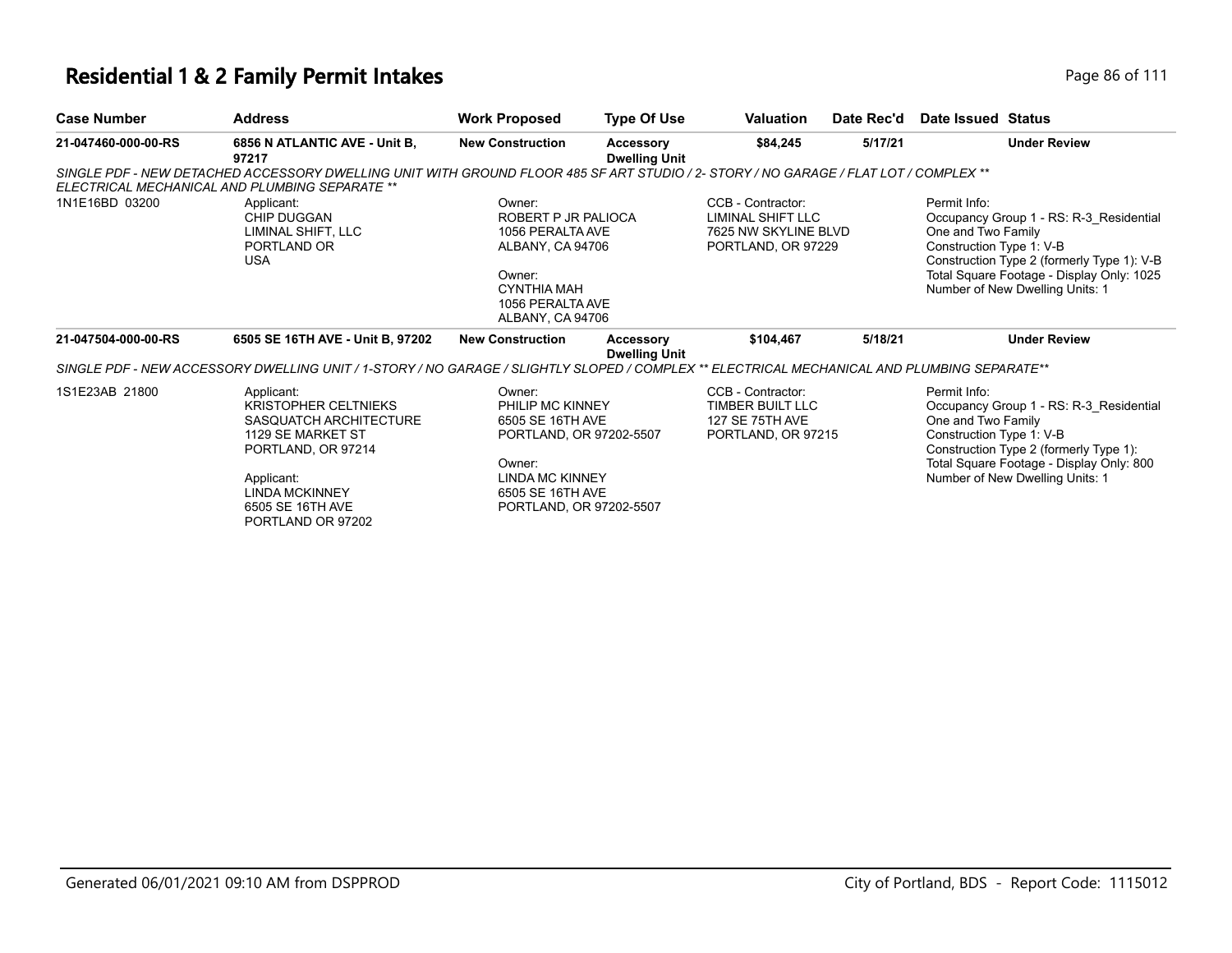| <b>Case Number</b>  | <b>Address</b>                                                                                                                                                                                 | <b>Work Proposed</b>                                                                                                                                                | <b>Type Of Use</b>                | <b>Valuation</b>                                                                     | Date Rec'd | Date Issued Status                                                                                                                                                                                                                      |
|---------------------|------------------------------------------------------------------------------------------------------------------------------------------------------------------------------------------------|---------------------------------------------------------------------------------------------------------------------------------------------------------------------|-----------------------------------|--------------------------------------------------------------------------------------|------------|-----------------------------------------------------------------------------------------------------------------------------------------------------------------------------------------------------------------------------------------|
| 21-047460-000-00-RS | 6856 N ATLANTIC AVE - Unit B.<br>97217                                                                                                                                                         | <b>New Construction</b>                                                                                                                                             | Accessory<br><b>Dwelling Unit</b> | \$84,245                                                                             | 5/17/21    | <b>Under Review</b>                                                                                                                                                                                                                     |
|                     | SINGLE PDF - NEW DETACHED ACCESSORY DWELLING UNIT WITH GROUND FLOOR 485 SF ART STUDIO / 2- STORY / NO GARAGE / FLAT LOT / COMPLEX **<br>ELECTRICAL MECHANICAL AND PLUMBING SEPARATE **         |                                                                                                                                                                     |                                   |                                                                                      |            |                                                                                                                                                                                                                                         |
| 1N1E16BD 03200      | Applicant:<br>CHIP DUGGAN<br>LIMINAL SHIFT. LLC<br>PORTLAND OR<br><b>USA</b>                                                                                                                   | Owner:<br>ROBERT P JR PALIOCA<br>1056 PERALTA AVE<br>ALBANY, CA 94706<br>Owner:<br><b>CYNTHIA MAH</b><br>1056 PERALTA AVE<br>ALBANY, CA 94706                       |                                   | CCB - Contractor:<br>LIMINAL SHIFT LLC<br>7625 NW SKYLINE BLVD<br>PORTLAND, OR 97229 |            | Permit Info:<br>Occupancy Group 1 - RS: R-3 Residential<br>One and Two Family<br>Construction Type 1: V-B<br>Construction Type 2 (formerly Type 1): V-B<br>Total Square Footage - Display Only: 1025<br>Number of New Dwelling Units: 1 |
| 21-047504-000-00-RS | 6505 SE 16TH AVE - Unit B, 97202                                                                                                                                                               | <b>New Construction</b>                                                                                                                                             | Accessory<br><b>Dwelling Unit</b> | \$104,467                                                                            | 5/18/21    | <b>Under Review</b>                                                                                                                                                                                                                     |
|                     | SINGLE PDF - NEW ACCESSORY DWELLING UNIT / 1-STORY / NO GARAGE / SLIGHTLY SLOPED / COMPLEX ** ELECTRICAL MECHANICAL AND PLUMBING SEPARATE**                                                    |                                                                                                                                                                     |                                   |                                                                                      |            |                                                                                                                                                                                                                                         |
| 1S1E23AB 21800      | Applicant:<br><b>KRISTOPHER CELTNIEKS</b><br>SASQUATCH ARCHITECTURE<br>1129 SE MARKET ST<br>PORTLAND, OR 97214<br>Applicant:<br><b>LINDA MCKINNEY</b><br>6505 SE 16TH AVE<br>PORTLAND OR 97202 | Owner:<br><b>PHILIP MC KINNEY</b><br>6505 SE 16TH AVE<br>PORTLAND, OR 97202-5507<br>Owner:<br><b>LINDA MC KINNEY</b><br>6505 SE 16TH AVE<br>PORTLAND, OR 97202-5507 |                                   | CCB - Contractor:<br>TIMBER BUILT LLC<br>127 SE 75TH AVE<br>PORTLAND, OR 97215       |            | Permit Info:<br>Occupancy Group 1 - RS: R-3 Residential<br>One and Two Family<br>Construction Type 1: V-B<br>Construction Type 2 (formerly Type 1):<br>Total Square Footage - Display Only: 800<br>Number of New Dwelling Units: 1      |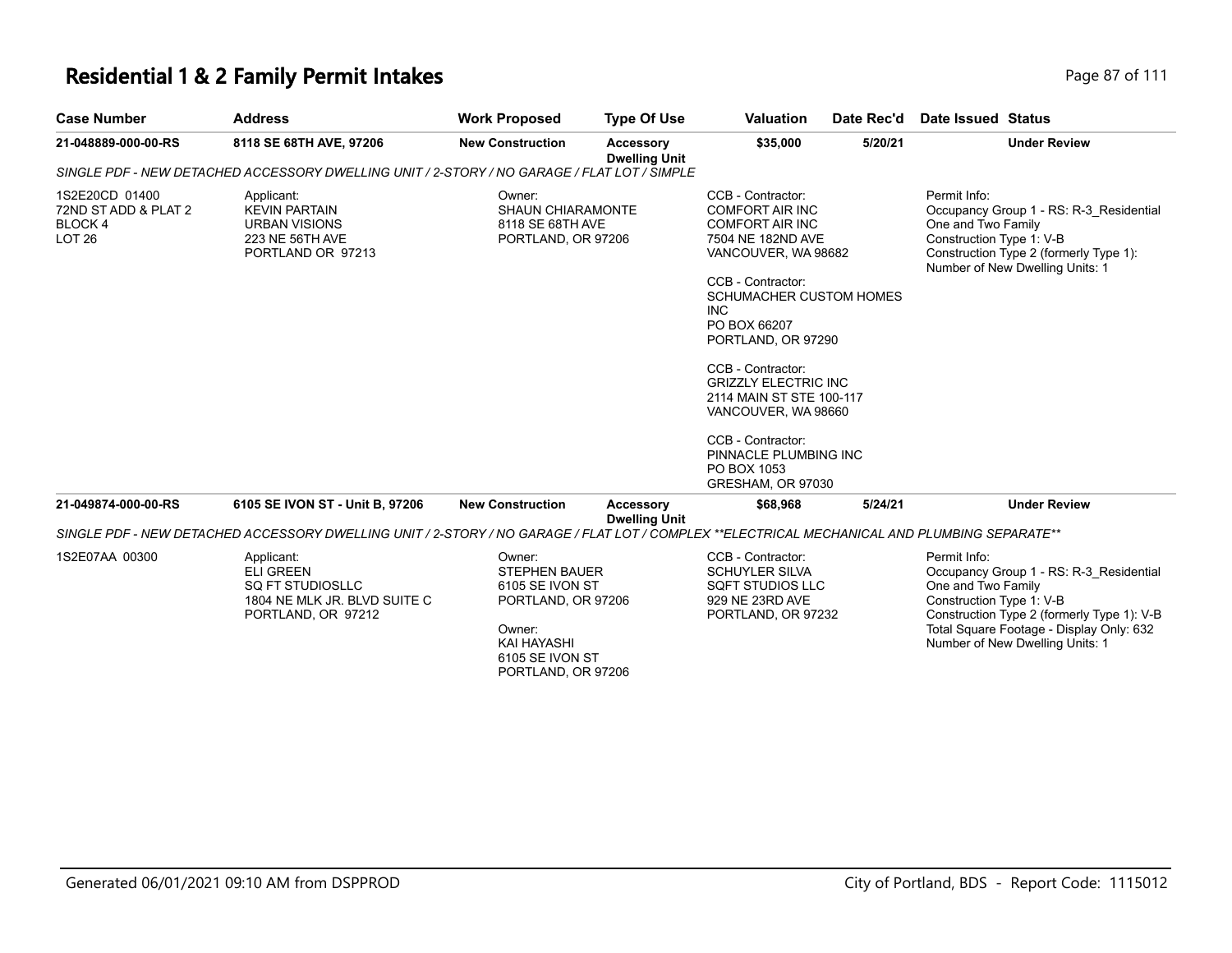#### **Residential 1 & 2 Family Permit Intakes Page 87 of 111**

| <b>Case Number</b>   | <b>Address</b>                                                                              | <b>Work Proposed</b>     | <b>Type Of Use</b>                       | <b>Valuation</b>       | Date Rec'd | Date Issued Status                      |
|----------------------|---------------------------------------------------------------------------------------------|--------------------------|------------------------------------------|------------------------|------------|-----------------------------------------|
| 21-048889-000-00-RS  | 8118 SE 68TH AVE. 97206                                                                     | <b>New Construction</b>  | <b>Accessory</b><br><b>Dwelling Unit</b> | \$35,000               | 5/20/21    | <b>Under Review</b>                     |
|                      | SINGLE PDF - NEW DETACHED ACCESSORY DWELLING UNIT / 2-STORY / NO GARAGE / FLAT LOT / SIMPLE |                          |                                          |                        |            |                                         |
| 1S2E20CD 01400       | Applicant:                                                                                  | Owner:                   |                                          | CCB - Contractor:      |            | Permit Info:                            |
| 72ND ST ADD & PLAT 2 | KEVIN PARTAIN                                                                               | <b>SHAUN CHIARAMONTE</b> |                                          | <b>COMFORT AIR INC</b> |            | Occupancy Group 1 - RS: R-3 Residential |
| RI OCK 4             | <b>IRRAN VISIONS</b>                                                                        | $8118$ SE GRTH AVE       |                                          | COMEORT AIR INC.       |            | One and Two Family                      |

| 72ND ST ADD & PLAT 2<br>BLOCK 4<br>LOT <sub>26</sub> | <b>KEVIN PARTAIN</b><br><b>URBAN VISIONS</b><br>223 NE 56TH AVE<br>PORTLAND OR 97213                                                         | <b>SHAUN CHIARAMONTE</b><br>8118 SE 68TH AVE<br>PORTLAND, OR 97206      |                                          | <b>COMFORT AIR INC</b><br><b>COMFORT AIR INC</b><br>7504 NE 182ND AVE<br>VANCOUVER, WA 98682<br>CCB - Contractor:<br>SCHUMACHER CUSTOM HOMES<br><b>INC</b><br>PO BOX 66207<br>PORTLAND, OR 97290<br>CCB - Contractor:<br><b>GRIZZLY ELECTRIC INC</b><br>2114 MAIN ST STE 100-117 |         | Occupancy Group 1 - RS: R-3 Residential<br>One and Two Family<br>Construction Type 1: V-B<br>Construction Type 2 (formerly Type 1):<br>Number of New Dwelling Units: 1 |
|------------------------------------------------------|----------------------------------------------------------------------------------------------------------------------------------------------|-------------------------------------------------------------------------|------------------------------------------|----------------------------------------------------------------------------------------------------------------------------------------------------------------------------------------------------------------------------------------------------------------------------------|---------|------------------------------------------------------------------------------------------------------------------------------------------------------------------------|
|                                                      |                                                                                                                                              |                                                                         |                                          | VANCOUVER, WA 98660<br>CCB - Contractor:<br>PINNACLE PLUMBING INC<br>PO BOX 1053                                                                                                                                                                                                 |         |                                                                                                                                                                        |
|                                                      |                                                                                                                                              |                                                                         |                                          | GRESHAM, OR 97030                                                                                                                                                                                                                                                                |         |                                                                                                                                                                        |
| 21-049874-000-00-RS                                  | 6105 SE IVON ST - Unit B, 97206                                                                                                              | <b>New Construction</b>                                                 | <b>Accessory</b><br><b>Dwelling Unit</b> | \$68,968                                                                                                                                                                                                                                                                         | 5/24/21 | <b>Under Review</b>                                                                                                                                                    |
|                                                      | SINGLE PDF - NEW DETACHED ACCESSORY DWELLING UNIT / 2-STORY / NO GARAGE / FLAT LOT / COMPLEX **ELECTRICAL MECHANICAL AND PLUMBING SEPARATE** |                                                                         |                                          |                                                                                                                                                                                                                                                                                  |         |                                                                                                                                                                        |
| 1S2E07AA 00300                                       | Applicant:<br><b>ELI GREEN</b><br>SQ FT STUDIOSLLC<br>1804 NE MLK JR. BLVD SUITE C<br>PORTLAND, OR 97212                                     | Owner:<br><b>STEPHEN BAUER</b><br>6105 SE IVON ST<br>PORTLAND, OR 97206 |                                          | CCB - Contractor:<br><b>SCHUYLER SILVA</b><br>SQFT STUDIOS LLC<br>929 NE 23RD AVE<br>PORTLAND, OR 97232                                                                                                                                                                          |         | Permit Info:<br>Occupancy Group 1 - RS: R-3 Residential<br>One and Two Family<br>Construction Type 1: V-B<br>Construction Type 2 (formerly Type 1): V-B                |

Owner: KAI HAYASHI 6105 SE IVON ST PORTLAND, OR 97206

Total Square Footage - Display Only: 632 Number of New Dwelling Units: 1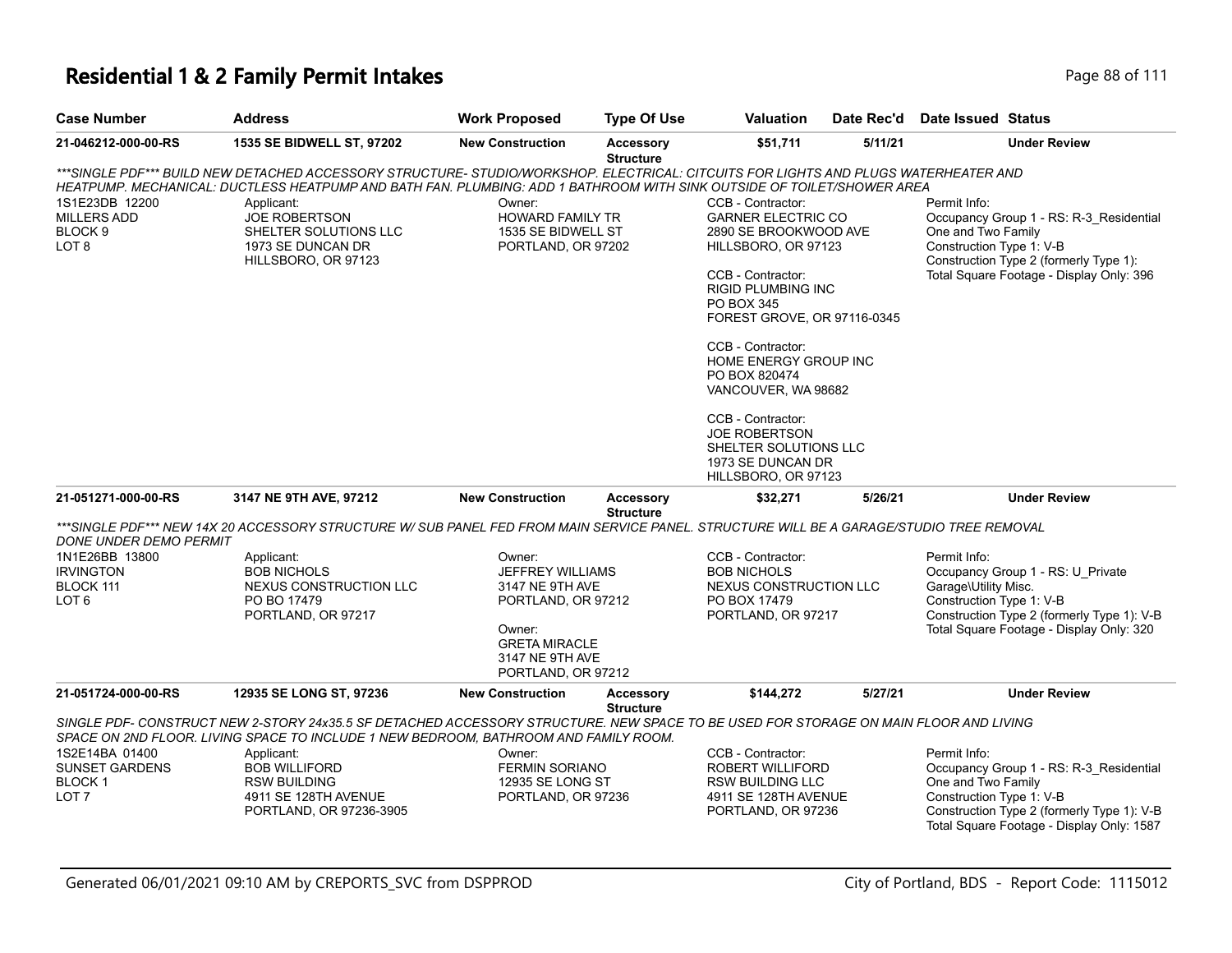| <b>Case Number</b>     | <b>Address</b>                                                                                                                           | <b>Work Proposed</b>    | <b>Type Of Use</b>                   | <b>Valuation</b>                       | Date Rec'd | <b>Date Issued Status</b>                                          |
|------------------------|------------------------------------------------------------------------------------------------------------------------------------------|-------------------------|--------------------------------------|----------------------------------------|------------|--------------------------------------------------------------------|
| 21-046212-000-00-RS    | 1535 SE BIDWELL ST, 97202                                                                                                                | <b>New Construction</b> | <b>Accessory</b><br><b>Structure</b> | \$51,711                               | 5/11/21    | <b>Under Review</b>                                                |
|                        | ***SINGLE PDF*** BUILD NEW DETACHED ACCESSORY STRUCTURE- STUDIO/WORKSHOP. ELECTRICAL: CITCUITS FOR LIGHTS AND PLUGS WATERHEATER AND      |                         |                                      |                                        |            |                                                                    |
|                        | HEATPUMP. MECHANICAL: DUCTLESS HEATPUMP AND BATH FAN. PLUMBING: ADD 1 BATHROOM WITH SINK OUTSIDE OF TOILET/SHOWER AREA                   |                         |                                      |                                        |            |                                                                    |
| 1S1E23DB 12200         | Applicant:                                                                                                                               | Owner:                  |                                      | CCB - Contractor:                      |            | Permit Info:                                                       |
| <b>MILLERS ADD</b>     | <b>JOE ROBERTSON</b>                                                                                                                     | HOWARD FAMILY TR        |                                      | <b>GARNER ELECTRIC CO</b>              |            | Occupancy Group 1 - RS: R-3 Residential                            |
| BLOCK 9                | SHELTER SOLUTIONS LLC                                                                                                                    | 1535 SE BIDWELL ST      |                                      | 2890 SE BROOKWOOD AVE                  |            | One and Two Family                                                 |
| LOT 8                  | 1973 SE DUNCAN DR<br>HILLSBORO, OR 97123                                                                                                 | PORTLAND, OR 97202      |                                      | HILLSBORO, OR 97123                    |            | Construction Type 1: V-B<br>Construction Type 2 (formerly Type 1): |
|                        |                                                                                                                                          |                         |                                      | CCB - Contractor:                      |            | Total Square Footage - Display Only: 396                           |
|                        |                                                                                                                                          |                         |                                      | <b>RIGID PLUMBING INC</b>              |            |                                                                    |
|                        |                                                                                                                                          |                         |                                      | PO BOX 345                             |            |                                                                    |
|                        |                                                                                                                                          |                         |                                      | FOREST GROVE, OR 97116-0345            |            |                                                                    |
|                        |                                                                                                                                          |                         |                                      | CCB - Contractor:                      |            |                                                                    |
|                        |                                                                                                                                          |                         |                                      | HOME ENERGY GROUP INC                  |            |                                                                    |
|                        |                                                                                                                                          |                         |                                      | PO BOX 820474                          |            |                                                                    |
|                        |                                                                                                                                          |                         |                                      | VANCOUVER, WA 98682                    |            |                                                                    |
|                        |                                                                                                                                          |                         |                                      | CCB - Contractor:                      |            |                                                                    |
|                        |                                                                                                                                          |                         |                                      | <b>JOE ROBERTSON</b>                   |            |                                                                    |
|                        |                                                                                                                                          |                         |                                      | SHELTER SOLUTIONS LLC                  |            |                                                                    |
|                        |                                                                                                                                          |                         |                                      | 1973 SE DUNCAN DR                      |            |                                                                    |
|                        |                                                                                                                                          |                         |                                      | HILLSBORO, OR 97123                    |            |                                                                    |
| 21-051271-000-00-RS    | 3147 NE 9TH AVE, 97212                                                                                                                   | <b>New Construction</b> | Accessory<br><b>Structure</b>        | \$32,271                               | 5/26/21    | <b>Under Review</b>                                                |
|                        | ***SINGLE PDF*** NEW 14X 20 ACCESSORY STRUCTURE W/ SUB PANEL FED FROM MAIN SERVICE PANEL. STRUCTURE WILL BE A GARAGE/STUDIO TREE REMOVAL |                         |                                      |                                        |            |                                                                    |
| DONE UNDER DEMO PERMIT |                                                                                                                                          |                         |                                      |                                        |            |                                                                    |
| 1N1E26BB 13800         | Applicant:                                                                                                                               | Owner:                  |                                      | CCB - Contractor:                      |            | Permit Info:                                                       |
| <b>IRVINGTON</b>       | <b>BOB NICHOLS</b>                                                                                                                       | JEFFREY WILLIAMS        |                                      | <b>BOB NICHOLS</b>                     |            | Occupancy Group 1 - RS: U_Private                                  |
| BLOCK 111<br>LOT 6     | NEXUS CONSTRUCTION LLC<br>PO BO 17479                                                                                                    | 3147 NE 9TH AVE         |                                      | NEXUS CONSTRUCTION LLC<br>PO BOX 17479 |            | Garage\Utility Misc.<br>Construction Type 1: V-B                   |
|                        | PORTLAND, OR 97217                                                                                                                       | PORTLAND, OR 97212      |                                      | PORTLAND, OR 97217                     |            | Construction Type 2 (formerly Type 1): V-B                         |
|                        |                                                                                                                                          | Owner:                  |                                      |                                        |            | Total Square Footage - Display Only: 320                           |
|                        |                                                                                                                                          | <b>GRETA MIRACLE</b>    |                                      |                                        |            |                                                                    |
|                        |                                                                                                                                          | 3147 NE 9TH AVE         |                                      |                                        |            |                                                                    |
|                        |                                                                                                                                          | PORTLAND, OR 97212      |                                      |                                        |            |                                                                    |
| 21-051724-000-00-RS    | 12935 SE LONG ST, 97236                                                                                                                  | <b>New Construction</b> | <b>Accessory</b>                     | \$144,272                              | 5/27/21    | <b>Under Review</b>                                                |
|                        | SINGLE PDF- CONSTRUCT NEW 2-STORY 24x35.5 SF DETACHED ACCESSORY STRUCTURE. NEW SPACE TO BE USED FOR STORAGE ON MAIN FLOOR AND LIVING     |                         | <b>Structure</b>                     |                                        |            |                                                                    |
|                        | SPACE ON 2ND FLOOR. LIVING SPACE TO INCLUDE 1 NEW BEDROOM, BATHROOM AND FAMILY ROOM.                                                     |                         |                                      |                                        |            |                                                                    |
| 1S2E14BA 01400         | Applicant:                                                                                                                               | Owner:                  |                                      | CCB - Contractor:                      |            | Permit Info:                                                       |
| <b>SUNSET GARDENS</b>  | <b>BOB WILLIFORD</b>                                                                                                                     | <b>FERMIN SORIANO</b>   |                                      | <b>ROBERT WILLIFORD</b>                |            | Occupancy Group 1 - RS: R-3 Residential                            |
| BLOCK 1                | <b>RSW BUILDING</b>                                                                                                                      | 12935 SE LONG ST        |                                      | RSW BUILDING LLC                       |            | One and Two Family                                                 |
| LOT 7                  | 4911 SE 128TH AVENUE                                                                                                                     | PORTLAND, OR 97236      |                                      | 4911 SE 128TH AVENUE                   |            | Construction Type 1: V-B                                           |
|                        | PORTLAND, OR 97236-3905                                                                                                                  |                         |                                      | PORTLAND, OR 97236                     |            | Construction Type 2 (formerly Type 1): V-B                         |

Total Square Footage - Display Only: 1587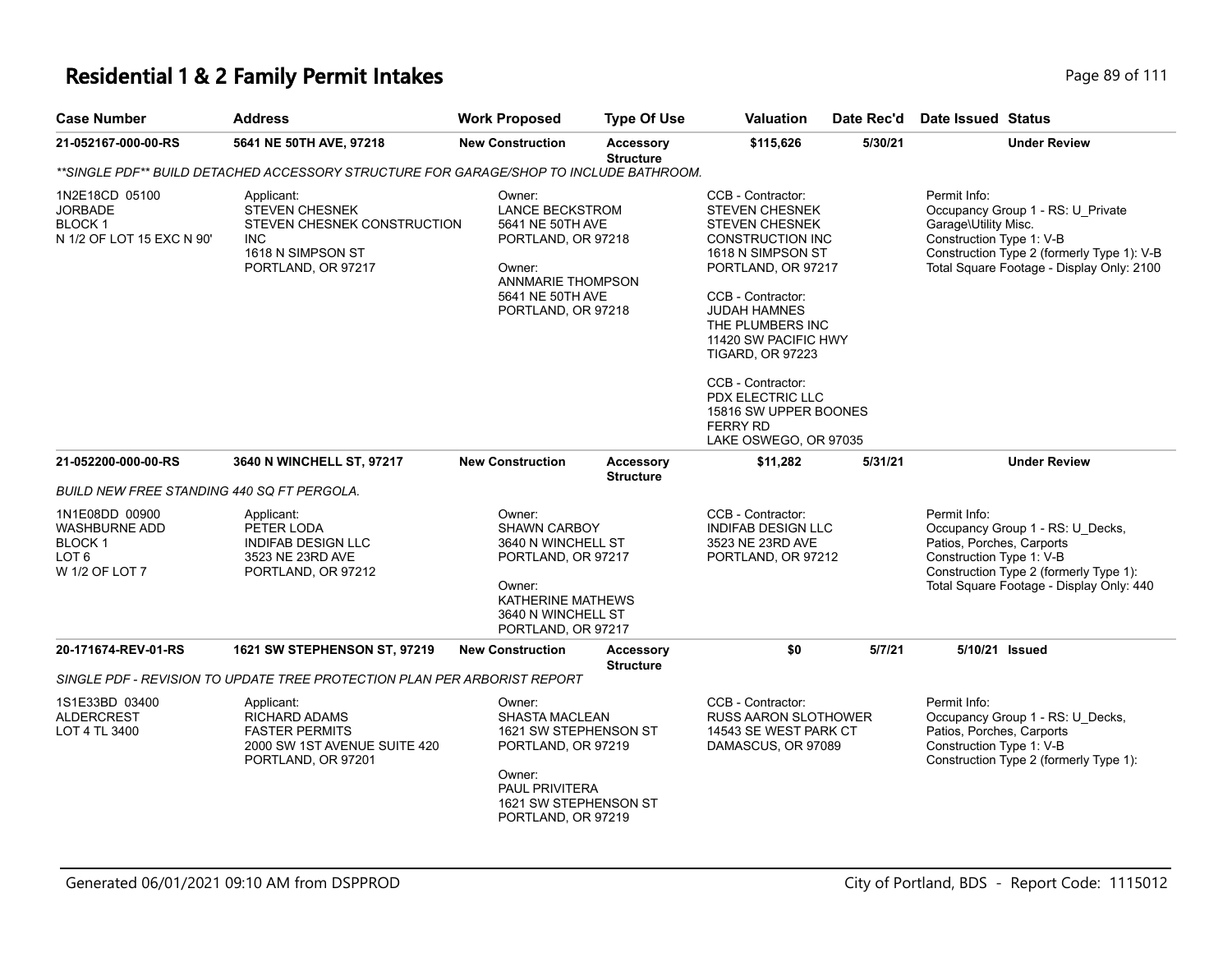| <b>Case Number</b>                                                                                 | <b>Address</b>                                                                                                              | <b>Work Proposed</b>                                                                                                                                      | <b>Type Of Use</b>                   | <b>Valuation</b>                                                                                                                                                                                                                                                                                                                                                    | Date Rec'd | Date Issued Status                                                                                                                                                                               |
|----------------------------------------------------------------------------------------------------|-----------------------------------------------------------------------------------------------------------------------------|-----------------------------------------------------------------------------------------------------------------------------------------------------------|--------------------------------------|---------------------------------------------------------------------------------------------------------------------------------------------------------------------------------------------------------------------------------------------------------------------------------------------------------------------------------------------------------------------|------------|--------------------------------------------------------------------------------------------------------------------------------------------------------------------------------------------------|
| 21-052167-000-00-RS                                                                                | 5641 NE 50TH AVE, 97218                                                                                                     | <b>New Construction</b>                                                                                                                                   | <b>Accessory</b><br><b>Structure</b> | \$115,626                                                                                                                                                                                                                                                                                                                                                           | 5/30/21    | <b>Under Review</b>                                                                                                                                                                              |
|                                                                                                    | **SINGLE PDF** BUILD DETACHED ACCESSORY STRUCTURE FOR GARAGE/SHOP TO INCLUDE BATHROOM.                                      |                                                                                                                                                           |                                      |                                                                                                                                                                                                                                                                                                                                                                     |            |                                                                                                                                                                                                  |
| 1N2E18CD 05100<br><b>JORBADE</b><br><b>BLOCK1</b><br>N 1/2 OF LOT 15 EXC N 90'                     | Applicant:<br><b>STEVEN CHESNEK</b><br>STEVEN CHESNEK CONSTRUCTION<br><b>INC</b><br>1618 N SIMPSON ST<br>PORTLAND, OR 97217 | Owner:<br><b>LANCE BECKSTROM</b><br>5641 NE 50TH AVE<br>PORTLAND, OR 97218<br>Owner:<br>ANNMARIE THOMPSON<br>5641 NE 50TH AVE<br>PORTLAND, OR 97218       |                                      | CCB - Contractor:<br><b>STEVEN CHESNEK</b><br><b>STEVEN CHESNEK</b><br>CONSTRUCTION INC<br>1618 N SIMPSON ST<br>PORTLAND, OR 97217<br>CCB - Contractor:<br><b>JUDAH HAMNES</b><br>THE PLUMBERS INC<br>11420 SW PACIFIC HWY<br><b>TIGARD, OR 97223</b><br>CCB - Contractor:<br>PDX ELECTRIC LLC<br>15816 SW UPPER BOONES<br><b>FERRY RD</b><br>LAKE OSWEGO, OR 97035 |            | Permit Info:<br>Occupancy Group 1 - RS: U Private<br>Garage\Utility Misc.<br>Construction Type 1: V-B<br>Construction Type 2 (formerly Type 1): V-B<br>Total Square Footage - Display Only: 2100 |
| 21-052200-000-00-RS                                                                                | 3640 N WINCHELL ST, 97217                                                                                                   | <b>New Construction</b>                                                                                                                                   | <b>Accessory</b><br><b>Structure</b> | \$11,282                                                                                                                                                                                                                                                                                                                                                            | 5/31/21    | <b>Under Review</b>                                                                                                                                                                              |
| <b>BUILD NEW FREE STANDING 440 SQ FT PERGOLA.</b>                                                  |                                                                                                                             |                                                                                                                                                           |                                      |                                                                                                                                                                                                                                                                                                                                                                     |            |                                                                                                                                                                                                  |
| 1N1E08DD 00900<br><b>WASHBURNE ADD</b><br>BLOCK <sub>1</sub><br>LOT <sub>6</sub><br>W 1/2 OF LOT 7 | Applicant:<br>PETER LODA<br><b>INDIFAB DESIGN LLC</b><br>3523 NE 23RD AVE<br>PORTLAND, OR 97212                             | Owner:<br><b>SHAWN CARBOY</b><br>3640 N WINCHELL ST<br>PORTLAND, OR 97217<br>Owner:<br>KATHERINE MATHEWS<br>3640 N WINCHELL ST<br>PORTLAND, OR 97217      |                                      | CCB - Contractor:<br><b>INDIFAB DESIGN LLC</b><br>3523 NE 23RD AVE<br>PORTLAND, OR 97212                                                                                                                                                                                                                                                                            |            | Permit Info:<br>Occupancy Group 1 - RS: U_Decks,<br>Patios, Porches, Carports<br>Construction Type 1: V-B<br>Construction Type 2 (formerly Type 1):<br>Total Square Footage - Display Only: 440  |
| 20-171674-REV-01-RS                                                                                | <b>1621 SW STEPHENSON ST, 97219</b>                                                                                         | <b>New Construction</b>                                                                                                                                   | <b>Accessory</b><br><b>Structure</b> | \$0                                                                                                                                                                                                                                                                                                                                                                 | 5/7/21     | 5/10/21 Issued                                                                                                                                                                                   |
|                                                                                                    | SINGLE PDF - REVISION TO UPDATE TREE PROTECTION PLAN PER ARBORIST REPORT                                                    |                                                                                                                                                           |                                      |                                                                                                                                                                                                                                                                                                                                                                     |            |                                                                                                                                                                                                  |
| 1S1E33BD 03400<br><b>ALDERCREST</b><br>LOT 4 TL 3400                                               | Applicant:<br><b>RICHARD ADAMS</b><br><b>FASTER PERMITS</b><br>2000 SW 1ST AVENUE SUITE 420<br>PORTLAND, OR 97201           | Owner:<br><b>SHASTA MACLEAN</b><br>1621 SW STEPHENSON ST<br>PORTLAND, OR 97219<br>Owner:<br>PAUL PRIVITERA<br>1621 SW STEPHENSON ST<br>PORTLAND, OR 97219 |                                      | CCB - Contractor:<br><b>RUSS AARON SLOTHOWER</b><br>14543 SE WEST PARK CT<br>DAMASCUS, OR 97089                                                                                                                                                                                                                                                                     |            | Permit Info:<br>Occupancy Group 1 - RS: U_Decks,<br>Patios, Porches, Carports<br>Construction Type 1: V-B<br>Construction Type 2 (formerly Type 1):                                              |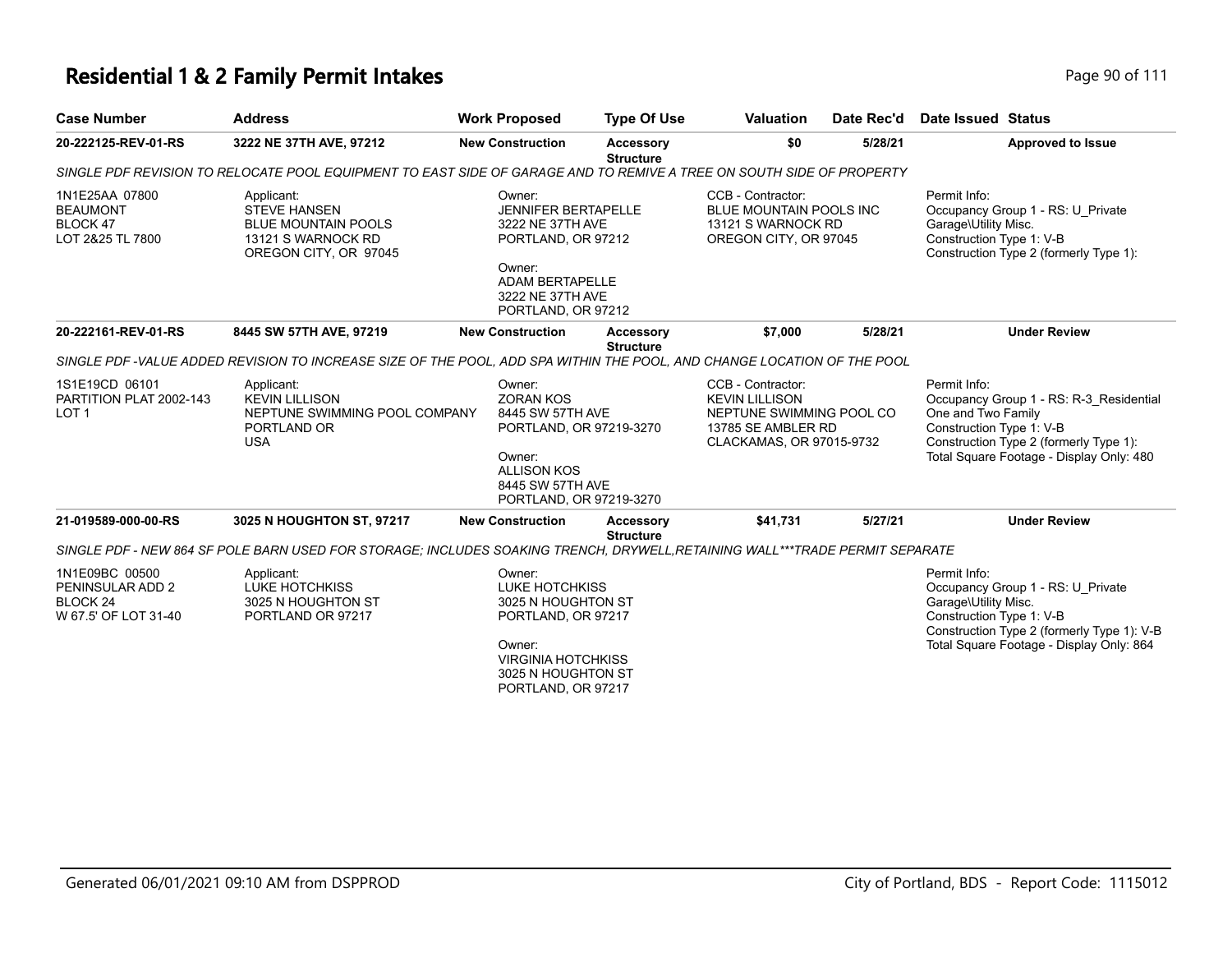# **Residential 1 & 2 Family Permit Intakes Page 111** Page 90 of 111

| <b>Case Number</b>                                                     | <b>Address</b>                                                                                                              | <b>Work Proposed</b>                                                                                                                                           | <b>Type Of Use</b>                                 | <b>Valuation</b>                                                                                                         | Date Rec'd | Date Issued Status                                                                                                                                                                              |
|------------------------------------------------------------------------|-----------------------------------------------------------------------------------------------------------------------------|----------------------------------------------------------------------------------------------------------------------------------------------------------------|----------------------------------------------------|--------------------------------------------------------------------------------------------------------------------------|------------|-------------------------------------------------------------------------------------------------------------------------------------------------------------------------------------------------|
| 20-222125-REV-01-RS                                                    | 3222 NE 37TH AVE, 97212                                                                                                     | <b>New Construction</b>                                                                                                                                        | Accessory<br><b>Structure</b>                      | \$0                                                                                                                      | 5/28/21    | <b>Approved to Issue</b>                                                                                                                                                                        |
|                                                                        | SINGLE PDF REVISION TO RELOCATE POOL EQUIPMENT TO EAST SIDE OF GARAGE AND TO REMIVE A TREE ON SOUTH SIDE OF PROPERTY        |                                                                                                                                                                |                                                    |                                                                                                                          |            |                                                                                                                                                                                                 |
| 1N1E25AA 07800<br><b>BEAUMONT</b><br>BLOCK 47<br>LOT 2&25 TL 7800      | Applicant:<br><b>STEVE HANSEN</b><br><b>BLUE MOUNTAIN POOLS</b><br>13121 S WARNOCK RD<br>OREGON CITY, OR 97045              | Owner:<br><b>JENNIFER BERTAPELLE</b><br>3222 NE 37TH AVE<br>PORTLAND, OR 97212<br>Owner:<br>ADAM BERTAPELLE<br>3222 NE 37TH AVE<br>PORTLAND, OR 97212          |                                                    | CCB - Contractor:<br>BLUE MOUNTAIN POOLS INC<br>13121 S WARNOCK RD<br>OREGON CITY, OR 97045                              |            | Permit Info:<br>Occupancy Group 1 - RS: U Private<br>Garage\Utility Misc.<br>Construction Type 1: V-B<br>Construction Type 2 (formerly Type 1):                                                 |
| 20-222161-REV-01-RS                                                    | 8445 SW 57TH AVE, 97219                                                                                                     | <b>New Construction</b>                                                                                                                                        | <b>Accessory</b><br><b>Structure</b>               | \$7,000                                                                                                                  | 5/28/21    | <b>Under Review</b>                                                                                                                                                                             |
|                                                                        | SINGLE PDF -VALUE ADDED REVISION TO INCREASE SIZE OF THE POOL, ADD SPA WITHIN THE POOL, AND CHANGE LOCATION OF THE POOL     |                                                                                                                                                                |                                                    |                                                                                                                          |            |                                                                                                                                                                                                 |
| 1S1E19CD 06101<br>PARTITION PLAT 2002-143<br>LOT <sub>1</sub>          | Applicant:<br><b>KEVIN LILLISON</b><br>NEPTUNE SWIMMING POOL COMPANY<br>PORTLAND OR<br><b>USA</b>                           | Owner:<br><b>ZORAN KOS</b><br>8445 SW 57TH AVE<br>Owner:<br><b>ALLISON KOS</b><br>8445 SW 57TH AVE                                                             | PORTLAND, OR 97219-3270<br>PORTLAND, OR 97219-3270 | CCB - Contractor:<br><b>KEVIN LILLISON</b><br>NEPTUNE SWIMMING POOL CO<br>13785 SE AMBLER RD<br>CLACKAMAS, OR 97015-9732 |            | Permit Info:<br>Occupancy Group 1 - RS: R-3 Residential<br>One and Two Family<br>Construction Type 1: V-B<br>Construction Type 2 (formerly Type 1):<br>Total Square Footage - Display Only: 480 |
| 21-019589-000-00-RS                                                    | 3025 N HOUGHTON ST, 97217                                                                                                   | <b>New Construction</b>                                                                                                                                        | <b>Accessory</b><br><b>Structure</b>               | \$41.731                                                                                                                 | 5/27/21    | <b>Under Review</b>                                                                                                                                                                             |
|                                                                        | SINGLE PDF - NEW 864 SF POLE BARN USED FOR STORAGE; INCLUDES SOAKING TRENCH, DRYWELL,RETAINING WALL***TRADE PERMIT SEPARATE |                                                                                                                                                                |                                                    |                                                                                                                          |            |                                                                                                                                                                                                 |
| 1N1E09BC 00500<br>PENINSULAR ADD 2<br>BLOCK 24<br>W 67.5' OF LOT 31-40 | Applicant:<br><b>LUKE HOTCHKISS</b><br>3025 N HOUGHTON ST<br>PORTLAND OR 97217                                              | Owner:<br><b>LUKE HOTCHKISS</b><br>3025 N HOUGHTON ST<br>PORTLAND, OR 97217<br>Owner:<br><b>VIRGINIA HOTCHKISS</b><br>3025 N HOUGHTON ST<br>PORTLAND, OR 97217 |                                                    |                                                                                                                          |            | Permit Info:<br>Occupancy Group 1 - RS: U Private<br>Garage\Utility Misc.<br>Construction Type 1: V-B<br>Construction Type 2 (formerly Type 1): V-B<br>Total Square Footage - Display Only: 864 |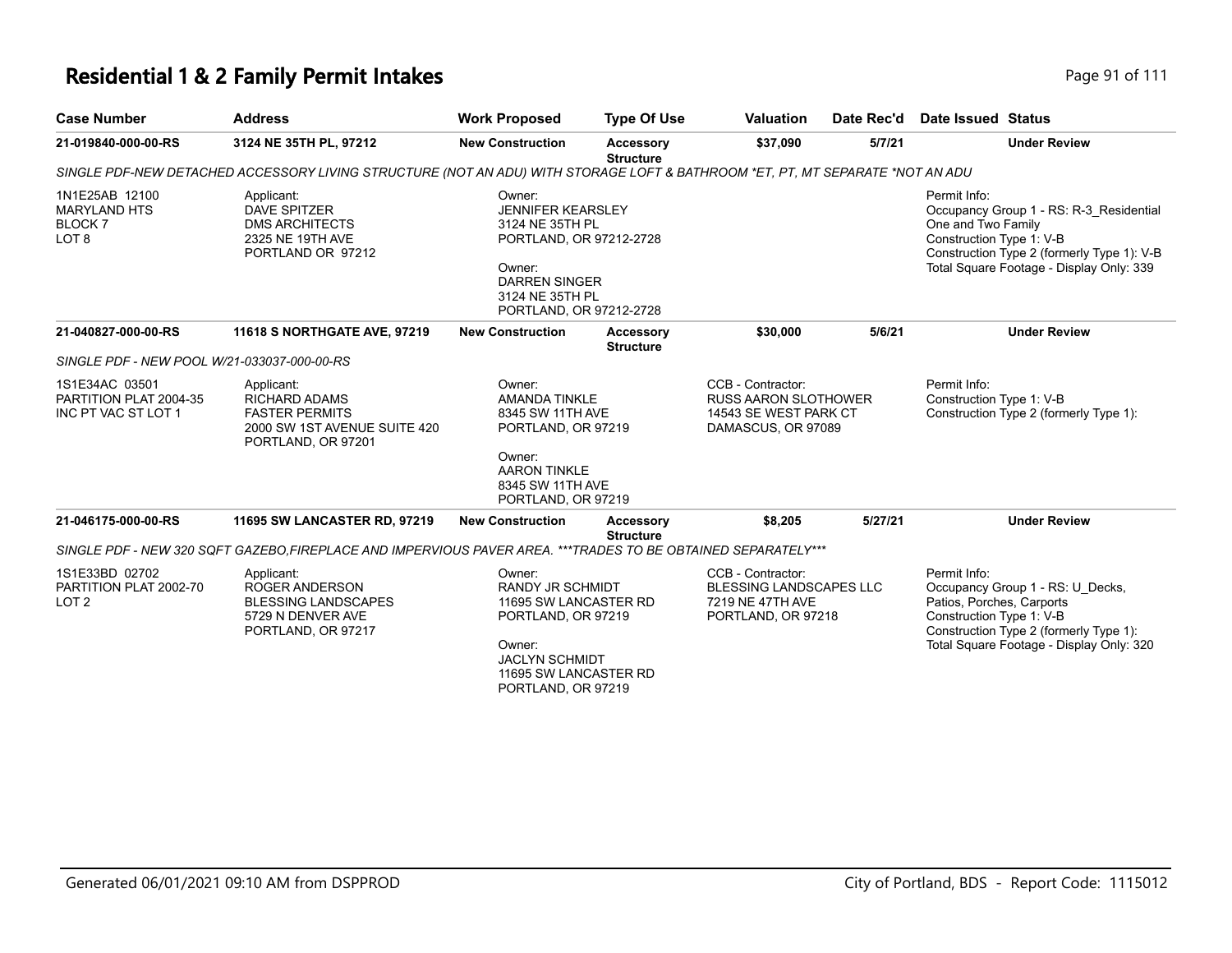# **Residential 1 & 2 Family Permit Intakes Page 111** Page 91 of 111

| <b>Case Number</b>                                                              | <b>Address</b>                                                                                                                                        | <b>Work Proposed</b>                                                                                                                                               | <b>Type Of Use</b>                   | <b>Valuation</b>                                                                                | Date Rec'd | Date Issued Status                                                    |                                                                                                                                   |
|---------------------------------------------------------------------------------|-------------------------------------------------------------------------------------------------------------------------------------------------------|--------------------------------------------------------------------------------------------------------------------------------------------------------------------|--------------------------------------|-------------------------------------------------------------------------------------------------|------------|-----------------------------------------------------------------------|-----------------------------------------------------------------------------------------------------------------------------------|
| 21-019840-000-00-RS                                                             | 3124 NE 35TH PL, 97212                                                                                                                                | <b>New Construction</b>                                                                                                                                            | Accessory<br><b>Structure</b>        | \$37.090                                                                                        | 5/7/21     |                                                                       | <b>Under Review</b>                                                                                                               |
|                                                                                 | SINGLE PDF-NEW DETACHED ACCESSORY LIVING STRUCTURE (NOT AN ADU) WITH STORAGE LOFT & BATHROOM *ET. PT. MT SEPARATE *NOT AN ADU                         |                                                                                                                                                                    |                                      |                                                                                                 |            |                                                                       |                                                                                                                                   |
| 1N1E25AB 12100<br><b>MARYLAND HTS</b><br>BLOCK <sub>7</sub><br>LOT <sub>8</sub> | Applicant:<br><b>DAVE SPITZER</b><br><b>DMS ARCHITECTS</b><br>2325 NE 19TH AVE<br>PORTLAND OR 97212                                                   | Owner:<br><b>JENNIFER KEARSLEY</b><br>3124 NE 35TH PL<br>PORTLAND, OR 97212-2728<br>Owner:<br><b>DARREN SINGER</b><br>3124 NE 35TH PL<br>PORTLAND, OR 97212-2728   |                                      |                                                                                                 |            | Permit Info:<br>One and Two Family<br>Construction Type 1: V-B        | Occupancy Group 1 - RS: R-3_Residential<br>Construction Type 2 (formerly Type 1): V-B<br>Total Square Footage - Display Only: 339 |
| 21-040827-000-00-RS                                                             | 11618 S NORTHGATE AVE, 97219                                                                                                                          | <b>New Construction</b>                                                                                                                                            | <b>Accessory</b><br><b>Structure</b> | \$30,000                                                                                        | 5/6/21     |                                                                       | <b>Under Review</b>                                                                                                               |
| SINGLE PDF - NEW POOL W/21-033037-000-00-RS                                     |                                                                                                                                                       |                                                                                                                                                                    |                                      |                                                                                                 |            |                                                                       |                                                                                                                                   |
| 1S1E34AC 03501<br>PARTITION PLAT 2004-35<br>INC PT VAC ST LOT 1                 | Applicant:<br><b>RICHARD ADAMS</b><br><b>FASTER PERMITS</b><br>2000 SW 1ST AVENUE SUITE 420<br>PORTLAND, OR 97201                                     | Owner:<br><b>AMANDA TINKLE</b><br>8345 SW 11TH AVE<br>PORTLAND, OR 97219<br>Owner:<br><b>AARON TINKLE</b><br>8345 SW 11TH AVE                                      |                                      | CCB - Contractor:<br><b>RUSS AARON SLOTHOWER</b><br>14543 SE WEST PARK CT<br>DAMASCUS, OR 97089 |            | Permit Info:<br>Construction Type 1: V-B                              | Construction Type 2 (formerly Type 1):                                                                                            |
|                                                                                 |                                                                                                                                                       | PORTLAND, OR 97219                                                                                                                                                 |                                      |                                                                                                 |            |                                                                       |                                                                                                                                   |
| 21-046175-000-00-RS                                                             | <b>11695 SW LANCASTER RD, 97219</b><br>SINGLE PDF - NEW 320 SQFT GAZEBO, FIREPLACE AND IMPERVIOUS PAVER AREA. *** TRADES TO BE OBTAINED SEPARATELY*** | <b>New Construction</b>                                                                                                                                            | <b>Accessory</b><br><b>Structure</b> | \$8,205                                                                                         | 5/27/21    |                                                                       | <b>Under Review</b>                                                                                                               |
| 1S1E33BD 02702<br>PARTITION PLAT 2002-70<br>LOT <sub>2</sub>                    | Applicant:<br><b>ROGER ANDERSON</b><br><b>BLESSING LANDSCAPES</b><br>5729 N DENVER AVE<br>PORTLAND, OR 97217                                          | Owner:<br><b>RANDY JR SCHMIDT</b><br>11695 SW LANCASTER RD<br>PORTLAND, OR 97219<br>Owner:<br><b>JACLYN SCHMIDT</b><br>11695 SW LANCASTER RD<br>PORTLAND, OR 97219 |                                      | CCB - Contractor:<br><b>BLESSING LANDSCAPES LLC</b><br>7219 NE 47TH AVE<br>PORTLAND, OR 97218   |            | Permit Info:<br>Patios, Porches, Carports<br>Construction Type 1: V-B | Occupancy Group 1 - RS: U_Decks,<br>Construction Type 2 (formerly Type 1):<br>Total Square Footage - Display Only: 320            |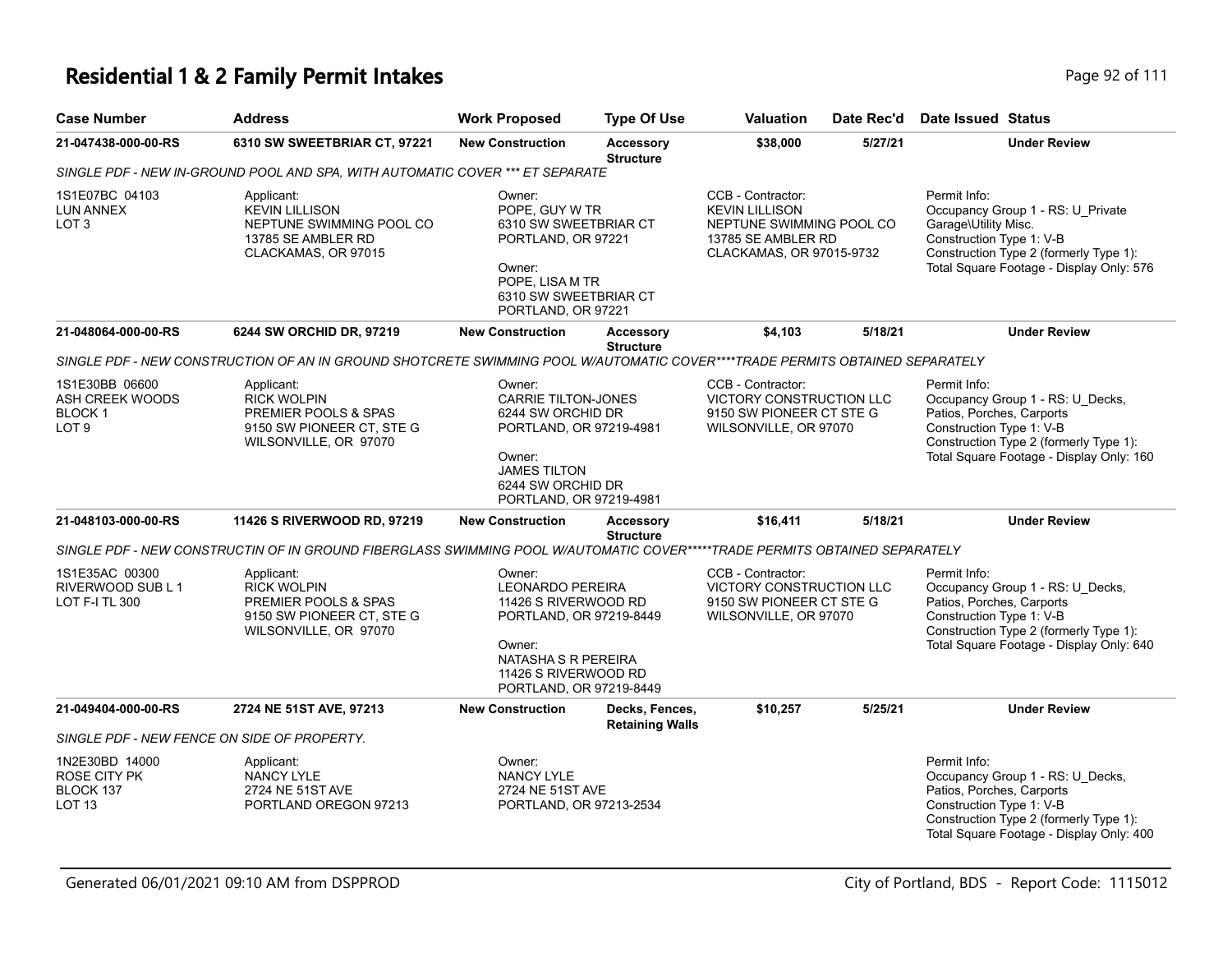| <b>Case Number</b>                                               | <b>Address</b>                                                                                                               | <b>Work Proposed</b>                                                                                                                                                     | <b>Type Of Use</b>                       | <b>Valuation</b>                                                                                                         | Date Rec'd | Date Issued Status                                                                                                                                                                              |
|------------------------------------------------------------------|------------------------------------------------------------------------------------------------------------------------------|--------------------------------------------------------------------------------------------------------------------------------------------------------------------------|------------------------------------------|--------------------------------------------------------------------------------------------------------------------------|------------|-------------------------------------------------------------------------------------------------------------------------------------------------------------------------------------------------|
| 21-047438-000-00-RS                                              | 6310 SW SWEETBRIAR CT, 97221                                                                                                 | <b>New Construction</b>                                                                                                                                                  | <b>Accessory</b><br><b>Structure</b>     | \$38,000                                                                                                                 | 5/27/21    | <b>Under Review</b>                                                                                                                                                                             |
|                                                                  | SINGLE PDF - NEW IN-GROUND POOL AND SPA, WITH AUTOMATIC COVER *** ET SEPARATE                                                |                                                                                                                                                                          |                                          |                                                                                                                          |            |                                                                                                                                                                                                 |
| 1S1E07BC 04103<br>LUN ANNEX<br>LOT 3                             | Applicant:<br><b>KEVIN LILLISON</b><br>NEPTUNE SWIMMING POOL CO<br>13785 SE AMBLER RD<br>CLACKAMAS, OR 97015                 | Owner:<br>POPE, GUY W TR<br>6310 SW SWEETBRIAR CT<br>PORTLAND, OR 97221<br>Owner:<br>POPE, LISA M TR<br>6310 SW SWEETBRIAR CT<br>PORTLAND, OR 97221                      |                                          | CCB - Contractor:<br><b>KEVIN LILLISON</b><br>NEPTUNE SWIMMING POOL CO<br>13785 SE AMBLER RD<br>CLACKAMAS, OR 97015-9732 |            | Permit Info:<br>Occupancy Group 1 - RS: U_Private<br>Garage\Utility Misc.<br>Construction Type 1: V-B<br>Construction Type 2 (formerly Type 1):<br>Total Square Footage - Display Only: 576     |
| 21-048064-000-00-RS                                              | 6244 SW ORCHID DR, 97219                                                                                                     | <b>New Construction</b>                                                                                                                                                  | <b>Accessory</b><br><b>Structure</b>     | \$4,103                                                                                                                  | 5/18/21    | <b>Under Review</b>                                                                                                                                                                             |
|                                                                  | SINGLE PDF - NEW CONSTRUCTION OF AN IN GROUND SHOTCRETE SWIMMING POOL W/AUTOMATIC COVER****TRADE PERMITS OBTAINED SEPARATELY |                                                                                                                                                                          |                                          |                                                                                                                          |            |                                                                                                                                                                                                 |
| 1S1E30BB 06600<br>ASH CREEK WOODS<br>BLOCK 1<br>LOT <sub>9</sub> | Applicant:<br><b>RICK WOLPIN</b><br>PREMIER POOLS & SPAS<br>9150 SW PIONEER CT, STE G<br>WILSONVILLE, OR 97070               | Owner:<br><b>CARRIE TILTON-JONES</b><br>6244 SW ORCHID DR<br>PORTLAND, OR 97219-4981<br>Owner:<br><b>JAMES TILTON</b><br>6244 SW ORCHID DR<br>PORTLAND, OR 97219-4981    |                                          | CCB - Contractor:<br>VICTORY CONSTRUCTION LLC<br>9150 SW PIONEER CT STE G<br>WILSONVILLE, OR 97070                       |            | Permit Info:<br>Occupancy Group 1 - RS: U_Decks,<br>Patios, Porches, Carports<br>Construction Type 1: V-B<br>Construction Type 2 (formerly Type 1):<br>Total Square Footage - Display Only: 160 |
| 21-048103-000-00-RS                                              | 11426 S RIVERWOOD RD, 97219                                                                                                  | <b>New Construction</b>                                                                                                                                                  | <b>Accessory</b><br><b>Structure</b>     | \$16,411                                                                                                                 | 5/18/21    | <b>Under Review</b>                                                                                                                                                                             |
|                                                                  | SINGLE PDF - NEW CONSTRUCTIN OF IN GROUND FIBERGLASS SWIMMING POOL W/AUTOMATIC COVER*****TRADE PERMITS OBTAINED SEPARATELY   |                                                                                                                                                                          |                                          |                                                                                                                          |            |                                                                                                                                                                                                 |
| 1S1E35AC 00300<br>RIVERWOOD SUB L 1<br>LOT F-I TL 300            | Applicant:<br><b>RICK WOLPIN</b><br>PREMIER POOLS & SPAS<br>9150 SW PIONEER CT, STE G<br>WILSONVILLE, OR 97070               | Owner:<br><b>LEONARDO PEREIRA</b><br>11426 S RIVERWOOD RD<br>PORTLAND, OR 97219-8449<br>Owner:<br>NATASHA S R PEREIRA<br>11426 S RIVERWOOD RD<br>PORTLAND, OR 97219-8449 |                                          | CCB - Contractor:<br>VICTORY CONSTRUCTION LLC<br>9150 SW PIONEER CT STE G<br>WILSONVILLE, OR 97070                       |            | Permit Info:<br>Occupancy Group 1 - RS: U_Decks,<br>Patios, Porches, Carports<br>Construction Type 1: V-B<br>Construction Type 2 (formerly Type 1):<br>Total Square Footage - Display Only: 640 |
| 21-049404-000-00-RS                                              | 2724 NE 51ST AVE, 97213                                                                                                      | <b>New Construction</b>                                                                                                                                                  | Decks, Fences,<br><b>Retaining Walls</b> | \$10,257                                                                                                                 | 5/25/21    | <b>Under Review</b>                                                                                                                                                                             |
|                                                                  | SINGLE PDF - NEW FENCE ON SIDE OF PROPERTY.                                                                                  |                                                                                                                                                                          |                                          |                                                                                                                          |            |                                                                                                                                                                                                 |
| 1N2E30BD 14000<br>ROSE CITY PK<br>BLOCK 137<br>LOT 13            | Applicant:<br>NANCY LYLE<br>2724 NE 51ST AVE<br>PORTLAND OREGON 97213                                                        | Owner:<br><b>NANCY LYLE</b><br>2724 NE 51ST AVE<br>PORTLAND, OR 97213-2534                                                                                               |                                          |                                                                                                                          |            | Permit Info:<br>Occupancy Group 1 - RS: U Decks,<br>Patios, Porches, Carports<br>Construction Type 1: V-B<br>Construction Type 2 (formerly Type 1):<br>Total Square Footage - Display Only: 400 |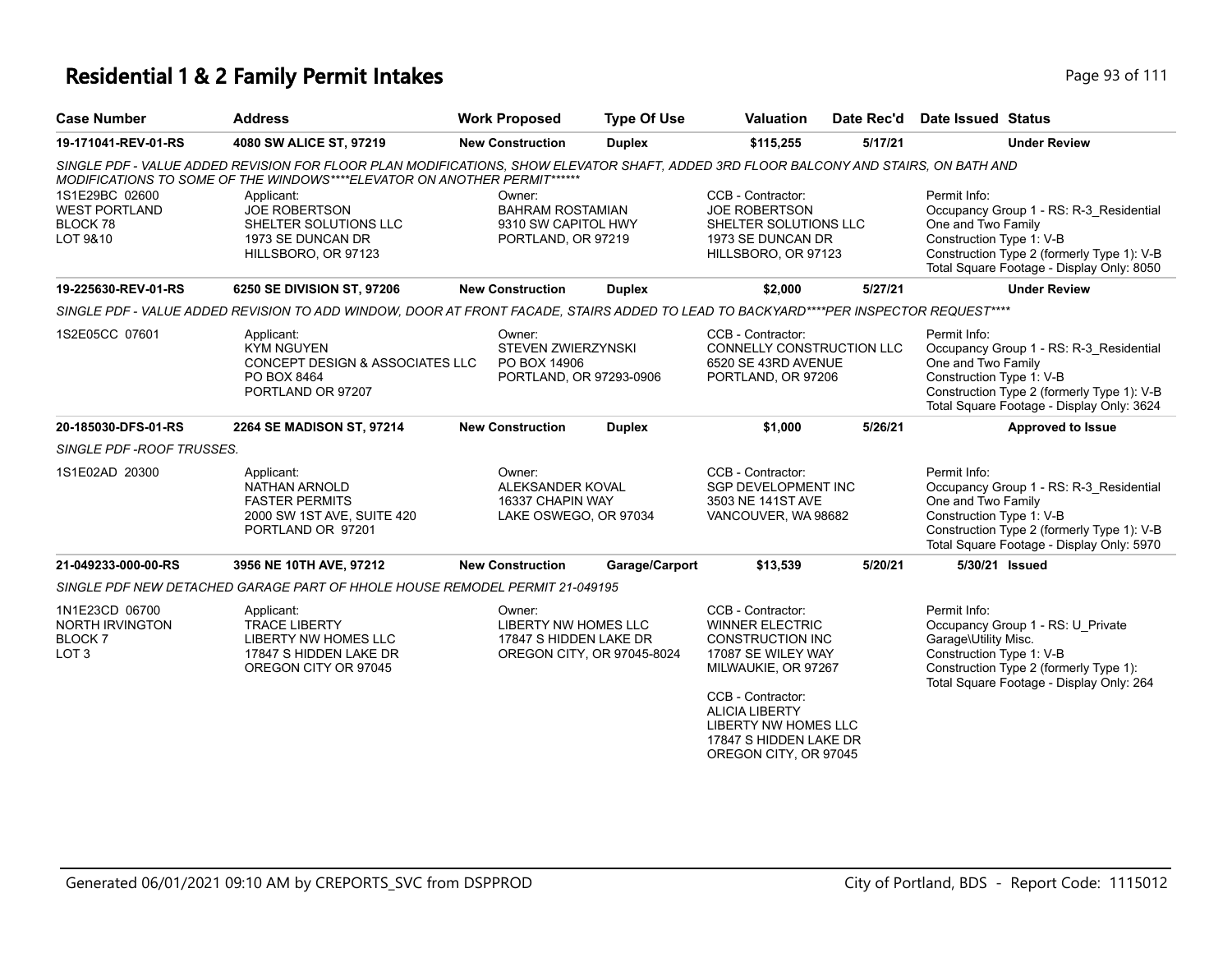| <b>Case Number</b>                                                     | <b>Address</b>                                                                                                                                                                                                          | <b>Work Proposed</b>                                                           | <b>Type Of Use</b>         | Valuation                                                                                                                                                                                                                  | Date Rec'd | <b>Date Issued Status</b>                                                                                                                                                                            |
|------------------------------------------------------------------------|-------------------------------------------------------------------------------------------------------------------------------------------------------------------------------------------------------------------------|--------------------------------------------------------------------------------|----------------------------|----------------------------------------------------------------------------------------------------------------------------------------------------------------------------------------------------------------------------|------------|------------------------------------------------------------------------------------------------------------------------------------------------------------------------------------------------------|
| 19-171041-REV-01-RS                                                    | 4080 SW ALICE ST, 97219                                                                                                                                                                                                 | <b>New Construction</b>                                                        | <b>Duplex</b>              | \$115,255                                                                                                                                                                                                                  | 5/17/21    | <b>Under Review</b>                                                                                                                                                                                  |
|                                                                        | SINGLE PDF - VALUE ADDED REVISION FOR FLOOR PLAN MODIFICATIONS, SHOW ELEVATOR SHAFT, ADDED 3RD FLOOR BALCONY AND STAIRS, ON BATH AND<br><b>MODIFICATIONS TO SOME OF THE WINDOWS****ELEVATOR ON ANOTHER PERMIT******</b> |                                                                                |                            |                                                                                                                                                                                                                            |            |                                                                                                                                                                                                      |
| 1S1E29BC 02600<br><b>WEST PORTLAND</b><br>BLOCK 78<br>LOT 9&10         | Applicant:<br><b>JOE ROBERTSON</b><br>SHELTER SOLUTIONS LLC<br>1973 SE DUNCAN DR<br>HILLSBORO, OR 97123                                                                                                                 | Owner:<br><b>BAHRAM ROSTAMIAN</b><br>9310 SW CAPITOL HWY<br>PORTLAND, OR 97219 |                            | CCB - Contractor:<br><b>JOE ROBERTSON</b><br>SHELTER SOLUTIONS LLC<br>1973 SE DUNCAN DR<br>HILLSBORO, OR 97123                                                                                                             |            | Permit Info:<br>Occupancy Group 1 - RS: R-3_Residential<br>One and Two Family<br>Construction Type 1: V-B<br>Construction Type 2 (formerly Type 1): V-B<br>Total Square Footage - Display Only: 8050 |
| 19-225630-REV-01-RS                                                    | 6250 SE DIVISION ST, 97206                                                                                                                                                                                              | <b>New Construction</b>                                                        | <b>Duplex</b>              | \$2,000                                                                                                                                                                                                                    | 5/27/21    | <b>Under Review</b>                                                                                                                                                                                  |
|                                                                        | SINGLE PDF - VALUE ADDED REVISION TO ADD WINDOW, DOOR AT FRONT FACADE, STAIRS ADDED TO LEAD TO BACKYARD****PER INSPECTOR REQUEST****                                                                                    |                                                                                |                            |                                                                                                                                                                                                                            |            |                                                                                                                                                                                                      |
| 1S2E05CC 07601                                                         | Applicant:<br><b>KYM NGUYEN</b><br>CONCEPT DESIGN & ASSOCIATES LLC<br>PO BOX 8464<br>PORTLAND OR 97207                                                                                                                  | Owner:<br><b>STEVEN ZWIERZYNSKI</b><br>PO BOX 14906<br>PORTLAND, OR 97293-0906 |                            | CCB - Contractor:<br>CONNELLY CONSTRUCTION LLC<br>6520 SE 43RD AVENUE<br>PORTLAND, OR 97206                                                                                                                                |            | Permit Info:<br>Occupancy Group 1 - RS: R-3_Residential<br>One and Two Family<br>Construction Type 1: V-B<br>Construction Type 2 (formerly Type 1): V-B<br>Total Square Footage - Display Only: 3624 |
| 20-185030-DFS-01-RS                                                    | 2264 SE MADISON ST, 97214                                                                                                                                                                                               | <b>New Construction</b>                                                        | <b>Duplex</b>              | \$1,000                                                                                                                                                                                                                    | 5/26/21    | <b>Approved to Issue</b>                                                                                                                                                                             |
| SINGLE PDF - ROOF TRUSSES.                                             |                                                                                                                                                                                                                         |                                                                                |                            |                                                                                                                                                                                                                            |            |                                                                                                                                                                                                      |
| 1S1E02AD 20300                                                         | Applicant:<br><b>NATHAN ARNOLD</b><br><b>FASTER PERMITS</b><br>2000 SW 1ST AVE, SUITE 420<br>PORTLAND OR 97201                                                                                                          | Owner:<br>ALEKSANDER KOVAL<br>16337 CHAPIN WAY<br>LAKE OSWEGO, OR 97034        |                            | CCB - Contractor:<br><b>SGP DEVELOPMENT INC</b><br>3503 NE 141ST AVE<br>VANCOUVER, WA 98682                                                                                                                                |            | Permit Info:<br>Occupancy Group 1 - RS: R-3 Residential<br>One and Two Family<br>Construction Type 1: V-B<br>Construction Type 2 (formerly Type 1): V-B<br>Total Square Footage - Display Only: 5970 |
| 21-049233-000-00-RS                                                    | 3956 NE 10TH AVE, 97212                                                                                                                                                                                                 | <b>New Construction</b>                                                        | Garage/Carport             | \$13,539                                                                                                                                                                                                                   | 5/20/21    | 5/30/21 Issued                                                                                                                                                                                       |
|                                                                        | SINGLE PDF NEW DETACHED GARAGE PART OF HHOLE HOUSE REMODEL PERMIT 21-049195                                                                                                                                             |                                                                                |                            |                                                                                                                                                                                                                            |            |                                                                                                                                                                                                      |
| 1N1E23CD 06700<br>NORTH IRVINGTON<br><b>BLOCK7</b><br>LOT <sub>3</sub> | Applicant:<br><b>TRACE LIBERTY</b><br>LIBERTY NW HOMES LLC<br>17847 S HIDDEN LAKE DR<br>OREGON CITY OR 97045                                                                                                            | Owner:<br><b>LIBERTY NW HOMES LLC</b><br>17847 S HIDDEN LAKE DR                | OREGON CITY, OR 97045-8024 | CCB - Contractor:<br><b>WINNER ELECTRIC</b><br><b>CONSTRUCTION INC</b><br>17087 SE WILEY WAY<br>MILWAUKIE, OR 97267<br>CCB - Contractor:<br><b>ALICIA LIBERTY</b><br><b>LIBERTY NW HOMES LLC</b><br>17847 S HIDDEN LAKE DR |            | Permit Info:<br>Occupancy Group 1 - RS: U_Private<br>Garage\Utility Misc.<br>Construction Type 1: V-B<br>Construction Type 2 (formerly Type 1):<br>Total Square Footage - Display Only: 264          |

OREGON CITY, OR 97045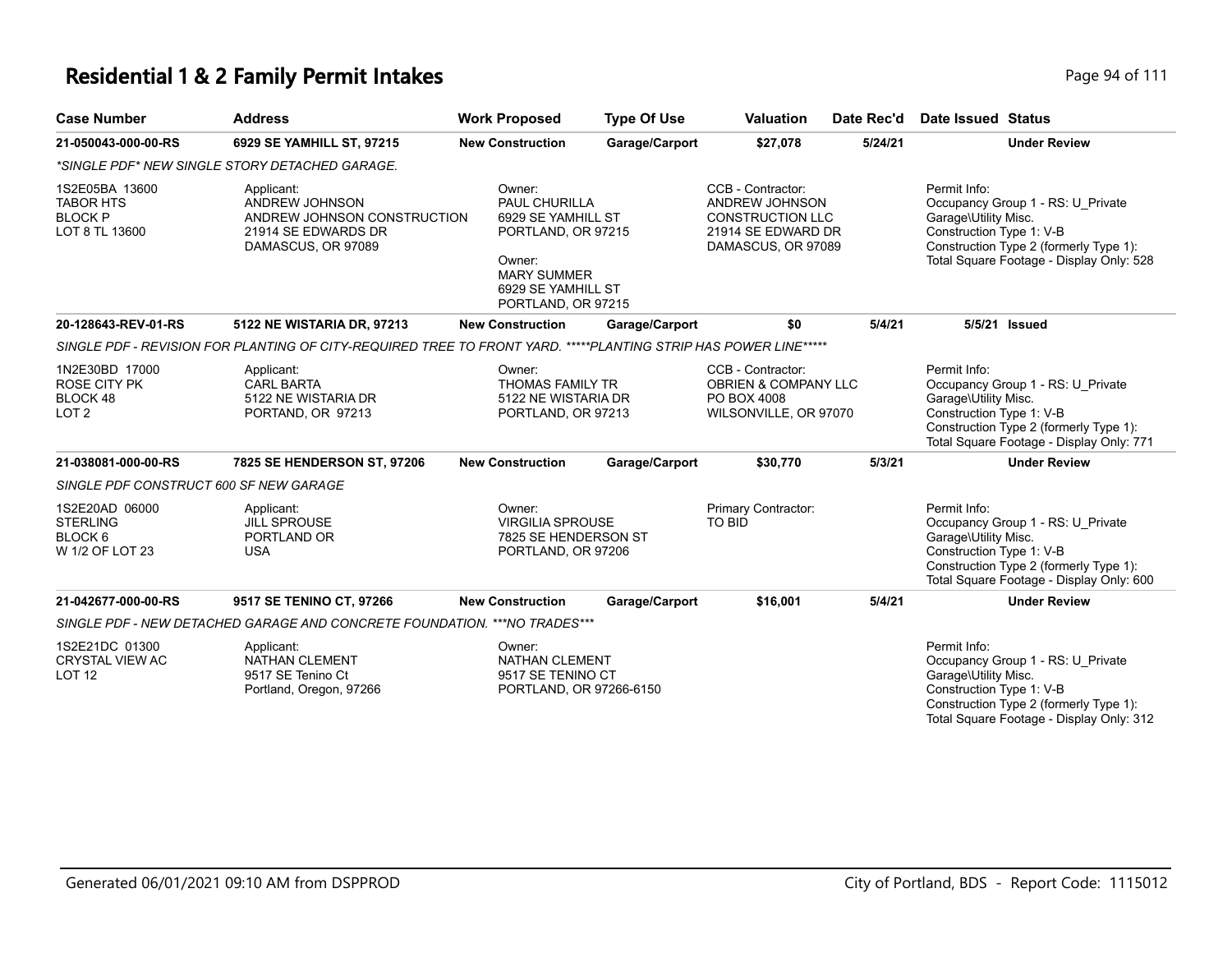| <b>Case Number</b>                                                     | <b>Address</b>                                                                                                  | <b>Work Proposed</b>                                                                                                                            | <b>Type Of Use</b> | <b>Valuation</b>                                                                                           | Date Rec'd | Date Issued Status                                                                                                                                                                          |
|------------------------------------------------------------------------|-----------------------------------------------------------------------------------------------------------------|-------------------------------------------------------------------------------------------------------------------------------------------------|--------------------|------------------------------------------------------------------------------------------------------------|------------|---------------------------------------------------------------------------------------------------------------------------------------------------------------------------------------------|
| 21-050043-000-00-RS                                                    | 6929 SE YAMHILL ST, 97215                                                                                       | <b>New Construction</b>                                                                                                                         | Garage/Carport     | \$27,078                                                                                                   | 5/24/21    | <b>Under Review</b>                                                                                                                                                                         |
|                                                                        | *SINGLE PDF* NEW SINGLE STORY DETACHED GARAGE.                                                                  |                                                                                                                                                 |                    |                                                                                                            |            |                                                                                                                                                                                             |
| 1S2E05BA 13600<br><b>TABOR HTS</b><br><b>BLOCK P</b><br>LOT 8 TL 13600 | Applicant:<br>ANDREW JOHNSON<br>ANDREW JOHNSON CONSTRUCTION<br>21914 SE EDWARDS DR<br>DAMASCUS, OR 97089        | Owner:<br>PAUL CHURILLA<br>6929 SE YAMHILL ST<br>PORTLAND, OR 97215<br>Owner:<br><b>MARY SUMMER</b><br>6929 SE YAMHILL ST<br>PORTLAND, OR 97215 |                    | CCB - Contractor:<br>ANDREW JOHNSON<br><b>CONSTRUCTION LLC</b><br>21914 SE EDWARD DR<br>DAMASCUS, OR 97089 |            | Permit Info:<br>Occupancy Group 1 - RS: U Private<br>Garage\Utility Misc.<br>Construction Type 1: V-B<br>Construction Type 2 (formerly Type 1):<br>Total Square Footage - Display Only: 528 |
| 20-128643-REV-01-RS                                                    | 5122 NE WISTARIA DR, 97213                                                                                      | <b>New Construction</b>                                                                                                                         | Garage/Carport     | \$0                                                                                                        | 5/4/21     | 5/5/21 Issued                                                                                                                                                                               |
|                                                                        | SINGLE PDF - REVISION FOR PLANTING OF CITY-REQUIRED TREE TO FRONT YARD. *****PLANTING STRIP HAS POWER LINE***** |                                                                                                                                                 |                    |                                                                                                            |            |                                                                                                                                                                                             |
| 1N2E30BD 17000<br>ROSE CITY PK<br>BLOCK 48<br>LOT <sub>2</sub>         | Applicant:<br><b>CARL BARTA</b><br>5122 NE WISTARIA DR<br>PORTAND, OR 97213                                     | Owner:<br>THOMAS FAMILY TR<br>5122 NE WISTARIA DR<br>PORTLAND, OR 97213                                                                         |                    | CCB - Contractor:<br><b>OBRIEN &amp; COMPANY LLC</b><br>PO BOX 4008<br>WILSONVILLE, OR 97070               |            | Permit Info:<br>Occupancy Group 1 - RS: U Private<br>Garage\Utility Misc.<br>Construction Type 1: V-B<br>Construction Type 2 (formerly Type 1):<br>Total Square Footage - Display Only: 771 |
| 21-038081-000-00-RS                                                    | 7825 SE HENDERSON ST, 97206                                                                                     | <b>New Construction</b>                                                                                                                         | Garage/Carport     | \$30,770                                                                                                   | 5/3/21     | <b>Under Review</b>                                                                                                                                                                         |
| SINGLE PDF CONSTRUCT 600 SF NEW GARAGE                                 |                                                                                                                 |                                                                                                                                                 |                    |                                                                                                            |            |                                                                                                                                                                                             |
| 1S2E20AD 06000<br><b>STERLING</b><br>BLOCK 6<br>W 1/2 OF LOT 23        | Applicant:<br><b>JILL SPROUSE</b><br>PORTLAND OR<br><b>USA</b>                                                  | Owner:<br><b>VIRGILIA SPROUSE</b><br>7825 SE HENDERSON ST<br>PORTLAND, OR 97206                                                                 |                    | Primary Contractor:<br><b>TO BID</b>                                                                       |            | Permit Info:<br>Occupancy Group 1 - RS: U_Private<br>Garage\Utility Misc.<br>Construction Type 1: V-B<br>Construction Type 2 (formerly Type 1):<br>Total Square Footage - Display Only: 600 |
| 21-042677-000-00-RS                                                    | 9517 SE TENINO CT, 97266                                                                                        | <b>New Construction</b>                                                                                                                         | Garage/Carport     | \$16,001                                                                                                   | 5/4/21     | <b>Under Review</b>                                                                                                                                                                         |
|                                                                        | SINGLE PDF - NEW DETACHED GARAGE AND CONCRETE FOUNDATION. ***NO TRADES***                                       |                                                                                                                                                 |                    |                                                                                                            |            |                                                                                                                                                                                             |
| 1S2E21DC 01300<br><b>CRYSTAL VIEW AC</b><br>LOT <sub>12</sub>          | Applicant:<br>NATHAN CLEMENT<br>9517 SE Tenino Ct<br>Portland, Oregon, 97266                                    | Owner:<br>NATHAN CLEMENT<br>9517 SE TENINO CT<br>PORTLAND, OR 97266-6150                                                                        |                    |                                                                                                            |            | Permit Info:<br>Occupancy Group 1 - RS: U Private<br>Garage\Utility Misc.<br>Construction Type 1: V-B<br>Construction Type 2 (formerly Type 1):<br>Total Square Footage - Display Only: 312 |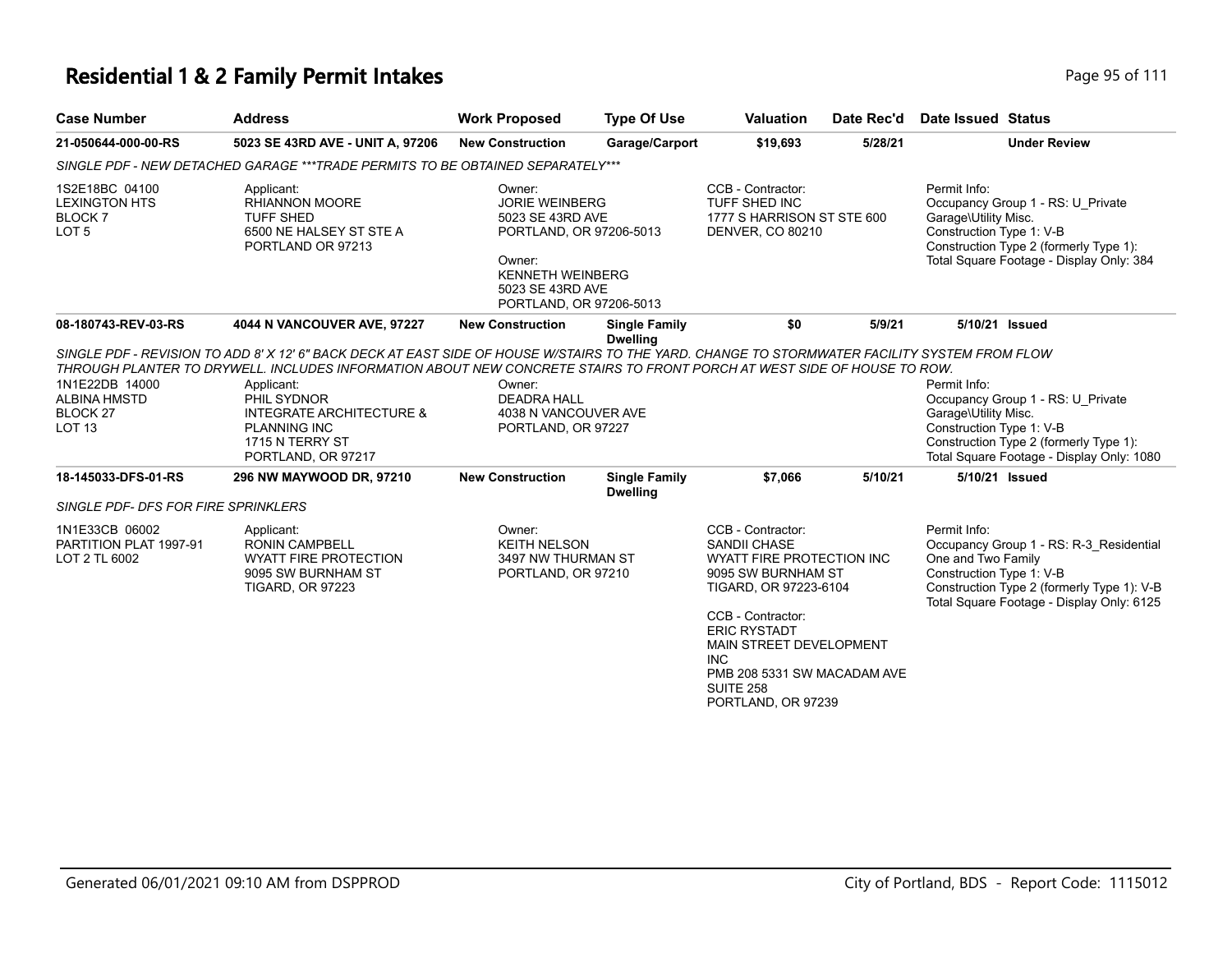| <b>Case Number</b>                                                            | <b>Address</b>                                                                                                                                                                                                                                                                                                                                                                                               | <b>Work Proposed</b>                                                                                                                                               | <b>Type Of Use</b>                      | <b>Valuation</b>                                                                                                                                                                                                                                                                   | Date Rec'd | Date Issued Status                                               |                                                                                                                                    |
|-------------------------------------------------------------------------------|--------------------------------------------------------------------------------------------------------------------------------------------------------------------------------------------------------------------------------------------------------------------------------------------------------------------------------------------------------------------------------------------------------------|--------------------------------------------------------------------------------------------------------------------------------------------------------------------|-----------------------------------------|------------------------------------------------------------------------------------------------------------------------------------------------------------------------------------------------------------------------------------------------------------------------------------|------------|------------------------------------------------------------------|------------------------------------------------------------------------------------------------------------------------------------|
| 21-050644-000-00-RS                                                           | 5023 SE 43RD AVE - UNIT A, 97206                                                                                                                                                                                                                                                                                                                                                                             | <b>New Construction</b>                                                                                                                                            | Garage/Carport                          | \$19,693                                                                                                                                                                                                                                                                           | 5/28/21    |                                                                  | <b>Under Review</b>                                                                                                                |
|                                                                               | SINGLE PDF - NEW DETACHED GARAGE ***TRADE PERMITS TO BE OBTAINED SEPARATELY***                                                                                                                                                                                                                                                                                                                               |                                                                                                                                                                    |                                         |                                                                                                                                                                                                                                                                                    |            |                                                                  |                                                                                                                                    |
| 1S2E18BC 04100<br><b>LEXINGTON HTS</b><br><b>BLOCK7</b><br>LOT <sub>5</sub>   | Applicant:<br><b>RHIANNON MOORE</b><br><b>TUFF SHED</b><br>6500 NE HALSEY ST STE A<br>PORTLAND OR 97213                                                                                                                                                                                                                                                                                                      | Owner:<br><b>JORIE WEINBERG</b><br>5023 SE 43RD AVE<br>PORTLAND, OR 97206-5013<br>Owner:<br><b>KENNETH WEINBERG</b><br>5023 SE 43RD AVE<br>PORTLAND, OR 97206-5013 |                                         | CCB - Contractor:<br>TUFF SHED INC<br>1777 S HARRISON ST STE 600<br><b>DENVER, CO 80210</b>                                                                                                                                                                                        |            | Permit Info:<br>Garage\Utility Misc.<br>Construction Type 1: V-B | Occupancy Group 1 - RS: U Private<br>Construction Type 2 (formerly Type 1):<br>Total Square Footage - Display Only: 384            |
| 08-180743-REV-03-RS                                                           | 4044 N VANCOUVER AVE, 97227                                                                                                                                                                                                                                                                                                                                                                                  | <b>New Construction</b>                                                                                                                                            | <b>Single Family</b><br><b>Dwelling</b> | \$0                                                                                                                                                                                                                                                                                | 5/9/21     |                                                                  | 5/10/21 Issued                                                                                                                     |
| 1N1E22DB 14000<br><b>ALBINA HMSTD</b><br>BLOCK <sub>27</sub><br><b>LOT 13</b> | SINGLE PDF - REVISION TO ADD 8' X 12' 6" BACK DECK AT EAST SIDE OF HOUSE W/STAIRS TO THE YARD. CHANGE TO STORMWATER FACILITY SYSTEM FROM FLOW<br>THROUGH PLANTER TO DRYWELL. INCLUDES INFORMATION ABOUT NEW CONCRETE STAIRS TO FRONT PORCH AT WEST SIDE OF HOUSE TO ROW.<br>Applicant:<br>PHIL SYDNOR<br><b>INTEGRATE ARCHITECTURE &amp;</b><br><b>PLANNING INC</b><br>1715 N TERRY ST<br>PORTLAND, OR 97217 | Owner:<br><b>DEADRA HALL</b><br>4038 N VANCOUVER AVE<br>PORTLAND, OR 97227                                                                                         |                                         |                                                                                                                                                                                                                                                                                    |            | Permit Info:<br>Garage\Utility Misc.<br>Construction Type 1: V-B | Occupancy Group 1 - RS: U Private<br>Construction Type 2 (formerly Type 1):<br>Total Square Footage - Display Only: 1080           |
| 18-145033-DFS-01-RS                                                           | 296 NW MAYWOOD DR, 97210                                                                                                                                                                                                                                                                                                                                                                                     | <b>New Construction</b>                                                                                                                                            | <b>Single Family</b><br><b>Dwelling</b> | \$7,066                                                                                                                                                                                                                                                                            | 5/10/21    |                                                                  | 5/10/21 Issued                                                                                                                     |
| SINGLE PDF- DFS FOR FIRE SPRINKLERS                                           |                                                                                                                                                                                                                                                                                                                                                                                                              |                                                                                                                                                                    |                                         |                                                                                                                                                                                                                                                                                    |            |                                                                  |                                                                                                                                    |
| 1N1E33CB 06002<br>PARTITION PLAT 1997-91<br>LOT 2 TL 6002                     | Applicant:<br><b>RONIN CAMPBELL</b><br><b>WYATT FIRE PROTECTION</b><br>9095 SW BURNHAM ST<br><b>TIGARD, OR 97223</b>                                                                                                                                                                                                                                                                                         | Owner:<br><b>KEITH NELSON</b><br>3497 NW THURMAN ST<br>PORTLAND, OR 97210                                                                                          |                                         | CCB - Contractor:<br><b>SANDII CHASE</b><br>WYATT FIRE PROTECTION INC<br>9095 SW BURNHAM ST<br>TIGARD, OR 97223-6104<br>CCB - Contractor:<br><b>ERIC RYSTADT</b><br>MAIN STREET DEVELOPMENT<br><b>INC</b><br>PMB 208 5331 SW MACADAM AVE<br><b>SUITE 258</b><br>PORTLAND, OR 97239 |            | Permit Info:<br>One and Two Family<br>Construction Type 1: V-B   | Occupancy Group 1 - RS: R-3_Residential<br>Construction Type 2 (formerly Type 1): V-B<br>Total Square Footage - Display Only: 6125 |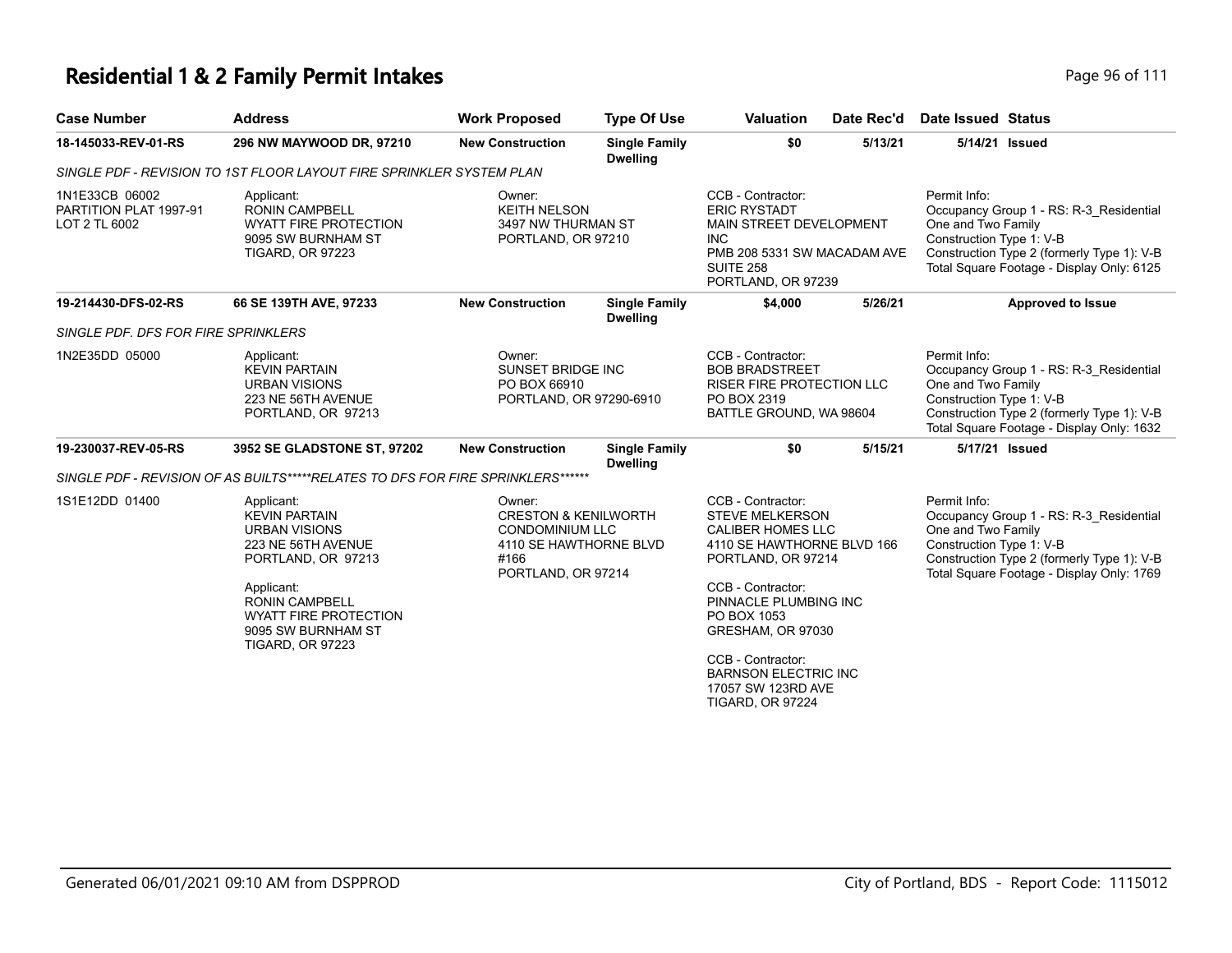| Page 96 of |  |
|------------|--|

| <b>Case Number</b>                                        | <b>Address</b>                                                                                                                                                                                                                 | <b>Work Proposed</b>                                                                                                        | <b>Type Of Use</b>                      | <b>Valuation</b>                                                                                                                                                                                                                                                                                                   | Date Rec'd | <b>Date Issued Status</b>                                                                                                                                                                            |
|-----------------------------------------------------------|--------------------------------------------------------------------------------------------------------------------------------------------------------------------------------------------------------------------------------|-----------------------------------------------------------------------------------------------------------------------------|-----------------------------------------|--------------------------------------------------------------------------------------------------------------------------------------------------------------------------------------------------------------------------------------------------------------------------------------------------------------------|------------|------------------------------------------------------------------------------------------------------------------------------------------------------------------------------------------------------|
| 18-145033-REV-01-RS                                       | 296 NW MAYWOOD DR, 97210                                                                                                                                                                                                       | <b>New Construction</b>                                                                                                     | <b>Single Family</b><br><b>Dwelling</b> | \$0                                                                                                                                                                                                                                                                                                                | 5/13/21    | 5/14/21 Issued                                                                                                                                                                                       |
|                                                           | SINGLE PDF - REVISION TO 1ST FLOOR LAYOUT FIRE SPRINKLER SYSTEM PLAN                                                                                                                                                           |                                                                                                                             |                                         |                                                                                                                                                                                                                                                                                                                    |            |                                                                                                                                                                                                      |
| 1N1E33CB 06002<br>PARTITION PLAT 1997-91<br>LOT 2 TL 6002 | Applicant:<br><b>RONIN CAMPBELL</b><br><b>WYATT FIRE PROTECTION</b><br>9095 SW BURNHAM ST<br><b>TIGARD, OR 97223</b>                                                                                                           | Owner:<br><b>KEITH NELSON</b><br>3497 NW THURMAN ST<br>PORTLAND, OR 97210                                                   |                                         | CCB - Contractor:<br><b>ERIC RYSTADT</b><br>MAIN STREET DEVELOPMENT<br><b>INC</b><br>PMB 208 5331 SW MACADAM AVE<br><b>SUITE 258</b><br>PORTLAND, OR 97239                                                                                                                                                         |            | Permit Info:<br>Occupancy Group 1 - RS: R-3_Residential<br>One and Two Family<br>Construction Type 1: V-B<br>Construction Type 2 (formerly Type 1): V-B<br>Total Square Footage - Display Only: 6125 |
| 19-214430-DFS-02-RS                                       | 66 SE 139TH AVE, 97233                                                                                                                                                                                                         | <b>New Construction</b>                                                                                                     | <b>Single Family</b><br><b>Dwelling</b> | \$4,000                                                                                                                                                                                                                                                                                                            | 5/26/21    | <b>Approved to Issue</b>                                                                                                                                                                             |
| SINGLE PDF. DFS FOR FIRE SPRINKLERS                       |                                                                                                                                                                                                                                |                                                                                                                             |                                         |                                                                                                                                                                                                                                                                                                                    |            |                                                                                                                                                                                                      |
| 1N2E35DD 05000                                            | Applicant:<br><b>KEVIN PARTAIN</b><br><b>URBAN VISIONS</b><br>223 NE 56TH AVENUE<br>PORTLAND, OR 97213                                                                                                                         | Owner:<br>SUNSET BRIDGE INC<br>PO BOX 66910<br>PORTLAND, OR 97290-6910                                                      |                                         | CCB - Contractor:<br><b>BOB BRADSTREET</b><br><b>RISER FIRE PROTECTION LLC</b><br>PO BOX 2319<br>BATTLE GROUND, WA 98604                                                                                                                                                                                           |            | Permit Info:<br>Occupancy Group 1 - RS: R-3_Residential<br>One and Two Family<br>Construction Type 1: V-B<br>Construction Type 2 (formerly Type 1): V-B<br>Total Square Footage - Display Only: 1632 |
| 19-230037-REV-05-RS                                       | 3952 SE GLADSTONE ST, 97202                                                                                                                                                                                                    | <b>New Construction</b>                                                                                                     | <b>Single Family</b><br><b>Dwelling</b> | \$0                                                                                                                                                                                                                                                                                                                | 5/15/21    | 5/17/21 Issued                                                                                                                                                                                       |
|                                                           | SINGLE PDF - REVISION OF AS BUILTS*****RELATES TO DFS FOR FIRE SPRINKLERS******                                                                                                                                                |                                                                                                                             |                                         |                                                                                                                                                                                                                                                                                                                    |            |                                                                                                                                                                                                      |
| 1S1E12DD 01400                                            | Applicant:<br><b>KEVIN PARTAIN</b><br><b>URBAN VISIONS</b><br>223 NE 56TH AVENUE<br>PORTLAND, OR 97213<br>Applicant:<br><b>RONIN CAMPBELL</b><br><b>WYATT FIRE PROTECTION</b><br>9095 SW BURNHAM ST<br><b>TIGARD, OR 97223</b> | Owner:<br><b>CRESTON &amp; KENILWORTH</b><br><b>CONDOMINIUM LLC</b><br>4110 SE HAWTHORNE BLVD<br>#166<br>PORTLAND, OR 97214 |                                         | CCB - Contractor:<br><b>STEVE MELKERSON</b><br><b>CALIBER HOMES LLC</b><br>4110 SE HAWTHORNE BLVD 166<br>PORTLAND, OR 97214<br>CCB - Contractor:<br>PINNACLE PLUMBING INC<br>PO BOX 1053<br>GRESHAM, OR 97030<br>CCB - Contractor:<br><b>BARNSON ELECTRIC INC</b><br>17057 SW 123RD AVE<br><b>TIGARD, OR 97224</b> |            | Permit Info:<br>Occupancy Group 1 - RS: R-3 Residential<br>One and Two Family<br>Construction Type 1: V-B<br>Construction Type 2 (formerly Type 1): V-B<br>Total Square Footage - Display Only: 1769 |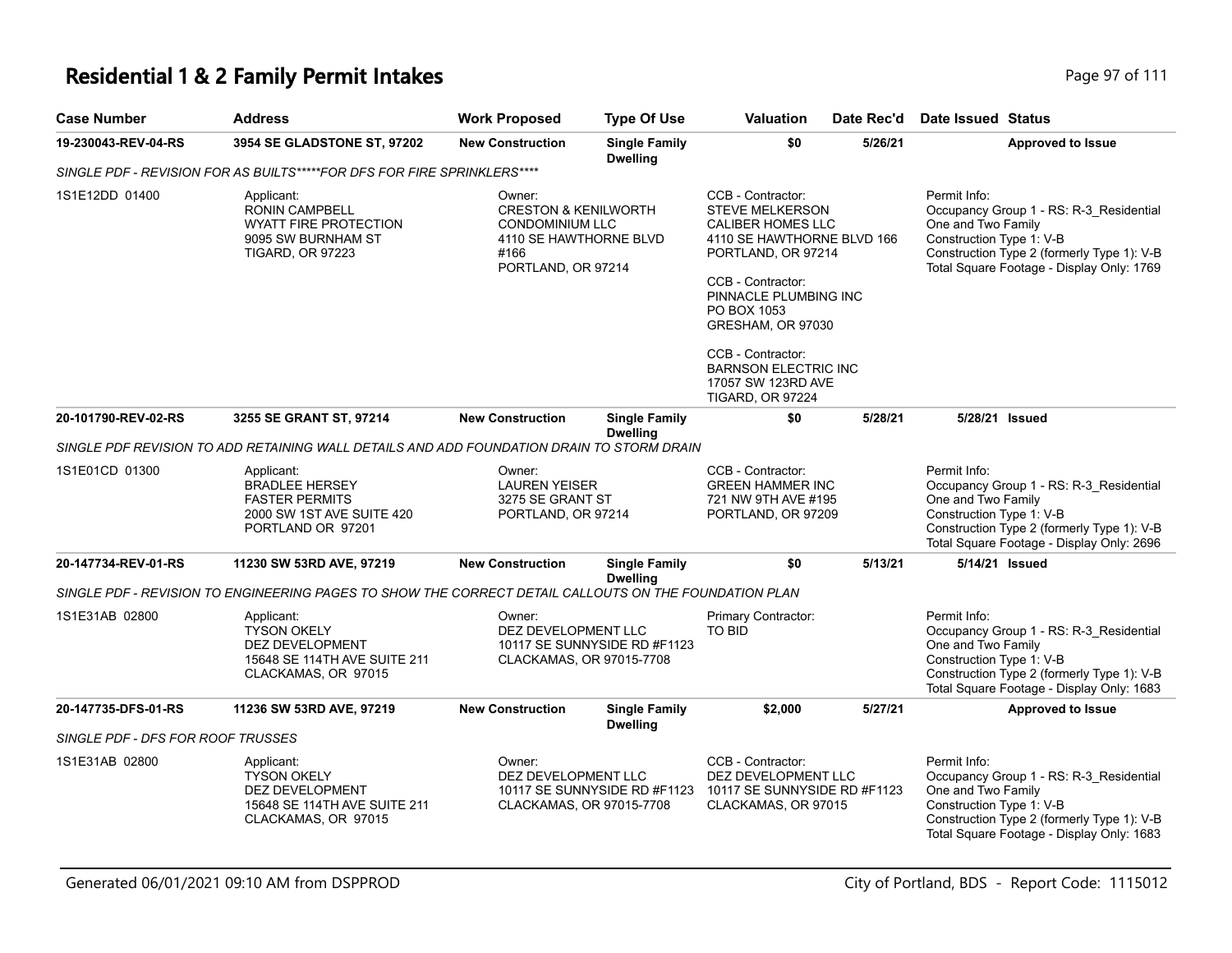# **Residential 1 & 2 Family Permit Intakes Page 111** Page 97 of 111

| Case Number                       | <b>Address</b>                                                                                                       | <b>Work Proposed</b>                                                                                                        | <b>Type Of Use</b>                      | Valuation                                                                                                                                                                                                                          | Date Rec'd | Date Issued Status                                                                                                                                                                                   |
|-----------------------------------|----------------------------------------------------------------------------------------------------------------------|-----------------------------------------------------------------------------------------------------------------------------|-----------------------------------------|------------------------------------------------------------------------------------------------------------------------------------------------------------------------------------------------------------------------------------|------------|------------------------------------------------------------------------------------------------------------------------------------------------------------------------------------------------------|
| 19-230043-REV-04-RS               | 3954 SE GLADSTONE ST, 97202                                                                                          | <b>New Construction</b>                                                                                                     | <b>Single Family</b><br><b>Dwelling</b> | \$0                                                                                                                                                                                                                                | 5/26/21    | <b>Approved to Issue</b>                                                                                                                                                                             |
|                                   | SINGLE PDF - REVISION FOR AS BUILTS*****FOR DFS FOR FIRE SPRINKLERS****                                              |                                                                                                                             |                                         |                                                                                                                                                                                                                                    |            |                                                                                                                                                                                                      |
| 1S1E12DD 01400                    | Applicant:<br><b>RONIN CAMPBELL</b><br><b>WYATT FIRE PROTECTION</b><br>9095 SW BURNHAM ST<br><b>TIGARD, OR 97223</b> | Owner:<br><b>CRESTON &amp; KENILWORTH</b><br><b>CONDOMINIUM LLC</b><br>4110 SE HAWTHORNE BLVD<br>#166<br>PORTLAND, OR 97214 |                                         | CCB - Contractor:<br><b>STEVE MELKERSON</b><br><b>CALIBER HOMES LLC</b><br>4110 SE HAWTHORNE BLVD 166<br>PORTLAND, OR 97214<br>CCB - Contractor:<br>PINNACLE PLUMBING INC<br>PO BOX 1053<br>GRESHAM, OR 97030<br>CCB - Contractor: |            | Permit Info:<br>Occupancy Group 1 - RS: R-3_Residential<br>One and Two Family<br>Construction Type 1: V-B<br>Construction Type 2 (formerly Type 1): V-B<br>Total Square Footage - Display Only: 1769 |
|                                   |                                                                                                                      |                                                                                                                             |                                         | <b>BARNSON ELECTRIC INC</b><br>17057 SW 123RD AVE<br><b>TIGARD, OR 97224</b>                                                                                                                                                       |            |                                                                                                                                                                                                      |
| 20-101790-REV-02-RS               | 3255 SE GRANT ST, 97214                                                                                              | <b>New Construction</b>                                                                                                     | <b>Single Family</b><br><b>Dwelling</b> | \$0                                                                                                                                                                                                                                | 5/28/21    | 5/28/21 Issued                                                                                                                                                                                       |
|                                   | SINGLE PDF REVISION TO ADD RETAINING WALL DETAILS AND ADD FOUNDATION DRAIN TO STORM DRAIN                            |                                                                                                                             |                                         |                                                                                                                                                                                                                                    |            |                                                                                                                                                                                                      |
| 1S1E01CD 01300                    | Applicant:<br><b>BRADLEE HERSEY</b><br><b>FASTER PERMITS</b><br>2000 SW 1ST AVE SUITE 420<br>PORTLAND OR 97201       | Owner:<br><b>LAUREN YEISER</b><br>3275 SE GRANT ST<br>PORTLAND, OR 97214                                                    |                                         | CCB - Contractor:<br><b>GREEN HAMMER INC</b><br>721 NW 9TH AVE #195<br>PORTLAND, OR 97209                                                                                                                                          |            | Permit Info:<br>Occupancy Group 1 - RS: R-3_Residential<br>One and Two Family<br>Construction Type 1: V-B<br>Construction Type 2 (formerly Type 1): V-B<br>Total Square Footage - Display Only: 2696 |
| 20-147734-REV-01-RS               | 11230 SW 53RD AVE, 97219                                                                                             | <b>New Construction</b>                                                                                                     | <b>Single Family</b><br><b>Dwelling</b> | \$0                                                                                                                                                                                                                                | 5/13/21    | 5/14/21 Issued                                                                                                                                                                                       |
|                                   | SINGLE PDF - REVISION TO ENGINEERING PAGES TO SHOW THE CORRECT DETAIL CALLOUTS ON THE FOUNDATION PLAN                |                                                                                                                             |                                         |                                                                                                                                                                                                                                    |            |                                                                                                                                                                                                      |
| 1S1E31AB 02800                    | Applicant:<br><b>TYSON OKELY</b><br>DEZ DEVELOPMENT<br>15648 SE 114TH AVE SUITE 211<br>CLACKAMAS, OR 97015           | Owner:<br>DEZ DEVELOPMENT LLC<br>CLACKAMAS, OR 97015-7708                                                                   | 10117 SE SUNNYSIDE RD #F1123            | Primary Contractor:<br><b>TO BID</b>                                                                                                                                                                                               |            | Permit Info:<br>Occupancy Group 1 - RS: R-3_Residential<br>One and Two Family<br>Construction Type 1: V-B<br>Construction Type 2 (formerly Type 1): V-B<br>Total Square Footage - Display Only: 1683 |
| 20-147735-DFS-01-RS               | 11236 SW 53RD AVE, 97219                                                                                             | <b>New Construction</b>                                                                                                     | <b>Single Family</b><br><b>Dwelling</b> | \$2,000                                                                                                                                                                                                                            | 5/27/21    | <b>Approved to Issue</b>                                                                                                                                                                             |
| SINGLE PDF - DFS FOR ROOF TRUSSES |                                                                                                                      |                                                                                                                             |                                         |                                                                                                                                                                                                                                    |            |                                                                                                                                                                                                      |
| 1S1E31AB 02800                    | Applicant:<br><b>TYSON OKELY</b><br>DEZ DEVELOPMENT<br>15648 SE 114TH AVE SUITE 211<br>CLACKAMAS, OR 97015           | Owner:<br>DEZ DEVELOPMENT LLC<br>CLACKAMAS, OR 97015-7708                                                                   | 10117 SE SUNNYSIDE RD #F1123            | CCB - Contractor:<br>DEZ DEVELOPMENT LLC<br>10117 SE SUNNYSIDE RD #F1123<br>CLACKAMAS, OR 97015                                                                                                                                    |            | Permit Info:<br>Occupancy Group 1 - RS: R-3_Residential<br>One and Two Family<br>Construction Type 1: V-B<br>Construction Type 2 (formerly Type 1): V-B<br>Total Square Footage - Display Only: 1683 |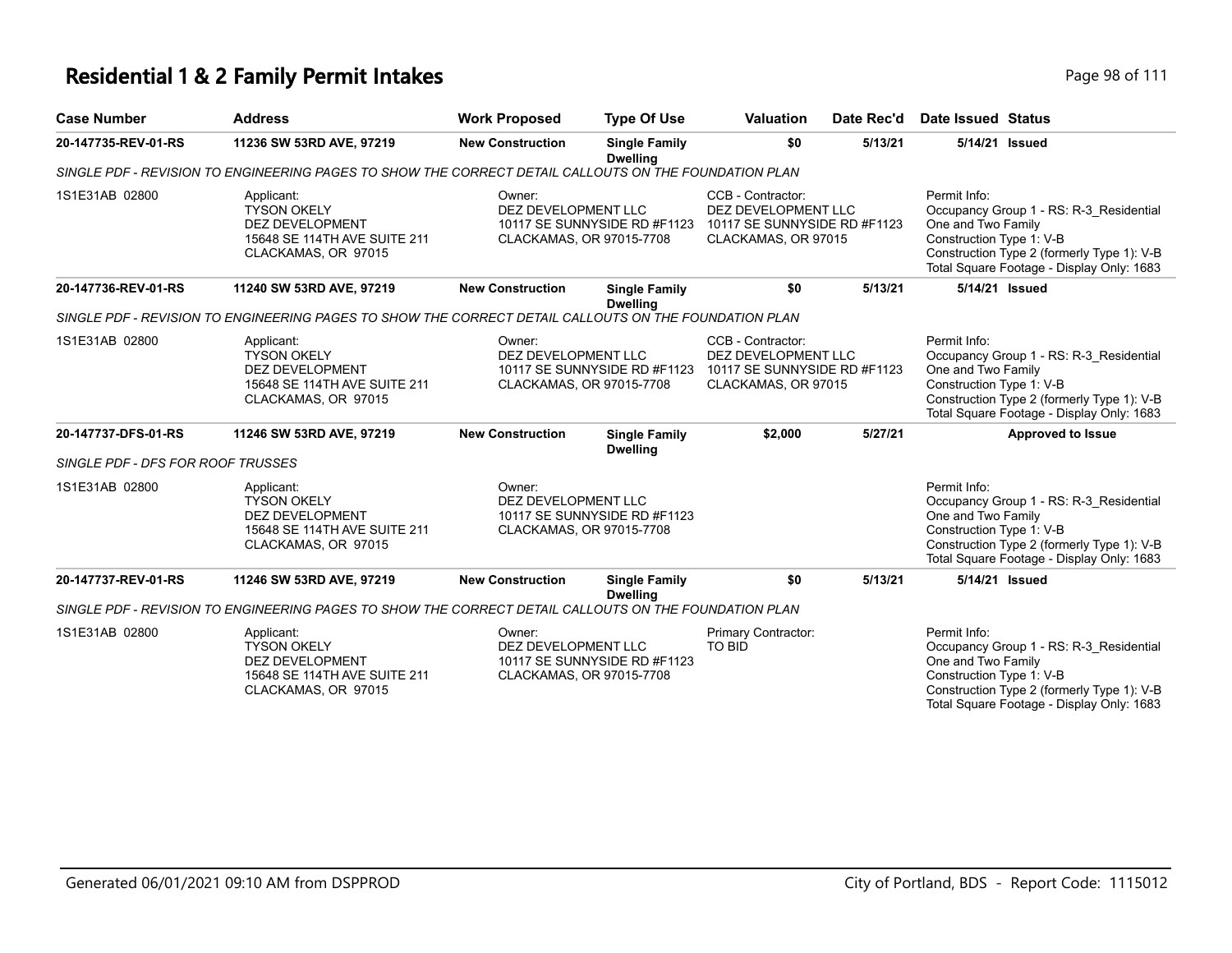| <b>Case Number</b>                | <b>Address</b>                                                                                                    | <b>Work Proposed</b>                                      | <b>Type Of Use</b>                      | <b>Valuation</b>                                                                                | Date Rec'd | Date Issued Status                                                                                                                                                                                   |
|-----------------------------------|-------------------------------------------------------------------------------------------------------------------|-----------------------------------------------------------|-----------------------------------------|-------------------------------------------------------------------------------------------------|------------|------------------------------------------------------------------------------------------------------------------------------------------------------------------------------------------------------|
| 20-147735-REV-01-RS               | 11236 SW 53RD AVE, 97219                                                                                          | <b>New Construction</b>                                   | <b>Single Family</b><br><b>Dwelling</b> | \$0                                                                                             | 5/13/21    | 5/14/21 Issued                                                                                                                                                                                       |
|                                   | SINGLE PDF - REVISION TO ENGINEERING PAGES TO SHOW THE CORRECT DETAIL CALLOUTS ON THE FOUNDATION PLAN             |                                                           |                                         |                                                                                                 |            |                                                                                                                                                                                                      |
| 1S1E31AB 02800                    | Applicant:<br><b>TYSON OKELY</b><br><b>DEZ DEVELOPMENT</b><br>15648 SE 114TH AVE SUITE 211<br>CLACKAMAS, OR 97015 | Owner:<br>DEZ DEVELOPMENT LLC<br>CLACKAMAS, OR 97015-7708 | 10117 SE SUNNYSIDE RD #F1123            | CCB - Contractor:<br>DEZ DEVELOPMENT LLC<br>10117 SE SUNNYSIDE RD #F1123<br>CLACKAMAS, OR 97015 |            | Permit Info:<br>Occupancy Group 1 - RS: R-3_Residential<br>One and Two Family<br>Construction Type 1: V-B<br>Construction Type 2 (formerly Type 1): V-B<br>Total Square Footage - Display Only: 1683 |
| 20-147736-REV-01-RS               | 11240 SW 53RD AVE, 97219                                                                                          | <b>New Construction</b>                                   | <b>Single Family</b><br><b>Dwelling</b> | \$0                                                                                             | 5/13/21    | 5/14/21 Issued                                                                                                                                                                                       |
|                                   | SINGLE PDF - REVISION TO ENGINEERING PAGES TO SHOW THE CORRECT DETAIL CALLOUTS ON THE FOUNDATION PLAN             |                                                           |                                         |                                                                                                 |            |                                                                                                                                                                                                      |
| 1S1E31AB 02800                    | Applicant:<br><b>TYSON OKELY</b><br>DEZ DEVELOPMENT<br>15648 SE 114TH AVE SUITE 211<br>CLACKAMAS, OR 97015        | Owner:<br>DEZ DEVELOPMENT LLC<br>CLACKAMAS, OR 97015-7708 | 10117 SE SUNNYSIDE RD #F1123            | CCB - Contractor:<br>DEZ DEVELOPMENT LLC<br>10117 SE SUNNYSIDE RD #F1123<br>CLACKAMAS, OR 97015 |            | Permit Info:<br>Occupancy Group 1 - RS: R-3 Residential<br>One and Two Family<br>Construction Type 1: V-B<br>Construction Type 2 (formerly Type 1): V-B<br>Total Square Footage - Display Only: 1683 |
| 20-147737-DFS-01-RS               | 11246 SW 53RD AVE, 97219                                                                                          | <b>New Construction</b>                                   | <b>Single Family</b><br><b>Dwelling</b> | \$2,000                                                                                         | 5/27/21    | <b>Approved to Issue</b>                                                                                                                                                                             |
| SINGLE PDF - DFS FOR ROOF TRUSSES |                                                                                                                   |                                                           |                                         |                                                                                                 |            |                                                                                                                                                                                                      |
| 1S1E31AB 02800                    | Applicant:<br><b>TYSON OKELY</b><br>DEZ DEVELOPMENT<br>15648 SE 114TH AVE SUITE 211<br>CLACKAMAS, OR 97015        | Owner:<br>DEZ DEVELOPMENT LLC<br>CLACKAMAS, OR 97015-7708 | 10117 SE SUNNYSIDE RD #F1123            |                                                                                                 |            | Permit Info:<br>Occupancy Group 1 - RS: R-3 Residential<br>One and Two Family<br>Construction Type 1: V-B<br>Construction Type 2 (formerly Type 1): V-B<br>Total Square Footage - Display Only: 1683 |
| 20-147737-REV-01-RS               | 11246 SW 53RD AVE, 97219                                                                                          | <b>New Construction</b>                                   | <b>Single Family</b><br><b>Dwelling</b> | \$0                                                                                             | 5/13/21    | 5/14/21 Issued                                                                                                                                                                                       |
|                                   | SINGLE PDF - REVISION TO ENGINEERING PAGES TO SHOW THE CORRECT DETAIL CALLOUTS ON THE FOUNDATION PLAN             |                                                           |                                         |                                                                                                 |            |                                                                                                                                                                                                      |
| 1S1E31AB 02800                    | Applicant:<br><b>TYSON OKELY</b><br><b>DEZ DEVELOPMENT</b><br>15648 SE 114TH AVE SUITE 211<br>CLACKAMAS, OR 97015 | Owner:<br>DEZ DEVELOPMENT LLC<br>CLACKAMAS, OR 97015-7708 | 10117 SE SUNNYSIDE RD #F1123            | Primary Contractor:<br><b>TO BID</b>                                                            |            | Permit Info:<br>Occupancy Group 1 - RS: R-3_Residential<br>One and Two Family<br>Construction Type 1: V-B<br>Construction Type 2 (formerly Type 1): V-B<br>Total Square Footage - Display Only: 1683 |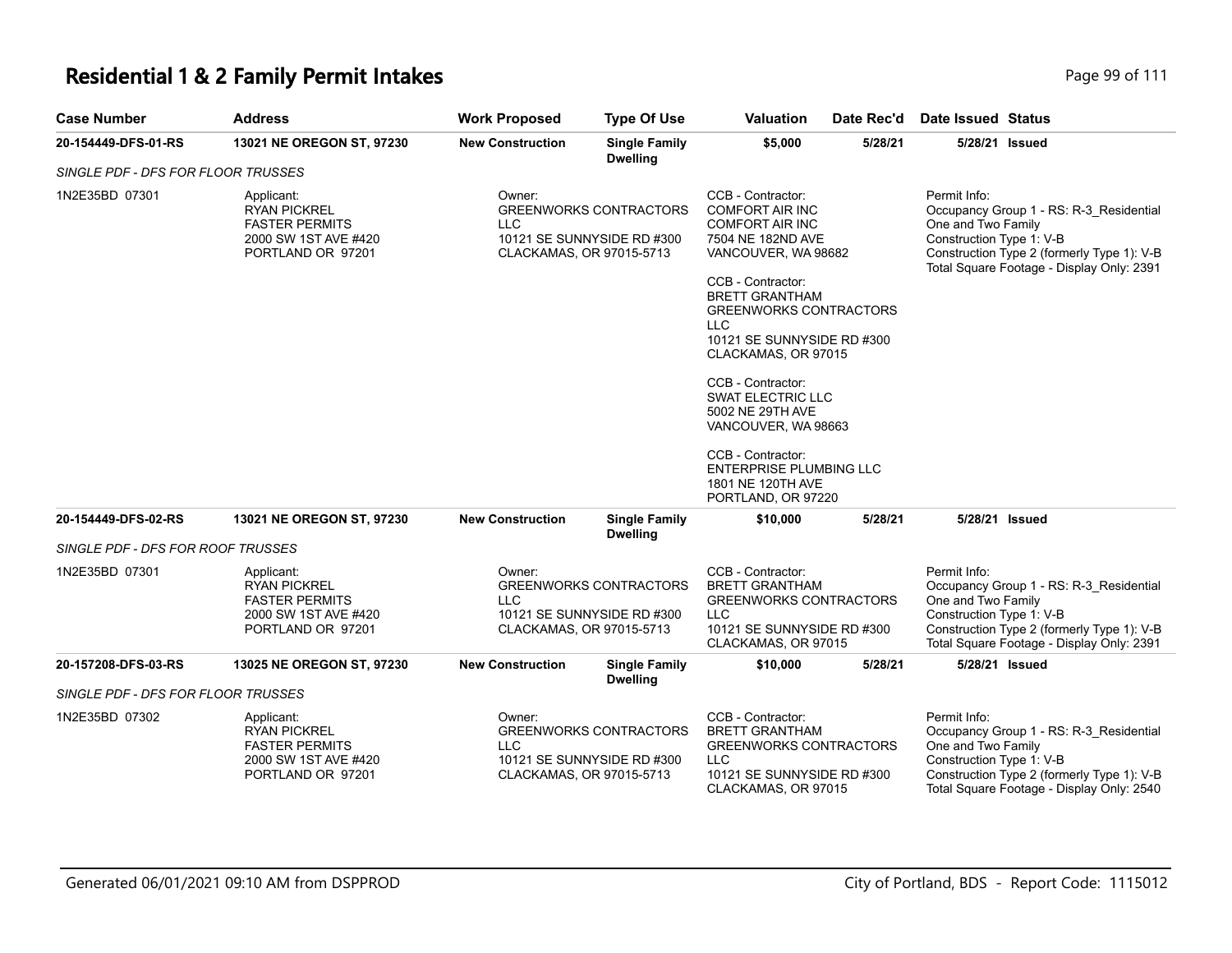| <b>Case Number</b>                 | <b>Address</b>                                                                                          | <b>Work Proposed</b>                             | <b>Type Of Use</b>                                          | Valuation                                                                                                                                                                                                                                                                                                                                                                                                                            | Date Rec'd | <b>Date Issued Status</b>                                                                                                                                                                            |
|------------------------------------|---------------------------------------------------------------------------------------------------------|--------------------------------------------------|-------------------------------------------------------------|--------------------------------------------------------------------------------------------------------------------------------------------------------------------------------------------------------------------------------------------------------------------------------------------------------------------------------------------------------------------------------------------------------------------------------------|------------|------------------------------------------------------------------------------------------------------------------------------------------------------------------------------------------------------|
| 20-154449-DFS-01-RS                | 13021 NE OREGON ST, 97230                                                                               | <b>New Construction</b>                          | <b>Single Family</b><br><b>Dwelling</b>                     | \$5,000                                                                                                                                                                                                                                                                                                                                                                                                                              | 5/28/21    | 5/28/21 Issued                                                                                                                                                                                       |
| SINGLE PDF - DFS FOR FLOOR TRUSSES |                                                                                                         |                                                  |                                                             |                                                                                                                                                                                                                                                                                                                                                                                                                                      |            |                                                                                                                                                                                                      |
| 1N2E35BD 07301                     | Applicant:<br><b>RYAN PICKREL</b><br><b>FASTER PERMITS</b><br>2000 SW 1ST AVE #420<br>PORTLAND OR 97201 | Owner:<br><b>LLC</b><br>CLACKAMAS, OR 97015-5713 | <b>GREENWORKS CONTRACTORS</b><br>10121 SE SUNNYSIDE RD #300 | CCB - Contractor:<br><b>COMFORT AIR INC</b><br><b>COMFORT AIR INC</b><br>7504 NE 182ND AVE<br>VANCOUVER, WA 98682<br>CCB - Contractor:<br><b>BRETT GRANTHAM</b><br><b>GREENWORKS CONTRACTORS</b><br>LLC<br>10121 SE SUNNYSIDE RD #300<br>CLACKAMAS, OR 97015<br>CCB - Contractor:<br><b>SWAT ELECTRIC LLC</b><br>5002 NE 29TH AVE<br>VANCOUVER, WA 98663<br>CCB - Contractor:<br><b>ENTERPRISE PLUMBING LLC</b><br>1801 NE 120TH AVE |            | Permit Info:<br>Occupancy Group 1 - RS: R-3_Residential<br>One and Two Family<br>Construction Type 1: V-B<br>Construction Type 2 (formerly Type 1): V-B<br>Total Square Footage - Display Only: 2391 |
|                                    |                                                                                                         |                                                  |                                                             | PORTLAND, OR 97220                                                                                                                                                                                                                                                                                                                                                                                                                   |            |                                                                                                                                                                                                      |
| 20-154449-DFS-02-RS                | 13021 NE OREGON ST, 97230                                                                               | <b>New Construction</b>                          | <b>Single Family</b><br><b>Dwelling</b>                     | \$10,000                                                                                                                                                                                                                                                                                                                                                                                                                             | 5/28/21    | 5/28/21 Issued                                                                                                                                                                                       |
| SINGLE PDF - DFS FOR ROOF TRUSSES  |                                                                                                         |                                                  |                                                             |                                                                                                                                                                                                                                                                                                                                                                                                                                      |            |                                                                                                                                                                                                      |
| 1N2E35BD 07301                     | Applicant:<br><b>RYAN PICKREL</b><br><b>FASTER PERMITS</b><br>2000 SW 1ST AVE #420<br>PORTLAND OR 97201 | Owner:<br><b>LLC</b><br>CLACKAMAS, OR 97015-5713 | <b>GREENWORKS CONTRACTORS</b><br>10121 SE SUNNYSIDE RD #300 | CCB - Contractor:<br><b>BRETT GRANTHAM</b><br><b>GREENWORKS CONTRACTORS</b><br>LLC<br>10121 SE SUNNYSIDE RD #300<br>CLACKAMAS, OR 97015                                                                                                                                                                                                                                                                                              |            | Permit Info:<br>Occupancy Group 1 - RS: R-3_Residential<br>One and Two Family<br>Construction Type 1: V-B<br>Construction Type 2 (formerly Type 1): V-B<br>Total Square Footage - Display Only: 2391 |
| 20-157208-DFS-03-RS                | 13025 NE OREGON ST, 97230                                                                               | <b>New Construction</b>                          | <b>Single Family</b><br><b>Dwelling</b>                     | \$10,000                                                                                                                                                                                                                                                                                                                                                                                                                             | 5/28/21    | 5/28/21 Issued                                                                                                                                                                                       |
| SINGLE PDF - DFS FOR FLOOR TRUSSES |                                                                                                         |                                                  |                                                             |                                                                                                                                                                                                                                                                                                                                                                                                                                      |            |                                                                                                                                                                                                      |
| 1N2E35BD 07302                     | Applicant:<br><b>RYAN PICKREL</b><br><b>FASTER PERMITS</b><br>2000 SW 1ST AVE #420<br>PORTLAND OR 97201 | Owner:<br>LLC.<br>CLACKAMAS, OR 97015-5713       | <b>GREENWORKS CONTRACTORS</b><br>10121 SE SUNNYSIDE RD #300 | CCB - Contractor:<br><b>BRETT GRANTHAM</b><br><b>GREENWORKS CONTRACTORS</b><br><b>LLC</b><br>10121 SE SUNNYSIDE RD #300<br>CLACKAMAS, OR 97015                                                                                                                                                                                                                                                                                       |            | Permit Info:<br>Occupancy Group 1 - RS: R-3_Residential<br>One and Two Family<br>Construction Type 1: V-B<br>Construction Type 2 (formerly Type 1): V-B<br>Total Square Footage - Display Only: 2540 |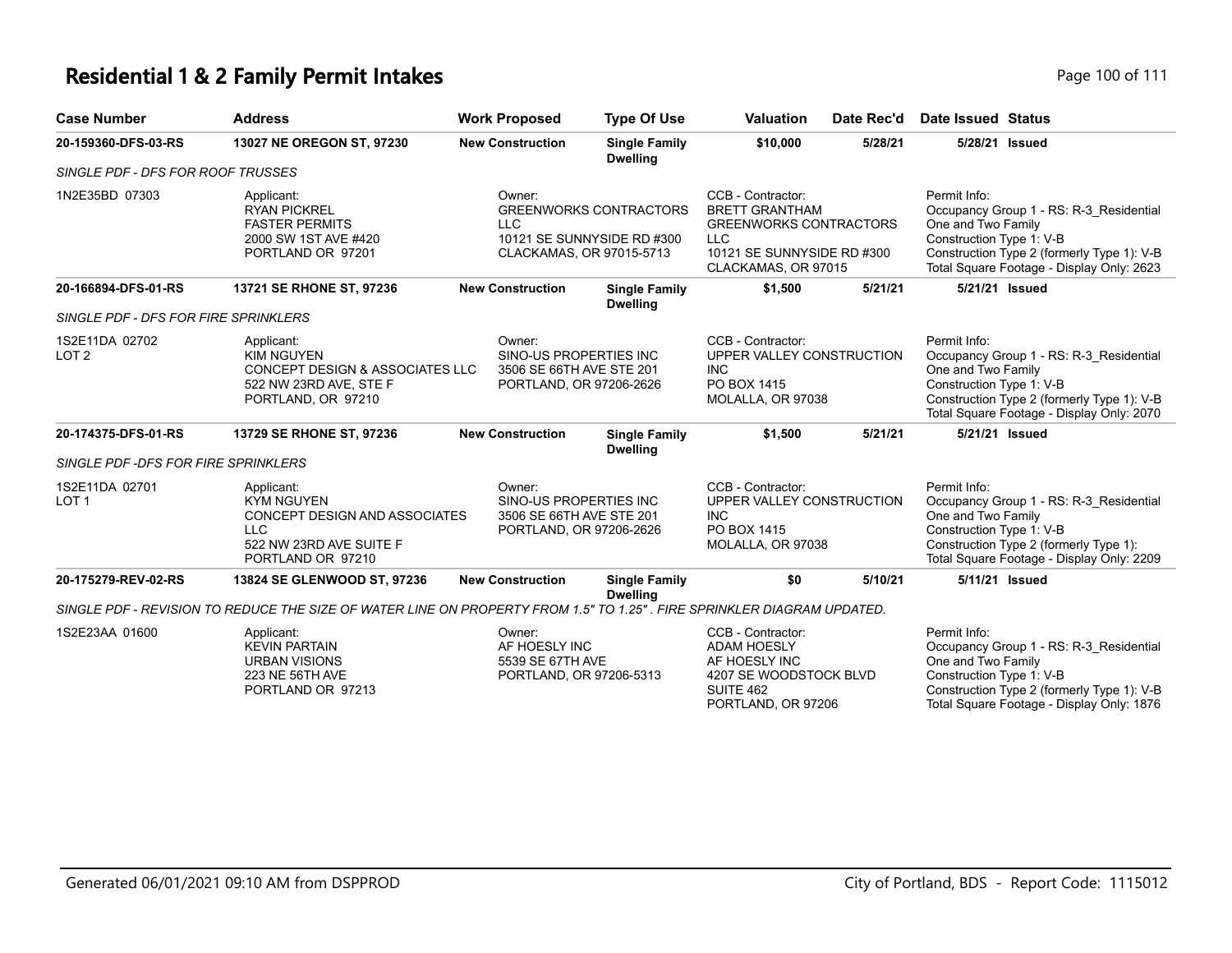# **Residential 1 & 2 Family Permit Intakes Page 100 of 111**

| <b>Case Number</b>                   | <b>Address</b>                                                                                                                 | <b>Work Proposed</b>                                                                    | <b>Type Of Use</b>                      | <b>Valuation</b>                                                                                                                               | Date Rec'd | <b>Date Issued Status</b>                                                                                                                                                                            |
|--------------------------------------|--------------------------------------------------------------------------------------------------------------------------------|-----------------------------------------------------------------------------------------|-----------------------------------------|------------------------------------------------------------------------------------------------------------------------------------------------|------------|------------------------------------------------------------------------------------------------------------------------------------------------------------------------------------------------------|
| 20-159360-DFS-03-RS                  | 13027 NE OREGON ST, 97230                                                                                                      | <b>New Construction</b>                                                                 | <b>Single Family</b><br><b>Dwelling</b> | \$10,000                                                                                                                                       | 5/28/21    | 5/28/21 Issued                                                                                                                                                                                       |
| SINGLE PDF - DFS FOR ROOF TRUSSES    |                                                                                                                                |                                                                                         |                                         |                                                                                                                                                |            |                                                                                                                                                                                                      |
| 1N2E35BD 07303                       | Applicant:<br><b>RYAN PICKREL</b><br><b>FASTER PERMITS</b><br>2000 SW 1ST AVE #420<br>PORTLAND OR 97201                        | Owner:<br><b>LLC</b><br>10121 SE SUNNYSIDE RD #300<br>CLACKAMAS, OR 97015-5713          | <b>GREENWORKS CONTRACTORS</b>           | CCB - Contractor:<br><b>BRETT GRANTHAM</b><br><b>GREENWORKS CONTRACTORS</b><br><b>LLC</b><br>10121 SE SUNNYSIDE RD #300<br>CLACKAMAS, OR 97015 |            | Permit Info:<br>Occupancy Group 1 - RS: R-3_Residential<br>One and Two Family<br>Construction Type 1: V-B<br>Construction Type 2 (formerly Type 1): V-B<br>Total Square Footage - Display Only: 2623 |
| 20-166894-DFS-01-RS                  | 13721 SE RHONE ST, 97236                                                                                                       | <b>New Construction</b>                                                                 | <b>Single Family</b><br><b>Dwelling</b> | \$1,500                                                                                                                                        | 5/21/21    | 5/21/21 Issued                                                                                                                                                                                       |
| SINGLE PDF - DFS FOR FIRE SPRINKLERS |                                                                                                                                |                                                                                         |                                         |                                                                                                                                                |            |                                                                                                                                                                                                      |
| 1S2E11DA 02702<br>LOT <sub>2</sub>   | Applicant:<br><b>KIM NGUYEN</b><br>CONCEPT DESIGN & ASSOCIATES LLC<br>522 NW 23RD AVE, STE F<br>PORTLAND, OR 97210             | Owner:<br>SINO-US PROPERTIES INC<br>3506 SE 66TH AVE STE 201<br>PORTLAND, OR 97206-2626 |                                         | CCB - Contractor:<br>UPPER VALLEY CONSTRUCTION<br><b>INC</b><br>PO BOX 1415<br>MOLALLA, OR 97038                                               |            | Permit Info:<br>Occupancy Group 1 - RS: R-3_Residential<br>One and Two Family<br>Construction Type 1: V-B<br>Construction Type 2 (formerly Type 1): V-B<br>Total Square Footage - Display Only: 2070 |
| 20-174375-DFS-01-RS                  | 13729 SE RHONE ST, 97236                                                                                                       | <b>New Construction</b>                                                                 | <b>Single Family</b><br><b>Dwelling</b> | \$1,500                                                                                                                                        | 5/21/21    | 5/21/21 Issued                                                                                                                                                                                       |
| SINGLE PDF -DFS FOR FIRE SPRINKLERS  |                                                                                                                                |                                                                                         |                                         |                                                                                                                                                |            |                                                                                                                                                                                                      |
| 1S2E11DA 02701<br>LOT <sub>1</sub>   | Applicant:<br><b>KYM NGUYEN</b><br>CONCEPT DESIGN AND ASSOCIATES<br><b>LLC</b><br>522 NW 23RD AVE SUITE F<br>PORTLAND OR 97210 | Owner:<br>SINO-US PROPERTIES INC<br>3506 SE 66TH AVE STE 201<br>PORTLAND, OR 97206-2626 |                                         | CCB - Contractor:<br>UPPER VALLEY CONSTRUCTION<br><b>INC</b><br>PO BOX 1415<br>MOLALLA, OR 97038                                               |            | Permit Info:<br>Occupancy Group 1 - RS: R-3 Residential<br>One and Two Family<br>Construction Type 1: V-B<br>Construction Type 2 (formerly Type 1):<br>Total Square Footage - Display Only: 2209     |
| 20-175279-REV-02-RS                  | 13824 SE GLENWOOD ST, 97236                                                                                                    | <b>New Construction</b>                                                                 | <b>Single Family</b><br><b>Dwelling</b> | \$0                                                                                                                                            | 5/10/21    | 5/11/21 Issued                                                                                                                                                                                       |
|                                      | SINGLE PDF - REVISION TO REDUCE THE SIZE OF WATER LINE ON PROPERTY FROM 1.5" TO 1.25". FIRE SPRINKLER DIAGRAM UPDATED.         |                                                                                         |                                         |                                                                                                                                                |            |                                                                                                                                                                                                      |
| 1S2E23AA 01600                       | Applicant:<br><b>KEVIN PARTAIN</b><br><b>URBAN VISIONS</b><br>223 NE 56TH AVE<br>PORTLAND OR 97213                             | Owner:<br>AF HOESLY INC<br>5539 SE 67TH AVE<br>PORTLAND, OR 97206-5313                  |                                         | CCB - Contractor:<br><b>ADAM HOESLY</b><br>AF HOESLY INC<br>4207 SE WOODSTOCK BLVD<br>SUITE 462<br>PORTLAND, OR 97206                          |            | Permit Info:<br>Occupancy Group 1 - RS: R-3 Residential<br>One and Two Family<br>Construction Type 1: V-B<br>Construction Type 2 (formerly Type 1): V-B<br>Total Square Footage - Display Only: 1876 |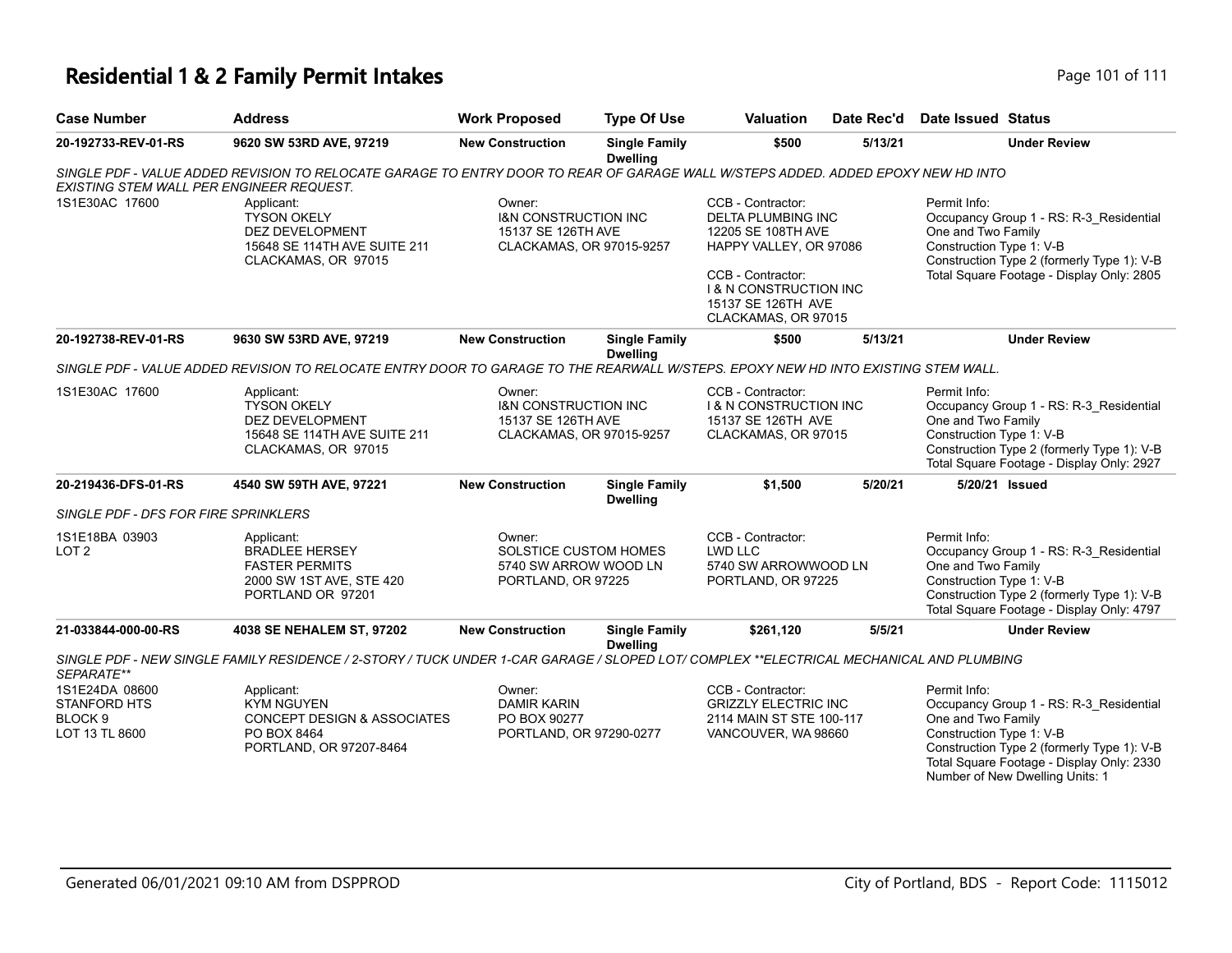### **Residential 1 & 2 Family Permit Intakes Page 101 of 111 Page 101 of 111**

| <b>Case Number</b>                                                            | <b>Address</b>                                                                                                                          | <b>Work Proposed</b>                                                                        | <b>Type Of Use</b>                      | <b>Valuation</b>                                                                                                                                                                                      | Date Rec'd | <b>Date Issued Status</b>                                                                                                                                                                            |
|-------------------------------------------------------------------------------|-----------------------------------------------------------------------------------------------------------------------------------------|---------------------------------------------------------------------------------------------|-----------------------------------------|-------------------------------------------------------------------------------------------------------------------------------------------------------------------------------------------------------|------------|------------------------------------------------------------------------------------------------------------------------------------------------------------------------------------------------------|
| 20-192733-REV-01-RS                                                           | 9620 SW 53RD AVE, 97219                                                                                                                 | <b>New Construction</b>                                                                     | <b>Single Family</b><br><b>Dwelling</b> | \$500                                                                                                                                                                                                 | 5/13/21    | <b>Under Review</b>                                                                                                                                                                                  |
| EXISTING STEM WALL PER ENGINEER REQUEST.                                      | SINGLE PDF - VALUE ADDED REVISION TO RELOCATE GARAGE TO ENTRY DOOR TO REAR OF GARAGE WALL W/STEPS ADDED. ADDED EPOXY NEW HD INTO        |                                                                                             |                                         |                                                                                                                                                                                                       |            |                                                                                                                                                                                                      |
| 1S1E30AC 17600                                                                | Applicant:<br><b>TYSON OKELY</b><br>DEZ DEVELOPMENT<br>15648 SE 114TH AVE SUITE 211<br>CLACKAMAS, OR 97015                              | Owner:<br><b>I&amp;N CONSTRUCTION INC</b><br>15137 SE 126TH AVE<br>CLACKAMAS, OR 97015-9257 |                                         | CCB - Contractor:<br><b>DELTA PLUMBING INC</b><br>12205 SE 108TH AVE<br>HAPPY VALLEY, OR 97086<br>CCB - Contractor:<br><b>1 &amp; N CONSTRUCTION INC</b><br>15137 SE 126TH AVE<br>CLACKAMAS, OR 97015 |            | Permit Info:<br>Occupancy Group 1 - RS: R-3_Residential<br>One and Two Family<br>Construction Type 1: V-B<br>Construction Type 2 (formerly Type 1): V-B<br>Total Square Footage - Display Only: 2805 |
| 20-192738-REV-01-RS                                                           | 9630 SW 53RD AVE, 97219                                                                                                                 | <b>New Construction</b>                                                                     | <b>Single Family</b><br><b>Dwelling</b> | \$500                                                                                                                                                                                                 | 5/13/21    | <b>Under Review</b>                                                                                                                                                                                  |
|                                                                               | SINGLE PDF - VALUE ADDED REVISION TO RELOCATE ENTRY DOOR TO GARAGE TO THE REARWALL W/STEPS. EPOXY NEW HD INTO EXISTING STEM WALL.       |                                                                                             |                                         |                                                                                                                                                                                                       |            |                                                                                                                                                                                                      |
| 1S1E30AC 17600                                                                | Applicant:<br><b>TYSON OKELY</b><br>DEZ DEVELOPMENT<br>15648 SE 114TH AVE SUITE 211<br>CLACKAMAS, OR 97015                              | Owner:<br><b>I&amp;N CONSTRUCTION INC</b><br>15137 SE 126TH AVE<br>CLACKAMAS, OR 97015-9257 |                                         | CCB - Contractor:<br><b>1&amp; N CONSTRUCTION INC</b><br>15137 SE 126TH AVE<br>CLACKAMAS, OR 97015                                                                                                    |            | Permit Info:<br>Occupancy Group 1 - RS: R-3 Residential<br>One and Two Family<br>Construction Type 1: V-B<br>Construction Type 2 (formerly Type 1): V-B<br>Total Square Footage - Display Only: 2927 |
| 20-219436-DFS-01-RS                                                           | 4540 SW 59TH AVE, 97221                                                                                                                 | <b>New Construction</b>                                                                     | <b>Single Family</b><br><b>Dwelling</b> | \$1,500                                                                                                                                                                                               | 5/20/21    | 5/20/21 Issued                                                                                                                                                                                       |
| SINGLE PDF - DFS FOR FIRE SPRINKLERS                                          |                                                                                                                                         |                                                                                             |                                         |                                                                                                                                                                                                       |            |                                                                                                                                                                                                      |
| 1S1E18BA 03903<br>LOT <sub>2</sub>                                            | Applicant:<br><b>BRADLEE HERSEY</b><br><b>FASTER PERMITS</b><br>2000 SW 1ST AVE, STE 420<br>PORTLAND OR 97201                           | Owner:<br>SOLSTICE CUSTOM HOMES<br>5740 SW ARROW WOOD LN<br>PORTLAND, OR 97225              |                                         | CCB - Contractor:<br>LWD LLC<br>5740 SW ARROWWOOD LN<br>PORTLAND, OR 97225                                                                                                                            |            | Permit Info:<br>Occupancy Group 1 - RS: R-3 Residential<br>One and Two Family<br>Construction Type 1: V-B<br>Construction Type 2 (formerly Type 1): V-B<br>Total Square Footage - Display Only: 4797 |
| 21-033844-000-00-RS                                                           | 4038 SE NEHALEM ST, 97202                                                                                                               | <b>New Construction</b>                                                                     | <b>Single Family</b><br><b>Dwelling</b> | \$261,120                                                                                                                                                                                             | 5/5/21     | <b>Under Review</b>                                                                                                                                                                                  |
| SEPARATE**                                                                    | SINGLE PDF - NEW SINGLE FAMILY RESIDENCE / 2-STORY / TUCK UNDER 1-CAR GARAGE / SLOPED LOT/ COMPLEX **ELECTRICAL MECHANICAL AND PLUMBING |                                                                                             |                                         |                                                                                                                                                                                                       |            |                                                                                                                                                                                                      |
| 1S1E24DA 08600<br><b>STANFORD HTS</b><br>BLOCK <sub>9</sub><br>LOT 13 TL 8600 | Applicant:<br><b>KYM NGUYEN</b><br><b>CONCEPT DESIGN &amp; ASSOCIATES</b><br>PO BOX 8464<br>PORTLAND, OR 97207-8464                     | Owner:<br><b>DAMIR KARIN</b><br>PO BOX 90277<br>PORTLAND, OR 97290-0277                     |                                         | CCB - Contractor:<br><b>GRIZZLY ELECTRIC INC</b><br>2114 MAIN ST STE 100-117<br>VANCOUVER, WA 98660                                                                                                   |            | Permit Info:<br>Occupancy Group 1 - RS: R-3 Residential<br>One and Two Family<br>Construction Type 1: V-B<br>Construction Type 2 (formerly Type 1): V-B<br>Total Square Footage - Display Only: 2330 |

Number of New Dwelling Units: 1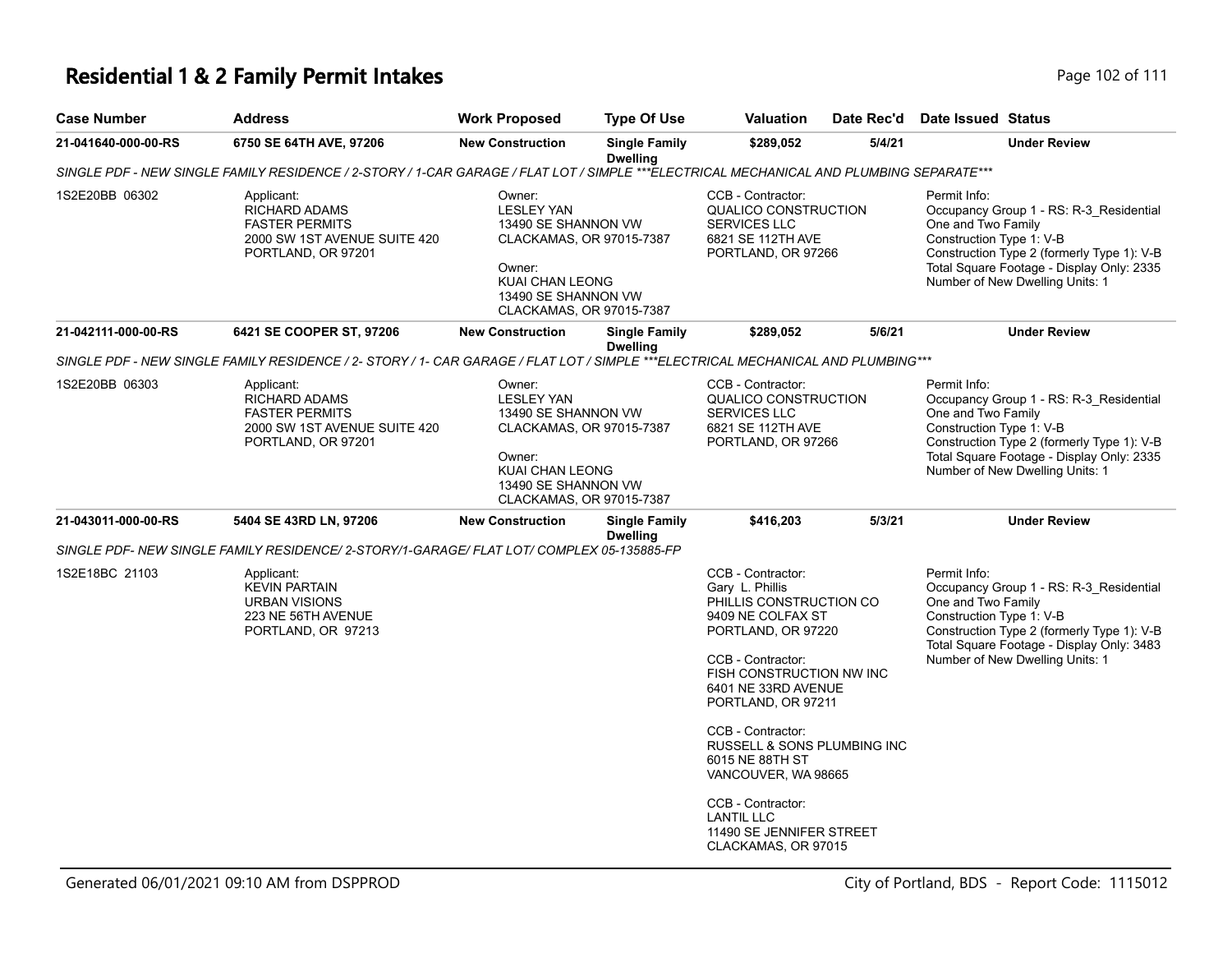# **Residential 1 & 2 Family Permit Intakes Page 102 of 111**

| <b>Case Number</b>  | <b>Address</b>                                                                                                                          | <b>Work Proposed</b>                                                                                                                                                  | <b>Type Of Use</b>                      | <b>Valuation</b>                                                                                                                                                                                                                                                                                       | Date Rec'd | <b>Date Issued Status</b>                                                                                                                                                                                                               |
|---------------------|-----------------------------------------------------------------------------------------------------------------------------------------|-----------------------------------------------------------------------------------------------------------------------------------------------------------------------|-----------------------------------------|--------------------------------------------------------------------------------------------------------------------------------------------------------------------------------------------------------------------------------------------------------------------------------------------------------|------------|-----------------------------------------------------------------------------------------------------------------------------------------------------------------------------------------------------------------------------------------|
| 21-041640-000-00-RS | 6750 SE 64TH AVE, 97206                                                                                                                 | <b>New Construction</b>                                                                                                                                               | <b>Single Family</b><br><b>Dwelling</b> | \$289,052                                                                                                                                                                                                                                                                                              | 5/4/21     | <b>Under Review</b>                                                                                                                                                                                                                     |
|                     | SINGLE PDF - NEW SINGLE FAMILY RESIDENCE / 2-STORY / 1-CAR GARAGE / FLAT LOT / SIMPLE ***ELECTRICAL MECHANICAL AND PLUMBING SEPARATE*** |                                                                                                                                                                       |                                         |                                                                                                                                                                                                                                                                                                        |            |                                                                                                                                                                                                                                         |
| 1S2E20BB 06302      | Applicant:<br><b>RICHARD ADAMS</b><br><b>FASTER PERMITS</b><br>2000 SW 1ST AVENUE SUITE 420<br>PORTLAND, OR 97201                       | Owner:<br><b>LESLEY YAN</b><br>13490 SE SHANNON VW<br>CLACKAMAS, OR 97015-7387<br>Owner:<br>KUAI CHAN LEONG<br>13490 SE SHANNON VW<br>CLACKAMAS, OR 97015-7387        |                                         | CCB - Contractor:<br>QUALICO CONSTRUCTION<br><b>SERVICES LLC</b><br>6821 SE 112TH AVE<br>PORTLAND, OR 97266                                                                                                                                                                                            |            | Permit Info:<br>Occupancy Group 1 - RS: R-3_Residential<br>One and Two Family<br>Construction Type 1: V-B<br>Construction Type 2 (formerly Type 1): V-B<br>Total Square Footage - Display Only: 2335<br>Number of New Dwelling Units: 1 |
| 21-042111-000-00-RS | 6421 SE COOPER ST, 97206                                                                                                                | <b>New Construction</b>                                                                                                                                               | <b>Single Family</b><br><b>Dwelling</b> | \$289,052                                                                                                                                                                                                                                                                                              | 5/6/21     | <b>Under Review</b>                                                                                                                                                                                                                     |
|                     | SINGLE PDF - NEW SINGLE FAMILY RESIDENCE / 2- STORY / 1- CAR GARAGE / FLAT LOT / SIMPLE ***ELECTRICAL MECHANICAL AND PLUMBING***        |                                                                                                                                                                       |                                         |                                                                                                                                                                                                                                                                                                        |            |                                                                                                                                                                                                                                         |
| 1S2E20BB 06303      | Applicant:<br><b>RICHARD ADAMS</b><br><b>FASTER PERMITS</b><br>2000 SW 1ST AVENUE SUITE 420<br>PORTLAND, OR 97201                       | Owner:<br><b>LESLEY YAN</b><br>13490 SE SHANNON VW<br>CLACKAMAS, OR 97015-7387<br>Owner:<br><b>KUAI CHAN LEONG</b><br>13490 SE SHANNON VW<br>CLACKAMAS, OR 97015-7387 |                                         | CCB - Contractor:<br>QUALICO CONSTRUCTION<br><b>SERVICES LLC</b><br>6821 SE 112TH AVE<br>PORTLAND, OR 97266                                                                                                                                                                                            |            | Permit Info:<br>Occupancy Group 1 - RS: R-3_Residential<br>One and Two Family<br>Construction Type 1: V-B<br>Construction Type 2 (formerly Type 1): V-B<br>Total Square Footage - Display Only: 2335<br>Number of New Dwelling Units: 1 |
| 21-043011-000-00-RS | 5404 SE 43RD LN, 97206                                                                                                                  | <b>New Construction</b>                                                                                                                                               | <b>Single Family</b><br><b>Dwelling</b> | \$416,203                                                                                                                                                                                                                                                                                              | 5/3/21     | <b>Under Review</b>                                                                                                                                                                                                                     |
|                     | SINGLE PDF- NEW SINGLE FAMILY RESIDENCE/ 2-STORY/1-GARAGE/ FLAT LOT/ COMPLEX 05-135885-FP                                               |                                                                                                                                                                       |                                         |                                                                                                                                                                                                                                                                                                        |            |                                                                                                                                                                                                                                         |
| 1S2E18BC 21103      | Applicant:<br><b>KEVIN PARTAIN</b><br><b>URBAN VISIONS</b><br>223 NE 56TH AVENUE<br>PORTLAND, OR 97213                                  |                                                                                                                                                                       |                                         | CCB - Contractor:<br>Gary L. Phillis<br>PHILLIS CONSTRUCTION CO<br>9409 NE COLFAX ST<br>PORTLAND, OR 97220<br>CCB - Contractor:<br>FISH CONSTRUCTION NW INC<br>6401 NE 33RD AVENUE<br>PORTLAND, OR 97211<br>CCB - Contractor:<br>RUSSELL & SONS PLUMBING INC<br>6015 NE 88TH ST<br>VANCOUVER, WA 98665 |            | Permit Info:<br>Occupancy Group 1 - RS: R-3_Residential<br>One and Two Family<br>Construction Type 1: V-B<br>Construction Type 2 (formerly Type 1): V-B<br>Total Square Footage - Display Only: 3483<br>Number of New Dwelling Units: 1 |
|                     |                                                                                                                                         |                                                                                                                                                                       |                                         | CCB - Contractor:<br><b>LANTIL LLC</b><br>11490 SE JENNIFER STREET<br>CLACKAMAS, OR 97015                                                                                                                                                                                                              |            |                                                                                                                                                                                                                                         |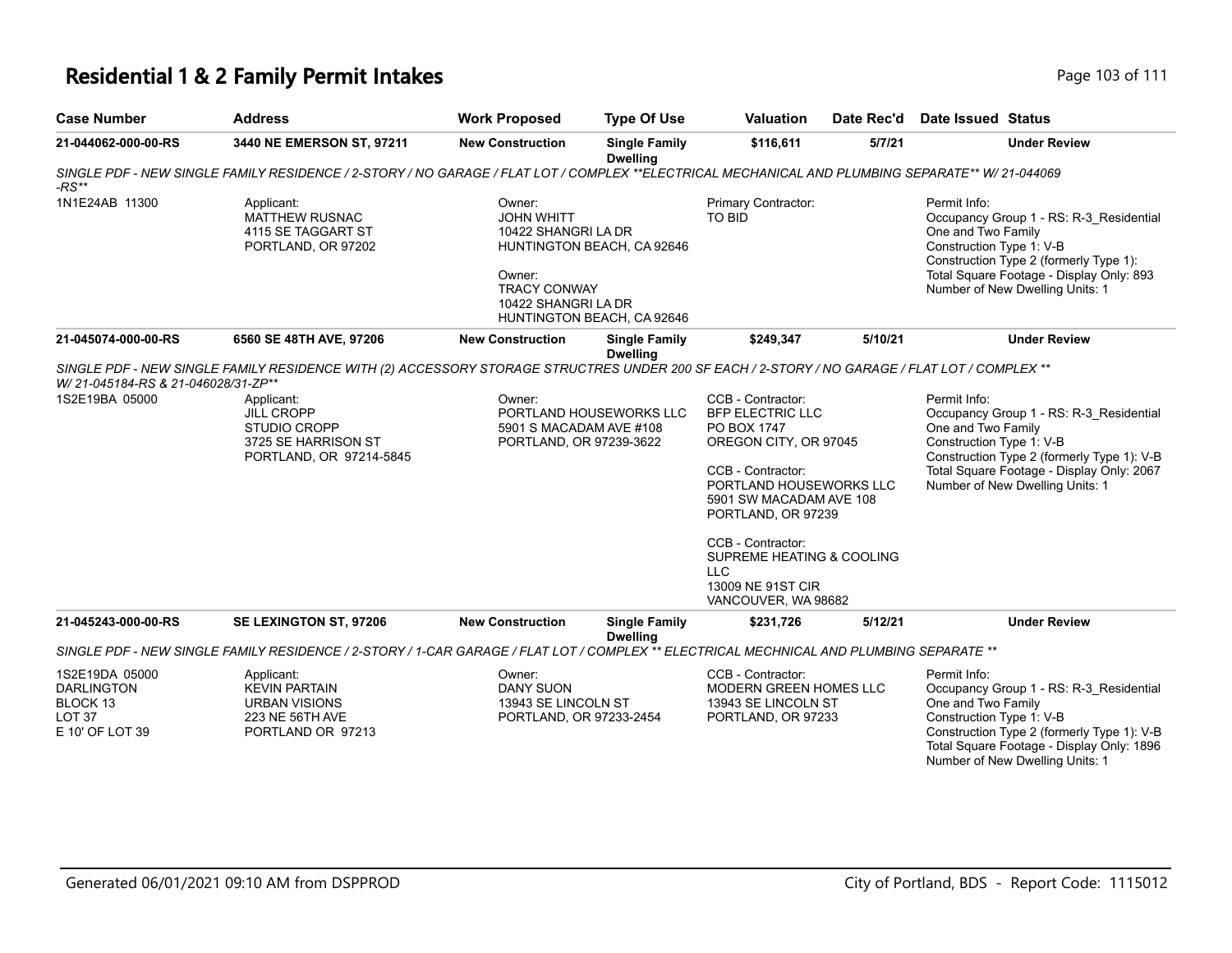### **Residential 1 & 2 Family Permit Intakes Page 103 of 111**

| <b>Case Number</b>                                                                      | <b>Address</b>                                                                                                                                   | <b>Work Proposed</b>                                                                                       | <b>Type Of Use</b>                                       | <b>Valuation</b>                                                                                                                                                                                                                                                                                  | Date Rec'd | Date Issued Status                                                                                                                                                                                                                      |
|-----------------------------------------------------------------------------------------|--------------------------------------------------------------------------------------------------------------------------------------------------|------------------------------------------------------------------------------------------------------------|----------------------------------------------------------|---------------------------------------------------------------------------------------------------------------------------------------------------------------------------------------------------------------------------------------------------------------------------------------------------|------------|-----------------------------------------------------------------------------------------------------------------------------------------------------------------------------------------------------------------------------------------|
| 21-044062-000-00-RS                                                                     | 3440 NE EMERSON ST, 97211                                                                                                                        | <b>New Construction</b>                                                                                    | <b>Single Family</b><br><b>Dwelling</b>                  | \$116,611                                                                                                                                                                                                                                                                                         | 5/7/21     | <b>Under Review</b>                                                                                                                                                                                                                     |
| $-RS**$                                                                                 | SINGLE PDF - NEW SINGLE FAMILY RESIDENCE / 2-STORY / NO GARAGE / FLAT LOT / COMPLEX **ELECTRICAL MECHANICAL AND PLUMBING SEPARATE** W/ 21-044069 |                                                                                                            |                                                          |                                                                                                                                                                                                                                                                                                   |            |                                                                                                                                                                                                                                         |
| 1N1E24AB 11300                                                                          | Applicant:<br><b>MATTHEW RUSNAC</b><br>4115 SE TAGGART ST<br>PORTLAND, OR 97202                                                                  | Owner:<br><b>JOHN WHITT</b><br>10422 SHANGRI LA DR<br>Owner:<br><b>TRACY CONWAY</b><br>10422 SHANGRI LA DR | HUNTINGTON BEACH, CA 92646<br>HUNTINGTON BEACH, CA 92646 | Primary Contractor:<br><b>TO BID</b>                                                                                                                                                                                                                                                              |            | Permit Info:<br>Occupancy Group 1 - RS: R-3_Residential<br>One and Two Family<br>Construction Type 1: V-B<br>Construction Type 2 (formerly Type 1):<br>Total Square Footage - Display Only: 893<br>Number of New Dwelling Units: 1      |
| 21-045074-000-00-RS                                                                     | 6560 SE 48TH AVE, 97206                                                                                                                          | <b>New Construction</b>                                                                                    | <b>Single Family</b><br><b>Dwelling</b>                  | \$249,347                                                                                                                                                                                                                                                                                         | 5/10/21    | <b>Under Review</b>                                                                                                                                                                                                                     |
| W/ 21-045184-RS & 21-046028/31-ZP**                                                     | SINGLE PDF - NEW SINGLE FAMILY RESIDENCE WITH (2) ACCESSORY STORAGE STRUCTRES UNDER 200 SF EACH / 2-STORY / NO GARAGE / FLAT LOT / COMPLEX **    |                                                                                                            |                                                          |                                                                                                                                                                                                                                                                                                   |            |                                                                                                                                                                                                                                         |
| 1S2E19BA 05000                                                                          | Applicant:<br><b>JILL CROPP</b><br><b>STUDIO CROPP</b><br>3725 SE HARRISON ST<br>PORTLAND, OR 97214-5845                                         | Owner:<br>5901 S MACADAM AVE #108<br>PORTLAND, OR 97239-3622                                               | PORTLAND HOUSEWORKS LLC                                  | CCB - Contractor:<br><b>BFP ELECTRIC LLC</b><br>PO BOX 1747<br>OREGON CITY, OR 97045<br>CCB - Contractor:<br>PORTLAND HOUSEWORKS LLC<br>5901 SW MACADAM AVE 108<br>PORTLAND, OR 97239<br>CCB - Contractor:<br>SUPREME HEATING & COOLING<br><b>LLC</b><br>13009 NE 91ST CIR<br>VANCOUVER, WA 98682 |            | Permit Info:<br>Occupancy Group 1 - RS: R-3_Residential<br>One and Two Family<br>Construction Type 1: V-B<br>Construction Type 2 (formerly Type 1): V-B<br>Total Square Footage - Display Only: 2067<br>Number of New Dwelling Units: 1 |
| 21-045243-000-00-RS                                                                     | SE LEXINGTON ST, 97206                                                                                                                           | <b>New Construction</b>                                                                                    | <b>Single Family</b>                                     | \$231,726                                                                                                                                                                                                                                                                                         | 5/12/21    | <b>Under Review</b>                                                                                                                                                                                                                     |
|                                                                                         | SINGLE PDF - NEW SINGLE FAMILY RESIDENCE / 2-STORY / 1-CAR GARAGE / FLAT LOT / COMPLEX ** ELECTRICAL MECHNICAL AND PLUMBING SEPARATE **          |                                                                                                            | <b>Dwelling</b>                                          |                                                                                                                                                                                                                                                                                                   |            |                                                                                                                                                                                                                                         |
| 1S2E19DA 05000<br><b>DARLINGTON</b><br>BLOCK 13<br>LOT <sub>37</sub><br>E 10' OF LOT 39 | Applicant:<br><b>KEVIN PARTAIN</b><br><b>URBAN VISIONS</b><br>223 NE 56TH AVE<br>PORTLAND OR 97213                                               | Owner:<br>DANY SUON<br>13943 SE LINCOLN ST<br>PORTLAND, OR 97233-2454                                      |                                                          | CCB - Contractor:<br>MODERN GREEN HOMES LLC<br>13943 SE LINCOLN ST<br>PORTLAND, OR 97233                                                                                                                                                                                                          |            | Permit Info:<br>Occupancy Group 1 - RS: R-3 Residential<br>One and Two Family<br>Construction Type 1: V-B<br>Construction Type 2 (formerly Type 1): V-B<br>Total Square Footage - Display Only: 1896                                    |

Number of New Dwelling Units: 1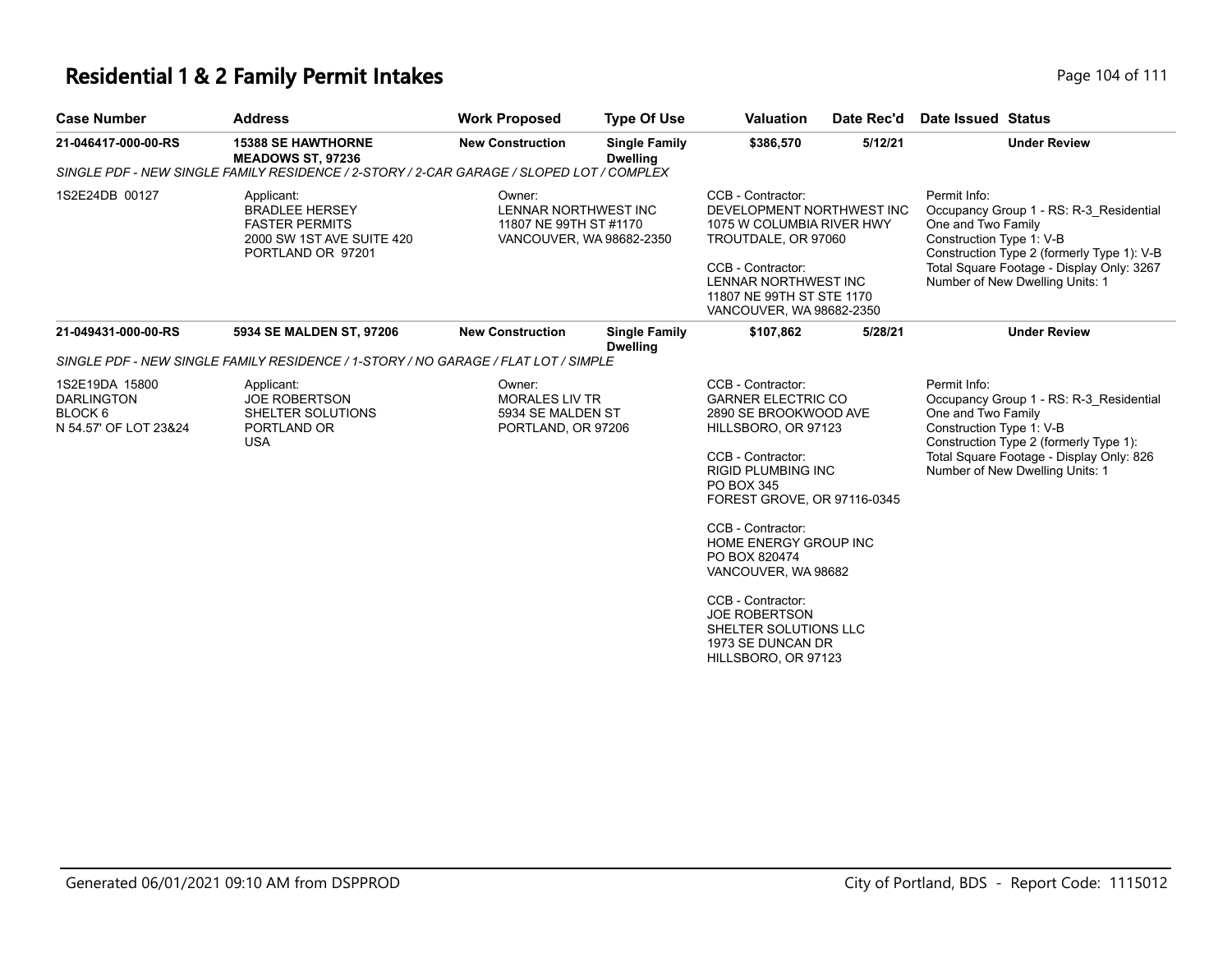## **Residential 1 & 2 Family Permit Intakes**

| Page 104 of 111 |  |  |  |
|-----------------|--|--|--|
|-----------------|--|--|--|

| <b>Case Number</b>                                                      | <b>Address</b>                                                                                                 | <b>Work Proposed</b>                                                                 | <b>Type Of Use</b>                      | <b>Valuation</b>                                                                                                                                                                                                                                                                                                                                                                                      | Date Rec'd | Date Issued Status                                                                                                                                                                                                                      |
|-------------------------------------------------------------------------|----------------------------------------------------------------------------------------------------------------|--------------------------------------------------------------------------------------|-----------------------------------------|-------------------------------------------------------------------------------------------------------------------------------------------------------------------------------------------------------------------------------------------------------------------------------------------------------------------------------------------------------------------------------------------------------|------------|-----------------------------------------------------------------------------------------------------------------------------------------------------------------------------------------------------------------------------------------|
| 21-046417-000-00-RS                                                     | <b>15388 SE HAWTHORNE</b><br><b>MEADOWS ST, 97236</b>                                                          | <b>New Construction</b>                                                              | <b>Single Family</b><br><b>Dwelling</b> | \$386,570                                                                                                                                                                                                                                                                                                                                                                                             | 5/12/21    | <b>Under Review</b>                                                                                                                                                                                                                     |
|                                                                         | SINGLE PDF - NEW SINGLE FAMILY RESIDENCE / 2-STORY / 2-CAR GARAGE / SLOPED LOT / COMPLEX                       |                                                                                      |                                         |                                                                                                                                                                                                                                                                                                                                                                                                       |            |                                                                                                                                                                                                                                         |
| 1S2E24DB 00127                                                          | Applicant:<br><b>BRADLEE HERSEY</b><br><b>FASTER PERMITS</b><br>2000 SW 1ST AVE SUITE 420<br>PORTLAND OR 97201 | Owner:<br>LENNAR NORTHWEST INC<br>11807 NE 99TH ST #1170<br>VANCOUVER, WA 98682-2350 |                                         | CCB - Contractor:<br>DEVELOPMENT NORTHWEST INC<br>1075 W COLUMBIA RIVER HWY<br>TROUTDALE, OR 97060<br>CCB - Contractor:<br>LENNAR NORTHWEST INC<br>11807 NE 99TH ST STE 1170<br>VANCOUVER, WA 98682-2350                                                                                                                                                                                              |            | Permit Info:<br>Occupancy Group 1 - RS: R-3 Residential<br>One and Two Family<br>Construction Type 1: V-B<br>Construction Type 2 (formerly Type 1): V-B<br>Total Square Footage - Display Only: 3267<br>Number of New Dwelling Units: 1 |
| 21-049431-000-00-RS                                                     | 5934 SE MALDEN ST, 97206                                                                                       | <b>New Construction</b>                                                              | <b>Single Family</b>                    | \$107,862                                                                                                                                                                                                                                                                                                                                                                                             | 5/28/21    | <b>Under Review</b>                                                                                                                                                                                                                     |
|                                                                         | SINGLE PDF - NEW SINGLE FAMILY RESIDENCE / 1-STORY / NO GARAGE / FLAT LOT / SIMPLE                             |                                                                                      | <b>Dwelling</b>                         |                                                                                                                                                                                                                                                                                                                                                                                                       |            |                                                                                                                                                                                                                                         |
| 1S2E19DA 15800<br><b>DARLINGTON</b><br>BLOCK 6<br>N 54.57' OF LOT 23&24 | Applicant:<br><b>JOE ROBERTSON</b><br>SHELTER SOLUTIONS<br>PORTLAND OR<br><b>USA</b>                           | Owner:<br><b>MORALES LIV TR</b><br>5934 SE MALDEN ST<br>PORTLAND, OR 97206           |                                         | CCB - Contractor:<br><b>GARNER ELECTRIC CO</b><br>2890 SE BROOKWOOD AVE<br>HILLSBORO, OR 97123<br>CCB - Contractor:<br><b>RIGID PLUMBING INC</b><br>PO BOX 345<br>FOREST GROVE, OR 97116-0345<br>CCB - Contractor:<br>HOME ENERGY GROUP INC<br>PO BOX 820474<br>VANCOUVER, WA 98682<br>CCB - Contractor:<br><b>JOE ROBERTSON</b><br>SHELTER SOLUTIONS LLC<br>1973 SE DUNCAN DR<br>HILLSBORO, OR 97123 |            | Permit Info:<br>Occupancy Group 1 - RS: R-3 Residential<br>One and Two Family<br>Construction Type 1: V-B<br>Construction Type 2 (formerly Type 1):<br>Total Square Footage - Display Only: 826<br>Number of New Dwelling Units: 1      |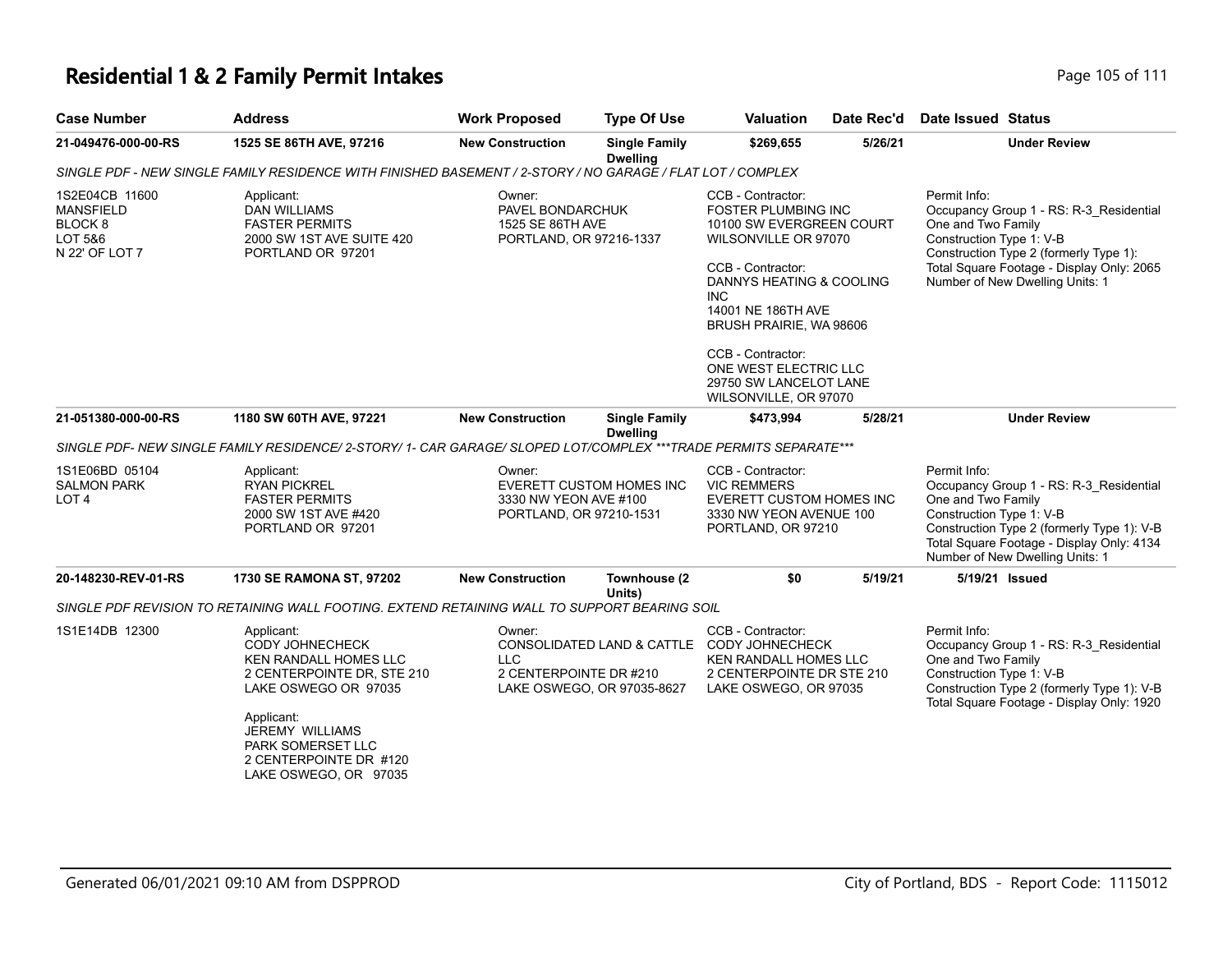## **Residential 1 & 2 Family Permit Intakes Page 105 of 111**

| <b>Case Number</b>                                                         | <b>Address</b>                                                                                                                                                                                                               | <b>Work Proposed</b>                                                      | <b>Type Of Use</b>                      | <b>Valuation</b>                                                                                                                                                                                                                                                                                                     | Date Rec'd | Date Issued Status                                                                                                                                                                                                                      |
|----------------------------------------------------------------------------|------------------------------------------------------------------------------------------------------------------------------------------------------------------------------------------------------------------------------|---------------------------------------------------------------------------|-----------------------------------------|----------------------------------------------------------------------------------------------------------------------------------------------------------------------------------------------------------------------------------------------------------------------------------------------------------------------|------------|-----------------------------------------------------------------------------------------------------------------------------------------------------------------------------------------------------------------------------------------|
| 21-049476-000-00-RS                                                        | 1525 SE 86TH AVE, 97216                                                                                                                                                                                                      | <b>New Construction</b>                                                   | <b>Single Family</b><br><b>Dwelling</b> | \$269,655                                                                                                                                                                                                                                                                                                            | 5/26/21    | <b>Under Review</b>                                                                                                                                                                                                                     |
|                                                                            | SINGLE PDF - NEW SINGLE FAMILY RESIDENCE WITH FINISHED BASEMENT / 2-STORY / NO GARAGE / FLAT LOT / COMPLEX                                                                                                                   |                                                                           |                                         |                                                                                                                                                                                                                                                                                                                      |            |                                                                                                                                                                                                                                         |
| 1S2E04CB 11600<br><b>MANSFIELD</b><br>BLOCK 8<br>LOT 5&6<br>N 22' OF LOT 7 | Applicant:<br>DAN WILLIAMS<br><b>FASTER PERMITS</b><br>2000 SW 1ST AVE SUITE 420<br>PORTLAND OR 97201                                                                                                                        | Owner:<br>PAVEL BONDARCHUK<br>1525 SE 86TH AVE<br>PORTLAND, OR 97216-1337 |                                         | CCB - Contractor:<br><b>FOSTER PLUMBING INC</b><br>10100 SW EVERGREEN COURT<br>WILSONVILLE OR 97070<br>CCB - Contractor:<br>DANNYS HEATING & COOLING<br><b>INC</b><br>14001 NE 186TH AVE<br>BRUSH PRAIRIE, WA 98606<br>CCB - Contractor:<br>ONE WEST ELECTRIC LLC<br>29750 SW LANCELOT LANE<br>WILSONVILLE, OR 97070 |            | Permit Info:<br>Occupancy Group 1 - RS: R-3_Residential<br>One and Two Family<br>Construction Type 1: V-B<br>Construction Type 2 (formerly Type 1):<br>Total Square Footage - Display Only: 2065<br>Number of New Dwelling Units: 1     |
| 21-051380-000-00-RS                                                        | 1180 SW 60TH AVE, 97221                                                                                                                                                                                                      | <b>New Construction</b>                                                   | <b>Single Family</b><br><b>Dwelling</b> | \$473,994                                                                                                                                                                                                                                                                                                            | 5/28/21    | <b>Under Review</b>                                                                                                                                                                                                                     |
|                                                                            | SINGLE PDF- NEW SINGLE FAMILY RESIDENCE/ 2-STORY/ 1- CAR GARAGE/ SLOPED LOT/COMPLEX ***TRADE PERMITS SEPARATE***                                                                                                             |                                                                           |                                         |                                                                                                                                                                                                                                                                                                                      |            |                                                                                                                                                                                                                                         |
| 1S1E06BD 05104<br><b>SALMON PARK</b><br>LOT <sub>4</sub>                   | Applicant:<br><b>RYAN PICKREL</b><br><b>FASTER PERMITS</b><br>2000 SW 1ST AVE #420<br>PORTLAND OR 97201                                                                                                                      | Owner:<br>3330 NW YEON AVE #100<br>PORTLAND, OR 97210-1531                | EVERETT CUSTOM HOMES INC                | CCB - Contractor:<br><b>VIC REMMERS</b><br>EVERETT CUSTOM HOMES INC<br>3330 NW YEON AVENUE 100<br>PORTLAND, OR 97210                                                                                                                                                                                                 |            | Permit Info:<br>Occupancy Group 1 - RS: R-3_Residential<br>One and Two Family<br>Construction Type 1: V-B<br>Construction Type 2 (formerly Type 1): V-B<br>Total Square Footage - Display Only: 4134<br>Number of New Dwelling Units: 1 |
| 20-148230-REV-01-RS                                                        | <b>1730 SE RAMONA ST, 97202</b>                                                                                                                                                                                              | <b>New Construction</b>                                                   | Townhouse (2                            | \$0                                                                                                                                                                                                                                                                                                                  | 5/19/21    | 5/19/21 Issued                                                                                                                                                                                                                          |
|                                                                            | SINGLE PDF REVISION TO RETAINING WALL FOOTING. EXTEND RETAINING WALL TO SUPPORT BEARING SOIL                                                                                                                                 |                                                                           | Units)                                  |                                                                                                                                                                                                                                                                                                                      |            |                                                                                                                                                                                                                                         |
| 1S1E14DB 12300                                                             | Applicant:<br>CODY JOHNECHECK<br><b>KEN RANDALL HOMES LLC</b><br>2 CENTERPOINTE DR, STE 210<br>LAKE OSWEGO OR 97035<br>Applicant:<br>JEREMY WILLIAMS<br>PARK SOMERSET LLC<br>2 CENTERPOINTE DR #120<br>LAKE OSWEGO, OR 97035 | Owner:<br>LLC<br>2 CENTERPOINTE DR #210                                   | LAKE OSWEGO, OR 97035-8627              | CCB - Contractor:<br>CONSOLIDATED LAND & CATTLE CODY JOHNECHECK<br>KEN RANDALL HOMES LLC<br>2 CENTERPOINTE DR STE 210<br>LAKE OSWEGO, OR 97035                                                                                                                                                                       |            | Permit Info:<br>Occupancy Group 1 - RS: R-3_Residential<br>One and Two Family<br>Construction Type 1: V-B<br>Construction Type 2 (formerly Type 1): V-B<br>Total Square Footage - Display Only: 1920                                    |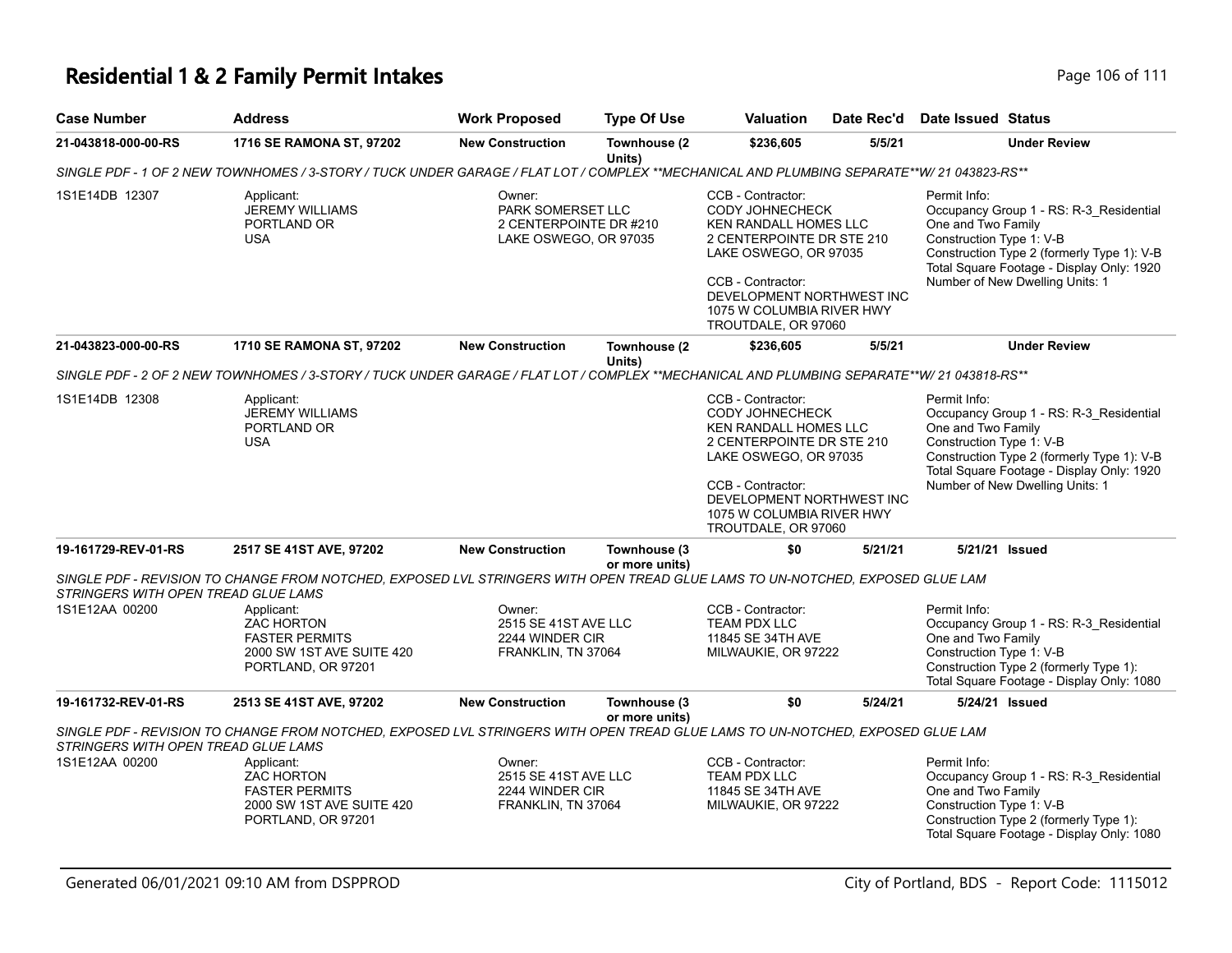### **Residential 1 & 2 Family Permit Intakes**

| Page 106 of 111 |  |  |  |  |  |
|-----------------|--|--|--|--|--|
|-----------------|--|--|--|--|--|

| <b>Case Number</b>                  | <b>Address</b>                                                                                                                             | <b>Work Proposed</b>                                                           | <b>Type Of Use</b>             | <b>Valuation</b>                                                                                                                                                                                                                        | Date Rec'd | Date Issued Status                                                                                                                                                                                                                      |
|-------------------------------------|--------------------------------------------------------------------------------------------------------------------------------------------|--------------------------------------------------------------------------------|--------------------------------|-----------------------------------------------------------------------------------------------------------------------------------------------------------------------------------------------------------------------------------------|------------|-----------------------------------------------------------------------------------------------------------------------------------------------------------------------------------------------------------------------------------------|
| 21-043818-000-00-RS                 | 1716 SE RAMONA ST, 97202                                                                                                                   | <b>New Construction</b>                                                        | Townhouse (2)<br>Units)        | \$236,605                                                                                                                                                                                                                               | 5/5/21     | <b>Under Review</b>                                                                                                                                                                                                                     |
|                                     | SINGLE PDF - 1 OF 2 NEW TOWNHOMES / 3-STORY / TUCK UNDER GARAGE / FLAT LOT / COMPLEX **MECHANICAL AND PLUMBING SEPARATE**W/21 043823-RS**  |                                                                                |                                |                                                                                                                                                                                                                                         |            |                                                                                                                                                                                                                                         |
| 1S1E14DB 12307                      | Applicant:<br><b>JEREMY WILLIAMS</b><br>PORTLAND OR<br><b>USA</b>                                                                          | Owner:<br>PARK SOMERSET LLC<br>2 CENTERPOINTE DR #210<br>LAKE OSWEGO, OR 97035 |                                | CCB - Contractor:<br>CODY JOHNECHECK<br><b>KEN RANDALL HOMES LLC</b><br>2 CENTERPOINTE DR STE 210<br>LAKE OSWEGO, OR 97035<br>CCB - Contractor:<br>DEVELOPMENT NORTHWEST INC<br>1075 W COLUMBIA RIVER HWY<br>TROUTDALE, OR 97060        |            | Permit Info:<br>Occupancy Group 1 - RS: R-3_Residential<br>One and Two Family<br>Construction Type 1: V-B<br>Construction Type 2 (formerly Type 1): V-B<br>Total Square Footage - Display Only: 1920<br>Number of New Dwelling Units: 1 |
| 21-043823-000-00-RS                 | 1710 SE RAMONA ST, 97202                                                                                                                   | <b>New Construction</b>                                                        | Townhouse (2<br>Units)         | \$236,605                                                                                                                                                                                                                               | 5/5/21     | <b>Under Review</b>                                                                                                                                                                                                                     |
|                                     | SINGLE PDF - 2 OF 2 NEW TOWNHOMES / 3-STORY / TUCK UNDER GARAGE / FLAT LOT / COMPLEX **MECHANICAL AND PLUMBING SEPARATE**W/ 21 043818-RS** |                                                                                |                                |                                                                                                                                                                                                                                         |            |                                                                                                                                                                                                                                         |
| 1S1E14DB 12308                      | Applicant:<br><b>JEREMY WILLIAMS</b><br>PORTLAND OR<br><b>USA</b>                                                                          |                                                                                |                                | CCB - Contractor:<br><b>CODY JOHNECHECK</b><br><b>KEN RANDALL HOMES LLC</b><br>2 CENTERPOINTE DR STE 210<br>LAKE OSWEGO, OR 97035<br>CCB - Contractor:<br>DEVELOPMENT NORTHWEST INC<br>1075 W COLUMBIA RIVER HWY<br>TROUTDALE, OR 97060 |            | Permit Info:<br>Occupancy Group 1 - RS: R-3_Residential<br>One and Two Family<br>Construction Type 1: V-B<br>Construction Type 2 (formerly Type 1): V-B<br>Total Square Footage - Display Only: 1920<br>Number of New Dwelling Units: 1 |
| 19-161729-REV-01-RS                 | 2517 SE 41ST AVE, 97202                                                                                                                    | <b>New Construction</b>                                                        | Townhouse (3<br>or more units) | \$0                                                                                                                                                                                                                                     | 5/21/21    | 5/21/21 Issued                                                                                                                                                                                                                          |
| STRINGERS WITH OPEN TREAD GLUE LAMS | SINGLE PDF - REVISION TO CHANGE FROM NOTCHED, EXPOSED LVL STRINGERS WITH OPEN TREAD GLUE LAMS TO UN-NOTCHED, EXPOSED GLUE LAM              |                                                                                |                                |                                                                                                                                                                                                                                         |            |                                                                                                                                                                                                                                         |
| 1S1E12AA 00200                      | Applicant:<br><b>ZAC HORTON</b><br><b>FASTER PERMITS</b><br>2000 SW 1ST AVE SUITE 420<br>PORTLAND, OR 97201                                | Owner:<br>2515 SE 41ST AVE LLC<br>2244 WINDER CIR<br>FRANKLIN, TN 37064        |                                | CCB - Contractor:<br><b>TEAM PDX LLC</b><br>11845 SE 34TH AVE<br>MILWAUKIE, OR 97222                                                                                                                                                    |            | Permit Info:<br>Occupancy Group 1 - RS: R-3 Residential<br>One and Two Family<br>Construction Type 1: V-B<br>Construction Type 2 (formerly Type 1):<br>Total Square Footage - Display Only: 1080                                        |
| 19-161732-REV-01-RS                 | 2513 SE 41ST AVE, 97202                                                                                                                    | <b>New Construction</b>                                                        | Townhouse (3<br>or more units) | \$0                                                                                                                                                                                                                                     | 5/24/21    | 5/24/21 Issued                                                                                                                                                                                                                          |
| STRINGERS WITH OPEN TREAD GLUE LAMS | SINGLE PDF - REVISION TO CHANGE FROM NOTCHED, EXPOSED LVL STRINGERS WITH OPEN TREAD GLUE LAMS TO UN-NOTCHED, EXPOSED GLUE LAM              |                                                                                |                                |                                                                                                                                                                                                                                         |            |                                                                                                                                                                                                                                         |
| 1S1E12AA 00200                      | Applicant:<br><b>ZAC HORTON</b><br><b>FASTER PERMITS</b><br>2000 SW 1ST AVE SUITE 420<br>PORTLAND, OR 97201                                | Owner:<br>2515 SE 41ST AVE LLC<br>2244 WINDER CIR<br>FRANKLIN, TN 37064        |                                | CCB - Contractor:<br>TEAM PDX LLC<br>11845 SE 34TH AVE<br>MILWAUKIE, OR 97222                                                                                                                                                           |            | Permit Info:<br>Occupancy Group 1 - RS: R-3_Residential<br>One and Two Family<br>Construction Type 1: V-B<br>Construction Type 2 (formerly Type 1):<br>Total Square Footage - Display Only: 1080                                        |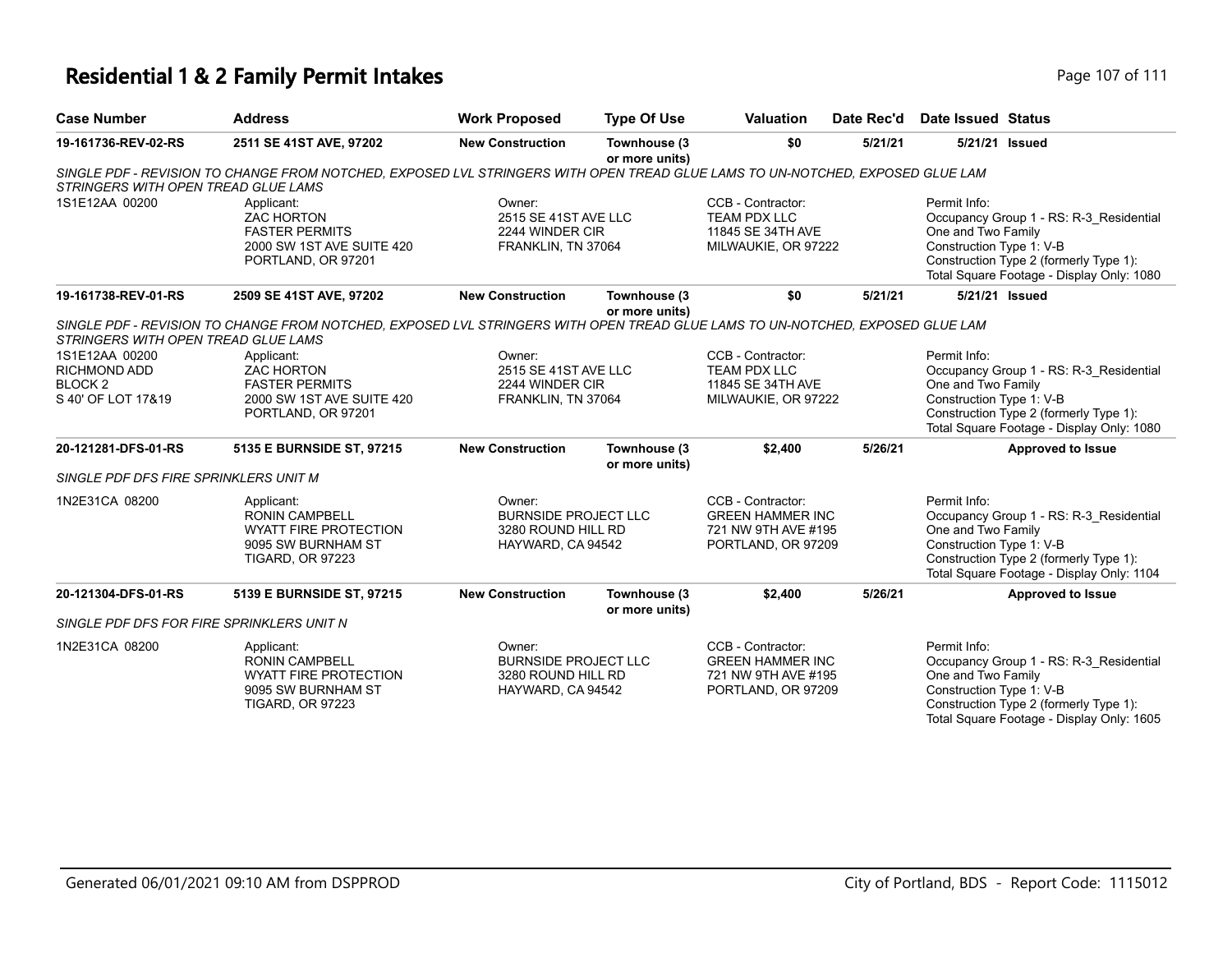# **Residential 1 & 2 Family Permit Intakes Page 107 of 111**

| <b>Case Number</b>                                                                | <b>Address</b>                                                                                                                | <b>Work Proposed</b>                                                             | <b>Type Of Use</b>             | <b>Valuation</b>                                                                          | Date Rec'd | Date Issued Status                                             |                                                                                                                                |
|-----------------------------------------------------------------------------------|-------------------------------------------------------------------------------------------------------------------------------|----------------------------------------------------------------------------------|--------------------------------|-------------------------------------------------------------------------------------------|------------|----------------------------------------------------------------|--------------------------------------------------------------------------------------------------------------------------------|
| 19-161736-REV-02-RS                                                               | 2511 SE 41ST AVE, 97202                                                                                                       | <b>New Construction</b>                                                          | Townhouse (3<br>or more units) | \$0                                                                                       | 5/21/21    | 5/21/21 Issued                                                 |                                                                                                                                |
| STRINGERS WITH OPEN TREAD GLUE LAMS                                               | SINGLE PDF - REVISION TO CHANGE FROM NOTCHED, EXPOSED LVL STRINGERS WITH OPEN TREAD GLUE LAMS TO UN-NOTCHED, EXPOSED GLUE LAM |                                                                                  |                                |                                                                                           |            |                                                                |                                                                                                                                |
| 1S1E12AA 00200                                                                    | Applicant:<br><b>ZAC HORTON</b><br><b>FASTER PERMITS</b><br>2000 SW 1ST AVE SUITE 420<br>PORTLAND, OR 97201                   | Owner:<br>2515 SE 41ST AVE LLC<br>2244 WINDER CIR<br>FRANKLIN, TN 37064          |                                | CCB - Contractor:<br><b>TEAM PDX LLC</b><br>11845 SE 34TH AVE<br>MILWAUKIE, OR 97222      |            | Permit Info:<br>One and Two Family<br>Construction Type 1: V-B | Occupancy Group 1 - RS: R-3_Residential<br>Construction Type 2 (formerly Type 1):<br>Total Square Footage - Display Only: 1080 |
| 19-161738-REV-01-RS                                                               | 2509 SE 41ST AVE, 97202                                                                                                       | <b>New Construction</b>                                                          | Townhouse (3<br>or more units) | \$0                                                                                       | 5/21/21    | 5/21/21 Issued                                                 |                                                                                                                                |
| STRINGERS WITH OPEN TREAD GLUE LAMS                                               | SINGLE PDF - REVISION TO CHANGE FROM NOTCHED. EXPOSED LVL STRINGERS WITH OPEN TREAD GLUE LAMS TO UN-NOTCHED. EXPOSED GLUE LAM |                                                                                  |                                |                                                                                           |            |                                                                |                                                                                                                                |
| 1S1E12AA 00200<br><b>RICHMOND ADD</b><br>BLOCK <sub>2</sub><br>S 40' OF LOT 17&19 | Applicant:<br><b>ZAC HORTON</b><br><b>FASTER PERMITS</b><br>2000 SW 1ST AVE SUITE 420<br>PORTLAND, OR 97201                   | Owner:<br>2515 SE 41ST AVE LLC<br>2244 WINDER CIR<br>FRANKLIN, TN 37064          |                                | CCB - Contractor:<br><b>TEAM PDX LLC</b><br>11845 SE 34TH AVE<br>MILWAUKIE, OR 97222      |            | Permit Info:<br>One and Two Family<br>Construction Type 1: V-B | Occupancy Group 1 - RS: R-3_Residential<br>Construction Type 2 (formerly Type 1):<br>Total Square Footage - Display Only: 1080 |
| 20-121281-DFS-01-RS                                                               | 5135 E BURNSIDE ST, 97215                                                                                                     | <b>New Construction</b>                                                          | Townhouse (3<br>or more units) | \$2,400                                                                                   | 5/26/21    |                                                                | <b>Approved to Issue</b>                                                                                                       |
| SINGLE PDF DFS FIRE SPRINKLERS UNIT M                                             |                                                                                                                               |                                                                                  |                                |                                                                                           |            |                                                                |                                                                                                                                |
| 1N2E31CA 08200                                                                    | Applicant:<br><b>RONIN CAMPBELL</b><br><b>WYATT FIRE PROTECTION</b><br>9095 SW BURNHAM ST<br><b>TIGARD, OR 97223</b>          | Owner:<br><b>BURNSIDE PROJECT LLC</b><br>3280 ROUND HILL RD<br>HAYWARD, CA 94542 |                                | CCB - Contractor:<br><b>GREEN HAMMER INC</b><br>721 NW 9TH AVE #195<br>PORTLAND, OR 97209 |            | Permit Info:<br>One and Two Family<br>Construction Type 1: V-B | Occupancy Group 1 - RS: R-3_Residential<br>Construction Type 2 (formerly Type 1):<br>Total Square Footage - Display Only: 1104 |
| 20-121304-DFS-01-RS                                                               | 5139 E BURNSIDE ST, 97215                                                                                                     | <b>New Construction</b>                                                          | Townhouse (3<br>or more units) | \$2,400                                                                                   | 5/26/21    |                                                                | <b>Approved to Issue</b>                                                                                                       |
| SINGLE PDF DFS FOR FIRE SPRINKLERS UNIT N                                         |                                                                                                                               |                                                                                  |                                |                                                                                           |            |                                                                |                                                                                                                                |
| 1N2E31CA 08200                                                                    | Applicant:<br><b>RONIN CAMPBELL</b><br><b>WYATT FIRE PROTECTION</b><br>9095 SW BURNHAM ST<br><b>TIGARD, OR 97223</b>          | Owner:<br><b>BURNSIDE PROJECT LLC</b><br>3280 ROUND HILL RD<br>HAYWARD, CA 94542 |                                | CCB - Contractor:<br><b>GREEN HAMMER INC</b><br>721 NW 9TH AVE #195<br>PORTLAND, OR 97209 |            | Permit Info:<br>One and Two Family<br>Construction Type 1: V-B | Occupancy Group 1 - RS: R-3 Residential<br>Construction Type 2 (formerly Type 1):<br>Total Square Footage - Display Only: 1605 |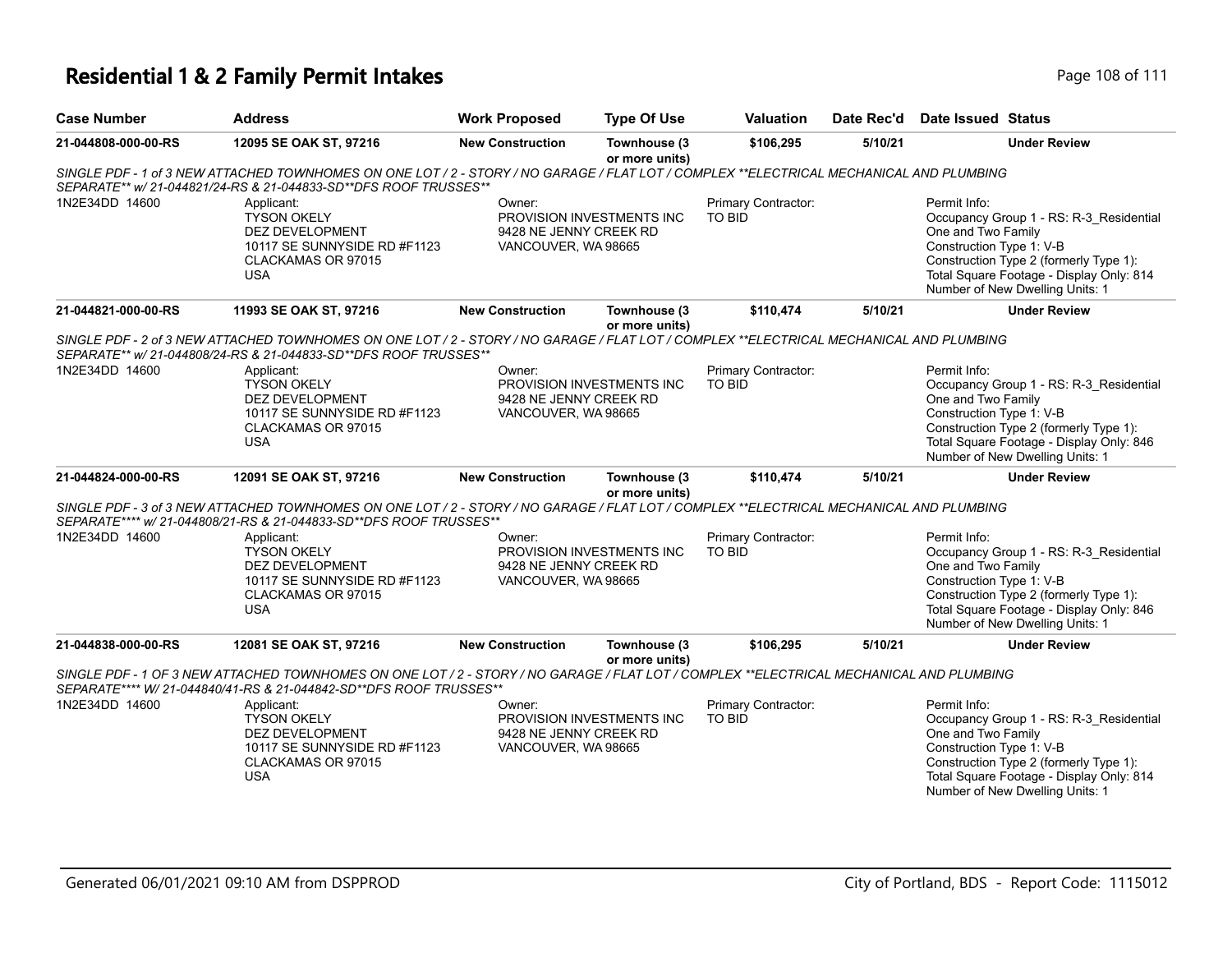## **Residential 1 & 2 Family Permit Intakes Page 108 of 111**

| <b>Case Number</b>  | <b>Address</b>                                                                                                                                                                                                | <b>Work Proposed</b>                                    | <b>Type Of Use</b>             | <b>Valuation</b>                     | Date Rec'd | <b>Date Issued Status</b>                                                                                                                                                                                                          |
|---------------------|---------------------------------------------------------------------------------------------------------------------------------------------------------------------------------------------------------------|---------------------------------------------------------|--------------------------------|--------------------------------------|------------|------------------------------------------------------------------------------------------------------------------------------------------------------------------------------------------------------------------------------------|
| 21-044808-000-00-RS | 12095 SE OAK ST, 97216                                                                                                                                                                                        | <b>New Construction</b>                                 | Townhouse (3<br>or more units) | \$106,295                            | 5/10/21    | <b>Under Review</b>                                                                                                                                                                                                                |
|                     | SINGLE PDF - 1 of 3 NEW ATTACHED TOWNHOMES ON ONE LOT / 2 - STORY / NO GARAGE / FLAT LOT / COMPLEX **ELECTRICAL MECHANICAL AND PLUMBING<br>SEPARATE** w/ 21-044821/24-RS & 21-044833-SD**DFS ROOF TRUSSES**   |                                                         |                                |                                      |            |                                                                                                                                                                                                                                    |
| 1N2E34DD 14600      | Applicant:<br><b>TYSON OKELY</b><br><b>DEZ DEVELOPMENT</b><br>10117 SE SUNNYSIDE RD #F1123<br>CLACKAMAS OR 97015<br><b>USA</b>                                                                                | Owner:<br>9428 NE JENNY CREEK RD<br>VANCOUVER, WA 98665 | PROVISION INVESTMENTS INC      | Primary Contractor:<br>TO BID        |            | Permit Info:<br>Occupancy Group 1 - RS: R-3 Residential<br>One and Two Family<br>Construction Type 1: V-B<br>Construction Type 2 (formerly Type 1):<br>Total Square Footage - Display Only: 814<br>Number of New Dwelling Units: 1 |
| 21-044821-000-00-RS | 11993 SE OAK ST, 97216                                                                                                                                                                                        | <b>New Construction</b>                                 | Townhouse (3<br>or more units) | \$110,474                            | 5/10/21    | <b>Under Review</b>                                                                                                                                                                                                                |
|                     | SINGLE PDF - 2 of 3 NEW ATTACHED TOWNHOMES ON ONE LOT / 2 - STORY / NO GARAGE / FLAT LOT / COMPLEX **ELECTRICAL MECHANICAL AND PLUMBING<br>SEPARATE** w/ 21-044808/24-RS & 21-044833-SD**DFS ROOF TRUSSES**   |                                                         |                                |                                      |            |                                                                                                                                                                                                                                    |
| 1N2E34DD 14600      | Applicant:<br><b>TYSON OKELY</b><br>DEZ DEVELOPMENT<br>10117 SE SUNNYSIDE RD #F1123<br>CLACKAMAS OR 97015<br><b>USA</b>                                                                                       | Owner:<br>9428 NE JENNY CREEK RD<br>VANCOUVER, WA 98665 | PROVISION INVESTMENTS INC      | Primary Contractor:<br><b>TO BID</b> |            | Permit Info:<br>Occupancy Group 1 - RS: R-3 Residential<br>One and Two Family<br>Construction Type 1: V-B<br>Construction Type 2 (formerly Type 1):<br>Total Square Footage - Display Only: 846<br>Number of New Dwelling Units: 1 |
| 21-044824-000-00-RS | 12091 SE OAK ST, 97216                                                                                                                                                                                        | <b>New Construction</b>                                 | Townhouse (3<br>or more units) | \$110,474                            | 5/10/21    | <b>Under Review</b>                                                                                                                                                                                                                |
|                     | SINGLE PDF - 3 of 3 NEW ATTACHED TOWNHOMES ON ONE LOT / 2 - STORY / NO GARAGE / FLAT LOT / COMPLEX **ELECTRICAL MECHANICAL AND PLUMBING<br>SEPARATE**** w/ 21-044808/21-RS & 21-044833-SD**DFS ROOF TRUSSES** |                                                         |                                |                                      |            |                                                                                                                                                                                                                                    |
| 1N2E34DD 14600      | Applicant:<br><b>TYSON OKELY</b><br>DEZ DEVELOPMENT<br>10117 SE SUNNYSIDE RD #F1123<br>CLACKAMAS OR 97015<br><b>USA</b>                                                                                       | Owner:<br>9428 NE JENNY CREEK RD<br>VANCOUVER, WA 98665 | PROVISION INVESTMENTS INC      | Primary Contractor:<br>TO BID        |            | Permit Info:<br>Occupancy Group 1 - RS: R-3_Residential<br>One and Two Family<br>Construction Type 1: V-B<br>Construction Type 2 (formerly Type 1):<br>Total Square Footage - Display Only: 846<br>Number of New Dwelling Units: 1 |
| 21-044838-000-00-RS | 12081 SE OAK ST, 97216                                                                                                                                                                                        | <b>New Construction</b>                                 | Townhouse (3<br>or more units) | \$106,295                            | 5/10/21    | <b>Under Review</b>                                                                                                                                                                                                                |
|                     | SINGLE PDF - 1 OF 3 NEW ATTACHED TOWNHOMES ON ONE LOT / 2 - STORY / NO GARAGE / FLAT LOT / COMPLEX **ELECTRICAL MECHANICAL AND PLUMBING<br>SEPARATE**** W/ 21-044840/41-RS & 21-044842-SD**DFS ROOF TRUSSES** |                                                         |                                |                                      |            |                                                                                                                                                                                                                                    |
| 1N2E34DD 14600      | Applicant:<br><b>TYSON OKELY</b><br>DEZ DEVELOPMENT<br>10117 SE SUNNYSIDE RD #F1123<br>CLACKAMAS OR 97015<br><b>USA</b>                                                                                       | Owner:<br>9428 NE JENNY CREEK RD<br>VANCOUVER, WA 98665 | PROVISION INVESTMENTS INC      | Primary Contractor:<br>TO BID        |            | Permit Info:<br>Occupancy Group 1 - RS: R-3_Residential<br>One and Two Family<br>Construction Type 1: V-B<br>Construction Type 2 (formerly Type 1):<br>Total Square Footage - Display Only: 814<br>Number of New Dwelling Units: 1 |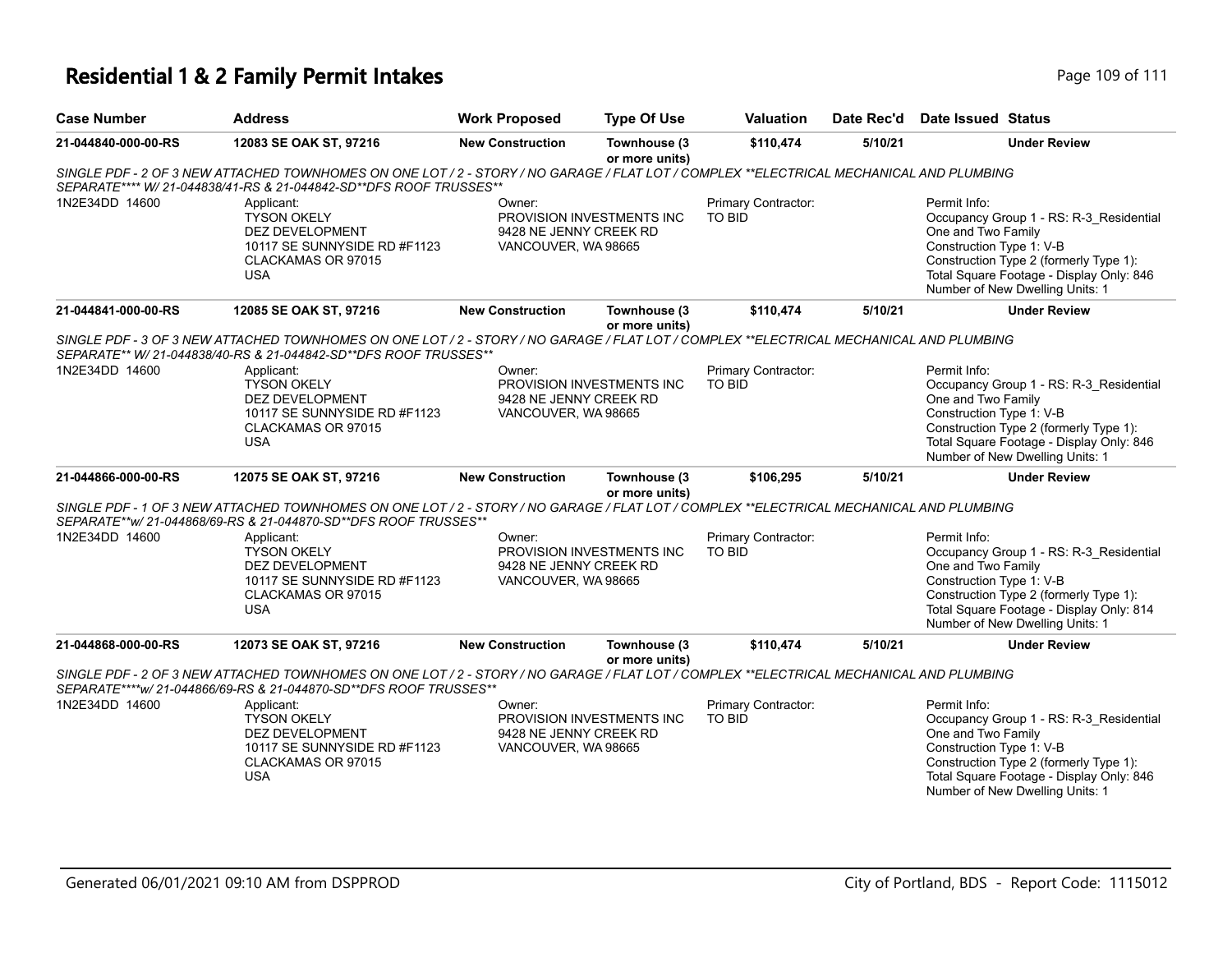## **Residential 1 & 2 Family Permit Intakes Page 109 of 111**

| <b>Case Number</b>  | <b>Address</b>                                                                                                                                                                                                | <b>Work Proposed</b>                                                                 | <b>Type Of Use</b>             | <b>Valuation</b>                     | Date Rec'd | <b>Date Issued Status</b>                                                                                                                                                                                                          |
|---------------------|---------------------------------------------------------------------------------------------------------------------------------------------------------------------------------------------------------------|--------------------------------------------------------------------------------------|--------------------------------|--------------------------------------|------------|------------------------------------------------------------------------------------------------------------------------------------------------------------------------------------------------------------------------------------|
| 21-044840-000-00-RS | 12083 SE OAK ST, 97216                                                                                                                                                                                        | <b>New Construction</b>                                                              | Townhouse (3<br>or more units) | \$110,474                            | 5/10/21    | <b>Under Review</b>                                                                                                                                                                                                                |
|                     | SINGLE PDF - 2 OF 3 NEW ATTACHED TOWNHOMES ON ONE LOT / 2 - STORY / NO GARAGE / FLAT LOT / COMPLEX **ELECTRICAL MECHANICAL AND PLUMBING<br>SEPARATE**** W/ 21-044838/41-RS & 21-044842-SD**DFS ROOF TRUSSES** |                                                                                      |                                |                                      |            |                                                                                                                                                                                                                                    |
| 1N2E34DD 14600      | Applicant:<br><b>TYSON OKELY</b><br>DEZ DEVELOPMENT<br>10117 SE SUNNYSIDE RD #F1123<br>CLACKAMAS OR 97015<br><b>USA</b>                                                                                       | Owner:<br>PROVISION INVESTMENTS INC<br>9428 NE JENNY CREEK RD<br>VANCOUVER, WA 98665 |                                | Primary Contractor:<br>TO BID        |            | Permit Info:<br>Occupancy Group 1 - RS: R-3_Residential<br>One and Two Family<br>Construction Type 1: V-B<br>Construction Type 2 (formerly Type 1):<br>Total Square Footage - Display Only: 846<br>Number of New Dwelling Units: 1 |
| 21-044841-000-00-RS | 12085 SE OAK ST, 97216                                                                                                                                                                                        | <b>New Construction</b>                                                              | Townhouse (3<br>or more units) | \$110.474                            | 5/10/21    | <b>Under Review</b>                                                                                                                                                                                                                |
|                     | SINGLE PDF - 3 OF 3 NEW ATTACHED TOWNHOMES ON ONE LOT / 2 - STORY / NO GARAGE / FLAT LOT / COMPLEX **ELECTRICAL MECHANICAL AND PLUMBING<br>SEPARATE** W/ 21-044838/40-RS & 21-044842-SD**DFS ROOF TRUSSES**   |                                                                                      |                                |                                      |            |                                                                                                                                                                                                                                    |
| 1N2E34DD 14600      | Applicant:<br><b>TYSON OKELY</b><br><b>DEZ DEVELOPMENT</b><br>10117 SE SUNNYSIDE RD #F1123<br>CLACKAMAS OR 97015<br><b>USA</b>                                                                                | Owner:<br>PROVISION INVESTMENTS INC<br>9428 NE JENNY CREEK RD<br>VANCOUVER, WA 98665 |                                | Primary Contractor:<br><b>TO BID</b> |            | Permit Info:<br>Occupancy Group 1 - RS: R-3 Residential<br>One and Two Family<br>Construction Type 1: V-B<br>Construction Type 2 (formerly Type 1):<br>Total Square Footage - Display Only: 846<br>Number of New Dwelling Units: 1 |
| 21-044866-000-00-RS | 12075 SE OAK ST, 97216                                                                                                                                                                                        | <b>New Construction</b>                                                              | Townhouse (3<br>or more units) | \$106,295                            | 5/10/21    | <b>Under Review</b>                                                                                                                                                                                                                |
|                     | SINGLE PDF - 1 OF 3 NEW ATTACHED TOWNHOMES ON ONE LOT / 2 - STORY / NO GARAGE / FLAT LOT / COMPLEX **ELECTRICAL MECHANICAL AND PLUMBING<br>SEPARATE**w/ 21-044868/69-RS & 21-044870-SD**DFS ROOF TRUSSES**    |                                                                                      |                                |                                      |            |                                                                                                                                                                                                                                    |
| 1N2E34DD 14600      | Applicant:<br><b>TYSON OKELY</b><br>DEZ DEVELOPMENT<br>10117 SE SUNNYSIDE RD #F1123<br>CLACKAMAS OR 97015<br><b>USA</b>                                                                                       | Owner:<br>PROVISION INVESTMENTS INC<br>9428 NE JENNY CREEK RD<br>VANCOUVER, WA 98665 |                                | Primary Contractor:<br>TO BID        |            | Permit Info:<br>Occupancy Group 1 - RS: R-3_Residential<br>One and Two Family<br>Construction Type 1: V-B<br>Construction Type 2 (formerly Type 1):<br>Total Square Footage - Display Only: 814<br>Number of New Dwelling Units: 1 |
| 21-044868-000-00-RS | 12073 SE OAK ST, 97216                                                                                                                                                                                        | <b>New Construction</b>                                                              | Townhouse (3<br>or more units) | \$110,474                            | 5/10/21    | <b>Under Review</b>                                                                                                                                                                                                                |
|                     | SINGLE PDF - 2 OF 3 NEW ATTACHED TOWNHOMES ON ONE LOT / 2 - STORY / NO GARAGE / FLAT LOT / COMPLEX **ELECTRICAL MECHANICAL AND PLUMBING<br>SEPARATE****w/ 21-044866/69-RS & 21-044870-SD**DFS ROOF TRUSSES**  |                                                                                      |                                |                                      |            |                                                                                                                                                                                                                                    |
| 1N2E34DD 14600      | Applicant:<br><b>TYSON OKELY</b><br>DEZ DEVELOPMENT<br>10117 SE SUNNYSIDE RD #F1123<br>CLACKAMAS OR 97015<br><b>USA</b>                                                                                       | Owner:<br>9428 NE JENNY CREEK RD<br>VANCOUVER, WA 98665                              | PROVISION INVESTMENTS INC      | Primary Contractor:<br>TO BID        |            | Permit Info:<br>Occupancy Group 1 - RS: R-3_Residential<br>One and Two Family<br>Construction Type 1: V-B<br>Construction Type 2 (formerly Type 1):<br>Total Square Footage - Display Only: 846<br>Number of New Dwelling Units: 1 |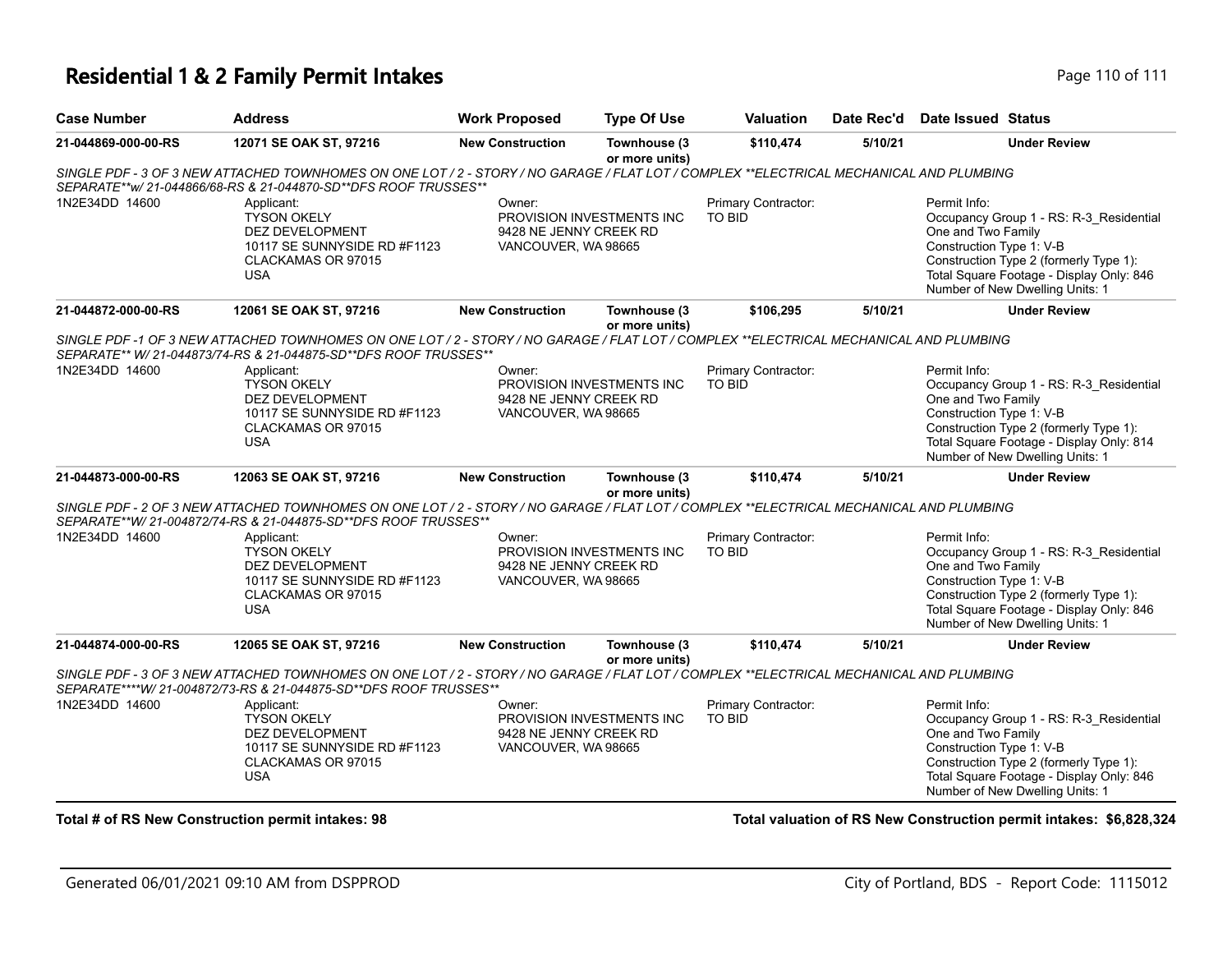## **Residential 1 & 2 Family Permit Intakes Page 110 of 111**

| <b>Case Number</b>  | <b>Address</b>                                                                                                                                                                                               | <b>Work Proposed</b>                                                                 | <b>Type Of Use</b>             | Valuation                            | Date Rec'd                                                                                                                                                                                                                         | Date Issued Status                                                                                                                                                                                                                 |
|---------------------|--------------------------------------------------------------------------------------------------------------------------------------------------------------------------------------------------------------|--------------------------------------------------------------------------------------|--------------------------------|--------------------------------------|------------------------------------------------------------------------------------------------------------------------------------------------------------------------------------------------------------------------------------|------------------------------------------------------------------------------------------------------------------------------------------------------------------------------------------------------------------------------------|
| 21-044869-000-00-RS | 12071 SE OAK ST, 97216                                                                                                                                                                                       | <b>New Construction</b>                                                              | Townhouse (3<br>or more units) | \$110,474                            | 5/10/21                                                                                                                                                                                                                            | <b>Under Review</b>                                                                                                                                                                                                                |
|                     | SINGLE PDF - 3 OF 3 NEW ATTACHED TOWNHOMES ON ONE LOT / 2 - STORY / NO GARAGE / FLAT LOT / COMPLEX **ELECTRICAL MECHANICAL AND PLUMBING<br>SEPARATE**w/ 21-044866/68-RS & 21-044870-SD**DFS ROOF TRUSSES**   |                                                                                      |                                |                                      |                                                                                                                                                                                                                                    |                                                                                                                                                                                                                                    |
| 1N2E34DD 14600      | Applicant:<br><b>TYSON OKELY</b><br>DEZ DEVELOPMENT<br>10117 SE SUNNYSIDE RD #F1123<br>CLACKAMAS OR 97015<br><b>USA</b>                                                                                      | Owner:<br>PROVISION INVESTMENTS INC<br>9428 NE JENNY CREEK RD<br>VANCOUVER, WA 98665 |                                | Primary Contractor:<br>TO BID        |                                                                                                                                                                                                                                    | Permit Info:<br>Occupancy Group 1 - RS: R-3_Residential<br>One and Two Family<br>Construction Type 1: V-B<br>Construction Type 2 (formerly Type 1):<br>Total Square Footage - Display Only: 846<br>Number of New Dwelling Units: 1 |
| 21-044872-000-00-RS | 12061 SE OAK ST, 97216                                                                                                                                                                                       | <b>New Construction</b>                                                              | Townhouse (3<br>or more units) | \$106,295                            | 5/10/21                                                                                                                                                                                                                            | <b>Under Review</b>                                                                                                                                                                                                                |
|                     | SINGLE PDF-1 OF 3 NEW ATTACHED TOWNHOMES ON ONE LOT / 2 - STORY / NO GARAGE / FLAT LOT / COMPLEX **ELECTRICAL MECHANICAL AND PLUMBING<br>SEPARATE** W/ 21-044873/74-RS & 21-044875-SD**DFS ROOF TRUSSES**    |                                                                                      |                                |                                      |                                                                                                                                                                                                                                    |                                                                                                                                                                                                                                    |
| 1N2E34DD 14600      | Applicant:<br><b>TYSON OKELY</b><br><b>DEZ DEVELOPMENT</b><br>10117 SE SUNNYSIDE RD #F1123<br>CLACKAMAS OR 97015<br><b>USA</b>                                                                               | Owner:<br>PROVISION INVESTMENTS INC<br>9428 NE JENNY CREEK RD<br>VANCOUVER, WA 98665 |                                | Primary Contractor:<br><b>TO BID</b> | Permit Info:<br>Occupancy Group 1 - RS: R-3_Residential<br>One and Two Family<br>Construction Type 1: V-B<br>Construction Type 2 (formerly Type 1):<br>Total Square Footage - Display Only: 814<br>Number of New Dwelling Units: 1 |                                                                                                                                                                                                                                    |
| 21-044873-000-00-RS | 12063 SE OAK ST, 97216                                                                                                                                                                                       | <b>New Construction</b>                                                              | Townhouse (3<br>or more units) | \$110,474                            | 5/10/21                                                                                                                                                                                                                            | <b>Under Review</b>                                                                                                                                                                                                                |
|                     | SINGLE PDF - 2 OF 3 NEW ATTACHED TOWNHOMES ON ONE LOT / 2 - STORY / NO GARAGE / FLAT LOT / COMPLEX **ELECTRICAL MECHANICAL AND PLUMBING<br>SEPARATE**W/21-004872/74-RS & 21-044875-SD**DFS ROOF TRUSSES**    |                                                                                      |                                |                                      |                                                                                                                                                                                                                                    |                                                                                                                                                                                                                                    |
| 1N2E34DD 14600      | Applicant:<br><b>TYSON OKELY</b><br><b>DEZ DEVELOPMENT</b><br>10117 SE SUNNYSIDE RD #F1123<br>CLACKAMAS OR 97015<br><b>USA</b>                                                                               | Owner:<br>PROVISION INVESTMENTS INC<br>9428 NE JENNY CREEK RD<br>VANCOUVER, WA 98665 |                                | Primary Contractor:<br><b>TO BID</b> |                                                                                                                                                                                                                                    | Permit Info:<br>Occupancy Group 1 - RS: R-3_Residential<br>One and Two Family<br>Construction Type 1: V-B<br>Construction Type 2 (formerly Type 1):<br>Total Square Footage - Display Only: 846<br>Number of New Dwelling Units: 1 |
| 21-044874-000-00-RS | 12065 SE OAK ST, 97216                                                                                                                                                                                       | <b>New Construction</b>                                                              | Townhouse (3<br>or more units) | \$110,474                            | 5/10/21                                                                                                                                                                                                                            | <b>Under Review</b>                                                                                                                                                                                                                |
|                     | SINGLE PDF - 3 OF 3 NEW ATTACHED TOWNHOMES ON ONE LOT / 2 - STORY / NO GARAGE / FLAT LOT / COMPLEX **ELECTRICAL MECHANICAL AND PLUMBING<br>SEPARATE****W/ 21-004872/73-RS & 21-044875-SD**DFS ROOF TRUSSES** |                                                                                      |                                |                                      |                                                                                                                                                                                                                                    |                                                                                                                                                                                                                                    |
| 1N2E34DD 14600      | Applicant:<br><b>TYSON OKELY</b><br>DEZ DEVELOPMENT<br>10117 SE SUNNYSIDE RD #F1123<br>CLACKAMAS OR 97015<br><b>USA</b>                                                                                      | Owner:<br>9428 NE JENNY CREEK RD<br>VANCOUVER, WA 98665                              | PROVISION INVESTMENTS INC      | Primary Contractor:<br><b>TO BID</b> |                                                                                                                                                                                                                                    | Permit Info:<br>Occupancy Group 1 - RS: R-3_Residential<br>One and Two Family<br>Construction Type 1: V-B<br>Construction Type 2 (formerly Type 1):<br>Total Square Footage - Display Only: 846<br>Number of New Dwelling Units: 1 |

**Total # of RS New Construction permit intakes: 98 Total valuation of RS New Construction permit intakes: \$6,828,324**